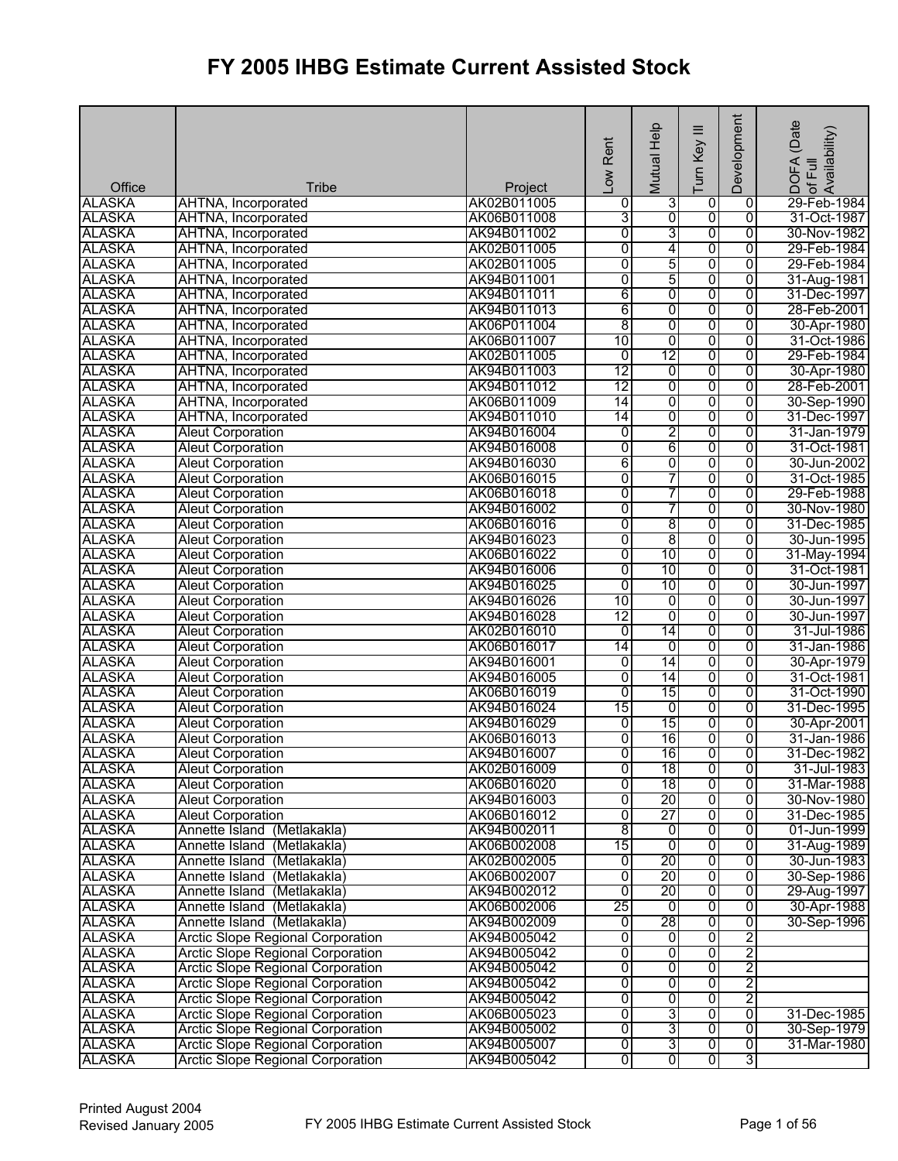| Office        | <b>Tribe</b>                             | Project     | Low Rent       | Mutual Help    | Ξ<br>Turn Key  | Development    | (Date<br>¦DOFA (Date<br>Iof Full<br> Availability) |
|---------------|------------------------------------------|-------------|----------------|----------------|----------------|----------------|----------------------------------------------------|
| <b>ALASKA</b> | AHTNA, Incorporated                      | AK02B011005 | 0              | 3              | 0              | 0              | 29-Feb-1984                                        |
| <b>ALASKA</b> | AHTNA, Incorporated                      | AK06B011008 | 3              | $\overline{0}$ | 0              | $\overline{0}$ | 31-Oct-1987                                        |
| <b>ALASKA</b> | AHTNA, Incorporated                      | AK94B011002 | 0              | 3              | $\overline{0}$ | $\overline{0}$ | 30-Nov-1982                                        |
| <b>ALASKA</b> | AHTNA, Incorporated                      | AK02B011005 | 0              | 4              | 0              | $\overline{0}$ | 29-Feb-1984                                        |
| <b>ALASKA</b> | AHTNA, Incorporated                      | AK02B011005 | 0              | 5              | $\overline{0}$ | $\overline{0}$ | 29-Feb-1984                                        |
| <b>ALASKA</b> | AHTNA, Incorporated                      | AK94B011001 | $\overline{0}$ | 5              | 0              | $\overline{0}$ | 31-Aug-1981                                        |
| <b>ALASKA</b> | AHTNA, Incorporated                      | AK94B011011 | 6              | $\overline{0}$ | $\overline{0}$ | $\overline{0}$ | 31-Dec-1997                                        |
| <b>ALASKA</b> | AHTNA, Incorporated                      | AK94B011013 | 6              | 0              | 0              | $\overline{0}$ | 28-Feb-2001                                        |
| <b>ALASKA</b> | AHTNA, Incorporated                      | AK06P011004 | $\overline{8}$ | 0              | $\overline{0}$ | $\overline{0}$ | 30-Apr-1980                                        |
| <b>ALASKA</b> | AHTNA, Incorporated                      | AK06B011007 | 10             | $\overline{0}$ | 0              | $\overline{0}$ | 31-Oct-1986                                        |
| <b>ALASKA</b> | AHTNA, Incorporated                      | AK02B011005 | $\overline{0}$ | 12             | $\overline{0}$ | $\overline{0}$ | 29-Feb-1984                                        |
| <b>ALASKA</b> | AHTNA, Incorporated                      | AK94B011003 | 12             | 0              | 0              | $\overline{0}$ | 30-Apr-1980                                        |
| <b>ALASKA</b> | AHTNA, Incorporated                      | AK94B011012 | 12             | 0              | $\overline{0}$ | $\overline{0}$ | 28-Feb-2001                                        |
| <b>ALASKA</b> | AHTNA, Incorporated                      | AK06B011009 | 14             | 0              | $\overline{0}$ | $\overline{0}$ | 30-Sep-1990                                        |
| <b>ALASKA</b> | AHTNA, Incorporated                      | AK94B011010 | 14             | 0              | 0              | $\overline{0}$ | 31-Dec-1997                                        |
| <b>ALASKA</b> | <b>Aleut Corporation</b>                 | AK94B016004 | 0              | 2              | 0              | $\overline{0}$ | 31-Jan-1979                                        |
| <b>ALASKA</b> | <b>Aleut Corporation</b>                 | AK94B016008 | 0              | 6              | $\overline{0}$ | $\overline{0}$ | 31-Oct-1981                                        |
| <b>ALASKA</b> | <b>Aleut Corporation</b>                 | AK94B016030 | 6              | 0              | $\overline{0}$ | $\overline{0}$ | 30-Jun-2002                                        |
| <b>ALASKA</b> | <b>Aleut Corporation</b>                 | AK06B016015 | 0              | 7              | 0              | $\overline{0}$ | 31-Oct-1985                                        |
| <b>ALASKA</b> | <b>Aleut Corporation</b>                 | AK06B016018 | 0              | 7              | 0              | 0              | 29-Feb-1988                                        |
| <b>ALASKA</b> | <b>Aleut Corporation</b>                 | AK94B016002 | 0              | 7              | $\overline{0}$ | $\overline{0}$ | 30-Nov-1980                                        |
| <b>ALASKA</b> | <b>Aleut Corporation</b>                 | AK06B016016 | 0              | $\overline{8}$ | $\overline{0}$ | $\overline{0}$ | 31-Dec-1985                                        |
| <b>ALASKA</b> | <b>Aleut Corporation</b>                 | AK94B016023 | 0              | 8              | 0              | $\overline{0}$ | 30-Jun-1995                                        |
| <b>ALASKA</b> | <b>Aleut Corporation</b>                 | AK06B016022 | 0              | 10             | 0              | $\overline{0}$ | 31-May-1994                                        |
| <b>ALASKA</b> | <b>Aleut Corporation</b>                 | AK94B016006 | $\overline{0}$ | 10             | $\overline{0}$ | $\overline{0}$ | 31-Oct-1981                                        |
| <b>ALASKA</b> | <b>Aleut Corporation</b>                 | AK94B016025 | 0              | 10             | $\overline{0}$ | $\overline{0}$ | 30-Jun-1997                                        |
| <b>ALASKA</b> | <b>Aleut Corporation</b>                 | AK94B016026 | 10             | $\overline{0}$ | 0              | $\overline{0}$ | 30-Jun-1997                                        |
| <b>ALASKA</b> | <b>Aleut Corporation</b>                 | AK94B016028 | 12             | $\overline{0}$ | $\overline{0}$ | $\overline{0}$ | 30-Jun-1997                                        |
| <b>ALASKA</b> | <b>Aleut Corporation</b>                 | AK02B016010 | $\overline{0}$ | 14             | 0              | $\overline{0}$ | 31-Jul-1986                                        |
| <b>ALASKA</b> | <b>Aleut Corporation</b>                 | AK06B016017 | 14             | $\overline{0}$ | $\overline{0}$ | $\overline{0}$ | 31-Jan-1986                                        |
| <b>ALASKA</b> | <b>Aleut Corporation</b>                 | AK94B016001 | $\overline{0}$ | 14             | 0              | $\overline{0}$ | 30-Apr-1979                                        |
| <b>ALASKA</b> | <b>Aleut Corporation</b>                 | AK94B016005 | 0              | 14             | 0              | 0              | 31-Oct-1981                                        |
| <b>ALASKA</b> | <b>Aleut Corporation</b>                 | AK06B016019 | $\overline{0}$ | 15             | $\overline{0}$ | $\overline{0}$ | 31-Oct-1990                                        |
| <b>ALASKA</b> | <b>Aleut Corporation</b>                 | AK94B016024 | 15             | 0              | 0              | $\overline{0}$ | 31-Dec-1995                                        |
| <b>ALASKA</b> | <b>Aleut Corporation</b>                 | AK94B016029 | $\overline{0}$ | 15             | 0              | $\overline{0}$ | 30-Apr-2001                                        |
| <b>ALASKA</b> | <b>Aleut Corporation</b>                 | AK06B016013 | 0              | 16             | 0              | $\overline{0}$ | 31-Jan-1986                                        |
| <b>ALASKA</b> | <b>Aleut Corporation</b>                 | AK94B016007 | ō              | 16             | $\overline{0}$ | 0              | 31-Dec-1982                                        |
| <b>ALASKA</b> | <b>Aleut Corporation</b>                 | AK02B016009 | $\overline{0}$ | 18             | $\overline{0}$ | $\overline{0}$ | 31-Jul-1983                                        |
| <b>ALASKA</b> | <b>Aleut Corporation</b>                 | AK06B016020 | 0              | 18             | 0              | 0              | 31-Mar-1988                                        |
| <b>ALASKA</b> | <b>Aleut Corporation</b>                 | AK94B016003 | 0              | 20             | $\overline{0}$ | 0              | 30-Nov-1980                                        |
| <b>ALASKA</b> | <b>Aleut Corporation</b>                 | AK06B016012 | $\overline{0}$ | 27             | 0              | $\overline{0}$ | 31-Dec-1985                                        |
| <b>ALASKA</b> | Annette Island (Metlakakla)              | AK94B002011 | $\overline{8}$ | 0              | 0              | $\overline{0}$ | 01-Jun-1999                                        |
| <b>ALASKA</b> | Annette Island (Metlakakla)              | AK06B002008 | 15             | 0              | $\overline{0}$ | $\overline{0}$ | 31-Aug-1989                                        |
| <b>ALASKA</b> | Annette Island (Metlakakla)              | AK02B002005 | ō              | 20             | $\overline{0}$ | $\overline{0}$ | 30-Jun-1983                                        |
| <b>ALASKA</b> | Annette Island (Metlakakla)              | AK06B002007 | 0              | 20             | $\overline{0}$ | $\overline{0}$ | 30-Sep-1986                                        |
| <b>ALASKA</b> | Annette Island (Metlakakla)              | AK94B002012 | 0              | 20             | 0              | $\overline{0}$ | 29-Aug-1997                                        |
| <b>ALASKA</b> | Annette Island (Metlakakla)              | AK06B002006 | 25             | 0              | 0              | 0              | 30-Apr-1988                                        |
| <b>ALASKA</b> | Annette Island (Metlakakla)              | AK94B002009 | o              | 28             | $\overline{0}$ | 0              | 30-Sep-1996                                        |
| <b>ALASKA</b> | <b>Arctic Slope Regional Corporation</b> | AK94B005042 | 0              | o              | $\overline{0}$ | $\overline{2}$ |                                                    |
| <b>ALASKA</b> | <b>Arctic Slope Regional Corporation</b> | AK94B005042 | 0              | $\overline{0}$ | 0              | $\overline{2}$ |                                                    |
| <b>ALASKA</b> | Arctic Slope Regional Corporation        | AK94B005042 | 0              | 0              | 0              | $\overline{2}$ |                                                    |
| <b>ALASKA</b> | <b>Arctic Slope Regional Corporation</b> | AK94B005042 | 0              | $\overline{0}$ | 0              | 2              |                                                    |
| <b>ALASKA</b> | <b>Arctic Slope Regional Corporation</b> | AK94B005042 | 0              | $\overline{0}$ | $\overline{0}$ | 2              |                                                    |
| <b>ALASKA</b> | Arctic Slope Regional Corporation        | AK06B005023 | $\overline{0}$ | 3              | 0              | $\overline{0}$ | 31-Dec-1985                                        |
| <b>ALASKA</b> | <b>Arctic Slope Regional Corporation</b> | AK94B005002 | 0              | 3              | $\overline{0}$ | 0              | 30-Sep-1979                                        |
| <b>ALASKA</b> | <b>Arctic Slope Regional Corporation</b> | AK94B005007 | 0              | 31             | $\overline{0}$ | $\overline{0}$ | 31-Mar-1980                                        |
| <b>ALASKA</b> | <b>Arctic Slope Regional Corporation</b> | AK94B005042 | 0              | $\overline{0}$ | $\overline{0}$ | 3              |                                                    |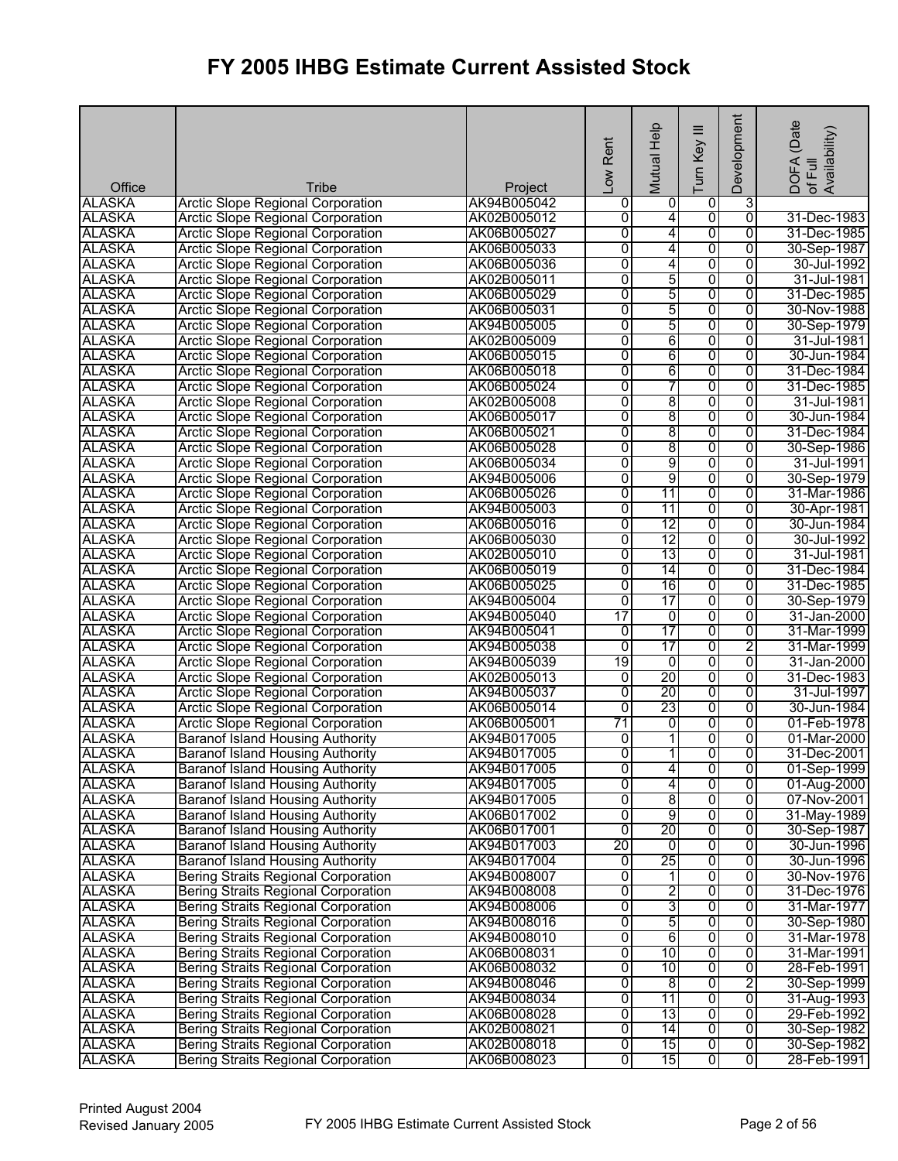| Office        | Tribe                                      | Project     | Low Rent       | Mutual Help              | $\equiv$<br>Turn Key | Development    | DOFA (Date<br>Availability)<br>of Full |
|---------------|--------------------------------------------|-------------|----------------|--------------------------|----------------------|----------------|----------------------------------------|
| <b>ALASKA</b> | <b>Arctic Slope Regional Corporation</b>   | AK94B005042 | 0              | 0                        | 0                    | 3              |                                        |
| <b>ALASKA</b> | <b>Arctic Slope Regional Corporation</b>   | AK02B005012 | 0              | 4                        | $\overline{0}$       | $\overline{0}$ | 31-Dec-1983                            |
| <b>ALASKA</b> | <b>Arctic Slope Regional Corporation</b>   | AK06B005027 | $\overline{0}$ | 4                        | $\overline{0}$       | $\overline{0}$ | 31-Dec-1985                            |
| <b>ALASKA</b> | <b>Arctic Slope Regional Corporation</b>   | AK06B005033 | 0              | 4                        | 0                    | 0              | 30-Sep-1987                            |
| <b>ALASKA</b> | <b>Arctic Slope Regional Corporation</b>   | AK06B005036 | $\overline{0}$ | 4                        | 0                    | 0              | 30-Jul-1992                            |
| <b>ALASKA</b> | <b>Arctic Slope Regional Corporation</b>   | AK02B005011 | $\overline{0}$ | 5                        | $\overline{0}$       | $\overline{0}$ | 31-Jul-1981                            |
| <b>ALASKA</b> | <b>Arctic Slope Regional Corporation</b>   | AK06B005029 | $\overline{0}$ | 5                        | 0                    | $\overline{0}$ | 31-Dec-1985                            |
| <b>ALASKA</b> | <b>Arctic Slope Regional Corporation</b>   | AK06B005031 | 0              | 5                        | 0                    | 0              | 30-Nov-1988                            |
| <b>ALASKA</b> | <b>Arctic Slope Regional Corporation</b>   | AK94B005005 | 0              | 5                        | 0                    | $\overline{0}$ | 30-Sep-1979                            |
| <b>ALASKA</b> | <b>Arctic Slope Regional Corporation</b>   | AK02B005009 | $\overline{0}$ | 6                        | $\overline{0}$       | $\overline{0}$ | 31-Jul-1981                            |
| <b>ALASKA</b> | <b>Arctic Slope Regional Corporation</b>   | AK06B005015 | 0              | 6                        | 0                    | $\overline{0}$ | 30-Jun-1984                            |
| <b>ALASKA</b> | <b>Arctic Slope Regional Corporation</b>   | AK06B005018 | 0              | 6                        | 0                    | 0              | 31-Dec-1984                            |
| <b>ALASKA</b> | <b>Arctic Slope Regional Corporation</b>   | AK06B005024 | 0              | 7                        | 0                    | 0              | 31-Dec-1985                            |
| <b>ALASKA</b> | <b>Arctic Slope Regional Corporation</b>   | AK02B005008 | 0              | 8                        | $\overline{0}$       | 0              | 31-Jul-1981                            |
| <b>ALASKA</b> | <b>Arctic Slope Regional Corporation</b>   | AK06B005017 | 0              | 8                        | 0                    | 0              | 30-Jun-1984                            |
| <b>ALASKA</b> | <b>Arctic Slope Regional Corporation</b>   | AK06B005021 | 0              | 8                        | 0                    | 0              | 31-Dec-1984                            |
| <b>ALASKA</b> | <b>Arctic Slope Regional Corporation</b>   | AK06B005028 | 0              | 8                        | 0                    | 0              | 30-Sep-1986                            |
| <b>ALASKA</b> | <b>Arctic Slope Regional Corporation</b>   | AK06B005034 | 0              | 9                        | 0                    | $\overline{0}$ | 31-Jul-1991                            |
| <b>ALASKA</b> | <b>Arctic Slope Regional Corporation</b>   | AK94B005006 | 0              | 9                        | 0                    | 0              | 30-Sep-1979                            |
| <b>ALASKA</b> | <b>Arctic Slope Regional Corporation</b>   | AK06B005026 | 0              | 11                       | 0                    | 0              | 31-Mar-1986                            |
| <b>ALASKA</b> | <b>Arctic Slope Regional Corporation</b>   | AK94B005003 | 0              | 11                       | 0                    | 0              | 30-Apr-1981                            |
| <b>ALASKA</b> | <b>Arctic Slope Regional Corporation</b>   | AK06B005016 | 0              | 12                       | 0                    | $\overline{0}$ | 30-Jun-1984                            |
| <b>ALASKA</b> | <b>Arctic Slope Regional Corporation</b>   | AK06B005030 | 0              | 12                       | 0                    | 0              | 30-Jul-1992                            |
| <b>ALASKA</b> | <b>Arctic Slope Regional Corporation</b>   | AK02B005010 | 0              | 13                       | 0                    | $\overline{0}$ | 31-Jul-1981                            |
| <b>ALASKA</b> | <b>Arctic Slope Regional Corporation</b>   | AK06B005019 | 0              | 14                       | 0                    | 0              | 31-Dec-1984                            |
| <b>ALASKA</b> | <b>Arctic Slope Regional Corporation</b>   | AK06B005025 | $\overline{0}$ | 16                       | $\overline{0}$       | $\overline{0}$ | 31-Dec-1985                            |
| <b>ALASKA</b> | <b>Arctic Slope Regional Corporation</b>   | AK94B005004 | $\overline{0}$ | 17                       | 0                    | $\overline{0}$ | 30-Sep-1979                            |
| <b>ALASKA</b> | <b>Arctic Slope Regional Corporation</b>   | AK94B005040 | 17             | 0                        | 0                    | 0              | 31-Jan-2000                            |
| <b>ALASKA</b> | <b>Arctic Slope Regional Corporation</b>   | AK94B005041 | 0              | 17                       | 0                    | $\overline{0}$ | 31-Mar-1999                            |
| <b>ALASKA</b> | <b>Arctic Slope Regional Corporation</b>   | AK94B005038 | $\overline{0}$ | 17                       | $\overline{0}$       | 2              | 31-Mar-1999                            |
| <b>ALASKA</b> | <b>Arctic Slope Regional Corporation</b>   | AK94B005039 | 19             | 0                        | 0                    | $\overline{0}$ | 31-Jan-2000                            |
| <b>ALASKA</b> | <b>Arctic Slope Regional Corporation</b>   | AK02B005013 | 0              | $\overline{20}$          | $\overline{0}$       | 0              | 31-Dec-1983                            |
| <b>ALASKA</b> | <b>Arctic Slope Regional Corporation</b>   | AK94B005037 | $\overline{0}$ | 20                       | 0                    | 0              | 31-Jul-1997                            |
| <b>ALASKA</b> | <b>Arctic Slope Regional Corporation</b>   | AK06B005014 | $\overline{0}$ | 23                       | 0                    | 0              | 30-Jun-1984                            |
| <b>ALASKA</b> | <b>Arctic Slope Regional Corporation</b>   | AK06B005001 | 71             | 0                        | 0                    | 0              | 01-Feb-1978                            |
| <b>ALASKA</b> | Baranof Island Housing Authority           | AK94B017005 | 0              | $\overline{\phantom{a}}$ | 0                    | 0              | 01-Mar-2000                            |
| <b>ALASKA</b> | <b>Baranof Island Housing Authority</b>    | AK94B017005 | ō              | 11                       | $\overline{0}$       | 0              | 31-Dec-2001                            |
| <b>ALASKA</b> | <b>Baranof Island Housing Authority</b>    | AK94B017005 | $\overline{0}$ | $\overline{4}$           | o                    | $\overline{0}$ | 01-Sep-1999                            |
| <b>ALASKA</b> | <b>Baranof Island Housing Authority</b>    | AK94B017005 | 0              | 4                        | 0                    | 0              | 01-Aug-2000                            |
| <b>ALASKA</b> | Baranof Island Housing Authority           | AK94B017005 | 0              | 8                        | 0                    | 0              | 07-Nov-2001                            |
| <b>ALASKA</b> | <b>Baranof Island Housing Authority</b>    | AK06B017002 | 0              | 9                        | $\overline{0}$       | 0              | 31-May-1989                            |
| <b>ALASKA</b> | Baranof Island Housing Authority           | AK06B017001 | $\overline{0}$ | 20                       | 0                    | 0              | 30-Sep-1987                            |
| <b>ALASKA</b> | Baranof Island Housing Authority           | AK94B017003 | 20             | 0                        | 0                    | 0              | 30-Jun-1996                            |
| <b>ALASKA</b> | <b>Baranof Island Housing Authority</b>    | AK94B017004 | 0              | 25                       | 0                    | 0              | 30-Jun-1996                            |
| <b>ALASKA</b> | <b>Bering Straits Regional Corporation</b> | AK94B008007 | 0              | 1                        | $\overline{0}$       | 0              | 30-Nov-1976                            |
| <b>ALASKA</b> | <b>Bering Straits Regional Corporation</b> | AK94B008008 | 0              | 2                        | 0                    | 0              | 31-Dec-1976                            |
| <b>ALASKA</b> | <b>Bering Straits Regional Corporation</b> | AK94B008006 | 0              | 3                        | 0                    | 0              | 31-Mar-1977                            |
| <b>ALASKA</b> | <b>Bering Straits Regional Corporation</b> | AK94B008016 | 0              | 5                        | 0                    | 0              | 30-Sep-1980                            |
| <b>ALASKA</b> | <b>Bering Straits Regional Corporation</b> | AK94B008010 | 0              | 6                        | 0                    | $\overline{0}$ | 31-Mar-1978                            |
| <b>ALASKA</b> | <b>Bering Straits Regional Corporation</b> | AK06B008031 | 0              | 10                       | 0                    | 0              | 31-Mar-1991                            |
| <b>ALASKA</b> | <b>Bering Straits Regional Corporation</b> | AK06B008032 | 0              | 10                       | $\overline{0}$       | 0              | 28-Feb-1991                            |
| <b>ALASKA</b> | <b>Bering Straits Regional Corporation</b> | AK94B008046 | $\overline{0}$ | $\overline{8}$           | 0                    | 2              | 30-Sep-1999                            |
| <b>ALASKA</b> | <b>Bering Straits Regional Corporation</b> | AK94B008034 | $\overline{0}$ | 11                       | 0                    | $\overline{0}$ | 31-Aug-1993                            |
| <b>ALASKA</b> | <b>Bering Straits Regional Corporation</b> | AK06B008028 | 0              | 13                       | 0                    | $\overline{0}$ | 29-Feb-1992                            |
| <b>ALASKA</b> | <b>Bering Straits Regional Corporation</b> | AK02B008021 | 0              | 14                       | 0                    | $\overline{0}$ | 30-Sep-1982                            |
| <b>ALASKA</b> | <b>Bering Straits Regional Corporation</b> | AK02B008018 | $\overline{0}$ | 15                       | $\overline{0}$       | $\overline{0}$ | 30-Sep-1982                            |
| <b>ALASKA</b> | <b>Bering Straits Regional Corporation</b> | AK06B008023 | 0              | 15                       | $\overline{0}$       | $\overline{0}$ | 28-Feb-1991                            |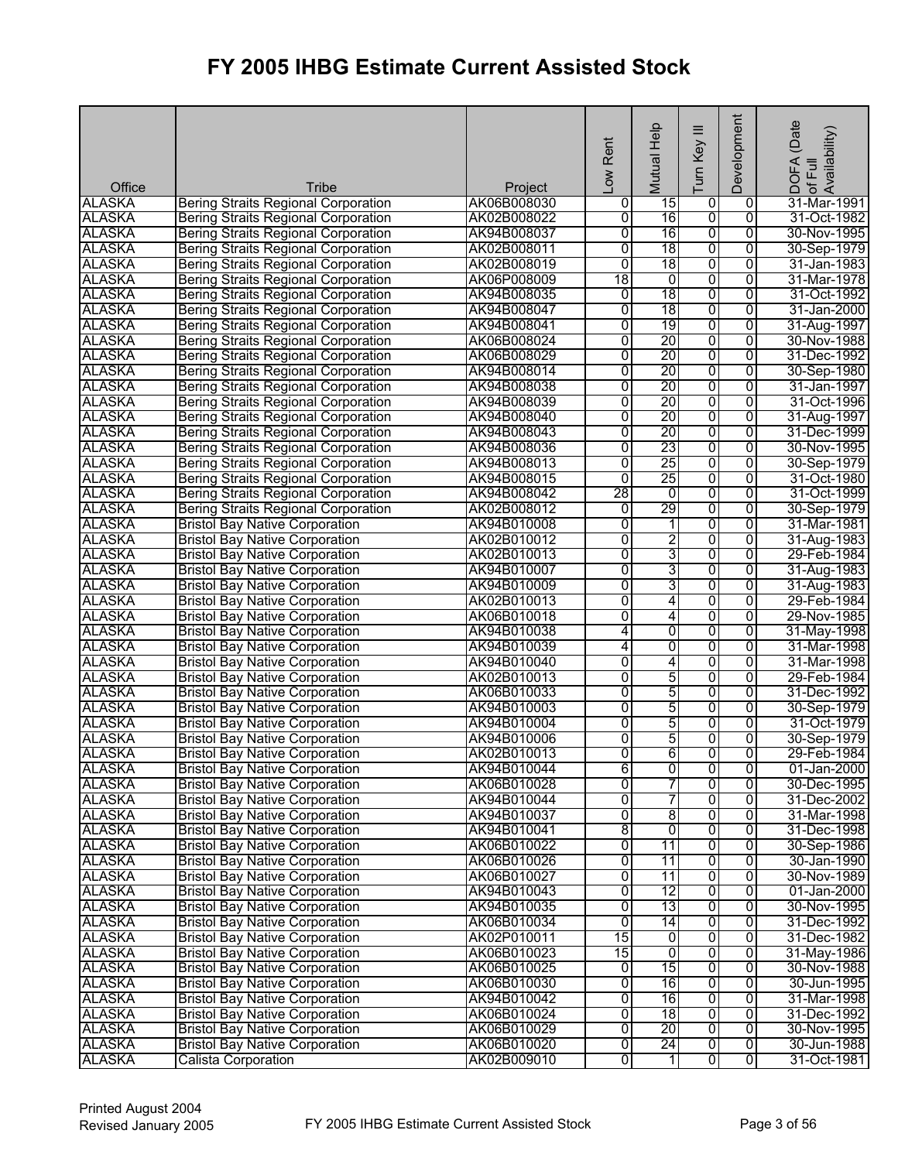| Office        | Tribe                                      | Project     | Low Rent       | Mutual Help     | $\equiv$<br>Turn Key    | Development    | (Date<br>! DOFA (Date<br>:of Full<br> Availability) |
|---------------|--------------------------------------------|-------------|----------------|-----------------|-------------------------|----------------|-----------------------------------------------------|
| <b>ALASKA</b> | <b>Bering Straits Regional Corporation</b> | AK06B008030 | 0              | 15              | 0                       | 0              | 31-Mar-1991                                         |
| <b>ALASKA</b> | <b>Bering Straits Regional Corporation</b> | AK02B008022 | 0              | 16              | $\overline{0}$          | $\overline{0}$ | 31-Oct-1982                                         |
| <b>ALASKA</b> | <b>Bering Straits Regional Corporation</b> | AK94B008037 | $\overline{0}$ | 16              | 0                       | 0              | 30-Nov-1995                                         |
| <b>ALASKA</b> | <b>Bering Straits Regional Corporation</b> | AK02B008011 | $\overline{0}$ | 18              | 0                       | 0              | 30-Sep-1979                                         |
| <b>ALASKA</b> | <b>Bering Straits Regional Corporation</b> | AK02B008019 | $\overline{0}$ | 18              | 0                       | $\overline{0}$ | 31-Jan-1983                                         |
| <b>ALASKA</b> | <b>Bering Straits Regional Corporation</b> | AK06P008009 | 18             | $\overline{0}$  | 0                       | $\overline{0}$ | 31-Mar-1978                                         |
| <b>ALASKA</b> | <b>Bering Straits Regional Corporation</b> | AK94B008035 | 0              | 18              | $\overline{0}$          | $\overline{0}$ | 31-Oct-1992                                         |
| <b>ALASKA</b> | <b>Bering Straits Regional Corporation</b> | AK94B008047 | $\overline{0}$ | 18              | 0                       | 0              | 31-Jan-2000                                         |
| <b>ALASKA</b> | <b>Bering Straits Regional Corporation</b> | AK94B008041 | $\overline{0}$ | 19              | 0                       | $\overline{0}$ | 31-Aug-1997                                         |
| <b>ALASKA</b> | <b>Bering Straits Regional Corporation</b> | AK06B008024 | $\overline{0}$ | 20              | 0                       | $\overline{0}$ | 30-Nov-1988                                         |
| <b>ALASKA</b> | <b>Bering Straits Regional Corporation</b> | AK06B008029 | $\overline{0}$ | 20              | 0                       | $\overline{0}$ | 31-Dec-1992                                         |
| <b>ALASKA</b> | <b>Bering Straits Regional Corporation</b> | AK94B008014 | 0              | 20              | 0                       | 0              | 30-Sep-1980                                         |
| <b>ALASKA</b> | <b>Bering Straits Regional Corporation</b> | AK94B008038 | $\overline{0}$ | 20              | 0                       | 0              | 31-Jan-1997                                         |
| <b>ALASKA</b> | <b>Bering Straits Regional Corporation</b> | AK94B008039 | 0              | 20              | $\overline{0}$          | $\overline{0}$ | 31-Oct-1996                                         |
| <b>ALASKA</b> | <b>Bering Straits Regional Corporation</b> | AK94B008040 | $\overline{0}$ | 20              | 0                       | 0              | 31-Aug-1997                                         |
| <b>ALASKA</b> | <b>Bering Straits Regional Corporation</b> | AK94B008043 | 0              | $\overline{20}$ | 0                       | 0              | 31-Dec-1999                                         |
| <b>ALASKA</b> | <b>Bering Straits Regional Corporation</b> | AK94B008036 | 0              | 23              | 0                       | 0              | 30-Nov-1995                                         |
| <b>ALASKA</b> | <b>Bering Straits Regional Corporation</b> | AK94B008013 | $\overline{0}$ | 25              | 0                       | $\overline{0}$ | 30-Sep-1979                                         |
| <b>ALASKA</b> | <b>Bering Straits Regional Corporation</b> | AK94B008015 | $\overline{0}$ | 25              | 0                       | 0              | 31-Oct-1980                                         |
| <b>ALASKA</b> | <b>Bering Straits Regional Corporation</b> | AK94B008042 | 28             | 0               | 0                       | 0              | 31-Oct-1999                                         |
| <b>ALASKA</b> | <b>Bering Straits Regional Corporation</b> | AK02B008012 | $\overline{0}$ | 29              | 0                       | 0              | 30-Sep-1979                                         |
| <b>ALASKA</b> | <b>Bristol Bay Native Corporation</b>      | AK94B010008 | $\overline{0}$ | 1               | 0                       | $\overline{0}$ | 31-Mar-1981                                         |
| <b>ALASKA</b> | <b>Bristol Bay Native Corporation</b>      | AK02B010012 | 0              | 2               | 0                       | 0              | 31-Aug-1983                                         |
| <b>ALASKA</b> | <b>Bristol Bay Native Corporation</b>      | AK02B010013 | $\overline{0}$ | 3               | 0                       | $\overline{0}$ | 29-Feb-1984                                         |
| <b>ALASKA</b> | <b>Bristol Bay Native Corporation</b>      | AK94B010007 | 0              | 3               | 0                       | $\overline{0}$ | 31-Aug-1983                                         |
| <b>ALASKA</b> | <b>Bristol Bay Native Corporation</b>      | AK94B010009 | 0              | 3               | $\overline{0}$          | 0              | 31-Aug-1983                                         |
| <b>ALASKA</b> | <b>Bristol Bay Native Corporation</b>      | AK02B010013 | $\overline{0}$ | 4               | 0                       | 0              | 29-Feb-1984                                         |
| <b>ALASKA</b> | <b>Bristol Bay Native Corporation</b>      | AK06B010018 | $\overline{0}$ | 4               | 0                       | 0              | 29-Nov-1985                                         |
| <b>ALASKA</b> | <b>Bristol Bay Native Corporation</b>      | AK94B010038 | 4              | 0               | 0                       | $\overline{0}$ | 31-May-1998                                         |
| <b>ALASKA</b> | <b>Bristol Bay Native Corporation</b>      | AK94B010039 | 4              | $\overline{0}$  | 0                       | $\overline{0}$ | 31-Mar-1998                                         |
| <b>ALASKA</b> | <b>Bristol Bay Native Corporation</b>      | AK94B010040 | 0              | 4               | 0                       | $\overline{0}$ | 31-Mar-1998                                         |
| <b>ALASKA</b> | <b>Bristol Bay Native Corporation</b>      | AK02B010013 | $\overline{0}$ | 5               | 0                       | 0              | 29-Feb-1984                                         |
| <b>ALASKA</b> | <b>Bristol Bay Native Corporation</b>      | AK06B010033 | $\overline{0}$ | 5               | 0                       | $\overline{0}$ | 31-Dec-1992                                         |
| <b>ALASKA</b> | <b>Bristol Bay Native Corporation</b>      | AK94B010003 | $\overline{0}$ | 5               | 0                       | $\overline{0}$ | 30-Sep-1979                                         |
| <b>ALASKA</b> | <b>Bristol Bay Native Corporation</b>      | AK94B010004 | 0              | 5               | 0                       | $\overline{0}$ | 31-Oct-1979                                         |
| <b>ALASKA</b> | <b>Bristol Bay Native Corporation</b>      | AK94B010006 | $\overline{0}$ | 5               | 0                       | 0              | 30-Sep-1979                                         |
| <b>ALASKA</b> | <b>Bristol Bay Native Corporation</b>      | AK02B010013 | Ō              | 6               | $\overline{0}$          | 0              | 29-Feb-1984                                         |
| <b>ALASKA</b> | <b>Bristol Bay Native Corporation</b>      | AK94B010044 | 6              | $\overline{0}$  | o                       | 0              | 01-Jan-2000                                         |
| <b>ALASKA</b> | <b>Bristol Bay Native Corporation</b>      | AK06B010028 | 0              | 7               | 0                       | 0              | 30-Dec-1995                                         |
| <b>ALASKA</b> | <b>Bristol Bay Native Corporation</b>      | AK94B010044 | 0              | 7               | 0                       | 0              | 31-Dec-2002                                         |
| <b>ALASKA</b> | <b>Bristol Bay Native Corporation</b>      | AK94B010037 | 0              | 8               | 0                       | 0              | 31-Mar-1998                                         |
| <b>ALASKA</b> | <b>Bristol Bay Native Corporation</b>      | AK94B010041 | 8              | 0               | 0                       | 0              | 31-Dec-1998                                         |
| <b>ALASKA</b> | <b>Bristol Bay Native Corporation</b>      | AK06B010022 | 0              | 11              | 0                       | 0              | 30-Sep-1986                                         |
| <b>ALASKA</b> | <b>Bristol Bay Native Corporation</b>      | AK06B010026 | 0              | 11              | 0                       | 0              | 30-Jan-1990                                         |
| <b>ALASKA</b> | <b>Bristol Bay Native Corporation</b>      | AK06B010027 | 0              | 11              | $\overline{0}$          | $\overline{0}$ | 30-Nov-1989                                         |
| <b>ALASKA</b> | <b>Bristol Bay Native Corporation</b>      | AK94B010043 | 0              | 12              | 0                       | 0              | 01-Jan-2000                                         |
| <b>ALASKA</b> | <b>Bristol Bay Native Corporation</b>      | AK94B010035 | 0              | 13              | 0                       | 0              | 30-Nov-1995                                         |
| <b>ALASKA</b> | <b>Bristol Bay Native Corporation</b>      | AK06B010034 | 0              | 14              | 0                       | $\overline{0}$ | 31-Dec-1992                                         |
| <b>ALASKA</b> | <b>Bristol Bay Native Corporation</b>      | AK02P010011 | 15             | $\overline{0}$  | $\overline{0}$          | $\overline{0}$ | 31-Dec-1982                                         |
| <b>ALASKA</b> | <b>Bristol Bay Native Corporation</b>      | AK06B010023 | 15             | Ō               | 0                       | 0              | 31-May-1986                                         |
| <b>ALASKA</b> | <b>Bristol Bay Native Corporation</b>      | AK06B010025 | 0              | 15              | $\overline{\mathbf{0}}$ | 0              | 30-Nov-1988                                         |
| <b>ALASKA</b> | <b>Bristol Bay Native Corporation</b>      | AK06B010030 | $\overline{0}$ | 16              | $\overline{0}$          | 0              | 30-Jun-1995                                         |
| <b>ALASKA</b> | <b>Bristol Bay Native Corporation</b>      | AK94B010042 | $\overline{0}$ | 16              | 0                       | $\overline{0}$ | 31-Mar-1998                                         |
| <b>ALASKA</b> | <b>Bristol Bay Native Corporation</b>      | AK06B010024 | 0              | 18              | 0                       | $\overline{0}$ | 31-Dec-1992                                         |
| <b>ALASKA</b> | <b>Bristol Bay Native Corporation</b>      | AK06B010029 | 0              | 20              | 0                       | 0              | 30-Nov-1995                                         |
| <b>ALASKA</b> | <b>Bristol Bay Native Corporation</b>      | AK06B010020 | 0              | 24              | $\overline{0}$          | $\overline{0}$ | 30-Jun-1988                                         |
| <b>ALASKA</b> | Calista Corporation                        | AK02B009010 | 0              | $\overline{1}$  | $\overline{\mathbf{0}}$ | $\overline{0}$ | 31-Oct-1981                                         |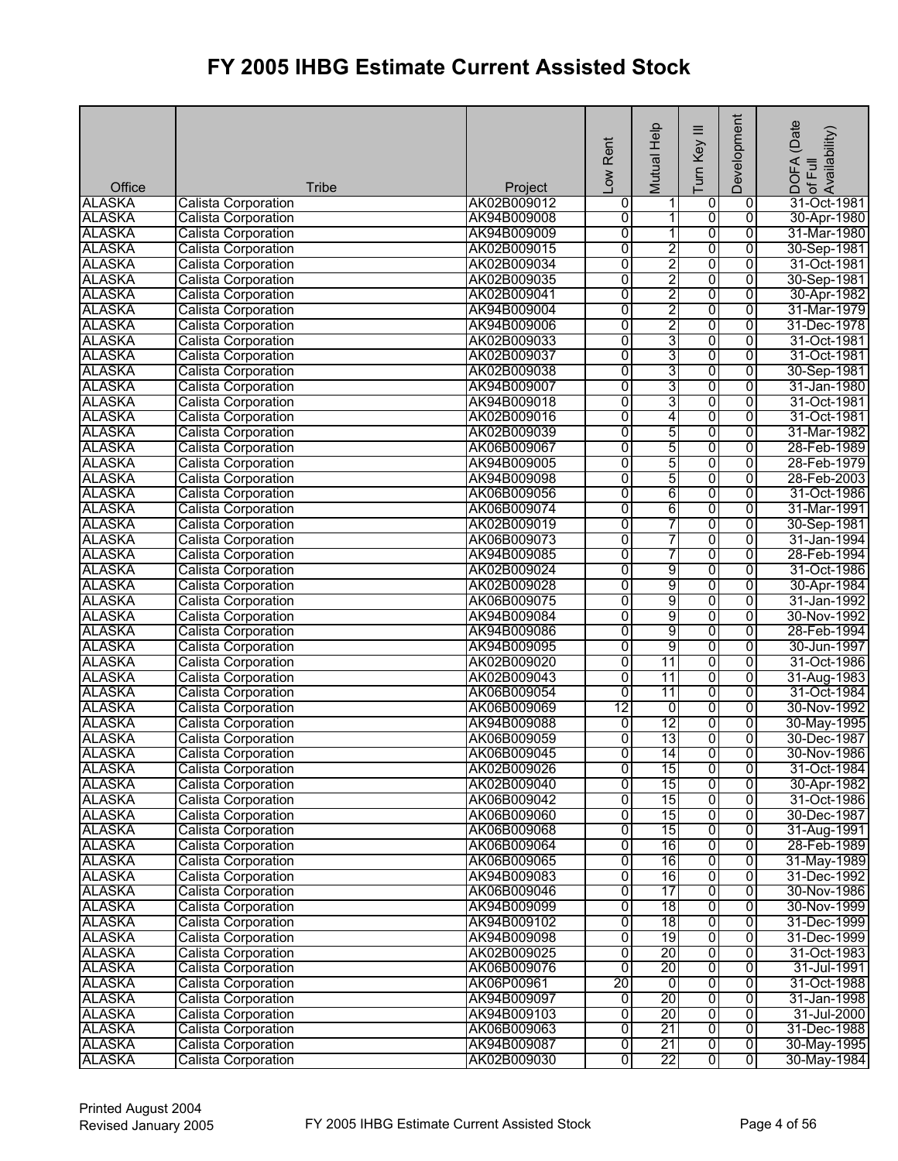| Office        | <b>Tribe</b>               | Project     | Low Rent       | Mutual Help              | Ξ<br>Turn Key           | Development    | (Date<br>DOFA (Date<br>of Full<br>Availability) |
|---------------|----------------------------|-------------|----------------|--------------------------|-------------------------|----------------|-------------------------------------------------|
| <b>ALASKA</b> | <b>Calista Corporation</b> | AK02B009012 | 0              | 1                        | 0                       | $\overline{0}$ | 31-Oct-1981                                     |
| <b>ALASKA</b> | <b>Calista Corporation</b> | AK94B009008 | 0              | 11                       | 0                       | $\overline{0}$ | 30-Apr-1980                                     |
| <b>ALASKA</b> | <b>Calista Corporation</b> | AK94B009009 | 0              | $\overline{\phantom{a}}$ | 0                       | $\overline{0}$ | 31-Mar-1980                                     |
| <b>ALASKA</b> | Calista Corporation        | AK02B009015 | 0              | 2                        | 0                       | 0              | 30-Sep-1981                                     |
| <b>ALASKA</b> | <b>Calista Corporation</b> | AK02B009034 | 0              | 2                        | 0                       | $\overline{0}$ | 31-Oct-1981                                     |
| <b>ALASKA</b> | Calista Corporation        | AK02B009035 | $\overline{0}$ | 2                        | $\overline{0}$          | $\overline{0}$ | 30-Sep-1981                                     |
| <b>ALASKA</b> | <b>Calista Corporation</b> | AK02B009041 | 0              | 2                        | $\overline{0}$          | $\mathbf 0$    | 30-Apr-1982                                     |
| <b>ALASKA</b> | Calista Corporation        | AK94B009004 | 0              | 2                        | 0                       | 0              | 31-Mar-1979                                     |
| <b>ALASKA</b> | <b>Calista Corporation</b> | AK94B009006 | $\overline{0}$ | $\overline{2}$           | 0                       | 0              | 31-Dec-1978                                     |
| <b>ALASKA</b> | Calista Corporation        | AK02B009033 | $\overline{0}$ | 3                        | $\overline{0}$          | $\overline{0}$ | 31-Oct-1981                                     |
| <b>ALASKA</b> | Calista Corporation        | AK02B009037 | $\overline{0}$ | 3                        | $\overline{0}$          | $\overline{0}$ | 31-Oct-1981                                     |
| <b>ALASKA</b> | Calista Corporation        | AK02B009038 | 0              | 3                        | 0                       | 0              | 30-Sep-1981                                     |
| <b>ALASKA</b> | <b>Calista Corporation</b> | AK94B009007 | $\overline{0}$ | 3                        | $\overline{0}$          | 0              | 31-Jan-1980                                     |
| <b>ALASKA</b> | <b>Calista Corporation</b> | AK94B009018 | $\overline{0}$ | 3                        | $\overline{0}$          | $\overline{0}$ | 31-Oct-1981                                     |
| <b>ALASKA</b> | <b>Calista Corporation</b> | AK02B009016 | 0              | 4                        | 0                       | $\overline{0}$ | 31-Oct-1981                                     |
| <b>ALASKA</b> | Calista Corporation        | AK02B009039 | 0              | 5                        | 0                       | $\overline{0}$ | 31-Mar-1982                                     |
| <b>ALASKA</b> | Calista Corporation        | AK06B009067 | 0              | 5                        | 0                       | 0              | 28-Feb-1989                                     |
| <b>ALASKA</b> | Calista Corporation        | AK94B009005 | $\overline{0}$ | 5                        | $\overline{0}$          | $\overline{0}$ | 28-Feb-1979                                     |
| <b>ALASKA</b> | Calista Corporation        | AK94B009098 | 0              | 5                        | $\overline{0}$          | $\overline{0}$ | 28-Feb-2003                                     |
| <b>ALASKA</b> | Calista Corporation        | AK06B009056 | $\overline{0}$ | 6                        | $\overline{0}$          | 0              | 31-Oct-1986                                     |
| <b>ALASKA</b> | <b>Calista Corporation</b> | AK06B009074 | 0              | 6                        | 0                       | 0              | 31-Mar-1991                                     |
| <b>ALASKA</b> | Calista Corporation        | AK02B009019 | 0              | 7                        | $\overline{0}$          | 0              | 30-Sep-1981                                     |
| <b>ALASKA</b> | <b>Calista Corporation</b> | AK06B009073 | 0              | 7                        | 0                       | 0              | 31-Jan-1994                                     |
| <b>ALASKA</b> | <b>Calista Corporation</b> | AK94B009085 | 0              | 7                        | 0                       | 0              | 28-Feb-1994                                     |
| <b>ALASKA</b> | <b>Calista Corporation</b> | AK02B009024 | $\overline{0}$ | 9                        | 0                       | 0              | 31-Oct-1986                                     |
| <b>ALASKA</b> | Calista Corporation        | AK02B009028 | $\overline{0}$ | $\overline{9}$           | $\overline{0}$          | $\overline{0}$ | 30-Apr-1984                                     |
| <b>ALASKA</b> | <b>Calista Corporation</b> | AK06B009075 | 0              | 9                        | 0                       | 0              | 31-Jan-1992                                     |
| <b>ALASKA</b> | <b>Calista Corporation</b> | AK94B009084 | 0              | 9                        | 0                       | $\overline{0}$ | 30-Nov-1992                                     |
| <b>ALASKA</b> | <b>Calista Corporation</b> | AK94B009086 | 0              | 9                        | $\overline{0}$          | 0              | 28-Feb-1994                                     |
| <b>ALASKA</b> | <b>Calista Corporation</b> | AK94B009095 | 0              | 9                        | $\overline{0}$          | $\overline{0}$ | 30-Jun-1997                                     |
| <b>ALASKA</b> | Calista Corporation        | AK02B009020 | 0              | 11                       | 0                       | 0              | 31-Oct-1986                                     |
| <b>ALASKA</b> | Calista Corporation        | AK02B009043 | 0              | 11                       | 0                       | 0              | 31-Aug-1983                                     |
| <b>ALASKA</b> | <b>Calista Corporation</b> | AK06B009054 | $\overline{0}$ | 11                       | $\overline{0}$          | $\overline{0}$ | 31-Oct-1984                                     |
| <b>ALASKA</b> | Calista Corporation        | AK06B009069 | 12             | $\overline{0}$           | $\overline{0}$          | $\overline{0}$ | 30-Nov-1992                                     |
| <b>ALASKA</b> | Calista Corporation        | AK94B009088 | 0              | 12                       | 0                       | 0              | 30-May-1995                                     |
| <b>ALASKA</b> | Calista Corporation        | AK06B009059 | $\overline{0}$ | 13                       | 0                       | 0              | 30-Dec-1987                                     |
| <b>ALASKA</b> | Calista Corporation        | AK06B009045 | $\overline{0}$ | 14                       | $\overline{0}$          | $\overline{0}$ | 30-Nov-1986                                     |
| <b>ALASKA</b> | <b>Calista Corporation</b> | AK02B009026 | $\overline{0}$ | 15                       | 0                       | 0              | 31-Oct-1984                                     |
| <b>ALASKA</b> | Calista Corporation        | AK02B009040 | 0              | 15                       | 0                       | 0              | 30-Apr-1982                                     |
| <b>ALASKA</b> | Calista Corporation        | AK06B009042 | 0              | 15                       | 0                       | 0              | 31-Oct-1986                                     |
| <b>ALASKA</b> | <b>Calista Corporation</b> | AK06B009060 | 0              | 15                       | ō                       | $\overline{0}$ | 30-Dec-1987                                     |
| <b>ALASKA</b> | Calista Corporation        | AK06B009068 | 0              | 15                       | 0                       | 0              | 31-Aug-1991                                     |
| <b>ALASKA</b> | Calista Corporation        | AK06B009064 | 0              | 16                       | 0                       | $\overline{0}$ | 28-Feb-1989                                     |
| <b>ALASKA</b> | <b>Calista Corporation</b> | AK06B009065 | 0              | 16                       | 0                       | $\overline{0}$ | 31-May-1989                                     |
| <b>ALASKA</b> | <b>Calista Corporation</b> | AK94B009083 | $\overline{0}$ | 16                       | $\overline{\mathbf{0}}$ | 0              | 31-Dec-1992                                     |
| <b>ALASKA</b> | <b>Calista Corporation</b> | AK06B009046 | 0              | 17                       | 0                       | 0              | 30-Nov-1986                                     |
| <b>ALASKA</b> | <b>Calista Corporation</b> | AK94B009099 | 0              | 18                       | 0                       | 0              | 30-Nov-1999                                     |
| <b>ALASKA</b> | <b>Calista Corporation</b> | AK94B009102 | 0              | 18                       | 0                       | 0              | 31-Dec-1999                                     |
| <b>ALASKA</b> | <b>Calista Corporation</b> | AK94B009098 | 0              | 19                       | $\overline{0}$          | 0              | 31-Dec-1999                                     |
| <b>ALASKA</b> | <b>Calista Corporation</b> | AK02B009025 | 0              | 20                       | 0                       | 0              | 31-Oct-1983                                     |
| <b>ALASKA</b> | <b>Calista Corporation</b> | AK06B009076 | 0              | 20                       | 0                       | 0              | 31-Jul-1991                                     |
| <b>ALASKA</b> | <b>Calista Corporation</b> | AK06P00961  | 20             | ō                        | 0                       | 0              | 31-Oct-1988                                     |
| <b>ALASKA</b> | <b>Calista Corporation</b> | AK94B009097 |                | 20                       | 0                       | 0              | 31-Jan-1998                                     |
| <b>ALASKA</b> | Calista Corporation        |             | 0              | 20                       | 0                       |                | 31-Jul-2000                                     |
|               |                            | AK94B009103 | 0              |                          |                         | 0              |                                                 |
| <b>ALASKA</b> | Calista Corporation        | AK06B009063 | 0              | 21<br>21                 | 0                       | 0              | 31-Dec-1988                                     |
| <b>ALASKA</b> | <b>Calista Corporation</b> | AK94B009087 | 0              |                          | $\overline{0}$          | $\overline{0}$ | 30-May-1995                                     |
| <b>ALASKA</b> | <b>Calista Corporation</b> | AK02B009030 | $\overline{0}$ | 22                       | $\overline{\mathbf{0}}$ | $\overline{0}$ | 30-May-1984                                     |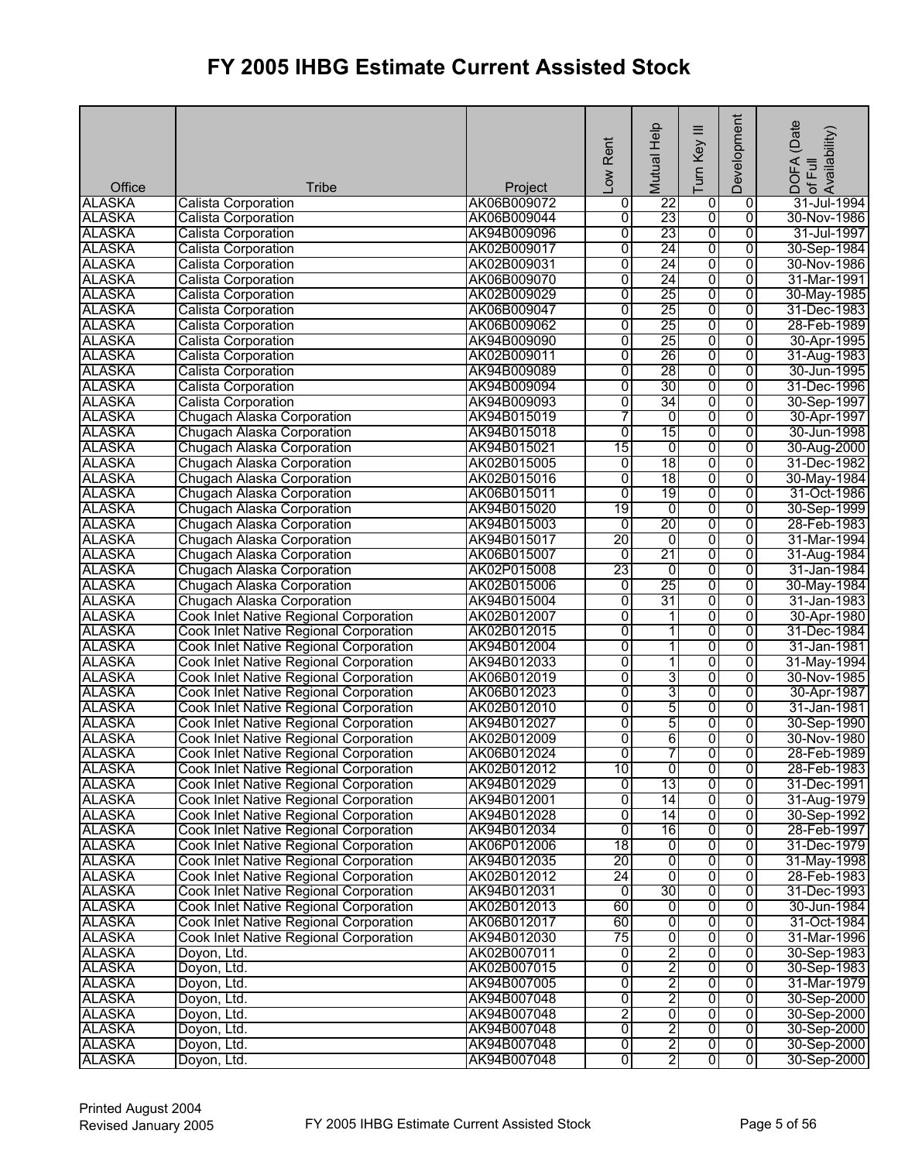| Office                         | <b>Tribe</b>                                  | Project                    | Low Rent            | Mutual Help     | $\equiv$<br>Turn Key    | Development                      | (Date<br>DOFA (Date<br>of Full<br>Availability) |
|--------------------------------|-----------------------------------------------|----------------------------|---------------------|-----------------|-------------------------|----------------------------------|-------------------------------------------------|
| <b>ALASKA</b>                  | <b>Calista Corporation</b>                    | AK06B009072                | 0                   | $\overline{22}$ | 0                       | 0                                | 31-Jul-1994                                     |
| <b>ALASKA</b>                  | <b>Calista Corporation</b>                    | AK06B009044                | $\overline{0}$      | 23              | $\overline{0}$          | $\overline{0}$                   | 30-Nov-1986                                     |
| <b>ALASKA</b>                  | <b>Calista Corporation</b>                    | AK94B009096                | $\overline{0}$      | 23              | 0                       | $\overline{0}$                   | 31-Jul-1997                                     |
| <b>ALASKA</b>                  | Calista Corporation                           | AK02B009017                | 0                   | 24              | 0                       | $\overline{0}$                   | 30-Sep-1984                                     |
| <b>ALASKA</b>                  | <b>Calista Corporation</b>                    | AK02B009031                | $\overline{0}$      | 24              | 0                       | $\overline{0}$                   | 30-Nov-1986                                     |
| <b>ALASKA</b>                  | <b>Calista Corporation</b>                    | AK06B009070                | 0                   | 24              | 0                       | $\overline{0}$                   | 31-Mar-1991                                     |
| <b>ALASKA</b>                  | <b>Calista Corporation</b>                    | AK02B009029                | $\overline{0}$      | 25              | $\overline{0}$          | $\overline{0}$                   | 30-May-1985                                     |
| <b>ALASKA</b>                  | Calista Corporation                           | AK06B009047                | 0                   | 25              | 0                       | 0                                | 31-Dec-1983                                     |
| <b>ALASKA</b>                  | <b>Calista Corporation</b>                    | AK06B009062                | 0                   | 25              | 0                       | $\overline{0}$                   | 28-Feb-1989                                     |
| <b>ALASKA</b>                  | Calista Corporation                           | AK94B009090                | $\overline{0}$      | 25              | $\overline{0}$          | $\overline{0}$                   | 30-Apr-1995                                     |
| <b>ALASKA</b>                  | <b>Calista Corporation</b>                    | AK02B009011                | $\overline{0}$      | 26              | 0                       | $\overline{0}$                   | 31-Aug-1983                                     |
| <b>ALASKA</b>                  | Calista Corporation                           | AK94B009089                | 0                   | 28              | 0                       | 0                                | 30-Jun-1995                                     |
| <b>ALASKA</b>                  | <b>Calista Corporation</b>                    | AK94B009094                | 0                   | 30              | 0                       | $\overline{0}$                   | 31-Dec-1996                                     |
| <b>ALASKA</b>                  | <b>Calista Corporation</b>                    | AK94B009093                | 0                   | 34              | $\overline{0}$          | $\overline{0}$                   | 30-Sep-1997                                     |
| <b>ALASKA</b>                  | Chugach Alaska Corporation                    | AK94B015019                | 7                   | $\overline{0}$  | 0                       | 0                                | 30-Apr-1997                                     |
| <b>ALASKA</b>                  | Chugach Alaska Corporation                    | AK94B015018                | $\overline{0}$      | 15              | 0                       | 0                                | 30-Jun-1998                                     |
| <b>ALASKA</b>                  | Chugach Alaska Corporation                    | AK94B015021                | 15                  | $\overline{0}$  | 0                       | 0                                | 30-Aug-2000                                     |
| <b>ALASKA</b>                  | Chugach Alaska Corporation                    | AK02B015005                | $\overline{0}$      | 18              | 0                       | $\overline{0}$                   | 31-Dec-1982                                     |
| <b>ALASKA</b>                  | Chugach Alaska Corporation                    | AK02B015016                | $\overline{0}$      | 18              | 0                       | 0                                | 30-May-1984                                     |
| <b>ALASKA</b>                  | Chugach Alaska Corporation                    | AK06B015011                | $\overline{0}$      | 19              | $\overline{0}$          | 0                                | 31-Oct-1986                                     |
| <b>ALASKA</b>                  | Chugach Alaska Corporation                    | AK94B015020                | 19                  | $\overline{0}$  | 0                       | 0                                | 30-Sep-1999                                     |
| <b>ALASKA</b>                  | Chugach Alaska Corporation                    | AK94B015003                | $\overline{0}$      | 20              | 0                       | $\overline{0}$                   | 28-Feb-1983                                     |
| <b>ALASKA</b>                  |                                               | AK94B015017                | 20                  | 0               | 0                       | 0                                | 31-Mar-1994                                     |
|                                | Chugach Alaska Corporation                    |                            |                     | 21              |                         | $\overline{0}$                   |                                                 |
| <b>ALASKA</b>                  | Chugach Alaska Corporation                    | AK06B015007                | 0<br>23             | $\overline{0}$  | 0<br>0                  | $\overline{0}$                   | 31-Aug-1984                                     |
| <b>ALASKA</b>                  | Chugach Alaska Corporation                    | AK02P015008                |                     | 25              |                         |                                  | 31-Jan-1984                                     |
| <b>ALASKA</b><br><b>ALASKA</b> | Chugach Alaska Corporation                    | AK02B015006<br>AK94B015004 | 0<br>$\overline{0}$ | 31              | $\overline{0}$<br>0     | $\overline{0}$<br>$\overline{0}$ | 30-May-1984<br>31-Jan-1983                      |
|                                | Chugach Alaska Corporation                    |                            |                     |                 |                         |                                  |                                                 |
| <b>ALASKA</b>                  | Cook Inlet Native Regional Corporation        | AK02B012007                | $\overline{0}$      | 1               | 0                       | 0                                | 30-Apr-1980                                     |
| <b>ALASKA</b>                  | Cook Inlet Native Regional Corporation        | AK02B012015                | 0                   | 1               | 0                       | $\overline{0}$                   | 31-Dec-1984                                     |
| <b>ALASKA</b>                  | Cook Inlet Native Regional Corporation        | AK94B012004                | $\overline{0}$      | 1               | 0                       | $\overline{0}$                   | 31-Jan-1981                                     |
| <b>ALASKA</b>                  | <b>Cook Inlet Native Regional Corporation</b> | AK94B012033                | 0                   | 1               | 0                       | $\overline{0}$                   | 31-May-1994                                     |
| <b>ALASKA</b>                  | Cook Inlet Native Regional Corporation        | AK06B012019                | $\overline{0}$      | 3               | $\overline{0}$          | $\overline{0}$                   | 30-Nov-1985                                     |
| <b>ALASKA</b>                  | Cook Inlet Native Regional Corporation        | AK06B012023                | 0                   | 3               | 0                       | $\overline{0}$                   | 30-Apr-1987                                     |
| <b>ALASKA</b>                  | <b>Cook Inlet Native Regional Corporation</b> | AK02B012010                | $\overline{0}$      | 5               | $\overline{0}$          | $\overline{0}$                   | 31-Jan-1981                                     |
| <b>ALASKA</b>                  | Cook Inlet Native Regional Corporation        | AK94B012027                | 0                   | 5               | 0                       | $\overline{0}$                   | 30-Sep-1990                                     |
| <b>ALASKA</b>                  | Cook Inlet Native Regional Corporation        | AK02B012009                | 0                   | 6               | 0                       | 0                                | 30-Nov-1980                                     |
| <b>ALASKA</b>                  | Cook Inlet Native Regional Corporation        | AK06B012024                | Ō                   | 7               | $\overline{0}$          | 0                                | 28-Feb-1989                                     |
| <b>ALASKA</b>                  | Cook Inlet Native Regional Corporation        | AK02B012012                | 10                  | o               | o                       | 0                                | 28-Feb-1983                                     |
| <b>ALASKA</b>                  | Cook Inlet Native Regional Corporation        | AK94B012029                | $\overline{0}$      | 13              | 0                       | 0                                | 31-Dec-1991                                     |
| <b>ALASKA</b>                  | Cook Inlet Native Regional Corporation        | AK94B012001                | 0                   | 14              | 0                       | 0                                | 31-Aug-1979                                     |
| <b>ALASKA</b>                  | Cook Inlet Native Regional Corporation        | AK94B012028                | 0                   | 14              | 0                       | $\overline{0}$                   | 30-Sep-1992                                     |
| <b>ALASKA</b>                  | Cook Inlet Native Regional Corporation        | AK94B012034                | 0                   | 16              | 0                       | 0                                | 28-Feb-1997                                     |
| <b>ALASKA</b>                  | Cook Inlet Native Regional Corporation        | AK06P012006                | $\overline{18}$     | o               | 0                       | 0                                | 31-Dec-1979                                     |
| <b>ALASKA</b>                  | Cook Inlet Native Regional Corporation        | AK94B012035                | 20                  | 0               | $\overline{0}$          | $\overline{0}$                   | 31-May-1998                                     |
| <b>ALASKA</b>                  | Cook Inlet Native Regional Corporation        | AK02B012012                | 24                  | $\overline{0}$  | $\overline{0}$          | $\overline{0}$                   | 28-Feb-1983                                     |
| <b>ALASKA</b>                  | Cook Inlet Native Regional Corporation        | AK94B012031                | $\overline{0}$      | 30              | 0                       | 0                                | 31-Dec-1993                                     |
| <b>ALASKA</b>                  | Cook Inlet Native Regional Corporation        | AK02B012013                | 60                  | 0               | 0                       | 0                                | 30-Jun-1984                                     |
| <b>ALASKA</b>                  | Cook Inlet Native Regional Corporation        | AK06B012017                | 60                  | $\overline{0}$  | 0                       | 0                                | 31-Oct-1984                                     |
| <b>ALASKA</b>                  | Cook Inlet Native Regional Corporation        | AK94B012030                | 75                  | 0               | $\overline{0}$          | $\overline{0}$                   | 31-Mar-1996                                     |
| <b>ALASKA</b>                  | Doyon, Ltd.                                   | AK02B007011                | 0                   | 2               | 0                       | 0                                | 30-Sep-1983                                     |
| <b>ALASKA</b>                  | Doyon, Ltd.                                   | AK02B007015                | 0                   | $\overline{2}$  | $\overline{0}$          | 0                                | 30-Sep-1983                                     |
| <b>ALASKA</b>                  | Doyon, Ltd.                                   | AK94B007005                | $\overline{0}$      | 2               | $\overline{0}$          | 0                                | 31-Mar-1979                                     |
| <b>ALASKA</b>                  | Doyon, Ltd.                                   | AK94B007048                | $\overline{0}$      | 2               | 0                       | $\overline{0}$                   | 30-Sep-2000                                     |
| <b>ALASKA</b>                  | Doyon, Ltd.                                   | AK94B007048                | $\overline{2}$      | 0               | $\overline{0}$          | $\overline{0}$                   | 30-Sep-2000                                     |
| <b>ALASKA</b>                  | Doyon, Ltd.                                   | AK94B007048                | $\overline{0}$      | $\overline{2}$  | $\overline{0}$          | $\overline{0}$                   | 30-Sep-2000                                     |
| <b>ALASKA</b>                  | Doyon, Ltd.                                   | AK94B007048                | $\overline{0}$      | $\overline{2}$  | $\overline{0}$          | $\overline{0}$                   | 30-Sep-2000                                     |
| <b>ALASKA</b>                  | Doyon, Ltd.                                   | AK94B007048                | 0                   | $\overline{2}$  | $\overline{\mathbf{0}}$ | $\overline{0}$                   | 30-Sep-2000                                     |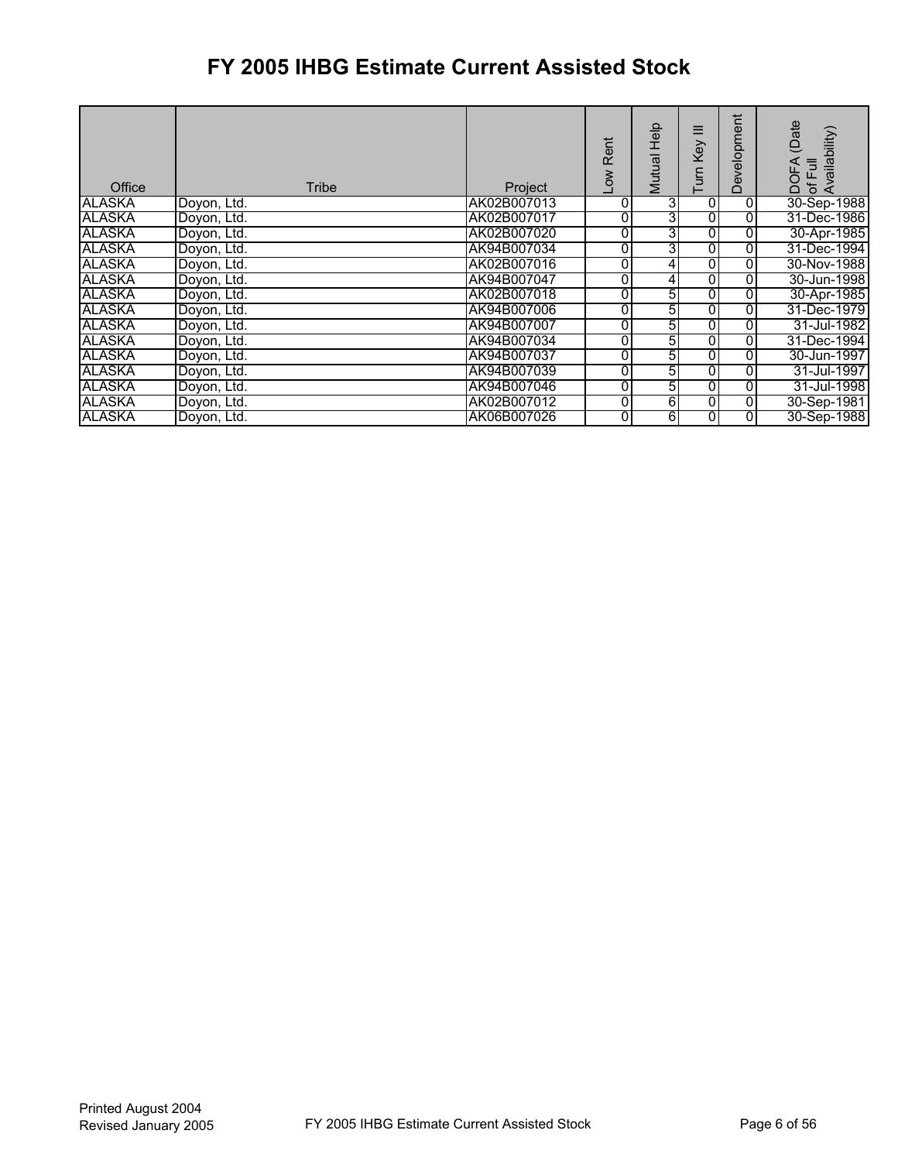| Office        | Tribe       | Project     | Rent<br>Low | <b>Help</b><br>Mutual | Ξ<br>Key<br><b>GJN</b> | Development | (Date<br>Availability<br>of Full<br>DOFA |
|---------------|-------------|-------------|-------------|-----------------------|------------------------|-------------|------------------------------------------|
| <b>ALASKA</b> | Doyon, Ltd. | AK02B007013 | 0           | 3                     | 0                      | 0           | 30-Sep-1988                              |
| <b>ALASKA</b> | Doyon, Ltd. | AK02B007017 | 0           | 3                     | 0                      | 0           | 31-Dec-1986                              |
| <b>ALASKA</b> | Doyon, Ltd. | AK02B007020 | 0           | 3                     | 0                      | 0           | 30-Apr-1985                              |
| ALASKA        | Doyon, Ltd. | AK94B007034 | 0           | 3                     | 0                      | 0           | 31-Dec-1994                              |
| <b>ALASKA</b> | Doyon, Ltd. | AK02B007016 | 0           | 4                     | 0                      | 0           | 30-Nov-1988                              |
| <b>ALASKA</b> | Doyon, Ltd. | AK94B007047 | 0           | 4                     | 0                      | 0           | 30-Jun-1998                              |
| <b>ALASKA</b> | Doyon, Ltd. | AK02B007018 | 0           | 5                     | 0                      | 0           | 30-Apr-1985                              |
| <b>ALASKA</b> | Doyon, Ltd. | AK94B007006 | 0           | 5                     | $\overline{0}$         | 0           | 31-Dec-1979                              |
| <b>ALASKA</b> | Doyon, Ltd. | AK94B007007 | 0           | 5                     | 0                      | 0           | 31-Jul-1982                              |
| <b>ALASKA</b> | Dovon, Ltd. | AK94B007034 | 0           | 5                     | Ō                      | 0           | 31-Dec-1994                              |
| <b>ALASKA</b> | Doyon, Ltd. | AK94B007037 | 0           | 5                     | 0                      | 0           | 30-Jun-1997                              |
| <b>ALASKA</b> | Doyon, Ltd. | AK94B007039 | 0           | 5                     | 0                      | 0           | 31-Jul-1997                              |
| <b>ALASKA</b> | Doyon, Ltd. | AK94B007046 | 0           | 5                     | 0                      | 0           | 31-Jul-1998                              |
| <b>ALASKA</b> | Doyon, Ltd. | AK02B007012 | 0           | $6 \overline{6}$      | $\overline{0}$         | 0           | 30-Sep-1981                              |
| <b>ALASKA</b> | Doyon, Ltd. | AK06B007026 | 0           | 6                     | 01                     | 0           | 30-Sep-1988                              |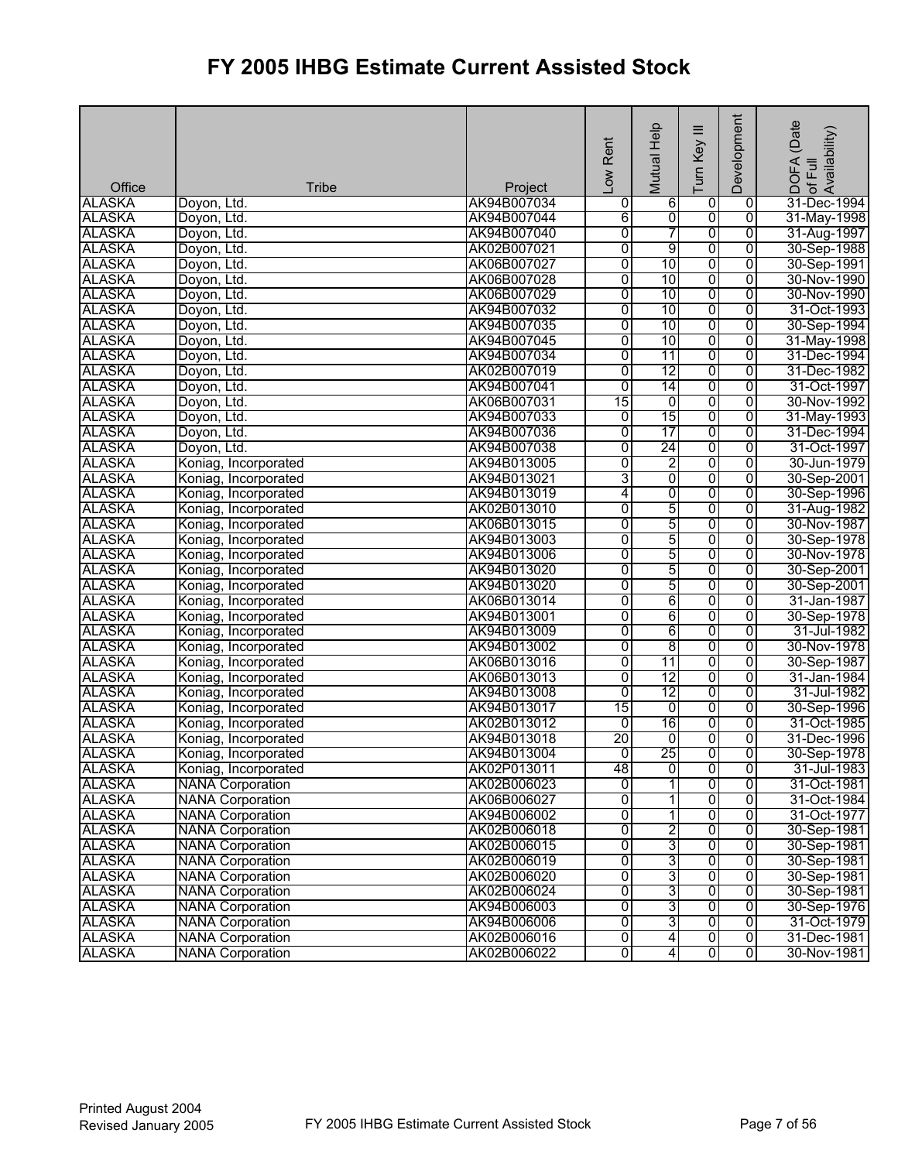| Development<br>Mutual Help<br>Low Rent<br>Turn Key<br>Office<br><b>Tribe</b><br>Project                                                                 |                                                          |
|---------------------------------------------------------------------------------------------------------------------------------------------------------|----------------------------------------------------------|
| <b>ALASKA</b><br>AK94B007034<br>$6\overline{6}$<br>0<br>Doyon, Ltd.<br>0<br>0                                                                           | ! DOFA (Date<br>Iof Full<br>Availability)<br>31-Dec-1994 |
| $\overline{0}$<br>$\overline{0}$<br><b>ALASKA</b><br>AK94B007044<br>6<br>$\overline{0}$<br>Doyon, Ltd.                                                  | 31-May-1998                                              |
| 7<br><b>ALASKA</b><br>AK94B007040<br>0<br>$\overline{0}$<br>$\overline{0}$<br>Doyon, Ltd.                                                               | 31-Aug-1997                                              |
| <b>ALASKA</b><br>0<br>9<br>0<br>Doyon, Ltd.<br>AK02B007021<br>$\overline{0}$                                                                            | 30-Sep-1988                                              |
| <b>ALASKA</b><br>0<br>10<br>0<br>$\overline{0}$<br>Doyon, Ltd.<br>AK06B007027                                                                           | 30-Sep-1991                                              |
| 10<br>0<br>$\overline{0}$<br><b>ALASKA</b><br>0<br>Doyon, Ltd.<br>AK06B007028                                                                           | 30-Nov-1990                                              |
| <b>ALASKA</b><br>0<br>10<br>$\overline{0}$<br>AK06B007029<br>0<br>Doyon, Ltd.                                                                           | 30-Nov-1990                                              |
| <b>ALASKA</b><br>0<br>AK94B007032<br>10<br>0<br>$\overline{0}$<br>Doyon, Ltd.                                                                           | 31-Oct-1993                                              |
| 10<br><b>ALASKA</b><br>0<br>0<br>$\overline{0}$<br>Doyon, Ltd.<br>AK94B007035                                                                           | 30-Sep-1994                                              |
| 10<br><b>ALASKA</b><br>AK94B007045<br>0<br>$\overline{0}$<br>$\overline{0}$<br>Doyon, Ltd.                                                              | 31-May-1998                                              |
| <b>ALASKA</b><br>AK94B007034<br>0<br>11<br>0<br>$\overline{0}$<br>Doyon, Ltd.                                                                           | 31-Dec-1994                                              |
| <b>ALASKA</b><br>12<br>Doyon, Ltd.<br>AK02B007019<br>0<br>0<br>$\overline{0}$                                                                           | 31-Dec-1982                                              |
| <b>ALASKA</b><br>0<br>14<br>0<br>$\overline{0}$<br>Doyon, Ltd.<br>AK94B007041                                                                           | 31-Oct-1997                                              |
| 15<br><b>ALASKA</b><br>0<br>0<br>0<br>Doyon, Ltd.<br>AK06B007031                                                                                        | 30-Nov-1992                                              |
| <b>ALASKA</b><br>15<br>AK94B007033<br>0<br>$\overline{0}$<br>Doyon, Ltd.<br>0                                                                           | 31-May-1993                                              |
| 0<br><b>ALASKA</b><br>AK94B007036<br>17<br>0<br>$\overline{0}$<br>Doyon, Ltd.                                                                           | 31-Dec-1994                                              |
| 24<br><b>ALASKA</b><br>AK94B007038<br>0<br>0<br>$\overline{0}$<br>Doyon, Ltd.                                                                           | 31-Oct-1997                                              |
| 0<br>$\overline{2}$<br><b>ALASKA</b><br>AK94B013005<br>0<br>$\overline{0}$<br>Koniag, Incorporated                                                      | 30-Jun-1979                                              |
| ō<br><b>ALASKA</b><br>3<br>AK94B013021<br>0<br>$\overline{0}$<br>Koniag, Incorporated                                                                   | 30-Sep-2001                                              |
| <b>ALASKA</b><br>AK94B013019<br>4<br>0<br>0<br>0<br>Koniag, Incorporated                                                                                | 30-Sep-1996                                              |
| 5<br>$\overline{0}$<br><b>ALASKA</b><br>0<br>0<br>Koniag, Incorporated<br>AK02B013010                                                                   | 31-Aug-1982                                              |
| 5<br><b>ALASKA</b><br>$\overline{0}$<br>AK06B013015<br>0<br>$\overline{0}$<br>Koniag, Incorporated                                                      | 30-Nov-1987                                              |
| <b>ALASKA</b><br>5<br>AK94B013003<br>0<br>0<br>$\overline{0}$<br>Koniag, Incorporated                                                                   | 30-Sep-1978                                              |
| 5<br><b>ALASKA</b><br>0<br>0<br>Koniag, Incorporated<br>AK94B013006<br>0                                                                                | 30-Nov-1978                                              |
| 5<br><b>ALASKA</b><br>AK94B013020<br>0<br>0<br>$\overline{0}$<br>Koniag, Incorporated                                                                   | 30-Sep-2001                                              |
| 5<br><b>ALASKA</b><br>$\overline{0}$<br>$\overline{0}$<br>$\overline{0}$<br>AK94B013020<br>Koniag, Incorporated                                         | 30-Sep-2001                                              |
| 6<br><b>ALASKA</b><br>0<br>Koniag, Incorporated<br>AK06B013014<br>0<br>$\overline{0}$                                                                   | 31-Jan-1987                                              |
| 6<br><b>ALASKA</b><br>0<br>0<br>Koniag, Incorporated<br>AK94B013001<br>0                                                                                | 30-Sep-1978                                              |
| 6<br><b>ALASKA</b><br>0<br>$\overline{0}$<br>$\overline{0}$<br>Koniag, Incorporated<br>AK94B013009                                                      | 31-Jul-1982                                              |
| $\overline{8}$<br><b>ALASKA</b><br>$\overline{0}$<br>$\overline{0}$<br>AK94B013002<br>0<br>Koniag, Incorporated                                         | 30-Nov-1978                                              |
| <b>ALASKA</b><br>$\overline{0}$<br>11<br>Koniag, Incorporated<br>AK06B013016<br>0<br>$\overline{0}$                                                     | 30-Sep-1987                                              |
| $\overline{0}$<br>12<br><b>ALASKA</b><br>0<br>0<br>Koniag, Incorporated<br>AK06B013013                                                                  | 31-Jan-1984                                              |
| 12<br><b>ALASKA</b><br>AK94B013008<br>0<br>$\overline{0}$<br>$\overline{0}$<br>Koniag, Incorporated                                                     | 31-Jul-1982                                              |
| <b>ALASKA</b><br>15<br>AK94B013017<br>ō<br>0<br>$\overline{0}$<br>Koniag, Incorporated                                                                  | 30-Sep-1996                                              |
| <b>ALASKA</b><br>16<br>Koniag, Incorporated<br>AK02B013012<br>$\overline{0}$<br>0<br>$\overline{0}$                                                     | 31-Oct-1985                                              |
| 20<br><b>ALASKA</b><br>AK94B013018<br>$\overline{0}$<br>$\overline{0}$<br>Koniag, Incorporated<br>o                                                     | 31-Dec-1996                                              |
| <b>ALASKA</b><br>25<br>$\overline{0}$<br>AK94B013004<br>O<br>$\overline{0}$<br>Koniag, Incorporated                                                     | 30-Sep-1978                                              |
| AK02P013011<br>O<br><b>ALASKA</b><br>Koniag, Incorporated<br>48<br>$\overline{0}$<br>$\overline{0}$                                                     | 31-Jul-1983                                              |
| 1<br><b>ALASKA</b><br>AK02B006023<br>0<br>0<br>0<br><b>NANA Corporation</b>                                                                             | 31-Oct-1981                                              |
| $\overline{0}$<br><b>ALASKA</b><br><b>NANA Corporation</b><br>0<br>$\overline{0}$<br>AK06B006027<br>1                                                   | 31-Oct-1984                                              |
| $\overline{0}$<br>1<br>$\overline{0}$<br>0<br><b>ALASKA</b><br><b>NANA Corporation</b><br>AK94B006002<br><b>NANA Corporation</b>                        | 31-Oct-1977                                              |
| $\overline{0}$<br>2<br><b>ALASKA</b><br>AK02B006018<br>0<br>$\overline{0}$                                                                              | 30-Sep-1981                                              |
| 3<br>$\overline{0}$<br><b>ALASKA</b><br><b>NANA Corporation</b><br>0<br>$\overline{0}$<br>AK02B006015<br>$\overline{3}$<br>$\overline{0}$<br>0          | 30-Sep-1981                                              |
| <b>ALASKA</b><br><b>NANA Corporation</b><br>AK02B006019<br>0<br>$\overline{3}$<br>0<br>$\overline{0}$<br>$\overline{0}$<br><b>ALASKA</b><br>AK02B006020 | 30-Sep-1981                                              |
| <b>NANA Corporation</b><br>$\overline{3}$<br><b>ALASKA</b><br>0<br><b>NANA Corporation</b><br>AK02B006024<br>0<br>0                                     | 30-Sep-1981<br>30-Sep-1981                               |
| 3<br>0<br>0<br><b>ALASKA</b><br><b>NANA Corporation</b><br>AK94B006003<br>0                                                                             | 30-Sep-1976                                              |
| $\overline{3}$<br>$\overline{0}$<br>0<br>0<br><b>ALASKA</b><br><b>NANA Corporation</b><br>AK94B006006                                                   | 31-Oct-1979                                              |
| $\overline{4}$<br>0<br><b>ALASKA</b><br>0<br>$\overline{0}$<br><b>NANA Corporation</b><br>AK02B006016                                                   | 31-Dec-1981                                              |
| <b>ALASKA</b><br>$\overline{0}$<br>$\overline{4}$<br>$\overline{0}$<br><b>NANA Corporation</b><br>AK02B006022<br>$\overline{0}$                         | 30-Nov-1981                                              |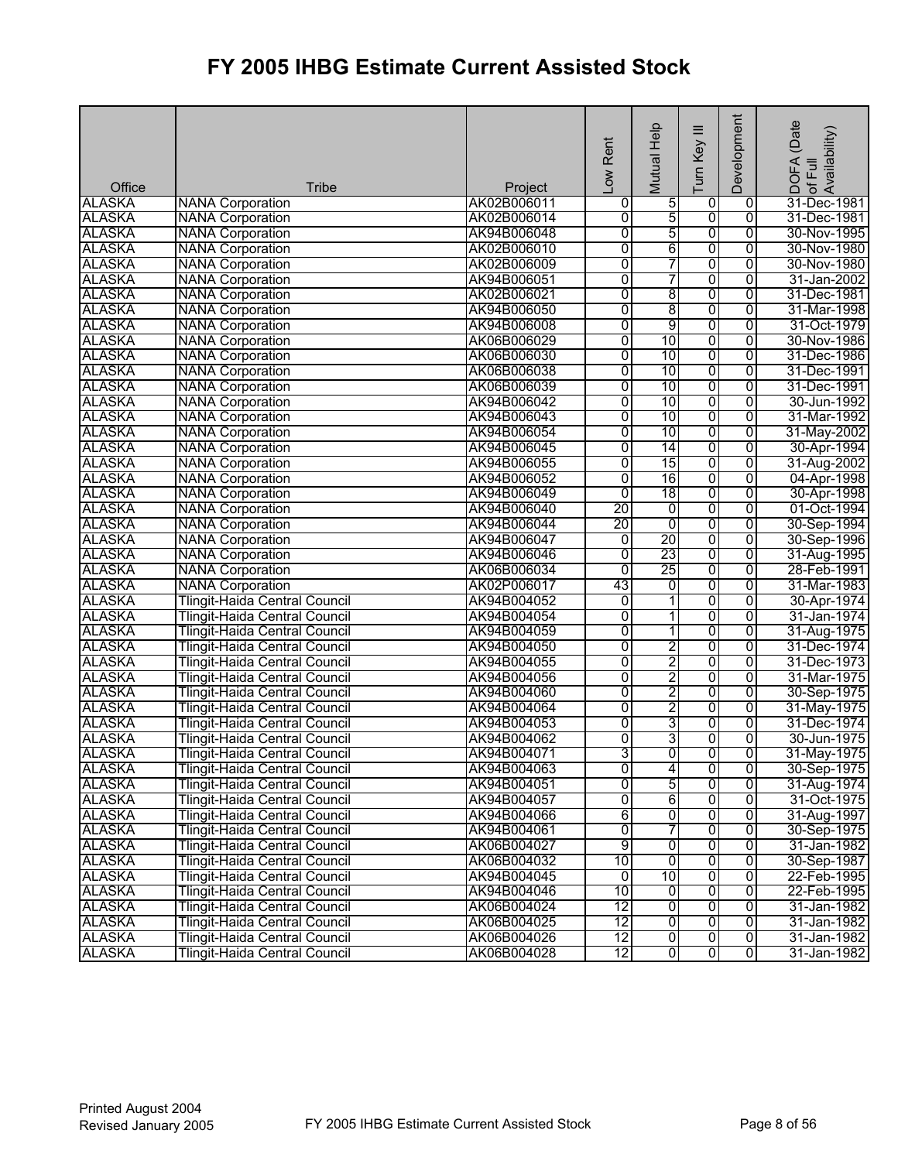|               |                                      |             | Rent<br>$\sum_{i=1}^{n}$ | Mutual Help              | Ξ<br>Turn Key  | Development    | (Date<br>! DOFA (Date<br>Iof Full<br>Availability) |
|---------------|--------------------------------------|-------------|--------------------------|--------------------------|----------------|----------------|----------------------------------------------------|
| Office        | <b>Tribe</b>                         | Project     |                          |                          |                |                |                                                    |
| <b>ALASKA</b> | <b>NANA Corporation</b>              | AK02B006011 | 0                        | 5                        | $\overline{0}$ | $\overline{0}$ | 31-Dec-1981                                        |
| <b>ALASKA</b> | <b>NANA Corporation</b>              | AK02B006014 | 0                        | $\overline{5}$           | 0              | $\overline{0}$ | 31-Dec-1981                                        |
| <b>ALASKA</b> | <b>NANA Corporation</b>              | AK94B006048 | 0                        | 5                        | $\overline{0}$ | $\overline{0}$ | 30-Nov-1995                                        |
| <b>ALASKA</b> | <b>NANA Corporation</b>              | AK02B006010 | $\overline{0}$           | 6                        | 0              | $\overline{0}$ | 30-Nov-1980                                        |
| <b>ALASKA</b> | <b>NANA Corporation</b>              | AK02B006009 | 0                        | 7                        | $\overline{0}$ | $\overline{0}$ | 30-Nov-1980                                        |
| <b>ALASKA</b> | <b>NANA Corporation</b>              | AK94B006051 | 0                        | 7                        | 0              | $\overline{0}$ | 31-Jan-2002                                        |
| <b>ALASKA</b> | <b>NANA Corporation</b>              | AK02B006021 | 0                        | $\overline{8}$           | 0              | 0              | 31-Dec-1981                                        |
| <b>ALASKA</b> | <b>NANA Corporation</b>              | AK94B006050 | 0                        | 8                        | 0              | $\overline{0}$ | 31-Mar-1998                                        |
| <b>ALASKA</b> | <b>NANA Corporation</b>              | AK94B006008 | 0                        | 9                        | $\overline{0}$ | $\overline{0}$ | 31-Oct-1979                                        |
| <b>ALASKA</b> | <b>NANA Corporation</b>              | AK06B006029 | $\overline{0}$           | 10                       | 0              | $\overline{0}$ | 30-Nov-1986                                        |
| <b>ALASKA</b> | <b>NANA Corporation</b>              | AK06B006030 | 0                        | 10                       | 0              | $\overline{0}$ | 31-Dec-1986                                        |
| <b>ALASKA</b> | <b>NANA Corporation</b>              | AK06B006038 | 0                        | 10                       | 0              | $\overline{0}$ | 31-Dec-1991                                        |
| <b>ALASKA</b> | <b>NANA Corporation</b>              | AK06B006039 | 0                        | 10                       | $\overline{0}$ | $\overline{0}$ | 31-Dec-1991                                        |
| <b>ALASKA</b> | <b>NANA Corporation</b>              | AK94B006042 | 0                        | 10                       | $\overline{0}$ | $\overline{0}$ | 30-Jun-1992                                        |
| <b>ALASKA</b> | <b>NANA Corporation</b>              | AK94B006043 | 0                        | 10                       | 0              | $\overline{0}$ | 31-Mar-1992                                        |
| <b>ALASKA</b> | <b>NANA Corporation</b>              | AK94B006054 | 0                        | 10                       | 0              | $\overline{0}$ | 31-May-2002                                        |
| <b>ALASKA</b> | <b>NANA Corporation</b>              | AK94B006045 | 0                        | 14                       | $\overline{0}$ | $\overline{0}$ | 30-Apr-1994                                        |
| <b>ALASKA</b> | <b>NANA Corporation</b>              | AK94B006055 | $\overline{0}$           | 15                       | $\overline{0}$ | $\overline{0}$ | 31-Aug-2002                                        |
| <b>ALASKA</b> | <b>NANA Corporation</b>              | AK94B006052 | 0                        | 16                       | 0              | $\overline{0}$ | 04-Apr-1998                                        |
| <b>ALASKA</b> | <b>NANA Corporation</b>              | AK94B006049 | 0                        | 18                       | 0              | 0              | 30-Apr-1998                                        |
| <b>ALASKA</b> | <b>NANA Corporation</b>              | AK94B006040 | 20                       | 0                        | 0              | $\overline{0}$ | 01-Oct-1994                                        |
| <b>ALASKA</b> | <b>NANA Corporation</b>              | AK94B006044 | 20                       | 0                        | $\overline{0}$ | $\overline{0}$ | 30-Sep-1994                                        |
| <b>ALASKA</b> | <b>NANA Corporation</b>              | AK94B006047 | o                        | 20                       | 0              | $\overline{0}$ | 30-Sep-1996                                        |
| <b>ALASKA</b> | <b>NANA Corporation</b>              | AK94B006046 | 0                        | 23                       | 0              | $\overline{0}$ | 31-Aug-1995                                        |
| <b>ALASKA</b> | <b>NANA Corporation</b>              | AK06B006034 | 0                        | 25                       | 0              | $\overline{0}$ | 28-Feb-1991                                        |
| <b>ALASKA</b> | <b>NANA Corporation</b>              | AK02P006017 | 43                       | $\overline{0}$           | $\overline{0}$ | $\overline{0}$ | 31-Mar-1983                                        |
| <b>ALASKA</b> | <b>Tlingit-Haida Central Council</b> | AK94B004052 | $\overline{0}$           | T                        | 0              | $\overline{0}$ | 30-Apr-1974                                        |
| <b>ALASKA</b> | <b>Tlingit-Haida Central Council</b> | AK94B004054 | $\overline{0}$           | $\overline{\phantom{a}}$ | $\overline{0}$ | $\overline{0}$ | 31-Jan-1974                                        |
| <b>ALASKA</b> | Tlingit-Haida Central Council        | AK94B004059 | $\overline{0}$           | 1                        | 0              | $\overline{0}$ | 31-Aug-1975                                        |
| <b>ALASKA</b> | <b>Tlingit-Haida Central Council</b> | AK94B004050 | 0                        | 2                        | $\overline{0}$ | $\overline{0}$ | 31-Dec-1974                                        |
| <b>ALASKA</b> | <b>Tlingit-Haida Central Council</b> | AK94B004055 | 0                        | $\overline{2}$           | 0              | $\overline{0}$ | 31-Dec-1973                                        |
| <b>ALASKA</b> | <b>Tlingit-Haida Central Council</b> | AK94B004056 | 0                        | 2                        | 0              | 0              | 31-Mar-1975                                        |
| <b>ALASKA</b> | <b>Tlingit-Haida Central Council</b> | AK94B004060 | 0                        | $\overline{2}$           | 0              | $\overline{0}$ | 30-Sep-1975                                        |
| <b>ALASKA</b> | <b>Tlingit-Haida Central Council</b> | AK94B004064 | 0                        | 2                        | 0              | $\overline{0}$ | 31-May-1975                                        |
| <b>ALASKA</b> | <b>Tlingit-Haida Central Council</b> | AK94B004053 | 0                        | 3                        | 0              | $\overline{0}$ | 31-Dec-1974                                        |
| <b>ALASKA</b> | <b>Tlingit-Haida Central Council</b> | AK94B004062 | 0                        | 31                       | $\overline{0}$ | $\overline{0}$ | 30-Jun-1975                                        |
| <b>ALASKA</b> | <b>Tlingit-Haida Central Council</b> | AK94B004071 | 3                        | ᅁ                        | $\overline{0}$ | 0              | 31-May-1975                                        |
| <b>ALASKA</b> | <b>Tlingit-Haida Central Council</b> | AK94B004063 | $\overline{0}$           | $\overline{4}$           | 0              | $\overline{0}$ | 30-Sep-1975                                        |
| <b>ALASKA</b> | Tlingit-Haida Central Council        | AK94B004051 | 0                        | 5                        | 0              | 0              | 31-Aug-1974                                        |
| <b>ALASKA</b> | Tlingit-Haida Central Council        | AK94B004057 | O                        | 6                        | $\overline{0}$ | 0              | 31-Oct-1975                                        |
| <b>ALASKA</b> | Tlingit-Haida Central Council        | AK94B004066 | 6                        | $\overline{0}$           | 0              | $\overline{0}$ | 31-Aug-1997                                        |
| <b>ALASKA</b> | <b>Tlingit-Haida Central Council</b> | AK94B004061 | 0                        | 7                        | 0              | $\overline{0}$ | 30-Sep-1975                                        |
| <b>ALASKA</b> | Tlingit-Haida Central Council        | AK06B004027 | 9                        | $\overline{0}$           | $\overline{0}$ | $\overline{0}$ | 31-Jan-1982                                        |
| <b>ALASKA</b> | Tlingit-Haida Central Council        | AK06B004032 | 10                       | ō                        | $\overline{0}$ | $\overline{0}$ | 30-Sep-1987                                        |
| <b>ALASKA</b> | Tlingit-Haida Central Council        | AK94B004045 | $\overline{0}$           | 10                       | $\overline{0}$ | $\overline{0}$ | 22-Feb-1995                                        |
| <b>ALASKA</b> | <b>Tlingit-Haida Central Council</b> | AK94B004046 | 10                       | $\overline{0}$           | 0              | $\overline{0}$ | 22-Feb-1995                                        |
| <b>ALASKA</b> | Tlingit-Haida Central Council        | AK06B004024 | 12                       | 0                        | $\overline{0}$ | 0              | 31-Jan-1982                                        |
| <b>ALASKA</b> | <b>Tlingit-Haida Central Council</b> | AK06B004025 | 12                       | $\overline{0}$           | $\overline{0}$ | $\overline{0}$ | 31-Jan-1982                                        |
| ALASKA        | <b>Tlingit-Haida Central Council</b> | AK06B004026 | 12                       | $\overline{0}$           | $\overline{0}$ | $\overline{0}$ | 31-Jan-1982                                        |
| <b>ALASKA</b> | <b>Tlingit-Haida Central Council</b> | AK06B004028 | 12                       | $\overline{0}$           | $\overline{0}$ | $\overline{0}$ | 31-Jan-1982                                        |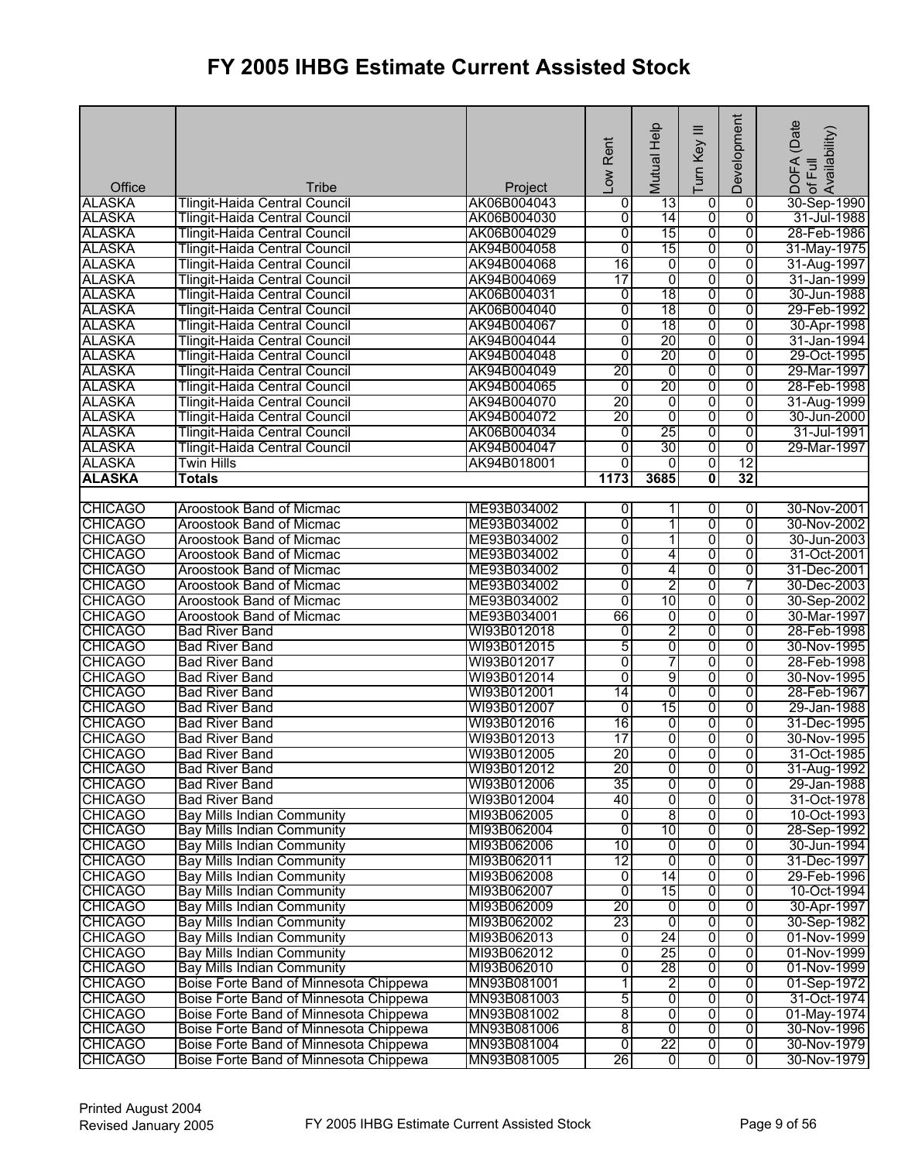| Office                           | Tribe                                                                            | Project                    | -ow Rent            | Mutual Help                      | ≡<br>Turn Key                    | Development                      | (Date<br>of Full<br>Availability)<br><b>DOFA</b> |
|----------------------------------|----------------------------------------------------------------------------------|----------------------------|---------------------|----------------------------------|----------------------------------|----------------------------------|--------------------------------------------------|
| <b>ALASKA</b>                    | <b>Tlingit-Haida Central Council</b>                                             | AK06B004043                | 0                   | 13                               | 0                                | $\mathbf 0$                      | 30-Sep-1990                                      |
| <b>ALASKA</b>                    | <b>Tlingit-Haida Central Council</b>                                             | AK06B004030                | $\overline{0}$      | 14                               | $\overline{0}$                   | $\overline{0}$                   | 31-Jul-1988                                      |
| <b>ALASKA</b>                    | <b>Tlingit-Haida Central Council</b>                                             | AK06B004029                | 0                   | 15                               | 0                                | $\overline{0}$                   | 28-Feb-1986                                      |
| <b>ALASKA</b>                    | <b>Tlingit-Haida Central Council</b>                                             | AK94B004058                | Ō                   | 15                               | 0                                | $\overline{0}$                   | 31-May-1975                                      |
| <b>ALASKA</b>                    | <b>Tlingit-Haida Central Council</b>                                             | AK94B004068                | 16                  | 0                                | 0                                | $\overline{0}$                   | 31-Aug-1997                                      |
| <b>ALASKA</b>                    | <b>Tlingit-Haida Central Council</b>                                             | AK94B004069                | 17                  | 0                                | $\overline{0}$                   | $\overline{0}$                   | 31-Jan-1999                                      |
| <b>ALASKA</b>                    | Tlingit-Haida Central Council                                                    | AK06B004031                | 0                   | 18                               | 0                                | 0                                | 30-Jun-1988                                      |
| <b>ALASKA</b>                    | Tlingit-Haida Central Council                                                    | AK06B004040                | 0                   | 18                               | 0                                | $\overline{0}$                   | 29-Feb-1992                                      |
| <b>ALASKA</b>                    | Tlingit-Haida Central Council                                                    | AK94B004067                | 0                   | 18                               | 0                                | $\overline{0}$                   | 30-Apr-1998                                      |
| <b>ALASKA</b>                    | <b>Tlingit-Haida Central Council</b>                                             | AK94B004044                | 0                   | 20                               | $\overline{0}$                   | $\overline{0}$                   | 31-Jan-1994                                      |
| <b>ALASKA</b>                    | <b>Tlingit-Haida Central Council</b>                                             | AK94B004048                | 0                   | 20                               | 0                                | $\overline{0}$                   | 29-Oct-1995                                      |
| <b>ALASKA</b>                    | Tlingit-Haida Central Council                                                    | AK94B004049                | 20                  | 0                                | 0                                | $\overline{0}$                   | 29-Mar-1997                                      |
| <b>ALASKA</b>                    | Tlingit-Haida Central Council                                                    | AK94B004065                | $\overline{0}$      | 20                               | 0                                | $\overline{0}$                   | 28-Feb-1998                                      |
| <b>ALASKA</b>                    | <b>Tlingit-Haida Central Council</b>                                             | AK94B004070                | $\overline{20}$     | 0                                | 0                                | 0                                | 31-Aug-1999                                      |
| <b>ALASKA</b>                    | <b>Tlingit-Haida Central Council</b>                                             | AK94B004072                | 20                  | 0                                | 0                                | $\overline{0}$                   | 30-Jun-2000                                      |
| <b>ALASKA</b>                    | Tlingit-Haida Central Council                                                    | AK06B004034                | 0                   | 25                               | 0                                | 0                                | 31-Jul-1991                                      |
| <b>ALASKA</b>                    | Tlingit-Haida Central Council                                                    | AK94B004047                | 0                   | 30                               | 0                                | $\overline{0}$                   | 29-Mar-1997                                      |
| <b>ALASKA</b>                    | Twin Hills                                                                       | AK94B018001                | 0                   | 0                                | 0                                | $\overline{12}$                  |                                                  |
| <b>ALASKA</b>                    | <b>Totals</b>                                                                    |                            | 1173                | 3685                             | 0                                | 32                               |                                                  |
|                                  |                                                                                  |                            |                     |                                  |                                  |                                  |                                                  |
| <b>CHICAGO</b>                   | <b>Aroostook Band of Micmac</b>                                                  | ME93B034002                | $\overline{0}$      | $\mathbf{1}$                     | 0                                | $\overline{0}$                   | 30-Nov-2001                                      |
| <b>CHICAGO</b>                   | Aroostook Band of Micmac                                                         | ME93B034002                | 0                   | 1                                | $\overline{0}$                   | $\overline{0}$                   | 30-Nov-2002                                      |
| <b>CHICAGO</b>                   | Aroostook Band of Micmac                                                         | ME93B034002                | 0                   | 1                                | 0                                | $\overline{0}$                   | 30-Jun-2003                                      |
| <b>CHICAGO</b>                   | Aroostook Band of Micmac                                                         | ME93B034002                | 0                   | 4                                | 0                                | $\overline{0}$                   | 31-Oct-2001                                      |
| <b>CHICAGO</b>                   | Aroostook Band of Micmac                                                         | ME93B034002                | $\overline{0}$      | 4                                | 0                                | $\overline{0}$                   | 31-Dec-2001                                      |
| <b>CHICAGO</b>                   | <b>Aroostook Band of Micmac</b>                                                  | ME93B034002                | $\overline{0}$      | 2                                | 0                                | 7                                | 30-Dec-2003                                      |
| <b>CHICAGO</b>                   | Aroostook Band of Micmac                                                         | ME93B034002                | $\overline{0}$      | 10                               | 0                                | $\overline{0}$                   | 30-Sep-2002                                      |
| <b>CHICAGO</b>                   | Aroostook Band of Micmac                                                         | ME93B034001                | 66                  | 0                                | 0                                | $\overline{0}$                   | 30-Mar-1997                                      |
| <b>CHICAGO</b>                   | <b>Bad River Band</b>                                                            | WI93B012018                | $\overline{0}$      | 2                                | 0                                | $\overline{0}$                   | 28-Feb-1998                                      |
| <b>CHICAGO</b>                   | <b>Bad River Band</b>                                                            | WI93B012015                | 5                   | 0                                | 0                                | $\overline{0}$                   | 30-Nov-1995                                      |
| <b>CHICAGO</b>                   | <b>Bad River Band</b>                                                            | WI93B012017                | 0                   | 7                                | 0                                | $\overline{0}$                   | 28-Feb-1998                                      |
| <b>CHICAGO</b>                   | <b>Bad River Band</b>                                                            | WI93B012014                | 0                   | 9                                | 0                                | 0                                | 30-Nov-1995                                      |
| <b>CHICAGO</b>                   | <b>Bad River Band</b>                                                            | WI93B012001                | 14                  | $\overline{0}$                   | $\overline{0}$                   | $\overline{0}$                   | 28-Feb-1967                                      |
| <b>CHICAGO</b>                   | <b>Bad River Band</b>                                                            | WI93B012007                | $\overline{0}$      | 15                               | 0                                | $\overline{0}$                   | 29-Jan-1988                                      |
| <b>CHICAGO</b>                   | <b>Bad River Band</b>                                                            | WI93B012016                | 16                  | 0                                | 0                                | 0                                | 31-Dec-1995                                      |
| <b>CHICAGO</b>                   | <b>Bad River Band</b>                                                            | WI93B012013                | 17                  | 0                                | 0                                | $\overline{0}$                   | 30-Nov-1995                                      |
| <b>CHICAGO</b>                   | <b>Bad River Band</b>                                                            | WI93B012005                | 20                  | 0                                | 0                                | $\overline{0}$                   | 31-Oct-1985                                      |
| <b>CHICAGO</b>                   | <b>Bad River Band</b>                                                            | WI93B012012                | 20                  | $\overline{0}$                   | 0                                | 0                                | 31-Aug-1992                                      |
| <b>CHICAGO</b>                   | <b>Bad River Band</b>                                                            | WI93B012006                | 35                  | 0                                | 0                                | 0                                | 29-Jan-1988                                      |
| <b>CHICAGO</b>                   | <b>Bad River Band</b>                                                            | WI93B012004                | 40                  | $\overline{0}$                   | $\overline{0}$                   | 0                                | 31-Oct-1978                                      |
| <b>CHICAGO</b>                   | <b>Bay Mills Indian Community</b>                                                | MI93B062005                | 0                   | 8                                | $\overline{0}$                   | $\overline{0}$                   | 10-Oct-1993                                      |
| <b>CHICAGO</b>                   | <b>Bay Mills Indian Community</b>                                                | MI93B062004                | 0                   | 10                               | 0                                | $\overline{0}$                   | 28-Sep-1992                                      |
| <b>CHICAGO</b>                   | <b>Bay Mills Indian Community</b>                                                | MI93B062006                | 10                  | 0                                | 0                                | 0                                | 30-Jun-1994                                      |
| <b>CHICAGO</b>                   | <b>Bay Mills Indian Community</b>                                                | MI93B062011                | 12                  | ō                                | $\overline{0}$                   | 0                                | 31-Dec-1997                                      |
| <b>CHICAGO</b>                   | <b>Bay Mills Indian Community</b>                                                | MI93B062008                | 0                   | 14                               | 0                                | 0                                | 29-Feb-1996                                      |
| <b>CHICAGO</b>                   | <b>Bay Mills Indian Community</b>                                                | MI93B062007                | $\overline{0}$      | 15                               | 0                                | $\overline{0}$                   | 10-Oct-1994                                      |
| <b>CHICAGO</b>                   | <b>Bay Mills Indian Community</b>                                                | MI93B062009                | 20                  | 0                                | $\overline{0}$                   | 0                                | 30-Apr-1997                                      |
| <b>CHICAGO</b>                   | <b>Bay Mills Indian Community</b>                                                | MI93B062002                | 23                  | ō                                | 0                                | 0                                | 30-Sep-1982                                      |
| <b>CHICAGO</b>                   | <b>Bay Mills Indian Community</b>                                                | MI93B062013                | 0                   | 24                               | $\overline{0}$                   | $\overline{0}$                   | 01-Nov-1999                                      |
| <b>CHICAGO</b>                   | <b>Bay Mills Indian Community</b>                                                | MI93B062012                | 0                   | 25                               | $\overline{0}$                   | $\overline{0}$                   | 01-Nov-1999                                      |
| <b>CHICAGO</b>                   | <b>Bay Mills Indian Community</b>                                                | MI93B062010                | 0                   | 28                               | $\overline{0}$                   | 0                                | 01-Nov-1999                                      |
| <b>CHICAGO</b>                   | Boise Forte Band of Minnesota Chippewa                                           | MN93B081001                | 1                   | $\overline{2}$<br>$\overline{0}$ | $\overline{0}$                   | $\overline{0}$<br>$\overline{0}$ | 01-Sep-1972<br>31-Oct-1974                       |
| <b>CHICAGO</b><br><b>CHICAGO</b> | Boise Forte Band of Minnesota Chippewa<br>Boise Forte Band of Minnesota Chippewa | MN93B081003                | 5<br>$\overline{8}$ | $\overline{0}$                   | $\overline{0}$<br>$\overline{0}$ | $\overline{0}$                   | 01-May-1974                                      |
| <b>CHICAGO</b>                   | Boise Forte Band of Minnesota Chippewa                                           | MN93B081002<br>MN93B081006 | $\overline{8}$      | 0                                | $\overline{0}$                   | 0                                | 30-Nov-1996                                      |
| <b>CHICAGO</b>                   | Boise Forte Band of Minnesota Chippewa                                           | MN93B081004                | $\overline{0}$      | 22                               | $\overline{0}$                   | $\overline{0}$                   | 30-Nov-1979                                      |
| <b>CHICAGO</b>                   | Boise Forte Band of Minnesota Chippewa                                           | MN93B081005                | 26                  | $\overline{0}$                   | 0                                | $\Omega$                         | 30-Nov-1979                                      |
|                                  |                                                                                  |                            |                     |                                  |                                  |                                  |                                                  |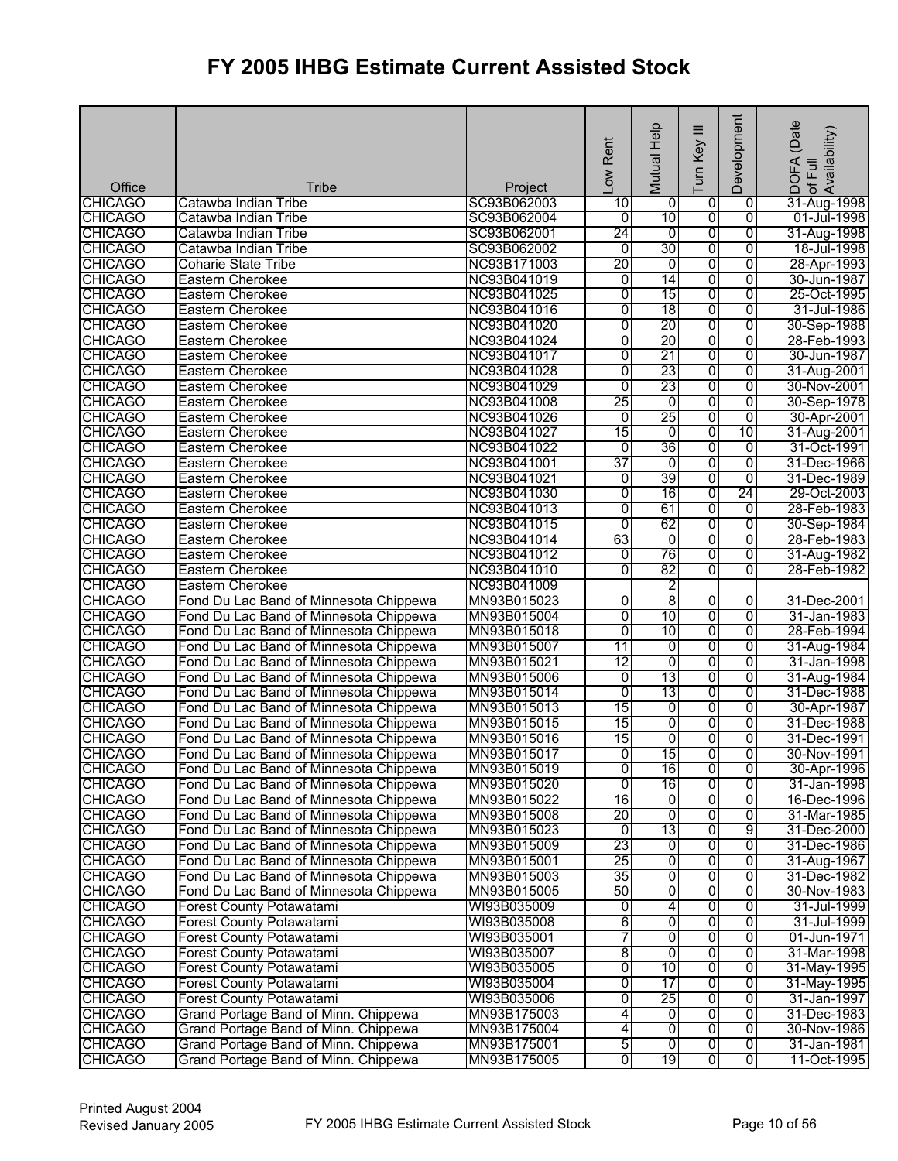| Office                           | Tribe                                                                            | Project                    | -ow Rent        | Mutual Help     | Ξ<br>Turn Key           | Development     | (Date<br>of Full<br>Availability)<br><b>DOFA</b> |
|----------------------------------|----------------------------------------------------------------------------------|----------------------------|-----------------|-----------------|-------------------------|-----------------|--------------------------------------------------|
| <b>CHICAGO</b>                   | Catawba Indian Tribe                                                             | SC93B062003                | 10              | 0               | 0                       | $\overline{0}$  | 31-Aug-1998                                      |
| CHICAGO                          | Catawba Indian Tribe                                                             | SC93B062004                | Ō               | 10              | $\overline{\mathbf{0}}$ | $\overline{0}$  | 01-Jul-1998                                      |
| <b>CHICAGO</b>                   | Catawba Indian Tribe                                                             | SC93B062001                | 24              | 0               | 0                       | 0               | 31-Aug-1998                                      |
| <b>CHICAGO</b>                   | Catawba Indian Tribe                                                             | SC93B062002                | $\overline{0}$  | 30              | 0                       | 0               | 18-Jul-1998                                      |
| <b>CHICAGO</b>                   | <b>Coharie State Tribe</b>                                                       | NC93B171003                | 20              | $\overline{0}$  | 0                       | 0               | 28-Apr-1993                                      |
| <b>CHICAGO</b>                   | Eastern Cherokee                                                                 | NC93B041019                | $\overline{0}$  | 14              | 0                       | $\overline{0}$  | 30-Jun-1987                                      |
| <b>CHICAGO</b>                   | Eastern Cherokee                                                                 | NC93B041025                | $\overline{0}$  | 15              | 0                       | $\overline{0}$  | 25-Oct-1995                                      |
| <b>CHICAGO</b>                   | Eastern Cherokee                                                                 | NC93B041016                | $\overline{0}$  | 18              | 0                       | 0               | 31-Jul-1986                                      |
| <b>CHICAGO</b>                   | <b>Eastern Cherokee</b>                                                          | NC93B041020                | $\overline{0}$  | 20              | 0                       | 0               | 30-Sep-1988                                      |
| <b>CHICAGO</b>                   | <b>Eastern Cherokee</b>                                                          | NC93B041024                | $\overline{0}$  | 20              | 0                       | $\overline{0}$  | 28-Feb-1993                                      |
| <b>CHICAGO</b>                   | Eastern Cherokee                                                                 | NC93B041017                | 0               | 21              | 0                       | 0               | 30-Jun-1987                                      |
| <b>CHICAGO</b>                   | Eastern Cherokee                                                                 | NC93B041028                | $\overline{0}$  | 23              | 0                       | 0               | 31-Aug-2001                                      |
| <b>CHICAGO</b>                   | Eastern Cherokee                                                                 | NC93B041029                | 0               | 23              | 0                       | 0               | 30-Nov-2001                                      |
| <b>CHICAGO</b>                   | Eastern Cherokee                                                                 | NC93B041008                | 25              | $\overline{0}$  | $\overline{0}$          | $\overline{0}$  | 30-Sep-1978                                      |
| <b>CHICAGO</b>                   | Eastern Cherokee                                                                 | NC93B041026                | $\overline{0}$  | 25              | 0                       | 0               | 30-Apr-2001                                      |
| <b>CHICAGO</b>                   | Eastern Cherokee                                                                 | NC93B041027                | $\overline{15}$ | 0               | 0                       | 10              | 31-Aug-2001                                      |
| <b>CHICAGO</b>                   | Eastern Cherokee                                                                 | NC93B041022                | $\overline{0}$  | 36              | 0                       | $\overline{0}$  | 31-Oct-1991                                      |
| <b>CHICAGO</b>                   | Eastern Cherokee                                                                 | NC93B041001                | 37              | 0               | 0                       | $\overline{0}$  | 31-Dec-1966                                      |
| <b>CHICAGO</b>                   | Eastern Cherokee                                                                 | NC93B041021                | 0               | 39              | 0                       | $\overline{0}$  | 31-Dec-1989                                      |
| <b>CHICAGO</b>                   | Eastern Cherokee                                                                 | NC93B041030                | 0               | 16              | $\overline{0}$          | $\overline{24}$ | 29-Oct-2003                                      |
| <b>CHICAGO</b>                   | Eastern Cherokee                                                                 | NC93B041013                | $\overline{0}$  | 61              | 0                       | 0               | 28-Feb-1983                                      |
| <b>CHICAGO</b>                   | <b>Eastern Cherokee</b>                                                          | NC93B041015                | $\overline{0}$  | 62              | 0                       | $\overline{0}$  | 30-Sep-1984                                      |
| <b>CHICAGO</b>                   | Eastern Cherokee                                                                 | NC93B041014                | 63              | $\overline{0}$  | 0                       | 0               | 28-Feb-1983                                      |
| <b>CHICAGO</b>                   | <b>Eastern Cherokee</b>                                                          | NC93B041012                | 0               | 76              | 0                       | $\overline{0}$  | 31-Aug-1982                                      |
| <b>CHICAGO</b>                   | Eastern Cherokee                                                                 | NC93B041010                | $\overline{0}$  | 82              | 0                       | $\overline{0}$  | 28-Feb-1982                                      |
| <b>CHICAGO</b>                   | Eastern Cherokee                                                                 | NC93B041009                |                 | 2               |                         |                 |                                                  |
| <b>CHICAGO</b>                   | Fond Du Lac Band of Minnesota Chippewa                                           | MN93B015023                | 0               | 8               | 0                       | 0               | 31-Dec-2001                                      |
| <b>CHICAGO</b>                   | Fond Du Lac Band of Minnesota Chippewa                                           | MN93B015004                | 0               | 10              | 0                       | $\overline{0}$  | 31-Jan-1983                                      |
| <b>CHICAGO</b>                   | Fond Du Lac Band of Minnesota Chippewa                                           | MN93B015018                | $\overline{0}$  | 10              | $\overline{0}$          | $\overline{0}$  | 28-Feb-1994                                      |
| <b>CHICAGO</b>                   | Fond Du Lac Band of Minnesota Chippewa                                           | MN93B015007                | $\overline{11}$ | 0               | 0                       | $\overline{0}$  | 31-Aug-1984                                      |
| <b>CHICAGO</b>                   | Fond Du Lac Band of Minnesota Chippewa                                           | MN93B015021                | 12              | 0               | 0                       | $\overline{0}$  | 31-Jan-1998                                      |
| <b>CHICAGO</b>                   | Fond Du Lac Band of Minnesota Chippewa                                           | MN93B015006                | 0               | $\overline{13}$ | 0                       | 0               | 31-Aug-1984                                      |
| <b>CHICAGO</b>                   | Fond Du Lac Band of Minnesota Chippewa                                           | MN93B015014                | $\overline{0}$  | 13              | $\overline{0}$          | $\overline{0}$  | 31-Dec-1988                                      |
| <b>CHICAGO</b>                   | Fond Du Lac Band of Minnesota Chippewa                                           | MN93B015013                | 15              | $\overline{0}$  | 0                       | 0               | 30-Apr-1987                                      |
| <b>CHICAGO</b>                   | Fond Du Lac Band of Minnesota Chippewa                                           | MN93B015015                | 15              | 0               | 0                       | 0               | 31-Dec-1988                                      |
| <b>CHICAGO</b>                   | Fond Du Lac Band of Minnesota Chippewa                                           | MN93B015016                | 15              | 0               | 0                       | 0               | 31-Dec-1991                                      |
| <b>CHICAGO</b>                   | Fond Du Lac Band of Minnesota Chippewa                                           | MN93B015017                | $\overline{0}$  | 15              | 0                       | 0               | 30-Nov-1991                                      |
| <b>CHICAGO</b>                   | Fond Du Lac Band of Minnesota Chippewa                                           | MN93B015019                | $\overline{0}$  | 16              | 0                       | 0               | 30-Apr-1996                                      |
| <b>CHICAGO</b>                   | Fond Du Lac Band of Minnesota Chippewa<br>Fond Du Lac Band of Minnesota Chippewa | MN93B015020                | 0<br>16         | 16<br>0         | 0<br>0                  | 0<br>0          | 31-Jan-1998                                      |
| <b>CHICAGO</b><br><b>CHICAGO</b> | Fond Du Lac Band of Minnesota Chippewa                                           | MN93B015022<br>MN93B015008 | 20              | $\overline{0}$  | $\overline{0}$          | $\overline{0}$  | 16-Dec-1996<br>31-Mar-1985                       |
| <b>CHICAGO</b>                   | Fond Du Lac Band of Minnesota Chippewa                                           | MN93B015023                | $\overline{0}$  | 13              | 0                       | 9               | 31-Dec-2000                                      |
| <b>CHICAGO</b>                   | Fond Du Lac Band of Minnesota Chippewa                                           | MN93B015009                | 23              | 0               | 0                       | 0               | 31-Dec-1986                                      |
| <b>CHICAGO</b>                   | Fond Du Lac Band of Minnesota Chippewa                                           | MN93B015001                | 25              | 0               | 0                       | $\overline{0}$  | 31-Aug-1967                                      |
| <b>CHICAGO</b>                   | Fond Du Lac Band of Minnesota Chippewa                                           | MN93B015003                | $\overline{35}$ | 0               | $\overline{0}$          | 0               | 31-Dec-1982                                      |
| <b>CHICAGO</b>                   | Fond Du Lac Band of Minnesota Chippewa                                           | MN93B015005                | 50              | 0               | 0                       | 0               | 30-Nov-1983                                      |
| <b>CHICAGO</b>                   | <b>Forest County Potawatami</b>                                                  | WI93B035009                | 0               | 4               | 0                       | 0               | 31-Jul-1999                                      |
| <b>CHICAGO</b>                   | <b>Forest County Potawatami</b>                                                  | WI93B035008                | 6               | $\overline{0}$  | $\overline{0}$          | 0               | 31-Jul-1999                                      |
| <b>CHICAGO</b>                   | Forest County Potawatami                                                         | WI93B035001                | 7               | $\overline{0}$  | $\overline{0}$          | $\overline{0}$  | 01-Jun-1971                                      |
| <b>CHICAGO</b>                   | <b>Forest County Potawatami</b>                                                  | WI93B035007                | 8               | Ō               | 0                       | $\overline{0}$  | 31-Mar-1998                                      |
| <b>CHICAGO</b>                   | Forest County Potawatami                                                         | WI93B035005                | $\overline{0}$  | 10              | $\overline{0}$          | 0               | 31-May-1995                                      |
| <b>CHICAGO</b>                   | <b>Forest County Potawatami</b>                                                  | WI93B035004                | $\overline{0}$  | 17              | 0                       | $\overline{0}$  | 31-May-1995                                      |
| <b>CHICAGO</b>                   | <b>Forest County Potawatami</b>                                                  | WI93B035006                | $\overline{0}$  | 25              | 0                       | $\overline{0}$  | 31-Jan-1997                                      |
| <b>CHICAGO</b>                   | Grand Portage Band of Minn. Chippewa                                             | MN93B175003                | 4               | 0               | 0                       | 0               | 31-Dec-1983                                      |
| <b>CHICAGO</b>                   | Grand Portage Band of Minn. Chippewa                                             | MN93B175004                | 4               | 0               | 0                       | 0               | 30-Nov-1986                                      |
| <b>CHICAGO</b>                   | Grand Portage Band of Minn. Chippewa                                             | MN93B175001                | 5               | $\overline{0}$  | 0                       | $\overline{0}$  | 31-Jan-1981                                      |
| <b>CHICAGO</b>                   | Grand Portage Band of Minn. Chippewa                                             | MN93B175005                | 0               | 19              | 0                       | 0               | 11-Oct-1995                                      |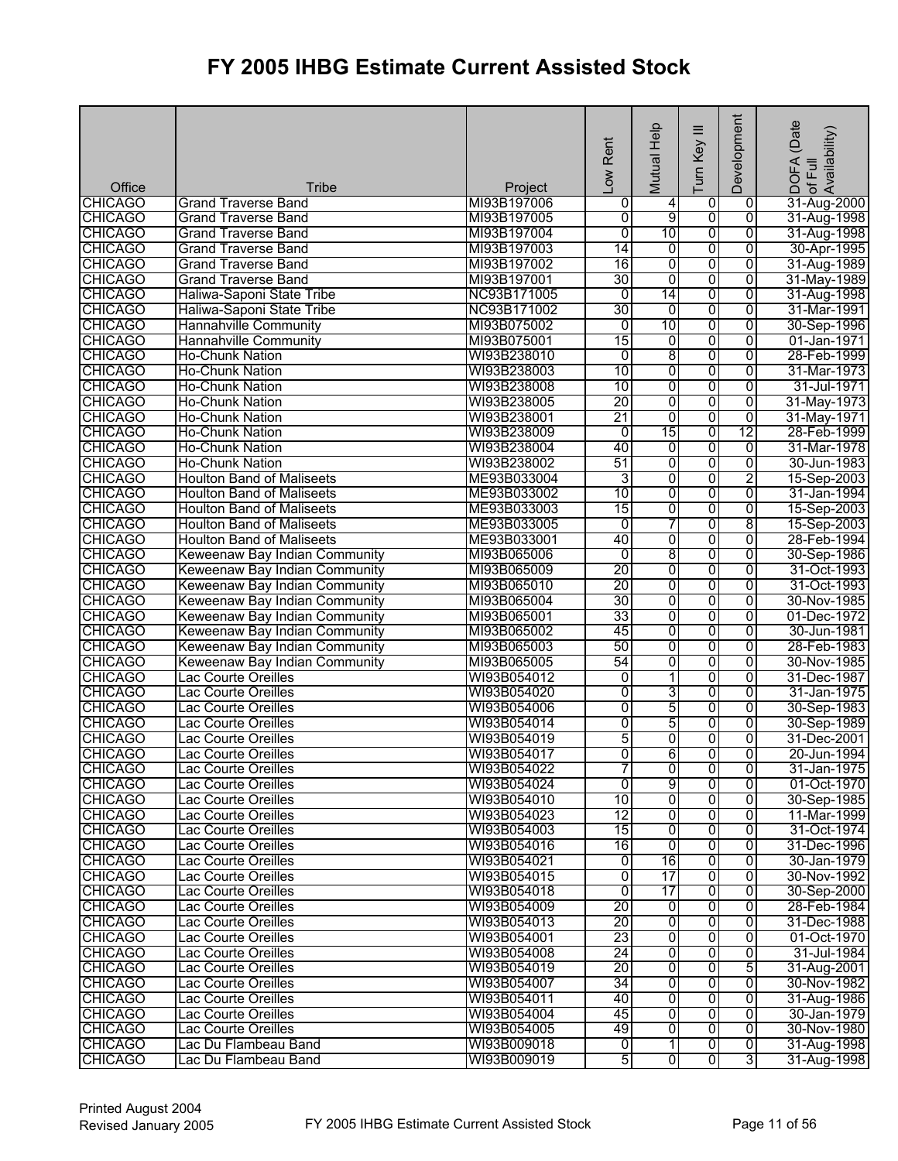| Office         | Tribe                            | Project     | Low Rent        | Mutual Help      | ≡<br>Turn Key           | Development    | (Date<br>! DOFA (Date<br>·of Full<br>Availability) |
|----------------|----------------------------------|-------------|-----------------|------------------|-------------------------|----------------|----------------------------------------------------|
| <b>CHICAGO</b> | <b>Grand Traverse Band</b>       | MI93B197006 | 0               | 4                | 0                       | 0              | 31-Aug-2000                                        |
| <b>CHICAGO</b> | <b>Grand Traverse Band</b>       | MI93B197005 | 0               | 9                | 0                       | $\overline{0}$ | 31-Aug-1998                                        |
| <b>CHICAGO</b> | <b>Grand Traverse Band</b>       | MI93B197004 | $\overline{0}$  | 10               | 0                       | $\overline{0}$ | 31-Aug-1998                                        |
| <b>CHICAGO</b> | <b>Grand Traverse Band</b>       | MI93B197003 | 14              | 0                | $\overline{0}$          | 0              | 30-Apr-1995                                        |
| <b>CHICAGO</b> | <b>Grand Traverse Band</b>       | MI93B197002 | 16              | 0                | 0                       | $\overline{0}$ | 31-Aug-1989                                        |
| <b>CHICAGO</b> | <b>Grand Traverse Band</b>       | MI93B197001 | 30              | 0                | 0                       | $\overline{0}$ | 31-May-1989                                        |
| <b>CHICAGO</b> | Haliwa-Saponi State Tribe        | NC93B171005 | $\mathbf 0$     | 14               | $\overline{0}$          | $\overline{0}$ | 31-Aug-1998                                        |
| <b>CHICAGO</b> | Haliwa-Saponi State Tribe        | NC93B171002 | 30              | $\overline{0}$   | 0                       | 0              | 31-Mar-1991                                        |
| <b>CHICAGO</b> | <b>Hannahville Community</b>     | MI93B075002 | $\overline{0}$  | 10               | 0                       | $\overline{0}$ | 30-Sep-1996                                        |
| <b>CHICAGO</b> | <b>Hannahville Community</b>     | MI93B075001 | 15              | 0                | 0                       | $\overline{0}$ | 01-Jan-1971                                        |
| <b>CHICAGO</b> | <b>Ho-Chunk Nation</b>           | WI93B238010 | $\overline{0}$  | 8                | 0                       | $\overline{0}$ | 28-Feb-1999                                        |
| <b>CHICAGO</b> | <b>Ho-Chunk Nation</b>           | WI93B238003 | 10              | 0                | 0                       | $\overline{0}$ | 31-Mar-1973                                        |
| <b>CHICAGO</b> | Ho-Chunk Nation                  | WI93B238008 | 10              | 0                | 0                       | $\overline{0}$ | 31-Jul-1971                                        |
| <b>CHICAGO</b> | <b>Ho-Chunk Nation</b>           | WI93B238005 | $\overline{20}$ | 0                | $\overline{0}$          | $\overline{0}$ | 31-May-1973                                        |
| <b>CHICAGO</b> | <b>Ho-Chunk Nation</b>           | WI93B238001 | 21              | 0                | 0                       | 0              | 31-May-1971                                        |
| <b>CHICAGO</b> | Ho-Chunk Nation                  | WI93B238009 | $\overline{0}$  | 15               | 0                       | 12             | 28-Feb-1999                                        |
| <b>CHICAGO</b> | Ho-Chunk Nation                  | WI93B238004 | 40              | 0                | 0                       | 0              | 31-Mar-1978                                        |
| <b>CHICAGO</b> | <b>Ho-Chunk Nation</b>           | WI93B238002 | 51              | $\overline{0}$   | 0                       | $\overline{0}$ | 30-Jun-1983                                        |
| <b>CHICAGO</b> | <b>Houlton Band of Maliseets</b> | ME93B033004 | 3               | 0                | 0                       | $\overline{2}$ | 15-Sep-2003                                        |
| <b>CHICAGO</b> | <b>Houlton Band of Maliseets</b> | ME93B033002 | 10              | 0                | 0                       | 0              | 31-Jan-1994                                        |
| <b>CHICAGO</b> | <b>Houlton Band of Maliseets</b> | ME93B033003 | 15              | 0                | 0                       | 0              | 15-Sep-2003                                        |
| <b>CHICAGO</b> | <b>Houlton Band of Maliseets</b> | ME93B033005 | 0               | 7                | 0                       | 8              | 15-Sep-2003                                        |
| <b>CHICAGO</b> | <b>Houlton Band of Maliseets</b> | ME93B033001 | 40              | 0                | 0                       | 0              | 28-Feb-1994                                        |
| <b>CHICAGO</b> | Keweenaw Bay Indian Community    | MI93B065006 | 0               | 8                | 0                       | $\overline{0}$ | 30-Sep-1986                                        |
| <b>CHICAGO</b> | Keweenaw Bay Indian Community    | MI93B065009 | 20              | 0                | 0                       | 0              | 31-Oct-1993                                        |
| <b>CHICAGO</b> | Keweenaw Bay Indian Community    | MI93B065010 | 20              | 0                | 0                       | 0              | 31-Oct-1993                                        |
| <b>CHICAGO</b> | Keweenaw Bay Indian Community    | MI93B065004 | 30              | $\overline{0}$   | 0                       | 0              | 30-Nov-1985                                        |
| <b>CHICAGO</b> | Keweenaw Bay Indian Community    | MI93B065001 | 33              | 0                | 0                       | $\overline{0}$ | 01-Dec-1972                                        |
| <b>CHICAGO</b> | Keweenaw Bay Indian Community    | MI93B065002 | 45              | $\overline{0}$   | 0                       | $\overline{0}$ | 30-Jun-1981                                        |
| <b>CHICAGO</b> | Keweenaw Bay Indian Community    | MI93B065003 | 50              | 0                | 0                       | $\overline{0}$ | 28-Feb-1983                                        |
| <b>CHICAGO</b> | Keweenaw Bay Indian Community    | MI93B065005 | 54              | 0                | 0                       | 0              | 30-Nov-1985                                        |
| <b>CHICAGO</b> | <b>Lac Courte Oreilles</b>       | WI93B054012 | 0               | 1                | $\overline{0}$          | 0              | 31-Dec-1987                                        |
| <b>CHICAGO</b> | Lac Courte Oreilles              | WI93B054020 | $\overline{0}$  | 3                | 0                       | 0              | 31-Jan-1975                                        |
| <b>CHICAGO</b> | Lac Courte Oreilles              | WI93B054006 | $\overline{0}$  | 5                | $\overline{0}$          | 0              | 30-Sep-1983                                        |
| <b>CHICAGO</b> | <b>Lac Courte Oreilles</b>       | WI93B054014 | 0               | 5                | 0                       | 0              | 30-Sep-1989                                        |
| <b>CHICAGO</b> | Lac Courte Oreilles              | WI93B054019 | 5               | o                | $\overline{0}$          | 0              | 31-Dec-2001                                        |
| <b>CHICAGO</b> | Lac Courte Oreilles              | WI93B054017 | Ō               | $6 \overline{6}$ | $\overline{0}$          | $\overline{0}$ | 20-Jun-1994                                        |
| <b>CHICAGO</b> | Lac Courte Oreilles              | WI93B054022 | 7               | $\overline{0}$   | $\mathbf 0$             | 0              | 31-Jan-1975                                        |
| <b>CHICAGO</b> | Lac Courte Oreilles              | WI93B054024 | 0               | 9                | 0                       | 0              | 01-Oct-1970                                        |
| <b>CHICAGO</b> | Lac Courte Oreilles              | WI93B054010 | 10              | 0                | 0                       | 0              | 30-Sep-1985                                        |
| <b>CHICAGO</b> | <b>Lac Courte Oreilles</b>       | WI93B054023 | 12              | 0                | 0                       | 0              | 11-Mar-1999                                        |
| <b>CHICAGO</b> | Lac Courte Oreilles              | WI93B054003 | 15              | 0                | 0                       | 0              | 31-Oct-1974                                        |
| <b>CHICAGO</b> | Lac Courte Oreilles              | WI93B054016 | 16              | o                | 0                       | 0              | 31-Dec-1996                                        |
| <b>CHICAGO</b> | Lac Courte Oreilles              | WI93B054021 | 0               | 16               | 0                       | $\overline{0}$ | 30-Jan-1979                                        |
| <b>CHICAGO</b> | Lac Courte Oreilles              | WI93B054015 | $\overline{0}$  | $\overline{17}$  | $\overline{0}$          | 0              | 30-Nov-1992                                        |
| <b>CHICAGO</b> | Lac Courte Oreilles              | WI93B054018 | $\overline{0}$  | 17               | 0                       | 0              | 30-Sep-2000                                        |
| <b>CHICAGO</b> | Lac Courte Oreilles              | WI93B054009 | 20              | 0                | 0                       | 0              | 28-Feb-1984                                        |
| <b>CHICAGO</b> | Lac Courte Oreilles              | WI93B054013 | 20              | $\overline{0}$   | $\overline{0}$          | $\overline{0}$ | 31-Dec-1988                                        |
| <b>CHICAGO</b> | Lac Courte Oreilles              | WI93B054001 | 23              | o                | $\overline{0}$          | $\overline{0}$ | 01-Oct-1970                                        |
| <b>CHICAGO</b> | Lac Courte Oreilles              | WI93B054008 | 24              | 0                | 0                       | 0              | 31-Jul-1984                                        |
| <b>CHICAGO</b> | Lac Courte Oreilles              | WI93B054019 | 20              | 0                | 0                       | 5              | 31-Aug-2001                                        |
| <b>CHICAGO</b> | Lac Courte Oreilles              | WI93B054007 | 34              | $\overline{0}$   | $\overline{0}$          | 0              | 30-Nov-1982                                        |
| <b>CHICAGO</b> | Lac Courte Oreilles              | WI93B054011 | 40              | $\overline{0}$   | $\overline{0}$          | $\overline{0}$ | 31-Aug-1986                                        |
| <b>CHICAGO</b> | Lac Courte Oreilles              | WI93B054004 | 45              | 0                | $\overline{0}$          | $\overline{0}$ | 30-Jan-1979                                        |
| <b>CHICAGO</b> | Lac Courte Oreilles              | WI93B054005 | 49              | 0                | $\overline{0}$          | $\overline{0}$ | 30-Nov-1980                                        |
| <b>CHICAGO</b> | Lac Du Flambeau Band             | WI93B009018 | o               | $\overline{1}$   | $\overline{0}$          | $\overline{0}$ | 31-Aug-1998                                        |
| <b>CHICAGO</b> | Lac Du Flambeau Band             | WI93B009019 | 5               | 0                | $\overline{\mathbf{0}}$ | 3              | 31-Aug-1998                                        |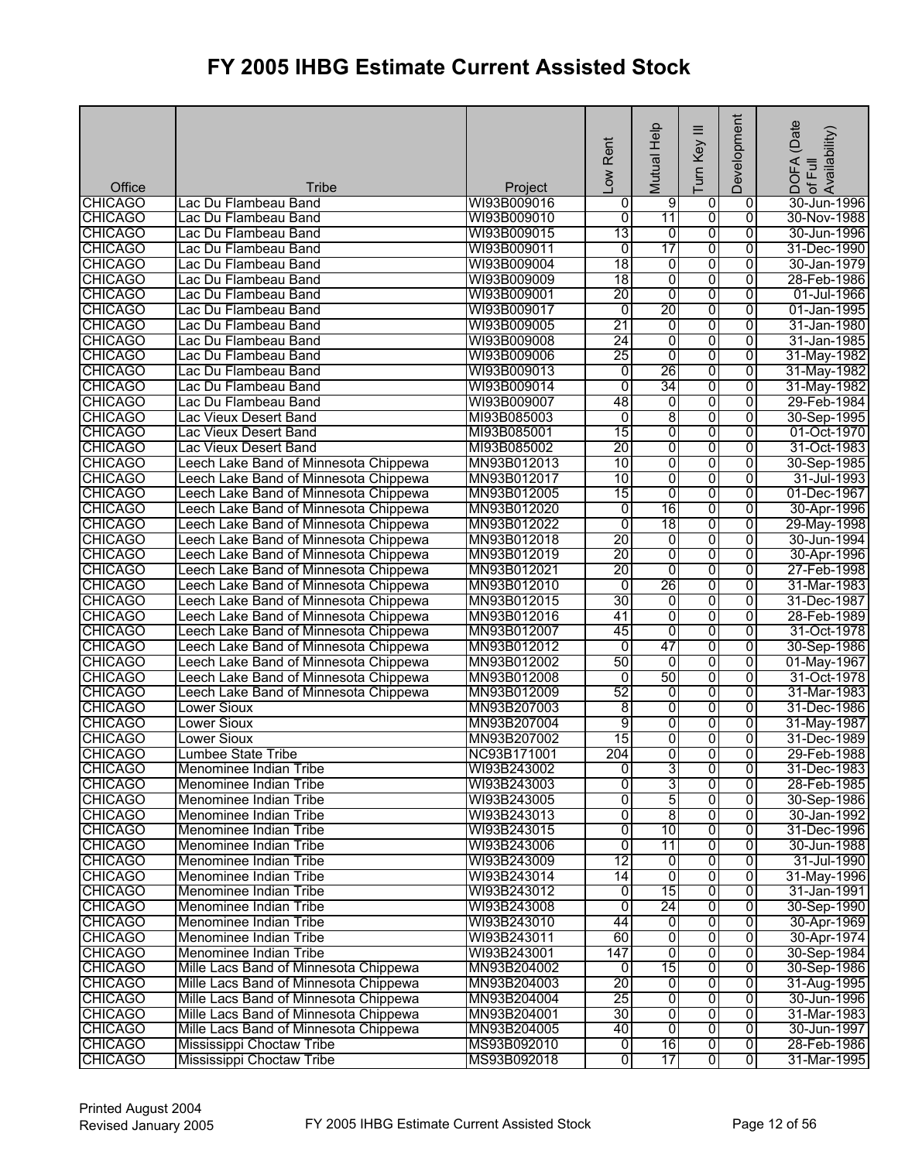| Office                           | <b>Tribe</b>                                                                   | Project                    | Low Rent             | Mutual Help    | ≡<br>Turn Key           | Development         | (Date<br>DOFA (Date<br>of Full<br>Availability) |
|----------------------------------|--------------------------------------------------------------------------------|----------------------------|----------------------|----------------|-------------------------|---------------------|-------------------------------------------------|
| <b>CHICAGO</b>                   | Lac Du Flambeau Band                                                           | WI93B009016                | 0                    | $\overline{9}$ | 0                       | 0                   | 30-Jun-1996                                     |
| <b>CHICAGO</b>                   | Lac Du Flambeau Band                                                           | WI93B009010                | ō                    | 11             | 0                       | $\overline{0}$      | 30-Nov-1988                                     |
| <b>CHICAGO</b>                   | Lac Du Flambeau Band                                                           | WI93B009015                | 13                   | $\overline{0}$ | 0                       | $\overline{0}$      | 30-Jun-1996                                     |
| <b>CHICAGO</b>                   | Lac Du Flambeau Band                                                           | WI93B009011                | $\overline{0}$       | 17             | $\overline{0}$          | 0                   | 31-Dec-1990                                     |
| <b>CHICAGO</b>                   | Lac Du Flambeau Band                                                           | WI93B009004                | 18                   | 0              | $\overline{0}$          | $\overline{0}$      | 30-Jan-1979                                     |
| <b>CHICAGO</b>                   | Lac Du Flambeau Band                                                           | WI93B009009                | 18                   | $\overline{0}$ | 0                       | $\overline{0}$      | 28-Feb-1986                                     |
| <b>CHICAGO</b>                   | Lac Du Flambeau Band                                                           | WI93B009001                | $\overline{20}$      | $\overline{0}$ | $\overline{0}$          | $\overline{0}$      | 01-Jul-1966                                     |
| <b>CHICAGO</b>                   | Lac Du Flambeau Band                                                           | WI93B009017                | $\overline{0}$       | 20             | 0                       | $\overline{0}$      | 01-Jan-1995                                     |
| <b>CHICAGO</b>                   | Lac Du Flambeau Band                                                           | WI93B009005                | $\overline{21}$      | 0              | 0                       | $\overline{0}$      | 31-Jan-1980                                     |
| <b>CHICAGO</b>                   | Lac Du Flambeau Band                                                           | WI93B009008                | 24                   | 0              | 0                       | $\overline{0}$      | 31-Jan-1985                                     |
| <b>CHICAGO</b>                   | Lac Du Flambeau Band                                                           | WI93B009006                | 25                   | $\overline{0}$ | 0                       | $\overline{0}$      | 31-May-1982                                     |
| <b>CHICAGO</b>                   | Lac Du Flambeau Band                                                           | WI93B009013                | $\overline{0}$       | 26             | 0                       | $\overline{0}$      | 31-May-1982                                     |
| <b>CHICAGO</b>                   | Lac Du Flambeau Band                                                           | WI93B009014                | $\overline{0}$       | 34             | 0                       | $\overline{0}$      | 31-May-1982                                     |
| <b>CHICAGO</b>                   | Lac Du Flambeau Band                                                           | WI93B009007                | 48                   | O              | $\overline{0}$          | $\overline{0}$      | 29-Feb-1984                                     |
| <b>CHICAGO</b>                   | Lac Vieux Desert Band                                                          | MI93B085003                | $\overline{0}$       | 8              | 0                       | 0                   | 30-Sep-1995                                     |
| <b>CHICAGO</b>                   | Lac Vieux Desert Band                                                          | MI93B085001                | 15                   | 0              | 0                       | $\overline{0}$      | 01-Oct-1970                                     |
| <b>CHICAGO</b>                   | Lac Vieux Desert Band                                                          | MI93B085002                | 20                   | 0              | 0                       | 0                   | 31-Oct-1983                                     |
| <b>CHICAGO</b>                   | Leech Lake Band of Minnesota Chippewa                                          | MN93B012013                | 10                   | 0              | $\overline{0}$          | $\overline{0}$      | 30-Sep-1985                                     |
| <b>CHICAGO</b>                   | Leech Lake Band of Minnesota Chippewa                                          | MN93B012017                | 10                   | 0              | 0                       | 0                   | 31-Jul-1993                                     |
| <b>CHICAGO</b>                   | Leech Lake Band of Minnesota Chippewa                                          | MN93B012005                | 15<br>$\overline{0}$ | 0<br>16        | $\overline{0}$<br>0     | 0<br>0              | 01-Dec-1967<br>30-Apr-1996                      |
| <b>CHICAGO</b><br><b>CHICAGO</b> | Leech Lake Band of Minnesota Chippewa<br>Leech Lake Band of Minnesota Chippewa | MN93B012020<br>MN93B012022 | $\overline{0}$       | 18             | $\overline{0}$          | $\overline{0}$      | 29-May-1998                                     |
| <b>CHICAGO</b>                   | Leech Lake Band of Minnesota Chippewa                                          | MN93B012018                | 20                   | 0              | 0                       | $\overline{0}$      | 30-Jun-1994                                     |
| <b>CHICAGO</b>                   | Leech Lake Band of Minnesota Chippewa                                          | MN93B012019                | 20                   | 0              | 0                       | 0                   | 30-Apr-1996                                     |
| <b>CHICAGO</b>                   | Leech Lake Band of Minnesota Chippewa                                          | MN93B012021                | 20                   | 0              | 0                       | $\overline{0}$      | 27-Feb-1998                                     |
| <b>CHICAGO</b>                   | Leech Lake Band of Minnesota Chippewa                                          | MN93B012010                | $\mathbf 0$          | 26             | $\overline{0}$          | $\overline{0}$      | 31-Mar-1983                                     |
| <b>CHICAGO</b>                   | Leech Lake Band of Minnesota Chippewa                                          | MN93B012015                | 30                   | 0              | 0                       | $\overline{0}$      | 31-Dec-1987                                     |
| <b>CHICAGO</b>                   | Leech Lake Band of Minnesota Chippewa                                          | MN93B012016                | 41                   | 0              | 0                       | 0                   | 28-Feb-1989                                     |
| <b>CHICAGO</b>                   | Leech Lake Band of Minnesota Chippewa                                          | MN93B012007                | 45                   | $\overline{0}$ | 0                       | $\overline{0}$      | 31-Oct-1978                                     |
| <b>CHICAGO</b>                   | Leech Lake Band of Minnesota Chippewa                                          | MN93B012012                | $\overline{0}$       | 47             | $\overline{0}$          | $\overline{0}$      | 30-Sep-1986                                     |
| <b>CHICAGO</b>                   | Leech Lake Band of Minnesota Chippewa                                          | MN93B012002                | 50                   | 0              | 0                       | $\overline{0}$      | 01-May-1967                                     |
| <b>CHICAGO</b>                   | Leech Lake Band of Minnesota Chippewa                                          | MN93B012008                | 0                    | 50             | $\overline{0}$          | $\overline{0}$      | 31-Oct-1978                                     |
| <b>CHICAGO</b>                   | Leech Lake Band of Minnesota Chippewa                                          | MN93B012009                | 52                   | O              | $\overline{0}$          | $\overline{0}$      | 31-Mar-1983                                     |
| <b>CHICAGO</b>                   | <b>Lower Sioux</b>                                                             | MN93B207003                | 8                    | 0              | 0                       | $\overline{0}$      | 31-Dec-1986                                     |
| <b>CHICAGO</b>                   | Lower Sioux                                                                    | MN93B207004                | 9                    | 0              | 0                       | 0                   | 31-May-1987                                     |
| <b>CHICAGO</b>                   | Lower Sioux                                                                    | MN93B207002                | 15                   | 0              | 0                       | $\overline{0}$      | 31-Dec-1989                                     |
| <b>CHICAGO</b>                   | Lumbee State Tribe                                                             | NC93B171001                | 204                  | $\overline{0}$ | 0                       | $\overline{0}$      | 29-Feb-1988                                     |
| <b>CHICAGO</b>                   | Menominee Indian Tribe                                                         | WI93B243002                | $\overline{0}$       | 3              | $\overline{0}$          | 0                   | 31-Dec-1983                                     |
| <b>CHICAGO</b>                   | Menominee Indian Tribe                                                         | WI93B243003                | 0                    | 3              | 0                       | 0                   | 28-Feb-1985                                     |
| <b>CHICAGO</b>                   | Menominee Indian Tribe                                                         | WI93B243005                | o                    | 5              | $\overline{0}$          | 0                   | 30-Sep-1986                                     |
| <b>CHICAGO</b>                   | Menominee Indian Tribe                                                         | WI93B243013                | $\overline{0}$       | $\overline{8}$ | 0                       | 0                   | 30-Jan-1992                                     |
| <b>CHICAGO</b>                   | Menominee Indian Tribe                                                         | WI93B243015                | 0                    | 10             | 0                       | 0                   | 31-Dec-1996                                     |
| <b>CHICAGO</b><br><b>CHICAGO</b> | Menominee Indian Tribe<br>Menominee Indian Tribe                               | WI93B243006                | 0<br>12              | 11<br>o        | 0<br>$\overline{0}$     | 0<br>$\overline{0}$ | 30-Jun-1988<br>31-Jul-1990                      |
| <b>CHICAGO</b>                   | Menominee Indian Tribe                                                         | WI93B243009<br>WI93B243014 | 14                   | $\overline{0}$ | $\overline{0}$          | $\overline{0}$      | 31-May-1996                                     |
| <b>CHICAGO</b>                   | Menominee Indian Tribe                                                         | WI93B243012                | 0                    | 15             | 0                       | 0                   | 31-Jan-1991                                     |
| <b>CHICAGO</b>                   | Menominee Indian Tribe                                                         | WI93B243008                | 0                    | 24             | 0                       | 0                   | 30-Sep-1990                                     |
| <b>CHICAGO</b>                   | Menominee Indian Tribe                                                         | WI93B243010                | 44                   | O              | $\overline{0}$          | 0                   | 30-Apr-1969                                     |
| <b>CHICAGO</b>                   | Menominee Indian Tribe                                                         | WI93B243011                | 60                   | o              | $\overline{0}$          | $\overline{0}$      | 30-Apr-1974                                     |
| <b>CHICAGO</b>                   | Menominee Indian Tribe                                                         | WI93B243001                | 147                  | $\overline{0}$ | 0                       | 0                   | 30-Sep-1984                                     |
| <b>CHICAGO</b>                   | Mille Lacs Band of Minnesota Chippewa                                          | MN93B204002                | 0                    | 15             | 0                       | 0                   | 30-Sep-1986                                     |
| <b>CHICAGO</b>                   | Mille Lacs Band of Minnesota Chippewa                                          | MN93B204003                | 20                   | O              | 0                       | 0                   | 31-Aug-1995                                     |
| <b>CHICAGO</b>                   | Mille Lacs Band of Minnesota Chippewa                                          | MN93B204004                | 25                   | $\overline{0}$ | $\overline{0}$          | $\overline{0}$      | 30-Jun-1996                                     |
| <b>CHICAGO</b>                   | Mille Lacs Band of Minnesota Chippewa                                          | MN93B204001                | 30                   | $\overline{0}$ | 0                       | $\overline{0}$      | 31-Mar-1983                                     |
| <b>CHICAGO</b>                   | Mille Lacs Band of Minnesota Chippewa                                          | MN93B204005                | 40                   | 0              | $\overline{0}$          | $\overline{0}$      | 30-Jun-1997                                     |
| <b>CHICAGO</b>                   | Mississippi Choctaw Tribe                                                      | MS93B092010                | ō                    | 16             | $\overline{0}$          | ō                   | 28-Feb-1986                                     |
| <b>CHICAGO</b>                   | Mississippi Choctaw Tribe                                                      | MS93B092018                | 0                    | 17             | $\overline{\mathbf{0}}$ | $\overline{0}$      | 31-Mar-1995                                     |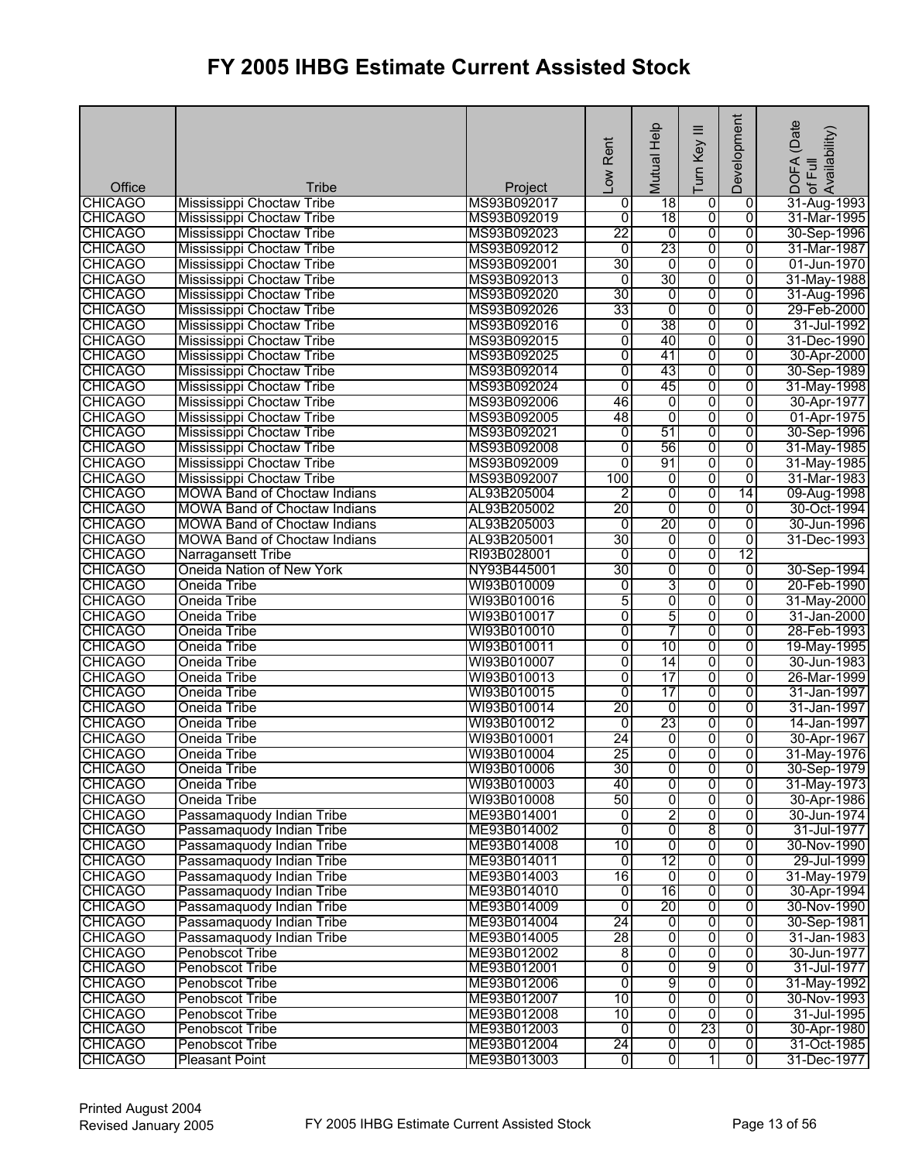| Office                           | Tribe                                                  | Project                    | Low Rent             | Mutual Help    | $\equiv$<br>Turn Key    | Development         | (Date<br>DOFA (Date<br>of Full<br>Availability) |
|----------------------------------|--------------------------------------------------------|----------------------------|----------------------|----------------|-------------------------|---------------------|-------------------------------------------------|
| <b>CHICAGO</b>                   | Mississippi Choctaw Tribe                              | MS93B092017                | 0                    | 18             | 0                       | 0                   | 31-Aug-1993                                     |
| <b>CHICAGO</b>                   | Mississippi Choctaw Tribe                              | MS93B092019                | $\overline{0}$       | 18             | $\overline{0}$          | $\overline{0}$      | 31-Mar-1995                                     |
| <b>CHICAGO</b>                   | Mississippi Choctaw Tribe                              | MS93B092023                | 22                   | $\overline{0}$ | 0                       | $\overline{0}$      | 30-Sep-1996                                     |
| <b>CHICAGO</b>                   | Mississippi Choctaw Tribe                              | MS93B092012                | $\overline{0}$       | 23             | 0                       | 0                   | 31-Mar-1987                                     |
| <b>CHICAGO</b>                   | Mississippi Choctaw Tribe                              | MS93B092001                | 30                   | 0              | 0                       | $\overline{0}$      | 01-Jun-1970                                     |
| <b>CHICAGO</b>                   | Mississippi Choctaw Tribe                              | MS93B092013                | $\overline{0}$       | 30             | $\overline{0}$          | $\overline{0}$      | 31-May-1988                                     |
| <b>CHICAGO</b>                   | Mississippi Choctaw Tribe                              | MS93B092020                | 30                   | 0              | $\overline{0}$          | $\overline{0}$      | 31-Aug-1996                                     |
| <b>CHICAGO</b>                   | Mississippi Choctaw Tribe                              | MS93B092026                | 33                   | $\overline{0}$ | 0                       | $\overline{0}$      | 29-Feb-2000                                     |
| <b>CHICAGO</b>                   | Mississippi Choctaw Tribe                              | MS93B092016                | $\overline{0}$       | 38             | 0                       | $\overline{0}$      | 31-Jul-1992                                     |
| <b>CHICAGO</b>                   | Mississippi Choctaw Tribe                              | MS93B092015                | $\overline{0}$       | 40             | 0                       | $\overline{0}$      | 31-Dec-1990                                     |
| <b>CHICAGO</b>                   | Mississippi Choctaw Tribe                              | MS93B092025                | $\overline{0}$       | 41             | 0                       | $\overline{0}$      | 30-Apr-2000                                     |
| <b>CHICAGO</b>                   | Mississippi Choctaw Tribe                              | MS93B092014                | $\overline{0}$       | 43             | 0                       | 0                   | 30-Sep-1989                                     |
| <b>CHICAGO</b>                   | Mississippi Choctaw Tribe                              | MS93B092024                | $\overline{0}$       | 45             | 0                       | $\overline{0}$      | 31-May-1998                                     |
| <b>CHICAGO</b>                   | Mississippi Choctaw Tribe                              | MS93B092006                | 46                   | 0              | $\overline{0}$          | $\overline{0}$      | 30-Apr-1977                                     |
| <b>CHICAGO</b>                   | Mississippi Choctaw Tribe                              | MS93B092005                | 48                   | 0              | 0                       | $\overline{0}$      | 01-Apr-1975                                     |
| <b>CHICAGO</b>                   | Mississippi Choctaw Tribe                              | MS93B092021                | $\overline{0}$       | 51             | 0                       | 0                   | 30-Sep-1996                                     |
| <b>CHICAGO</b>                   | Mississippi Choctaw Tribe                              | MS93B092008                | $\overline{0}$       | 56             | 0                       | 0                   | 31-May-1985                                     |
| <b>CHICAGO</b>                   | Mississippi Choctaw Tribe                              | MS93B092009                | Ō                    | 91             | 0                       | $\overline{0}$      | 31-May-1985                                     |
| <b>CHICAGO</b>                   | Mississippi Choctaw Tribe                              | MS93B092007                | 100                  | 0              | 0                       | 0                   | 31-Mar-1983                                     |
| <b>CHICAGO</b>                   | <b>MOWA Band of Choctaw Indians</b>                    | AL93B205004                | $\overline{2}$       | $\overline{0}$ | $\overline{0}$          | $\overline{14}$     | 09-Aug-1998                                     |
| <b>CHICAGO</b>                   | <b>MOWA Band of Choctaw Indians</b>                    | AL93B205002                | 20                   | $\overline{0}$ | 0                       | 0                   | 30-Oct-1994                                     |
| <b>CHICAGO</b>                   | <b>MOWA Band of Choctaw Indians</b>                    | AL93B205003                | 0<br>30              | 20<br>0        | 0                       | $\overline{0}$      | 30-Jun-1996<br>31-Dec-1993                      |
| <b>CHICAGO</b><br><b>CHICAGO</b> | <b>MOWA Band of Choctaw Indians</b>                    | AL93B205001                | 0                    |                | 0                       | 0<br>12             |                                                 |
|                                  | Narragansett Tribe<br>Oneida Nation of New York        | RI93B028001<br>NY93B445001 | 30                   | 0<br>0         | 0<br>0                  | $\overline{0}$      |                                                 |
| <b>CHICAGO</b><br><b>CHICAGO</b> | Oneida Tribe                                           | WI93B010009                | 0                    | 3              | $\overline{0}$          | $\overline{0}$      | 30-Sep-1994<br>20-Feb-1990                      |
| <b>CHICAGO</b>                   | Oneida Tribe                                           | WI93B010016                | 5                    | 0              | 0                       | 0                   | 31-May-2000                                     |
| <b>CHICAGO</b>                   | Oneida Tribe                                           | WI93B010017                | $\overline{0}$       | 5              | 0                       | $\overline{0}$      | 31-Jan-2000                                     |
| <b>CHICAGO</b>                   | Oneida Tribe                                           | WI93B010010                | 0                    | 7              | 0                       | $\overline{0}$      | 28-Feb-1993                                     |
| <b>CHICAGO</b>                   | Oneida Tribe                                           | WI93B010011                | Ō                    | 10             | 0                       | $\overline{0}$      | 19-May-1995                                     |
| <b>CHICAGO</b>                   | Oneida Tribe                                           | WI93B010007                | 0                    | 14             | 0                       | $\overline{0}$      | 30-Jun-1983                                     |
| <b>CHICAGO</b>                   | Oneida Tribe                                           | WI93B010013                | $\overline{0}$       | 17             | $\overline{0}$          | $\overline{0}$      | 26-Mar-1999                                     |
| <b>CHICAGO</b>                   | Oneida Tribe                                           | WI93B010015                | $\overline{0}$       | 17             | 0                       | $\overline{0}$      | 31-Jan-1997                                     |
| <b>CHICAGO</b>                   | Oneida Tribe                                           | WI93B010014                | 20                   | $\overline{0}$ | $\overline{0}$          | $\overline{0}$      | 31-Jan-1997                                     |
| <b>CHICAGO</b>                   | Oneida Tribe                                           | WI93B010012                | $\overline{0}$       | 23             | 0                       | $\overline{0}$      | 14-Jan-1997                                     |
| <b>CHICAGO</b>                   | Oneida Tribe                                           | WI93B010001                | 24                   | o              | ō                       | $\overline{0}$      | 30-Apr-1967                                     |
| <b>CHICAGO</b>                   | Oneida Tribe                                           | WI93B010004                | 25                   | $\overline{0}$ | $\overline{0}$          | 0                   | 31-May-1976                                     |
| <b>CHICAGO</b>                   | Oneida Tribe                                           | WI93B010006                | 30                   | $\overline{0}$ | o                       | 0                   | 30-Sep-1979                                     |
| <b>CHICAGO</b>                   | Oneida Tribe                                           | WI93B010003                | 40                   | 0              | 0                       | 0                   | 31-May-1973                                     |
| <b>CHICAGO</b>                   | Oneida Tribe                                           | WI93B010008                | 50                   | 0              | 0                       | 0                   | 30-Apr-1986                                     |
| <b>CHICAGO</b>                   | Passamaquody Indian Tribe                              | ME93B014001                | 0                    | 2              | 0                       | 0                   | 30-Jun-1974                                     |
| <b>CHICAGO</b>                   | Passamaquody Indian Tribe                              | ME93B014002                | $\overline{0}$       | 0              | 8                       | $\overline{0}$      | 31-Jul-1977                                     |
| <b>CHICAGO</b>                   | Passamaquody Indian Tribe<br>Passamaquody Indian Tribe | ME93B014008<br>ME93B014011 | 10<br>$\overline{0}$ | 0<br>12        | 0<br>0                  | 0<br>$\overline{0}$ | 30-Nov-1990<br>29-Jul-1999                      |
| <b>CHICAGO</b><br><b>CHICAGO</b> | Passamaquody Indian Tribe                              | ME93B014003                | 16                   | $\mathbf 0$    | $\overline{0}$          | $\overline{0}$      | 31-May-1979                                     |
| <b>CHICAGO</b>                   | Passamaquody Indian Tribe                              | ME93B014010                | 0                    | 16             | 0                       | 0                   | 30-Apr-1994                                     |
| <b>CHICAGO</b>                   | Passamaquody Indian Tribe                              | ME93B014009                | $\overline{0}$       | 20             | 0                       | 0                   | 30-Nov-1990                                     |
| <b>CHICAGO</b>                   | Passamaquody Indian Tribe                              | ME93B014004                | 24                   | $\overline{0}$ | $\overline{0}$          | 0                   | 30-Sep-1981                                     |
| <b>CHICAGO</b>                   | Passamaguody Indian Tribe                              | ME93B014005                | 28                   | o              | $\overline{0}$          | $\overline{0}$      | 31-Jan-1983                                     |
| <b>CHICAGO</b>                   | <b>Penobscot Tribe</b>                                 | ME93B012002                | 8                    | o              | 0                       | 0                   | 30-Jun-1977                                     |
| <b>CHICAGO</b>                   | Penobscot Tribe                                        | ME93B012001                | 0                    | 0              | 9                       | 0                   | 31-Jul-1977                                     |
| <b>CHICAGO</b>                   | Penobscot Tribe                                        | ME93B012006                | $\overline{0}$       | $\overline{9}$ | $\overline{0}$          | 0                   | 31-May-1992                                     |
| <b>CHICAGO</b>                   | <b>Penobscot Tribe</b>                                 | ME93B012007                | 10                   | $\overline{0}$ | $\overline{0}$          | $\overline{0}$      | 30-Nov-1993                                     |
| <b>CHICAGO</b>                   | <b>Penobscot Tribe</b>                                 | ME93B012008                | 10                   | 0              | $\overline{0}$          | $\overline{0}$      | 31-Jul-1995                                     |
| <b>CHICAGO</b>                   | <b>Penobscot Tribe</b>                                 | ME93B012003                | $\overline{0}$       | 0              | 23                      | 0                   | 30-Apr-1980                                     |
| <b>CHICAGO</b>                   | <b>Penobscot Tribe</b>                                 | ME93B012004                | 24                   | $\overline{0}$ | $\overline{\mathbf{0}}$ | $\overline{0}$      | 31-Oct-1985                                     |
| <b>CHICAGO</b>                   | <b>Pleasant Point</b>                                  | ME93B013003                | $\overline{0}$       | $\overline{0}$ | 1                       | $\overline{0}$      | 31-Dec-1977                                     |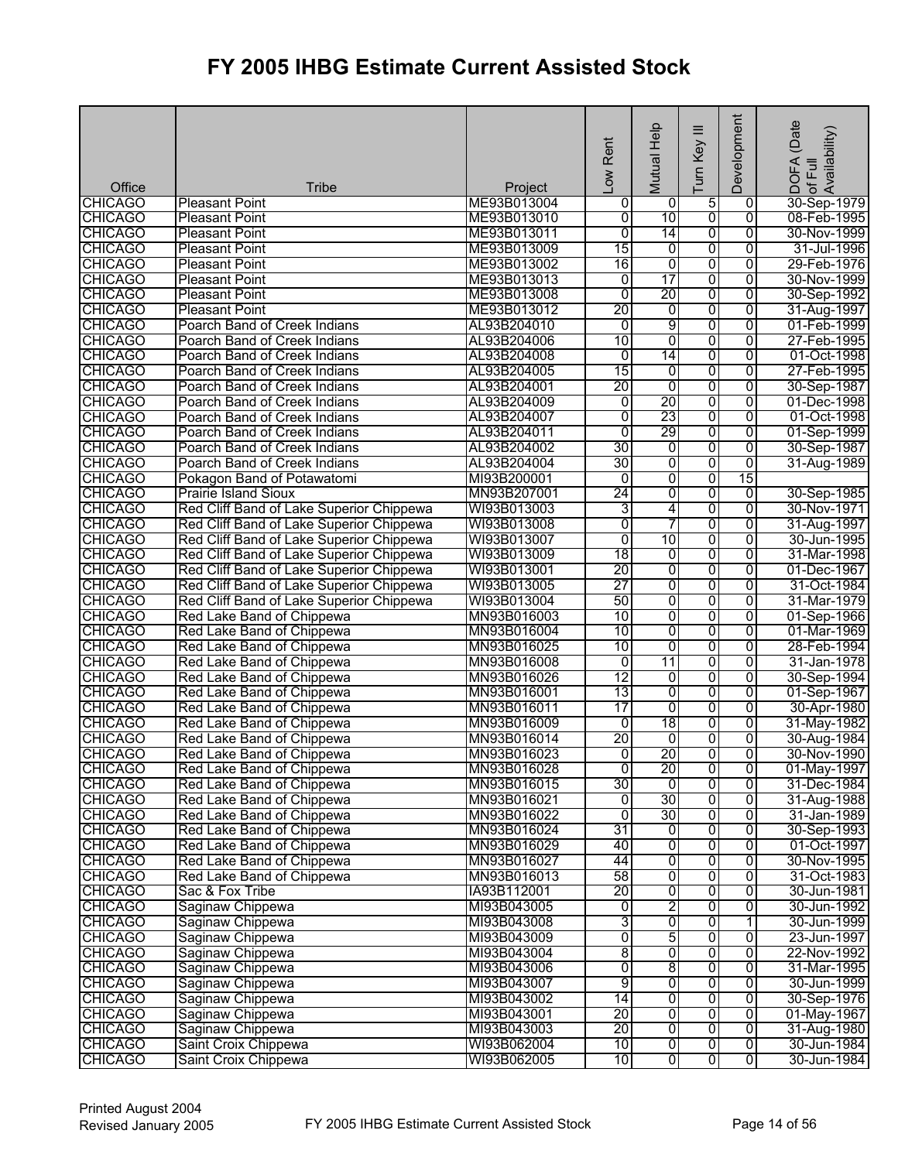| Office         | <b>Tribe</b>                             | Project     | Low Rent        | Mutual Help     | ≡<br>Turn Key           | Development    | (Date<br>¦DOFA (Date<br>)of Full<br>Availability) |
|----------------|------------------------------------------|-------------|-----------------|-----------------|-------------------------|----------------|---------------------------------------------------|
| <b>CHICAGO</b> | <b>Pleasant Point</b>                    | ME93B013004 | 0               | 0               | 5                       | 0              | 30-Sep-1979                                       |
| <b>CHICAGO</b> | <b>Pleasant Point</b>                    | ME93B013010 | 0               | 10              | $\overline{0}$          | $\overline{0}$ | 08-Feb-1995                                       |
| <b>CHICAGO</b> | <b>Pleasant Point</b>                    | ME93B013011 | $\overline{0}$  | 14              | 0                       | $\overline{0}$ | 30-Nov-1999                                       |
| <b>CHICAGO</b> | <b>Pleasant Point</b>                    | ME93B013009 | 15              | 0               | $\overline{0}$          | 0              | 31-Jul-1996                                       |
| <b>CHICAGO</b> | <b>Pleasant Point</b>                    | ME93B013002 | 16              | $\overline{0}$  | 0                       | $\overline{0}$ | 29-Feb-1976                                       |
| <b>CHICAGO</b> | <b>Pleasant Point</b>                    | ME93B013013 | $\overline{0}$  | 17              | 0                       | $\overline{0}$ | 30-Nov-1999                                       |
| <b>CHICAGO</b> | <b>Pleasant Point</b>                    | ME93B013008 | $\overline{0}$  | $\overline{20}$ | $\overline{0}$          | $\overline{0}$ | 30-Sep-1992                                       |
| <b>CHICAGO</b> | <b>Pleasant Point</b>                    | ME93B013012 | 20              | 0               | 0                       | 0              | 31-Aug-1997                                       |
| <b>CHICAGO</b> | Poarch Band of Creek Indians             | AL93B204010 | $\overline{0}$  | 9               | 0                       | $\overline{0}$ | 01-Feb-1999                                       |
| <b>CHICAGO</b> | Poarch Band of Creek Indians             | AL93B204006 | 10              | 0               | 0                       | $\overline{0}$ | 27-Feb-1995                                       |
| <b>CHICAGO</b> | Poarch Band of Creek Indians             | AL93B204008 | $\overline{0}$  | 14              | 0                       | $\overline{0}$ | 01-Oct-1998                                       |
| <b>CHICAGO</b> | Poarch Band of Creek Indians             | AL93B204005 | 15              | 0               | 0                       | $\overline{0}$ | 27-Feb-1995                                       |
| <b>CHICAGO</b> | Poarch Band of Creek Indians             | AL93B204001 | 20              | $\overline{0}$  | 0                       | $\overline{0}$ | 30-Sep-1987                                       |
| <b>CHICAGO</b> | Poarch Band of Creek Indians             | AL93B204009 | 0               | $\overline{20}$ | $\overline{0}$          | $\overline{0}$ | 01-Dec-1998                                       |
| <b>CHICAGO</b> | Poarch Band of Creek Indians             | AL93B204007 | 0               | 23              | 0                       | $\overline{0}$ | 01-Oct-1998                                       |
| <b>CHICAGO</b> | Poarch Band of Creek Indians             | AL93B204011 | 0               | 29              | 0                       | 0              | 01-Sep-1999                                       |
| <b>CHICAGO</b> | Poarch Band of Creek Indians             | AL93B204002 | 30              | 0               | 0                       | 0              | 30-Sep-1987                                       |
| <b>CHICAGO</b> | Poarch Band of Creek Indians             | AL93B204004 | 30              | $\overline{0}$  | 0                       | $\overline{0}$ | 31-Aug-1989                                       |
| <b>CHICAGO</b> | Pokagon Band of Potawatomi               | MI93B200001 | $\overline{0}$  | 0               | 0                       | 15             |                                                   |
| <b>CHICAGO</b> | <b>Prairie Island Sioux</b>              | MN93B207001 | $\overline{24}$ | 0               | $\overline{0}$          | 0              | 30-Sep-1985                                       |
| <b>CHICAGO</b> | Red Cliff Band of Lake Superior Chippewa | WI93B013003 | 3               | $\overline{4}$  | 0                       | $\overline{0}$ | 30-Nov-1971                                       |
| <b>CHICAGO</b> | Red Cliff Band of Lake Superior Chippewa | WI93B013008 | 0               | 7               | $\overline{0}$          | $\overline{0}$ | 31-Aug-1997                                       |
| <b>CHICAGO</b> | Red Cliff Band of Lake Superior Chippewa | WI93B013007 | 0               | 10              | 0                       | 0              | 30-Jun-1995                                       |
| <b>CHICAGO</b> | Red Cliff Band of Lake Superior Chippewa | WI93B013009 | 18              | 0               | 0                       | $\overline{0}$ | 31-Mar-1998                                       |
| <b>CHICAGO</b> | Red Cliff Band of Lake Superior Chippewa | WI93B013001 | 20              | $\overline{0}$  | 0                       | $\overline{0}$ | 01-Dec-1967                                       |
| <b>CHICAGO</b> | Red Cliff Band of Lake Superior Chippewa | WI93B013005 | 27              | $\overline{0}$  | $\overline{0}$          | 0              | 31-Oct-1984                                       |
| <b>CHICAGO</b> | Red Cliff Band of Lake Superior Chippewa | WI93B013004 | 50              | 0               | 0                       | 0              | 31-Mar-1979                                       |
| <b>CHICAGO</b> | Red Lake Band of Chippewa                | MN93B016003 | 10              | 0               | 0                       | $\overline{0}$ | 01-Sep-1966                                       |
| <b>CHICAGO</b> | Red Lake Band of Chippewa                | MN93B016004 | 10              | 0               | 0                       | $\overline{0}$ | 01-Mar-1969                                       |
| <b>CHICAGO</b> | Red Lake Band of Chippewa                | MN93B016025 | 10              | $\overline{0}$  | 0                       | $\overline{0}$ | 28-Feb-1994                                       |
| <b>CHICAGO</b> | Red Lake Band of Chippewa                | MN93B016008 | $\overline{0}$  | 11              | 0                       | 0              | 31-Jan-1978                                       |
| <b>CHICAGO</b> | Red Lake Band of Chippewa                | MN93B016026 | $\overline{12}$ | 0               | 0                       | $\overline{0}$ | 30-Sep-1994                                       |
| <b>CHICAGO</b> | Red Lake Band of Chippewa                | MN93B016001 | 13              | 0               | 0                       | $\overline{0}$ | 01-Sep-1967                                       |
| <b>CHICAGO</b> | Red Lake Band of Chippewa                | MN93B016011 | 17              | 0               | 0                       | $\overline{0}$ | 30-Apr-1980                                       |
| <b>CHICAGO</b> | Red Lake Band of Chippewa                | MN93B016009 | $\overline{0}$  | 18              | 0                       | $\overline{0}$ | 31-May-1982                                       |
| <b>CHICAGO</b> | Red Lake Band of Chippewa                | MN93B016014 | 20              | o               | 0                       | 0              | 30-Aug-1984                                       |
| <b>CHICAGO</b> | Red Lake Band of Chippewa                | MN93B016023 | ō               | 20              | 0                       | 0              | 30-Nov-1990                                       |
| <b>CHICAGO</b> | Red Lake Band of Chippewa                | MN93B016028 | ō               | 20              | 0                       | 0              | 01-May-1997                                       |
| <b>CHICAGO</b> | Red Lake Band of Chippewa                | MN93B016015 | 30              | 0               | 0                       | 0              | 31-Dec-1984                                       |
| <b>CHICAGO</b> | Red Lake Band of Chippewa                | MN93B016021 | $\overline{0}$  | 30              | $\overline{0}$          | 0              | 31-Aug-1988                                       |
| <b>CHICAGO</b> | Red Lake Band of Chippewa                | MN93B016022 | $\overline{0}$  | 30              | $\overline{0}$          | $\overline{0}$ | 31-Jan-1989                                       |
| <b>CHICAGO</b> | Red Lake Band of Chippewa                | MN93B016024 | 31              | $\overline{0}$  | $\overline{0}$          | 0              | 30-Sep-1993                                       |
| <b>CHICAGO</b> | Red Lake Band of Chippewa                | MN93B016029 | 40              | 0               | 0                       | 0              | 01-Oct-1997                                       |
| <b>CHICAGO</b> | Red Lake Band of Chippewa                | MN93B016027 | 44              | $\overline{0}$  | 0                       | 0              | 30-Nov-1995                                       |
| <b>CHICAGO</b> | Red Lake Band of Chippewa                | MN93B016013 | 58              | $\overline{0}$  | $\overline{0}$          | $\overline{0}$ | 31-Oct-1983                                       |
| <b>CHICAGO</b> | Sac & Fox Tribe                          | IA93B112001 | 20              | $\overline{0}$  | 0                       | 0              | 30-Jun-1981                                       |
| <b>CHICAGO</b> | Saginaw Chippewa                         | MI93B043005 | $\overline{0}$  | $\overline{2}$  | $\overline{0}$          | 0              | 30-Jun-1992                                       |
| <b>CHICAGO</b> | Saginaw Chippewa                         | MI93B043008 | 3               | $\overline{0}$  | 0                       | 1              | 30-Jun-1999                                       |
| <b>CHICAGO</b> | Saginaw Chippewa                         | MI93B043009 | $\overline{0}$  | 5               | 0                       | $\overline{0}$ | 23-Jun-1997                                       |
| <b>CHICAGO</b> | Saginaw Chippewa                         | MI93B043004 | 8               | $\overline{0}$  | 0                       | 0              | 22-Nov-1992                                       |
| <b>CHICAGO</b> | Saginaw Chippewa                         | MI93B043006 | 0               | 8               | $\overline{0}$          | 0              | 31-Mar-1995                                       |
| <b>CHICAGO</b> | Saginaw Chippewa                         | MI93B043007 | 9               | $\overline{0}$  | $\overline{0}$          | 0              | 30-Jun-1999                                       |
| <b>CHICAGO</b> | Saginaw Chippewa                         | MI93B043002 | 14              | $\overline{0}$  | $\overline{0}$          | $\overline{0}$ | 30-Sep-1976                                       |
| <b>CHICAGO</b> | Saginaw Chippewa                         | MI93B043001 | 20              | $\overline{0}$  | $\overline{0}$          | $\overline{0}$ | 01-May-1967                                       |
| <b>CHICAGO</b> | Saginaw Chippewa                         | MI93B043003 | 20              | 0               | 0                       | $\overline{0}$ | 31-Aug-1980                                       |
| <b>CHICAGO</b> | Saint Croix Chippewa                     | WI93B062004 | 10              | $\overline{0}$  | $\overline{0}$          | ō              | 30-Jun-1984                                       |
| <b>CHICAGO</b> | Saint Croix Chippewa                     | WI93B062005 | 10              | $\overline{0}$  | $\overline{\mathbf{0}}$ | $\overline{0}$ | 30-Jun-1984                                       |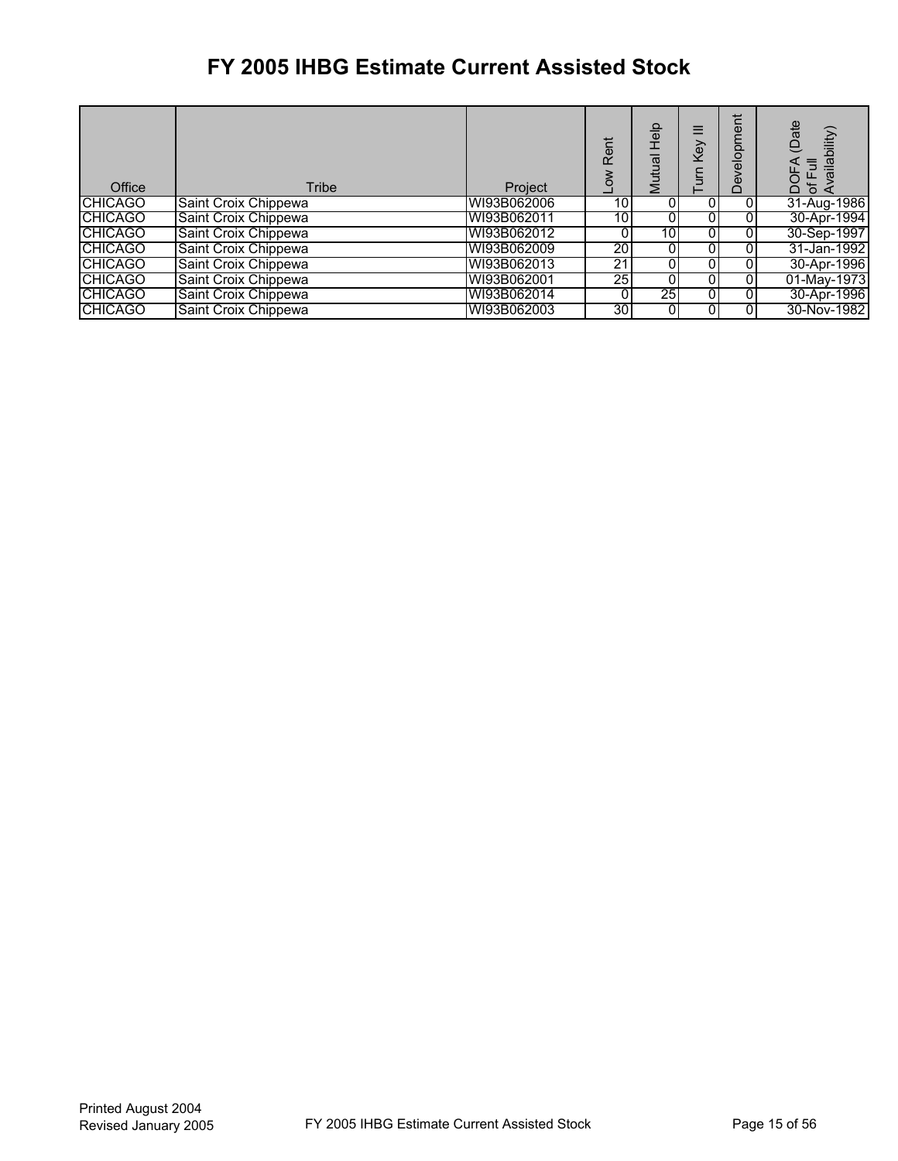| Office         | Tribe                | Project     | Rent<br>š       | 음<br>모<br>Mutual | Key            | Ë<br>$\bar{\mathbb{Q}}$<br>ō<br>$\frac{\overline{0}}{\overline{0}}$<br>б<br>ó | (Date<br>bility)<br>同<br>Full<br>p<br>'চ ≼<br>Ă |
|----------------|----------------------|-------------|-----------------|------------------|----------------|-------------------------------------------------------------------------------|-------------------------------------------------|
| <b>CHICAGO</b> | Saint Croix Chippewa | WI93B062006 | 10 <sub>1</sub> | 0                | 0              |                                                                               | 31-Aug-1986                                     |
| <b>CHICAGO</b> | Saint Croix Chippewa | WI93B062011 | 10 <sub>1</sub> |                  | 0              |                                                                               | 30-Apr-1994                                     |
| <b>CHICAGO</b> | Saint Croix Chippewa | WI93B062012 |                 | 10 <sub>1</sub>  | $\overline{0}$ |                                                                               | 30-Sep-1997                                     |
| <b>CHICAGO</b> | Saint Croix Chippewa | WI93B062009 | 20              | 0                | 01             |                                                                               | 31-Jan-1992                                     |
| <b>CHICAGO</b> | Saint Croix Chippewa | WI93B062013 | 21              | 0                | 0              |                                                                               | 30-Apr-1996                                     |
| <b>CHICAGO</b> | Saint Croix Chippewa | WI93B062001 | 25              | 0                | 0              |                                                                               | 01-May-1973                                     |
| <b>CHICAGO</b> | Saint Croix Chippewa | WI93B062014 |                 | 25               | 0              |                                                                               | 30-Apr-1996                                     |
| <b>CHICAGO</b> | Saint Croix Chippewa | WI93B062003 | 30I             | 0                | 0              |                                                                               | 30-Nov-1982                                     |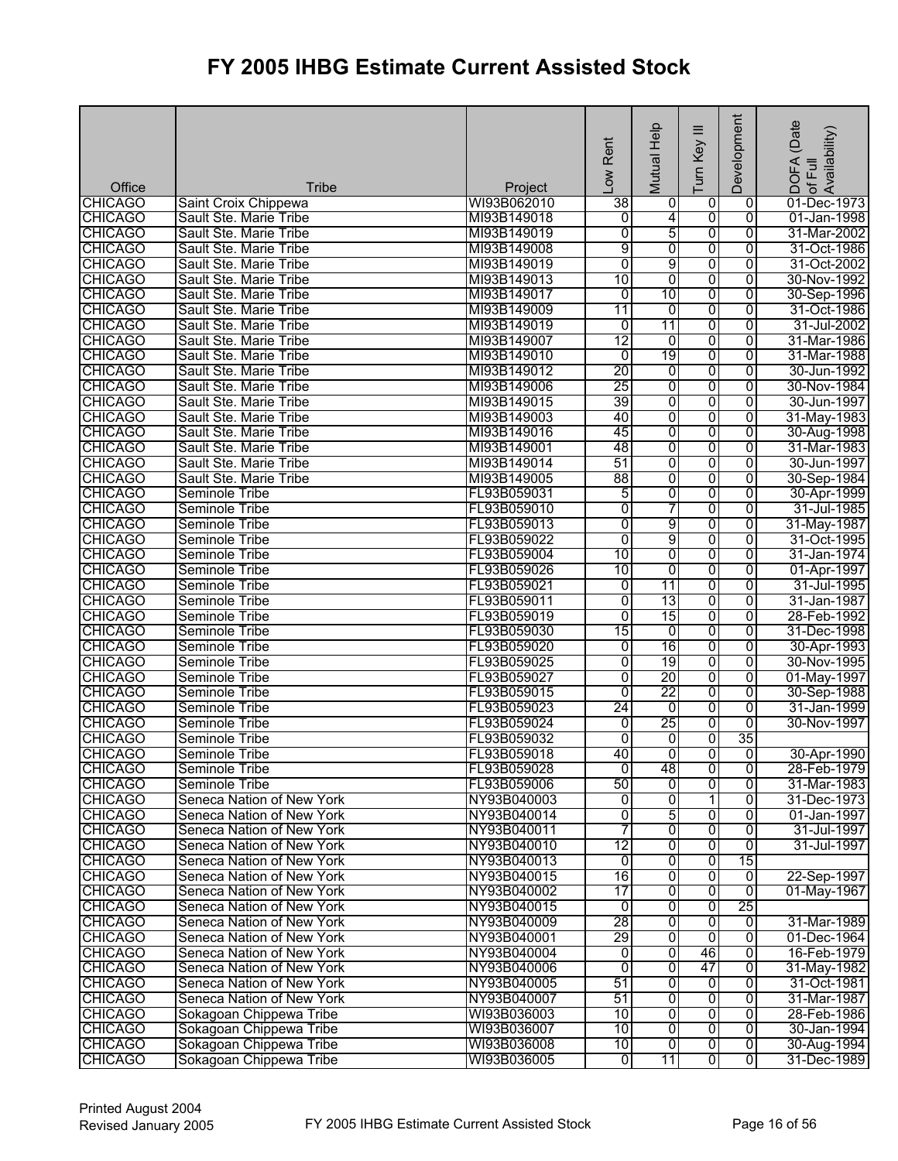| Office                           | <b>Tribe</b>                                           | Project                    | Low Rent        | Mutual Help         | ≡<br>Turn Key                    | Development         | (Date<br>lof Full<br>Availability)<br>DOFA |
|----------------------------------|--------------------------------------------------------|----------------------------|-----------------|---------------------|----------------------------------|---------------------|--------------------------------------------|
| <b>CHICAGO</b>                   | Saint Croix Chippewa                                   | WI93B062010                | $\overline{38}$ | 0                   | 0                                | $\overline{0}$      | 01-Dec-1973                                |
| <b>CHICAGO</b>                   | Sault Ste. Marie Tribe                                 | MI93B149018                | Ō               | $\overline{4}$      | 0                                | $\overline{0}$      | 01-Jan-1998                                |
| <b>CHICAGO</b>                   | Sault Ste. Marie Tribe                                 | MI93B149019                | $\overline{0}$  | 5                   | 0                                | $\overline{0}$      | 31-Mar-2002                                |
| <b>CHICAGO</b>                   | Sault Ste. Marie Tribe                                 | MI93B149008                | 9               | 0                   | $\overline{0}$                   | 0                   | 31-Oct-1986                                |
| <b>CHICAGO</b>                   | Sault Ste. Marie Tribe                                 | MI93B149019                | $\overline{0}$  | 9                   | 0                                | $\overline{0}$      | 31-Oct-2002                                |
| <b>CHICAGO</b>                   | Sault Ste. Marie Tribe                                 | MI93B149013                | 10              | $\overline{0}$      | 0                                | $\overline{0}$      | 30-Nov-1992                                |
| <b>CHICAGO</b>                   | Sault Ste. Marie Tribe                                 | MI93B149017                | 0               | 10                  | $\overline{0}$                   | 0                   | 30-Sep-1996                                |
| <b>CHICAGO</b>                   | Sault Ste. Marie Tribe                                 | MI93B149009                | 11              | 0                   | 0                                | $\overline{0}$      | 31-Oct-1986                                |
| <b>CHICAGO</b>                   | Sault Ste. Marie Tribe                                 | MI93B149019                | 0               | 11                  | $\overline{0}$                   | $\overline{0}$      | 31-Jul-2002                                |
| <b>CHICAGO</b>                   | Sault Ste. Marie Tribe                                 | MI93B149007                | 12              | 0                   | $\overline{0}$                   | $\overline{0}$      | 31-Mar-1986                                |
| <b>CHICAGO</b>                   | Sault Ste. Marie Tribe                                 | MI93B149010                | $\overline{0}$  | 19                  | 0                                | $\overline{0}$      | 31-Mar-1988                                |
| <b>CHICAGO</b>                   | Sault Ste. Marie Tribe                                 | MI93B149012                | 20              | $\overline{0}$      | 0                                | $\overline{0}$      | 30-Jun-1992                                |
| <b>CHICAGO</b>                   | Sault Ste. Marie Tribe                                 | MI93B149006                | 25              | 0                   | 0                                | $\overline{0}$      | 30-Nov-1984                                |
| <b>CHICAGO</b>                   | Sault Ste. Marie Tribe                                 | MI93B149015                | 39              | $\overline{0}$      | $\overline{0}$                   | 0                   | 30-Jun-1997                                |
| <b>CHICAGO</b>                   | Sault Ste. Marie Tribe                                 | MI93B149003                | 40              | 0                   | 0                                | $\overline{0}$      | 31-May-1983                                |
| <b>CHICAGO</b>                   | Sault Ste. Marie Tribe                                 | MI93B149016                | 45              | 0                   | 0                                | 0                   | 30-Aug-1998                                |
| <b>CHICAGO</b>                   | Sault Ste. Marie Tribe                                 | MI93B149001                | 48              | 0                   | 0                                | 0                   | 31-Mar-1983                                |
| <b>CHICAGO</b>                   | Sault Ste. Marie Tribe                                 | MI93B149014                | 51              | $\overline{0}$      | 0                                | $\overline{0}$      | 30-Jun-1997                                |
| <b>CHICAGO</b>                   | Sault Ste. Marie Tribe                                 | MI93B149005                | 88              | 0                   | 0                                | 0                   | 30-Sep-1984                                |
| <b>CHICAGO</b>                   | Seminole Tribe                                         | FL93B059031                | 5               | $\overline{0}$      | $\overline{0}$                   | 0                   | 30-Apr-1999                                |
| <b>CHICAGO</b>                   | Seminole Tribe                                         | FL93B059010                | 0               | 7                   | 0                                | 0                   | 31-Jul-1985                                |
| <b>CHICAGO</b>                   | <b>Seminole Tribe</b>                                  | FL93B059013                | 0               | 9                   | $\overline{0}$                   | $\overline{0}$      | 31-May-1987                                |
| <b>CHICAGO</b>                   | Seminole Tribe                                         | FL93B059022                | 0               | 9                   | 0                                | 0                   | 31-Oct-1995                                |
| <b>CHICAGO</b>                   | Seminole Tribe                                         | FL93B059004                | 10              | 0                   | 0                                | $\overline{0}$      | 31-Jan-1974                                |
| <b>CHICAGO</b>                   | Seminole Tribe                                         | FL93B059026                | 10              | $\overline{0}$      | 0                                | $\overline{0}$      | 01-Apr-1997                                |
| <b>CHICAGO</b>                   | Seminole Tribe                                         | FL93B059021                | 0               | $\overline{11}$     | $\overline{0}$                   | 0                   | 31-Jul-1995                                |
| <b>CHICAGO</b>                   | <b>Seminole Tribe</b>                                  | FL93B059011                | 0               | 13                  | 0                                | 0                   | 31-Jan-1987                                |
| <b>CHICAGO</b>                   | Seminole Tribe                                         | FL93B059019                | $\overline{0}$  | 15                  | 0                                | $\overline{0}$      | 28-Feb-1992                                |
| <b>CHICAGO</b>                   | Seminole Tribe                                         | FL93B059030                | 15              | 0                   | 0                                | $\overline{0}$      | 31-Dec-1998                                |
| <b>CHICAGO</b>                   | Seminole Tribe                                         | FL93B059020                | $\overline{0}$  | 16                  | 0                                | $\overline{0}$      | 30-Apr-1993                                |
| <b>CHICAGO</b>                   | <b>Seminole Tribe</b>                                  | FL93B059025                | 0               | 19                  | 0                                | $\overline{0}$      | 30-Nov-1995                                |
| <b>CHICAGO</b>                   | Seminole Tribe                                         | FL93B059027                | 0               | $\overline{20}$     | 0                                | 0                   | 01-May-1997                                |
| <b>CHICAGO</b>                   | Seminole Tribe                                         | FL93B059015                | 0               | 22                  | $\overline{0}$                   | 0                   | 30-Sep-1988                                |
| <b>CHICAGO</b>                   | Seminole Tribe                                         | FL93B059023                | 24              | 0                   | $\overline{0}$                   | $\overline{0}$      | 31-Jan-1999                                |
| <b>CHICAGO</b>                   | <b>Seminole Tribe</b>                                  | FL93B059024                | $\overline{0}$  | 25                  | 0                                | $\overline{0}$      | 30-Nov-1997                                |
| <b>CHICAGO</b>                   | Seminole Tribe                                         | FL93B059032                | $\overline{0}$  | 0                   | 0                                | 35                  |                                            |
| <b>CHICAGO</b>                   | Seminole Tribe                                         | FL93B059018                | 40              | $\overline{0}$      | $\overline{0}$                   | ō                   | 30-Apr-1990                                |
| <b>CHICAGO</b>                   | Seminole Tribe                                         | FL93B059028                | ō               | 48                  | o                                | 0                   | 28-Feb-1979                                |
| <b>CHICAGO</b>                   | Seminole Tribe                                         | FL93B059006                | 50              | 0                   | 0                                | 0                   | 31-Mar-1983                                |
| <b>CHICAGO</b>                   | Seneca Nation of New York                              | NY93B040003                | ō               | 0                   | 1                                | 0                   | 31-Dec-1973                                |
| <b>CHICAGO</b>                   | Seneca Nation of New York                              | NY93B040014                | $\overline{0}$  | 5                   | 0                                | 0                   | 01-Jan-1997                                |
| <b>CHICAGO</b>                   | Seneca Nation of New York                              | NY93B040011                | 7               | $\overline{0}$      | 0                                | 0                   | 31-Jul-1997                                |
| <b>CHICAGO</b>                   | Seneca Nation of New York                              | NY93B040010                | 12              | 0                   | $\overline{0}$                   | 0                   | 31-Jul-1997                                |
| <b>CHICAGO</b>                   | Seneca Nation of New York                              | NY93B040013                | ō               | $\overline{0}$      | $\overline{0}$                   | 15                  |                                            |
| <b>CHICAGO</b>                   | Seneca Nation of New York                              | NY93B040015                | 16              | $\overline{0}$      | $\overline{0}$                   | $\overline{0}$      | 22-Sep-1997                                |
| <b>CHICAGO</b>                   | Seneca Nation of New York                              | NY93B040002                | $\overline{17}$ | $\overline{0}$      | 0                                | $\overline{0}$      | 01-May-1967                                |
| <b>CHICAGO</b>                   | Seneca Nation of New York                              | NY93B040015                | $\overline{0}$  | 0                   | 0                                | 25                  |                                            |
| <b>CHICAGO</b>                   | Seneca Nation of New York                              | NY93B040009<br>NY93B040001 | 28<br>29        | $\overline{0}$<br>0 | $\overline{0}$<br>$\overline{0}$ | 0<br>$\overline{0}$ | 31-Mar-1989                                |
| <b>CHICAGO</b>                   | Seneca Nation of New York                              |                            |                 |                     |                                  |                     | 01-Dec-1964                                |
| <b>CHICAGO</b>                   | Seneca Nation of New York                              | NY93B040004                | 0               | $\overline{0}$      | 46                               | 0                   | 16-Feb-1979                                |
| <b>CHICAGO</b>                   | Seneca Nation of New York                              | NY93B040006                | 0<br>51         | 0<br>$\overline{0}$ | 47<br>$\overline{0}$             | 0<br>$\overline{0}$ | 31-May-1982                                |
| <b>CHICAGO</b>                   | Seneca Nation of New York<br>Seneca Nation of New York | NY93B040005                | 51              | ō                   |                                  | $\overline{0}$      | 31-Oct-1981                                |
| <b>CHICAGO</b><br><b>CHICAGO</b> | Sokagoan Chippewa Tribe                                | NY93B040007<br>WI93B036003 | 10              | $\overline{0}$      | $\overline{0}$<br>0              | $\overline{0}$      | 31-Mar-1987<br>28-Feb-1986                 |
| <b>CHICAGO</b>                   | Sokagoan Chippewa Tribe                                | WI93B036007                | 10              | 0                   | $\overline{0}$                   | $\overline{0}$      | 30-Jan-1994                                |
| <b>CHICAGO</b>                   | Sokagoan Chippewa Tribe                                | WI93B036008                | 10              | $\overline{0}$      | $\overline{0}$                   | ō                   | 30-Aug-1994                                |
| <b>CHICAGO</b>                   | Sokagoan Chippewa Tribe                                | WI93B036005                | $\overline{0}$  | 11                  | $\overline{0}$                   | $\overline{0}$      | 31-Dec-1989                                |
|                                  |                                                        |                            |                 |                     |                                  |                     |                                            |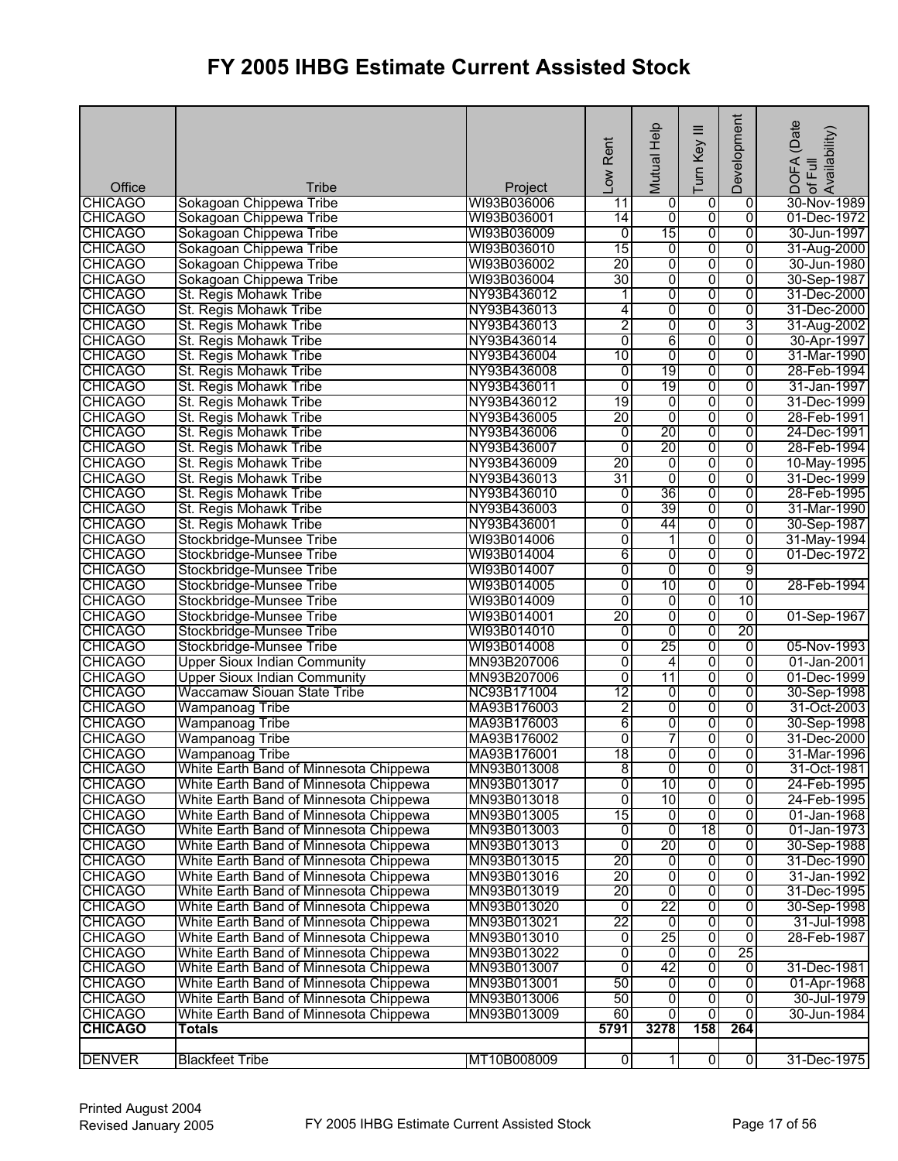| Office                           | Tribe                                            | Project                    | Low Rent                         | Mutual Help         | $\equiv$<br>Turn Key | Development    | (Date<br>DOFA (Date<br>:of Full<br>Availability) |
|----------------------------------|--------------------------------------------------|----------------------------|----------------------------------|---------------------|----------------------|----------------|--------------------------------------------------|
| <b>CHICAGO</b>                   | Sokagoan Chippewa Tribe                          | WI93B036006                | 11                               | 0                   | 0                    | 0              | 30-Nov-1989                                      |
| <b>CHICAGO</b>                   | Sokagoan Chippewa Tribe                          | WI93B036001                | 14                               | 0                   | $\overline{0}$       | $\overline{0}$ | 01-Dec-1972                                      |
| <b>CHICAGO</b>                   | Sokagoan Chippewa Tribe                          | WI93B036009                | $\overline{0}$                   | 15                  | 0                    | $\overline{0}$ | 30-Jun-1997                                      |
| <b>CHICAGO</b>                   | Sokagoan Chippewa Tribe                          | WI93B036010                | 15                               | 0                   | 0                    | 0              | 31-Aug-2000                                      |
| <b>CHICAGO</b>                   | Sokagoan Chippewa Tribe                          | WI93B036002                | 20<br>30                         | $\overline{0}$      | 0                    | $\overline{0}$ | 30-Jun-1980                                      |
| <b>CHICAGO</b>                   | Sokagoan Chippewa Tribe                          | WI93B036004                |                                  | 0                   | 0                    | $\overline{0}$ | 30-Sep-1987                                      |
| <b>CHICAGO</b>                   | St. Regis Mohawk Tribe                           | NY93B436012                | 1                                | 0                   | $\overline{0}$<br>0  | $\overline{0}$ | 31-Dec-2000                                      |
| <b>CHICAGO</b>                   | St. Regis Mohawk Tribe                           | NY93B436013<br>NY93B436013 | 4                                | 0<br>0              | 0                    | 0<br>3         | 31-Dec-2000                                      |
| <b>CHICAGO</b>                   | St. Regis Mohawk Tribe<br>St. Regis Mohawk Tribe | NY93B436014                | 2<br>$\overline{0}$              | 6                   | 0                    | $\overline{0}$ | 31-Aug-2002                                      |
| <b>CHICAGO</b><br><b>CHICAGO</b> | St. Regis Mohawk Tribe                           | NY93B436004                | 10                               | 0                   | 0                    | $\overline{0}$ | 30-Apr-1997<br>31-Mar-1990                       |
| <b>CHICAGO</b>                   |                                                  | NY93B436008                |                                  | 19                  |                      | 0              | 28-Feb-1994                                      |
|                                  | St. Regis Mohawk Tribe                           | NY93B436011                | $\overline{0}$<br>$\overline{0}$ | 19                  | $\overline{0}$<br>0  | 0              | 31-Jan-1997                                      |
| <b>CHICAGO</b>                   | St. Regis Mohawk Tribe                           |                            | 19                               |                     | $\overline{0}$       | $\overline{0}$ |                                                  |
| <b>CHICAGO</b><br><b>CHICAGO</b> | St. Regis Mohawk Tribe<br>St. Regis Mohawk Tribe | NY93B436012<br>NY93B436005 | 20                               | $\overline{0}$<br>0 | 0                    | 0              | 31-Dec-1999<br>28-Feb-1991                       |
| <b>CHICAGO</b>                   | St. Regis Mohawk Tribe                           | NY93B436006                | $\overline{0}$                   | 20                  | 0                    | 0              |                                                  |
| <b>CHICAGO</b>                   | St. Regis Mohawk Tribe                           | NY93B436007                | $\overline{0}$                   | 20                  |                      | 0              | 24-Dec-1991<br>28-Feb-1994                       |
|                                  | St. Regis Mohawk Tribe                           | NY93B436009                | 20                               | 0                   | 0<br>0               | $\overline{0}$ | 10-May-1995                                      |
| <b>CHICAGO</b><br><b>CHICAGO</b> | St. Regis Mohawk Tribe                           | NY93B436013                | 31                               | 0                   | 0                    | 0              | 31-Dec-1999                                      |
| <b>CHICAGO</b>                   | St. Regis Mohawk Tribe                           | NY93B436010                | 0                                | 36                  | $\overline{0}$       | 0              | 28-Feb-1995                                      |
| <b>CHICAGO</b>                   | St. Regis Mohawk Tribe                           | NY93B436003                | 0                                | 39                  | 0                    | 0              | 31-Mar-1990                                      |
| <b>CHICAGO</b>                   | St. Regis Mohawk Tribe                           | NY93B436001                | $\overline{0}$                   | 44                  | 0                    | $\overline{0}$ | 30-Sep-1987                                      |
| <b>CHICAGO</b>                   | Stockbridge-Munsee Tribe                         | WI93B014006                | 0                                | 1                   | 0                    | 0              | 31-May-1994                                      |
| <b>CHICAGO</b>                   | Stockbridge-Munsee Tribe                         | WI93B014004                | 6                                | 0                   | 0                    | $\overline{0}$ | 01-Dec-1972                                      |
| <b>CHICAGO</b>                   | Stockbridge-Munsee Tribe                         | WI93B014007                | 0                                | 0                   | 0                    | 9              |                                                  |
| <b>CHICAGO</b>                   | Stockbridge-Munsee Tribe                         | WI93B014005                | $\overline{0}$                   | 10                  | $\overline{0}$       | $\overline{0}$ | 28-Feb-1994                                      |
| <b>CHICAGO</b>                   | Stockbridge-Munsee Tribe                         | WI93B014009                | $\overline{0}$                   | $\overline{0}$      | 0                    | 10             |                                                  |
| <b>CHICAGO</b>                   | Stockbridge-Munsee Tribe                         | WI93B014001                | 20                               | $\overline{0}$      | 0                    | $\overline{0}$ | 01-Sep-1967                                      |
| <b>CHICAGO</b>                   | Stockbridge-Munsee Tribe                         | WI93B014010                | $\overline{0}$                   | $\overline{0}$      | $\overline{0}$       | 20             |                                                  |
| <b>CHICAGO</b>                   | Stockbridge-Munsee Tribe                         | WI93B014008                | $\overline{0}$                   | 25                  | 0                    | $\overline{0}$ | 05-Nov-1993                                      |
| <b>CHICAGO</b>                   | <b>Upper Sioux Indian Community</b>              | MN93B207006                | $\overline{0}$                   | 4                   | 0                    | $\overline{0}$ | 01-Jan-2001                                      |
| <b>CHICAGO</b>                   | <b>Upper Sioux Indian Community</b>              | MN93B207006                | $\overline{0}$                   | 11                  | $\overline{0}$       | $\overline{0}$ | 01-Dec-1999                                      |
| <b>CHICAGO</b>                   | <b>Waccamaw Siouan State Tribe</b>               | NC93B171004                | $\overline{12}$                  | 0                   | $\overline{0}$       | $\overline{0}$ | 30-Sep-1998                                      |
| <b>CHICAGO</b>                   | <b>Wampanoag Tribe</b>                           | MA93B176003                | $\overline{2}$                   | 0                   | 0                    | 0              | 31-Oct-2003                                      |
| <b>CHICAGO</b>                   | <b>Wampanoag Tribe</b>                           | MA93B176003                | 6                                | 0                   | 0                    | $\overline{0}$ | 30-Sep-1998                                      |
| <b>CHICAGO</b>                   | <b>Wampanoag Tribe</b>                           | MA93B176002                | 0                                | 7                   | 0                    | 0              | 31-Dec-2000                                      |
| <b>CHICAGO</b>                   | <b>Wampanoag Tribe</b>                           | MA93B176001                | 18                               | $\overline{0}$      | $\overline{0}$       | 0              | 31-Mar-1996                                      |
| <b>CHICAGO</b>                   | White Earth Band of Minnesota Chippewa           | MN93B013008                | 8                                | o                   | o                    | 0              | 31-Oct-1981                                      |
| <b>CHICAGO</b>                   | White Earth Band of Minnesota Chippewa           | MN93B013017                | 0                                | 10                  | 0                    | 0              | 24-Feb-1995                                      |
| <b>CHICAGO</b>                   | White Earth Band of Minnesota Chippewa           | MN93B013018                | 0                                | 10                  | 0                    | 0              | 24-Feb-1995                                      |
| <b>CHICAGO</b>                   | White Earth Band of Minnesota Chippewa           | MN93B013005                | 15                               | $\overline{0}$      | 0                    | 0              | 01-Jan-1968                                      |
| <b>CHICAGO</b>                   | White Earth Band of Minnesota Chippewa           | MN93B013003                | 0                                | 0                   | 18                   | 0              | 01-Jan-1973                                      |
| <b>CHICAGO</b>                   | White Earth Band of Minnesota Chippewa           | MN93B013013                | $\overline{0}$                   | 20                  | $\overline{0}$       | 0              | 30-Sep-1988                                      |
| <b>CHICAGO</b>                   | White Earth Band of Minnesota Chippewa           | MN93B013015                | 20                               | $\overline{0}$      | $\overline{0}$       | 0              | 31-Dec-1990                                      |
| <b>CHICAGO</b>                   | White Earth Band of Minnesota Chippewa           | MN93B013016                | 20                               | 0                   | $\overline{0}$       | $\overline{0}$ | 31-Jan-1992                                      |
| <b>CHICAGO</b>                   | White Earth Band of Minnesota Chippewa           | MN93B013019                | 20                               | Ō                   | 0                    | 0              | 31-Dec-1995                                      |
| <b>CHICAGO</b>                   | White Earth Band of Minnesota Chippewa           | MN93B013020                | $\overline{0}$                   | 22                  | 0                    | 0              | 30-Sep-1998                                      |
| <b>CHICAGO</b>                   | White Earth Band of Minnesota Chippewa           | MN93B013021                | 22                               | $\overline{0}$      | 0                    | 0              | 31-Jul-1998                                      |
| <b>CHICAGO</b>                   | White Earth Band of Minnesota Chippewa           | MN93B013010                | 0                                | 25                  | 0                    | $\overline{0}$ | 28-Feb-1987                                      |
| <b>CHICAGO</b>                   | White Earth Band of Minnesota Chippewa           | MN93B013022                | $\overline{0}$                   | Ō                   | 0                    | 25             |                                                  |
| <b>CHICAGO</b>                   | White Earth Band of Minnesota Chippewa           | MN93B013007                | 0                                | 42                  | 0                    | 0              | 31-Dec-1981                                      |
| <b>CHICAGO</b>                   | White Earth Band of Minnesota Chippewa           | MN93B013001                | 50                               | $\overline{0}$      | $\overline{0}$       | 0              | 01-Apr-1968                                      |
| <b>CHICAGO</b>                   | White Earth Band of Minnesota Chippewa           | MN93B013006                | 50                               | $\overline{0}$      | $\overline{0}$       | $\overline{0}$ | 30-Jul-1979                                      |
| <b>CHICAGO</b>                   | White Earth Band of Minnesota Chippewa           | MN93B013009                | 60                               | $\overline{0}$      | ō                    | $\overline{0}$ | 30-Jun-1984                                      |
| <b>CHICAGO</b>                   | <b>Totals</b>                                    |                            | 5791                             | 3278                | 158                  | 264            |                                                  |
|                                  |                                                  |                            |                                  |                     |                      |                |                                                  |
| <b>DENVER</b>                    | <b>Blackfeet Tribe</b>                           | MT10B008009                | 0                                | $\mathbf{1}$        | $\overline{0}$       | $\overline{0}$ | 31-Dec-1975                                      |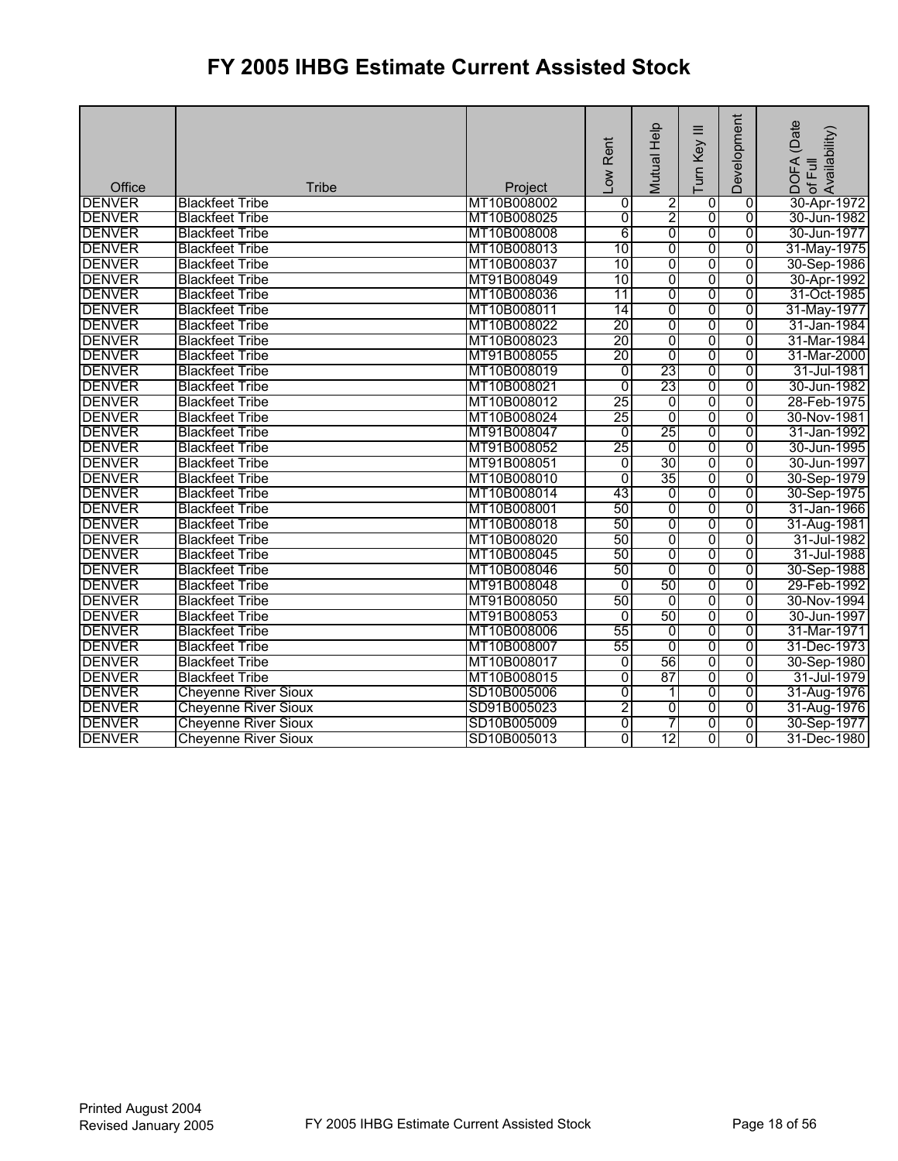|                                |                             |                            | -ow Rent                         | Help<br>Mutual                    | ≡<br>Turn Key                             | Development                      | (Date<br>of Full<br>Availability)<br>DOFA |
|--------------------------------|-----------------------------|----------------------------|----------------------------------|-----------------------------------|-------------------------------------------|----------------------------------|-------------------------------------------|
| Office                         | Tribe                       | Project                    |                                  |                                   |                                           |                                  |                                           |
| <b>DENVER</b>                  | <b>Blackfeet Tribe</b>      | MT10B008002                | 0                                | $\overline{2}$                    | $\overline{0}$                            | $\overline{0}$                   | 30-Apr-1972                               |
| <b>DENVER</b><br><b>DENVER</b> | <b>Blackfeet Tribe</b>      | MT10B008025<br>MT10B008008 | 0<br>6                           | $\overline{2}$<br>$\overline{0}$  | $\overline{0}$<br>$\overline{\mathbf{0}}$ | $\overline{0}$<br>0              | 30-Jun-1982<br>30-Jun-1977                |
| <b>DENVER</b>                  | <b>Blackfeet Tribe</b>      | MT10B008013                | 10                               | $\overline{0}$                    | 0                                         | $\overline{0}$                   |                                           |
| <b>DENVER</b>                  | <b>Blackfeet Tribe</b>      | MT10B008037                | 10                               | 0                                 |                                           |                                  | 31-May-1975                               |
|                                | <b>Blackfeet Tribe</b>      |                            |                                  |                                   | 0                                         | $\overline{0}$                   | 30-Sep-1986                               |
| <b>DENVER</b>                  | <b>Blackfeet Tribe</b>      | MT91B008049                | 10<br>11                         | 0<br>0                            | 0<br>$\overline{0}$                       | 0<br>$\overline{0}$              | 30-Apr-1992                               |
| <b>DENVER</b>                  | <b>Blackfeet Tribe</b>      | MT10B008036                | 14                               | 0                                 | 0                                         | $\overline{0}$                   | 31-Oct-1985                               |
| <b>DENVER</b><br><b>DENVER</b> | <b>Blackfeet Tribe</b>      | MT10B008011                | 20                               | 0                                 |                                           | $\overline{0}$                   | 31-May-1977                               |
|                                | <b>Blackfeet Tribe</b>      | MT10B008022                | 20                               |                                   | 0                                         |                                  | 31-Jan-1984                               |
| <b>DENVER</b>                  | <b>Blackfeet Tribe</b>      | MT10B008023                |                                  | 0                                 | 0                                         | $\overline{0}$                   | 31-Mar-1984                               |
| <b>DENVER</b>                  | <b>Blackfeet Tribe</b>      | MT91B008055                | 20                               | 0<br>23                           | 0                                         | $\overline{0}$                   | 31-Mar-2000                               |
| <b>DENVER</b>                  | <b>Blackfeet Tribe</b>      | MT10B008019<br>MT10B008021 | $\overline{0}$<br>$\overline{0}$ | 23                                | 0<br>$\overline{0}$                       | $\overline{0}$<br>$\overline{0}$ | 31-Jul-1981<br>30-Jun-1982                |
| <b>DENVER</b><br><b>DENVER</b> | <b>Blackfeet Tribe</b>      | MT10B008012                | 25                               |                                   |                                           |                                  |                                           |
|                                | <b>Blackfeet Tribe</b>      |                            |                                  | $\overline{0}$                    | $\overline{0}$                            | $\overline{0}$                   | 28-Feb-1975                               |
| <b>DENVER</b>                  | <b>Blackfeet Tribe</b>      | MT10B008024                | 25<br>$\overline{0}$             | $\overline{0}$<br>$\overline{25}$ | 0<br>Ō                                    | $\overline{0}$                   | 30-Nov-1981                               |
| <b>DENVER</b>                  | <b>Blackfeet Tribe</b>      | MT91B008047                |                                  |                                   |                                           | $\overline{0}$                   | 31-Jan-1992                               |
| <b>DENVER</b>                  | <b>Blackfeet Tribe</b>      | MT91B008052                | 25                               | $\overline{0}$                    | 0                                         | $\overline{0}$                   | 30-Jun-1995                               |
| <b>DENVER</b>                  | <b>Blackfeet Tribe</b>      | MT91B008051                | 0                                | 30                                | 0                                         | 0                                | 30-Jun-1997                               |
| <b>DENVER</b>                  | <b>Blackfeet Tribe</b>      | MT10B008010                | $\overline{0}$                   | 35                                | 0                                         | $\overline{0}$                   | 30-Sep-1979                               |
| <b>DENVER</b>                  | <b>Blackfeet Tribe</b>      | MT10B008014                | 43                               | 0                                 | 0                                         | $\overline{0}$                   | 30-Sep-1975                               |
| <b>DENVER</b>                  | <b>Blackfeet Tribe</b>      | MT10B008001                | 50                               | $\overline{0}$                    | 0                                         | 0                                | 31-Jan-1966                               |
| <b>DENVER</b>                  | <b>Blackfeet Tribe</b>      | MT10B008018                | 50                               | 0                                 | 0                                         | $\overline{0}$                   | 31-Aug-1981                               |
| <b>DENVER</b>                  | <b>Blackfeet Tribe</b>      | MT10B008020                | 50                               | 0                                 | 0                                         | $\overline{0}$                   | 31-Jul-1982                               |
| <b>DENVER</b>                  | <b>Blackfeet Tribe</b>      | MT10B008045                | 50                               | 0                                 | 0                                         | $\overline{0}$                   | 31-Jul-1988                               |
| <b>DENVER</b>                  | <b>Blackfeet Tribe</b>      | MT10B008046                | 50                               | 0                                 | $\overline{0}$                            | $\overline{0}$                   | 30-Sep-1988                               |
| <b>DENVER</b>                  | <b>Blackfeet Tribe</b>      | MT91B008048                | $\mathbf 0$                      | 50                                | $\overline{0}$                            | $\overline{0}$                   | 29-Feb-1992                               |
| <b>DENVER</b>                  | <b>Blackfeet Tribe</b>      | MT91B008050                | 50                               | $\overline{0}$                    | 0                                         | $\overline{0}$                   | 30-Nov-1994                               |
| <b>DENVER</b>                  | <b>Blackfeet Tribe</b>      | MT91B008053                | 0                                | 50                                | 0                                         | $\overline{0}$                   | 30-Jun-1997                               |
| <b>DENVER</b>                  | <b>Blackfeet Tribe</b>      | MT10B008006                | 55                               | Ō                                 | $\overline{0}$                            | 0                                | 31-Mar-1971                               |
| <b>DENVER</b>                  | <b>Blackfeet Tribe</b>      | MT10B008007                | 55                               | 0                                 | 0                                         | $\overline{0}$                   | 31-Dec-1973                               |
| <b>DENVER</b>                  | <b>Blackfeet Tribe</b>      | MT10B008017                | $\overline{0}$                   | 56                                | $\overline{0}$                            | $\overline{0}$                   | 30-Sep-1980                               |
| <b>DENVER</b>                  | <b>Blackfeet Tribe</b>      | MT10B008015                | $\overline{0}$                   | 87                                | 0                                         | $\overline{0}$                   | 31-Jul-1979                               |
| <b>DENVER</b>                  | <b>Cheyenne River Sioux</b> | SD10B005006                | $\overline{0}$                   | 11                                | $\overline{0}$                            | 0                                | 31-Aug-1976                               |
| <b>DENVER</b>                  | <b>Cheyenne River Sioux</b> | SD91B005023                | 2                                | 0                                 | $\overline{0}$                            | $\overline{0}$                   | 31-Aug-1976                               |
| <b>DENVER</b>                  | <b>Cheyenne River Sioux</b> | SD10B005009                | $\overline{0}$                   | 7                                 | $\overline{0}$                            | $\overline{0}$                   | 30-Sep-1977                               |
| <b>DENVER</b>                  | <b>Cheyenne River Sioux</b> | SD10B005013                | 0                                | 12                                | 0                                         | $\overline{0}$                   | 31-Dec-1980                               |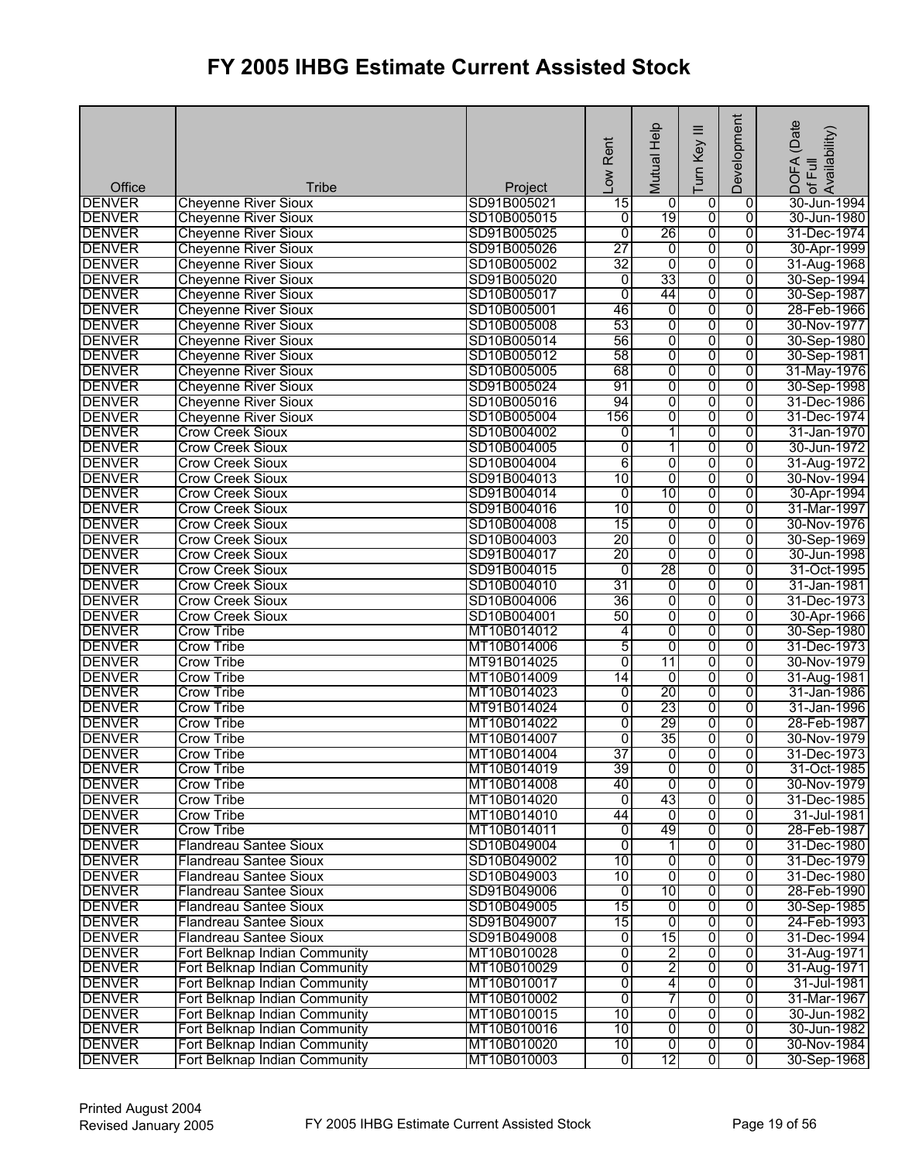| Office                         | <b>Tribe</b>                                                   | Project                    | Rent<br>Low     | Mutual Help              | ≡<br>Turn Key           | Development                      | (Date<br>DOFA (Date<br>of Full<br>Availability) |
|--------------------------------|----------------------------------------------------------------|----------------------------|-----------------|--------------------------|-------------------------|----------------------------------|-------------------------------------------------|
| <b>DENVER</b>                  | <b>Cheyenne River Sioux</b>                                    | SD91B005021                | 15              | 0                        | 0                       | 0                                | 30-Jun-1994                                     |
| <b>DENVER</b>                  | <b>Cheyenne River Sioux</b>                                    | SD10B005015                | 0               | 19                       | ō                       | $\overline{0}$                   | 30-Jun-1980                                     |
| <b>DENVER</b>                  | <b>Cheyenne River Sioux</b>                                    | SD91B005025                | $\overline{0}$  | 26                       | 0                       | $\overline{0}$                   | 31-Dec-1974                                     |
| <b>DENVER</b>                  | <b>Cheyenne River Sioux</b>                                    | SD91B005026                | 27              | $\overline{0}$           | 0                       | 0                                | 30-Apr-1999                                     |
| <b>DENVER</b>                  | <b>Cheyenne River Sioux</b>                                    | SD10B005002                | 32              | 0                        | 0                       | 0                                | 31-Aug-1968                                     |
| <b>DENVER</b>                  | <b>Cheyenne River Sioux</b>                                    | SD91B005020                | $\overline{0}$  | 33                       | 0                       | $\overline{0}$                   | 30-Sep-1994                                     |
| <b>DENVER</b>                  | <b>Cheyenne River Sioux</b>                                    | SD10B005017                | $\mathbf 0$     | 44                       | 0                       | $\mathbf 0$                      | 30-Sep-1987                                     |
| <b>DENVER</b>                  | <b>Cheyenne River Sioux</b>                                    | SD10B005001                | 46              | 0                        | 0                       | 0                                | 28-Feb-1966                                     |
| <b>DENVER</b>                  | <b>Cheyenne River Sioux</b>                                    | SD10B005008                | 53              | o                        | 0                       | 0                                | 30-Nov-1977                                     |
| <b>DENVER</b>                  | <b>Cheyenne River Sioux</b>                                    | SD10B005014                | 56              | 0                        | $\overline{0}$          | $\overline{0}$                   | 30-Sep-1980                                     |
| <b>DENVER</b>                  | <b>Cheyenne River Sioux</b>                                    | SD10B005012                | 58              | 0                        | $\overline{0}$          | $\overline{0}$                   | 30-Sep-1981                                     |
| <b>DENVER</b>                  | <b>Cheyenne River Sioux</b>                                    | SD10B005005                | 68              | 0                        | 0                       | 0                                | 31-May-1976                                     |
| <b>DENVER</b>                  | <b>Cheyenne River Sioux</b>                                    | SD91B005024                | 91<br>94        | o<br>0                   | 0<br>$\overline{0}$     | 0<br>0                           | 30-Sep-1998                                     |
| <b>DENVER</b><br><b>DENVER</b> | <b>Cheyenne River Sioux</b><br><b>Cheyenne River Sioux</b>     | SD10B005016<br>SD10B005004 | 156             | 0                        | 0                       | $\overline{0}$                   | 31-Dec-1986<br>31-Dec-1974                      |
| <b>DENVER</b>                  | <b>Crow Creek Sioux</b>                                        | SD10B004002                | 0               | $\overline{\phantom{a}}$ | 0                       | 0                                | 31-Jan-1970                                     |
| <b>DENVER</b>                  | <b>Crow Creek Sioux</b>                                        | SD10B004005                | 0               | 11                       | 0                       | 0                                | 30-Jun-1972                                     |
| <b>DENVER</b>                  | <b>Crow Creek Sioux</b>                                        | SD10B004004                | 6               | 0                        | 0                       | 0                                | 31-Aug-1972                                     |
| <b>DENVER</b>                  | <b>Crow Creek Sioux</b>                                        | SD91B004013                | 10              | 0                        | 0                       | 0                                | 30-Nov-1994                                     |
| <b>DENVER</b>                  | <b>Crow Creek Sioux</b>                                        | SD91B004014                | 0               | $\overline{10}$          | 0                       | 0                                | 30-Apr-1994                                     |
| <b>DENVER</b>                  | <b>Crow Creek Sioux</b>                                        | SD91B004016                | 10              | 0                        | 0                       | 0                                | 31-Mar-1997                                     |
| <b>DENVER</b>                  | <b>Crow Creek Sioux</b>                                        | SD10B004008                | 15              | 0                        | 0                       | $\overline{0}$                   | 30-Nov-1976                                     |
| <b>DENVER</b>                  | <b>Crow Creek Sioux</b>                                        | SD10B004003                | 20              | 0                        | 0                       | 0                                | 30-Sep-1969                                     |
| <b>DENVER</b>                  | <b>Crow Creek Sioux</b>                                        | SD91B004017                | 20              | 0                        | 0                       | 0                                | 30-Jun-1998                                     |
| <b>DENVER</b>                  | <b>Crow Creek Sioux</b>                                        | SD91B004015                | 0               | 28                       | 0                       | 0                                | 31-Oct-1995                                     |
| <b>DENVER</b>                  | <b>Crow Creek Sioux</b>                                        | SD10B004010                | 31              | 0                        | $\overline{0}$          | 0                                | 31-Jan-1981                                     |
| <b>DENVER</b>                  | <b>Crow Creek Sioux</b>                                        | SD10B004006                | 36              | 0                        | 0                       | 0                                | 31-Dec-1973                                     |
| <b>DENVER</b>                  | <b>Crow Creek Sioux</b>                                        | SD10B004001                | 50              | 0                        | 0                       | $\overline{0}$                   | 30-Apr-1966                                     |
| <b>DENVER</b>                  | <b>Crow Tribe</b>                                              | MT10B014012                | 4               | 0                        | $\overline{0}$          | $\overline{0}$                   | 30-Sep-1980                                     |
| <b>DENVER</b>                  | <b>Crow Tribe</b>                                              | MT10B014006                | 5               | 0                        | $\overline{0}$          | $\overline{0}$                   | 31-Dec-1973                                     |
| <b>DENVER</b>                  | <b>Crow Tribe</b>                                              | MT91B014025                | 0               | 11                       | 0                       | 0                                | 30-Nov-1979                                     |
| <b>DENVER</b>                  | Crow Tribe                                                     | MT10B014009                | $\overline{14}$ | 0                        | 0                       | $\mathbf 0$                      | 31-Aug-1981                                     |
| <b>DENVER</b><br><b>DENVER</b> | <b>Crow Tribe</b><br><b>Crow Tribe</b>                         | MT10B014023<br>MT91B014024 | 0<br>0          | 20<br>23                 | 0<br>0                  | 0<br>$\overline{0}$              | 31-Jan-1986                                     |
| <b>DENVER</b>                  | <b>Crow Tribe</b>                                              | MT10B014022                | 0               | 29                       | 0                       | $\overline{0}$                   | 31-Jan-1996<br>28-Feb-1987                      |
| <b>DENVER</b>                  | <b>Crow Tribe</b>                                              | MT10B014007                | 0               | 35                       | 0                       | 0                                | 30-Nov-1979                                     |
| <b>DENVER</b>                  | <b>Crow Tribe</b>                                              | MT10B014004                | 37              | ō                        | $\overline{0}$          | 0                                | 31-Dec-1973                                     |
| <b>DENVER</b>                  | <b>Crow Tribe</b>                                              | MT10B014019                | 39              | $\overline{0}$           | o                       | 0                                | 31-Oct-1985                                     |
| <b>DENVER</b>                  | Crow Tribe                                                     | MT10B014008                | 40              | 0                        | 0                       | 0                                | 30-Nov-1979                                     |
| <b>DENVER</b>                  | <b>Crow Tribe</b>                                              | MT10B014020                | $\overline{0}$  | 43                       | 0                       | 0                                | 31-Dec-1985                                     |
| <b>DENVER</b>                  | <b>Crow Tribe</b>                                              | MT10B014010                | 44              | $\overline{0}$           | $\overline{0}$          | 0                                | 31-Jul-1981                                     |
| <b>DENVER</b>                  | <b>Crow Tribe</b>                                              | MT10B014011                | 0               | 49                       | 0                       | $\overline{0}$                   | 28-Feb-1987                                     |
| <b>DENVER</b>                  | <b>Flandreau Santee Sioux</b>                                  | SD10B049004                | 0               | 1                        | 0                       | 0                                | 31-Dec-1980                                     |
| <b>DENVER</b>                  | <b>Flandreau Santee Sioux</b>                                  | SD10B049002                | 10              | ō                        | 0                       | 0                                | 31-Dec-1979                                     |
| <b>DENVER</b>                  | <b>Flandreau Santee Sioux</b>                                  | SD10B049003                | 10              | ō                        | $\overline{0}$          | 0                                | 31-Dec-1980                                     |
| <b>DENVER</b>                  | <b>Flandreau Santee Sioux</b>                                  | SD91B049006                | 0               | 10                       | 0                       | 0                                | 28-Feb-1990                                     |
| <b>DENVER</b>                  | <b>Flandreau Santee Sioux</b>                                  | SD10B049005                | $\overline{15}$ | 0                        | 0                       | 0                                | 30-Sep-1985                                     |
| <b>DENVER</b>                  | <b>Flandreau Santee Sioux</b>                                  | SD91B049007                | 15              | ō                        | 0                       | 0                                | 24-Feb-1993                                     |
| <b>DENVER</b>                  | <b>Flandreau Santee Sioux</b>                                  | SD91B049008                | 0               | 15                       | 0                       | 0                                | 31-Dec-1994                                     |
| <b>DENVER</b>                  | Fort Belknap Indian Community                                  | MT10B010028                | 0               | 2                        | 0                       | 0                                | 31-Aug-1971                                     |
| <b>DENVER</b>                  | Fort Belknap Indian Community                                  | MT10B010029                | 0               | 2                        | 0                       | 0                                | 31-Aug-1971                                     |
| <b>DENVER</b>                  | Fort Belknap Indian Community                                  | MT10B010017                | 0               | $\overline{\mathcal{A}}$ | 0                       | 0                                | 31-Jul-1981                                     |
| <b>DENVER</b>                  | Fort Belknap Indian Community                                  | MT10B010002                | $\overline{0}$  | 7                        | 0                       | $\overline{0}$                   | 31-Mar-1967                                     |
| <b>DENVER</b><br><b>DENVER</b> | Fort Belknap Indian Community                                  | MT10B010015                | 10<br>10        | ō<br>0                   | 0                       | $\overline{0}$<br>$\overline{0}$ | 30-Jun-1982                                     |
| <b>DENVER</b>                  | Fort Belknap Indian Community<br>Fort Belknap Indian Community | MT10B010016<br>MT10B010020 | 10              | $\overline{0}$           | 0<br>ō                  | $\overline{0}$                   | 30-Jun-1982<br>30-Nov-1984                      |
| <b>DENVER</b>                  | Fort Belknap Indian Community                                  | MT10B010003                | 0               | 12                       | $\overline{\mathbf{0}}$ | $\overline{0}$                   | 30-Sep-1968                                     |
|                                |                                                                |                            |                 |                          |                         |                                  |                                                 |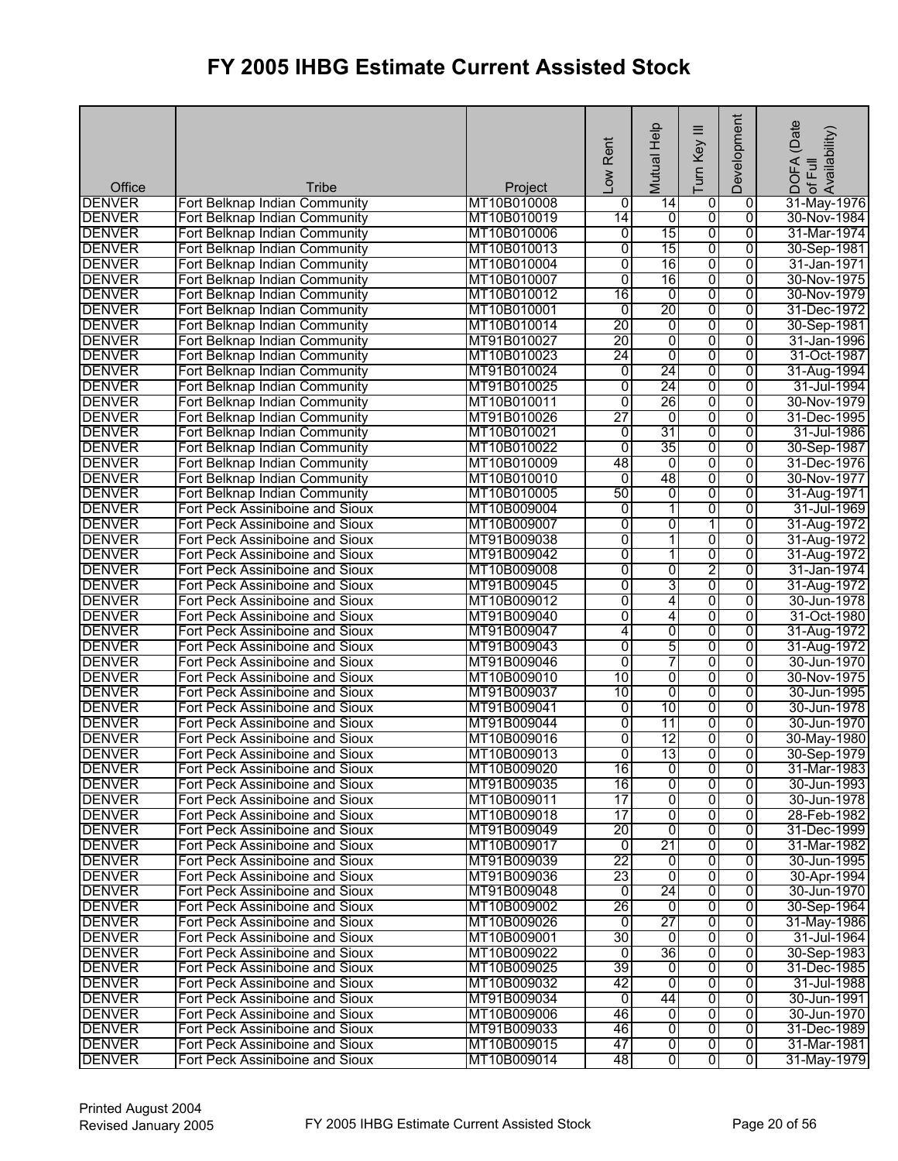| Office                         | Tribe                                                              |                            | Rent<br>Low         | Help<br>Mutual           | Ξ<br>Turn Key  | Development         | (Date<br>lof Full<br>Availability)<br><b>DOFA</b> |
|--------------------------------|--------------------------------------------------------------------|----------------------------|---------------------|--------------------------|----------------|---------------------|---------------------------------------------------|
| <b>DENVER</b>                  | Fort Belknap Indian Community                                      | Project<br>MT10B010008     | 0                   | $\overline{14}$          | 0              | $\overline{0}$      | 31-May-1976                                       |
| <b>DENVER</b>                  | Fort Belknap Indian Community                                      | MT10B010019                | 14                  | o                        | 0              | $\overline{0}$      | 30-Nov-1984                                       |
| <b>DENVER</b>                  | Fort Belknap Indian Community                                      | MT10B010006                | 0                   | 15                       | 0              | $\overline{0}$      | 31-Mar-1974                                       |
| <b>DENVER</b>                  | Fort Belknap Indian Community                                      | MT10B010013                | 0                   | 15                       | 0              | 0                   | 30-Sep-1981                                       |
| <b>DENVER</b>                  | Fort Belknap Indian Community                                      | MT10B010004                | 0                   | 16                       | 0              | 0                   | 31-Jan-1971                                       |
| <b>DENVER</b>                  | Fort Belknap Indian Community                                      | MT10B010007                | $\overline{0}$      | 16                       | 0              | 0                   | 30-Nov-1975                                       |
| <b>DENVER</b>                  | Fort Belknap Indian Community                                      | MT10B010012                | 16                  | $\overline{0}$           | $\overline{0}$ | $\Omega$            | 30-Nov-1979                                       |
| <b>DENVER</b>                  | Fort Belknap Indian Community                                      | MT10B010001                | $\overline{0}$      | 20                       | 0              | 0                   | 31-Dec-1972                                       |
| <b>DENVER</b>                  | Fort Belknap Indian Community                                      | MT10B010014                | 20                  | 0                        | 0              | $\overline{0}$      | 30-Sep-1981                                       |
| <b>DENVER</b>                  | Fort Belknap Indian Community                                      | MT91B010027                | 20                  | $\overline{0}$           | $\overline{0}$ | $\overline{0}$      | 31-Jan-1996                                       |
| <b>DENVER</b>                  | Fort Belknap Indian Community                                      | MT10B010023                | 24                  | 0                        | $\overline{0}$ | $\overline{0}$      | 31-Oct-1987                                       |
| <b>DENVER</b>                  | Fort Belknap Indian Community                                      | MT91B010024                | 0                   | 24                       | 0              | 0                   | 31-Aug-1994                                       |
| <b>DENVER</b>                  | Fort Belknap Indian Community                                      | MT91B010025                | $\overline{0}$      | 24                       | 0              | $\overline{0}$      | 31-Jul-1994                                       |
| <b>DENVER</b>                  | Fort Belknap Indian Community                                      | MT10B010011                | $\overline{0}$      | 26                       | $\overline{0}$ | $\overline{0}$      | 30-Nov-1979                                       |
| <b>DENVER</b>                  | Fort Belknap Indian Community                                      | MT91B010026                | 27                  | $\overline{0}$           | 0              | $\overline{0}$      | 31-Dec-1995                                       |
| <b>DENVER</b>                  | Fort Belknap Indian Community                                      | MT10B010021                | 0                   | 31                       | 0              | 0                   | 31-Jul-1986                                       |
| <b>DENVER</b>                  | Fort Belknap Indian Community                                      | MT10B010022                | $\overline{0}$      | 35                       | 0              | 0                   | 30-Sep-1987                                       |
| <b>DENVER</b>                  | Fort Belknap Indian Community                                      | MT10B010009                | 48                  | $\overline{0}$           | 0              | $\overline{0}$      | 31-Dec-1976                                       |
| <b>DENVER</b>                  | Fort Belknap Indian Community                                      | MT10B010010                | $\overline{0}$      | 48                       | $\overline{0}$ | $\overline{0}$      | 30-Nov-1977                                       |
| <b>DENVER</b>                  | Fort Belknap Indian Community                                      | MT10B010005                | 50                  | 0                        | $\overline{0}$ | 0                   | 31-Aug-1971                                       |
| <b>DENVER</b>                  | Fort Peck Assiniboine and Sioux                                    | MT10B009004                | $\overline{0}$      | 11                       | 0              | 0                   | 31-Jul-1969                                       |
| <b>DENVER</b>                  | Fort Peck Assiniboine and Sioux                                    | MT10B009007                | 0                   | 0                        | 1              | 0                   | 31-Aug-1972                                       |
| <b>DENVER</b>                  | Fort Peck Assiniboine and Sioux                                    | MT91B009038                | 0                   | 1                        | 0              | $\overline{0}$      | 31-Aug-1972                                       |
| <b>DENVER</b>                  | Fort Peck Assiniboine and Sioux                                    | MT91B009042                | 0                   | $\overline{\phantom{a}}$ | 0              | 0                   | 31-Aug-1972                                       |
| <b>DENVER</b>                  | Fort Peck Assiniboine and Sioux                                    | MT10B009008                | 0                   | $\overline{0}$           | 2              | 0                   | 31-Jan-1974                                       |
| <b>DENVER</b>                  | Fort Peck Assiniboine and Sioux                                    | MT91B009045                | 0                   | 3                        | $\overline{0}$ | $\overline{0}$      | 31-Aug-1972                                       |
| <b>DENVER</b>                  | Fort Peck Assiniboine and Sioux                                    | MT10B009012                | 0                   | 4                        | 0              | 0                   | 30-Jun-1978                                       |
| <b>DENVER</b>                  | Fort Peck Assiniboine and Sioux                                    | MT91B009040                | 0                   | 4                        | 0              | 0                   | 31-Oct-1980                                       |
| <b>DENVER</b>                  | Fort Peck Assiniboine and Sioux                                    | MT91B009047                | 4                   | 0                        | 0              | 0                   | 31-Aug-1972                                       |
| <b>DENVER</b>                  | Fort Peck Assiniboine and Sioux                                    | MT91B009043                | $\overline{0}$      | 5                        | 0              | $\overline{0}$      | 31-Aug-1972                                       |
| <b>DENVER</b>                  | Fort Peck Assiniboine and Sioux                                    | MT91B009046                | 0                   | 7                        | 0              | 0                   | 30-Jun-1970                                       |
| <b>DENVER</b>                  | Fort Peck Assiniboine and Sioux                                    | MT10B009010                | 10                  | 0                        | 0              | 0                   | 30-Nov-1975                                       |
| <b>DENVER</b>                  | Fort Peck Assiniboine and Sioux                                    | MT91B009037                | 10                  | 0<br>10                  | $\overline{0}$ | 0<br>$\overline{0}$ | 30-Jun-1995                                       |
| <b>DENVER</b><br><b>DENVER</b> | Fort Peck Assiniboine and Sioux                                    | MT91B009041<br>MT91B009044 | 0<br>$\overline{0}$ | 11                       | 0<br>0         | 0                   | 30-Jun-1978<br>30-Jun-1970                        |
| <b>DENVER</b>                  | Fort Peck Assiniboine and Sioux<br>Fort Peck Assiniboine and Sioux | MT10B009016                | 0                   | $\overline{12}$          | 0              | $\overline{0}$      | 30-May-1980                                       |
| <b>DENVER</b>                  | Fort Peck Assiniboine and Sioux                                    | MT10B009013                | $\overline{0}$      | 13                       | $\overline{0}$ | $\overline{0}$      | 30-Sep-1979                                       |
| <b>DENVER</b>                  | Fort Peck Assiniboine and Sioux                                    | MT10B009020                | 16                  | ō                        | 0              | 0                   | 31-Mar-1983                                       |
| <b>DENVER</b>                  | Fort Peck Assiniboine and Sioux                                    | MT91B009035                | 16                  | 0                        | $\overline{0}$ | 0                   | 30-Jun-1993                                       |
| <b>DENVER</b>                  | Fort Peck Assiniboine and Sioux                                    | MT10B009011                | 17                  | 0                        | 0              | 0                   | 30-Jun-1978                                       |
| <b>DENVER</b>                  | Fort Peck Assiniboine and Sioux                                    | MT10B009018                | 17                  | o                        | 0              | $\overline{0}$      | 28-Feb-1982                                       |
| <b>DENVER</b>                  | Fort Peck Assiniboine and Sioux                                    | MT91B009049                | 20                  | 0                        | 0              | 0                   | 31-Dec-1999                                       |
| <b>DENVER</b>                  | Fort Peck Assiniboine and Sioux                                    | MT10B009017                | 0                   | 21                       | 0              | 0                   | 31-Mar-1982                                       |
| <b>DENVER</b>                  | Fort Peck Assiniboine and Sioux                                    | MT91B009039                | 22                  | 0                        | 0              | 0                   | 30-Jun-1995                                       |
| <b>DENVER</b>                  | Fort Peck Assiniboine and Sioux                                    | MT91B009036                | 23                  | $\overline{0}$           | 0              | 0                   | 30-Apr-1994                                       |
| <b>DENVER</b>                  | Fort Peck Assiniboine and Sioux                                    | MT91B009048                | 0                   | 24                       | 0              | 0                   | 30-Jun-1970                                       |
| <b>DENVER</b>                  | Fort Peck Assiniboine and Sioux                                    | MT10B009002                | 26                  | o                        | 0              | 0                   | 30-Sep-1964                                       |
| <b>DENVER</b>                  | Fort Peck Assiniboine and Sioux                                    | MT10B009026                | $\overline{0}$      | 27                       | 0              | 0                   | 31-May-1986                                       |
| <b>DENVER</b>                  | Fort Peck Assiniboine and Sioux                                    | MT10B009001                | 30                  | Ō                        | 0              | 0                   | 31-Jul-1964                                       |
| <b>DENVER</b>                  | Fort Peck Assiniboine and Sioux                                    | MT10B009022                | 0                   | 36                       | 0              | 0                   | 30-Sep-1983                                       |
| <b>DENVER</b>                  | Fort Peck Assiniboine and Sioux                                    | MT10B009025                | 39                  | $\mathbf 0$              | 0              | 0                   | 31-Dec-1985                                       |
| <b>DENVER</b>                  | Fort Peck Assiniboine and Sioux                                    | MT10B009032                | 42                  | o                        | 0              | 0                   | 31-Jul-1988                                       |
| <b>DENVER</b>                  | Fort Peck Assiniboine and Sioux                                    | MT91B009034                | $\overline{0}$      | 44                       | 0              | 0                   | 30-Jun-1991                                       |
| <b>DENVER</b>                  | Fort Peck Assiniboine and Sioux                                    | MT10B009006                | 46                  | $\overline{0}$           | 0              | 0                   | 30-Jun-1970                                       |
| <b>DENVER</b>                  | Fort Peck Assiniboine and Sioux                                    | MT91B009033                | 46                  | 0                        | 0              | 0                   | 31-Dec-1989                                       |
| <b>DENVER</b>                  | Fort Peck Assiniboine and Sioux                                    | MT10B009015                | 47                  | O                        | $\overline{0}$ | 0                   | 31-Mar-1981                                       |
| <b>DENVER</b>                  | Fort Peck Assiniboine and Sioux                                    | MT10B009014                | 48                  | $\overline{0}$           | $\overline{0}$ | $\overline{0}$      | 31-May-1979                                       |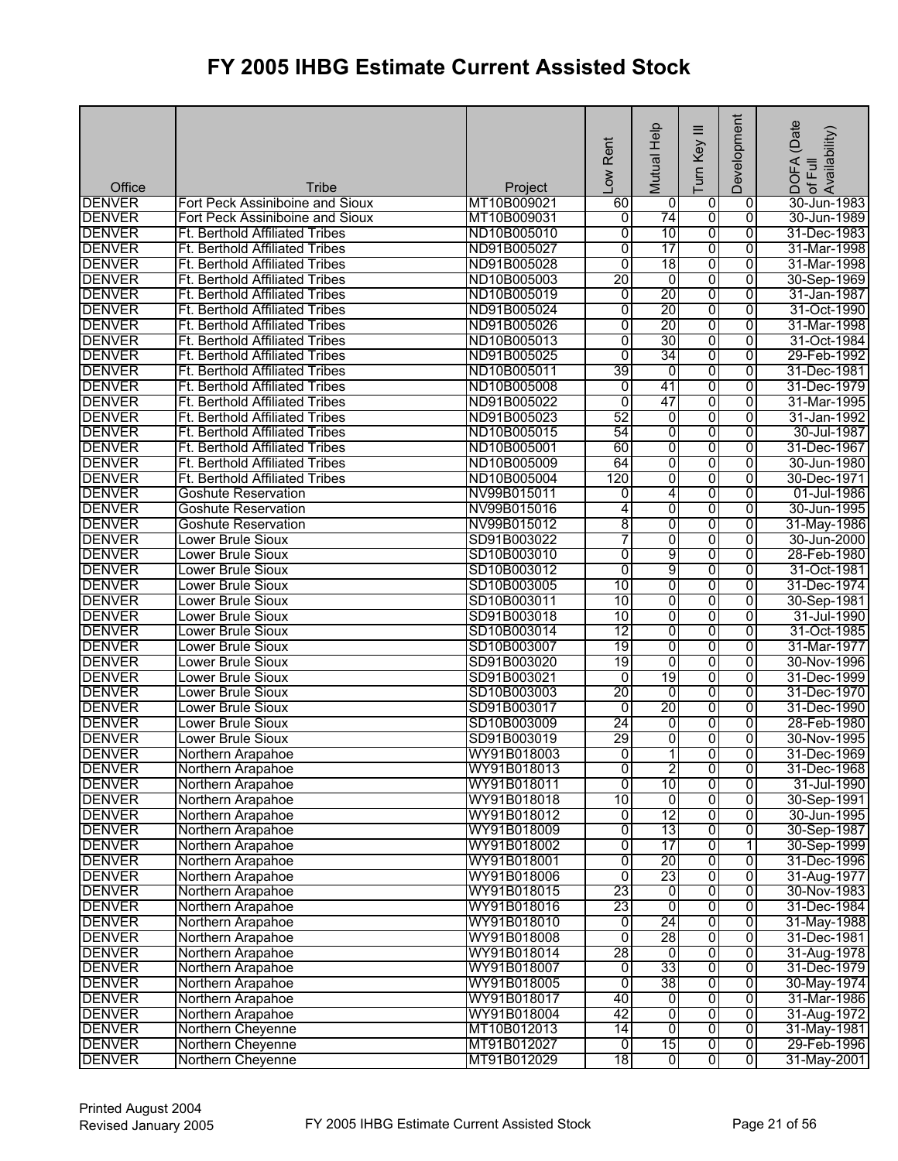| Office        | Tribe                                 |                        | Low Rent       | Help<br>Mutual  | ≡<br>Turn Key           | Development    | (Date<br>DOFA (Date<br>.of Full<br>Availability) |
|---------------|---------------------------------------|------------------------|----------------|-----------------|-------------------------|----------------|--------------------------------------------------|
| <b>DENVER</b> | Fort Peck Assiniboine and Sioux       | Project<br>MT10B009021 | 60             | 0               | 0                       | $\overline{0}$ | 30-Jun-1983                                      |
| <b>DENVER</b> | Fort Peck Assiniboine and Sioux       | MT10B009031            | o              | 74              | $\overline{\mathbf{0}}$ | $\overline{0}$ | 30-Jun-1989                                      |
| <b>DENVER</b> | Ft. Berthold Affiliated Tribes        | ND10B005010            | $\overline{0}$ | 10              | 0                       | $\overline{0}$ | 31-Dec-1983                                      |
| <b>DENVER</b> | Ft. Berthold Affiliated Tribes        | ND91B005027            | $\overline{0}$ | 17              | 0                       | 0              | 31-Mar-1998                                      |
|               |                                       |                        |                |                 |                         |                |                                                  |
| <b>DENVER</b> | Ft. Berthold Affiliated Tribes        | ND91B005028            | $\overline{0}$ | 18              | 0                       | 0              | 31-Mar-1998                                      |
| <b>DENVER</b> | Ft. Berthold Affiliated Tribes        | ND10B005003            | 20             | 0               | 0                       | 0              | 30-Sep-1969                                      |
| <b>DENVER</b> | <b>Ft. Berthold Affiliated Tribes</b> | ND10B005019            | 0              | $\overline{20}$ | 0                       | 0              | 31-Jan-1987                                      |
| <b>DENVER</b> | Ft. Berthold Affiliated Tribes        | ND91B005024            | $\overline{0}$ | 20              | 0                       | 0              | 31-Oct-1990                                      |
| <b>DENVER</b> | Ft. Berthold Affiliated Tribes        | ND91B005026            | 0              | 20              | 0                       | $\overline{0}$ | 31-Mar-1998                                      |
| <b>DENVER</b> | Ft. Berthold Affiliated Tribes        | ND10B005013            | $\overline{0}$ | 30              | 0                       | $\overline{0}$ | 31-Oct-1984                                      |
| <b>DENVER</b> | <b>Ft. Berthold Affiliated Tribes</b> | ND91B005025            | $\overline{0}$ | 34              | 0                       | $\overline{0}$ | 29-Feb-1992                                      |
| <b>DENVER</b> | <b>Ft. Berthold Affiliated Tribes</b> | ND10B005011            | 39             | 0               | 0                       | 0              | 31-Dec-1981                                      |
| <b>DENVER</b> | Ft. Berthold Affiliated Tribes        | ND10B005008            | 0              | 41              | 0                       | 0              | 31-Dec-1979                                      |
| <b>DENVER</b> | Ft. Berthold Affiliated Tribes        | ND91B005022            | $\overline{0}$ | 47              | $\overline{0}$          | 0              | 31-Mar-1995                                      |
| <b>DENVER</b> | <b>Ft. Berthold Affiliated Tribes</b> | ND91B005023            | 52             | $\overline{0}$  | $\overline{0}$          | $\overline{0}$ | 31-Jan-1992                                      |
| <b>DENVER</b> | <b>Ft. Berthold Affiliated Tribes</b> | ND10B005015            | 54             | 0               | $\overline{0}$          | 0              | 30-Jul-1987                                      |
| <b>DENVER</b> | Ft. Berthold Affiliated Tribes        | ND10B005001            | 60             | 0               | $\overline{0}$          | $\overline{0}$ | 31-Dec-1967                                      |
| <b>DENVER</b> | <b>Ft. Berthold Affiliated Tribes</b> | ND10B005009            | 64             | 0               | 0                       | $\overline{0}$ | 30-Jun-1980                                      |
| <b>DENVER</b> | Ft. Berthold Affiliated Tribes        | ND10B005004            | 120            | 0               | $\overline{0}$          | $\overline{0}$ | 30-Dec-1971                                      |
| <b>DENVER</b> | <b>Goshute Reservation</b>            | NV99B015011            | 0              | 4               | 0                       | 0              | 01-Jul-1986                                      |
| <b>DENVER</b> | <b>Goshute Reservation</b>            | NV99B015016            | 4              | 0               | $\overline{0}$          | 0              | 30-Jun-1995                                      |
| <b>DENVER</b> | <b>Goshute Reservation</b>            | NV99B015012            | 8              | $\overline{0}$  | 0                       | 0              | 31-May-1986                                      |
| <b>DENVER</b> | <b>Lower Brule Sioux</b>              | SD91B003022            | 7              | 0               | 0                       | $\overline{0}$ | 30-Jun-2000                                      |
| <b>DENVER</b> | Lower Brule Sioux                     | SD10B003010            | $\overline{0}$ | 9               | 0                       | 0              | 28-Feb-1980                                      |
| <b>DENVER</b> | <b>Lower Brule Sioux</b>              | SD10B003012            | $\overline{0}$ | 9               | 0                       | 0              | 31-Oct-1981                                      |
| <b>DENVER</b> | Lower Brule Sioux                     | SD10B003005            | 10             | 0               | 0                       | 0              | 31-Dec-1974                                      |
| <b>DENVER</b> | <b>Lower Brule Sioux</b>              | SD10B003011            | 10             | 0               | 0                       | 0              | 30-Sep-1981                                      |
| <b>DENVER</b> | Lower Brule Sioux                     | SD91B003018            | 10             | 0               | 0                       | 0              | 31-Jul-1990                                      |
| <b>DENVER</b> | Lower Brule Sioux                     | SD10B003014            | 12             | 0               | 0                       | 0              | 31-Oct-1985                                      |
| <b>DENVER</b> | Lower Brule Sioux                     | SD10B003007            | 19             | 0               | $\overline{0}$          | $\overline{0}$ | 31-Mar-1977                                      |
| <b>DENVER</b> | Lower Brule Sioux                     | SD91B003020            | 19             | 0               | 0                       | 0              | 30-Nov-1996                                      |
| <b>DENVER</b> |                                       |                        |                |                 |                         |                |                                                  |
| <b>DENVER</b> | Lower Brule Sioux                     | SD91B003021            | 0<br>20        | 19              | 0                       | 0              | 31-Dec-1999                                      |
|               | <b>Lower Brule Sioux</b>              | SD10B003003            |                | $\overline{0}$  | 0                       | $\overline{0}$ | 31-Dec-1970                                      |
| <b>DENVER</b> | <b>Lower Brule Sioux</b>              | SD91B003017            | $\overline{0}$ | 20              | $\overline{0}$          | $\overline{0}$ | 31-Dec-1990                                      |
| <b>DENVER</b> | <b>Lower Brule Sioux</b>              | SD10B003009            | 24             | 0               | 0                       | $\overline{0}$ | 28-Feb-1980                                      |
| <b>DENVER</b> | <b>Lower Brule Sioux</b>              | SD91B003019            | 29             | 0               | 0                       | 0              | 30-Nov-1995                                      |
| <b>DENVER</b> | Northern Arapahoe                     | WY91B018003            | $\overline{0}$ | $\overline{1}$  | $\overline{0}$          | $\overline{0}$ | 31-Dec-1969                                      |
| <b>DENVER</b> | Northern Arapahoe                     | WY91B018013            | $\overline{0}$ | 2               | $\overline{0}$          | 0              | 31-Dec-1968                                      |
| <b>DENVER</b> | Northern Arapahoe                     | WY91B018011            | $\overline{0}$ | 10              | $\overline{0}$          | 0              | 31-Jul-1990                                      |
| <b>DENVER</b> | Northern Arapahoe                     | WY91B018018            | 10             | $\overline{0}$  | $\overline{0}$          | $\overline{0}$ | 30-Sep-1991                                      |
| <b>DENVER</b> | Northern Arapahoe                     | WY91B018012            | 0              | 12              | $\overline{0}$          | $\overline{0}$ | 30-Jun-1995                                      |
| <b>DENVER</b> | Northern Arapahoe                     | WY91B018009            | $\overline{0}$ | 13              | 0                       | $\overline{0}$ | 30-Sep-1987                                      |
| <b>DENVER</b> | Northern Arapahoe                     | WY91B018002            | $\overline{0}$ | 17              | 0                       | 1              | 30-Sep-1999                                      |
| <b>DENVER</b> | Northern Arapahoe                     | WY91B018001            | 0              | 20              | $\overline{0}$          | $\overline{0}$ | 31-Dec-1996                                      |
| <b>DENVER</b> | Northern Arapahoe                     | WY91B018006            | $\overline{0}$ | 23              | $\overline{0}$          | $\overline{0}$ | 31-Aug-1977                                      |
| <b>DENVER</b> | Northern Arapahoe                     | WY91B018015            | 23             | 0               | 0                       | 0              | 30-Nov-1983                                      |
| <b>DENVER</b> | Northern Arapahoe                     | WY91B018016            | 23             | $\overline{0}$  | 0                       | 0              | 31-Dec-1984                                      |
| <b>DENVER</b> | Northern Arapahoe                     | WY91B018010            | $\overline{0}$ | 24              | $\overline{0}$          | 0              | 31-May-1988                                      |
| <b>DENVER</b> | Northern Arapahoe                     | WY91B018008            | $\overline{0}$ | 28              | 0                       | $\overline{0}$ | 31-Dec-1981                                      |
| <b>DENVER</b> | Northern Arapahoe                     | WY91B018014            | 28             | 0               | 0                       | $\overline{0}$ | 31-Aug-1978                                      |
| <b>DENVER</b> | Northern Arapahoe                     | WY91B018007            | 0              | 33              | $\overline{0}$          | 0              | 31-Dec-1979                                      |
| <b>DENVER</b> | Northern Arapahoe                     | WY91B018005            | $\overline{0}$ | 38              | 0                       | 0              | 30-May-1974                                      |
| <b>DENVER</b> | Northern Arapahoe                     | WY91B018017            | 40             | $\overline{0}$  | $\overline{0}$          | $\overline{0}$ | 31-Mar-1986                                      |
| <b>DENVER</b> | Northern Arapahoe                     | WY91B018004            | 42             | 0               | 0                       | 0              | 31-Aug-1972                                      |
| <b>DENVER</b> | Northern Cheyenne                     | MT10B012013            | 14             | 0               | 0                       | 0              | 31-May-1981                                      |
| <b>DENVER</b> | Northern Cheyenne                     | MT91B012027            | $\overline{0}$ | 15              | $\overline{0}$          | $\overline{0}$ | 29-Feb-1996                                      |
| <b>DENVER</b> | Northern Cheyenne                     | MT91B012029            | 18             | $\overline{0}$  | $\overline{0}$          | $\overline{0}$ | 31-May-2001                                      |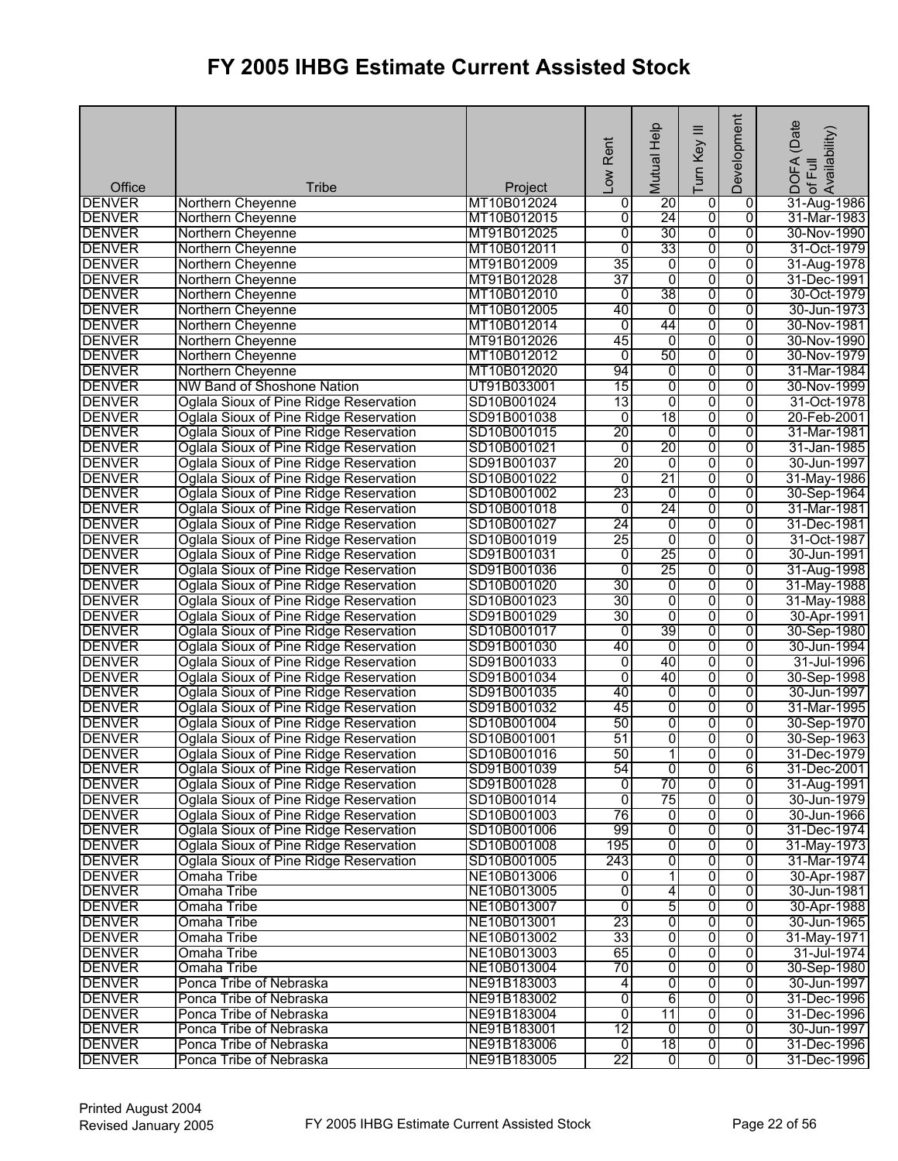| Office        | <b>Tribe</b>                           | Project     | Rent<br>$\overline{\text{row}}$ | Mutual Help    | ≡<br>Turn Key           | Development    | (Date<br>! DOFA (Date<br>·of Full<br>Availability) |
|---------------|----------------------------------------|-------------|---------------------------------|----------------|-------------------------|----------------|----------------------------------------------------|
| <b>DENVER</b> | Northern Cheyenne                      | MT10B012024 | 0                               | 20             | 0                       | 0              | 31-Aug-1986                                        |
| <b>DENVER</b> | Northern Cheyenne                      | MT10B012015 | 0                               | 24             | $\overline{0}$          | $\overline{0}$ | 31-Mar-1983                                        |
| <b>DENVER</b> | Northern Cheyenne                      | MT91B012025 | $\overline{0}$                  | 30             | 0                       | $\overline{0}$ | 30-Nov-1990                                        |
| <b>DENVER</b> | Northern Cheyenne                      | MT10B012011 | $\overline{0}$                  | 33             | 0                       | 0              | 31-Oct-1979                                        |
| <b>DENVER</b> | Northern Cheyenne                      | MT91B012009 | 35                              | 0              | 0                       | $\overline{0}$ | 31-Aug-1978                                        |
| <b>DENVER</b> | Northern Cheyenne                      | MT91B012028 | 37                              | $\overline{0}$ | $\overline{0}$          | 0              | 31-Dec-1991                                        |
| <b>DENVER</b> | Northern Cheyenne                      | MT10B012010 | $\mathbf 0$                     | 38             | $\overline{0}$          | $\overline{0}$ | 30-Oct-1979                                        |
| <b>DENVER</b> | Northern Cheyenne                      | MT10B012005 | 40                              | 0              | 0                       | 0              | 30-Jun-1973                                        |
| <b>DENVER</b> | Northern Cheyenne                      | MT10B012014 | $\overline{0}$                  | 44             | 0                       | $\overline{0}$ | 30-Nov-1981                                        |
| <b>DENVER</b> | Northern Cheyenne                      | MT91B012026 | 45                              | $\overline{0}$ | 0                       | $\overline{0}$ | 30-Nov-1990                                        |
| <b>DENVER</b> | Northern Cheyenne                      | MT10B012012 | $\overline{0}$                  | 50             | 0                       | $\overline{0}$ | 30-Nov-1979                                        |
| <b>DENVER</b> | Northern Cheyenne                      | MT10B012020 | 94                              | 0              | 0                       | 0              | 31-Mar-1984                                        |
| <b>DENVER</b> | NW Band of Shoshone Nation             | UT91B033001 | 15                              | $\overline{0}$ | 0                       | 0              | 30-Nov-1999                                        |
| <b>DENVER</b> | Oglala Sioux of Pine Ridge Reservation | SD10B001024 | $\overline{13}$                 | $\overline{0}$ | $\overline{0}$          | $\overline{0}$ | 31-Oct-1978                                        |
| <b>DENVER</b> | Oglala Sioux of Pine Ridge Reservation | SD91B001038 | $\overline{0}$                  | 18             | 0                       | 0              | 20-Feb-2001                                        |
| <b>DENVER</b> | Oglala Sioux of Pine Ridge Reservation | SD10B001015 | 20                              | 0              | 0                       | 0              | 31-Mar-1981                                        |
| <b>DENVER</b> | Oglala Sioux of Pine Ridge Reservation | SD10B001021 | $\overline{0}$                  | 20             | 0                       | 0              | 31-Jan-1985                                        |
| <b>DENVER</b> | Oglala Sioux of Pine Ridge Reservation | SD91B001037 | 20                              | $\overline{0}$ | 0                       | $\overline{0}$ | 30-Jun-1997                                        |
| <b>DENVER</b> | Oglala Sioux of Pine Ridge Reservation | SD10B001022 | $\overline{0}$                  | 21             | 0                       | 0              | 31-May-1986                                        |
| <b>DENVER</b> | Oglala Sioux of Pine Ridge Reservation | SD10B001002 | 23                              | 0              | $\overline{0}$          | 0              | 30-Sep-1964                                        |
| <b>DENVER</b> | Oglala Sioux of Pine Ridge Reservation | SD10B001018 | $\overline{0}$                  | 24             | 0                       | 0              | 31-Mar-1981                                        |
| <b>DENVER</b> | Oglala Sioux of Pine Ridge Reservation | SD10B001027 | 24                              | 0              | 0                       | $\overline{0}$ | 31-Dec-1981                                        |
| <b>DENVER</b> | Oglala Sioux of Pine Ridge Reservation | SD10B001019 | 25                              | 0              | 0                       | 0              | 31-Oct-1987                                        |
| <b>DENVER</b> | Oglala Sioux of Pine Ridge Reservation | SD91B001031 | 0                               | 25             | 0                       | $\overline{0}$ | 30-Jun-1991                                        |
| <b>DENVER</b> | Oglala Sioux of Pine Ridge Reservation | SD91B001036 | $\overline{0}$                  | 25             | 0                       | $\overline{0}$ | 31-Aug-1998                                        |
| <b>DENVER</b> | Oglala Sioux of Pine Ridge Reservation | SD10B001020 | 30                              | 0              | $\overline{0}$          | 0              | 31-May-1988                                        |
| <b>DENVER</b> | Oglala Sioux of Pine Ridge Reservation | SD10B001023 | 30                              | $\overline{0}$ | 0                       | 0              | 31-May-1988                                        |
| <b>DENVER</b> | Oglala Sioux of Pine Ridge Reservation | SD91B001029 | 30                              | 0              | 0                       | 0              | 30-Apr-1991                                        |
| <b>DENVER</b> | Oglala Sioux of Pine Ridge Reservation | SD10B001017 | $\overline{0}$                  | 39             | 0                       | $\overline{0}$ | 30-Sep-1980                                        |
| <b>DENVER</b> | Oglala Sioux of Pine Ridge Reservation | SD91B001030 | 40                              | $\overline{0}$ | 0                       | $\overline{0}$ | 30-Jun-1994                                        |
| <b>DENVER</b> | Oglala Sioux of Pine Ridge Reservation | SD91B001033 | $\overline{0}$                  | 40             | 0                       | $\overline{0}$ | 31-Jul-1996                                        |
| <b>DENVER</b> | Oglala Sioux of Pine Ridge Reservation | SD91B001034 | 0                               | 40             | 0                       | $\overline{0}$ | 30-Sep-1998                                        |
| <b>DENVER</b> | Oglala Sioux of Pine Ridge Reservation | SD91B001035 | 40                              | $\overline{0}$ | $\overline{0}$          | $\overline{0}$ | 30-Jun-1997                                        |
| <b>DENVER</b> | Oglala Sioux of Pine Ridge Reservation | SD91B001032 | 45                              | 0              | 0                       | $\overline{0}$ | 31-Mar-1995                                        |
| <b>DENVER</b> | Oglala Sioux of Pine Ridge Reservation | SD10B001004 | 50                              | 0              | 0                       | $\overline{0}$ | 30-Sep-1970                                        |
| <b>DENVER</b> | Oglala Sioux of Pine Ridge Reservation | SD10B001001 | 51                              | 0              | 0                       | 0              | 30-Sep-1963                                        |
| <b>DENVER</b> | Oglala Sioux of Pine Ridge Reservation | SD10B001016 | 50                              | 1              | $\overline{0}$          | $\overline{0}$ | 31-Dec-1979                                        |
| <b>DENVER</b> | Oglala Sioux of Pine Ridge Reservation | SD91B001039 | 54                              | o              | o                       | 6              | 31-Dec-2001                                        |
| <b>DENVER</b> | Oglala Sioux of Pine Ridge Reservation | SD91B001028 | $\overline{0}$                  | 70             | 0                       | 0              | 31-Aug-1991                                        |
| <b>DENVER</b> | Oglala Sioux of Pine Ridge Reservation | SD10B001014 | $\overline{0}$                  | 75             | 0                       | 0              | 30-Jun-1979                                        |
| <b>DENVER</b> | Oglala Sioux of Pine Ridge Reservation | SD10B001003 | 76                              | $\overline{0}$ | 0                       | 0              | 30-Jun-1966                                        |
| <b>DENVER</b> | Oglala Sioux of Pine Ridge Reservation | SD10B001006 | 99                              | 0              | 0                       | 0              | 31-Dec-1974                                        |
| <b>DENVER</b> | Oglala Sioux of Pine Ridge Reservation | SD10B001008 | 195                             | 0              | 0                       | 0              | 31-May-1973                                        |
| <b>DENVER</b> | Oglala Sioux of Pine Ridge Reservation | SD10B001005 | 243                             | $\overline{0}$ | 0                       | 0              | 31-Mar-1974                                        |
| <b>DENVER</b> | Omaha Tribe                            | NE10B013006 | 0                               | 1              | $\overline{0}$          | $\overline{0}$ | 30-Apr-1987                                        |
| <b>DENVER</b> | Omaha Tribe                            | NE10B013005 | 0                               | 4              | 0                       | 0              | 30-Jun-1981                                        |
| <b>DENVER</b> | Omaha Tribe                            | NE10B013007 | $\overline{0}$                  | 5              | 0                       | 0              | 30-Apr-1988                                        |
| <b>DENVER</b> | Omaha Tribe                            | NE10B013001 | 23                              | $\overline{0}$ | 0                       | 0              | 30-Jun-1965                                        |
| <b>DENVER</b> | Omaha Tribe                            | NE10B013002 | 33                              | 0              | $\overline{0}$          | $\overline{0}$ | 31-May-1971                                        |
| <b>DENVER</b> | Omaha Tribe                            | NE10B013003 | 65                              | o              | 0                       | 0              | 31-Jul-1974                                        |
| <b>DENVER</b> | Omaha Tribe                            | NE10B013004 | 70                              | 0              | 0                       | 0              | 30-Sep-1980                                        |
| <b>DENVER</b> | Ponca Tribe of Nebraska                | NE91B183003 | 4                               | $\overline{0}$ | $\overline{0}$          | 0              | 30-Jun-1997                                        |
| <b>DENVER</b> | Ponca Tribe of Nebraska                | NE91B183002 | 0                               | 6              | 0                       | $\overline{0}$ | 31-Dec-1996                                        |
| <b>DENVER</b> | Ponca Tribe of Nebraska                | NE91B183004 | $\overline{0}$                  | 11             | $\overline{0}$          | $\overline{0}$ | 31-Dec-1996                                        |
| <b>DENVER</b> | Ponca Tribe of Nebraska                | NE91B183001 | 12                              | $\overline{0}$ | 0                       | 0              | 30-Jun-1997                                        |
| <b>DENVER</b> | Ponca Tribe of Nebraska                | NE91B183006 | ō                               | 18             | $\overline{0}$          | $\overline{0}$ | 31-Dec-1996                                        |
| <b>DENVER</b> | Ponca Tribe of Nebraska                | NE91B183005 | 22                              | $\overline{0}$ | $\overline{\mathbf{0}}$ | $\overline{0}$ | 31-Dec-1996                                        |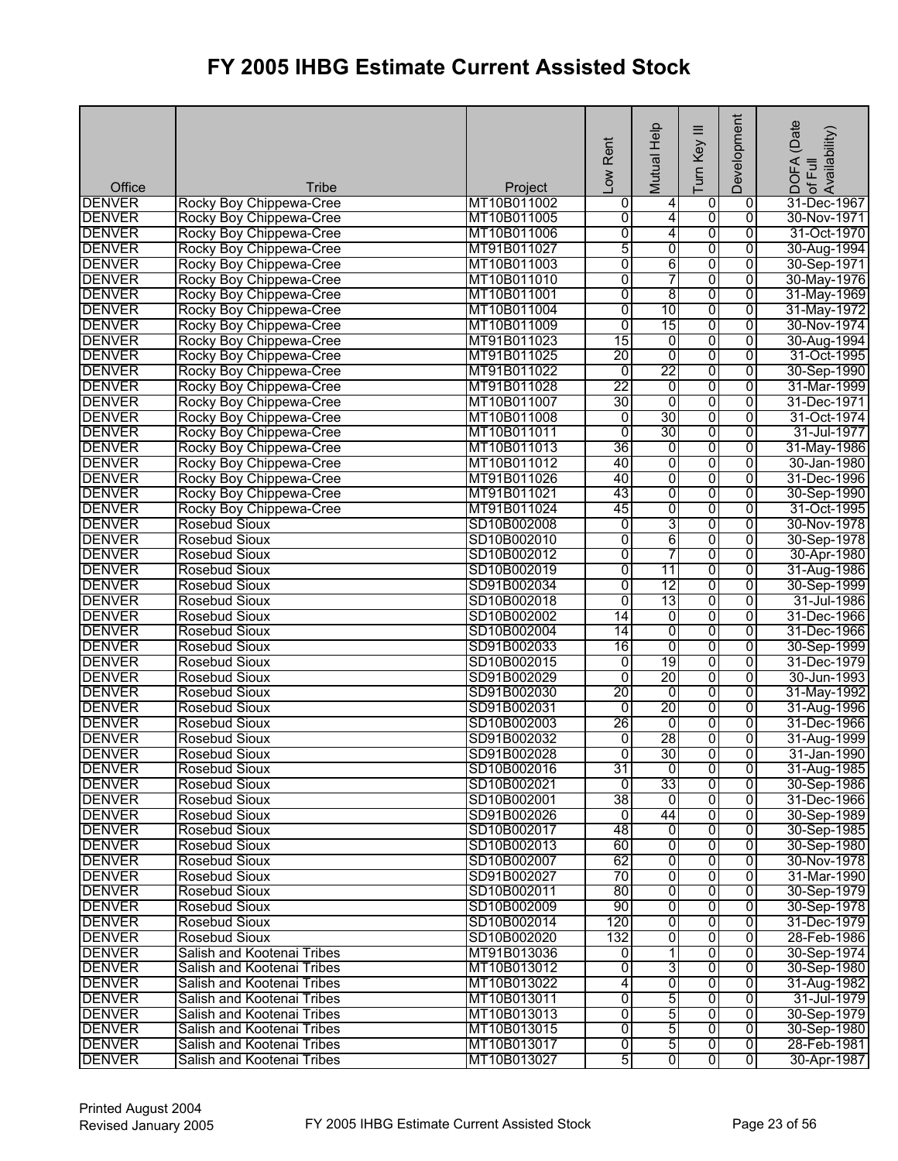| Office                         | <b>Tribe</b>                                             | Project                    | Rent<br>$\sum_{i=1}^{n}$ | Mutual Help         | Ξ<br>Turn Key  | Development         | (Date<br>DOFA (Date<br>of Full<br>Availability) |
|--------------------------------|----------------------------------------------------------|----------------------------|--------------------------|---------------------|----------------|---------------------|-------------------------------------------------|
| <b>DENVER</b>                  | Rocky Boy Chippewa-Cree                                  | MT10B011002                | 0                        | 4                   | 0              | 0                   | 31-Dec-1967                                     |
| <b>DENVER</b>                  | Rocky Boy Chippewa-Cree                                  | MT10B011005                | $\overline{0}$           | $\overline{4}$      | 0              | $\overline{0}$      | 30-Nov-1971                                     |
| <b>DENVER</b>                  | Rocky Boy Chippewa-Cree                                  | MT10B011006                | 0                        | 4                   | $\overline{0}$ | $\overline{0}$      | 31-Oct-1970                                     |
| <b>DENVER</b>                  | Rocky Boy Chippewa-Cree                                  | MT91B011027                | 5                        | 0                   | 0              | $\overline{0}$      | 30-Aug-1994                                     |
| <b>DENVER</b>                  | Rocky Boy Chippewa-Cree                                  | MT10B011003                | 0                        | 6                   | $\overline{0}$ | $\overline{0}$      | 30-Sep-1971                                     |
| <b>DENVER</b>                  | Rocky Boy Chippewa-Cree                                  | MT10B011010                | $\overline{0}$           | 7                   | 0              | $\overline{0}$      | 30-May-1976                                     |
| <b>DENVER</b>                  | Rocky Boy Chippewa-Cree                                  | MT10B011001                | 0                        | 8                   | $\overline{0}$ | 0                   | 31-May-1969                                     |
| <b>DENVER</b>                  | Rocky Boy Chippewa-Cree                                  | MT10B011004                | 0                        | 10                  | 0              | $\overline{0}$      | 31-May-1972                                     |
| <b>DENVER</b>                  | Rocky Boy Chippewa-Cree                                  | MT10B011009                | 0                        | 15                  | 0              | $\overline{0}$      | 30-Nov-1974                                     |
| <b>DENVER</b>                  | Rocky Boy Chippewa-Cree                                  | MT91B011023                | 15                       | 0                   | 0              | $\overline{0}$      | 30-Aug-1994                                     |
| <b>DENVER</b>                  | Rocky Boy Chippewa-Cree                                  | MT91B011025                | 20                       | $\overline{0}$      | 0              | $\overline{0}$      | 31-Oct-1995                                     |
| <b>DENVER</b>                  | Rocky Boy Chippewa-Cree                                  | MT91B011022                | $\overline{0}$           | 22                  | 0              | $\overline{0}$      | 30-Sep-1990                                     |
| <b>DENVER</b>                  | Rocky Boy Chippewa-Cree                                  | MT91B011028                | 22                       | 0                   | $\overline{0}$ | $\overline{0}$      | 31-Mar-1999                                     |
| <b>DENVER</b>                  | Rocky Boy Chippewa-Cree                                  | MT10B011007                | 30                       | $\overline{0}$      | $\overline{0}$ | $\overline{0}$      | 31-Dec-1971                                     |
| <b>DENVER</b>                  | Rocky Boy Chippewa-Cree                                  | MT10B011008                | $\overline{0}$           | 30                  | 0              | $\overline{0}$      | 31-Oct-1974                                     |
| <b>DENVER</b>                  | Rocky Boy Chippewa-Cree                                  | MT10B011011                | $\overline{0}$           | 30                  | 0              | $\overline{0}$      | 31-Jul-1977                                     |
| <b>DENVER</b>                  | Rocky Boy Chippewa-Cree                                  | MT10B011013                | 36                       | 0                   | $\overline{0}$ | $\overline{0}$      | 31-May-1986                                     |
| <b>DENVER</b><br><b>DENVER</b> | Rocky Boy Chippewa-Cree                                  | MT10B011012                | 40<br>40                 | 0<br>0              | $\overline{0}$ | $\overline{0}$      | 30-Jan-1980                                     |
| <b>DENVER</b>                  | Rocky Boy Chippewa-Cree                                  | MT91B011026                | 43                       |                     | 0              | $\overline{0}$      | 31-Dec-1996                                     |
| <b>DENVER</b>                  | Rocky Boy Chippewa-Cree<br>Rocky Boy Chippewa-Cree       | MT91B011021<br>MT91B011024 | 45                       | 0<br>$\overline{0}$ | 0<br>0         | 0<br>$\overline{0}$ | 30-Sep-1990<br>31-Oct-1995                      |
| <b>DENVER</b>                  | <b>Rosebud Sioux</b>                                     | SD10B002008                | 0                        | 3                   | $\overline{0}$ | $\overline{0}$      | 30-Nov-1978                                     |
| <b>DENVER</b>                  | <b>Rosebud Sioux</b>                                     | SD10B002010                | 0                        | 6                   | 0              | $\overline{0}$      | 30-Sep-1978                                     |
| <b>DENVER</b>                  | <b>Rosebud Sioux</b>                                     | SD10B002012                | 0                        | 7                   | 0              | $\overline{0}$      | 30-Apr-1980                                     |
| <b>DENVER</b>                  | <b>Rosebud Sioux</b>                                     | SD10B002019                | 0                        | 11                  | $\overline{0}$ | $\overline{0}$      | 31-Aug-1986                                     |
| <b>DENVER</b>                  | Rosebud Sioux                                            | SD91B002034                | 0                        | $\overline{12}$     | $\overline{0}$ | $\overline{0}$      | 30-Sep-1999                                     |
| <b>DENVER</b>                  | <b>Rosebud Sioux</b>                                     | SD10B002018                | 0                        | 13                  | 0              | $\overline{0}$      | 31-Jul-1986                                     |
| <b>DENVER</b>                  | <b>Rosebud Sioux</b>                                     | SD10B002002                | 14                       | 0                   | $\overline{0}$ | $\overline{0}$      | 31-Dec-1966                                     |
| <b>DENVER</b>                  | <b>Rosebud Sioux</b>                                     | SD10B002004                | 14                       | 0                   | 0              | $\overline{0}$      | 31-Dec-1966                                     |
| <b>DENVER</b>                  | <b>Rosebud Sioux</b>                                     | SD91B002033                | 16                       | $\overline{0}$      | $\overline{0}$ | $\overline{0}$      | 30-Sep-1999                                     |
| <b>DENVER</b>                  | <b>Rosebud Sioux</b>                                     | SD10B002015                | $\overline{0}$           | 19                  | 0              | $\overline{0}$      | 31-Dec-1979                                     |
| <b>DENVER</b>                  | Rosebud Sioux                                            | SD91B002029                | $\overline{0}$           | $\overline{20}$     | 0              | 0                   | 30-Jun-1993                                     |
| <b>DENVER</b>                  | <b>Rosebud Sioux</b>                                     | SD91B002030                | 20                       | $\overline{0}$      | $\overline{0}$ | 0                   | 31-May-1992                                     |
| <b>DENVER</b>                  | <b>Rosebud Sioux</b>                                     | SD91B002031                | $\overline{0}$           | 20                  | 0              | $\overline{0}$      | 31-Aug-1996                                     |
| <b>DENVER</b>                  | <b>Rosebud Sioux</b>                                     | SD10B002003                | 26                       | o                   | 0              | $\overline{0}$      | 31-Dec-1966                                     |
| <b>DENVER</b>                  | <b>Rosebud Sioux</b>                                     | SD91B002032                | $\overline{0}$           | 28                  | 0              | $\overline{0}$      | 31-Aug-1999                                     |
| <b>DENVER</b>                  | <b>Rosebud Sioux</b>                                     | SD91B002028                | 0                        | 30                  | $\overline{0}$ | $\overline{0}$      | 31-Jan-1990                                     |
| <b>DENVER</b>                  | Rosebud Sioux                                            | SD10B002016                | 31                       | $\overline{0}$      | 0              | $\overline{0}$      | 31-Aug-1985                                     |
| <b>DENVER</b>                  | Rosebud Sioux                                            | SD10B002021                | $\mathbf{0}$             | 33                  | 0              | 0                   | 30-Sep-1986                                     |
| <b>DENVER</b>                  | Rosebud Sioux                                            | SD10B002001                | 38                       | Ō                   | 0              | 0                   | 31-Dec-1966                                     |
| <b>DENVER</b>                  | <b>Rosebud Sioux</b>                                     | SD91B002026                | ō                        | 44                  | $\overline{0}$ | $\overline{0}$      | 30-Sep-1989                                     |
| <b>DENVER</b>                  | Rosebud Sioux                                            | SD10B002017                | 48                       | 0                   | 0              | 0                   | 30-Sep-1985                                     |
| <b>DENVER</b>                  | Rosebud Sioux                                            | SD10B002013                | 60                       | 0                   | $\overline{0}$ | $\overline{0}$      | 30-Sep-1980                                     |
| <b>DENVER</b>                  | <b>Rosebud Sioux</b>                                     | SD10B002007                | 62                       | $\overline{0}$      | $\overline{0}$ | $\overline{0}$      | 30-Nov-1978                                     |
| <b>DENVER</b>                  | Rosebud Sioux                                            | SD91B002027                | 70                       | ō                   | $\overline{0}$ | $\overline{0}$      | 31-Mar-1990                                     |
| <b>DENVER</b>                  | Rosebud Sioux                                            | SD10B002011                | 80                       | $\overline{0}$      | 0              | 0                   | 30-Sep-1979                                     |
| <b>DENVER</b>                  | <b>Rosebud Sioux</b>                                     | SD10B002009                | 90                       | 0                   | $\overline{0}$ | 0                   | 30-Sep-1978                                     |
| <b>DENVER</b>                  | Rosebud Sioux                                            | SD10B002014                | 120                      | $\overline{0}$      | $\overline{0}$ | 0                   | 31-Dec-1979                                     |
| <b>DENVER</b>                  | <b>Rosebud Sioux</b>                                     | SD10B002020                | 132                      | 0                   | $\overline{0}$ | $\overline{0}$      | 28-Feb-1986                                     |
| <b>DENVER</b>                  | Salish and Kootenai Tribes                               | MT91B013036                | 0                        | 1                   | 0              | $\overline{0}$      | 30-Sep-1974                                     |
| <b>DENVER</b><br><b>DENVER</b> | Salish and Kootenai Tribes                               | MT10B013012                | 0                        | 3<br>$\overline{0}$ | 0<br>0         | 0<br>$\overline{0}$ | 30-Sep-1980                                     |
| <b>DENVER</b>                  | Salish and Kootenai Tribes<br>Salish and Kootenai Tribes | MT10B013022<br>MT10B013011 | 4<br>0                   | 5                   | $\overline{0}$ | $\overline{0}$      | 31-Aug-1982<br>31-Jul-1979                      |
| <b>DENVER</b>                  | Salish and Kootenai Tribes                               | MT10B013013                | 0                        | 5                   | 0              | $\overline{0}$      | 30-Sep-1979                                     |
| <b>DENVER</b>                  | Salish and Kootenai Tribes                               | MT10B013015                | $\overline{0}$           | 5                   | $\overline{0}$ | 0                   | 30-Sep-1980                                     |
| <b>DENVER</b>                  | Salish and Kootenai Tribes                               | MT10B013017                | $\overline{0}$           | 5                   | $\overline{0}$ | $\overline{0}$      | 28-Feb-1981                                     |
| <b>DENVER</b>                  | Salish and Kootenai Tribes                               | MT10B013027                | 5                        | $\overline{0}$      | $\overline{0}$ | $\overline{0}$      | 30-Apr-1987                                     |
|                                |                                                          |                            |                          |                     |                |                     |                                                 |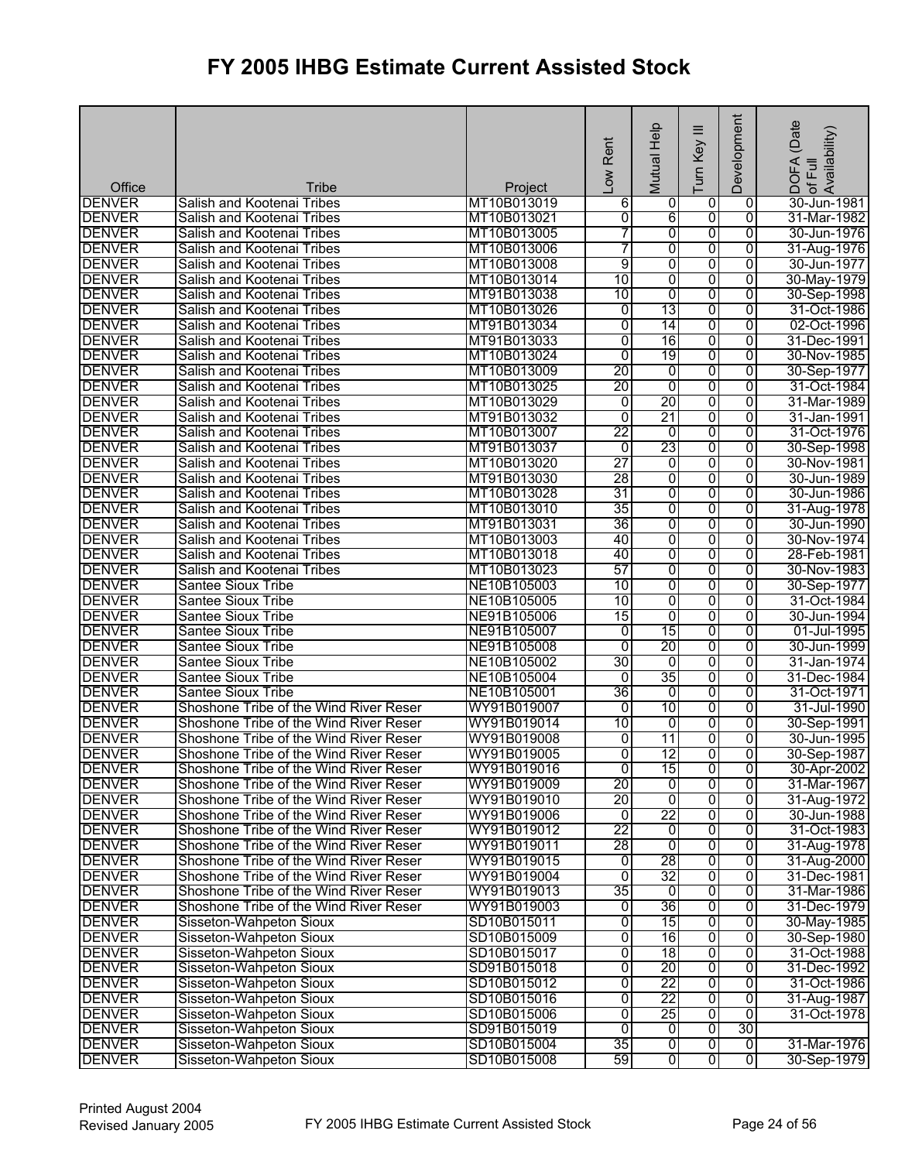| Office        | <b>Tribe</b>                                     | Project     | Low Rent        | Mutual Help     | ≡<br>Turn Key           | Development    | (Date<br>DOFA (Date<br>.of Full<br>Availability) |
|---------------|--------------------------------------------------|-------------|-----------------|-----------------|-------------------------|----------------|--------------------------------------------------|
| <b>DENVER</b> | Salish and Kootenai Tribes                       | MT10B013019 | 6               | 0               | 0                       | 0              | 30-Jun-1981                                      |
| <b>DENVER</b> | Salish and Kootenai Tribes                       | MT10B013021 | 0               | 6               | ō                       | $\overline{0}$ | 31-Mar-1982                                      |
| <b>DENVER</b> | Salish and Kootenai Tribes                       | MT10B013005 | 7               | $\overline{0}$  | 0                       | $\overline{0}$ | 30-Jun-1976                                      |
| <b>DENVER</b> | Salish and Kootenai Tribes                       | MT10B013006 | 7               | $\overline{0}$  | 0                       | 0              | 31-Aug-1976                                      |
| <b>DENVER</b> | Salish and Kootenai Tribes                       | MT10B013008 | 9               | 0               | 0                       | $\overline{0}$ | 30-Jun-1977                                      |
| <b>DENVER</b> | Salish and Kootenai Tribes                       | MT10B013014 | 10              | 0               | $\overline{0}$          | $\overline{0}$ | 30-May-1979                                      |
| <b>DENVER</b> | Salish and Kootenai Tribes                       | MT91B013038 | 10              | 0               | $\overline{0}$          | $\mathbf 0$    | 30-Sep-1998                                      |
| <b>DENVER</b> | Salish and Kootenai Tribes                       | MT10B013026 | 0               | 13              | 0                       | 0              | 31-Oct-1986                                      |
| <b>DENVER</b> | Salish and Kootenai Tribes                       | MT91B013034 | $\overline{0}$  | 14              | 0                       | 0              | 02-Oct-1996                                      |
| <b>DENVER</b> | Salish and Kootenai Tribes                       | MT91B013033 | $\overline{0}$  | 16              | 0                       | $\overline{0}$ | 31-Dec-1991                                      |
| <b>DENVER</b> | Salish and Kootenai Tribes                       | MT10B013024 | $\overline{0}$  | 19              | $\overline{0}$          | $\overline{0}$ | 30-Nov-1985                                      |
| <b>DENVER</b> | Salish and Kootenai Tribes                       | MT10B013009 | 20              | 0               | 0                       | 0              | 30-Sep-1977                                      |
| <b>DENVER</b> | Salish and Kootenai Tribes                       | MT10B013025 | 20              | $\overline{0}$  | 0                       | 0              | 31-Oct-1984                                      |
| <b>DENVER</b> | Salish and Kootenai Tribes                       | MT10B013029 | 0               | $\overline{20}$ | $\overline{0}$          | 0              | 31-Mar-1989                                      |
| <b>DENVER</b> | Salish and Kootenai Tribes                       | MT91B013032 | $\overline{0}$  | 21              | 0                       | $\overline{0}$ | 31-Jan-1991                                      |
| <b>DENVER</b> | Salish and Kootenai Tribes                       | MT10B013007 | 22              | 0               | 0                       | 0              | 31-Oct-1976                                      |
| <b>DENVER</b> | Salish and Kootenai Tribes                       | MT91B013037 | $\overline{0}$  | 23              | 0                       | 0              | 30-Sep-1998                                      |
| <b>DENVER</b> | Salish and Kootenai Tribes                       | MT10B013020 | 27              | 0               | 0                       | 0              | 30-Nov-1981                                      |
| <b>DENVER</b> | Salish and Kootenai Tribes                       | MT91B013030 | 28              | 0               | 0                       | 0              | 30-Jun-1989                                      |
| <b>DENVER</b> | Salish and Kootenai Tribes                       | MT10B013028 | 31              | 0               | 0                       | 0              | 30-Jun-1986                                      |
| <b>DENVER</b> | Salish and Kootenai Tribes                       | MT10B013010 | 35              | $\overline{0}$  | 0                       | 0              | 31-Aug-1978                                      |
| <b>DENVER</b> | Salish and Kootenai Tribes                       | MT91B013031 | 36              | 0               | $\overline{0}$          | $\overline{0}$ | 30-Jun-1990                                      |
| <b>DENVER</b> | Salish and Kootenai Tribes                       | MT10B013003 | 40              | 0               | 0                       | 0              | 30-Nov-1974                                      |
| <b>DENVER</b> | Salish and Kootenai Tribes                       | MT10B013018 | 40              | 0               | 0                       | 0              | 28-Feb-1981                                      |
| <b>DENVER</b> |                                                  | MT10B013023 | 57              | $\overline{0}$  |                         |                | 30-Nov-1983                                      |
| <b>DENVER</b> | Salish and Kootenai Tribes<br>Santee Sioux Tribe | NE10B105003 | 10              | 0               | 0<br>$\overline{0}$     | 0<br>0         | 30-Sep-1977                                      |
| <b>DENVER</b> | Santee Sioux Tribe                               | NE10B105005 | 10              | 0               | 0                       | 0              | 31-Oct-1984                                      |
| <b>DENVER</b> | <b>Santee Sioux Tribe</b>                        | NE91B105006 | $\overline{15}$ | 0               | 0                       | 0              | 30-Jun-1994                                      |
| <b>DENVER</b> | Santee Sioux Tribe                               | NE91B105007 | 0               | 15              | 0                       | 0              | 01-Jul-1995                                      |
| <b>DENVER</b> | <b>Santee Sioux Tribe</b>                        | NE91B105008 | $\overline{0}$  | 20              | $\overline{0}$          | $\overline{0}$ | 30-Jun-1999                                      |
| <b>DENVER</b> | Santee Sioux Tribe                               | NE10B105002 | 30              | 0               | 0                       | $\overline{0}$ | 31-Jan-1974                                      |
| <b>DENVER</b> | <b>Santee Sioux Tribe</b>                        | NE10B105004 | 0               | 35              | 0                       | 0              | 31-Dec-1984                                      |
| <b>DENVER</b> | <b>Santee Sioux Tribe</b>                        | NE10B105001 | 36              | $\overline{0}$  | 0                       | 0              | 31-Oct-1971                                      |
| <b>DENVER</b> | Shoshone Tribe of the Wind River Reser           | WY91B019007 | 0               | 10              | 0                       | 0              | 31-Jul-1990                                      |
| <b>DENVER</b> | Shoshone Tribe of the Wind River Reser           | WY91B019014 | 10              | o               | 0                       | 0              | 30-Sep-1991                                      |
| <b>DENVER</b> | Shoshone Tribe of the Wind River Reser           | WY91B019008 | 0               | $\overline{11}$ | o                       | 0              | 30-Jun-1995                                      |
| <b>DENVER</b> | Shoshone Tribe of the Wind River Reser           | WY91B019005 | 0               | 12              | $\overline{0}$          | $\overline{0}$ | 30-Sep-1987                                      |
| <b>DENVER</b> | Shoshone Tribe of the Wind River Reser           | WY91B019016 | $\overline{0}$  | 15              | o                       | 0              | 30-Apr-2002                                      |
| <b>DENVER</b> | Shoshone Tribe of the Wind River Reser           | WY91B019009 | 20              | 0               | 0                       | 0              | 31-Mar-1967                                      |
| <b>DENVER</b> | Shoshone Tribe of the Wind River Reser           | WY91B019010 | 20              | ō               | 0                       | 0              | 31-Aug-1972                                      |
| <b>DENVER</b> | Shoshone Tribe of the Wind River Reser           | WY91B019006 | $\overline{0}$  | 22              | 0                       | 0              | 30-Jun-1988                                      |
| <b>DENVER</b> | Shoshone Tribe of the Wind River Reser           | WY91B019012 | 22              | ō               | 0                       | $\overline{0}$ | 31-Oct-1983                                      |
| <b>DENVER</b> | Shoshone Tribe of the Wind River Reser           | WY91B019011 | 28              | 0               | 0                       | 0              | 31-Aug-1978                                      |
| <b>DENVER</b> | Shoshone Tribe of the Wind River Reser           | WY91B019015 | $\overline{0}$  | 28              | 0                       | 0              | 31-Aug-2000                                      |
| <b>DENVER</b> | Shoshone Tribe of the Wind River Reser           | WY91B019004 | 0               | 32              | $\overline{\mathbf{0}}$ | $\overline{0}$ | 31-Dec-1981                                      |
| <b>DENVER</b> | Shoshone Tribe of the Wind River Reser           | WY91B019013 | 35              | $\overline{0}$  | 0                       | 0              | 31-Mar-1986                                      |
| <b>DENVER</b> | Shoshone Tribe of the Wind River Reser           | WY91B019003 | 0               | 36              | 0                       | 0              | 31-Dec-1979                                      |
| <b>DENVER</b> | Sisseton-Wahpeton Sioux                          | SD10B015011 | 0               | 15              | 0                       | 0              | 30-May-1985                                      |
| <b>DENVER</b> | Sisseton-Wahpeton Sioux                          | SD10B015009 | $\overline{0}$  | 16              | 0                       | $\overline{0}$ | 30-Sep-1980                                      |
| <b>DENVER</b> | Sisseton-Wahpeton Sioux                          | SD10B015017 | 0               | 18              | $\overline{0}$          | 0              | 31-Oct-1988                                      |
| <b>DENVER</b> | Sisseton-Wahpeton Sioux                          | SD91B015018 | 0               | 20              | 0                       | 0              | 31-Dec-1992                                      |
| <b>DENVER</b> | Sisseton-Wahpeton Sioux                          | SD10B015012 | $\overline{0}$  | 22              | $\overline{0}$          | 0              | 31-Oct-1986                                      |
| <b>DENVER</b> | Sisseton-Wahpeton Sioux                          | SD10B015016 | $\overline{0}$  | 22              | 0                       | $\overline{0}$ | 31-Aug-1987                                      |
| <b>DENVER</b> | Sisseton-Wahpeton Sioux                          | SD10B015006 | 0               | 25              | 0                       | $\overline{0}$ | 31-Oct-1978                                      |
| <b>DENVER</b> | Sisseton-Wahpeton Sioux                          | SD91B015019 | $\overline{0}$  | o               | ō                       | 30             |                                                  |
| <b>DENVER</b> | Sisseton-Wahpeton Sioux                          | SD10B015004 | 35              | $\overline{0}$  | $\overline{0}$          | ō              | 31-Mar-1976                                      |
| <b>DENVER</b> | Sisseton-Wahpeton Sioux                          | SD10B015008 | 59              | $\overline{0}$  | $\overline{\mathbf{0}}$ | $\overline{0}$ | 30-Sep-1979                                      |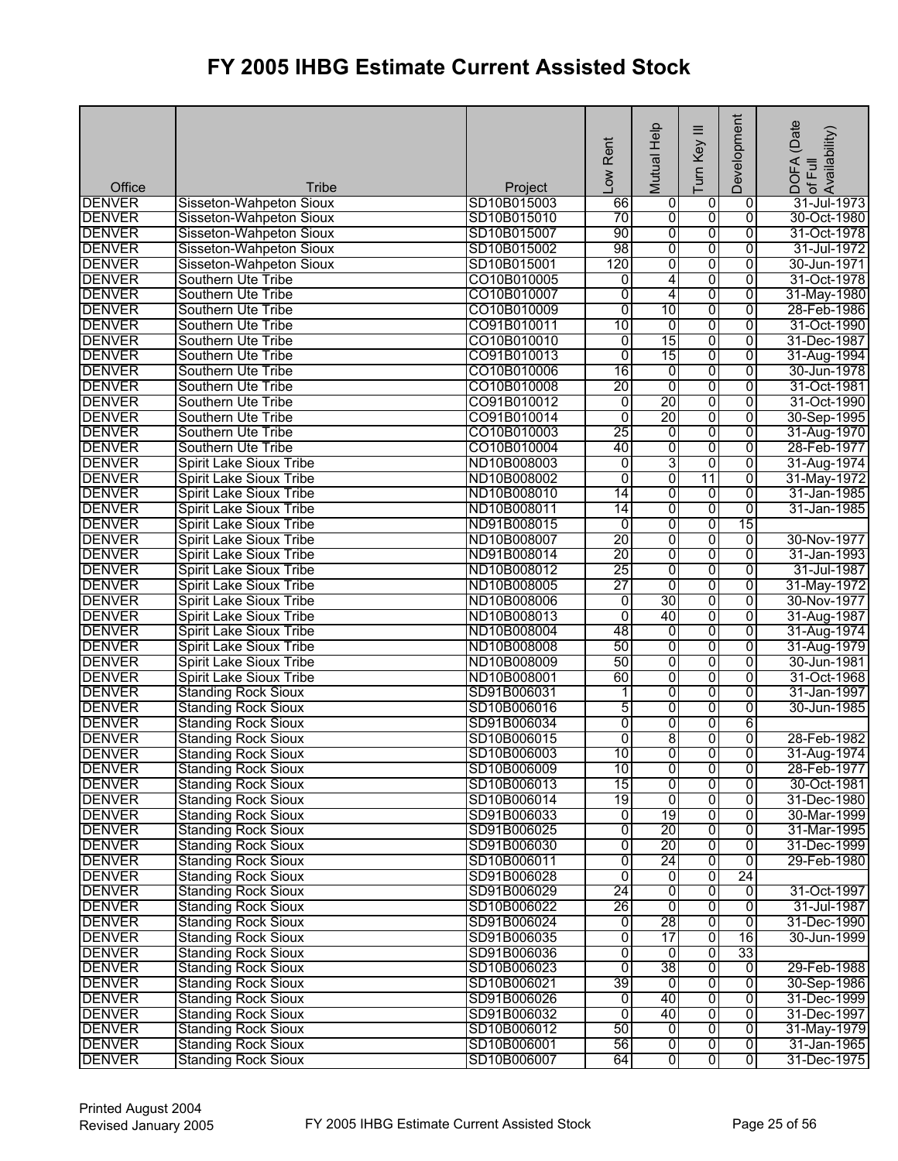| <b>DENVER</b><br>SD10B015003<br>66<br>0<br>Sisseton-Wahpeton Sioux<br>0<br>0<br>70<br>$\overline{0}$<br>$\overline{0}$<br>$\overline{0}$<br><b>DENVER</b><br>SD10B015010<br>Sisseton-Wahpeton Sioux<br>90<br>$\overline{0}$<br>$\overline{0}$<br>$\overline{0}$<br><b>DENVER</b><br>SD10B015007<br>Sisseton-Wahpeton Sioux<br><b>DENVER</b><br>98<br>0<br>0<br>Sisseton-Wahpeton Sioux<br>SD10B015002<br>0<br><b>DENVER</b><br>120<br>0<br>0<br>0<br>Sisseton-Wahpeton Sioux<br>SD10B015001<br>$\overline{0}$<br><b>DENVER</b><br>CO10B010005<br>4<br>$\overline{0}$<br>Southern Ute Tribe<br>0<br><b>DENVER</b><br>$\overline{0}$<br>Southern Ute Tribe<br>CO10B010007<br>0<br>4<br>$\mathbf 0$<br>10<br><b>DENVER</b><br>Southern Ute Tribe<br>CO10B010009<br>$\overline{0}$<br>0<br>0<br>28-Feb-1986<br>0<br>$\overline{0}$<br>CO91B010011<br>10<br>ō<br>31-Oct-1990<br><b>DENVER</b><br>Southern Ute Tribe<br>15<br>$\overline{0}$<br><b>DENVER</b><br>CO10B010010<br>0<br>$\overline{0}$<br>Southern Ute Tribe<br>31-Dec-1987<br>15<br><b>DENVER</b><br>Southern Ute Tribe<br>CO91B010013<br>$\overline{0}$<br>0<br>$\overline{0}$<br>31-Aug-1994<br><b>DENVER</b><br>Southern Ute Tribe<br>CO10B010006<br>16<br>0<br>0<br>0<br>30-Jun-1978<br>20<br>$\overline{0}$<br><b>DENVER</b><br>CO10B010008<br>ō<br>$\overline{0}$<br>31-Oct-1981<br>Southern Ute Tribe<br>$\overline{20}$<br>$\overline{0}$<br><b>DENVER</b><br>0<br>0<br>31-Oct-1990<br>Southern Ute Tribe<br>CO91B010012<br>20<br><b>DENVER</b><br>$\overline{0}$<br>0<br>$\overline{0}$<br>Southern Ute Tribe<br>CO91B010014<br>30-Sep-1995<br>25<br>0<br><b>DENVER</b><br>0<br>0<br>Southern Ute Tribe<br>CO10B010003<br>31-Aug-1970<br>$\overline{0}$<br>$\overline{0}$<br><b>DENVER</b><br>Southern Ute Tribe<br>CO10B010004<br>40<br>0<br>28-Feb-1977<br>3<br>0<br>$\overline{0}$<br><b>DENVER</b><br>ND10B008003<br>$\overline{0}$<br>31-Aug-1974<br><b>Spirit Lake Sioux Tribe</b><br>$\overline{0}$<br><b>DENVER</b><br>Spirit Lake Sioux Tribe<br>ND10B008002<br>$\overline{0}$<br>11<br>0<br>31-May-1972<br>0<br><b>DENVER</b><br><b>Spirit Lake Sioux Tribe</b><br>$\overline{14}$<br>0<br>ND10B008010<br>0<br>31-Jan-1985<br>0<br>$\overline{0}$<br><b>DENVER</b><br>14<br>$\overline{0}$<br>31-Jan-1985<br><b>Spirit Lake Sioux Tribe</b><br>ND10B008011<br>0<br>$\overline{0}$<br>15<br><b>DENVER</b><br><b>Spirit Lake Sioux Tribe</b><br>ND91B008015<br>0<br><b>DENVER</b><br>20<br>$\overline{0}$<br>0<br>Spirit Lake Sioux Tribe<br>ND10B008007<br>30-Nov-1977<br>0<br><b>DENVER</b><br>20<br>0<br>0<br><b>Spirit Lake Sioux Tribe</b><br>ND91B008014<br>0<br>31-Jan-1993<br>25<br><b>DENVER</b><br>ND10B008012<br>$\overline{0}$<br>0<br>31-Jul-1987<br><b>Spirit Lake Sioux Tribe</b><br>0<br><b>DENVER</b><br>$\overline{27}$<br>0<br>$\overline{0}$<br><b>Spirit Lake Sioux Tribe</b><br>ND10B008005<br>0<br>31-May-1972<br><b>DENVER</b><br>30<br>0<br>ND10B008006<br>0<br>$\overline{0}$<br><b>Spirit Lake Sioux Tribe</b><br>30-Nov-1977<br>40<br>$\overline{0}$<br><b>DENVER</b><br>$\overline{0}$<br>$\overline{0}$<br><b>Spirit Lake Sioux Tribe</b><br>ND10B008013<br>31-Aug-1987<br>48<br>0<br>$\overline{0}$<br><b>DENVER</b><br>0<br><b>Spirit Lake Sioux Tribe</b><br>ND10B008004<br>31-Aug-1974<br>50<br>$\overline{0}$<br>$\overline{0}$<br>$\overline{0}$<br><b>DENVER</b><br>Spirit Lake Sioux Tribe<br>ND10B008008<br>31-Aug-1979<br><b>DENVER</b><br>0<br>0<br>Spirit Lake Sioux Tribe<br>ND10B008009<br>50<br>$\overline{0}$<br>30-Jun-1981<br>0<br>$\overline{0}$<br><b>DENVER</b><br><b>Spirit Lake Sioux Tribe</b><br>60<br>0<br>ND10B008001<br>31-Oct-1968<br>0<br>0<br>$\overline{0}$<br><b>DENVER</b><br>SD91B006031<br>31-Jan-1997<br><b>Standing Rock Sioux</b><br>1<br>$\overline{0}$<br><b>DENVER</b><br>5<br>$\overline{0}$<br>$\overline{0}$<br><b>Standing Rock Sioux</b><br>SD10B006016 | Office        | Tribe                      | Project     | Rent<br>Low | Mutual Help | ≡<br>Turn Key | Development | (Date<br>DOFA (Date<br> of Full<br> Availability) |
|---------------------------------------------------------------------------------------------------------------------------------------------------------------------------------------------------------------------------------------------------------------------------------------------------------------------------------------------------------------------------------------------------------------------------------------------------------------------------------------------------------------------------------------------------------------------------------------------------------------------------------------------------------------------------------------------------------------------------------------------------------------------------------------------------------------------------------------------------------------------------------------------------------------------------------------------------------------------------------------------------------------------------------------------------------------------------------------------------------------------------------------------------------------------------------------------------------------------------------------------------------------------------------------------------------------------------------------------------------------------------------------------------------------------------------------------------------------------------------------------------------------------------------------------------------------------------------------------------------------------------------------------------------------------------------------------------------------------------------------------------------------------------------------------------------------------------------------------------------------------------------------------------------------------------------------------------------------------------------------------------------------------------------------------------------------------------------------------------------------------------------------------------------------------------------------------------------------------------------------------------------------------------------------------------------------------------------------------------------------------------------------------------------------------------------------------------------------------------------------------------------------------------------------------------------------------------------------------------------------------------------------------------------------------------------------------------------------------------------------------------------------------------------------------------------------------------------------------------------------------------------------------------------------------------------------------------------------------------------------------------------------------------------------------------------------------------------------------------------------------------------------------------------------------------------------------------------------------------------------------------------------------------------------------------------------------------------------------------------------------------------------------------------------------------------------------------------------------------------------------------------------------------------------------------------------------------------------------------------------------------------------------------------------------------------------------------------------------------------------------------------------------------------------------------------------------------------------------------------------------------------------------------------------|---------------|----------------------------|-------------|-------------|-------------|---------------|-------------|---------------------------------------------------|
|                                                                                                                                                                                                                                                                                                                                                                                                                                                                                                                                                                                                                                                                                                                                                                                                                                                                                                                                                                                                                                                                                                                                                                                                                                                                                                                                                                                                                                                                                                                                                                                                                                                                                                                                                                                                                                                                                                                                                                                                                                                                                                                                                                                                                                                                                                                                                                                                                                                                                                                                                                                                                                                                                                                                                                                                                                                                                                                                                                                                                                                                                                                                                                                                                                                                                                                                                                                                                                                                                                                                                                                                                                                                                                                                                                                                                                                                                                               |               |                            |             |             |             |               |             | 31-Jul-1973                                       |
|                                                                                                                                                                                                                                                                                                                                                                                                                                                                                                                                                                                                                                                                                                                                                                                                                                                                                                                                                                                                                                                                                                                                                                                                                                                                                                                                                                                                                                                                                                                                                                                                                                                                                                                                                                                                                                                                                                                                                                                                                                                                                                                                                                                                                                                                                                                                                                                                                                                                                                                                                                                                                                                                                                                                                                                                                                                                                                                                                                                                                                                                                                                                                                                                                                                                                                                                                                                                                                                                                                                                                                                                                                                                                                                                                                                                                                                                                                               |               |                            |             |             |             |               |             | 30-Oct-1980                                       |
|                                                                                                                                                                                                                                                                                                                                                                                                                                                                                                                                                                                                                                                                                                                                                                                                                                                                                                                                                                                                                                                                                                                                                                                                                                                                                                                                                                                                                                                                                                                                                                                                                                                                                                                                                                                                                                                                                                                                                                                                                                                                                                                                                                                                                                                                                                                                                                                                                                                                                                                                                                                                                                                                                                                                                                                                                                                                                                                                                                                                                                                                                                                                                                                                                                                                                                                                                                                                                                                                                                                                                                                                                                                                                                                                                                                                                                                                                                               |               |                            |             |             |             |               |             | 31-Oct-1978                                       |
|                                                                                                                                                                                                                                                                                                                                                                                                                                                                                                                                                                                                                                                                                                                                                                                                                                                                                                                                                                                                                                                                                                                                                                                                                                                                                                                                                                                                                                                                                                                                                                                                                                                                                                                                                                                                                                                                                                                                                                                                                                                                                                                                                                                                                                                                                                                                                                                                                                                                                                                                                                                                                                                                                                                                                                                                                                                                                                                                                                                                                                                                                                                                                                                                                                                                                                                                                                                                                                                                                                                                                                                                                                                                                                                                                                                                                                                                                                               |               |                            |             |             |             |               |             | 31-Jul-1972                                       |
|                                                                                                                                                                                                                                                                                                                                                                                                                                                                                                                                                                                                                                                                                                                                                                                                                                                                                                                                                                                                                                                                                                                                                                                                                                                                                                                                                                                                                                                                                                                                                                                                                                                                                                                                                                                                                                                                                                                                                                                                                                                                                                                                                                                                                                                                                                                                                                                                                                                                                                                                                                                                                                                                                                                                                                                                                                                                                                                                                                                                                                                                                                                                                                                                                                                                                                                                                                                                                                                                                                                                                                                                                                                                                                                                                                                                                                                                                                               |               |                            |             |             |             |               |             | 30-Jun-1971                                       |
|                                                                                                                                                                                                                                                                                                                                                                                                                                                                                                                                                                                                                                                                                                                                                                                                                                                                                                                                                                                                                                                                                                                                                                                                                                                                                                                                                                                                                                                                                                                                                                                                                                                                                                                                                                                                                                                                                                                                                                                                                                                                                                                                                                                                                                                                                                                                                                                                                                                                                                                                                                                                                                                                                                                                                                                                                                                                                                                                                                                                                                                                                                                                                                                                                                                                                                                                                                                                                                                                                                                                                                                                                                                                                                                                                                                                                                                                                                               |               |                            |             |             |             |               |             | 31-Oct-1978                                       |
|                                                                                                                                                                                                                                                                                                                                                                                                                                                                                                                                                                                                                                                                                                                                                                                                                                                                                                                                                                                                                                                                                                                                                                                                                                                                                                                                                                                                                                                                                                                                                                                                                                                                                                                                                                                                                                                                                                                                                                                                                                                                                                                                                                                                                                                                                                                                                                                                                                                                                                                                                                                                                                                                                                                                                                                                                                                                                                                                                                                                                                                                                                                                                                                                                                                                                                                                                                                                                                                                                                                                                                                                                                                                                                                                                                                                                                                                                                               |               |                            |             |             |             |               |             | 31-May-1980                                       |
|                                                                                                                                                                                                                                                                                                                                                                                                                                                                                                                                                                                                                                                                                                                                                                                                                                                                                                                                                                                                                                                                                                                                                                                                                                                                                                                                                                                                                                                                                                                                                                                                                                                                                                                                                                                                                                                                                                                                                                                                                                                                                                                                                                                                                                                                                                                                                                                                                                                                                                                                                                                                                                                                                                                                                                                                                                                                                                                                                                                                                                                                                                                                                                                                                                                                                                                                                                                                                                                                                                                                                                                                                                                                                                                                                                                                                                                                                                               |               |                            |             |             |             |               |             |                                                   |
|                                                                                                                                                                                                                                                                                                                                                                                                                                                                                                                                                                                                                                                                                                                                                                                                                                                                                                                                                                                                                                                                                                                                                                                                                                                                                                                                                                                                                                                                                                                                                                                                                                                                                                                                                                                                                                                                                                                                                                                                                                                                                                                                                                                                                                                                                                                                                                                                                                                                                                                                                                                                                                                                                                                                                                                                                                                                                                                                                                                                                                                                                                                                                                                                                                                                                                                                                                                                                                                                                                                                                                                                                                                                                                                                                                                                                                                                                                               |               |                            |             |             |             |               |             |                                                   |
|                                                                                                                                                                                                                                                                                                                                                                                                                                                                                                                                                                                                                                                                                                                                                                                                                                                                                                                                                                                                                                                                                                                                                                                                                                                                                                                                                                                                                                                                                                                                                                                                                                                                                                                                                                                                                                                                                                                                                                                                                                                                                                                                                                                                                                                                                                                                                                                                                                                                                                                                                                                                                                                                                                                                                                                                                                                                                                                                                                                                                                                                                                                                                                                                                                                                                                                                                                                                                                                                                                                                                                                                                                                                                                                                                                                                                                                                                                               |               |                            |             |             |             |               |             |                                                   |
|                                                                                                                                                                                                                                                                                                                                                                                                                                                                                                                                                                                                                                                                                                                                                                                                                                                                                                                                                                                                                                                                                                                                                                                                                                                                                                                                                                                                                                                                                                                                                                                                                                                                                                                                                                                                                                                                                                                                                                                                                                                                                                                                                                                                                                                                                                                                                                                                                                                                                                                                                                                                                                                                                                                                                                                                                                                                                                                                                                                                                                                                                                                                                                                                                                                                                                                                                                                                                                                                                                                                                                                                                                                                                                                                                                                                                                                                                                               |               |                            |             |             |             |               |             |                                                   |
|                                                                                                                                                                                                                                                                                                                                                                                                                                                                                                                                                                                                                                                                                                                                                                                                                                                                                                                                                                                                                                                                                                                                                                                                                                                                                                                                                                                                                                                                                                                                                                                                                                                                                                                                                                                                                                                                                                                                                                                                                                                                                                                                                                                                                                                                                                                                                                                                                                                                                                                                                                                                                                                                                                                                                                                                                                                                                                                                                                                                                                                                                                                                                                                                                                                                                                                                                                                                                                                                                                                                                                                                                                                                                                                                                                                                                                                                                                               |               |                            |             |             |             |               |             |                                                   |
|                                                                                                                                                                                                                                                                                                                                                                                                                                                                                                                                                                                                                                                                                                                                                                                                                                                                                                                                                                                                                                                                                                                                                                                                                                                                                                                                                                                                                                                                                                                                                                                                                                                                                                                                                                                                                                                                                                                                                                                                                                                                                                                                                                                                                                                                                                                                                                                                                                                                                                                                                                                                                                                                                                                                                                                                                                                                                                                                                                                                                                                                                                                                                                                                                                                                                                                                                                                                                                                                                                                                                                                                                                                                                                                                                                                                                                                                                                               |               |                            |             |             |             |               |             |                                                   |
|                                                                                                                                                                                                                                                                                                                                                                                                                                                                                                                                                                                                                                                                                                                                                                                                                                                                                                                                                                                                                                                                                                                                                                                                                                                                                                                                                                                                                                                                                                                                                                                                                                                                                                                                                                                                                                                                                                                                                                                                                                                                                                                                                                                                                                                                                                                                                                                                                                                                                                                                                                                                                                                                                                                                                                                                                                                                                                                                                                                                                                                                                                                                                                                                                                                                                                                                                                                                                                                                                                                                                                                                                                                                                                                                                                                                                                                                                                               |               |                            |             |             |             |               |             |                                                   |
|                                                                                                                                                                                                                                                                                                                                                                                                                                                                                                                                                                                                                                                                                                                                                                                                                                                                                                                                                                                                                                                                                                                                                                                                                                                                                                                                                                                                                                                                                                                                                                                                                                                                                                                                                                                                                                                                                                                                                                                                                                                                                                                                                                                                                                                                                                                                                                                                                                                                                                                                                                                                                                                                                                                                                                                                                                                                                                                                                                                                                                                                                                                                                                                                                                                                                                                                                                                                                                                                                                                                                                                                                                                                                                                                                                                                                                                                                                               |               |                            |             |             |             |               |             |                                                   |
|                                                                                                                                                                                                                                                                                                                                                                                                                                                                                                                                                                                                                                                                                                                                                                                                                                                                                                                                                                                                                                                                                                                                                                                                                                                                                                                                                                                                                                                                                                                                                                                                                                                                                                                                                                                                                                                                                                                                                                                                                                                                                                                                                                                                                                                                                                                                                                                                                                                                                                                                                                                                                                                                                                                                                                                                                                                                                                                                                                                                                                                                                                                                                                                                                                                                                                                                                                                                                                                                                                                                                                                                                                                                                                                                                                                                                                                                                                               |               |                            |             |             |             |               |             |                                                   |
|                                                                                                                                                                                                                                                                                                                                                                                                                                                                                                                                                                                                                                                                                                                                                                                                                                                                                                                                                                                                                                                                                                                                                                                                                                                                                                                                                                                                                                                                                                                                                                                                                                                                                                                                                                                                                                                                                                                                                                                                                                                                                                                                                                                                                                                                                                                                                                                                                                                                                                                                                                                                                                                                                                                                                                                                                                                                                                                                                                                                                                                                                                                                                                                                                                                                                                                                                                                                                                                                                                                                                                                                                                                                                                                                                                                                                                                                                                               |               |                            |             |             |             |               |             |                                                   |
|                                                                                                                                                                                                                                                                                                                                                                                                                                                                                                                                                                                                                                                                                                                                                                                                                                                                                                                                                                                                                                                                                                                                                                                                                                                                                                                                                                                                                                                                                                                                                                                                                                                                                                                                                                                                                                                                                                                                                                                                                                                                                                                                                                                                                                                                                                                                                                                                                                                                                                                                                                                                                                                                                                                                                                                                                                                                                                                                                                                                                                                                                                                                                                                                                                                                                                                                                                                                                                                                                                                                                                                                                                                                                                                                                                                                                                                                                                               |               |                            |             |             |             |               |             |                                                   |
|                                                                                                                                                                                                                                                                                                                                                                                                                                                                                                                                                                                                                                                                                                                                                                                                                                                                                                                                                                                                                                                                                                                                                                                                                                                                                                                                                                                                                                                                                                                                                                                                                                                                                                                                                                                                                                                                                                                                                                                                                                                                                                                                                                                                                                                                                                                                                                                                                                                                                                                                                                                                                                                                                                                                                                                                                                                                                                                                                                                                                                                                                                                                                                                                                                                                                                                                                                                                                                                                                                                                                                                                                                                                                                                                                                                                                                                                                                               |               |                            |             |             |             |               |             |                                                   |
|                                                                                                                                                                                                                                                                                                                                                                                                                                                                                                                                                                                                                                                                                                                                                                                                                                                                                                                                                                                                                                                                                                                                                                                                                                                                                                                                                                                                                                                                                                                                                                                                                                                                                                                                                                                                                                                                                                                                                                                                                                                                                                                                                                                                                                                                                                                                                                                                                                                                                                                                                                                                                                                                                                                                                                                                                                                                                                                                                                                                                                                                                                                                                                                                                                                                                                                                                                                                                                                                                                                                                                                                                                                                                                                                                                                                                                                                                                               |               |                            |             |             |             |               |             |                                                   |
|                                                                                                                                                                                                                                                                                                                                                                                                                                                                                                                                                                                                                                                                                                                                                                                                                                                                                                                                                                                                                                                                                                                                                                                                                                                                                                                                                                                                                                                                                                                                                                                                                                                                                                                                                                                                                                                                                                                                                                                                                                                                                                                                                                                                                                                                                                                                                                                                                                                                                                                                                                                                                                                                                                                                                                                                                                                                                                                                                                                                                                                                                                                                                                                                                                                                                                                                                                                                                                                                                                                                                                                                                                                                                                                                                                                                                                                                                                               |               |                            |             |             |             |               |             |                                                   |
|                                                                                                                                                                                                                                                                                                                                                                                                                                                                                                                                                                                                                                                                                                                                                                                                                                                                                                                                                                                                                                                                                                                                                                                                                                                                                                                                                                                                                                                                                                                                                                                                                                                                                                                                                                                                                                                                                                                                                                                                                                                                                                                                                                                                                                                                                                                                                                                                                                                                                                                                                                                                                                                                                                                                                                                                                                                                                                                                                                                                                                                                                                                                                                                                                                                                                                                                                                                                                                                                                                                                                                                                                                                                                                                                                                                                                                                                                                               |               |                            |             |             |             |               |             |                                                   |
|                                                                                                                                                                                                                                                                                                                                                                                                                                                                                                                                                                                                                                                                                                                                                                                                                                                                                                                                                                                                                                                                                                                                                                                                                                                                                                                                                                                                                                                                                                                                                                                                                                                                                                                                                                                                                                                                                                                                                                                                                                                                                                                                                                                                                                                                                                                                                                                                                                                                                                                                                                                                                                                                                                                                                                                                                                                                                                                                                                                                                                                                                                                                                                                                                                                                                                                                                                                                                                                                                                                                                                                                                                                                                                                                                                                                                                                                                                               |               |                            |             |             |             |               |             |                                                   |
|                                                                                                                                                                                                                                                                                                                                                                                                                                                                                                                                                                                                                                                                                                                                                                                                                                                                                                                                                                                                                                                                                                                                                                                                                                                                                                                                                                                                                                                                                                                                                                                                                                                                                                                                                                                                                                                                                                                                                                                                                                                                                                                                                                                                                                                                                                                                                                                                                                                                                                                                                                                                                                                                                                                                                                                                                                                                                                                                                                                                                                                                                                                                                                                                                                                                                                                                                                                                                                                                                                                                                                                                                                                                                                                                                                                                                                                                                                               |               |                            |             |             |             |               |             |                                                   |
|                                                                                                                                                                                                                                                                                                                                                                                                                                                                                                                                                                                                                                                                                                                                                                                                                                                                                                                                                                                                                                                                                                                                                                                                                                                                                                                                                                                                                                                                                                                                                                                                                                                                                                                                                                                                                                                                                                                                                                                                                                                                                                                                                                                                                                                                                                                                                                                                                                                                                                                                                                                                                                                                                                                                                                                                                                                                                                                                                                                                                                                                                                                                                                                                                                                                                                                                                                                                                                                                                                                                                                                                                                                                                                                                                                                                                                                                                                               |               |                            |             |             |             |               |             |                                                   |
|                                                                                                                                                                                                                                                                                                                                                                                                                                                                                                                                                                                                                                                                                                                                                                                                                                                                                                                                                                                                                                                                                                                                                                                                                                                                                                                                                                                                                                                                                                                                                                                                                                                                                                                                                                                                                                                                                                                                                                                                                                                                                                                                                                                                                                                                                                                                                                                                                                                                                                                                                                                                                                                                                                                                                                                                                                                                                                                                                                                                                                                                                                                                                                                                                                                                                                                                                                                                                                                                                                                                                                                                                                                                                                                                                                                                                                                                                                               |               |                            |             |             |             |               |             |                                                   |
|                                                                                                                                                                                                                                                                                                                                                                                                                                                                                                                                                                                                                                                                                                                                                                                                                                                                                                                                                                                                                                                                                                                                                                                                                                                                                                                                                                                                                                                                                                                                                                                                                                                                                                                                                                                                                                                                                                                                                                                                                                                                                                                                                                                                                                                                                                                                                                                                                                                                                                                                                                                                                                                                                                                                                                                                                                                                                                                                                                                                                                                                                                                                                                                                                                                                                                                                                                                                                                                                                                                                                                                                                                                                                                                                                                                                                                                                                                               |               |                            |             |             |             |               |             |                                                   |
|                                                                                                                                                                                                                                                                                                                                                                                                                                                                                                                                                                                                                                                                                                                                                                                                                                                                                                                                                                                                                                                                                                                                                                                                                                                                                                                                                                                                                                                                                                                                                                                                                                                                                                                                                                                                                                                                                                                                                                                                                                                                                                                                                                                                                                                                                                                                                                                                                                                                                                                                                                                                                                                                                                                                                                                                                                                                                                                                                                                                                                                                                                                                                                                                                                                                                                                                                                                                                                                                                                                                                                                                                                                                                                                                                                                                                                                                                                               |               |                            |             |             |             |               |             |                                                   |
|                                                                                                                                                                                                                                                                                                                                                                                                                                                                                                                                                                                                                                                                                                                                                                                                                                                                                                                                                                                                                                                                                                                                                                                                                                                                                                                                                                                                                                                                                                                                                                                                                                                                                                                                                                                                                                                                                                                                                                                                                                                                                                                                                                                                                                                                                                                                                                                                                                                                                                                                                                                                                                                                                                                                                                                                                                                                                                                                                                                                                                                                                                                                                                                                                                                                                                                                                                                                                                                                                                                                                                                                                                                                                                                                                                                                                                                                                                               |               |                            |             |             |             |               |             |                                                   |
|                                                                                                                                                                                                                                                                                                                                                                                                                                                                                                                                                                                                                                                                                                                                                                                                                                                                                                                                                                                                                                                                                                                                                                                                                                                                                                                                                                                                                                                                                                                                                                                                                                                                                                                                                                                                                                                                                                                                                                                                                                                                                                                                                                                                                                                                                                                                                                                                                                                                                                                                                                                                                                                                                                                                                                                                                                                                                                                                                                                                                                                                                                                                                                                                                                                                                                                                                                                                                                                                                                                                                                                                                                                                                                                                                                                                                                                                                                               |               |                            |             |             |             |               |             |                                                   |
|                                                                                                                                                                                                                                                                                                                                                                                                                                                                                                                                                                                                                                                                                                                                                                                                                                                                                                                                                                                                                                                                                                                                                                                                                                                                                                                                                                                                                                                                                                                                                                                                                                                                                                                                                                                                                                                                                                                                                                                                                                                                                                                                                                                                                                                                                                                                                                                                                                                                                                                                                                                                                                                                                                                                                                                                                                                                                                                                                                                                                                                                                                                                                                                                                                                                                                                                                                                                                                                                                                                                                                                                                                                                                                                                                                                                                                                                                                               |               |                            |             |             |             |               |             |                                                   |
|                                                                                                                                                                                                                                                                                                                                                                                                                                                                                                                                                                                                                                                                                                                                                                                                                                                                                                                                                                                                                                                                                                                                                                                                                                                                                                                                                                                                                                                                                                                                                                                                                                                                                                                                                                                                                                                                                                                                                                                                                                                                                                                                                                                                                                                                                                                                                                                                                                                                                                                                                                                                                                                                                                                                                                                                                                                                                                                                                                                                                                                                                                                                                                                                                                                                                                                                                                                                                                                                                                                                                                                                                                                                                                                                                                                                                                                                                                               |               |                            |             |             |             |               |             |                                                   |
|                                                                                                                                                                                                                                                                                                                                                                                                                                                                                                                                                                                                                                                                                                                                                                                                                                                                                                                                                                                                                                                                                                                                                                                                                                                                                                                                                                                                                                                                                                                                                                                                                                                                                                                                                                                                                                                                                                                                                                                                                                                                                                                                                                                                                                                                                                                                                                                                                                                                                                                                                                                                                                                                                                                                                                                                                                                                                                                                                                                                                                                                                                                                                                                                                                                                                                                                                                                                                                                                                                                                                                                                                                                                                                                                                                                                                                                                                                               |               |                            |             |             |             |               |             | 30-Jun-1985                                       |
| $\overline{0}$<br>$\overline{0}$<br>6                                                                                                                                                                                                                                                                                                                                                                                                                                                                                                                                                                                                                                                                                                                                                                                                                                                                                                                                                                                                                                                                                                                                                                                                                                                                                                                                                                                                                                                                                                                                                                                                                                                                                                                                                                                                                                                                                                                                                                                                                                                                                                                                                                                                                                                                                                                                                                                                                                                                                                                                                                                                                                                                                                                                                                                                                                                                                                                                                                                                                                                                                                                                                                                                                                                                                                                                                                                                                                                                                                                                                                                                                                                                                                                                                                                                                                                                         | <b>DENVER</b> | <b>Standing Rock Sioux</b> | SD91B006034 |             |             | 0             |             |                                                   |
| 8<br><b>DENVER</b><br>$\overline{0}$<br>ō<br>$\overline{0}$<br><b>Standing Rock Sioux</b><br>SD10B006015                                                                                                                                                                                                                                                                                                                                                                                                                                                                                                                                                                                                                                                                                                                                                                                                                                                                                                                                                                                                                                                                                                                                                                                                                                                                                                                                                                                                                                                                                                                                                                                                                                                                                                                                                                                                                                                                                                                                                                                                                                                                                                                                                                                                                                                                                                                                                                                                                                                                                                                                                                                                                                                                                                                                                                                                                                                                                                                                                                                                                                                                                                                                                                                                                                                                                                                                                                                                                                                                                                                                                                                                                                                                                                                                                                                                      |               |                            |             |             |             |               |             | 28-Feb-1982                                       |
| 10<br>$\overline{0}$<br>$\overline{0}$<br><b>DENVER</b><br>SD10B006003<br>$\overline{0}$<br><b>Standing Rock Sioux</b>                                                                                                                                                                                                                                                                                                                                                                                                                                                                                                                                                                                                                                                                                                                                                                                                                                                                                                                                                                                                                                                                                                                                                                                                                                                                                                                                                                                                                                                                                                                                                                                                                                                                                                                                                                                                                                                                                                                                                                                                                                                                                                                                                                                                                                                                                                                                                                                                                                                                                                                                                                                                                                                                                                                                                                                                                                                                                                                                                                                                                                                                                                                                                                                                                                                                                                                                                                                                                                                                                                                                                                                                                                                                                                                                                                                        |               |                            |             |             |             |               |             | 31-Aug-1974                                       |
| <b>DENVER</b><br><b>Standing Rock Sioux</b><br>SD10B006009<br>$\overline{0}$<br>o<br>10<br>0                                                                                                                                                                                                                                                                                                                                                                                                                                                                                                                                                                                                                                                                                                                                                                                                                                                                                                                                                                                                                                                                                                                                                                                                                                                                                                                                                                                                                                                                                                                                                                                                                                                                                                                                                                                                                                                                                                                                                                                                                                                                                                                                                                                                                                                                                                                                                                                                                                                                                                                                                                                                                                                                                                                                                                                                                                                                                                                                                                                                                                                                                                                                                                                                                                                                                                                                                                                                                                                                                                                                                                                                                                                                                                                                                                                                                  |               |                            |             |             |             |               |             | 28-Feb-1977                                       |
| <b>DENVER</b><br>0<br>0<br><b>Standing Rock Sioux</b><br>SD10B006013<br>15<br>0                                                                                                                                                                                                                                                                                                                                                                                                                                                                                                                                                                                                                                                                                                                                                                                                                                                                                                                                                                                                                                                                                                                                                                                                                                                                                                                                                                                                                                                                                                                                                                                                                                                                                                                                                                                                                                                                                                                                                                                                                                                                                                                                                                                                                                                                                                                                                                                                                                                                                                                                                                                                                                                                                                                                                                                                                                                                                                                                                                                                                                                                                                                                                                                                                                                                                                                                                                                                                                                                                                                                                                                                                                                                                                                                                                                                                               |               |                            |             |             |             |               |             | 30-Oct-1981                                       |
| 0<br><b>DENVER</b><br>19<br>ō<br>0<br><b>Standing Rock Sioux</b><br>SD10B006014                                                                                                                                                                                                                                                                                                                                                                                                                                                                                                                                                                                                                                                                                                                                                                                                                                                                                                                                                                                                                                                                                                                                                                                                                                                                                                                                                                                                                                                                                                                                                                                                                                                                                                                                                                                                                                                                                                                                                                                                                                                                                                                                                                                                                                                                                                                                                                                                                                                                                                                                                                                                                                                                                                                                                                                                                                                                                                                                                                                                                                                                                                                                                                                                                                                                                                                                                                                                                                                                                                                                                                                                                                                                                                                                                                                                                               |               |                            |             |             |             |               |             | 31-Dec-1980                                       |
| 19<br>0<br>0<br><b>DENVER</b><br><b>Standing Rock Sioux</b><br>SD91B006033<br>0                                                                                                                                                                                                                                                                                                                                                                                                                                                                                                                                                                                                                                                                                                                                                                                                                                                                                                                                                                                                                                                                                                                                                                                                                                                                                                                                                                                                                                                                                                                                                                                                                                                                                                                                                                                                                                                                                                                                                                                                                                                                                                                                                                                                                                                                                                                                                                                                                                                                                                                                                                                                                                                                                                                                                                                                                                                                                                                                                                                                                                                                                                                                                                                                                                                                                                                                                                                                                                                                                                                                                                                                                                                                                                                                                                                                                               |               |                            |             |             |             |               |             | 30-Mar-1999                                       |
| $\overline{0}$<br>20<br>0<br><b>DENVER</b><br><b>Standing Rock Sioux</b><br>0<br>SD91B006025                                                                                                                                                                                                                                                                                                                                                                                                                                                                                                                                                                                                                                                                                                                                                                                                                                                                                                                                                                                                                                                                                                                                                                                                                                                                                                                                                                                                                                                                                                                                                                                                                                                                                                                                                                                                                                                                                                                                                                                                                                                                                                                                                                                                                                                                                                                                                                                                                                                                                                                                                                                                                                                                                                                                                                                                                                                                                                                                                                                                                                                                                                                                                                                                                                                                                                                                                                                                                                                                                                                                                                                                                                                                                                                                                                                                                  |               |                            |             |             |             |               |             | 31-Mar-1995                                       |
| 0<br>20<br>0<br><b>DENVER</b><br><b>Standing Rock Sioux</b><br>SD91B006030<br>0                                                                                                                                                                                                                                                                                                                                                                                                                                                                                                                                                                                                                                                                                                                                                                                                                                                                                                                                                                                                                                                                                                                                                                                                                                                                                                                                                                                                                                                                                                                                                                                                                                                                                                                                                                                                                                                                                                                                                                                                                                                                                                                                                                                                                                                                                                                                                                                                                                                                                                                                                                                                                                                                                                                                                                                                                                                                                                                                                                                                                                                                                                                                                                                                                                                                                                                                                                                                                                                                                                                                                                                                                                                                                                                                                                                                                               |               |                            |             |             |             |               |             | 31-Dec-1999                                       |
| 24<br><b>DENVER</b><br>0<br>0<br>$\overline{0}$<br><b>Standing Rock Sioux</b><br>SD10B006011                                                                                                                                                                                                                                                                                                                                                                                                                                                                                                                                                                                                                                                                                                                                                                                                                                                                                                                                                                                                                                                                                                                                                                                                                                                                                                                                                                                                                                                                                                                                                                                                                                                                                                                                                                                                                                                                                                                                                                                                                                                                                                                                                                                                                                                                                                                                                                                                                                                                                                                                                                                                                                                                                                                                                                                                                                                                                                                                                                                                                                                                                                                                                                                                                                                                                                                                                                                                                                                                                                                                                                                                                                                                                                                                                                                                                  |               |                            |             |             |             |               |             | 29-Feb-1980                                       |
| $\overline{0}$<br>24<br><b>DENVER</b><br>ō<br>$\overline{0}$<br><b>Standing Rock Sioux</b><br>SD91B006028                                                                                                                                                                                                                                                                                                                                                                                                                                                                                                                                                                                                                                                                                                                                                                                                                                                                                                                                                                                                                                                                                                                                                                                                                                                                                                                                                                                                                                                                                                                                                                                                                                                                                                                                                                                                                                                                                                                                                                                                                                                                                                                                                                                                                                                                                                                                                                                                                                                                                                                                                                                                                                                                                                                                                                                                                                                                                                                                                                                                                                                                                                                                                                                                                                                                                                                                                                                                                                                                                                                                                                                                                                                                                                                                                                                                     |               |                            |             |             |             |               |             |                                                   |
| $\overline{0}$<br>0<br><b>DENVER</b><br>24<br><b>Standing Rock Sioux</b><br>SD91B006029<br>$\overline{0}$                                                                                                                                                                                                                                                                                                                                                                                                                                                                                                                                                                                                                                                                                                                                                                                                                                                                                                                                                                                                                                                                                                                                                                                                                                                                                                                                                                                                                                                                                                                                                                                                                                                                                                                                                                                                                                                                                                                                                                                                                                                                                                                                                                                                                                                                                                                                                                                                                                                                                                                                                                                                                                                                                                                                                                                                                                                                                                                                                                                                                                                                                                                                                                                                                                                                                                                                                                                                                                                                                                                                                                                                                                                                                                                                                                                                     |               |                            |             |             |             |               |             | 31-Oct-1997                                       |
| 26<br>0<br>0<br><b>DENVER</b><br><b>Standing Rock Sioux</b><br>SD10B006022<br>0                                                                                                                                                                                                                                                                                                                                                                                                                                                                                                                                                                                                                                                                                                                                                                                                                                                                                                                                                                                                                                                                                                                                                                                                                                                                                                                                                                                                                                                                                                                                                                                                                                                                                                                                                                                                                                                                                                                                                                                                                                                                                                                                                                                                                                                                                                                                                                                                                                                                                                                                                                                                                                                                                                                                                                                                                                                                                                                                                                                                                                                                                                                                                                                                                                                                                                                                                                                                                                                                                                                                                                                                                                                                                                                                                                                                                               |               |                            |             |             |             |               |             | 31-Jul-1987                                       |
| 28<br>$\overline{0}$<br><b>DENVER</b><br>$\overline{0}$<br><b>Standing Rock Sioux</b><br>SD91B006024<br>$\overline{0}$                                                                                                                                                                                                                                                                                                                                                                                                                                                                                                                                                                                                                                                                                                                                                                                                                                                                                                                                                                                                                                                                                                                                                                                                                                                                                                                                                                                                                                                                                                                                                                                                                                                                                                                                                                                                                                                                                                                                                                                                                                                                                                                                                                                                                                                                                                                                                                                                                                                                                                                                                                                                                                                                                                                                                                                                                                                                                                                                                                                                                                                                                                                                                                                                                                                                                                                                                                                                                                                                                                                                                                                                                                                                                                                                                                                        |               |                            |             |             |             |               |             | 31-Dec-1990                                       |
| 17<br>0<br><b>DENVER</b><br>$\overline{0}$<br>16<br><b>Standing Rock Sioux</b><br>SD91B006035<br>0<br>33<br><b>Standing Rock Sioux</b>                                                                                                                                                                                                                                                                                                                                                                                                                                                                                                                                                                                                                                                                                                                                                                                                                                                                                                                                                                                                                                                                                                                                                                                                                                                                                                                                                                                                                                                                                                                                                                                                                                                                                                                                                                                                                                                                                                                                                                                                                                                                                                                                                                                                                                                                                                                                                                                                                                                                                                                                                                                                                                                                                                                                                                                                                                                                                                                                                                                                                                                                                                                                                                                                                                                                                                                                                                                                                                                                                                                                                                                                                                                                                                                                                                        |               |                            |             |             |             |               |             | 30-Jun-1999                                       |
| <b>DENVER</b><br>0<br>ō<br>SD91B006036<br>38                                                                                                                                                                                                                                                                                                                                                                                                                                                                                                                                                                                                                                                                                                                                                                                                                                                                                                                                                                                                                                                                                                                                                                                                                                                                                                                                                                                                                                                                                                                                                                                                                                                                                                                                                                                                                                                                                                                                                                                                                                                                                                                                                                                                                                                                                                                                                                                                                                                                                                                                                                                                                                                                                                                                                                                                                                                                                                                                                                                                                                                                                                                                                                                                                                                                                                                                                                                                                                                                                                                                                                                                                                                                                                                                                                                                                                                                  |               |                            |             |             |             |               |             |                                                   |
| 0<br><b>DENVER</b><br><b>Standing Rock Sioux</b><br>SD10B006023<br>0<br>0<br>39<br>ō<br>$\overline{0}$<br>ō<br><b>DENVER</b><br><b>Standing Rock Sioux</b><br>SD10B006021                                                                                                                                                                                                                                                                                                                                                                                                                                                                                                                                                                                                                                                                                                                                                                                                                                                                                                                                                                                                                                                                                                                                                                                                                                                                                                                                                                                                                                                                                                                                                                                                                                                                                                                                                                                                                                                                                                                                                                                                                                                                                                                                                                                                                                                                                                                                                                                                                                                                                                                                                                                                                                                                                                                                                                                                                                                                                                                                                                                                                                                                                                                                                                                                                                                                                                                                                                                                                                                                                                                                                                                                                                                                                                                                     |               |                            |             |             |             |               |             | 29-Feb-1988<br>30-Sep-1986                        |
| <b>DENVER</b><br>40<br>0<br>$\overline{0}$<br><b>Standing Rock Sioux</b><br>SD91B006026<br>0                                                                                                                                                                                                                                                                                                                                                                                                                                                                                                                                                                                                                                                                                                                                                                                                                                                                                                                                                                                                                                                                                                                                                                                                                                                                                                                                                                                                                                                                                                                                                                                                                                                                                                                                                                                                                                                                                                                                                                                                                                                                                                                                                                                                                                                                                                                                                                                                                                                                                                                                                                                                                                                                                                                                                                                                                                                                                                                                                                                                                                                                                                                                                                                                                                                                                                                                                                                                                                                                                                                                                                                                                                                                                                                                                                                                                  |               |                            |             |             |             |               |             | 31-Dec-1999                                       |
| 40<br>0<br><b>DENVER</b><br><b>Standing Rock Sioux</b><br>$\overline{0}$<br>$\overline{0}$<br>SD91B006032                                                                                                                                                                                                                                                                                                                                                                                                                                                                                                                                                                                                                                                                                                                                                                                                                                                                                                                                                                                                                                                                                                                                                                                                                                                                                                                                                                                                                                                                                                                                                                                                                                                                                                                                                                                                                                                                                                                                                                                                                                                                                                                                                                                                                                                                                                                                                                                                                                                                                                                                                                                                                                                                                                                                                                                                                                                                                                                                                                                                                                                                                                                                                                                                                                                                                                                                                                                                                                                                                                                                                                                                                                                                                                                                                                                                     |               |                            |             |             |             |               |             | 31-Dec-1997                                       |
| 50<br>$\overline{0}$<br>$\overline{0}$<br><b>DENVER</b><br><b>Standing Rock Sioux</b><br>o<br>SD10B006012                                                                                                                                                                                                                                                                                                                                                                                                                                                                                                                                                                                                                                                                                                                                                                                                                                                                                                                                                                                                                                                                                                                                                                                                                                                                                                                                                                                                                                                                                                                                                                                                                                                                                                                                                                                                                                                                                                                                                                                                                                                                                                                                                                                                                                                                                                                                                                                                                                                                                                                                                                                                                                                                                                                                                                                                                                                                                                                                                                                                                                                                                                                                                                                                                                                                                                                                                                                                                                                                                                                                                                                                                                                                                                                                                                                                     |               |                            |             |             |             |               |             | 31-May-1979                                       |
| 56<br>$\overline{0}$<br>$\overline{0}$<br><b>DENVER</b><br>$\overline{0}$<br><b>Standing Rock Sioux</b><br>SD10B006001                                                                                                                                                                                                                                                                                                                                                                                                                                                                                                                                                                                                                                                                                                                                                                                                                                                                                                                                                                                                                                                                                                                                                                                                                                                                                                                                                                                                                                                                                                                                                                                                                                                                                                                                                                                                                                                                                                                                                                                                                                                                                                                                                                                                                                                                                                                                                                                                                                                                                                                                                                                                                                                                                                                                                                                                                                                                                                                                                                                                                                                                                                                                                                                                                                                                                                                                                                                                                                                                                                                                                                                                                                                                                                                                                                                        |               |                            |             |             |             |               |             | 31-Jan-1965                                       |
| $\overline{0}$<br>$\overline{\mathbf{0}}$<br>$\overline{0}$<br><b>DENVER</b><br>64<br><b>Standing Rock Sioux</b><br>SD10B006007                                                                                                                                                                                                                                                                                                                                                                                                                                                                                                                                                                                                                                                                                                                                                                                                                                                                                                                                                                                                                                                                                                                                                                                                                                                                                                                                                                                                                                                                                                                                                                                                                                                                                                                                                                                                                                                                                                                                                                                                                                                                                                                                                                                                                                                                                                                                                                                                                                                                                                                                                                                                                                                                                                                                                                                                                                                                                                                                                                                                                                                                                                                                                                                                                                                                                                                                                                                                                                                                                                                                                                                                                                                                                                                                                                               |               |                            |             |             |             |               |             | 31-Dec-1975                                       |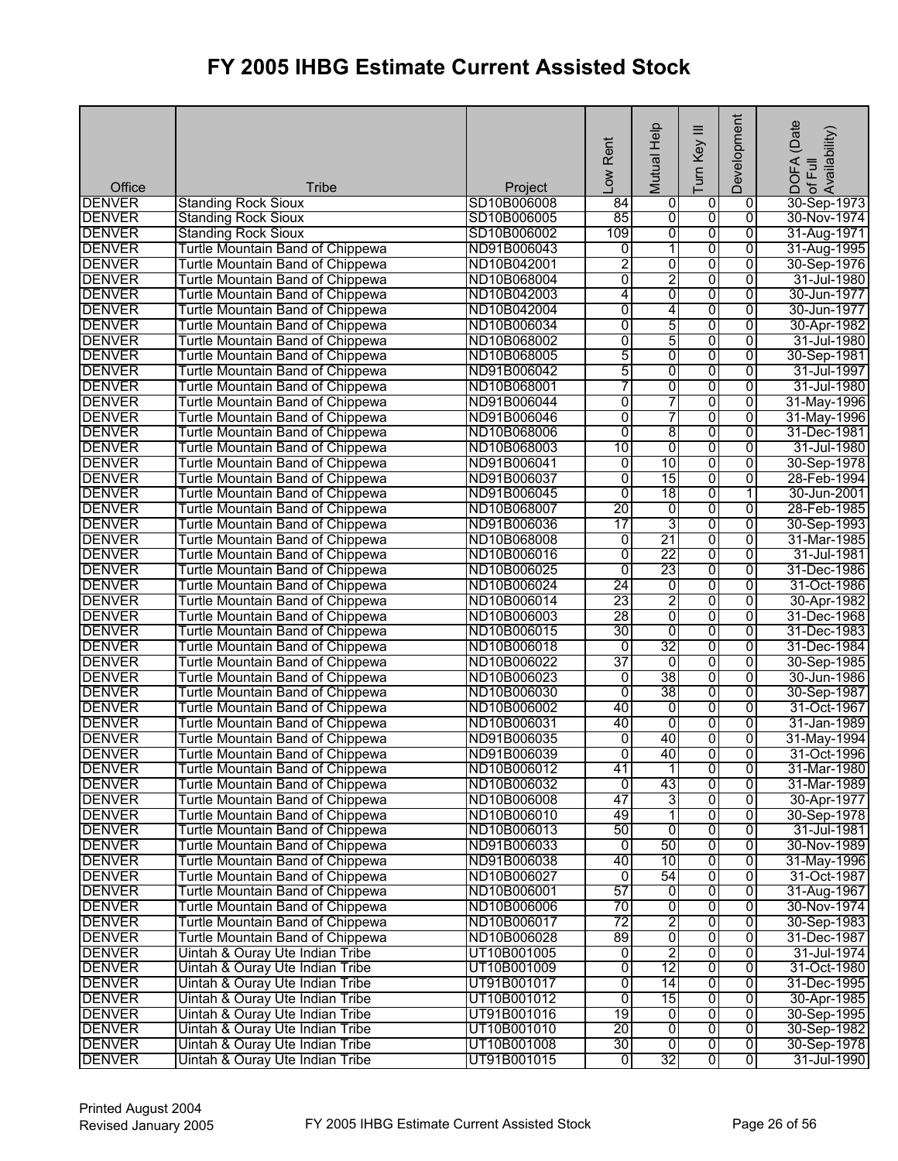| Office                         | <b>Tribe</b>                                                         | Project                    | Rent<br>$\overline{\text{C}}$ | Mutual Help         | $\equiv$<br>Turn Key | Development                      | (Date<br>of Full<br>Availability)<br><b>DOFA</b> |
|--------------------------------|----------------------------------------------------------------------|----------------------------|-------------------------------|---------------------|----------------------|----------------------------------|--------------------------------------------------|
| <b>DENVER</b>                  | <b>Standing Rock Sioux</b>                                           | SD10B006008                | 84                            | 0                   | 0                    | 0                                | 30-Sep-1973                                      |
| <b>DENVER</b>                  | <b>Standing Rock Sioux</b>                                           | SD10B006005                | 85                            | ō                   | $\overline{0}$       | $\overline{0}$                   | 30-Nov-1974                                      |
| <b>DENVER</b>                  | <b>Standing Rock Sioux</b>                                           | SD10B006002                | 109                           | 0                   | 0                    | $\overline{0}$                   | 31-Aug-1971                                      |
| <b>DENVER</b>                  | Turtle Mountain Band of Chippewa                                     | ND91B006043                | 0                             | 1                   | 0                    | $\overline{0}$                   | 31-Aug-1995                                      |
| <b>DENVER</b>                  | Turtle Mountain Band of Chippewa                                     | ND10B042001                | 2                             | 0                   | 0                    | $\overline{0}$                   | 30-Sep-1976                                      |
| <b>DENVER</b>                  | Turtle Mountain Band of Chippewa                                     | ND10B068004                | 0                             | $\overline{2}$      | $\overline{0}$       | $\overline{0}$                   | 31-Jul-1980                                      |
| <b>DENVER</b>                  | Turtle Mountain Band of Chippewa                                     | ND10B042003                | 4                             | 0                   | 0                    | 0                                | 30-Jun-1977                                      |
| <b>DENVER</b>                  | Turtle Mountain Band of Chippewa                                     | ND10B042004                | 0                             | 4                   | 0                    | $\overline{0}$                   | 30-Jun-1977                                      |
| <b>DENVER</b>                  | Turtle Mountain Band of Chippewa                                     | ND10B006034                | 0                             | 5                   | 0                    | $\overline{0}$                   | 30-Apr-1982                                      |
| <b>DENVER</b>                  | Turtle Mountain Band of Chippewa                                     | ND10B068002                | 0                             | 5                   | $\overline{0}$       | $\overline{0}$                   | 31-Jul-1980                                      |
| <b>DENVER</b>                  | Turtle Mountain Band of Chippewa                                     | ND10B068005                | 5                             | 0                   | 0                    | $\overline{0}$                   | 30-Sep-1981                                      |
| <b>DENVER</b>                  | Turtle Mountain Band of Chippewa                                     | ND91B006042                | 5                             | 0                   | 0                    | $\overline{0}$                   | 31-Jul-1997                                      |
| <b>DENVER</b>                  | Turtle Mountain Band of Chippewa                                     | ND10B068001                | 7                             | 0                   | $\overline{0}$       | $\overline{0}$                   | 31-Jul-1980                                      |
| <b>DENVER</b>                  | Turtle Mountain Band of Chippewa                                     | ND91B006044                | 0                             | 7                   | 0                    | 0                                | 31-May-1996                                      |
| <b>DENVER</b>                  | Turtle Mountain Band of Chippewa                                     | ND91B006046                | 0                             | 7                   | 0                    | $\overline{0}$                   | 31-May-1996                                      |
| <b>DENVER</b>                  | Turtle Mountain Band of Chippewa                                     | ND10B068006                | 0                             | 8                   | 0                    | $\overline{0}$                   | 31-Dec-1981                                      |
| <b>DENVER</b>                  | Turtle Mountain Band of Chippewa                                     | ND10B068003                | 10                            | 0                   | 0                    | $\overline{0}$                   | 31-Jul-1980                                      |
| <b>DENVER</b>                  | Turtle Mountain Band of Chippewa                                     | ND91B006041                | 0                             | 10                  | $\overline{0}$       | $\overline{0}$                   | 30-Sep-1978                                      |
| <b>DENVER</b>                  | Turtle Mountain Band of Chippewa                                     | ND91B006037                | 0                             | 15                  | 0                    | $\overline{0}$                   | 28-Feb-1994                                      |
| <b>DENVER</b>                  | Turtle Mountain Band of Chippewa                                     | ND91B006045                | 0                             | 18                  | 0                    | 1                                | 30-Jun-2001                                      |
| <b>DENVER</b>                  | Turtle Mountain Band of Chippewa                                     | ND10B068007                | $\overline{20}$               | $\overline{0}$      | 0                    | $\overline{0}$                   | 28-Feb-1985                                      |
| <b>DENVER</b>                  | Turtle Mountain Band of Chippewa                                     | ND91B006036                | 17                            | 3                   | $\overline{0}$       | $\overline{0}$                   | 30-Sep-1993                                      |
| <b>DENVER</b>                  | Turtle Mountain Band of Chippewa                                     | ND10B068008                | $\overline{0}$                | 21                  | 0                    | $\overline{0}$                   | 31-Mar-1985                                      |
| <b>DENVER</b>                  | Turtle Mountain Band of Chippewa                                     | ND10B006016                | 0                             | 22                  | 0                    | $\overline{0}$                   | 31-Jul-1981                                      |
| <b>DENVER</b>                  | Turtle Mountain Band of Chippewa                                     | ND10B006025                | $\overline{0}$                | 23                  | 0                    | $\overline{0}$                   | 31-Dec-1986                                      |
| <b>DENVER</b>                  | Turtle Mountain Band of Chippewa                                     | ND10B006024                | $\overline{24}$               | $\overline{0}$      | $\overline{0}$       | 0                                | 31-Oct-1986                                      |
| <b>DENVER</b>                  | Turtle Mountain Band of Chippewa                                     | ND10B006014                | 23<br>28                      | 2                   | 0                    | $\overline{0}$                   | 30-Apr-1982                                      |
| <b>DENVER</b>                  | Turtle Mountain Band of Chippewa                                     | ND10B006003                | 30                            | o<br>$\overline{0}$ | 0<br>0               | $\overline{0}$<br>$\overline{0}$ | 31-Dec-1968                                      |
| <b>DENVER</b><br><b>DENVER</b> | Turtle Mountain Band of Chippewa<br>Turtle Mountain Band of Chippewa | ND10B006015<br>ND10B006018 | $\overline{0}$                | 32                  | 0                    | $\overline{0}$                   | 31-Dec-1983<br>31-Dec-1984                       |
| <b>DENVER</b>                  | Turtle Mountain Band of Chippewa                                     | ND10B006022                | 37                            | $\overline{0}$      | 0                    | $\overline{0}$                   | 30-Sep-1985                                      |
| <b>DENVER</b>                  | Turtle Mountain Band of Chippewa                                     | ND10B006023                | 0                             | $\overline{38}$     | 0                    | 0                                | 30-Jun-1986                                      |
| <b>DENVER</b>                  | Turtle Mountain Band of Chippewa                                     | ND10B006030                | $\overline{0}$                | 38                  | $\overline{0}$       | $\overline{0}$                   | 30-Sep-1987                                      |
| <b>DENVER</b>                  | Turtle Mountain Band of Chippewa                                     | ND10B006002                | 40                            | 0                   | 0                    | $\overline{0}$                   | 31-Oct-1967                                      |
| <b>DENVER</b>                  | Turtle Mountain Band of Chippewa                                     | ND10B006031                | 40                            | 0                   | 0                    | $\overline{0}$                   | 31-Jan-1989                                      |
| <b>DENVER</b>                  | Turtle Mountain Band of Chippewa                                     | ND91B006035                | ō                             | 40                  | 0                    | $\overline{0}$                   | 31-May-1994                                      |
| <b>DENVER</b>                  | Turtle Mountain Band of Chippewa                                     | ND91B006039                | 0                             | 40                  | 0                    | $\overline{0}$                   | 31-Oct-1996                                      |
| <b>DENVER</b>                  | Turtle Mountain Band of Chippewa                                     | ND10B006012                | 41                            | 11                  | 0                    | 0                                | 31-Mar-1980                                      |
| <b>DENVER</b>                  | Turtle Mountain Band of Chippewa                                     | ND10B006032                | 0                             | 43                  | 0                    | 0                                | 31-Mar-1989                                      |
| <b>DENVER</b>                  | Turtle Mountain Band of Chippewa                                     | ND10B006008                | 47                            | 3                   | 0                    | 0                                | 30-Apr-1977                                      |
| <b>DENVER</b>                  | Turtle Mountain Band of Chippewa                                     | ND10B006010                | 49                            | 1                   | $\overline{0}$       | $\overline{0}$                   | 30-Sep-1978                                      |
| <b>DENVER</b>                  | Turtle Mountain Band of Chippewa                                     | ND10B006013                | 50                            | $\overline{0}$      | 0                    | $\overline{0}$                   | 31-Jul-1981                                      |
| <b>DENVER</b>                  | Turtle Mountain Band of Chippewa                                     | ND91B006033                | 0                             | 50                  | 0                    | 0                                | 30-Nov-1989                                      |
| <b>DENVER</b>                  | Turtle Mountain Band of Chippewa                                     | ND91B006038                | 40                            | 10                  | $\overline{0}$       | 0                                | 31-May-1996                                      |
| <b>DENVER</b>                  | Turtle Mountain Band of Chippewa                                     | ND10B006027                | $\overline{0}$                | 54                  | 0                    | 0                                | 31-Oct-1987                                      |
| <b>DENVER</b>                  | Turtle Mountain Band of Chippewa                                     | ND10B006001                | 57                            | ō                   | 0                    | $\overline{0}$                   | 31-Aug-1967                                      |
| <b>DENVER</b>                  | <b>Turtle Mountain Band of Chippewa</b>                              | ND10B006006                | 70                            | 0                   | $\overline{0}$       | 0                                | 30-Nov-1974                                      |
| <b>DENVER</b>                  | Turtle Mountain Band of Chippewa                                     | ND10B006017                | 72                            | 2                   | 0                    | 0                                | 30-Sep-1983                                      |
| <b>DENVER</b>                  | Turtle Mountain Band of Chippewa                                     | ND10B006028                | 89                            | $\overline{0}$      | $\overline{0}$       | $\overline{0}$                   | 31-Dec-1987                                      |
| <b>DENVER</b>                  | Uintah & Ouray Ute Indian Tribe                                      | UT10B001005                | ō                             | $\overline{2}$      | 0                    | $\overline{0}$                   | 31-Jul-1974                                      |
| <b>DENVER</b>                  | Uintah & Ouray Ute Indian Tribe                                      | UT10B001009                | 0                             | 12                  | $\overline{0}$       | 0                                | 31-Oct-1980                                      |
| <b>DENVER</b>                  | Uintah & Ouray Ute Indian Tribe                                      | UT91B001017                | 0                             | 14                  | $\overline{0}$       | $\overline{0}$                   | 31-Dec-1995                                      |
| <b>DENVER</b>                  | Uintah & Ouray Ute Indian Tribe                                      | UT10B001012                | 0                             | 15                  | 0                    | $\overline{0}$                   | 30-Apr-1985                                      |
| <b>DENVER</b>                  | Uintah & Ouray Ute Indian Tribe                                      | UT91B001016                | 19                            | O                   | $\overline{0}$       | $\overline{0}$                   | 30-Sep-1995                                      |
| <b>DENVER</b>                  | Uintah & Ouray Ute Indian Tribe                                      | UT10B001010                | 20                            | 0                   | $\overline{0}$       | $\overline{0}$                   | 30-Sep-1982                                      |
| <b>DENVER</b>                  | Uintah & Ouray Ute Indian Tribe                                      | UT10B001008                | 30                            | ō                   | 0                    | $\overline{0}$                   | 30-Sep-1978                                      |
| <b>DENVER</b>                  | Uintah & Ouray Ute Indian Tribe                                      | UT91B001015                | ō                             | 32                  | 0                    | 0                                | 31-Jul-1990                                      |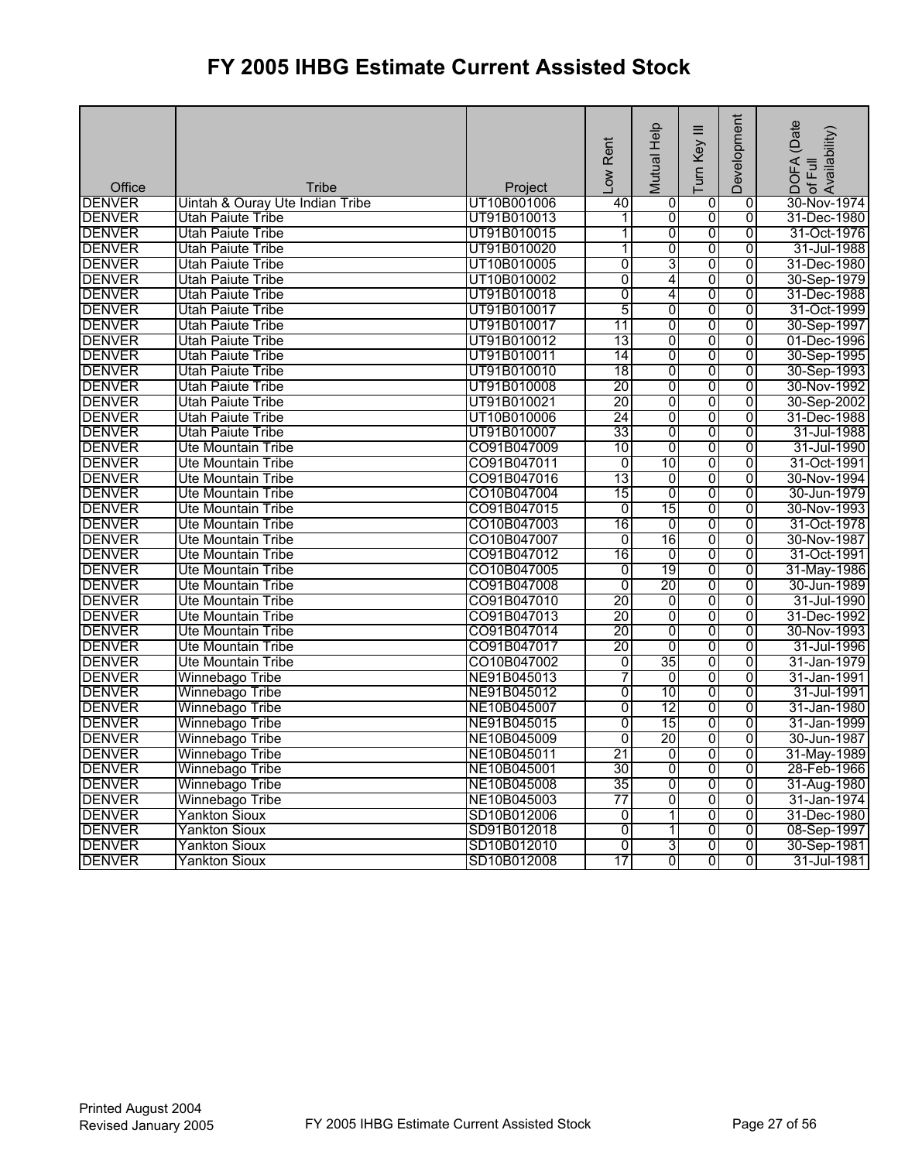|               |                                 |             | -ow Rent        | Help                     | Turn Key III   | Development    | DOFA (Date<br>of Full<br>Availability) |
|---------------|---------------------------------|-------------|-----------------|--------------------------|----------------|----------------|----------------------------------------|
|               |                                 |             |                 | Mutual                   |                |                |                                        |
| Office        | Tribe                           | Project     |                 |                          |                |                |                                        |
| <b>DENVER</b> | Uintah & Ouray Ute Indian Tribe | UT10B001006 | 40              | 0                        | 0              | 0              | 30-Nov-1974                            |
| <b>DENVER</b> | Utah Paiute Tribe               | UT91B010013 | 1               | 0                        | $\overline{0}$ | 0              | 31-Dec-1980                            |
| <b>DENVER</b> | Utah Paiute Tribe               | UT91B010015 | 1               | 0                        | $\overline{0}$ | 0              | 31-Oct-1976                            |
| <b>DENVER</b> | Utah Paiute Tribe               | UT91B010020 | 1               | 0                        | $\overline{0}$ | 0              | 31-Jul-1988                            |
| <b>DENVER</b> | Utah Paiute Tribe               | UT10B010005 | $\overline{0}$  | 3                        | $\overline{0}$ | $\overline{0}$ | 31-Dec-1980                            |
| <b>DENVER</b> | Utah Paiute Tribe               | UT10B010002 | $\overline{0}$  | 4                        | $\overline{0}$ | $\overline{0}$ | 30-Sep-1979                            |
| <b>DENVER</b> | Utah Paiute Tribe               | UT91B010018 | $\overline{0}$  | 4                        | $\overline{0}$ | $\Omega$       | 31-Dec-1988                            |
| <b>DENVER</b> | Utah Paiute Tribe               | UT91B010017 | 5               | 0                        | 0              | $\overline{0}$ | 31-Oct-1999                            |
| <b>DENVER</b> | <b>Utah Paiute Tribe</b>        | UT91B010017 | 11              | 0                        | 0              | $\overline{0}$ | 30-Sep-1997                            |
| <b>DENVER</b> | Utah Paiute Tribe               | UT91B010012 | 13              | 0                        | 0              | $\overline{0}$ | 01-Dec-1996                            |
| <b>DENVER</b> | <b>Utah Paiute Tribe</b>        | UT91B010011 | 14              | $\overline{0}$           | $\overline{0}$ | $\overline{0}$ | 30-Sep-1995                            |
| <b>DENVER</b> | Utah Paiute Tribe               | UT91B010010 | $\overline{18}$ | 0                        | $\overline{0}$ | $\overline{0}$ | 30-Sep-1993                            |
| <b>DENVER</b> | Utah Paiute Tribe               | UT91B010008 | 20              | 0                        | $\overline{0}$ | $\overline{0}$ | 30-Nov-1992                            |
| <b>DENVER</b> | <b>Utah Paiute Tribe</b>        | UT91B010021 | 20              | 0                        | 0              | $\overline{0}$ | 30-Sep-2002                            |
| <b>DENVER</b> | <b>Utah Paiute Tribe</b>        | UT10B010006 | 24              | 0                        | 0              | $\overline{0}$ | 31-Dec-1988                            |
| <b>DENVER</b> | <b>Utah Paiute Tribe</b>        | UT91B010007 | 33              | 0                        | 0              | 0              | 31-Jul-1988                            |
| <b>DENVER</b> | <b>Ute Mountain Tribe</b>       | CO91B047009 | 10              | 0                        | 0              | $\overline{0}$ | 31-Jul-1990                            |
| <b>DENVER</b> | <b>Ute Mountain Tribe</b>       | CO91B047011 | $\overline{0}$  | 10                       | 0              | $\overline{0}$ | 31-Oct-1991                            |
| <b>DENVER</b> | <b>Ute Mountain Tribe</b>       | CO91B047016 | 13              | 0                        | $\overline{0}$ | $\overline{0}$ | 30-Nov-1994                            |
| <b>DENVER</b> | <b>Ute Mountain Tribe</b>       | CO10B047004 | 15              | 0                        | 0              | 0              | 30-Jun-1979                            |
| <b>DENVER</b> | Ute Mountain Tribe              | CO91B047015 | $\overline{0}$  | 15                       | $\overline{0}$ | $\overline{0}$ | 30-Nov-1993                            |
| <b>DENVER</b> | Ute Mountain Tribe              | CO10B047003 | 16              | 0                        | 0              | $\overline{0}$ | 31-Oct-1978                            |
| <b>DENVER</b> | Ute Mountain Tribe              | CO10B047007 | $\overline{0}$  | 16                       | 0              | $\overline{0}$ | 30-Nov-1987                            |
| <b>DENVER</b> | <b>Ute Mountain Tribe</b>       | CO91B047012 | 16              | 0                        | 0              | $\overline{0}$ | 31-Oct-1991                            |
| <b>DENVER</b> | <b>Ute Mountain Tribe</b>       | CO10B047005 | $\overline{0}$  | 19                       | 0              | $\overline{0}$ | 31-May-1986                            |
| <b>DENVER</b> | <b>Ute Mountain Tribe</b>       | CO91B047008 | $\overline{0}$  | 20                       | 0              | $\overline{0}$ | 30-Jun-1989                            |
| <b>DENVER</b> | Ute Mountain Tribe              | CO91B047010 | 20              | 0                        | $\overline{0}$ | 0              | 31-Jul-1990                            |
| <b>DENVER</b> | Ute Mountain Tribe              | CO91B047013 | 20              | 0                        | 0              | 0              | 31-Dec-1992                            |
| <b>DENVER</b> | <b>Ute Mountain Tribe</b>       | CO91B047014 | 20              | $\overline{0}$           | 0              | $\overline{0}$ | 30-Nov-1993                            |
| <b>DENVER</b> | Ute Mountain Tribe              | CO91B047017 | 20              | $\overline{0}$           | 0              | $\overline{0}$ | 31-Jul-1996                            |
| <b>DENVER</b> | Ute Mountain Tribe              | CO10B047002 | $\overline{0}$  | 35                       | $\overline{0}$ | $\overline{0}$ | 31-Jan-1979                            |
| <b>DENVER</b> | Winnebago Tribe                 | NE91B045013 | 7               | 0                        | $\overline{0}$ | $\overline{0}$ | 31-Jan-1991                            |
| <b>DENVER</b> | Winnebago Tribe                 | NE91B045012 | $\overline{0}$  | 10                       | 0              | $\overline{0}$ | 31-Jul-1991                            |
| <b>DENVER</b> | Winnebago Tribe                 | NE10B045007 | 0               | $\overline{12}$          | 0              | 0              | 31-Jan-1980                            |
| <b>DENVER</b> | Winnebago Tribe                 | NE91B045015 | $\overline{0}$  | 15                       | 0              | $\overline{0}$ | 31-Jan-1999                            |
| <b>DENVER</b> | Winnebago Tribe                 | NE10B045009 | $\overline{0}$  | 20                       | 0              | $\overline{0}$ | 30-Jun-1987                            |
| <b>DENVER</b> | Winnebago Tribe                 | NE10B045011 | 21              | $\overline{0}$           | 0              | $\overline{0}$ | 31-May-1989                            |
| <b>DENVER</b> | Winnebago Tribe                 | NE10B045001 | 30              | 0                        | 0              | 0              | 28-Feb-1966                            |
| <b>DENVER</b> | Winnebago Tribe                 | NE10B045008 | 35              | $\overline{0}$           | 0              | 0              | 31-Aug-1980                            |
| <b>DENVER</b> | Winnebago Tribe                 | NE10B045003 | 77              | 0                        | 0              | 0              | 31-Jan-1974                            |
| <b>DENVER</b> | <b>Yankton Sioux</b>            | SD10B012006 | $\overline{0}$  | 1                        | 0              | $\overline{0}$ | 31-Dec-1980                            |
| <b>DENVER</b> | <b>Yankton Sioux</b>            | SD91B012018 | 0               | $\overline{\phantom{a}}$ | 0              | 0              | 08-Sep-1997                            |
| <b>DENVER</b> | <b>Yankton Sioux</b>            | SD10B012010 | $\overline{0}$  | 3                        | 0              | $\overline{0}$ | 30-Sep-1981                            |
| <b>DENVER</b> | <b>Yankton Sioux</b>            | SD10B012008 | 17              | 01                       | O              | $\overline{0}$ | 31-Jul-1981                            |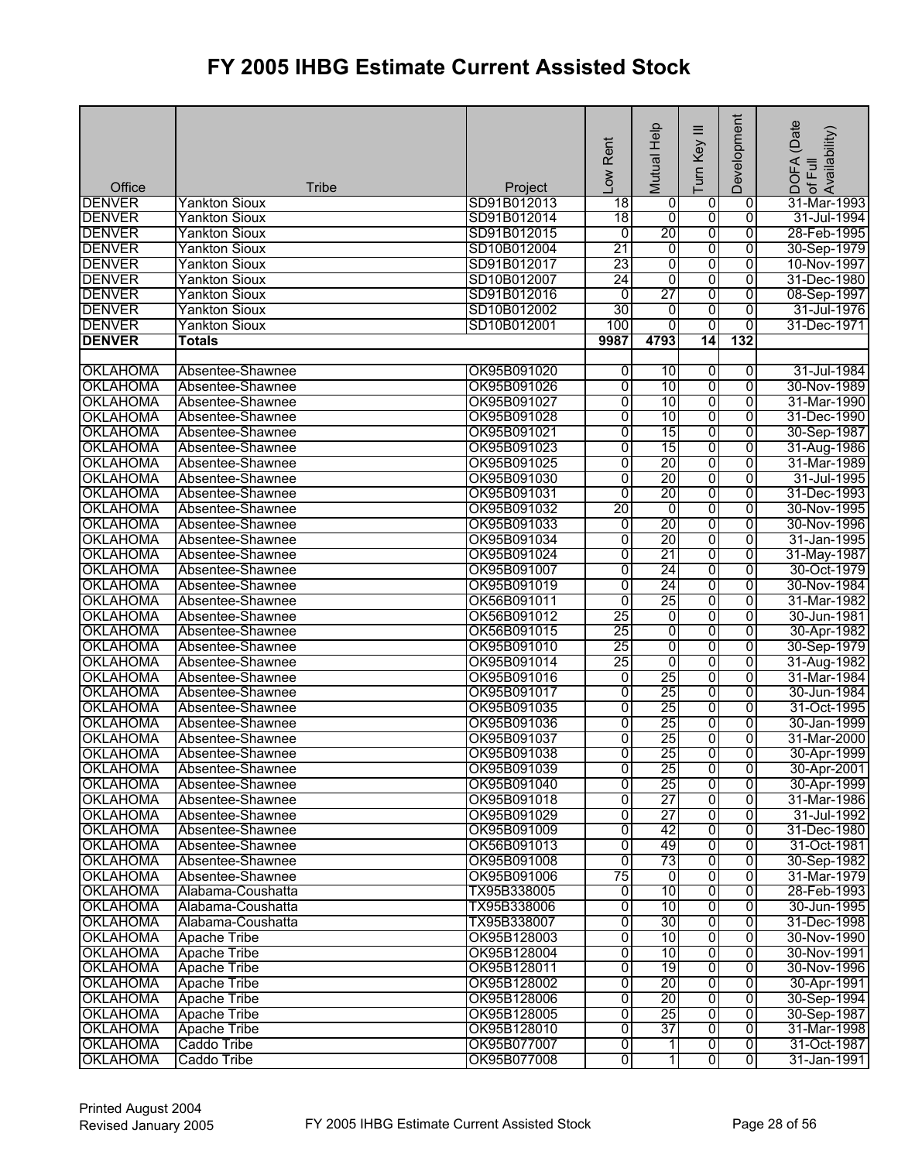| <b>DENVER</b><br><b>Yankton Sioux</b><br>SD91B012013<br>18<br>0<br>31-Mar-1993<br>0<br>0<br>SD91B012014<br>$\overline{18}$<br>0<br>$\overline{0}$<br>$\overline{0}$<br><b>DENVER</b><br>Yankton Sioux<br>31-Jul-1994<br>20<br><b>DENVER</b><br>$\overline{0}$<br>$\overline{0}$<br>0<br>28-Feb-1995<br>Yankton Sioux<br>SD91B012015<br>21<br><b>DENVER</b><br>SD10B012004<br>0<br>0<br>$\overline{0}$<br>30-Sep-1979<br><b>Yankton Sioux</b><br>$\overline{0}$<br><b>DENVER</b><br>23<br>0<br>$\overline{0}$<br>Yankton Sioux<br>SD91B012017<br>10-Nov-1997<br>24<br><b>DENVER</b><br>0<br>$\overline{0}$<br>$\overline{0}$<br>31-Dec-1980<br>Yankton Sioux<br>SD10B012007<br>$\overline{27}$<br>$\overline{0}$<br>$\overline{0}$<br><b>DENVER</b><br>SD91B012016<br>0<br><b>Yankton Sioux</b><br>08-Sep-1997<br><b>DENVER</b><br>30<br>SD10B012002<br>o<br>0<br><b>Yankton Sioux</b><br>0<br>31-Jul-1976<br><b>DENVER</b><br>$\overline{0}$<br><b>Yankton Sioux</b><br>SD10B012001<br>100<br>0<br>0<br>31-Dec-1971<br><b>DENVER</b><br>4793<br>132<br>9987<br>14<br>Totals<br><b>OKLAHOMA</b><br>Absentee-Shawnee<br>OK95B091020<br>0<br>10<br>$\overline{0}$<br>0<br>31-Jul-1984<br>0<br><b>OKLAHOMA</b><br>Absentee-Shawnee<br>OK95B091026<br>0<br>10<br>0<br>30-Nov-1989<br>$\overline{0}$<br>0<br>10<br><b>OKLAHOMA</b><br>0<br>Absentee-Shawnee<br>OK95B091027<br>31-Mar-1990<br>0<br><b>OKLAHOMA</b><br>0<br>10<br>$\overline{0}$<br>31-Dec-1990<br>Absentee-Shawnee<br>OK95B091028<br>15<br>0<br><b>OKLAHOMA</b><br>OK95B091021<br>0<br>$\overline{0}$<br>30-Sep-1987<br>Absentee-Shawnee<br>15<br><b>OKLAHOMA</b><br>0<br>0<br>$\overline{0}$<br>OK95B091023<br>31-Aug-1986<br>Absentee-Shawnee<br>0<br>20<br>0<br>$\overline{0}$<br><b>OKLAHOMA</b><br>OK95B091025<br>Absentee-Shawnee<br>31-Mar-1989<br>20<br><b>OKLAHOMA</b><br>OK95B091030<br>0<br>0<br>$\overline{0}$<br>31-Jul-1995<br>Absentee-Shawnee<br>$\overline{0}$<br>$\overline{20}$<br>$\overline{0}$<br><b>OKLAHOMA</b><br>0<br>31-Dec-1993<br>Absentee-Shawnee<br>OK95B091031<br>20<br>$\overline{0}$<br>0<br>$\overline{0}$<br><b>OKLAHOMA</b><br>Absentee-Shawnee<br>OK95B091032<br>30-Nov-1995<br>20<br>$\overline{0}$<br>$\overline{0}$<br>$\overline{0}$<br><b>OKLAHOMA</b><br>Absentee-Shawnee<br>OK95B091033<br>30-Nov-1996<br>20<br><b>OKLAHOMA</b><br>Absentee-Shawnee<br>OK95B091034<br>0<br>0<br>$\overline{0}$<br>31-Jan-1995<br>21<br><b>OKLAHOMA</b><br>OK95B091024<br>0<br>$\overline{0}$<br>$\overline{0}$<br>Absentee-Shawnee<br>31-May-1987<br><b>OKLAHOMA</b><br>0<br>24<br>$\overline{0}$<br>$\overline{0}$<br>Absentee-Shawnee<br>OK95B091007<br>30-Oct-1979<br>0<br>24<br>$\overline{0}$<br>0<br><b>OKLAHOMA</b><br>Absentee-Shawnee<br>OK95B091019<br>30-Nov-1984<br>25<br><b>OKLAHOMA</b><br>0<br>0<br>$\overline{0}$<br>Absentee-Shawnee<br>OK56B091011<br>31-Mar-1982<br>25<br>0<br>0<br>$\overline{0}$<br><b>OKLAHOMA</b><br>Absentee-Shawnee<br>OK56B091012<br>30-Jun-1981<br>25<br><b>OKLAHOMA</b><br>0<br>0<br>0<br>30-Apr-1982<br>OK56B091015<br>Absentee-Shawnee<br>$\overline{0}$<br>25<br>0<br>0<br>30-Sep-1979<br><b>OKLAHOMA</b><br>Absentee-Shawnee<br>OK95B091010<br>25<br>0<br><b>OKLAHOMA</b><br>OK95B091014<br>0<br>0<br>Absentee-Shawnee<br>31-Aug-1982<br>25<br><b>OKLAHOMA</b><br>0<br>0<br>Absentee-Shawnee<br>OK95B091016<br>0<br>31-Mar-1984<br>25<br>0<br>0<br><b>OKLAHOMA</b><br>OK95B091017<br>0<br>30-Jun-1984<br>Absentee-Shawnee<br>25<br><b>OKLAHOMA</b><br>0<br>0<br>$\overline{0}$<br>Absentee-Shawnee<br>OK95B091035<br>31-Oct-1995<br><b>OKLAHOMA</b><br>25<br>Absentee-Shawnee<br>OK95B091036<br>0<br>0<br>30-Jan-1999<br>0<br><b>OKLAHOMA</b><br>Absentee-Shawnee<br>OK95B091037<br>0<br>25<br>0<br>0<br>31-Mar-2000<br>25<br>$\overline{0}$<br>$\overline{0}$<br>$\overline{0}$<br>30-Apr-1999<br><b>OKLAHOMA</b><br>Absentee-Shawnee<br>OK95B091038<br><b>OKLAHOMA</b><br>Absentee-Shawnee<br>OK95B091039<br>$\overline{0}$<br>25<br>$\overline{0}$<br>$\overline{0}$<br>30-Apr-2001<br>$\overline{0}$<br><b>OKLAHOMA</b><br>0<br>25<br>Absentee-Shawnee<br>OK95B091040<br>0<br>30-Apr-1999<br><b>OKLAHOMA</b><br>0<br>27<br>$\overline{0}$<br>0<br>31-Mar-1986<br>Absentee-Shawnee<br>OK95B091018<br>27<br>0<br>$\overline{\mathbf{0}}$<br>$\overline{0}$<br><b>OKLAHOMA</b><br>Absentee-Shawnee<br>OK95B091029<br>31-Jul-1992<br><b>OKLAHOMA</b><br>0<br>42<br>$\overline{0}$<br>$\overline{0}$<br>Absentee-Shawnee<br>OK95B091009<br>31-Dec-1980<br><b>OKLAHOMA</b><br>0<br>49<br>0<br>$\overline{0}$<br>Absentee-Shawnee<br>OK56B091013<br>31-Oct-1981<br>73<br>$\overline{0}$<br><b>OKLAHOMA</b><br>OK95B091008<br>$\overline{0}$<br>$\overline{0}$<br>30-Sep-1982<br>Absentee-Shawnee<br>75<br>$\overline{0}$<br>0<br><b>OKLAHOMA</b><br>OK95B091006<br>$\overline{0}$<br>31-Mar-1979<br>Absentee-Shawnee<br>10<br>$\overline{0}$<br><b>OKLAHOMA</b><br>TX95B338005<br>Ō<br>0<br>28-Feb-1993<br>Alabama-Coushatta<br>$\overline{0}$<br>10<br>$\overline{\mathbf{0}}$<br>$\overline{0}$<br><b>OKLAHOMA</b><br>TX95B338006<br>30-Jun-1995<br>Alabama-Coushatta<br>$\overline{0}$<br>30<br>$\overline{0}$<br>$\overline{0}$<br><b>OKLAHOMA</b><br>Alabama-Coushatta<br>TX95B338007<br>31-Dec-1998<br>0<br>10<br>$\overline{\mathbf{0}}$<br>$\overline{0}$<br><b>OKLAHOMA</b><br><b>Apache Tribe</b><br>OK95B128003<br>30-Nov-1990<br><b>OKLAHOMA</b><br>0<br>10<br>$\overline{0}$<br>$\overline{0}$<br><b>Apache Tribe</b><br>OK95B128004<br>30-Nov-1991<br>0<br>0<br><b>OKLAHOMA</b><br>Apache Tribe<br>OK95B128011<br>19<br>0<br>30-Nov-1996<br>o<br>20<br>$\overline{0}$<br>0<br><b>OKLAHOMA</b><br><b>Apache Tribe</b><br>OK95B128002<br>30-Apr-1991<br>$\overline{0}$<br>20<br>$\overline{0}$<br>$\overline{0}$<br><b>OKLAHOMA</b><br>OK95B128006<br>30-Sep-1994<br><b>Apache Tribe</b><br><b>OKLAHOMA</b><br>o<br>25<br>0<br>0<br><b>Apache Tribe</b><br>OK95B128005<br>30-Sep-1987<br>0<br>37<br>0<br><b>OKLAHOMA</b><br><b>Apache Tribe</b><br>OK95B128010<br>0<br>31-Mar-1998<br>0<br>$\overline{0}$<br><b>OKLAHOMA</b><br>Caddo Tribe<br>OK95B077007<br>ō<br>31-Oct-1987<br>11<br>0<br>$\mathbf{1}$<br>$\overline{0}$<br>$\overline{0}$<br><b>OKLAHOMA</b><br>Caddo Tribe<br>OK95B077008<br>31-Jan-1991 | Office | <b>Tribe</b> | Project | -ow Rent | Help<br>Mutual | ≡<br>Turn Key | Development | (Date<br>of Full<br>Availability)<br><b>DOFA</b> |
|--------------------------------------------------------------------------------------------------------------------------------------------------------------------------------------------------------------------------------------------------------------------------------------------------------------------------------------------------------------------------------------------------------------------------------------------------------------------------------------------------------------------------------------------------------------------------------------------------------------------------------------------------------------------------------------------------------------------------------------------------------------------------------------------------------------------------------------------------------------------------------------------------------------------------------------------------------------------------------------------------------------------------------------------------------------------------------------------------------------------------------------------------------------------------------------------------------------------------------------------------------------------------------------------------------------------------------------------------------------------------------------------------------------------------------------------------------------------------------------------------------------------------------------------------------------------------------------------------------------------------------------------------------------------------------------------------------------------------------------------------------------------------------------------------------------------------------------------------------------------------------------------------------------------------------------------------------------------------------------------------------------------------------------------------------------------------------------------------------------------------------------------------------------------------------------------------------------------------------------------------------------------------------------------------------------------------------------------------------------------------------------------------------------------------------------------------------------------------------------------------------------------------------------------------------------------------------------------------------------------------------------------------------------------------------------------------------------------------------------------------------------------------------------------------------------------------------------------------------------------------------------------------------------------------------------------------------------------------------------------------------------------------------------------------------------------------------------------------------------------------------------------------------------------------------------------------------------------------------------------------------------------------------------------------------------------------------------------------------------------------------------------------------------------------------------------------------------------------------------------------------------------------------------------------------------------------------------------------------------------------------------------------------------------------------------------------------------------------------------------------------------------------------------------------------------------------------------------------------------------------------------------------------------------------------------------------------------------------------------------------------------------------------------------------------------------------------------------------------------------------------------------------------------------------------------------------------------------------------------------------------------------------------------------------------------------------------------------------------------------------------------------------------------------------------------------------------------------------------------------------------------------------------------------------------------------------------------------------------------------------------------------------------------------------------------------------------------------------------------------------------------------------------------------------------------------------------------------------------------------------------------------------------------------------------------------------------------------------------------------------------------------------------------------------------------------------------------------------------------------------------------------------------------------------------------------------------------------------------------------------------------------------------------------------------------------------------------------------------------------------------------------------------------------------------------------------------------------------------------------------------------------------------------------------------------------------------------------------------------------------------------------------------------------------------------------------------------------------------------------------------------------------------------------------------------------------------------------------------------------------------------------------------------------------------------------------------------------------------------------------------------------------------------------------------------------------------------------------------------------------------------------------------------------------------------------------------------------------------------------------------------|--------|--------------|---------|----------|----------------|---------------|-------------|--------------------------------------------------|
|                                                                                                                                                                                                                                                                                                                                                                                                                                                                                                                                                                                                                                                                                                                                                                                                                                                                                                                                                                                                                                                                                                                                                                                                                                                                                                                                                                                                                                                                                                                                                                                                                                                                                                                                                                                                                                                                                                                                                                                                                                                                                                                                                                                                                                                                                                                                                                                                                                                                                                                                                                                                                                                                                                                                                                                                                                                                                                                                                                                                                                                                                                                                                                                                                                                                                                                                                                                                                                                                                                                                                                                                                                                                                                                                                                                                                                                                                                                                                                                                                                                                                                                                                                                                                                                                                                                                                                                                                                                                                                                                                                                                                                                                                                                                                                                                                                                                                                                                                                                                                                                                                                                                                                                                                                                                                                                                                                                                                                                                                                                                                                                                                                                                                                                                                                                                                                                                                                                                                                                                                                                                                                                                                                                                                                                              |        |              |         |          |                |               |             |                                                  |
|                                                                                                                                                                                                                                                                                                                                                                                                                                                                                                                                                                                                                                                                                                                                                                                                                                                                                                                                                                                                                                                                                                                                                                                                                                                                                                                                                                                                                                                                                                                                                                                                                                                                                                                                                                                                                                                                                                                                                                                                                                                                                                                                                                                                                                                                                                                                                                                                                                                                                                                                                                                                                                                                                                                                                                                                                                                                                                                                                                                                                                                                                                                                                                                                                                                                                                                                                                                                                                                                                                                                                                                                                                                                                                                                                                                                                                                                                                                                                                                                                                                                                                                                                                                                                                                                                                                                                                                                                                                                                                                                                                                                                                                                                                                                                                                                                                                                                                                                                                                                                                                                                                                                                                                                                                                                                                                                                                                                                                                                                                                                                                                                                                                                                                                                                                                                                                                                                                                                                                                                                                                                                                                                                                                                                                                              |        |              |         |          |                |               |             |                                                  |
|                                                                                                                                                                                                                                                                                                                                                                                                                                                                                                                                                                                                                                                                                                                                                                                                                                                                                                                                                                                                                                                                                                                                                                                                                                                                                                                                                                                                                                                                                                                                                                                                                                                                                                                                                                                                                                                                                                                                                                                                                                                                                                                                                                                                                                                                                                                                                                                                                                                                                                                                                                                                                                                                                                                                                                                                                                                                                                                                                                                                                                                                                                                                                                                                                                                                                                                                                                                                                                                                                                                                                                                                                                                                                                                                                                                                                                                                                                                                                                                                                                                                                                                                                                                                                                                                                                                                                                                                                                                                                                                                                                                                                                                                                                                                                                                                                                                                                                                                                                                                                                                                                                                                                                                                                                                                                                                                                                                                                                                                                                                                                                                                                                                                                                                                                                                                                                                                                                                                                                                                                                                                                                                                                                                                                                                              |        |              |         |          |                |               |             |                                                  |
|                                                                                                                                                                                                                                                                                                                                                                                                                                                                                                                                                                                                                                                                                                                                                                                                                                                                                                                                                                                                                                                                                                                                                                                                                                                                                                                                                                                                                                                                                                                                                                                                                                                                                                                                                                                                                                                                                                                                                                                                                                                                                                                                                                                                                                                                                                                                                                                                                                                                                                                                                                                                                                                                                                                                                                                                                                                                                                                                                                                                                                                                                                                                                                                                                                                                                                                                                                                                                                                                                                                                                                                                                                                                                                                                                                                                                                                                                                                                                                                                                                                                                                                                                                                                                                                                                                                                                                                                                                                                                                                                                                                                                                                                                                                                                                                                                                                                                                                                                                                                                                                                                                                                                                                                                                                                                                                                                                                                                                                                                                                                                                                                                                                                                                                                                                                                                                                                                                                                                                                                                                                                                                                                                                                                                                                              |        |              |         |          |                |               |             |                                                  |
|                                                                                                                                                                                                                                                                                                                                                                                                                                                                                                                                                                                                                                                                                                                                                                                                                                                                                                                                                                                                                                                                                                                                                                                                                                                                                                                                                                                                                                                                                                                                                                                                                                                                                                                                                                                                                                                                                                                                                                                                                                                                                                                                                                                                                                                                                                                                                                                                                                                                                                                                                                                                                                                                                                                                                                                                                                                                                                                                                                                                                                                                                                                                                                                                                                                                                                                                                                                                                                                                                                                                                                                                                                                                                                                                                                                                                                                                                                                                                                                                                                                                                                                                                                                                                                                                                                                                                                                                                                                                                                                                                                                                                                                                                                                                                                                                                                                                                                                                                                                                                                                                                                                                                                                                                                                                                                                                                                                                                                                                                                                                                                                                                                                                                                                                                                                                                                                                                                                                                                                                                                                                                                                                                                                                                                                              |        |              |         |          |                |               |             |                                                  |
|                                                                                                                                                                                                                                                                                                                                                                                                                                                                                                                                                                                                                                                                                                                                                                                                                                                                                                                                                                                                                                                                                                                                                                                                                                                                                                                                                                                                                                                                                                                                                                                                                                                                                                                                                                                                                                                                                                                                                                                                                                                                                                                                                                                                                                                                                                                                                                                                                                                                                                                                                                                                                                                                                                                                                                                                                                                                                                                                                                                                                                                                                                                                                                                                                                                                                                                                                                                                                                                                                                                                                                                                                                                                                                                                                                                                                                                                                                                                                                                                                                                                                                                                                                                                                                                                                                                                                                                                                                                                                                                                                                                                                                                                                                                                                                                                                                                                                                                                                                                                                                                                                                                                                                                                                                                                                                                                                                                                                                                                                                                                                                                                                                                                                                                                                                                                                                                                                                                                                                                                                                                                                                                                                                                                                                                              |        |              |         |          |                |               |             |                                                  |
|                                                                                                                                                                                                                                                                                                                                                                                                                                                                                                                                                                                                                                                                                                                                                                                                                                                                                                                                                                                                                                                                                                                                                                                                                                                                                                                                                                                                                                                                                                                                                                                                                                                                                                                                                                                                                                                                                                                                                                                                                                                                                                                                                                                                                                                                                                                                                                                                                                                                                                                                                                                                                                                                                                                                                                                                                                                                                                                                                                                                                                                                                                                                                                                                                                                                                                                                                                                                                                                                                                                                                                                                                                                                                                                                                                                                                                                                                                                                                                                                                                                                                                                                                                                                                                                                                                                                                                                                                                                                                                                                                                                                                                                                                                                                                                                                                                                                                                                                                                                                                                                                                                                                                                                                                                                                                                                                                                                                                                                                                                                                                                                                                                                                                                                                                                                                                                                                                                                                                                                                                                                                                                                                                                                                                                                              |        |              |         |          |                |               |             |                                                  |
|                                                                                                                                                                                                                                                                                                                                                                                                                                                                                                                                                                                                                                                                                                                                                                                                                                                                                                                                                                                                                                                                                                                                                                                                                                                                                                                                                                                                                                                                                                                                                                                                                                                                                                                                                                                                                                                                                                                                                                                                                                                                                                                                                                                                                                                                                                                                                                                                                                                                                                                                                                                                                                                                                                                                                                                                                                                                                                                                                                                                                                                                                                                                                                                                                                                                                                                                                                                                                                                                                                                                                                                                                                                                                                                                                                                                                                                                                                                                                                                                                                                                                                                                                                                                                                                                                                                                                                                                                                                                                                                                                                                                                                                                                                                                                                                                                                                                                                                                                                                                                                                                                                                                                                                                                                                                                                                                                                                                                                                                                                                                                                                                                                                                                                                                                                                                                                                                                                                                                                                                                                                                                                                                                                                                                                                              |        |              |         |          |                |               |             |                                                  |
|                                                                                                                                                                                                                                                                                                                                                                                                                                                                                                                                                                                                                                                                                                                                                                                                                                                                                                                                                                                                                                                                                                                                                                                                                                                                                                                                                                                                                                                                                                                                                                                                                                                                                                                                                                                                                                                                                                                                                                                                                                                                                                                                                                                                                                                                                                                                                                                                                                                                                                                                                                                                                                                                                                                                                                                                                                                                                                                                                                                                                                                                                                                                                                                                                                                                                                                                                                                                                                                                                                                                                                                                                                                                                                                                                                                                                                                                                                                                                                                                                                                                                                                                                                                                                                                                                                                                                                                                                                                                                                                                                                                                                                                                                                                                                                                                                                                                                                                                                                                                                                                                                                                                                                                                                                                                                                                                                                                                                                                                                                                                                                                                                                                                                                                                                                                                                                                                                                                                                                                                                                                                                                                                                                                                                                                              |        |              |         |          |                |               |             |                                                  |
|                                                                                                                                                                                                                                                                                                                                                                                                                                                                                                                                                                                                                                                                                                                                                                                                                                                                                                                                                                                                                                                                                                                                                                                                                                                                                                                                                                                                                                                                                                                                                                                                                                                                                                                                                                                                                                                                                                                                                                                                                                                                                                                                                                                                                                                                                                                                                                                                                                                                                                                                                                                                                                                                                                                                                                                                                                                                                                                                                                                                                                                                                                                                                                                                                                                                                                                                                                                                                                                                                                                                                                                                                                                                                                                                                                                                                                                                                                                                                                                                                                                                                                                                                                                                                                                                                                                                                                                                                                                                                                                                                                                                                                                                                                                                                                                                                                                                                                                                                                                                                                                                                                                                                                                                                                                                                                                                                                                                                                                                                                                                                                                                                                                                                                                                                                                                                                                                                                                                                                                                                                                                                                                                                                                                                                                              |        |              |         |          |                |               |             |                                                  |
|                                                                                                                                                                                                                                                                                                                                                                                                                                                                                                                                                                                                                                                                                                                                                                                                                                                                                                                                                                                                                                                                                                                                                                                                                                                                                                                                                                                                                                                                                                                                                                                                                                                                                                                                                                                                                                                                                                                                                                                                                                                                                                                                                                                                                                                                                                                                                                                                                                                                                                                                                                                                                                                                                                                                                                                                                                                                                                                                                                                                                                                                                                                                                                                                                                                                                                                                                                                                                                                                                                                                                                                                                                                                                                                                                                                                                                                                                                                                                                                                                                                                                                                                                                                                                                                                                                                                                                                                                                                                                                                                                                                                                                                                                                                                                                                                                                                                                                                                                                                                                                                                                                                                                                                                                                                                                                                                                                                                                                                                                                                                                                                                                                                                                                                                                                                                                                                                                                                                                                                                                                                                                                                                                                                                                                                              |        |              |         |          |                |               |             |                                                  |
|                                                                                                                                                                                                                                                                                                                                                                                                                                                                                                                                                                                                                                                                                                                                                                                                                                                                                                                                                                                                                                                                                                                                                                                                                                                                                                                                                                                                                                                                                                                                                                                                                                                                                                                                                                                                                                                                                                                                                                                                                                                                                                                                                                                                                                                                                                                                                                                                                                                                                                                                                                                                                                                                                                                                                                                                                                                                                                                                                                                                                                                                                                                                                                                                                                                                                                                                                                                                                                                                                                                                                                                                                                                                                                                                                                                                                                                                                                                                                                                                                                                                                                                                                                                                                                                                                                                                                                                                                                                                                                                                                                                                                                                                                                                                                                                                                                                                                                                                                                                                                                                                                                                                                                                                                                                                                                                                                                                                                                                                                                                                                                                                                                                                                                                                                                                                                                                                                                                                                                                                                                                                                                                                                                                                                                                              |        |              |         |          |                |               |             |                                                  |
|                                                                                                                                                                                                                                                                                                                                                                                                                                                                                                                                                                                                                                                                                                                                                                                                                                                                                                                                                                                                                                                                                                                                                                                                                                                                                                                                                                                                                                                                                                                                                                                                                                                                                                                                                                                                                                                                                                                                                                                                                                                                                                                                                                                                                                                                                                                                                                                                                                                                                                                                                                                                                                                                                                                                                                                                                                                                                                                                                                                                                                                                                                                                                                                                                                                                                                                                                                                                                                                                                                                                                                                                                                                                                                                                                                                                                                                                                                                                                                                                                                                                                                                                                                                                                                                                                                                                                                                                                                                                                                                                                                                                                                                                                                                                                                                                                                                                                                                                                                                                                                                                                                                                                                                                                                                                                                                                                                                                                                                                                                                                                                                                                                                                                                                                                                                                                                                                                                                                                                                                                                                                                                                                                                                                                                                              |        |              |         |          |                |               |             |                                                  |
|                                                                                                                                                                                                                                                                                                                                                                                                                                                                                                                                                                                                                                                                                                                                                                                                                                                                                                                                                                                                                                                                                                                                                                                                                                                                                                                                                                                                                                                                                                                                                                                                                                                                                                                                                                                                                                                                                                                                                                                                                                                                                                                                                                                                                                                                                                                                                                                                                                                                                                                                                                                                                                                                                                                                                                                                                                                                                                                                                                                                                                                                                                                                                                                                                                                                                                                                                                                                                                                                                                                                                                                                                                                                                                                                                                                                                                                                                                                                                                                                                                                                                                                                                                                                                                                                                                                                                                                                                                                                                                                                                                                                                                                                                                                                                                                                                                                                                                                                                                                                                                                                                                                                                                                                                                                                                                                                                                                                                                                                                                                                                                                                                                                                                                                                                                                                                                                                                                                                                                                                                                                                                                                                                                                                                                                              |        |              |         |          |                |               |             |                                                  |
|                                                                                                                                                                                                                                                                                                                                                                                                                                                                                                                                                                                                                                                                                                                                                                                                                                                                                                                                                                                                                                                                                                                                                                                                                                                                                                                                                                                                                                                                                                                                                                                                                                                                                                                                                                                                                                                                                                                                                                                                                                                                                                                                                                                                                                                                                                                                                                                                                                                                                                                                                                                                                                                                                                                                                                                                                                                                                                                                                                                                                                                                                                                                                                                                                                                                                                                                                                                                                                                                                                                                                                                                                                                                                                                                                                                                                                                                                                                                                                                                                                                                                                                                                                                                                                                                                                                                                                                                                                                                                                                                                                                                                                                                                                                                                                                                                                                                                                                                                                                                                                                                                                                                                                                                                                                                                                                                                                                                                                                                                                                                                                                                                                                                                                                                                                                                                                                                                                                                                                                                                                                                                                                                                                                                                                                              |        |              |         |          |                |               |             |                                                  |
|                                                                                                                                                                                                                                                                                                                                                                                                                                                                                                                                                                                                                                                                                                                                                                                                                                                                                                                                                                                                                                                                                                                                                                                                                                                                                                                                                                                                                                                                                                                                                                                                                                                                                                                                                                                                                                                                                                                                                                                                                                                                                                                                                                                                                                                                                                                                                                                                                                                                                                                                                                                                                                                                                                                                                                                                                                                                                                                                                                                                                                                                                                                                                                                                                                                                                                                                                                                                                                                                                                                                                                                                                                                                                                                                                                                                                                                                                                                                                                                                                                                                                                                                                                                                                                                                                                                                                                                                                                                                                                                                                                                                                                                                                                                                                                                                                                                                                                                                                                                                                                                                                                                                                                                                                                                                                                                                                                                                                                                                                                                                                                                                                                                                                                                                                                                                                                                                                                                                                                                                                                                                                                                                                                                                                                                              |        |              |         |          |                |               |             |                                                  |
|                                                                                                                                                                                                                                                                                                                                                                                                                                                                                                                                                                                                                                                                                                                                                                                                                                                                                                                                                                                                                                                                                                                                                                                                                                                                                                                                                                                                                                                                                                                                                                                                                                                                                                                                                                                                                                                                                                                                                                                                                                                                                                                                                                                                                                                                                                                                                                                                                                                                                                                                                                                                                                                                                                                                                                                                                                                                                                                                                                                                                                                                                                                                                                                                                                                                                                                                                                                                                                                                                                                                                                                                                                                                                                                                                                                                                                                                                                                                                                                                                                                                                                                                                                                                                                                                                                                                                                                                                                                                                                                                                                                                                                                                                                                                                                                                                                                                                                                                                                                                                                                                                                                                                                                                                                                                                                                                                                                                                                                                                                                                                                                                                                                                                                                                                                                                                                                                                                                                                                                                                                                                                                                                                                                                                                                              |        |              |         |          |                |               |             |                                                  |
|                                                                                                                                                                                                                                                                                                                                                                                                                                                                                                                                                                                                                                                                                                                                                                                                                                                                                                                                                                                                                                                                                                                                                                                                                                                                                                                                                                                                                                                                                                                                                                                                                                                                                                                                                                                                                                                                                                                                                                                                                                                                                                                                                                                                                                                                                                                                                                                                                                                                                                                                                                                                                                                                                                                                                                                                                                                                                                                                                                                                                                                                                                                                                                                                                                                                                                                                                                                                                                                                                                                                                                                                                                                                                                                                                                                                                                                                                                                                                                                                                                                                                                                                                                                                                                                                                                                                                                                                                                                                                                                                                                                                                                                                                                                                                                                                                                                                                                                                                                                                                                                                                                                                                                                                                                                                                                                                                                                                                                                                                                                                                                                                                                                                                                                                                                                                                                                                                                                                                                                                                                                                                                                                                                                                                                                              |        |              |         |          |                |               |             |                                                  |
|                                                                                                                                                                                                                                                                                                                                                                                                                                                                                                                                                                                                                                                                                                                                                                                                                                                                                                                                                                                                                                                                                                                                                                                                                                                                                                                                                                                                                                                                                                                                                                                                                                                                                                                                                                                                                                                                                                                                                                                                                                                                                                                                                                                                                                                                                                                                                                                                                                                                                                                                                                                                                                                                                                                                                                                                                                                                                                                                                                                                                                                                                                                                                                                                                                                                                                                                                                                                                                                                                                                                                                                                                                                                                                                                                                                                                                                                                                                                                                                                                                                                                                                                                                                                                                                                                                                                                                                                                                                                                                                                                                                                                                                                                                                                                                                                                                                                                                                                                                                                                                                                                                                                                                                                                                                                                                                                                                                                                                                                                                                                                                                                                                                                                                                                                                                                                                                                                                                                                                                                                                                                                                                                                                                                                                                              |        |              |         |          |                |               |             |                                                  |
|                                                                                                                                                                                                                                                                                                                                                                                                                                                                                                                                                                                                                                                                                                                                                                                                                                                                                                                                                                                                                                                                                                                                                                                                                                                                                                                                                                                                                                                                                                                                                                                                                                                                                                                                                                                                                                                                                                                                                                                                                                                                                                                                                                                                                                                                                                                                                                                                                                                                                                                                                                                                                                                                                                                                                                                                                                                                                                                                                                                                                                                                                                                                                                                                                                                                                                                                                                                                                                                                                                                                                                                                                                                                                                                                                                                                                                                                                                                                                                                                                                                                                                                                                                                                                                                                                                                                                                                                                                                                                                                                                                                                                                                                                                                                                                                                                                                                                                                                                                                                                                                                                                                                                                                                                                                                                                                                                                                                                                                                                                                                                                                                                                                                                                                                                                                                                                                                                                                                                                                                                                                                                                                                                                                                                                                              |        |              |         |          |                |               |             |                                                  |
|                                                                                                                                                                                                                                                                                                                                                                                                                                                                                                                                                                                                                                                                                                                                                                                                                                                                                                                                                                                                                                                                                                                                                                                                                                                                                                                                                                                                                                                                                                                                                                                                                                                                                                                                                                                                                                                                                                                                                                                                                                                                                                                                                                                                                                                                                                                                                                                                                                                                                                                                                                                                                                                                                                                                                                                                                                                                                                                                                                                                                                                                                                                                                                                                                                                                                                                                                                                                                                                                                                                                                                                                                                                                                                                                                                                                                                                                                                                                                                                                                                                                                                                                                                                                                                                                                                                                                                                                                                                                                                                                                                                                                                                                                                                                                                                                                                                                                                                                                                                                                                                                                                                                                                                                                                                                                                                                                                                                                                                                                                                                                                                                                                                                                                                                                                                                                                                                                                                                                                                                                                                                                                                                                                                                                                                              |        |              |         |          |                |               |             |                                                  |
|                                                                                                                                                                                                                                                                                                                                                                                                                                                                                                                                                                                                                                                                                                                                                                                                                                                                                                                                                                                                                                                                                                                                                                                                                                                                                                                                                                                                                                                                                                                                                                                                                                                                                                                                                                                                                                                                                                                                                                                                                                                                                                                                                                                                                                                                                                                                                                                                                                                                                                                                                                                                                                                                                                                                                                                                                                                                                                                                                                                                                                                                                                                                                                                                                                                                                                                                                                                                                                                                                                                                                                                                                                                                                                                                                                                                                                                                                                                                                                                                                                                                                                                                                                                                                                                                                                                                                                                                                                                                                                                                                                                                                                                                                                                                                                                                                                                                                                                                                                                                                                                                                                                                                                                                                                                                                                                                                                                                                                                                                                                                                                                                                                                                                                                                                                                                                                                                                                                                                                                                                                                                                                                                                                                                                                                              |        |              |         |          |                |               |             |                                                  |
|                                                                                                                                                                                                                                                                                                                                                                                                                                                                                                                                                                                                                                                                                                                                                                                                                                                                                                                                                                                                                                                                                                                                                                                                                                                                                                                                                                                                                                                                                                                                                                                                                                                                                                                                                                                                                                                                                                                                                                                                                                                                                                                                                                                                                                                                                                                                                                                                                                                                                                                                                                                                                                                                                                                                                                                                                                                                                                                                                                                                                                                                                                                                                                                                                                                                                                                                                                                                                                                                                                                                                                                                                                                                                                                                                                                                                                                                                                                                                                                                                                                                                                                                                                                                                                                                                                                                                                                                                                                                                                                                                                                                                                                                                                                                                                                                                                                                                                                                                                                                                                                                                                                                                                                                                                                                                                                                                                                                                                                                                                                                                                                                                                                                                                                                                                                                                                                                                                                                                                                                                                                                                                                                                                                                                                                              |        |              |         |          |                |               |             |                                                  |
|                                                                                                                                                                                                                                                                                                                                                                                                                                                                                                                                                                                                                                                                                                                                                                                                                                                                                                                                                                                                                                                                                                                                                                                                                                                                                                                                                                                                                                                                                                                                                                                                                                                                                                                                                                                                                                                                                                                                                                                                                                                                                                                                                                                                                                                                                                                                                                                                                                                                                                                                                                                                                                                                                                                                                                                                                                                                                                                                                                                                                                                                                                                                                                                                                                                                                                                                                                                                                                                                                                                                                                                                                                                                                                                                                                                                                                                                                                                                                                                                                                                                                                                                                                                                                                                                                                                                                                                                                                                                                                                                                                                                                                                                                                                                                                                                                                                                                                                                                                                                                                                                                                                                                                                                                                                                                                                                                                                                                                                                                                                                                                                                                                                                                                                                                                                                                                                                                                                                                                                                                                                                                                                                                                                                                                                              |        |              |         |          |                |               |             |                                                  |
|                                                                                                                                                                                                                                                                                                                                                                                                                                                                                                                                                                                                                                                                                                                                                                                                                                                                                                                                                                                                                                                                                                                                                                                                                                                                                                                                                                                                                                                                                                                                                                                                                                                                                                                                                                                                                                                                                                                                                                                                                                                                                                                                                                                                                                                                                                                                                                                                                                                                                                                                                                                                                                                                                                                                                                                                                                                                                                                                                                                                                                                                                                                                                                                                                                                                                                                                                                                                                                                                                                                                                                                                                                                                                                                                                                                                                                                                                                                                                                                                                                                                                                                                                                                                                                                                                                                                                                                                                                                                                                                                                                                                                                                                                                                                                                                                                                                                                                                                                                                                                                                                                                                                                                                                                                                                                                                                                                                                                                                                                                                                                                                                                                                                                                                                                                                                                                                                                                                                                                                                                                                                                                                                                                                                                                                              |        |              |         |          |                |               |             |                                                  |
|                                                                                                                                                                                                                                                                                                                                                                                                                                                                                                                                                                                                                                                                                                                                                                                                                                                                                                                                                                                                                                                                                                                                                                                                                                                                                                                                                                                                                                                                                                                                                                                                                                                                                                                                                                                                                                                                                                                                                                                                                                                                                                                                                                                                                                                                                                                                                                                                                                                                                                                                                                                                                                                                                                                                                                                                                                                                                                                                                                                                                                                                                                                                                                                                                                                                                                                                                                                                                                                                                                                                                                                                                                                                                                                                                                                                                                                                                                                                                                                                                                                                                                                                                                                                                                                                                                                                                                                                                                                                                                                                                                                                                                                                                                                                                                                                                                                                                                                                                                                                                                                                                                                                                                                                                                                                                                                                                                                                                                                                                                                                                                                                                                                                                                                                                                                                                                                                                                                                                                                                                                                                                                                                                                                                                                                              |        |              |         |          |                |               |             |                                                  |
|                                                                                                                                                                                                                                                                                                                                                                                                                                                                                                                                                                                                                                                                                                                                                                                                                                                                                                                                                                                                                                                                                                                                                                                                                                                                                                                                                                                                                                                                                                                                                                                                                                                                                                                                                                                                                                                                                                                                                                                                                                                                                                                                                                                                                                                                                                                                                                                                                                                                                                                                                                                                                                                                                                                                                                                                                                                                                                                                                                                                                                                                                                                                                                                                                                                                                                                                                                                                                                                                                                                                                                                                                                                                                                                                                                                                                                                                                                                                                                                                                                                                                                                                                                                                                                                                                                                                                                                                                                                                                                                                                                                                                                                                                                                                                                                                                                                                                                                                                                                                                                                                                                                                                                                                                                                                                                                                                                                                                                                                                                                                                                                                                                                                                                                                                                                                                                                                                                                                                                                                                                                                                                                                                                                                                                                              |        |              |         |          |                |               |             |                                                  |
|                                                                                                                                                                                                                                                                                                                                                                                                                                                                                                                                                                                                                                                                                                                                                                                                                                                                                                                                                                                                                                                                                                                                                                                                                                                                                                                                                                                                                                                                                                                                                                                                                                                                                                                                                                                                                                                                                                                                                                                                                                                                                                                                                                                                                                                                                                                                                                                                                                                                                                                                                                                                                                                                                                                                                                                                                                                                                                                                                                                                                                                                                                                                                                                                                                                                                                                                                                                                                                                                                                                                                                                                                                                                                                                                                                                                                                                                                                                                                                                                                                                                                                                                                                                                                                                                                                                                                                                                                                                                                                                                                                                                                                                                                                                                                                                                                                                                                                                                                                                                                                                                                                                                                                                                                                                                                                                                                                                                                                                                                                                                                                                                                                                                                                                                                                                                                                                                                                                                                                                                                                                                                                                                                                                                                                                              |        |              |         |          |                |               |             |                                                  |
|                                                                                                                                                                                                                                                                                                                                                                                                                                                                                                                                                                                                                                                                                                                                                                                                                                                                                                                                                                                                                                                                                                                                                                                                                                                                                                                                                                                                                                                                                                                                                                                                                                                                                                                                                                                                                                                                                                                                                                                                                                                                                                                                                                                                                                                                                                                                                                                                                                                                                                                                                                                                                                                                                                                                                                                                                                                                                                                                                                                                                                                                                                                                                                                                                                                                                                                                                                                                                                                                                                                                                                                                                                                                                                                                                                                                                                                                                                                                                                                                                                                                                                                                                                                                                                                                                                                                                                                                                                                                                                                                                                                                                                                                                                                                                                                                                                                                                                                                                                                                                                                                                                                                                                                                                                                                                                                                                                                                                                                                                                                                                                                                                                                                                                                                                                                                                                                                                                                                                                                                                                                                                                                                                                                                                                                              |        |              |         |          |                |               |             |                                                  |
|                                                                                                                                                                                                                                                                                                                                                                                                                                                                                                                                                                                                                                                                                                                                                                                                                                                                                                                                                                                                                                                                                                                                                                                                                                                                                                                                                                                                                                                                                                                                                                                                                                                                                                                                                                                                                                                                                                                                                                                                                                                                                                                                                                                                                                                                                                                                                                                                                                                                                                                                                                                                                                                                                                                                                                                                                                                                                                                                                                                                                                                                                                                                                                                                                                                                                                                                                                                                                                                                                                                                                                                                                                                                                                                                                                                                                                                                                                                                                                                                                                                                                                                                                                                                                                                                                                                                                                                                                                                                                                                                                                                                                                                                                                                                                                                                                                                                                                                                                                                                                                                                                                                                                                                                                                                                                                                                                                                                                                                                                                                                                                                                                                                                                                                                                                                                                                                                                                                                                                                                                                                                                                                                                                                                                                                              |        |              |         |          |                |               |             |                                                  |
|                                                                                                                                                                                                                                                                                                                                                                                                                                                                                                                                                                                                                                                                                                                                                                                                                                                                                                                                                                                                                                                                                                                                                                                                                                                                                                                                                                                                                                                                                                                                                                                                                                                                                                                                                                                                                                                                                                                                                                                                                                                                                                                                                                                                                                                                                                                                                                                                                                                                                                                                                                                                                                                                                                                                                                                                                                                                                                                                                                                                                                                                                                                                                                                                                                                                                                                                                                                                                                                                                                                                                                                                                                                                                                                                                                                                                                                                                                                                                                                                                                                                                                                                                                                                                                                                                                                                                                                                                                                                                                                                                                                                                                                                                                                                                                                                                                                                                                                                                                                                                                                                                                                                                                                                                                                                                                                                                                                                                                                                                                                                                                                                                                                                                                                                                                                                                                                                                                                                                                                                                                                                                                                                                                                                                                                              |        |              |         |          |                |               |             |                                                  |
|                                                                                                                                                                                                                                                                                                                                                                                                                                                                                                                                                                                                                                                                                                                                                                                                                                                                                                                                                                                                                                                                                                                                                                                                                                                                                                                                                                                                                                                                                                                                                                                                                                                                                                                                                                                                                                                                                                                                                                                                                                                                                                                                                                                                                                                                                                                                                                                                                                                                                                                                                                                                                                                                                                                                                                                                                                                                                                                                                                                                                                                                                                                                                                                                                                                                                                                                                                                                                                                                                                                                                                                                                                                                                                                                                                                                                                                                                                                                                                                                                                                                                                                                                                                                                                                                                                                                                                                                                                                                                                                                                                                                                                                                                                                                                                                                                                                                                                                                                                                                                                                                                                                                                                                                                                                                                                                                                                                                                                                                                                                                                                                                                                                                                                                                                                                                                                                                                                                                                                                                                                                                                                                                                                                                                                                              |        |              |         |          |                |               |             |                                                  |
|                                                                                                                                                                                                                                                                                                                                                                                                                                                                                                                                                                                                                                                                                                                                                                                                                                                                                                                                                                                                                                                                                                                                                                                                                                                                                                                                                                                                                                                                                                                                                                                                                                                                                                                                                                                                                                                                                                                                                                                                                                                                                                                                                                                                                                                                                                                                                                                                                                                                                                                                                                                                                                                                                                                                                                                                                                                                                                                                                                                                                                                                                                                                                                                                                                                                                                                                                                                                                                                                                                                                                                                                                                                                                                                                                                                                                                                                                                                                                                                                                                                                                                                                                                                                                                                                                                                                                                                                                                                                                                                                                                                                                                                                                                                                                                                                                                                                                                                                                                                                                                                                                                                                                                                                                                                                                                                                                                                                                                                                                                                                                                                                                                                                                                                                                                                                                                                                                                                                                                                                                                                                                                                                                                                                                                                              |        |              |         |          |                |               |             |                                                  |
|                                                                                                                                                                                                                                                                                                                                                                                                                                                                                                                                                                                                                                                                                                                                                                                                                                                                                                                                                                                                                                                                                                                                                                                                                                                                                                                                                                                                                                                                                                                                                                                                                                                                                                                                                                                                                                                                                                                                                                                                                                                                                                                                                                                                                                                                                                                                                                                                                                                                                                                                                                                                                                                                                                                                                                                                                                                                                                                                                                                                                                                                                                                                                                                                                                                                                                                                                                                                                                                                                                                                                                                                                                                                                                                                                                                                                                                                                                                                                                                                                                                                                                                                                                                                                                                                                                                                                                                                                                                                                                                                                                                                                                                                                                                                                                                                                                                                                                                                                                                                                                                                                                                                                                                                                                                                                                                                                                                                                                                                                                                                                                                                                                                                                                                                                                                                                                                                                                                                                                                                                                                                                                                                                                                                                                                              |        |              |         |          |                |               |             |                                                  |
|                                                                                                                                                                                                                                                                                                                                                                                                                                                                                                                                                                                                                                                                                                                                                                                                                                                                                                                                                                                                                                                                                                                                                                                                                                                                                                                                                                                                                                                                                                                                                                                                                                                                                                                                                                                                                                                                                                                                                                                                                                                                                                                                                                                                                                                                                                                                                                                                                                                                                                                                                                                                                                                                                                                                                                                                                                                                                                                                                                                                                                                                                                                                                                                                                                                                                                                                                                                                                                                                                                                                                                                                                                                                                                                                                                                                                                                                                                                                                                                                                                                                                                                                                                                                                                                                                                                                                                                                                                                                                                                                                                                                                                                                                                                                                                                                                                                                                                                                                                                                                                                                                                                                                                                                                                                                                                                                                                                                                                                                                                                                                                                                                                                                                                                                                                                                                                                                                                                                                                                                                                                                                                                                                                                                                                                              |        |              |         |          |                |               |             |                                                  |
|                                                                                                                                                                                                                                                                                                                                                                                                                                                                                                                                                                                                                                                                                                                                                                                                                                                                                                                                                                                                                                                                                                                                                                                                                                                                                                                                                                                                                                                                                                                                                                                                                                                                                                                                                                                                                                                                                                                                                                                                                                                                                                                                                                                                                                                                                                                                                                                                                                                                                                                                                                                                                                                                                                                                                                                                                                                                                                                                                                                                                                                                                                                                                                                                                                                                                                                                                                                                                                                                                                                                                                                                                                                                                                                                                                                                                                                                                                                                                                                                                                                                                                                                                                                                                                                                                                                                                                                                                                                                                                                                                                                                                                                                                                                                                                                                                                                                                                                                                                                                                                                                                                                                                                                                                                                                                                                                                                                                                                                                                                                                                                                                                                                                                                                                                                                                                                                                                                                                                                                                                                                                                                                                                                                                                                                              |        |              |         |          |                |               |             |                                                  |
|                                                                                                                                                                                                                                                                                                                                                                                                                                                                                                                                                                                                                                                                                                                                                                                                                                                                                                                                                                                                                                                                                                                                                                                                                                                                                                                                                                                                                                                                                                                                                                                                                                                                                                                                                                                                                                                                                                                                                                                                                                                                                                                                                                                                                                                                                                                                                                                                                                                                                                                                                                                                                                                                                                                                                                                                                                                                                                                                                                                                                                                                                                                                                                                                                                                                                                                                                                                                                                                                                                                                                                                                                                                                                                                                                                                                                                                                                                                                                                                                                                                                                                                                                                                                                                                                                                                                                                                                                                                                                                                                                                                                                                                                                                                                                                                                                                                                                                                                                                                                                                                                                                                                                                                                                                                                                                                                                                                                                                                                                                                                                                                                                                                                                                                                                                                                                                                                                                                                                                                                                                                                                                                                                                                                                                                              |        |              |         |          |                |               |             |                                                  |
|                                                                                                                                                                                                                                                                                                                                                                                                                                                                                                                                                                                                                                                                                                                                                                                                                                                                                                                                                                                                                                                                                                                                                                                                                                                                                                                                                                                                                                                                                                                                                                                                                                                                                                                                                                                                                                                                                                                                                                                                                                                                                                                                                                                                                                                                                                                                                                                                                                                                                                                                                                                                                                                                                                                                                                                                                                                                                                                                                                                                                                                                                                                                                                                                                                                                                                                                                                                                                                                                                                                                                                                                                                                                                                                                                                                                                                                                                                                                                                                                                                                                                                                                                                                                                                                                                                                                                                                                                                                                                                                                                                                                                                                                                                                                                                                                                                                                                                                                                                                                                                                                                                                                                                                                                                                                                                                                                                                                                                                                                                                                                                                                                                                                                                                                                                                                                                                                                                                                                                                                                                                                                                                                                                                                                                                              |        |              |         |          |                |               |             |                                                  |
|                                                                                                                                                                                                                                                                                                                                                                                                                                                                                                                                                                                                                                                                                                                                                                                                                                                                                                                                                                                                                                                                                                                                                                                                                                                                                                                                                                                                                                                                                                                                                                                                                                                                                                                                                                                                                                                                                                                                                                                                                                                                                                                                                                                                                                                                                                                                                                                                                                                                                                                                                                                                                                                                                                                                                                                                                                                                                                                                                                                                                                                                                                                                                                                                                                                                                                                                                                                                                                                                                                                                                                                                                                                                                                                                                                                                                                                                                                                                                                                                                                                                                                                                                                                                                                                                                                                                                                                                                                                                                                                                                                                                                                                                                                                                                                                                                                                                                                                                                                                                                                                                                                                                                                                                                                                                                                                                                                                                                                                                                                                                                                                                                                                                                                                                                                                                                                                                                                                                                                                                                                                                                                                                                                                                                                                              |        |              |         |          |                |               |             |                                                  |
|                                                                                                                                                                                                                                                                                                                                                                                                                                                                                                                                                                                                                                                                                                                                                                                                                                                                                                                                                                                                                                                                                                                                                                                                                                                                                                                                                                                                                                                                                                                                                                                                                                                                                                                                                                                                                                                                                                                                                                                                                                                                                                                                                                                                                                                                                                                                                                                                                                                                                                                                                                                                                                                                                                                                                                                                                                                                                                                                                                                                                                                                                                                                                                                                                                                                                                                                                                                                                                                                                                                                                                                                                                                                                                                                                                                                                                                                                                                                                                                                                                                                                                                                                                                                                                                                                                                                                                                                                                                                                                                                                                                                                                                                                                                                                                                                                                                                                                                                                                                                                                                                                                                                                                                                                                                                                                                                                                                                                                                                                                                                                                                                                                                                                                                                                                                                                                                                                                                                                                                                                                                                                                                                                                                                                                                              |        |              |         |          |                |               |             |                                                  |
|                                                                                                                                                                                                                                                                                                                                                                                                                                                                                                                                                                                                                                                                                                                                                                                                                                                                                                                                                                                                                                                                                                                                                                                                                                                                                                                                                                                                                                                                                                                                                                                                                                                                                                                                                                                                                                                                                                                                                                                                                                                                                                                                                                                                                                                                                                                                                                                                                                                                                                                                                                                                                                                                                                                                                                                                                                                                                                                                                                                                                                                                                                                                                                                                                                                                                                                                                                                                                                                                                                                                                                                                                                                                                                                                                                                                                                                                                                                                                                                                                                                                                                                                                                                                                                                                                                                                                                                                                                                                                                                                                                                                                                                                                                                                                                                                                                                                                                                                                                                                                                                                                                                                                                                                                                                                                                                                                                                                                                                                                                                                                                                                                                                                                                                                                                                                                                                                                                                                                                                                                                                                                                                                                                                                                                                              |        |              |         |          |                |               |             |                                                  |
|                                                                                                                                                                                                                                                                                                                                                                                                                                                                                                                                                                                                                                                                                                                                                                                                                                                                                                                                                                                                                                                                                                                                                                                                                                                                                                                                                                                                                                                                                                                                                                                                                                                                                                                                                                                                                                                                                                                                                                                                                                                                                                                                                                                                                                                                                                                                                                                                                                                                                                                                                                                                                                                                                                                                                                                                                                                                                                                                                                                                                                                                                                                                                                                                                                                                                                                                                                                                                                                                                                                                                                                                                                                                                                                                                                                                                                                                                                                                                                                                                                                                                                                                                                                                                                                                                                                                                                                                                                                                                                                                                                                                                                                                                                                                                                                                                                                                                                                                                                                                                                                                                                                                                                                                                                                                                                                                                                                                                                                                                                                                                                                                                                                                                                                                                                                                                                                                                                                                                                                                                                                                                                                                                                                                                                                              |        |              |         |          |                |               |             |                                                  |
|                                                                                                                                                                                                                                                                                                                                                                                                                                                                                                                                                                                                                                                                                                                                                                                                                                                                                                                                                                                                                                                                                                                                                                                                                                                                                                                                                                                                                                                                                                                                                                                                                                                                                                                                                                                                                                                                                                                                                                                                                                                                                                                                                                                                                                                                                                                                                                                                                                                                                                                                                                                                                                                                                                                                                                                                                                                                                                                                                                                                                                                                                                                                                                                                                                                                                                                                                                                                                                                                                                                                                                                                                                                                                                                                                                                                                                                                                                                                                                                                                                                                                                                                                                                                                                                                                                                                                                                                                                                                                                                                                                                                                                                                                                                                                                                                                                                                                                                                                                                                                                                                                                                                                                                                                                                                                                                                                                                                                                                                                                                                                                                                                                                                                                                                                                                                                                                                                                                                                                                                                                                                                                                                                                                                                                                              |        |              |         |          |                |               |             |                                                  |
|                                                                                                                                                                                                                                                                                                                                                                                                                                                                                                                                                                                                                                                                                                                                                                                                                                                                                                                                                                                                                                                                                                                                                                                                                                                                                                                                                                                                                                                                                                                                                                                                                                                                                                                                                                                                                                                                                                                                                                                                                                                                                                                                                                                                                                                                                                                                                                                                                                                                                                                                                                                                                                                                                                                                                                                                                                                                                                                                                                                                                                                                                                                                                                                                                                                                                                                                                                                                                                                                                                                                                                                                                                                                                                                                                                                                                                                                                                                                                                                                                                                                                                                                                                                                                                                                                                                                                                                                                                                                                                                                                                                                                                                                                                                                                                                                                                                                                                                                                                                                                                                                                                                                                                                                                                                                                                                                                                                                                                                                                                                                                                                                                                                                                                                                                                                                                                                                                                                                                                                                                                                                                                                                                                                                                                                              |        |              |         |          |                |               |             |                                                  |
|                                                                                                                                                                                                                                                                                                                                                                                                                                                                                                                                                                                                                                                                                                                                                                                                                                                                                                                                                                                                                                                                                                                                                                                                                                                                                                                                                                                                                                                                                                                                                                                                                                                                                                                                                                                                                                                                                                                                                                                                                                                                                                                                                                                                                                                                                                                                                                                                                                                                                                                                                                                                                                                                                                                                                                                                                                                                                                                                                                                                                                                                                                                                                                                                                                                                                                                                                                                                                                                                                                                                                                                                                                                                                                                                                                                                                                                                                                                                                                                                                                                                                                                                                                                                                                                                                                                                                                                                                                                                                                                                                                                                                                                                                                                                                                                                                                                                                                                                                                                                                                                                                                                                                                                                                                                                                                                                                                                                                                                                                                                                                                                                                                                                                                                                                                                                                                                                                                                                                                                                                                                                                                                                                                                                                                                              |        |              |         |          |                |               |             |                                                  |
|                                                                                                                                                                                                                                                                                                                                                                                                                                                                                                                                                                                                                                                                                                                                                                                                                                                                                                                                                                                                                                                                                                                                                                                                                                                                                                                                                                                                                                                                                                                                                                                                                                                                                                                                                                                                                                                                                                                                                                                                                                                                                                                                                                                                                                                                                                                                                                                                                                                                                                                                                                                                                                                                                                                                                                                                                                                                                                                                                                                                                                                                                                                                                                                                                                                                                                                                                                                                                                                                                                                                                                                                                                                                                                                                                                                                                                                                                                                                                                                                                                                                                                                                                                                                                                                                                                                                                                                                                                                                                                                                                                                                                                                                                                                                                                                                                                                                                                                                                                                                                                                                                                                                                                                                                                                                                                                                                                                                                                                                                                                                                                                                                                                                                                                                                                                                                                                                                                                                                                                                                                                                                                                                                                                                                                                              |        |              |         |          |                |               |             |                                                  |
|                                                                                                                                                                                                                                                                                                                                                                                                                                                                                                                                                                                                                                                                                                                                                                                                                                                                                                                                                                                                                                                                                                                                                                                                                                                                                                                                                                                                                                                                                                                                                                                                                                                                                                                                                                                                                                                                                                                                                                                                                                                                                                                                                                                                                                                                                                                                                                                                                                                                                                                                                                                                                                                                                                                                                                                                                                                                                                                                                                                                                                                                                                                                                                                                                                                                                                                                                                                                                                                                                                                                                                                                                                                                                                                                                                                                                                                                                                                                                                                                                                                                                                                                                                                                                                                                                                                                                                                                                                                                                                                                                                                                                                                                                                                                                                                                                                                                                                                                                                                                                                                                                                                                                                                                                                                                                                                                                                                                                                                                                                                                                                                                                                                                                                                                                                                                                                                                                                                                                                                                                                                                                                                                                                                                                                                              |        |              |         |          |                |               |             |                                                  |
|                                                                                                                                                                                                                                                                                                                                                                                                                                                                                                                                                                                                                                                                                                                                                                                                                                                                                                                                                                                                                                                                                                                                                                                                                                                                                                                                                                                                                                                                                                                                                                                                                                                                                                                                                                                                                                                                                                                                                                                                                                                                                                                                                                                                                                                                                                                                                                                                                                                                                                                                                                                                                                                                                                                                                                                                                                                                                                                                                                                                                                                                                                                                                                                                                                                                                                                                                                                                                                                                                                                                                                                                                                                                                                                                                                                                                                                                                                                                                                                                                                                                                                                                                                                                                                                                                                                                                                                                                                                                                                                                                                                                                                                                                                                                                                                                                                                                                                                                                                                                                                                                                                                                                                                                                                                                                                                                                                                                                                                                                                                                                                                                                                                                                                                                                                                                                                                                                                                                                                                                                                                                                                                                                                                                                                                              |        |              |         |          |                |               |             |                                                  |
|                                                                                                                                                                                                                                                                                                                                                                                                                                                                                                                                                                                                                                                                                                                                                                                                                                                                                                                                                                                                                                                                                                                                                                                                                                                                                                                                                                                                                                                                                                                                                                                                                                                                                                                                                                                                                                                                                                                                                                                                                                                                                                                                                                                                                                                                                                                                                                                                                                                                                                                                                                                                                                                                                                                                                                                                                                                                                                                                                                                                                                                                                                                                                                                                                                                                                                                                                                                                                                                                                                                                                                                                                                                                                                                                                                                                                                                                                                                                                                                                                                                                                                                                                                                                                                                                                                                                                                                                                                                                                                                                                                                                                                                                                                                                                                                                                                                                                                                                                                                                                                                                                                                                                                                                                                                                                                                                                                                                                                                                                                                                                                                                                                                                                                                                                                                                                                                                                                                                                                                                                                                                                                                                                                                                                                                              |        |              |         |          |                |               |             |                                                  |
|                                                                                                                                                                                                                                                                                                                                                                                                                                                                                                                                                                                                                                                                                                                                                                                                                                                                                                                                                                                                                                                                                                                                                                                                                                                                                                                                                                                                                                                                                                                                                                                                                                                                                                                                                                                                                                                                                                                                                                                                                                                                                                                                                                                                                                                                                                                                                                                                                                                                                                                                                                                                                                                                                                                                                                                                                                                                                                                                                                                                                                                                                                                                                                                                                                                                                                                                                                                                                                                                                                                                                                                                                                                                                                                                                                                                                                                                                                                                                                                                                                                                                                                                                                                                                                                                                                                                                                                                                                                                                                                                                                                                                                                                                                                                                                                                                                                                                                                                                                                                                                                                                                                                                                                                                                                                                                                                                                                                                                                                                                                                                                                                                                                                                                                                                                                                                                                                                                                                                                                                                                                                                                                                                                                                                                                              |        |              |         |          |                |               |             |                                                  |
|                                                                                                                                                                                                                                                                                                                                                                                                                                                                                                                                                                                                                                                                                                                                                                                                                                                                                                                                                                                                                                                                                                                                                                                                                                                                                                                                                                                                                                                                                                                                                                                                                                                                                                                                                                                                                                                                                                                                                                                                                                                                                                                                                                                                                                                                                                                                                                                                                                                                                                                                                                                                                                                                                                                                                                                                                                                                                                                                                                                                                                                                                                                                                                                                                                                                                                                                                                                                                                                                                                                                                                                                                                                                                                                                                                                                                                                                                                                                                                                                                                                                                                                                                                                                                                                                                                                                                                                                                                                                                                                                                                                                                                                                                                                                                                                                                                                                                                                                                                                                                                                                                                                                                                                                                                                                                                                                                                                                                                                                                                                                                                                                                                                                                                                                                                                                                                                                                                                                                                                                                                                                                                                                                                                                                                                              |        |              |         |          |                |               |             |                                                  |
|                                                                                                                                                                                                                                                                                                                                                                                                                                                                                                                                                                                                                                                                                                                                                                                                                                                                                                                                                                                                                                                                                                                                                                                                                                                                                                                                                                                                                                                                                                                                                                                                                                                                                                                                                                                                                                                                                                                                                                                                                                                                                                                                                                                                                                                                                                                                                                                                                                                                                                                                                                                                                                                                                                                                                                                                                                                                                                                                                                                                                                                                                                                                                                                                                                                                                                                                                                                                                                                                                                                                                                                                                                                                                                                                                                                                                                                                                                                                                                                                                                                                                                                                                                                                                                                                                                                                                                                                                                                                                                                                                                                                                                                                                                                                                                                                                                                                                                                                                                                                                                                                                                                                                                                                                                                                                                                                                                                                                                                                                                                                                                                                                                                                                                                                                                                                                                                                                                                                                                                                                                                                                                                                                                                                                                                              |        |              |         |          |                |               |             |                                                  |
|                                                                                                                                                                                                                                                                                                                                                                                                                                                                                                                                                                                                                                                                                                                                                                                                                                                                                                                                                                                                                                                                                                                                                                                                                                                                                                                                                                                                                                                                                                                                                                                                                                                                                                                                                                                                                                                                                                                                                                                                                                                                                                                                                                                                                                                                                                                                                                                                                                                                                                                                                                                                                                                                                                                                                                                                                                                                                                                                                                                                                                                                                                                                                                                                                                                                                                                                                                                                                                                                                                                                                                                                                                                                                                                                                                                                                                                                                                                                                                                                                                                                                                                                                                                                                                                                                                                                                                                                                                                                                                                                                                                                                                                                                                                                                                                                                                                                                                                                                                                                                                                                                                                                                                                                                                                                                                                                                                                                                                                                                                                                                                                                                                                                                                                                                                                                                                                                                                                                                                                                                                                                                                                                                                                                                                                              |        |              |         |          |                |               |             |                                                  |
|                                                                                                                                                                                                                                                                                                                                                                                                                                                                                                                                                                                                                                                                                                                                                                                                                                                                                                                                                                                                                                                                                                                                                                                                                                                                                                                                                                                                                                                                                                                                                                                                                                                                                                                                                                                                                                                                                                                                                                                                                                                                                                                                                                                                                                                                                                                                                                                                                                                                                                                                                                                                                                                                                                                                                                                                                                                                                                                                                                                                                                                                                                                                                                                                                                                                                                                                                                                                                                                                                                                                                                                                                                                                                                                                                                                                                                                                                                                                                                                                                                                                                                                                                                                                                                                                                                                                                                                                                                                                                                                                                                                                                                                                                                                                                                                                                                                                                                                                                                                                                                                                                                                                                                                                                                                                                                                                                                                                                                                                                                                                                                                                                                                                                                                                                                                                                                                                                                                                                                                                                                                                                                                                                                                                                                                              |        |              |         |          |                |               |             |                                                  |
|                                                                                                                                                                                                                                                                                                                                                                                                                                                                                                                                                                                                                                                                                                                                                                                                                                                                                                                                                                                                                                                                                                                                                                                                                                                                                                                                                                                                                                                                                                                                                                                                                                                                                                                                                                                                                                                                                                                                                                                                                                                                                                                                                                                                                                                                                                                                                                                                                                                                                                                                                                                                                                                                                                                                                                                                                                                                                                                                                                                                                                                                                                                                                                                                                                                                                                                                                                                                                                                                                                                                                                                                                                                                                                                                                                                                                                                                                                                                                                                                                                                                                                                                                                                                                                                                                                                                                                                                                                                                                                                                                                                                                                                                                                                                                                                                                                                                                                                                                                                                                                                                                                                                                                                                                                                                                                                                                                                                                                                                                                                                                                                                                                                                                                                                                                                                                                                                                                                                                                                                                                                                                                                                                                                                                                                              |        |              |         |          |                |               |             |                                                  |
|                                                                                                                                                                                                                                                                                                                                                                                                                                                                                                                                                                                                                                                                                                                                                                                                                                                                                                                                                                                                                                                                                                                                                                                                                                                                                                                                                                                                                                                                                                                                                                                                                                                                                                                                                                                                                                                                                                                                                                                                                                                                                                                                                                                                                                                                                                                                                                                                                                                                                                                                                                                                                                                                                                                                                                                                                                                                                                                                                                                                                                                                                                                                                                                                                                                                                                                                                                                                                                                                                                                                                                                                                                                                                                                                                                                                                                                                                                                                                                                                                                                                                                                                                                                                                                                                                                                                                                                                                                                                                                                                                                                                                                                                                                                                                                                                                                                                                                                                                                                                                                                                                                                                                                                                                                                                                                                                                                                                                                                                                                                                                                                                                                                                                                                                                                                                                                                                                                                                                                                                                                                                                                                                                                                                                                                              |        |              |         |          |                |               |             |                                                  |
|                                                                                                                                                                                                                                                                                                                                                                                                                                                                                                                                                                                                                                                                                                                                                                                                                                                                                                                                                                                                                                                                                                                                                                                                                                                                                                                                                                                                                                                                                                                                                                                                                                                                                                                                                                                                                                                                                                                                                                                                                                                                                                                                                                                                                                                                                                                                                                                                                                                                                                                                                                                                                                                                                                                                                                                                                                                                                                                                                                                                                                                                                                                                                                                                                                                                                                                                                                                                                                                                                                                                                                                                                                                                                                                                                                                                                                                                                                                                                                                                                                                                                                                                                                                                                                                                                                                                                                                                                                                                                                                                                                                                                                                                                                                                                                                                                                                                                                                                                                                                                                                                                                                                                                                                                                                                                                                                                                                                                                                                                                                                                                                                                                                                                                                                                                                                                                                                                                                                                                                                                                                                                                                                                                                                                                                              |        |              |         |          |                |               |             |                                                  |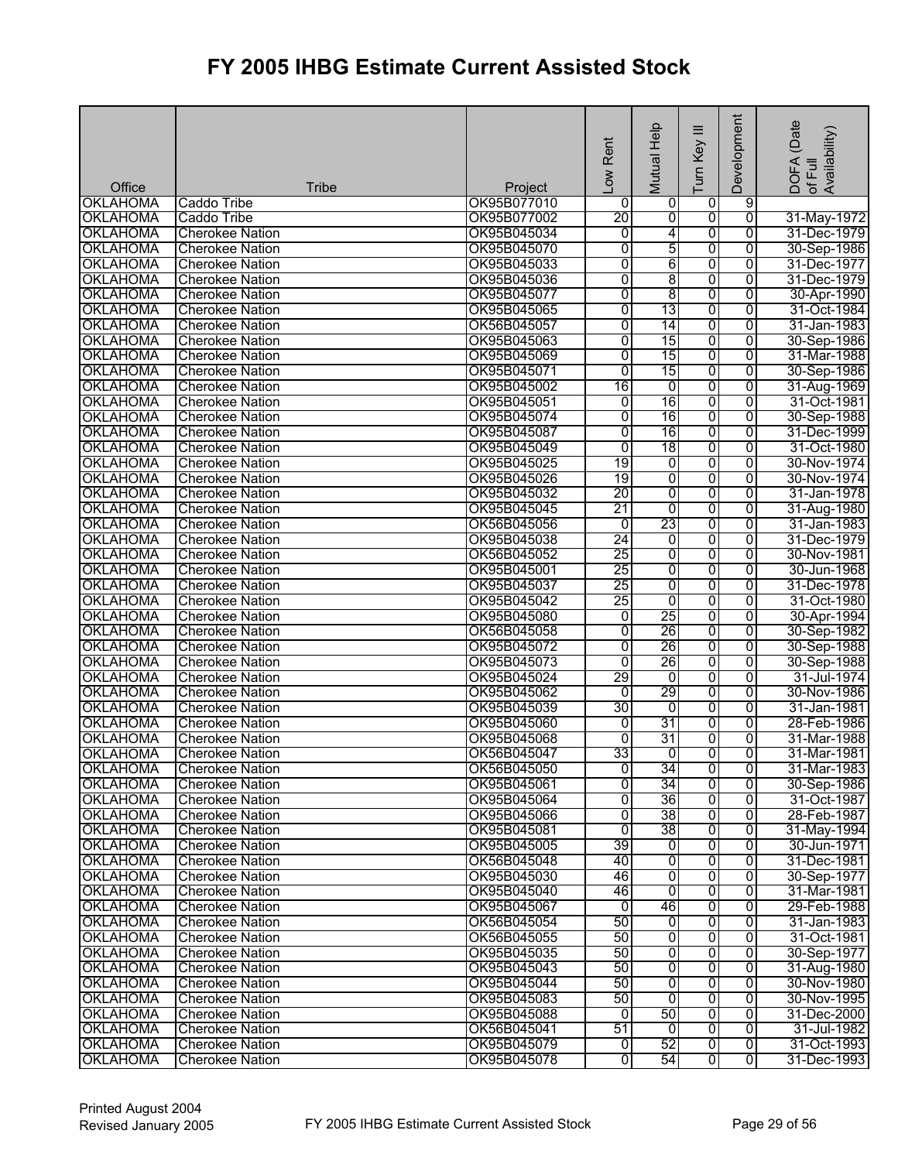| Office                             | <b>Tribe</b>                                     | Project                    | Low Rent                         | Help<br>Mutual | ≡<br>Turn Key                    | Development    | (Date<br>Availability)<br><b>DOFA</b><br>of Full |
|------------------------------------|--------------------------------------------------|----------------------------|----------------------------------|----------------|----------------------------------|----------------|--------------------------------------------------|
| <b>OKLAHOMA</b>                    | Caddo Tribe                                      | OK95B077010                | $\mathbf 0$                      | 0              | $\overline{0}$                   | 9              |                                                  |
| <b>OKLAHOMA</b>                    | Caddo Tribe                                      | OK95B077002                | 20                               | $\overline{0}$ | $\overline{0}$                   | $\overline{0}$ | 31-May-1972                                      |
| <b>OKLAHOMA</b>                    | <b>Cherokee Nation</b>                           | OK95B045034                | $\overline{0}$                   | 4              | $\overline{0}$                   | $\overline{0}$ | 31-Dec-1979                                      |
| <b>OKLAHOMA</b>                    | <b>Cherokee Nation</b>                           | OK95B045070                | 0                                | 5              | $\overline{0}$                   | $\overline{0}$ | 30-Sep-1986                                      |
| <b>OKLAHOMA</b>                    | <b>Cherokee Nation</b>                           | OK95B045033                | $\overline{0}$                   | 6              | $\overline{0}$                   | 0              | 31-Dec-1977                                      |
| <b>OKLAHOMA</b>                    | <b>Cherokee Nation</b>                           | OK95B045036                | 0                                | 8              | $\overline{0}$                   | $\overline{0}$ | 31-Dec-1979                                      |
| <b>OKLAHOMA</b>                    | <b>Cherokee Nation</b>                           | OK95B045077                | $\overline{0}$                   | 8              | ō                                | 0              | 30-Apr-1990                                      |
| <b>OKLAHOMA</b>                    | <b>Cherokee Nation</b>                           | OK95B045065                | 0                                | 13             | ō                                | $\overline{0}$ | 31-Oct-1984                                      |
| <b>OKLAHOMA</b>                    | <b>Cherokee Nation</b>                           | OK56B045057                | $\overline{0}$                   | 14             | $\overline{0}$                   | $\overline{0}$ | 31-Jan-1983                                      |
| <b>OKLAHOMA</b>                    | <b>Cherokee Nation</b>                           | OK95B045063                | O                                | 15             | $\overline{0}$                   | $\overline{0}$ | 30-Sep-1986                                      |
| <b>OKLAHOMA</b>                    | <b>Cherokee Nation</b>                           | OK95B045069                | $\overline{0}$                   | 15             | ō                                | $\overline{0}$ | 31-Mar-1988                                      |
| <b>OKLAHOMA</b>                    | <b>Cherokee Nation</b>                           | OK95B045071                | 0                                | 15             | ō                                | $\overline{0}$ | 30-Sep-1986                                      |
| <b>OKLAHOMA</b>                    | <b>Cherokee Nation</b>                           | OK95B045002                | 16                               | 0              | $\overline{0}$                   | 0              | 31-Aug-1969                                      |
| <b>OKLAHOMA</b>                    | <b>Cherokee Nation</b>                           | OK95B045051                | $\overline{0}$                   | 16             | $\overline{0}$                   | $\overline{0}$ | 31-Oct-1981                                      |
| <b>OKLAHOMA</b>                    | <b>Cherokee Nation</b>                           | OK95B045074                | $\overline{0}$                   | 16             | $\overline{0}$                   | $\overline{0}$ | 30-Sep-1988                                      |
| <b>OKLAHOMA</b>                    | <b>Cherokee Nation</b>                           | OK95B045087                | 0                                | 16             | $\overline{0}$                   | $\overline{0}$ | 31-Dec-1999                                      |
| <b>OKLAHOMA</b>                    | <b>Cherokee Nation</b>                           | OK95B045049                | ō                                | 18             | $\overline{0}$                   | $\overline{0}$ | 31-Oct-1980                                      |
| <b>OKLAHOMA</b>                    | <b>Cherokee Nation</b>                           | OK95B045025                | 19                               | ō              | $\overline{0}$                   | $\overline{0}$ | 30-Nov-1974                                      |
| <b>OKLAHOMA</b>                    | <b>Cherokee Nation</b>                           | OK95B045026                | 19                               | $\overline{0}$ | $\overline{0}$                   | $\overline{0}$ | 30-Nov-1974                                      |
| <b>OKLAHOMA</b>                    | <b>Cherokee Nation</b>                           | OK95B045032                | $\overline{20}$                  | ō              | $\overline{0}$                   | 0              | 31-Jan-1978                                      |
| <b>OKLAHOMA</b>                    | <b>Cherokee Nation</b>                           | OK95B045045                | 21                               | $\overline{0}$ | $\overline{0}$                   | $\overline{0}$ | 31-Aug-1980                                      |
| <b>OKLAHOMA</b>                    | <b>Cherokee Nation</b>                           | OK56B045056                | ō                                | 23             | $\overline{0}$                   | $\overline{0}$ | 31-Jan-1983                                      |
| <b>OKLAHOMA</b>                    | <b>Cherokee Nation</b>                           | OK95B045038                | 24                               | $\overline{0}$ | $\overline{0}$                   | $\overline{0}$ | 31-Dec-1979                                      |
| <b>OKLAHOMA</b>                    | <b>Cherokee Nation</b>                           | OK56B045052                | 25                               | $\overline{0}$ | $\overline{0}$                   | 0              | 30-Nov-1981                                      |
| <b>OKLAHOMA</b>                    | <b>Cherokee Nation</b>                           | OK95B045001                | 25                               | $\overline{0}$ | $\overline{0}$                   | $\overline{0}$ | 30-Jun-1968                                      |
| <b>OKLAHOMA</b>                    |                                                  | OK95B045037                | 25                               | $\overline{0}$ | $\overline{0}$                   | 0              | 31-Dec-1978                                      |
| <b>OKLAHOMA</b>                    | <b>Cherokee Nation</b><br><b>Cherokee Nation</b> | OK95B045042                | 25                               | $\overline{0}$ | $\overline{0}$                   | 0              | 31-Oct-1980                                      |
| <b>OKLAHOMA</b>                    | <b>Cherokee Nation</b>                           | OK95B045080                | $\overline{0}$                   | 25             | $\overline{0}$                   | 0              | 30-Apr-1994                                      |
| <b>OKLAHOMA</b>                    | <b>Cherokee Nation</b>                           | OK56B045058                | O                                | 26             | $\overline{0}$                   | 0              | 30-Sep-1982                                      |
| <b>OKLAHOMA</b>                    | <b>Cherokee Nation</b>                           | OK95B045072                | ō                                | 26             | $\overline{0}$                   | $\overline{0}$ | 30-Sep-1988                                      |
| <b>OKLAHOMA</b>                    | <b>Cherokee Nation</b>                           | OK95B045073                | ō                                | 26             | $\overline{0}$                   | $\overline{0}$ | 30-Sep-1988                                      |
| <b>OKLAHOMA</b>                    |                                                  | OK95B045024                | 29                               | 0              | $\overline{0}$                   | 0              | 31-Jul-1974                                      |
| <b>OKLAHOMA</b>                    | <b>Cherokee Nation</b>                           | OK95B045062                | Ō                                | 29             | ō                                | $\overline{0}$ | 30-Nov-1986                                      |
| <b>OKLAHOMA</b>                    | <b>Cherokee Nation</b><br><b>Cherokee Nation</b> | OK95B045039                | 30                               | $\overline{0}$ | ō                                | $\overline{0}$ | 31-Jan-1981                                      |
| <b>OKLAHOMA</b>                    | <b>Cherokee Nation</b>                           | OK95B045060                | ō                                | 31             | $\overline{0}$                   | $\overline{0}$ | 28-Feb-1986                                      |
| <b>OKLAHOMA</b>                    | <b>Cherokee Nation</b>                           | OK95B045068                | 01                               | 31             | $\overline{0}$                   | 0              | 31-Mar-1988                                      |
| <b>OKLAHOMA</b>                    | <b>Cherokee Nation</b>                           | OK56B045047                | 33                               | $\overline{0}$ | ୗ                                | ō              | 31-Mar-1981                                      |
|                                    |                                                  |                            |                                  |                |                                  |                | 31-Mar-1983                                      |
| <b>OKLAHOMA</b><br><b>OKLAHOMA</b> | <b>Cherokee Nation</b>                           | OK56B045050<br>OK95B045061 | $\overline{0}$<br>$\overline{0}$ | 34<br>34       | $\overline{0}$<br>$\overline{0}$ | 0<br>0         |                                                  |
|                                    | <b>Cherokee Nation</b>                           |                            | $\overline{0}$                   | 36             |                                  | 0              | 30-Sep-1986                                      |
| <b>OKLAHOMA</b>                    | <b>Cherokee Nation</b>                           | OK95B045064                |                                  | 38             | $\overline{0}$<br>$\overline{0}$ | $\overline{0}$ | 31-Oct-1987                                      |
| <b>OKLAHOMA</b>                    | <b>Cherokee Nation</b>                           | OK95B045066                | $\overline{0}$                   |                |                                  |                | 28-Feb-1987                                      |
| <b>OKLAHOMA</b>                    | <b>Cherokee Nation</b>                           | OK95B045081                | ō                                | 38             | $\overline{0}$                   | 0              | 31-May-1994                                      |
| <b>OKLAHOMA</b>                    | <b>Cherokee Nation</b>                           | OK95B045005                | 39                               | $\overline{0}$ | $\overline{0}$                   | $\overline{0}$ | 30-Jun-1971                                      |
| <b>OKLAHOMA</b>                    | <b>Cherokee Nation</b>                           | OK56B045048                | 40                               | $\overline{0}$ | ō                                | 0              | 31-Dec-1981                                      |
| <b>OKLAHOMA</b>                    | <b>Cherokee Nation</b>                           | OK95B045030                | 46                               | ō              | $\overline{0}$                   | 0              | 30-Sep-1977                                      |
| <b>OKLAHOMA</b>                    | <b>Cherokee Nation</b>                           | OK95B045040                | 46                               | $\overline{0}$ | ō                                | 0              | 31-Mar-1981                                      |
| <b>OKLAHOMA</b>                    | <b>Cherokee Nation</b>                           | OK95B045067                | Ō                                | 46             | $\overline{0}$                   | 0              | 29-Feb-1988                                      |
| <b>OKLAHOMA</b>                    | <b>Cherokee Nation</b>                           | OK56B045054                | 50                               | $\overline{0}$ | ō                                | $\overline{0}$ | 31-Jan-1983                                      |
| <b>OKLAHOMA</b>                    | <b>Cherokee Nation</b>                           | OK56B045055                | 50                               | ō              | ō                                | $\overline{0}$ | 31-Oct-1981                                      |
| <b>OKLAHOMA</b>                    | <b>Cherokee Nation</b>                           | OK95B045035                | 50                               | $\overline{0}$ | $\overline{0}$                   | $\overline{0}$ | 30-Sep-1977                                      |
| <b>OKLAHOMA</b>                    | <b>Cherokee Nation</b>                           | OK95B045043                | 50                               | ō              | $\overline{0}$                   | 0              | 31-Aug-1980                                      |
| <b>OKLAHOMA</b>                    | <b>Cherokee Nation</b>                           | OK95B045044                | 50                               | $\overline{0}$ | $\overline{0}$                   | 0              | 30-Nov-1980                                      |
| <b>OKLAHOMA</b>                    | <b>Cherokee Nation</b>                           | OK95B045083                | 50                               | Ō              | $\overline{0}$                   | $\overline{0}$ | 30-Nov-1995                                      |
| <b>OKLAHOMA</b>                    | <b>Cherokee Nation</b>                           | OK95B045088                | $\overline{0}$                   | 50             | $\overline{0}$                   | 0              | 31-Dec-2000                                      |
| <b>OKLAHOMA</b>                    | <b>Cherokee Nation</b>                           | OK56B045041                | 51                               | $\mathbf 0$    | $\overline{0}$                   | 0              | 31-Jul-1982                                      |
| <b>OKLAHOMA</b>                    | <b>Cherokee Nation</b>                           | OK95B045079                | $\overline{0}$                   | 52             | $\overline{0}$                   | o              | 31-Oct-1993                                      |
| <b>OKLAHOMA</b>                    | <b>Cherokee Nation</b>                           | OK95B045078                | $\overline{0}$                   | 54             | $\overline{0}$                   | Ō              | 31-Dec-1993                                      |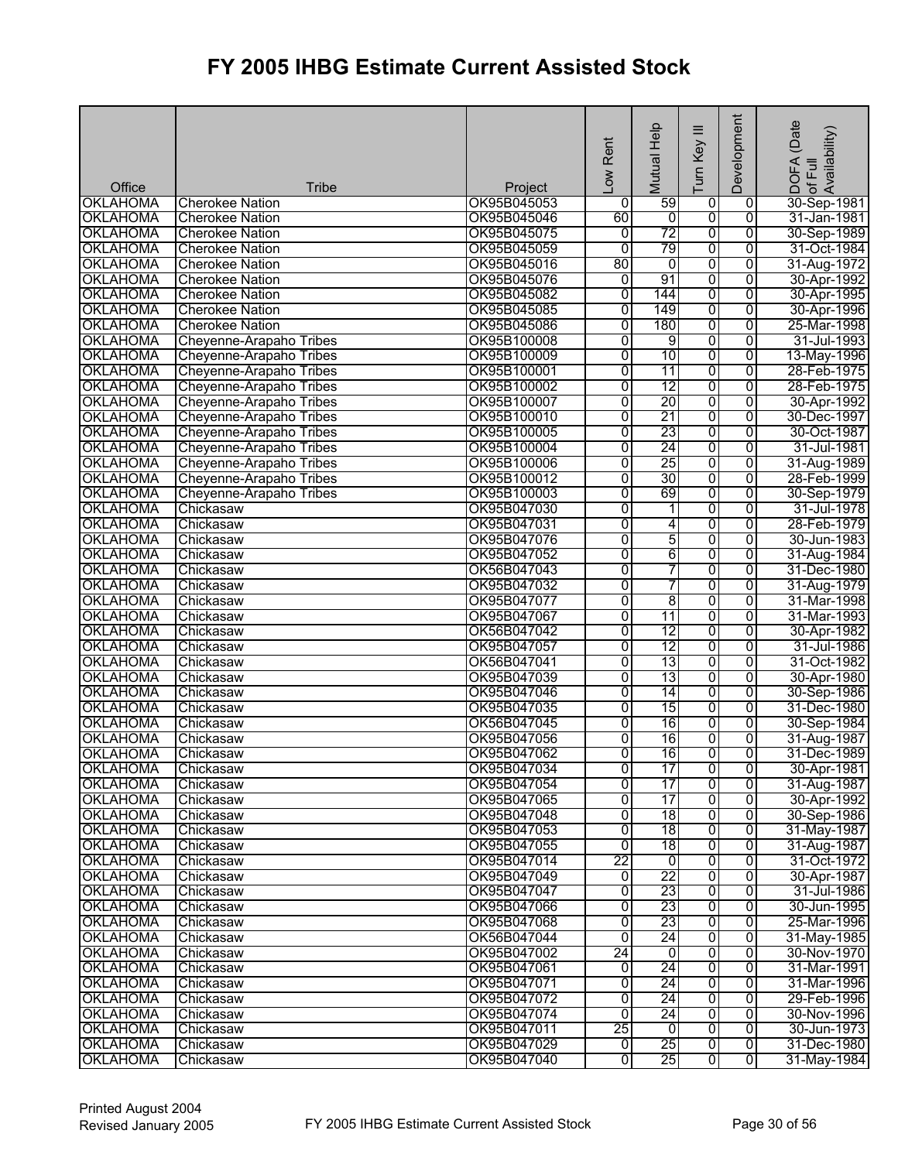|                 |                         |             | Rent<br>$\overline{\phantom{0}}$ | Help<br>Mutual  | $\equiv$<br>Turn Key    | Development    | (Date<br>of Full<br>Availability)<br><b>DOFA</b> |
|-----------------|-------------------------|-------------|----------------------------------|-----------------|-------------------------|----------------|--------------------------------------------------|
| Office          | <b>Tribe</b>            | Project     |                                  |                 |                         |                |                                                  |
| <b>OKLAHOMA</b> | <b>Cherokee Nation</b>  | OK95B045053 | 0                                | 59              | 0                       | $\overline{0}$ | 30-Sep-1981                                      |
| <b>OKLAHOMA</b> | <b>Cherokee Nation</b>  | OK95B045046 | 60                               | o               | $\overline{\mathbf{0}}$ | $\overline{0}$ | 31-Jan-1981                                      |
| <b>OKLAHOMA</b> | <b>Cherokee Nation</b>  | OK95B045075 | 0                                | 72              | 0                       | $\overline{0}$ | 30-Sep-1989                                      |
| <b>OKLAHOMA</b> | <b>Cherokee Nation</b>  | OK95B045059 | Ō                                | 79              | 0                       | 0              | 31-Oct-1984                                      |
| <b>OKLAHOMA</b> | <b>Cherokee Nation</b>  | OK95B045016 | 80                               | 0               | 0                       | 0              | 31-Aug-1972                                      |
| <b>OKLAHOMA</b> | <b>Cherokee Nation</b>  | OK95B045076 | 0                                | 91              | 0                       | 0              | 30-Apr-1992                                      |
| <b>OKLAHOMA</b> | <b>Cherokee Nation</b>  | OK95B045082 | 0                                | 144             | $\overline{0}$          | $\overline{0}$ | 30-Apr-1995                                      |
| <b>OKLAHOMA</b> | <b>Cherokee Nation</b>  | OK95B045085 | 0                                | 149             | 0                       | 0              | 30-Apr-1996                                      |
| <b>OKLAHOMA</b> | <b>Cherokee Nation</b>  | OK95B045086 | $\overline{0}$                   | 180             | 0                       | $\overline{0}$ | 25-Mar-1998                                      |
| <b>OKLAHOMA</b> | Cheyenne-Arapaho Tribes | OK95B100008 | 0                                | 9               | $\overline{0}$          | $\overline{0}$ | 31-Jul-1993                                      |
| <b>OKLAHOMA</b> | Cheyenne-Arapaho Tribes | OK95B100009 | $\overline{0}$                   | 10              | 0                       | $\overline{0}$ | 13-May-1996                                      |
| <b>OKLAHOMA</b> | Cheyenne-Arapaho Tribes | OK95B100001 | $\overline{0}$                   | 11              | 0                       | 0              | 28-Feb-1975                                      |
| <b>OKLAHOMA</b> | Cheyenne-Arapaho Tribes | OK95B100002 | $\overline{0}$                   | $\overline{12}$ | $\overline{0}$          | $\overline{0}$ | 28-Feb-1975                                      |
| <b>OKLAHOMA</b> | Cheyenne-Arapaho Tribes | OK95B100007 | $\overline{0}$                   | 20              | $\overline{0}$          | $\overline{0}$ | 30-Apr-1992                                      |
| <b>OKLAHOMA</b> | Cheyenne-Arapaho Tribes | OK95B100010 | $\overline{0}$                   | 21              | ō                       | $\overline{0}$ | 30-Dec-1997                                      |
| <b>OKLAHOMA</b> | Cheyenne-Arapaho Tribes | OK95B100005 | $\overline{0}$                   | 23              | 0                       | $\overline{0}$ | 30-Oct-1987                                      |
| <b>OKLAHOMA</b> | Cheyenne-Arapaho Tribes | OK95B100004 | $\overline{0}$                   | 24              | $\overline{0}$          | $\overline{0}$ | 31-Jul-1981                                      |
| <b>OKLAHOMA</b> | Cheyenne-Arapaho Tribes | OK95B100006 | $\overline{0}$                   | 25              | $\overline{\mathbf{0}}$ | $\overline{0}$ | 31-Aug-1989                                      |
| <b>OKLAHOMA</b> | Cheyenne-Arapaho Tribes | OK95B100012 | $\overline{0}$                   | 30              | $\overline{0}$          | $\overline{0}$ | 28-Feb-1999                                      |
| <b>OKLAHOMA</b> | Cheyenne-Arapaho Tribes | OK95B100003 | $\overline{0}$                   | 69              | 0                       | 0              | 30-Sep-1979                                      |
| <b>OKLAHOMA</b> | Chickasaw               | OK95B047030 | $\overline{0}$                   | 1               | 0                       | 0              | 31-Jul-1978                                      |
| <b>OKLAHOMA</b> | Chickasaw               | OK95B047031 | 0                                | 4               | 0                       | $\overline{0}$ | 28-Feb-1979                                      |
| <b>OKLAHOMA</b> | Chickasaw               | OK95B047076 | $\overline{0}$                   | 5               | $\overline{0}$          | $\overline{0}$ | 30-Jun-1983                                      |
| <b>OKLAHOMA</b> | Chickasaw               | OK95B047052 | 0                                | 6               | 0                       | 0              | 31-Aug-1984                                      |
| <b>OKLAHOMA</b> | Chickasaw               | OK56B047043 | 0                                | 7               | 0                       | 0              | 31-Dec-1980                                      |
| <b>OKLAHOMA</b> | Chickasaw               | OK95B047032 | 0                                | 7               | $\overline{0}$          | $\overline{0}$ | 31-Aug-1979                                      |
| <b>OKLAHOMA</b> | Chickasaw               | OK95B047077 | $\overline{0}$                   | 8               | 0                       | 0              | 31-Mar-1998                                      |
| <b>OKLAHOMA</b> | Chickasaw               | OK95B047067 | $\overline{0}$                   | 11              | 0                       | 0              | 31-Mar-1993                                      |
| <b>OKLAHOMA</b> | Chickasaw               | OK56B047042 | 0                                | 12              | 0                       | 0              | 30-Apr-1982                                      |
| <b>OKLAHOMA</b> | Chickasaw               | OK95B047057 | $\overline{0}$                   | 12              | 0                       | $\overline{0}$ | 31-Jul-1986                                      |
| <b>OKLAHOMA</b> | Chickasaw               | OK56B047041 | 0                                | 13              | 0                       | 0              | 31-Oct-1982                                      |
| <b>OKLAHOMA</b> | Chickasaw               | OK95B047039 | 0                                | 13              | 0                       | 0              | 30-Apr-1980                                      |
| <b>OKLAHOMA</b> | Chickasaw               | OK95B047046 | $\overline{0}$                   | 14              | 0                       | $\overline{0}$ | 30-Sep-1986                                      |
| <b>OKLAHOMA</b> | Chickasaw               | OK95B047035 | $\overline{0}$                   | 15              | 0                       | $\overline{0}$ | 31-Dec-1980                                      |
| <b>OKLAHOMA</b> | Chickasaw               | OK56B047045 | 0                                | 16              | 0                       | $\overline{0}$ | 30-Sep-1984                                      |
| <b>OKLAHOMA</b> | Chickasaw               | OK95B047056 | 0                                | 16              | 0                       | 0              | 31-Aug-1987                                      |
| <b>OKLAHOMA</b> | Chickasaw               | OK95B047062 | $\overline{0}$                   | 16              | $\overline{0}$          | 0              | 31-Dec-1989                                      |
| <b>OKLAHOMA</b> | Chickasaw               | OK95B047034 | $\overline{0}$                   | 17              | $\mathbf 0$             | 0              | 30-Apr-1981                                      |
| <b>OKLAHOMA</b> | Chickasaw               | OK95B047054 | 0                                | 17              | 0                       | 0              | 31-Aug-1987                                      |
| <b>OKLAHOMA</b> | Chickasaw               | OK95B047065 | 0                                | 17              | o                       | 0              | 30-Apr-1992                                      |
| <b>OKLAHOMA</b> | Chickasaw               | OK95B047048 | 0                                | 18              | $\overline{\mathbf{0}}$ | $\overline{0}$ | 30-Sep-1986                                      |
| <b>OKLAHOMA</b> | Chickasaw               | OK95B047053 | 0                                | 18              | 0                       | 0              | 31-May-1987                                      |
| <b>OKLAHOMA</b> | Chickasaw               | OK95B047055 | $\overline{0}$                   | 18              | 0                       | $\overline{0}$ | 31-Aug-1987                                      |
| <b>OKLAHOMA</b> | Chickasaw               | OK95B047014 | 22                               | 0               | $\overline{0}$          | $\overline{0}$ | 31-Oct-1972                                      |
| <b>OKLAHOMA</b> | Chickasaw               | OK95B047049 | $\mathbf 0$                      | $\overline{22}$ | $\overline{0}$          | 0              | 30-Apr-1987                                      |
| <b>OKLAHOMA</b> | Chickasaw               | OK95B047047 | $\overline{0}$                   | 23              | 0                       | 0              | 31-Jul-1986                                      |
| <b>OKLAHOMA</b> | Chickasaw               | OK95B047066 | 0                                | 23              | o                       | 0              | 30-Jun-1995                                      |
| <b>OKLAHOMA</b> | Chickasaw               | OK95B047068 | $\overline{0}$                   | 23              | 0                       | 0              | 25-Mar-1996                                      |
| <b>OKLAHOMA</b> | Chickasaw               | OK56B047044 | 0                                | 24              | 0                       | 0              | 31-May-1985                                      |
| <b>OKLAHOMA</b> | Chickasaw               | OK95B047002 | 24                               | ō               | 0                       | $\overline{0}$ | 30-Nov-1970                                      |
| <b>OKLAHOMA</b> | Chickasaw               | OK95B047061 | $\mathbf 0$                      | 24              | 0                       | 0              | 31-Mar-1991                                      |
| <b>OKLAHOMA</b> | Chickasaw               | OK95B047071 | 0                                | 24              | 0                       | $\overline{0}$ | 31-Mar-1996                                      |
| <b>OKLAHOMA</b> | Chickasaw               | OK95B047072 | 0                                | 24              | $\overline{0}$          | 0              | 29-Feb-1996                                      |
| <b>OKLAHOMA</b> | Chickasaw               | OK95B047074 | 0                                | 24              | 0                       | 0              | 30-Nov-1996                                      |
| <b>OKLAHOMA</b> | Chickasaw               | OK95B047011 | 25                               | 0               | 0                       | 0              | 30-Jun-1973                                      |
| <b>OKLAHOMA</b> | Chickasaw               | OK95B047029 | ō                                | 25              | $\overline{0}$          | $\overline{0}$ | 31-Dec-1980                                      |
| <b>OKLAHOMA</b> | Chickasaw               | OK95B047040 | 0                                | 25              | $\overline{0}$          | $\overline{0}$ | 31-May-1984                                      |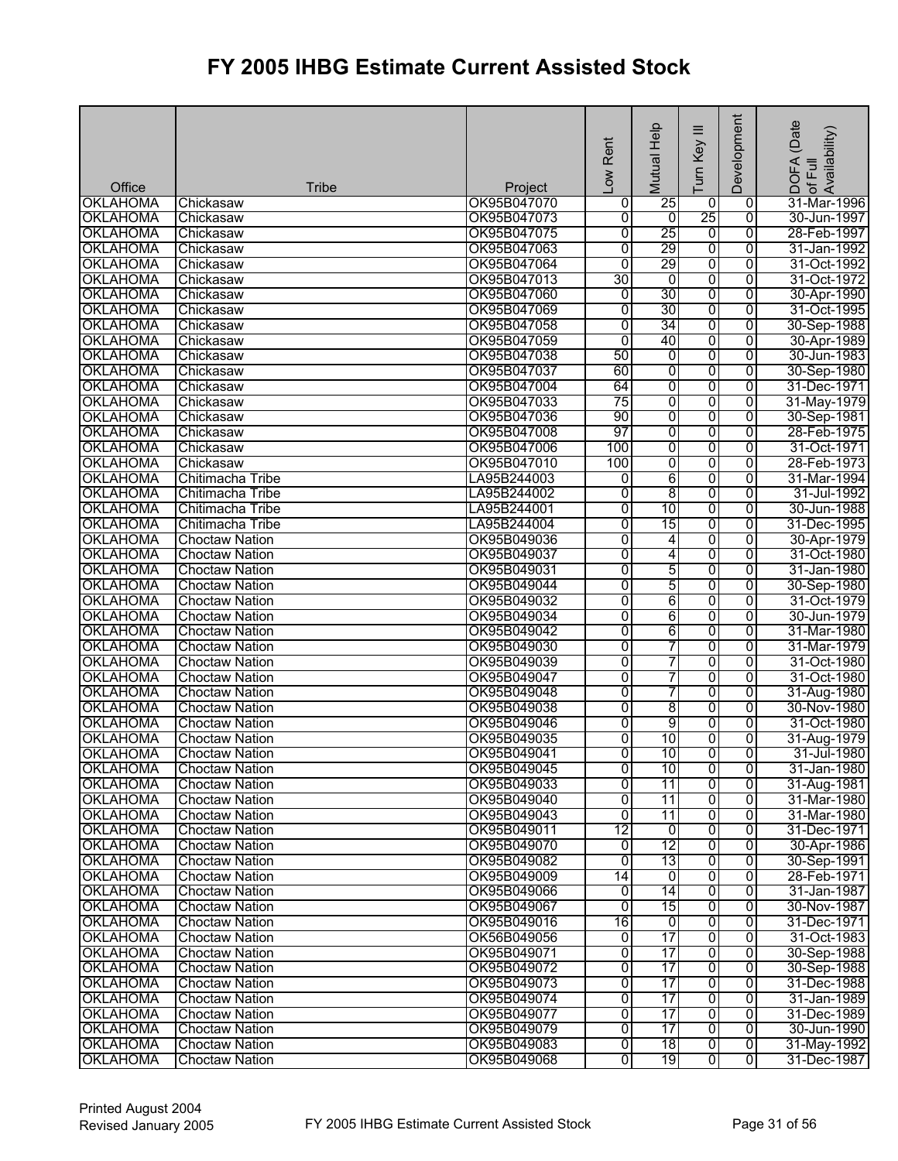| 25<br><b>OKLAHOMA</b><br>OK95B047070<br>31-Mar-1996<br>$\mathbf 0$<br>0<br>Chickasaw<br>0<br>25<br>$\overline{0}$<br><b>OKLAHOMA</b><br>OK95B047073<br>$\overline{0}$<br>$\overline{0}$<br>30-Jun-1997<br>Chickasaw<br>25<br><b>OKLAHOMA</b><br>OK95B047075<br>$\overline{0}$<br>$\overline{0}$<br>28-Feb-1997<br>0<br>Chickasaw<br>29<br>0<br><b>OKLAHOMA</b><br>OK95B047063<br>$\overline{0}$<br>0<br>31-Jan-1992<br>Chickasaw<br>29<br><b>OKLAHOMA</b><br>$\overline{0}$<br>0<br>$\overline{0}$<br>OK95B047064<br>31-Oct-1992<br>Chickasaw<br>30<br>$\overline{0}$<br>$\overline{0}$<br><b>OKLAHOMA</b><br>$\overline{0}$<br>31-Oct-1972<br>Chickasaw<br>OK95B047013<br><b>OKLAHOMA</b><br>30<br>$\overline{0}$<br>OK95B047060<br>0<br>0<br>30-Apr-1990<br>Chickasaw<br><b>OKLAHOMA</b><br>OK95B047069<br>$\overline{0}$<br>30<br>0<br>$\overline{0}$<br>Chickasaw<br>31-Oct-1995<br>34<br><b>OKLAHOMA</b><br>$\overline{0}$<br>$\overline{0}$<br>$\overline{0}$<br>Chickasaw<br>OK95B047058<br>30-Sep-1988<br>40<br>OK95B047059<br>$\overline{0}$<br>0<br>$\overline{0}$<br><b>OKLAHOMA</b><br>Chickasaw<br>30-Apr-1989<br>50<br><b>OKLAHOMA</b><br>OK95B047038<br>0<br>$\overline{0}$<br>$\overline{0}$<br>Chickasaw<br>30-Jun-1983<br><b>OKLAHOMA</b><br>60<br>0<br>0<br>0<br>Chickasaw<br>OK95B047037<br>30-Sep-1980<br><b>OKLAHOMA</b><br>64<br>0<br>$\overline{0}$<br>0<br>Chickasaw<br>OK95B047004<br>31-Dec-1971<br>$\overline{75}$<br>0<br>$\overline{0}$<br>0<br><b>OKLAHOMA</b><br>Chickasaw<br>OK95B047033<br>31-May-1979<br>0<br><b>OKLAHOMA</b><br>OK95B047036<br>90<br>$\overline{0}$<br>$\overline{0}$<br>Chickasaw<br>30-Sep-1981<br><b>OKLAHOMA</b><br>OK95B047008<br>97<br>0<br>0<br>0<br>Chickasaw<br>28-Feb-1975<br>100<br><b>OKLAHOMA</b><br>OK95B047006<br>0<br>$\overline{0}$<br>0<br>31-Oct-1971<br>Chickasaw<br>$\overline{0}$<br>$\overline{0}$<br>OK95B047010<br>100<br>0<br>28-Feb-1973<br><b>OKLAHOMA</b><br>Chickasaw<br>6<br><b>OKLAHOMA</b><br>LA95B244003<br>$\overline{0}$<br>$\overline{0}$<br>31-Mar-1994<br>Chitimacha Tribe<br>0<br>8<br><b>OKLAHOMA</b><br>0<br>0<br>Chitimacha Tribe<br>LA95B244002<br>0<br>31-Jul-1992<br>10<br>0<br>0<br>0<br><b>OKLAHOMA</b><br>Chitimacha Tribe<br>LA95B244001<br>30-Jun-1988<br>15<br><b>OKLAHOMA</b><br>LA95B244004<br>$\overline{0}$<br>$\overline{0}$<br>$\overline{0}$<br>31-Dec-1995<br>Chitimacha Tribe<br><b>OKLAHOMA</b><br>0<br>OK95B049036<br>$\overline{0}$<br>4<br>0<br>30-Apr-1979<br><b>Choctaw Nation</b><br><b>OKLAHOMA</b><br>$\overline{0}$<br>4<br>0<br><b>Choctaw Nation</b><br>OK95B049037<br>0<br>31-Oct-1980<br>5<br>0<br>0<br>0<br>31-Jan-1980<br><b>OKLAHOMA</b><br><b>Choctaw Nation</b><br>OK95B049031<br>5<br>$\overline{0}$<br><b>OKLAHOMA</b><br>OK95B049044<br>0<br>0<br>30-Sep-1980<br><b>Choctaw Nation</b><br><b>OKLAHOMA</b><br>6<br>0<br>OK95B049032<br>$\overline{0}$<br>0<br>31-Oct-1979<br><b>Choctaw Nation</b><br>6<br>$\overline{0}$<br>0<br>$\overline{0}$<br><b>OKLAHOMA</b><br><b>Choctaw Nation</b><br>OK95B049034<br>30-Jun-1979<br>6<br>0<br>$\overline{0}$<br>$\overline{0}$<br><b>OKLAHOMA</b><br><b>Choctaw Nation</b><br>OK95B049042<br>31-Mar-1980<br>7<br>0<br><b>OKLAHOMA</b><br>$\overline{0}$<br>$\overline{0}$<br>31-Mar-1979<br><b>Choctaw Nation</b><br>OK95B049030<br>$\overline{0}$<br>7<br>0<br><b>OKLAHOMA</b><br><b>Choctaw Nation</b><br>OK95B049039<br>0<br>31-Oct-1980<br><b>OKLAHOMA</b><br>0<br>7<br>0<br>0<br><b>Choctaw Nation</b><br>OK95B049047<br>31-Oct-1980<br>$\overline{0}$<br>7<br>0<br>0<br><b>OKLAHOMA</b><br>OK95B049048<br>31-Aug-1980<br><b>Choctaw Nation</b><br><b>OKLAHOMA</b><br>OK95B049038<br>$\overline{0}$<br>8<br>$\overline{0}$<br>$\overline{0}$<br><b>Choctaw Nation</b><br>30-Nov-1980<br>9<br><b>OKLAHOMA</b><br>$\overline{0}$<br>0<br>0<br>31-Oct-1980<br><b>Choctaw Nation</b><br>OK95B049046<br><b>OKLAHOMA</b><br>$\overline{0}$<br>10<br>31-Aug-1979<br><b>Choctaw Nation</b><br>OK95B049035<br>0<br>0<br><b>OKLAHOMA</b><br>ō<br>10<br>$\overline{0}$<br>$\overline{0}$<br>31-Jul-1980<br><b>Choctaw Nation</b><br>OK95B049041<br><b>OKLAHOMA</b><br>OK95B049045<br>31-Jan-1980<br><b>Choctaw Nation</b><br>01<br>10<br>01<br>$\overline{0}$<br><b>OKLAHOMA</b><br>0<br>OK95B049033<br>11<br>0<br>0<br>31-Aug-1981<br><b>Choctaw Nation</b><br><b>OKLAHOMA</b><br>Ō<br>0<br>OK95B049040<br>11<br>0<br>31-Mar-1980<br><b>Choctaw Nation</b><br>0<br>11<br>0<br>0<br><b>OKLAHOMA</b><br>OK95B049043<br>31-Mar-1980<br><b>Choctaw Nation</b><br><b>OKLAHOMA</b><br>$\overline{12}$<br>0<br>0<br><b>Choctaw Nation</b><br>OK95B049011<br>Ō<br>31-Dec-1971<br>12<br>0<br>0<br><b>OKLAHOMA</b><br>OK95B049070<br>o<br>30-Apr-1986<br><b>Choctaw Nation</b><br>ō<br>13<br>0<br>$\overline{0}$<br><b>OKLAHOMA</b><br><b>Choctaw Nation</b><br>OK95B049082<br>30-Sep-1991<br>14<br>$\overline{0}$<br>0<br><b>OKLAHOMA</b><br><b>Choctaw Nation</b><br>OK95B049009<br>$\mathbf 0$<br>28-Feb-1971<br>14<br>0<br><b>OKLAHOMA</b><br>OK95B049066<br>0<br>0<br>31-Jan-1987<br><b>Choctaw Nation</b><br>$\overline{0}$<br>15<br>0<br><b>OKLAHOMA</b><br>OK95B049067<br>0<br><b>Choctaw Nation</b><br>30-Nov-1987<br>16<br>0<br>0<br><b>OKLAHOMA</b><br>OK95B049016<br>$\overline{0}$<br>31-Dec-1971<br><b>Choctaw Nation</b><br>17<br>$\overline{0}$<br>$\overline{0}$<br><b>OKLAHOMA</b><br><b>Choctaw Nation</b><br>OK56B049056<br>0<br>31-Oct-1983<br><b>OKLAHOMA</b><br>$\overline{0}$<br>17<br>0<br><b>Choctaw Nation</b><br>OK95B049071<br>0<br>30-Sep-1988<br>0<br><b>OKLAHOMA</b><br>Choctaw Nation<br>OK95B049072<br>17<br>$\mathbf 0$<br>0<br>30-Sep-1988<br>17<br>0<br>ō<br>$\overline{0}$<br><b>OKLAHOMA</b><br>OK95B049073<br><b>Choctaw Nation</b><br>31-Dec-1988<br><b>OKLAHOMA</b><br>$\overline{0}$<br>$\overline{0}$<br>OK95B049074<br>0<br>17<br>31-Jan-1989<br><b>Choctaw Nation</b><br><b>OKLAHOMA</b><br>0<br>$\overline{17}$<br>0<br>$\overline{0}$<br><b>Choctaw Nation</b><br>OK95B049077<br>31-Dec-1989<br>0<br>0<br>$\overline{0}$<br><b>OKLAHOMA</b><br>OK95B049079<br>17<br>30-Jun-1990<br><b>Choctaw Nation</b><br>ō<br>18<br>$\overline{0}$<br>$\overline{0}$<br><b>OKLAHOMA</b><br>OK95B049083<br>31-May-1992<br><b>Choctaw Nation</b><br>19 | Office          | <b>Tribe</b>          | Project     | Rent<br>Low | Mutual Help | Ξ<br>Turn Key           | Development    | (Date<br> DOFA (Date<br> of Full<br> Availability) |
|----------------------------------------------------------------------------------------------------------------------------------------------------------------------------------------------------------------------------------------------------------------------------------------------------------------------------------------------------------------------------------------------------------------------------------------------------------------------------------------------------------------------------------------------------------------------------------------------------------------------------------------------------------------------------------------------------------------------------------------------------------------------------------------------------------------------------------------------------------------------------------------------------------------------------------------------------------------------------------------------------------------------------------------------------------------------------------------------------------------------------------------------------------------------------------------------------------------------------------------------------------------------------------------------------------------------------------------------------------------------------------------------------------------------------------------------------------------------------------------------------------------------------------------------------------------------------------------------------------------------------------------------------------------------------------------------------------------------------------------------------------------------------------------------------------------------------------------------------------------------------------------------------------------------------------------------------------------------------------------------------------------------------------------------------------------------------------------------------------------------------------------------------------------------------------------------------------------------------------------------------------------------------------------------------------------------------------------------------------------------------------------------------------------------------------------------------------------------------------------------------------------------------------------------------------------------------------------------------------------------------------------------------------------------------------------------------------------------------------------------------------------------------------------------------------------------------------------------------------------------------------------------------------------------------------------------------------------------------------------------------------------------------------------------------------------------------------------------------------------------------------------------------------------------------------------------------------------------------------------------------------------------------------------------------------------------------------------------------------------------------------------------------------------------------------------------------------------------------------------------------------------------------------------------------------------------------------------------------------------------------------------------------------------------------------------------------------------------------------------------------------------------------------------------------------------------------------------------------------------------------------------------------------------------------------------------------------------------------------------------------------------------------------------------------------------------------------------------------------------------------------------------------------------------------------------------------------------------------------------------------------------------------------------------------------------------------------------------------------------------------------------------------------------------------------------------------------------------------------------------------------------------------------------------------------------------------------------------------------------------------------------------------------------------------------------------------------------------------------------------------------------------------------------------------------------------------------------------------------------------------------------------------------------------------------------------------------------------------------------------------------------------------------------------------------------------------------------------------------------------------------------------------------------------------------------------------------------------------------------------------------------------------------------------------------------------------------------------------------------------------------------------------------------------------------------------------------------------------------------------------------------------------------------------------------------------------------------------------------------------------------------------------------------------------------------------------------------------------------------------------------------------------------------------------------------------------------------------------------------------------------------------------------------------------------------------------------------------------------------------------------------------------------------------------------------------------------------------------------------------------------------------------------------------------------------------------------------------------------------------------------|-----------------|-----------------------|-------------|-------------|-------------|-------------------------|----------------|----------------------------------------------------|
|                                                                                                                                                                                                                                                                                                                                                                                                                                                                                                                                                                                                                                                                                                                                                                                                                                                                                                                                                                                                                                                                                                                                                                                                                                                                                                                                                                                                                                                                                                                                                                                                                                                                                                                                                                                                                                                                                                                                                                                                                                                                                                                                                                                                                                                                                                                                                                                                                                                                                                                                                                                                                                                                                                                                                                                                                                                                                                                                                                                                                                                                                                                                                                                                                                                                                                                                                                                                                                                                                                                                                                                                                                                                                                                                                                                                                                                                                                                                                                                                                                                                                                                                                                                                                                                                                                                                                                                                                                                                                                                                                                                                                                                                                                                                                                                                                                                                                                                                                                                                                                                                                                                                                                                                                                                                                                                                                                                                                                                                                                                                                                                                                                                                                                                                                                                                                                                                                                                                                                                                                                                                                                                                                                                                                                                          |                 |                       |             |             |             |                         |                |                                                    |
|                                                                                                                                                                                                                                                                                                                                                                                                                                                                                                                                                                                                                                                                                                                                                                                                                                                                                                                                                                                                                                                                                                                                                                                                                                                                                                                                                                                                                                                                                                                                                                                                                                                                                                                                                                                                                                                                                                                                                                                                                                                                                                                                                                                                                                                                                                                                                                                                                                                                                                                                                                                                                                                                                                                                                                                                                                                                                                                                                                                                                                                                                                                                                                                                                                                                                                                                                                                                                                                                                                                                                                                                                                                                                                                                                                                                                                                                                                                                                                                                                                                                                                                                                                                                                                                                                                                                                                                                                                                                                                                                                                                                                                                                                                                                                                                                                                                                                                                                                                                                                                                                                                                                                                                                                                                                                                                                                                                                                                                                                                                                                                                                                                                                                                                                                                                                                                                                                                                                                                                                                                                                                                                                                                                                                                                          |                 |                       |             |             |             |                         |                |                                                    |
|                                                                                                                                                                                                                                                                                                                                                                                                                                                                                                                                                                                                                                                                                                                                                                                                                                                                                                                                                                                                                                                                                                                                                                                                                                                                                                                                                                                                                                                                                                                                                                                                                                                                                                                                                                                                                                                                                                                                                                                                                                                                                                                                                                                                                                                                                                                                                                                                                                                                                                                                                                                                                                                                                                                                                                                                                                                                                                                                                                                                                                                                                                                                                                                                                                                                                                                                                                                                                                                                                                                                                                                                                                                                                                                                                                                                                                                                                                                                                                                                                                                                                                                                                                                                                                                                                                                                                                                                                                                                                                                                                                                                                                                                                                                                                                                                                                                                                                                                                                                                                                                                                                                                                                                                                                                                                                                                                                                                                                                                                                                                                                                                                                                                                                                                                                                                                                                                                                                                                                                                                                                                                                                                                                                                                                                          |                 |                       |             |             |             |                         |                |                                                    |
|                                                                                                                                                                                                                                                                                                                                                                                                                                                                                                                                                                                                                                                                                                                                                                                                                                                                                                                                                                                                                                                                                                                                                                                                                                                                                                                                                                                                                                                                                                                                                                                                                                                                                                                                                                                                                                                                                                                                                                                                                                                                                                                                                                                                                                                                                                                                                                                                                                                                                                                                                                                                                                                                                                                                                                                                                                                                                                                                                                                                                                                                                                                                                                                                                                                                                                                                                                                                                                                                                                                                                                                                                                                                                                                                                                                                                                                                                                                                                                                                                                                                                                                                                                                                                                                                                                                                                                                                                                                                                                                                                                                                                                                                                                                                                                                                                                                                                                                                                                                                                                                                                                                                                                                                                                                                                                                                                                                                                                                                                                                                                                                                                                                                                                                                                                                                                                                                                                                                                                                                                                                                                                                                                                                                                                                          |                 |                       |             |             |             |                         |                |                                                    |
|                                                                                                                                                                                                                                                                                                                                                                                                                                                                                                                                                                                                                                                                                                                                                                                                                                                                                                                                                                                                                                                                                                                                                                                                                                                                                                                                                                                                                                                                                                                                                                                                                                                                                                                                                                                                                                                                                                                                                                                                                                                                                                                                                                                                                                                                                                                                                                                                                                                                                                                                                                                                                                                                                                                                                                                                                                                                                                                                                                                                                                                                                                                                                                                                                                                                                                                                                                                                                                                                                                                                                                                                                                                                                                                                                                                                                                                                                                                                                                                                                                                                                                                                                                                                                                                                                                                                                                                                                                                                                                                                                                                                                                                                                                                                                                                                                                                                                                                                                                                                                                                                                                                                                                                                                                                                                                                                                                                                                                                                                                                                                                                                                                                                                                                                                                                                                                                                                                                                                                                                                                                                                                                                                                                                                                                          |                 |                       |             |             |             |                         |                |                                                    |
|                                                                                                                                                                                                                                                                                                                                                                                                                                                                                                                                                                                                                                                                                                                                                                                                                                                                                                                                                                                                                                                                                                                                                                                                                                                                                                                                                                                                                                                                                                                                                                                                                                                                                                                                                                                                                                                                                                                                                                                                                                                                                                                                                                                                                                                                                                                                                                                                                                                                                                                                                                                                                                                                                                                                                                                                                                                                                                                                                                                                                                                                                                                                                                                                                                                                                                                                                                                                                                                                                                                                                                                                                                                                                                                                                                                                                                                                                                                                                                                                                                                                                                                                                                                                                                                                                                                                                                                                                                                                                                                                                                                                                                                                                                                                                                                                                                                                                                                                                                                                                                                                                                                                                                                                                                                                                                                                                                                                                                                                                                                                                                                                                                                                                                                                                                                                                                                                                                                                                                                                                                                                                                                                                                                                                                                          |                 |                       |             |             |             |                         |                |                                                    |
|                                                                                                                                                                                                                                                                                                                                                                                                                                                                                                                                                                                                                                                                                                                                                                                                                                                                                                                                                                                                                                                                                                                                                                                                                                                                                                                                                                                                                                                                                                                                                                                                                                                                                                                                                                                                                                                                                                                                                                                                                                                                                                                                                                                                                                                                                                                                                                                                                                                                                                                                                                                                                                                                                                                                                                                                                                                                                                                                                                                                                                                                                                                                                                                                                                                                                                                                                                                                                                                                                                                                                                                                                                                                                                                                                                                                                                                                                                                                                                                                                                                                                                                                                                                                                                                                                                                                                                                                                                                                                                                                                                                                                                                                                                                                                                                                                                                                                                                                                                                                                                                                                                                                                                                                                                                                                                                                                                                                                                                                                                                                                                                                                                                                                                                                                                                                                                                                                                                                                                                                                                                                                                                                                                                                                                                          |                 |                       |             |             |             |                         |                |                                                    |
|                                                                                                                                                                                                                                                                                                                                                                                                                                                                                                                                                                                                                                                                                                                                                                                                                                                                                                                                                                                                                                                                                                                                                                                                                                                                                                                                                                                                                                                                                                                                                                                                                                                                                                                                                                                                                                                                                                                                                                                                                                                                                                                                                                                                                                                                                                                                                                                                                                                                                                                                                                                                                                                                                                                                                                                                                                                                                                                                                                                                                                                                                                                                                                                                                                                                                                                                                                                                                                                                                                                                                                                                                                                                                                                                                                                                                                                                                                                                                                                                                                                                                                                                                                                                                                                                                                                                                                                                                                                                                                                                                                                                                                                                                                                                                                                                                                                                                                                                                                                                                                                                                                                                                                                                                                                                                                                                                                                                                                                                                                                                                                                                                                                                                                                                                                                                                                                                                                                                                                                                                                                                                                                                                                                                                                                          |                 |                       |             |             |             |                         |                |                                                    |
|                                                                                                                                                                                                                                                                                                                                                                                                                                                                                                                                                                                                                                                                                                                                                                                                                                                                                                                                                                                                                                                                                                                                                                                                                                                                                                                                                                                                                                                                                                                                                                                                                                                                                                                                                                                                                                                                                                                                                                                                                                                                                                                                                                                                                                                                                                                                                                                                                                                                                                                                                                                                                                                                                                                                                                                                                                                                                                                                                                                                                                                                                                                                                                                                                                                                                                                                                                                                                                                                                                                                                                                                                                                                                                                                                                                                                                                                                                                                                                                                                                                                                                                                                                                                                                                                                                                                                                                                                                                                                                                                                                                                                                                                                                                                                                                                                                                                                                                                                                                                                                                                                                                                                                                                                                                                                                                                                                                                                                                                                                                                                                                                                                                                                                                                                                                                                                                                                                                                                                                                                                                                                                                                                                                                                                                          |                 |                       |             |             |             |                         |                |                                                    |
|                                                                                                                                                                                                                                                                                                                                                                                                                                                                                                                                                                                                                                                                                                                                                                                                                                                                                                                                                                                                                                                                                                                                                                                                                                                                                                                                                                                                                                                                                                                                                                                                                                                                                                                                                                                                                                                                                                                                                                                                                                                                                                                                                                                                                                                                                                                                                                                                                                                                                                                                                                                                                                                                                                                                                                                                                                                                                                                                                                                                                                                                                                                                                                                                                                                                                                                                                                                                                                                                                                                                                                                                                                                                                                                                                                                                                                                                                                                                                                                                                                                                                                                                                                                                                                                                                                                                                                                                                                                                                                                                                                                                                                                                                                                                                                                                                                                                                                                                                                                                                                                                                                                                                                                                                                                                                                                                                                                                                                                                                                                                                                                                                                                                                                                                                                                                                                                                                                                                                                                                                                                                                                                                                                                                                                                          |                 |                       |             |             |             |                         |                |                                                    |
|                                                                                                                                                                                                                                                                                                                                                                                                                                                                                                                                                                                                                                                                                                                                                                                                                                                                                                                                                                                                                                                                                                                                                                                                                                                                                                                                                                                                                                                                                                                                                                                                                                                                                                                                                                                                                                                                                                                                                                                                                                                                                                                                                                                                                                                                                                                                                                                                                                                                                                                                                                                                                                                                                                                                                                                                                                                                                                                                                                                                                                                                                                                                                                                                                                                                                                                                                                                                                                                                                                                                                                                                                                                                                                                                                                                                                                                                                                                                                                                                                                                                                                                                                                                                                                                                                                                                                                                                                                                                                                                                                                                                                                                                                                                                                                                                                                                                                                                                                                                                                                                                                                                                                                                                                                                                                                                                                                                                                                                                                                                                                                                                                                                                                                                                                                                                                                                                                                                                                                                                                                                                                                                                                                                                                                                          |                 |                       |             |             |             |                         |                |                                                    |
|                                                                                                                                                                                                                                                                                                                                                                                                                                                                                                                                                                                                                                                                                                                                                                                                                                                                                                                                                                                                                                                                                                                                                                                                                                                                                                                                                                                                                                                                                                                                                                                                                                                                                                                                                                                                                                                                                                                                                                                                                                                                                                                                                                                                                                                                                                                                                                                                                                                                                                                                                                                                                                                                                                                                                                                                                                                                                                                                                                                                                                                                                                                                                                                                                                                                                                                                                                                                                                                                                                                                                                                                                                                                                                                                                                                                                                                                                                                                                                                                                                                                                                                                                                                                                                                                                                                                                                                                                                                                                                                                                                                                                                                                                                                                                                                                                                                                                                                                                                                                                                                                                                                                                                                                                                                                                                                                                                                                                                                                                                                                                                                                                                                                                                                                                                                                                                                                                                                                                                                                                                                                                                                                                                                                                                                          |                 |                       |             |             |             |                         |                |                                                    |
|                                                                                                                                                                                                                                                                                                                                                                                                                                                                                                                                                                                                                                                                                                                                                                                                                                                                                                                                                                                                                                                                                                                                                                                                                                                                                                                                                                                                                                                                                                                                                                                                                                                                                                                                                                                                                                                                                                                                                                                                                                                                                                                                                                                                                                                                                                                                                                                                                                                                                                                                                                                                                                                                                                                                                                                                                                                                                                                                                                                                                                                                                                                                                                                                                                                                                                                                                                                                                                                                                                                                                                                                                                                                                                                                                                                                                                                                                                                                                                                                                                                                                                                                                                                                                                                                                                                                                                                                                                                                                                                                                                                                                                                                                                                                                                                                                                                                                                                                                                                                                                                                                                                                                                                                                                                                                                                                                                                                                                                                                                                                                                                                                                                                                                                                                                                                                                                                                                                                                                                                                                                                                                                                                                                                                                                          |                 |                       |             |             |             |                         |                |                                                    |
|                                                                                                                                                                                                                                                                                                                                                                                                                                                                                                                                                                                                                                                                                                                                                                                                                                                                                                                                                                                                                                                                                                                                                                                                                                                                                                                                                                                                                                                                                                                                                                                                                                                                                                                                                                                                                                                                                                                                                                                                                                                                                                                                                                                                                                                                                                                                                                                                                                                                                                                                                                                                                                                                                                                                                                                                                                                                                                                                                                                                                                                                                                                                                                                                                                                                                                                                                                                                                                                                                                                                                                                                                                                                                                                                                                                                                                                                                                                                                                                                                                                                                                                                                                                                                                                                                                                                                                                                                                                                                                                                                                                                                                                                                                                                                                                                                                                                                                                                                                                                                                                                                                                                                                                                                                                                                                                                                                                                                                                                                                                                                                                                                                                                                                                                                                                                                                                                                                                                                                                                                                                                                                                                                                                                                                                          |                 |                       |             |             |             |                         |                |                                                    |
|                                                                                                                                                                                                                                                                                                                                                                                                                                                                                                                                                                                                                                                                                                                                                                                                                                                                                                                                                                                                                                                                                                                                                                                                                                                                                                                                                                                                                                                                                                                                                                                                                                                                                                                                                                                                                                                                                                                                                                                                                                                                                                                                                                                                                                                                                                                                                                                                                                                                                                                                                                                                                                                                                                                                                                                                                                                                                                                                                                                                                                                                                                                                                                                                                                                                                                                                                                                                                                                                                                                                                                                                                                                                                                                                                                                                                                                                                                                                                                                                                                                                                                                                                                                                                                                                                                                                                                                                                                                                                                                                                                                                                                                                                                                                                                                                                                                                                                                                                                                                                                                                                                                                                                                                                                                                                                                                                                                                                                                                                                                                                                                                                                                                                                                                                                                                                                                                                                                                                                                                                                                                                                                                                                                                                                                          |                 |                       |             |             |             |                         |                |                                                    |
|                                                                                                                                                                                                                                                                                                                                                                                                                                                                                                                                                                                                                                                                                                                                                                                                                                                                                                                                                                                                                                                                                                                                                                                                                                                                                                                                                                                                                                                                                                                                                                                                                                                                                                                                                                                                                                                                                                                                                                                                                                                                                                                                                                                                                                                                                                                                                                                                                                                                                                                                                                                                                                                                                                                                                                                                                                                                                                                                                                                                                                                                                                                                                                                                                                                                                                                                                                                                                                                                                                                                                                                                                                                                                                                                                                                                                                                                                                                                                                                                                                                                                                                                                                                                                                                                                                                                                                                                                                                                                                                                                                                                                                                                                                                                                                                                                                                                                                                                                                                                                                                                                                                                                                                                                                                                                                                                                                                                                                                                                                                                                                                                                                                                                                                                                                                                                                                                                                                                                                                                                                                                                                                                                                                                                                                          |                 |                       |             |             |             |                         |                |                                                    |
|                                                                                                                                                                                                                                                                                                                                                                                                                                                                                                                                                                                                                                                                                                                                                                                                                                                                                                                                                                                                                                                                                                                                                                                                                                                                                                                                                                                                                                                                                                                                                                                                                                                                                                                                                                                                                                                                                                                                                                                                                                                                                                                                                                                                                                                                                                                                                                                                                                                                                                                                                                                                                                                                                                                                                                                                                                                                                                                                                                                                                                                                                                                                                                                                                                                                                                                                                                                                                                                                                                                                                                                                                                                                                                                                                                                                                                                                                                                                                                                                                                                                                                                                                                                                                                                                                                                                                                                                                                                                                                                                                                                                                                                                                                                                                                                                                                                                                                                                                                                                                                                                                                                                                                                                                                                                                                                                                                                                                                                                                                                                                                                                                                                                                                                                                                                                                                                                                                                                                                                                                                                                                                                                                                                                                                                          |                 |                       |             |             |             |                         |                |                                                    |
|                                                                                                                                                                                                                                                                                                                                                                                                                                                                                                                                                                                                                                                                                                                                                                                                                                                                                                                                                                                                                                                                                                                                                                                                                                                                                                                                                                                                                                                                                                                                                                                                                                                                                                                                                                                                                                                                                                                                                                                                                                                                                                                                                                                                                                                                                                                                                                                                                                                                                                                                                                                                                                                                                                                                                                                                                                                                                                                                                                                                                                                                                                                                                                                                                                                                                                                                                                                                                                                                                                                                                                                                                                                                                                                                                                                                                                                                                                                                                                                                                                                                                                                                                                                                                                                                                                                                                                                                                                                                                                                                                                                                                                                                                                                                                                                                                                                                                                                                                                                                                                                                                                                                                                                                                                                                                                                                                                                                                                                                                                                                                                                                                                                                                                                                                                                                                                                                                                                                                                                                                                                                                                                                                                                                                                                          |                 |                       |             |             |             |                         |                |                                                    |
|                                                                                                                                                                                                                                                                                                                                                                                                                                                                                                                                                                                                                                                                                                                                                                                                                                                                                                                                                                                                                                                                                                                                                                                                                                                                                                                                                                                                                                                                                                                                                                                                                                                                                                                                                                                                                                                                                                                                                                                                                                                                                                                                                                                                                                                                                                                                                                                                                                                                                                                                                                                                                                                                                                                                                                                                                                                                                                                                                                                                                                                                                                                                                                                                                                                                                                                                                                                                                                                                                                                                                                                                                                                                                                                                                                                                                                                                                                                                                                                                                                                                                                                                                                                                                                                                                                                                                                                                                                                                                                                                                                                                                                                                                                                                                                                                                                                                                                                                                                                                                                                                                                                                                                                                                                                                                                                                                                                                                                                                                                                                                                                                                                                                                                                                                                                                                                                                                                                                                                                                                                                                                                                                                                                                                                                          |                 |                       |             |             |             |                         |                |                                                    |
|                                                                                                                                                                                                                                                                                                                                                                                                                                                                                                                                                                                                                                                                                                                                                                                                                                                                                                                                                                                                                                                                                                                                                                                                                                                                                                                                                                                                                                                                                                                                                                                                                                                                                                                                                                                                                                                                                                                                                                                                                                                                                                                                                                                                                                                                                                                                                                                                                                                                                                                                                                                                                                                                                                                                                                                                                                                                                                                                                                                                                                                                                                                                                                                                                                                                                                                                                                                                                                                                                                                                                                                                                                                                                                                                                                                                                                                                                                                                                                                                                                                                                                                                                                                                                                                                                                                                                                                                                                                                                                                                                                                                                                                                                                                                                                                                                                                                                                                                                                                                                                                                                                                                                                                                                                                                                                                                                                                                                                                                                                                                                                                                                                                                                                                                                                                                                                                                                                                                                                                                                                                                                                                                                                                                                                                          |                 |                       |             |             |             |                         |                |                                                    |
|                                                                                                                                                                                                                                                                                                                                                                                                                                                                                                                                                                                                                                                                                                                                                                                                                                                                                                                                                                                                                                                                                                                                                                                                                                                                                                                                                                                                                                                                                                                                                                                                                                                                                                                                                                                                                                                                                                                                                                                                                                                                                                                                                                                                                                                                                                                                                                                                                                                                                                                                                                                                                                                                                                                                                                                                                                                                                                                                                                                                                                                                                                                                                                                                                                                                                                                                                                                                                                                                                                                                                                                                                                                                                                                                                                                                                                                                                                                                                                                                                                                                                                                                                                                                                                                                                                                                                                                                                                                                                                                                                                                                                                                                                                                                                                                                                                                                                                                                                                                                                                                                                                                                                                                                                                                                                                                                                                                                                                                                                                                                                                                                                                                                                                                                                                                                                                                                                                                                                                                                                                                                                                                                                                                                                                                          |                 |                       |             |             |             |                         |                |                                                    |
|                                                                                                                                                                                                                                                                                                                                                                                                                                                                                                                                                                                                                                                                                                                                                                                                                                                                                                                                                                                                                                                                                                                                                                                                                                                                                                                                                                                                                                                                                                                                                                                                                                                                                                                                                                                                                                                                                                                                                                                                                                                                                                                                                                                                                                                                                                                                                                                                                                                                                                                                                                                                                                                                                                                                                                                                                                                                                                                                                                                                                                                                                                                                                                                                                                                                                                                                                                                                                                                                                                                                                                                                                                                                                                                                                                                                                                                                                                                                                                                                                                                                                                                                                                                                                                                                                                                                                                                                                                                                                                                                                                                                                                                                                                                                                                                                                                                                                                                                                                                                                                                                                                                                                                                                                                                                                                                                                                                                                                                                                                                                                                                                                                                                                                                                                                                                                                                                                                                                                                                                                                                                                                                                                                                                                                                          |                 |                       |             |             |             |                         |                |                                                    |
|                                                                                                                                                                                                                                                                                                                                                                                                                                                                                                                                                                                                                                                                                                                                                                                                                                                                                                                                                                                                                                                                                                                                                                                                                                                                                                                                                                                                                                                                                                                                                                                                                                                                                                                                                                                                                                                                                                                                                                                                                                                                                                                                                                                                                                                                                                                                                                                                                                                                                                                                                                                                                                                                                                                                                                                                                                                                                                                                                                                                                                                                                                                                                                                                                                                                                                                                                                                                                                                                                                                                                                                                                                                                                                                                                                                                                                                                                                                                                                                                                                                                                                                                                                                                                                                                                                                                                                                                                                                                                                                                                                                                                                                                                                                                                                                                                                                                                                                                                                                                                                                                                                                                                                                                                                                                                                                                                                                                                                                                                                                                                                                                                                                                                                                                                                                                                                                                                                                                                                                                                                                                                                                                                                                                                                                          |                 |                       |             |             |             |                         |                |                                                    |
|                                                                                                                                                                                                                                                                                                                                                                                                                                                                                                                                                                                                                                                                                                                                                                                                                                                                                                                                                                                                                                                                                                                                                                                                                                                                                                                                                                                                                                                                                                                                                                                                                                                                                                                                                                                                                                                                                                                                                                                                                                                                                                                                                                                                                                                                                                                                                                                                                                                                                                                                                                                                                                                                                                                                                                                                                                                                                                                                                                                                                                                                                                                                                                                                                                                                                                                                                                                                                                                                                                                                                                                                                                                                                                                                                                                                                                                                                                                                                                                                                                                                                                                                                                                                                                                                                                                                                                                                                                                                                                                                                                                                                                                                                                                                                                                                                                                                                                                                                                                                                                                                                                                                                                                                                                                                                                                                                                                                                                                                                                                                                                                                                                                                                                                                                                                                                                                                                                                                                                                                                                                                                                                                                                                                                                                          |                 |                       |             |             |             |                         |                |                                                    |
|                                                                                                                                                                                                                                                                                                                                                                                                                                                                                                                                                                                                                                                                                                                                                                                                                                                                                                                                                                                                                                                                                                                                                                                                                                                                                                                                                                                                                                                                                                                                                                                                                                                                                                                                                                                                                                                                                                                                                                                                                                                                                                                                                                                                                                                                                                                                                                                                                                                                                                                                                                                                                                                                                                                                                                                                                                                                                                                                                                                                                                                                                                                                                                                                                                                                                                                                                                                                                                                                                                                                                                                                                                                                                                                                                                                                                                                                                                                                                                                                                                                                                                                                                                                                                                                                                                                                                                                                                                                                                                                                                                                                                                                                                                                                                                                                                                                                                                                                                                                                                                                                                                                                                                                                                                                                                                                                                                                                                                                                                                                                                                                                                                                                                                                                                                                                                                                                                                                                                                                                                                                                                                                                                                                                                                                          |                 |                       |             |             |             |                         |                |                                                    |
|                                                                                                                                                                                                                                                                                                                                                                                                                                                                                                                                                                                                                                                                                                                                                                                                                                                                                                                                                                                                                                                                                                                                                                                                                                                                                                                                                                                                                                                                                                                                                                                                                                                                                                                                                                                                                                                                                                                                                                                                                                                                                                                                                                                                                                                                                                                                                                                                                                                                                                                                                                                                                                                                                                                                                                                                                                                                                                                                                                                                                                                                                                                                                                                                                                                                                                                                                                                                                                                                                                                                                                                                                                                                                                                                                                                                                                                                                                                                                                                                                                                                                                                                                                                                                                                                                                                                                                                                                                                                                                                                                                                                                                                                                                                                                                                                                                                                                                                                                                                                                                                                                                                                                                                                                                                                                                                                                                                                                                                                                                                                                                                                                                                                                                                                                                                                                                                                                                                                                                                                                                                                                                                                                                                                                                                          |                 |                       |             |             |             |                         |                |                                                    |
|                                                                                                                                                                                                                                                                                                                                                                                                                                                                                                                                                                                                                                                                                                                                                                                                                                                                                                                                                                                                                                                                                                                                                                                                                                                                                                                                                                                                                                                                                                                                                                                                                                                                                                                                                                                                                                                                                                                                                                                                                                                                                                                                                                                                                                                                                                                                                                                                                                                                                                                                                                                                                                                                                                                                                                                                                                                                                                                                                                                                                                                                                                                                                                                                                                                                                                                                                                                                                                                                                                                                                                                                                                                                                                                                                                                                                                                                                                                                                                                                                                                                                                                                                                                                                                                                                                                                                                                                                                                                                                                                                                                                                                                                                                                                                                                                                                                                                                                                                                                                                                                                                                                                                                                                                                                                                                                                                                                                                                                                                                                                                                                                                                                                                                                                                                                                                                                                                                                                                                                                                                                                                                                                                                                                                                                          |                 |                       |             |             |             |                         |                |                                                    |
|                                                                                                                                                                                                                                                                                                                                                                                                                                                                                                                                                                                                                                                                                                                                                                                                                                                                                                                                                                                                                                                                                                                                                                                                                                                                                                                                                                                                                                                                                                                                                                                                                                                                                                                                                                                                                                                                                                                                                                                                                                                                                                                                                                                                                                                                                                                                                                                                                                                                                                                                                                                                                                                                                                                                                                                                                                                                                                                                                                                                                                                                                                                                                                                                                                                                                                                                                                                                                                                                                                                                                                                                                                                                                                                                                                                                                                                                                                                                                                                                                                                                                                                                                                                                                                                                                                                                                                                                                                                                                                                                                                                                                                                                                                                                                                                                                                                                                                                                                                                                                                                                                                                                                                                                                                                                                                                                                                                                                                                                                                                                                                                                                                                                                                                                                                                                                                                                                                                                                                                                                                                                                                                                                                                                                                                          |                 |                       |             |             |             |                         |                |                                                    |
|                                                                                                                                                                                                                                                                                                                                                                                                                                                                                                                                                                                                                                                                                                                                                                                                                                                                                                                                                                                                                                                                                                                                                                                                                                                                                                                                                                                                                                                                                                                                                                                                                                                                                                                                                                                                                                                                                                                                                                                                                                                                                                                                                                                                                                                                                                                                                                                                                                                                                                                                                                                                                                                                                                                                                                                                                                                                                                                                                                                                                                                                                                                                                                                                                                                                                                                                                                                                                                                                                                                                                                                                                                                                                                                                                                                                                                                                                                                                                                                                                                                                                                                                                                                                                                                                                                                                                                                                                                                                                                                                                                                                                                                                                                                                                                                                                                                                                                                                                                                                                                                                                                                                                                                                                                                                                                                                                                                                                                                                                                                                                                                                                                                                                                                                                                                                                                                                                                                                                                                                                                                                                                                                                                                                                                                          |                 |                       |             |             |             |                         |                |                                                    |
|                                                                                                                                                                                                                                                                                                                                                                                                                                                                                                                                                                                                                                                                                                                                                                                                                                                                                                                                                                                                                                                                                                                                                                                                                                                                                                                                                                                                                                                                                                                                                                                                                                                                                                                                                                                                                                                                                                                                                                                                                                                                                                                                                                                                                                                                                                                                                                                                                                                                                                                                                                                                                                                                                                                                                                                                                                                                                                                                                                                                                                                                                                                                                                                                                                                                                                                                                                                                                                                                                                                                                                                                                                                                                                                                                                                                                                                                                                                                                                                                                                                                                                                                                                                                                                                                                                                                                                                                                                                                                                                                                                                                                                                                                                                                                                                                                                                                                                                                                                                                                                                                                                                                                                                                                                                                                                                                                                                                                                                                                                                                                                                                                                                                                                                                                                                                                                                                                                                                                                                                                                                                                                                                                                                                                                                          |                 |                       |             |             |             |                         |                |                                                    |
|                                                                                                                                                                                                                                                                                                                                                                                                                                                                                                                                                                                                                                                                                                                                                                                                                                                                                                                                                                                                                                                                                                                                                                                                                                                                                                                                                                                                                                                                                                                                                                                                                                                                                                                                                                                                                                                                                                                                                                                                                                                                                                                                                                                                                                                                                                                                                                                                                                                                                                                                                                                                                                                                                                                                                                                                                                                                                                                                                                                                                                                                                                                                                                                                                                                                                                                                                                                                                                                                                                                                                                                                                                                                                                                                                                                                                                                                                                                                                                                                                                                                                                                                                                                                                                                                                                                                                                                                                                                                                                                                                                                                                                                                                                                                                                                                                                                                                                                                                                                                                                                                                                                                                                                                                                                                                                                                                                                                                                                                                                                                                                                                                                                                                                                                                                                                                                                                                                                                                                                                                                                                                                                                                                                                                                                          |                 |                       |             |             |             |                         |                |                                                    |
|                                                                                                                                                                                                                                                                                                                                                                                                                                                                                                                                                                                                                                                                                                                                                                                                                                                                                                                                                                                                                                                                                                                                                                                                                                                                                                                                                                                                                                                                                                                                                                                                                                                                                                                                                                                                                                                                                                                                                                                                                                                                                                                                                                                                                                                                                                                                                                                                                                                                                                                                                                                                                                                                                                                                                                                                                                                                                                                                                                                                                                                                                                                                                                                                                                                                                                                                                                                                                                                                                                                                                                                                                                                                                                                                                                                                                                                                                                                                                                                                                                                                                                                                                                                                                                                                                                                                                                                                                                                                                                                                                                                                                                                                                                                                                                                                                                                                                                                                                                                                                                                                                                                                                                                                                                                                                                                                                                                                                                                                                                                                                                                                                                                                                                                                                                                                                                                                                                                                                                                                                                                                                                                                                                                                                                                          |                 |                       |             |             |             |                         |                |                                                    |
|                                                                                                                                                                                                                                                                                                                                                                                                                                                                                                                                                                                                                                                                                                                                                                                                                                                                                                                                                                                                                                                                                                                                                                                                                                                                                                                                                                                                                                                                                                                                                                                                                                                                                                                                                                                                                                                                                                                                                                                                                                                                                                                                                                                                                                                                                                                                                                                                                                                                                                                                                                                                                                                                                                                                                                                                                                                                                                                                                                                                                                                                                                                                                                                                                                                                                                                                                                                                                                                                                                                                                                                                                                                                                                                                                                                                                                                                                                                                                                                                                                                                                                                                                                                                                                                                                                                                                                                                                                                                                                                                                                                                                                                                                                                                                                                                                                                                                                                                                                                                                                                                                                                                                                                                                                                                                                                                                                                                                                                                                                                                                                                                                                                                                                                                                                                                                                                                                                                                                                                                                                                                                                                                                                                                                                                          |                 |                       |             |             |             |                         |                |                                                    |
|                                                                                                                                                                                                                                                                                                                                                                                                                                                                                                                                                                                                                                                                                                                                                                                                                                                                                                                                                                                                                                                                                                                                                                                                                                                                                                                                                                                                                                                                                                                                                                                                                                                                                                                                                                                                                                                                                                                                                                                                                                                                                                                                                                                                                                                                                                                                                                                                                                                                                                                                                                                                                                                                                                                                                                                                                                                                                                                                                                                                                                                                                                                                                                                                                                                                                                                                                                                                                                                                                                                                                                                                                                                                                                                                                                                                                                                                                                                                                                                                                                                                                                                                                                                                                                                                                                                                                                                                                                                                                                                                                                                                                                                                                                                                                                                                                                                                                                                                                                                                                                                                                                                                                                                                                                                                                                                                                                                                                                                                                                                                                                                                                                                                                                                                                                                                                                                                                                                                                                                                                                                                                                                                                                                                                                                          |                 |                       |             |             |             |                         |                |                                                    |
|                                                                                                                                                                                                                                                                                                                                                                                                                                                                                                                                                                                                                                                                                                                                                                                                                                                                                                                                                                                                                                                                                                                                                                                                                                                                                                                                                                                                                                                                                                                                                                                                                                                                                                                                                                                                                                                                                                                                                                                                                                                                                                                                                                                                                                                                                                                                                                                                                                                                                                                                                                                                                                                                                                                                                                                                                                                                                                                                                                                                                                                                                                                                                                                                                                                                                                                                                                                                                                                                                                                                                                                                                                                                                                                                                                                                                                                                                                                                                                                                                                                                                                                                                                                                                                                                                                                                                                                                                                                                                                                                                                                                                                                                                                                                                                                                                                                                                                                                                                                                                                                                                                                                                                                                                                                                                                                                                                                                                                                                                                                                                                                                                                                                                                                                                                                                                                                                                                                                                                                                                                                                                                                                                                                                                                                          |                 |                       |             |             |             |                         |                |                                                    |
|                                                                                                                                                                                                                                                                                                                                                                                                                                                                                                                                                                                                                                                                                                                                                                                                                                                                                                                                                                                                                                                                                                                                                                                                                                                                                                                                                                                                                                                                                                                                                                                                                                                                                                                                                                                                                                                                                                                                                                                                                                                                                                                                                                                                                                                                                                                                                                                                                                                                                                                                                                                                                                                                                                                                                                                                                                                                                                                                                                                                                                                                                                                                                                                                                                                                                                                                                                                                                                                                                                                                                                                                                                                                                                                                                                                                                                                                                                                                                                                                                                                                                                                                                                                                                                                                                                                                                                                                                                                                                                                                                                                                                                                                                                                                                                                                                                                                                                                                                                                                                                                                                                                                                                                                                                                                                                                                                                                                                                                                                                                                                                                                                                                                                                                                                                                                                                                                                                                                                                                                                                                                                                                                                                                                                                                          |                 |                       |             |             |             |                         |                |                                                    |
|                                                                                                                                                                                                                                                                                                                                                                                                                                                                                                                                                                                                                                                                                                                                                                                                                                                                                                                                                                                                                                                                                                                                                                                                                                                                                                                                                                                                                                                                                                                                                                                                                                                                                                                                                                                                                                                                                                                                                                                                                                                                                                                                                                                                                                                                                                                                                                                                                                                                                                                                                                                                                                                                                                                                                                                                                                                                                                                                                                                                                                                                                                                                                                                                                                                                                                                                                                                                                                                                                                                                                                                                                                                                                                                                                                                                                                                                                                                                                                                                                                                                                                                                                                                                                                                                                                                                                                                                                                                                                                                                                                                                                                                                                                                                                                                                                                                                                                                                                                                                                                                                                                                                                                                                                                                                                                                                                                                                                                                                                                                                                                                                                                                                                                                                                                                                                                                                                                                                                                                                                                                                                                                                                                                                                                                          |                 |                       |             |             |             |                         |                |                                                    |
|                                                                                                                                                                                                                                                                                                                                                                                                                                                                                                                                                                                                                                                                                                                                                                                                                                                                                                                                                                                                                                                                                                                                                                                                                                                                                                                                                                                                                                                                                                                                                                                                                                                                                                                                                                                                                                                                                                                                                                                                                                                                                                                                                                                                                                                                                                                                                                                                                                                                                                                                                                                                                                                                                                                                                                                                                                                                                                                                                                                                                                                                                                                                                                                                                                                                                                                                                                                                                                                                                                                                                                                                                                                                                                                                                                                                                                                                                                                                                                                                                                                                                                                                                                                                                                                                                                                                                                                                                                                                                                                                                                                                                                                                                                                                                                                                                                                                                                                                                                                                                                                                                                                                                                                                                                                                                                                                                                                                                                                                                                                                                                                                                                                                                                                                                                                                                                                                                                                                                                                                                                                                                                                                                                                                                                                          |                 |                       |             |             |             |                         |                |                                                    |
|                                                                                                                                                                                                                                                                                                                                                                                                                                                                                                                                                                                                                                                                                                                                                                                                                                                                                                                                                                                                                                                                                                                                                                                                                                                                                                                                                                                                                                                                                                                                                                                                                                                                                                                                                                                                                                                                                                                                                                                                                                                                                                                                                                                                                                                                                                                                                                                                                                                                                                                                                                                                                                                                                                                                                                                                                                                                                                                                                                                                                                                                                                                                                                                                                                                                                                                                                                                                                                                                                                                                                                                                                                                                                                                                                                                                                                                                                                                                                                                                                                                                                                                                                                                                                                                                                                                                                                                                                                                                                                                                                                                                                                                                                                                                                                                                                                                                                                                                                                                                                                                                                                                                                                                                                                                                                                                                                                                                                                                                                                                                                                                                                                                                                                                                                                                                                                                                                                                                                                                                                                                                                                                                                                                                                                                          |                 |                       |             |             |             |                         |                |                                                    |
|                                                                                                                                                                                                                                                                                                                                                                                                                                                                                                                                                                                                                                                                                                                                                                                                                                                                                                                                                                                                                                                                                                                                                                                                                                                                                                                                                                                                                                                                                                                                                                                                                                                                                                                                                                                                                                                                                                                                                                                                                                                                                                                                                                                                                                                                                                                                                                                                                                                                                                                                                                                                                                                                                                                                                                                                                                                                                                                                                                                                                                                                                                                                                                                                                                                                                                                                                                                                                                                                                                                                                                                                                                                                                                                                                                                                                                                                                                                                                                                                                                                                                                                                                                                                                                                                                                                                                                                                                                                                                                                                                                                                                                                                                                                                                                                                                                                                                                                                                                                                                                                                                                                                                                                                                                                                                                                                                                                                                                                                                                                                                                                                                                                                                                                                                                                                                                                                                                                                                                                                                                                                                                                                                                                                                                                          |                 |                       |             |             |             |                         |                |                                                    |
|                                                                                                                                                                                                                                                                                                                                                                                                                                                                                                                                                                                                                                                                                                                                                                                                                                                                                                                                                                                                                                                                                                                                                                                                                                                                                                                                                                                                                                                                                                                                                                                                                                                                                                                                                                                                                                                                                                                                                                                                                                                                                                                                                                                                                                                                                                                                                                                                                                                                                                                                                                                                                                                                                                                                                                                                                                                                                                                                                                                                                                                                                                                                                                                                                                                                                                                                                                                                                                                                                                                                                                                                                                                                                                                                                                                                                                                                                                                                                                                                                                                                                                                                                                                                                                                                                                                                                                                                                                                                                                                                                                                                                                                                                                                                                                                                                                                                                                                                                                                                                                                                                                                                                                                                                                                                                                                                                                                                                                                                                                                                                                                                                                                                                                                                                                                                                                                                                                                                                                                                                                                                                                                                                                                                                                                          |                 |                       |             |             |             |                         |                |                                                    |
|                                                                                                                                                                                                                                                                                                                                                                                                                                                                                                                                                                                                                                                                                                                                                                                                                                                                                                                                                                                                                                                                                                                                                                                                                                                                                                                                                                                                                                                                                                                                                                                                                                                                                                                                                                                                                                                                                                                                                                                                                                                                                                                                                                                                                                                                                                                                                                                                                                                                                                                                                                                                                                                                                                                                                                                                                                                                                                                                                                                                                                                                                                                                                                                                                                                                                                                                                                                                                                                                                                                                                                                                                                                                                                                                                                                                                                                                                                                                                                                                                                                                                                                                                                                                                                                                                                                                                                                                                                                                                                                                                                                                                                                                                                                                                                                                                                                                                                                                                                                                                                                                                                                                                                                                                                                                                                                                                                                                                                                                                                                                                                                                                                                                                                                                                                                                                                                                                                                                                                                                                                                                                                                                                                                                                                                          |                 |                       |             |             |             |                         |                |                                                    |
|                                                                                                                                                                                                                                                                                                                                                                                                                                                                                                                                                                                                                                                                                                                                                                                                                                                                                                                                                                                                                                                                                                                                                                                                                                                                                                                                                                                                                                                                                                                                                                                                                                                                                                                                                                                                                                                                                                                                                                                                                                                                                                                                                                                                                                                                                                                                                                                                                                                                                                                                                                                                                                                                                                                                                                                                                                                                                                                                                                                                                                                                                                                                                                                                                                                                                                                                                                                                                                                                                                                                                                                                                                                                                                                                                                                                                                                                                                                                                                                                                                                                                                                                                                                                                                                                                                                                                                                                                                                                                                                                                                                                                                                                                                                                                                                                                                                                                                                                                                                                                                                                                                                                                                                                                                                                                                                                                                                                                                                                                                                                                                                                                                                                                                                                                                                                                                                                                                                                                                                                                                                                                                                                                                                                                                                          |                 |                       |             |             |             |                         |                |                                                    |
|                                                                                                                                                                                                                                                                                                                                                                                                                                                                                                                                                                                                                                                                                                                                                                                                                                                                                                                                                                                                                                                                                                                                                                                                                                                                                                                                                                                                                                                                                                                                                                                                                                                                                                                                                                                                                                                                                                                                                                                                                                                                                                                                                                                                                                                                                                                                                                                                                                                                                                                                                                                                                                                                                                                                                                                                                                                                                                                                                                                                                                                                                                                                                                                                                                                                                                                                                                                                                                                                                                                                                                                                                                                                                                                                                                                                                                                                                                                                                                                                                                                                                                                                                                                                                                                                                                                                                                                                                                                                                                                                                                                                                                                                                                                                                                                                                                                                                                                                                                                                                                                                                                                                                                                                                                                                                                                                                                                                                                                                                                                                                                                                                                                                                                                                                                                                                                                                                                                                                                                                                                                                                                                                                                                                                                                          |                 |                       |             |             |             |                         |                |                                                    |
|                                                                                                                                                                                                                                                                                                                                                                                                                                                                                                                                                                                                                                                                                                                                                                                                                                                                                                                                                                                                                                                                                                                                                                                                                                                                                                                                                                                                                                                                                                                                                                                                                                                                                                                                                                                                                                                                                                                                                                                                                                                                                                                                                                                                                                                                                                                                                                                                                                                                                                                                                                                                                                                                                                                                                                                                                                                                                                                                                                                                                                                                                                                                                                                                                                                                                                                                                                                                                                                                                                                                                                                                                                                                                                                                                                                                                                                                                                                                                                                                                                                                                                                                                                                                                                                                                                                                                                                                                                                                                                                                                                                                                                                                                                                                                                                                                                                                                                                                                                                                                                                                                                                                                                                                                                                                                                                                                                                                                                                                                                                                                                                                                                                                                                                                                                                                                                                                                                                                                                                                                                                                                                                                                                                                                                                          |                 |                       |             |             |             |                         |                |                                                    |
|                                                                                                                                                                                                                                                                                                                                                                                                                                                                                                                                                                                                                                                                                                                                                                                                                                                                                                                                                                                                                                                                                                                                                                                                                                                                                                                                                                                                                                                                                                                                                                                                                                                                                                                                                                                                                                                                                                                                                                                                                                                                                                                                                                                                                                                                                                                                                                                                                                                                                                                                                                                                                                                                                                                                                                                                                                                                                                                                                                                                                                                                                                                                                                                                                                                                                                                                                                                                                                                                                                                                                                                                                                                                                                                                                                                                                                                                                                                                                                                                                                                                                                                                                                                                                                                                                                                                                                                                                                                                                                                                                                                                                                                                                                                                                                                                                                                                                                                                                                                                                                                                                                                                                                                                                                                                                                                                                                                                                                                                                                                                                                                                                                                                                                                                                                                                                                                                                                                                                                                                                                                                                                                                                                                                                                                          |                 |                       |             |             |             |                         |                |                                                    |
|                                                                                                                                                                                                                                                                                                                                                                                                                                                                                                                                                                                                                                                                                                                                                                                                                                                                                                                                                                                                                                                                                                                                                                                                                                                                                                                                                                                                                                                                                                                                                                                                                                                                                                                                                                                                                                                                                                                                                                                                                                                                                                                                                                                                                                                                                                                                                                                                                                                                                                                                                                                                                                                                                                                                                                                                                                                                                                                                                                                                                                                                                                                                                                                                                                                                                                                                                                                                                                                                                                                                                                                                                                                                                                                                                                                                                                                                                                                                                                                                                                                                                                                                                                                                                                                                                                                                                                                                                                                                                                                                                                                                                                                                                                                                                                                                                                                                                                                                                                                                                                                                                                                                                                                                                                                                                                                                                                                                                                                                                                                                                                                                                                                                                                                                                                                                                                                                                                                                                                                                                                                                                                                                                                                                                                                          |                 |                       |             |             |             |                         |                |                                                    |
|                                                                                                                                                                                                                                                                                                                                                                                                                                                                                                                                                                                                                                                                                                                                                                                                                                                                                                                                                                                                                                                                                                                                                                                                                                                                                                                                                                                                                                                                                                                                                                                                                                                                                                                                                                                                                                                                                                                                                                                                                                                                                                                                                                                                                                                                                                                                                                                                                                                                                                                                                                                                                                                                                                                                                                                                                                                                                                                                                                                                                                                                                                                                                                                                                                                                                                                                                                                                                                                                                                                                                                                                                                                                                                                                                                                                                                                                                                                                                                                                                                                                                                                                                                                                                                                                                                                                                                                                                                                                                                                                                                                                                                                                                                                                                                                                                                                                                                                                                                                                                                                                                                                                                                                                                                                                                                                                                                                                                                                                                                                                                                                                                                                                                                                                                                                                                                                                                                                                                                                                                                                                                                                                                                                                                                                          |                 |                       |             |             |             |                         |                |                                                    |
|                                                                                                                                                                                                                                                                                                                                                                                                                                                                                                                                                                                                                                                                                                                                                                                                                                                                                                                                                                                                                                                                                                                                                                                                                                                                                                                                                                                                                                                                                                                                                                                                                                                                                                                                                                                                                                                                                                                                                                                                                                                                                                                                                                                                                                                                                                                                                                                                                                                                                                                                                                                                                                                                                                                                                                                                                                                                                                                                                                                                                                                                                                                                                                                                                                                                                                                                                                                                                                                                                                                                                                                                                                                                                                                                                                                                                                                                                                                                                                                                                                                                                                                                                                                                                                                                                                                                                                                                                                                                                                                                                                                                                                                                                                                                                                                                                                                                                                                                                                                                                                                                                                                                                                                                                                                                                                                                                                                                                                                                                                                                                                                                                                                                                                                                                                                                                                                                                                                                                                                                                                                                                                                                                                                                                                                          |                 |                       |             |             |             |                         |                |                                                    |
|                                                                                                                                                                                                                                                                                                                                                                                                                                                                                                                                                                                                                                                                                                                                                                                                                                                                                                                                                                                                                                                                                                                                                                                                                                                                                                                                                                                                                                                                                                                                                                                                                                                                                                                                                                                                                                                                                                                                                                                                                                                                                                                                                                                                                                                                                                                                                                                                                                                                                                                                                                                                                                                                                                                                                                                                                                                                                                                                                                                                                                                                                                                                                                                                                                                                                                                                                                                                                                                                                                                                                                                                                                                                                                                                                                                                                                                                                                                                                                                                                                                                                                                                                                                                                                                                                                                                                                                                                                                                                                                                                                                                                                                                                                                                                                                                                                                                                                                                                                                                                                                                                                                                                                                                                                                                                                                                                                                                                                                                                                                                                                                                                                                                                                                                                                                                                                                                                                                                                                                                                                                                                                                                                                                                                                                          |                 |                       |             |             |             |                         |                |                                                    |
|                                                                                                                                                                                                                                                                                                                                                                                                                                                                                                                                                                                                                                                                                                                                                                                                                                                                                                                                                                                                                                                                                                                                                                                                                                                                                                                                                                                                                                                                                                                                                                                                                                                                                                                                                                                                                                                                                                                                                                                                                                                                                                                                                                                                                                                                                                                                                                                                                                                                                                                                                                                                                                                                                                                                                                                                                                                                                                                                                                                                                                                                                                                                                                                                                                                                                                                                                                                                                                                                                                                                                                                                                                                                                                                                                                                                                                                                                                                                                                                                                                                                                                                                                                                                                                                                                                                                                                                                                                                                                                                                                                                                                                                                                                                                                                                                                                                                                                                                                                                                                                                                                                                                                                                                                                                                                                                                                                                                                                                                                                                                                                                                                                                                                                                                                                                                                                                                                                                                                                                                                                                                                                                                                                                                                                                          |                 |                       |             |             |             |                         |                |                                                    |
|                                                                                                                                                                                                                                                                                                                                                                                                                                                                                                                                                                                                                                                                                                                                                                                                                                                                                                                                                                                                                                                                                                                                                                                                                                                                                                                                                                                                                                                                                                                                                                                                                                                                                                                                                                                                                                                                                                                                                                                                                                                                                                                                                                                                                                                                                                                                                                                                                                                                                                                                                                                                                                                                                                                                                                                                                                                                                                                                                                                                                                                                                                                                                                                                                                                                                                                                                                                                                                                                                                                                                                                                                                                                                                                                                                                                                                                                                                                                                                                                                                                                                                                                                                                                                                                                                                                                                                                                                                                                                                                                                                                                                                                                                                                                                                                                                                                                                                                                                                                                                                                                                                                                                                                                                                                                                                                                                                                                                                                                                                                                                                                                                                                                                                                                                                                                                                                                                                                                                                                                                                                                                                                                                                                                                                                          |                 |                       |             |             |             |                         |                |                                                    |
|                                                                                                                                                                                                                                                                                                                                                                                                                                                                                                                                                                                                                                                                                                                                                                                                                                                                                                                                                                                                                                                                                                                                                                                                                                                                                                                                                                                                                                                                                                                                                                                                                                                                                                                                                                                                                                                                                                                                                                                                                                                                                                                                                                                                                                                                                                                                                                                                                                                                                                                                                                                                                                                                                                                                                                                                                                                                                                                                                                                                                                                                                                                                                                                                                                                                                                                                                                                                                                                                                                                                                                                                                                                                                                                                                                                                                                                                                                                                                                                                                                                                                                                                                                                                                                                                                                                                                                                                                                                                                                                                                                                                                                                                                                                                                                                                                                                                                                                                                                                                                                                                                                                                                                                                                                                                                                                                                                                                                                                                                                                                                                                                                                                                                                                                                                                                                                                                                                                                                                                                                                                                                                                                                                                                                                                          |                 |                       |             |             |             |                         |                |                                                    |
|                                                                                                                                                                                                                                                                                                                                                                                                                                                                                                                                                                                                                                                                                                                                                                                                                                                                                                                                                                                                                                                                                                                                                                                                                                                                                                                                                                                                                                                                                                                                                                                                                                                                                                                                                                                                                                                                                                                                                                                                                                                                                                                                                                                                                                                                                                                                                                                                                                                                                                                                                                                                                                                                                                                                                                                                                                                                                                                                                                                                                                                                                                                                                                                                                                                                                                                                                                                                                                                                                                                                                                                                                                                                                                                                                                                                                                                                                                                                                                                                                                                                                                                                                                                                                                                                                                                                                                                                                                                                                                                                                                                                                                                                                                                                                                                                                                                                                                                                                                                                                                                                                                                                                                                                                                                                                                                                                                                                                                                                                                                                                                                                                                                                                                                                                                                                                                                                                                                                                                                                                                                                                                                                                                                                                                                          |                 |                       |             |             |             |                         |                |                                                    |
|                                                                                                                                                                                                                                                                                                                                                                                                                                                                                                                                                                                                                                                                                                                                                                                                                                                                                                                                                                                                                                                                                                                                                                                                                                                                                                                                                                                                                                                                                                                                                                                                                                                                                                                                                                                                                                                                                                                                                                                                                                                                                                                                                                                                                                                                                                                                                                                                                                                                                                                                                                                                                                                                                                                                                                                                                                                                                                                                                                                                                                                                                                                                                                                                                                                                                                                                                                                                                                                                                                                                                                                                                                                                                                                                                                                                                                                                                                                                                                                                                                                                                                                                                                                                                                                                                                                                                                                                                                                                                                                                                                                                                                                                                                                                                                                                                                                                                                                                                                                                                                                                                                                                                                                                                                                                                                                                                                                                                                                                                                                                                                                                                                                                                                                                                                                                                                                                                                                                                                                                                                                                                                                                                                                                                                                          |                 |                       |             |             |             |                         |                |                                                    |
|                                                                                                                                                                                                                                                                                                                                                                                                                                                                                                                                                                                                                                                                                                                                                                                                                                                                                                                                                                                                                                                                                                                                                                                                                                                                                                                                                                                                                                                                                                                                                                                                                                                                                                                                                                                                                                                                                                                                                                                                                                                                                                                                                                                                                                                                                                                                                                                                                                                                                                                                                                                                                                                                                                                                                                                                                                                                                                                                                                                                                                                                                                                                                                                                                                                                                                                                                                                                                                                                                                                                                                                                                                                                                                                                                                                                                                                                                                                                                                                                                                                                                                                                                                                                                                                                                                                                                                                                                                                                                                                                                                                                                                                                                                                                                                                                                                                                                                                                                                                                                                                                                                                                                                                                                                                                                                                                                                                                                                                                                                                                                                                                                                                                                                                                                                                                                                                                                                                                                                                                                                                                                                                                                                                                                                                          |                 |                       |             |             |             |                         |                |                                                    |
|                                                                                                                                                                                                                                                                                                                                                                                                                                                                                                                                                                                                                                                                                                                                                                                                                                                                                                                                                                                                                                                                                                                                                                                                                                                                                                                                                                                                                                                                                                                                                                                                                                                                                                                                                                                                                                                                                                                                                                                                                                                                                                                                                                                                                                                                                                                                                                                                                                                                                                                                                                                                                                                                                                                                                                                                                                                                                                                                                                                                                                                                                                                                                                                                                                                                                                                                                                                                                                                                                                                                                                                                                                                                                                                                                                                                                                                                                                                                                                                                                                                                                                                                                                                                                                                                                                                                                                                                                                                                                                                                                                                                                                                                                                                                                                                                                                                                                                                                                                                                                                                                                                                                                                                                                                                                                                                                                                                                                                                                                                                                                                                                                                                                                                                                                                                                                                                                                                                                                                                                                                                                                                                                                                                                                                                          | <b>OKLAHOMA</b> | <b>Choctaw Nation</b> | OK95B049068 | 0           |             | $\overline{\mathbf{0}}$ | $\overline{0}$ | 31-Dec-1987                                        |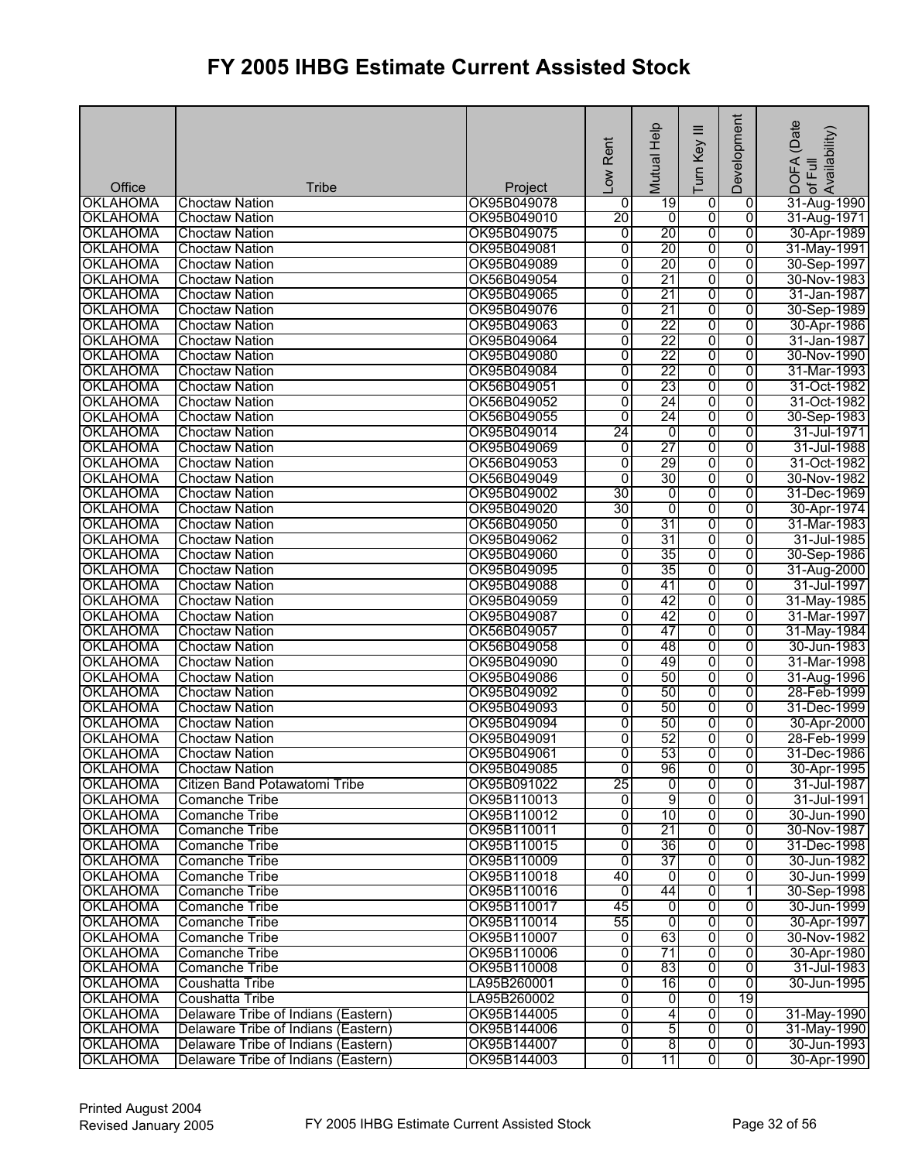|                           |                                       |                        | Rent<br>Low    | Mutual Help    | ≡<br>Turn Key           | Development    | (Date<br>of Full<br>Availability)<br><b>DOFA</b> |
|---------------------------|---------------------------------------|------------------------|----------------|----------------|-------------------------|----------------|--------------------------------------------------|
| Office<br><b>OKLAHOMA</b> | <b>Tribe</b><br><b>Choctaw Nation</b> | Project<br>OK95B049078 | 0              | 19             | 0                       | 0              | 31-Aug-1990                                      |
| <b>OKLAHOMA</b>           | <b>Choctaw Nation</b>                 | OK95B049010            | 20             | $\overline{0}$ | $\overline{0}$          | $\overline{0}$ | 31-Aug-1971                                      |
| <b>OKLAHOMA</b>           | <b>Choctaw Nation</b>                 | OK95B049075            | $\overline{0}$ | 20             | 0                       | $\overline{0}$ | 30-Apr-1989                                      |
| <b>OKLAHOMA</b>           | <b>Choctaw Nation</b>                 | OK95B049081            | $\overline{0}$ | 20             | 0                       | 0              | 31-May-1991                                      |
| <b>OKLAHOMA</b>           | <b>Choctaw Nation</b>                 | OK95B049089            | $\overline{0}$ | 20             | 0                       | $\overline{0}$ | 30-Sep-1997                                      |
| <b>OKLAHOMA</b>           | <b>Choctaw Nation</b>                 | OK56B049054            | $\overline{0}$ | 21             | $\overline{0}$          | $\overline{0}$ | 30-Nov-1983                                      |
| <b>OKLAHOMA</b>           | <b>Choctaw Nation</b>                 | OK95B049065            | 0              | 21             | 0                       | $\overline{0}$ | 31-Jan-1987                                      |
| <b>OKLAHOMA</b>           | <b>Choctaw Nation</b>                 | OK95B049076            | $\overline{0}$ | 21             | 0                       | $\overline{0}$ | 30-Sep-1989                                      |
| <b>OKLAHOMA</b>           | <b>Choctaw Nation</b>                 | OK95B049063            | $\overline{0}$ | 22             | $\overline{0}$          | 0              | 30-Apr-1986                                      |
| <b>OKLAHOMA</b>           | <b>Choctaw Nation</b>                 | OK95B049064            | $\overline{0}$ | 22             | 0                       | $\overline{0}$ | 31-Jan-1987                                      |
| <b>OKLAHOMA</b>           | <b>Choctaw Nation</b>                 | OK95B049080            | $\overline{0}$ | 22             | $\overline{0}$          | $\overline{0}$ | 30-Nov-1990                                      |
| <b>OKLAHOMA</b>           | <b>Choctaw Nation</b>                 | OK95B049084            | $\overline{0}$ | 22             | 0                       | 0              | 31-Mar-1993                                      |
| <b>OKLAHOMA</b>           | <b>Choctaw Nation</b>                 | OK56B049051            | $\overline{0}$ | 23             | 0                       | 0              | 31-Oct-1982                                      |
| <b>OKLAHOMA</b>           | <b>Choctaw Nation</b>                 | OK56B049052            | $\overline{0}$ | 24             | $\overline{0}$          | 0              | 31-Oct-1982                                      |
| <b>OKLAHOMA</b>           | <b>Choctaw Nation</b>                 | OK56B049055            | $\overline{0}$ | 24             | 0                       | $\overline{0}$ | 30-Sep-1983                                      |
| <b>OKLAHOMA</b>           | <b>Choctaw Nation</b>                 | OK95B049014            | 24             | 0              | 0                       | 0              | 31-Jul-1971                                      |
| <b>OKLAHOMA</b>           | <b>Choctaw Nation</b>                 | OK95B049069            | $\overline{0}$ | 27             | 0                       | 0              | 31-Jul-1988                                      |
| <b>OKLAHOMA</b>           | <b>Choctaw Nation</b>                 | OK56B049053            | $\overline{0}$ | 29             | 0                       | $\overline{0}$ | 31-Oct-1982                                      |
| <b>OKLAHOMA</b>           | <b>Choctaw Nation</b>                 | OK56B049049            | $\overline{0}$ | 30             | 0                       | $\overline{0}$ | 30-Nov-1982                                      |
| <b>OKLAHOMA</b>           | <b>Choctaw Nation</b>                 | OK95B049002            | 30             | O              | 0                       | 0              | 31-Dec-1969                                      |
| <b>OKLAHOMA</b>           | <b>Choctaw Nation</b>                 | OK95B049020            | 30             | $\overline{0}$ | 0                       | 0              | 30-Apr-1974                                      |
| <b>OKLAHOMA</b>           | <b>Choctaw Nation</b>                 | OK56B049050            | 0              | 31             | 0                       | $\overline{0}$ | 31-Mar-1983                                      |
| <b>OKLAHOMA</b>           | <b>Choctaw Nation</b>                 | OK95B049062            | $\overline{0}$ | 31             | 0                       | 0              | 31-Jul-1985                                      |
| <b>OKLAHOMA</b>           | <b>Choctaw Nation</b>                 | OK95B049060            | $\overline{0}$ | 35             | 0                       | 0              | 30-Sep-1986                                      |
| <b>OKLAHOMA</b>           | <b>Choctaw Nation</b>                 | OK95B049095            | 0              | 35             | 0                       | $\overline{0}$ | 31-Aug-2000                                      |
| <b>OKLAHOMA</b>           | <b>Choctaw Nation</b>                 | OK95B049088            | 0              | 41             | 0                       | 0              | 31-Jul-1997                                      |
| <b>OKLAHOMA</b>           | <b>Choctaw Nation</b>                 | OK95B049059            | $\overline{0}$ | 42             | 0                       | 0              | 31-May-1985                                      |
| <b>OKLAHOMA</b>           | <b>Choctaw Nation</b>                 | OK95B049087            | $\overline{0}$ | 42             | 0                       | $\overline{0}$ | 31-Mar-1997                                      |
| <b>OKLAHOMA</b>           | <b>Choctaw Nation</b>                 | OK56B049057            | $\overline{0}$ | 47             | 0                       | $\overline{0}$ | 31-May-1984                                      |
| <b>OKLAHOMA</b>           | <b>Choctaw Nation</b>                 | OK56B049058            | $\overline{0}$ | 48             | 0                       | $\overline{0}$ | 30-Jun-1983                                      |
| <b>OKLAHOMA</b>           | <b>Choctaw Nation</b>                 | OK95B049090            | 0              | 49             | 0                       | 0              | 31-Mar-1998                                      |
| <b>OKLAHOMA</b>           | <b>Choctaw Nation</b>                 | OK95B049086            | 0              | 50             | 0                       | 0              | 31-Aug-1996                                      |
| <b>OKLAHOMA</b>           | <b>Choctaw Nation</b>                 | OK95B049092            | $\overline{0}$ | 50             | 0                       | $\overline{0}$ | 28-Feb-1999                                      |
| <b>OKLAHOMA</b>           | <b>Choctaw Nation</b>                 | OK95B049093            | $\overline{0}$ | 50             | $\overline{0}$          | $\overline{0}$ | 31-Dec-1999                                      |
| <b>OKLAHOMA</b>           | <b>Choctaw Nation</b>                 | OK95B049094            | $\overline{0}$ | 50             | 0                       | $\overline{0}$ | 30-Apr-2000                                      |
| <b>OKLAHOMA</b>           | <b>Choctaw Nation</b>                 | OK95B049091            | $\overline{0}$ | 52             | ō                       | 0              | 28-Feb-1999                                      |
| <b>OKLAHOMA</b>           | <b>Choctaw Nation</b>                 | OK95B049061            | Ō              | 53             | $\overline{0}$          | $\overline{0}$ | 31-Dec-1986                                      |
| <b>OKLAHOMA</b>           | <b>Choctaw Nation</b>                 | OK95B049085            | ō              | 96             | 0                       | 0              | 30-Apr-1995                                      |
| <b>OKLAHOMA</b>           | Citizen Band Potawatomi Tribe         | OK95B091022            | 25             | 0              | 0                       | 0              | 31-Jul-1987                                      |
| <b>OKLAHOMA</b>           | <b>Comanche Tribe</b>                 | OK95B110013            | ō              | 9              | $\overline{\mathbf{0}}$ | 0              | 31-Jul-1991                                      |
| <b>OKLAHOMA</b>           | Comanche Tribe                        | OK95B110012            | 0              | 10             | 0                       | 0              | 30-Jun-1990                                      |
| <b>OKLAHOMA</b>           | <b>Comanche Tribe</b>                 | OK95B110011            | Ō              | 21             | 0                       | 0              | 30-Nov-1987                                      |
| <b>OKLAHOMA</b>           | Comanche Tribe                        | OK95B110015            | 0              | 36             | o                       | 0              | 31-Dec-1998                                      |
| <b>OKLAHOMA</b>           | <b>Comanche Tribe</b>                 | OK95B110009            | ō              | 37             | 0                       | 0              | 30-Jun-1982                                      |
| <b>OKLAHOMA</b>           | Comanche Tribe                        | OK95B110018            | 40             | o              | $\overline{0}$          | 0              | 30-Jun-1999                                      |
| <b>OKLAHOMA</b>           | Comanche Tribe                        | OK95B110016            | Ō              | 44             | 0                       | 1              | 30-Sep-1998                                      |
| <b>OKLAHOMA</b>           | Comanche Tribe                        | OK95B110017            | 45             | o              | 0                       | 0              | 30-Jun-1999                                      |
| <b>OKLAHOMA</b>           | <b>Comanche Tribe</b>                 | OK95B110014            | 55             | $\overline{0}$ | $\overline{0}$          | 0              | 30-Apr-1997                                      |
| <b>OKLAHOMA</b>           | <b>Comanche Tribe</b>                 | OK95B110007            | 0              | 63             | $\overline{0}$          | $\overline{0}$ | 30-Nov-1982                                      |
| <b>OKLAHOMA</b>           | <b>Comanche Tribe</b>                 | OK95B110006            | 0              | 71             | 0                       | 0              | 30-Apr-1980                                      |
| <b>OKLAHOMA</b>           | Comanche Tribe                        | OK95B110008            | 0              | 83             | 0                       | 0              | 31-Jul-1983                                      |
| <b>OKLAHOMA</b>           | Coushatta Tribe                       | LA95B260001            | 0              | 16             | $\overline{0}$          | $\overline{0}$ | 30-Jun-1995                                      |
| <b>OKLAHOMA</b>           | <b>Coushatta Tribe</b>                | LA95B260002            | 0              | 0              | $\overline{0}$          | 19             |                                                  |
| <b>OKLAHOMA</b>           | Delaware Tribe of Indians (Eastern)   | OK95B144005            | $\overline{0}$ | 4              | $\overline{0}$          | $\overline{0}$ | 31-May-1990                                      |
| <b>OKLAHOMA</b>           | Delaware Tribe of Indians (Eastern)   | OK95B144006            | $\overline{0}$ | 5              | 0                       | $\overline{0}$ | 31-May-1990                                      |
| <b>OKLAHOMA</b>           | Delaware Tribe of Indians (Eastern)   | OK95B144007            | 0              | $\overline{8}$ | $\overline{0}$          | $\overline{0}$ | 30-Jun-1993                                      |
| <b>OKLAHOMA</b>           | Delaware Tribe of Indians (Eastern)   | OK95B144003            | $\overline{0}$ | 11             | $\overline{\mathbf{0}}$ | $\overline{0}$ | 30-Apr-1990                                      |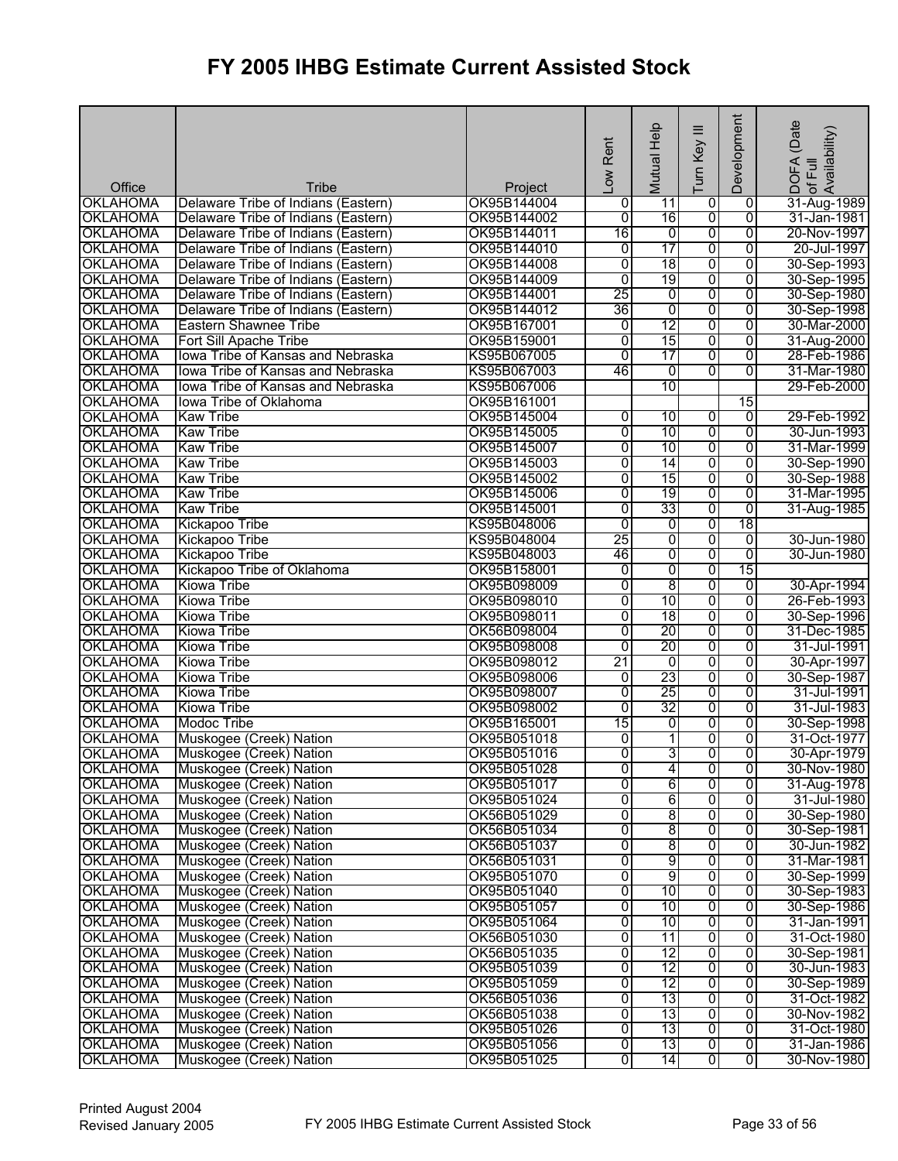|                 |                                     |             |                 | Help                     | $\equiv$                | Development     | (Date<br>! DOFA (Date<br>·of Full<br>Availability) |
|-----------------|-------------------------------------|-------------|-----------------|--------------------------|-------------------------|-----------------|----------------------------------------------------|
|                 |                                     |             | Low Rent        | Mutual                   | Turn Key                |                 |                                                    |
| Office          | Tribe                               | Project     |                 |                          |                         |                 |                                                    |
| <b>OKLAHOMA</b> | Delaware Tribe of Indians (Eastern) | OK95B144004 | 0               | 11                       | 0                       | $\overline{0}$  | 31-Aug-1989                                        |
| <b>OKLAHOMA</b> | Delaware Tribe of Indians (Eastern) | OK95B144002 | $\overline{0}$  | 16                       | $\overline{0}$          | $\overline{0}$  | 31-Jan-1981                                        |
| <b>OKLAHOMA</b> | Delaware Tribe of Indians (Eastern) | OK95B144011 | 16              | $\overline{0}$           | 0                       | $\overline{0}$  | 20-Nov-1997                                        |
| <b>OKLAHOMA</b> | Delaware Tribe of Indians (Eastern) | OK95B144010 | Ō               | 17                       | 0                       | 0               | 20-Jul-1997                                        |
| <b>OKLAHOMA</b> | Delaware Tribe of Indians (Eastern) | OK95B144008 | $\overline{0}$  | 18                       | 0                       | 0               | 30-Sep-1993                                        |
| <b>OKLAHOMA</b> | Delaware Tribe of Indians (Eastern) | OK95B144009 | $\overline{0}$  | 19                       | 0                       | 0               | 30-Sep-1995                                        |
| <b>OKLAHOMA</b> | Delaware Tribe of Indians (Eastern) | OK95B144001 | $\overline{25}$ | 0                        | $\overline{0}$          | 0               | 30-Sep-1980                                        |
| <b>OKLAHOMA</b> | Delaware Tribe of Indians (Eastern) | OK95B144012 | 36              | 0                        | 0                       | 0               | 30-Sep-1998                                        |
| <b>OKLAHOMA</b> | Eastern Shawnee Tribe               | OK95B167001 | 0               | 12                       | $\overline{0}$          | $\overline{0}$  | 30-Mar-2000                                        |
| <b>OKLAHOMA</b> | Fort Sill Apache Tribe              | OK95B159001 | $\overline{0}$  | 15                       | 0                       | $\overline{0}$  | 31-Aug-2000                                        |
| <b>OKLAHOMA</b> | Iowa Tribe of Kansas and Nebraska   | KS95B067005 | $\overline{0}$  | 17                       | 0                       | $\overline{0}$  | 28-Feb-1986                                        |
| <b>OKLAHOMA</b> | lowa Tribe of Kansas and Nebraska   | KS95B067003 | 46              | 0                        | $\overline{0}$          | $\overline{0}$  | 31-Mar-1980                                        |
| <b>OKLAHOMA</b> | lowa Tribe of Kansas and Nebraska   | KS95B067006 |                 | 10                       |                         |                 | 29-Feb-2000                                        |
| <b>OKLAHOMA</b> | Iowa Tribe of Oklahoma              | OK95B161001 |                 |                          |                         | $\overline{15}$ |                                                    |
| <b>OKLAHOMA</b> | <b>Kaw Tribe</b>                    | OK95B145004 | $\overline{0}$  | 10                       | $\overline{0}$          | $\Omega$        | 29-Feb-1992                                        |
| <b>OKLAHOMA</b> | <b>Kaw Tribe</b>                    | OK95B145005 | $\overline{0}$  | 10                       | ō                       | $\overline{0}$  | 30-Jun-1993                                        |
| <b>OKLAHOMA</b> | <b>Kaw Tribe</b>                    | OK95B145007 | $\overline{0}$  | 10                       | ō                       | $\overline{0}$  | 31-Mar-1999                                        |
| <b>OKLAHOMA</b> | <b>Kaw Tribe</b>                    | OK95B145003 | $\overline{0}$  | 14                       | $\overline{0}$          | $\overline{0}$  | 30-Sep-1990                                        |
| <b>OKLAHOMA</b> | <b>Kaw Tribe</b>                    | OK95B145002 | $\overline{0}$  | 15                       | 0                       | $\overline{0}$  | 30-Sep-1988                                        |
| <b>OKLAHOMA</b> | <b>Kaw Tribe</b>                    | OK95B145006 | 0               | 19                       | 0                       | 0               | 31-Mar-1995                                        |
| <b>OKLAHOMA</b> | <b>Kaw Tribe</b>                    | OK95B145001 | $\overline{0}$  | 33                       | 0                       | 0               | 31-Aug-1985                                        |
| <b>OKLAHOMA</b> | Kickapoo Tribe                      | KS95B048006 | $\overline{0}$  | $\overline{0}$           | 0                       | 18              |                                                    |
| <b>OKLAHOMA</b> | Kickapoo Tribe                      | KS95B048004 | 25              | 0                        | 0                       | 0               | 30-Jun-1980                                        |
| <b>OKLAHOMA</b> | Kickapoo Tribe                      | KS95B048003 | 46              | 0                        | 0                       | $\overline{0}$  | 30-Jun-1980                                        |
| <b>OKLAHOMA</b> | Kickapoo Tribe of Oklahoma          | OK95B158001 | $\overline{0}$  | 0                        | 0                       | 15              |                                                    |
| <b>OKLAHOMA</b> | Kiowa Tribe                         | OK95B098009 | 0               | $\overline{8}$           | $\overline{0}$          | 0               | 30-Apr-1994                                        |
| <b>OKLAHOMA</b> | Kiowa Tribe                         | OK95B098010 | $\overline{0}$  | 10                       | 0                       | 0               | 26-Feb-1993                                        |
| <b>OKLAHOMA</b> | Kiowa Tribe                         | OK95B098011 | $\overline{0}$  | $\overline{18}$          | 0                       | 0               | 30-Sep-1996                                        |
| <b>OKLAHOMA</b> | <b>Kiowa Tribe</b>                  | OK56B098004 | 0               | 20                       | 0                       | 0               | 31-Dec-1985                                        |
| <b>OKLAHOMA</b> | Kiowa Tribe                         | OK95B098008 | $\overline{0}$  | 20                       | 0                       | $\overline{0}$  | 31-Jul-1991                                        |
| <b>OKLAHOMA</b> | <b>Kiowa Tribe</b>                  | OK95B098012 | 21              | 0                        | 0                       | 0               | 30-Apr-1997                                        |
| <b>OKLAHOMA</b> | Kiowa Tribe                         | OK95B098006 | 0               | 23                       | 0                       | 0               | 30-Sep-1987                                        |
| <b>OKLAHOMA</b> | <b>Kiowa Tribe</b>                  | OK95B098007 | $\overline{0}$  | 25                       | 0                       | $\overline{0}$  | 31-Jul-1991                                        |
| <b>OKLAHOMA</b> | Kiowa Tribe                         | OK95B098002 | $\overline{0}$  | 32                       | 0                       | $\overline{0}$  | 31-Jul-1983                                        |
| <b>OKLAHOMA</b> | <b>Modoc Tribe</b>                  | OK95B165001 | 15              | 0                        | 0                       | $\overline{0}$  | 30-Sep-1998                                        |
| <b>OKLAHOMA</b> | Muskogee (Creek) Nation             | OK95B051018 | 0               | $\overline{\phantom{a}}$ | 0                       | $\overline{0}$  | 31-Oct-1977                                        |
| <b>OKLAHOMA</b> | Muskogee (Creek) Nation             | OK95B051016 | $\overline{0}$  | 31                       | $\overline{0}$          | 0               | 30-Apr-1979                                        |
| <b>OKLAHOMA</b> | Muskogee (Creek) Nation             | OK95B051028 | $\overline{0}$  | 4                        | $\overline{0}$          | 0               | 30-Nov-1980                                        |
| <b>OKLAHOMA</b> | Muskogee (Creek) Nation             | OK95B051017 | 0               | 6                        | 0                       | 0               | 31-Aug-1978                                        |
| <b>OKLAHOMA</b> | Muskogee (Creek) Nation             | OK95B051024 | 0               | 6                        | 0                       | $\overline{0}$  | 31-Jul-1980                                        |
| <b>OKLAHOMA</b> | Muskogee (Creek) Nation             | OK56B051029 | 0               | 8                        | $\overline{\mathbf{0}}$ | $\overline{0}$  | 30-Sep-1980                                        |
| <b>OKLAHOMA</b> | Muskogee (Creek) Nation             | OK56B051034 | $\overline{0}$  | $\overline{8}$           | 0                       | $\overline{0}$  | 30-Sep-1981                                        |
| <b>OKLAHOMA</b> | Muskogee (Creek) Nation             | OK56B051037 | 0               | 8                        | 0                       | $\overline{0}$  | 30-Jun-1982                                        |
| <b>OKLAHOMA</b> | Muskogee (Creek) Nation             | OK56B051031 | 0               | 9                        | $\overline{0}$          | $\overline{0}$  | 31-Mar-1981                                        |
| <b>OKLAHOMA</b> | Muskogee (Creek) Nation             | OK95B051070 | 0               | 9                        | $\overline{\mathbf{0}}$ | 0               | 30-Sep-1999                                        |
| <b>OKLAHOMA</b> | Muskogee (Creek) Nation             | OK95B051040 | 0               | 10                       | 0                       | 0               | 30-Sep-1983                                        |
| <b>OKLAHOMA</b> | Muskogee (Creek) Nation             | OK95B051057 | 0               | 10                       | 0                       | 0               | 30-Sep-1986                                        |
| <b>OKLAHOMA</b> | Muskogee (Creek) Nation             | OK95B051064 | 0               | 10                       | $\overline{\mathbf{0}}$ | 0               | 31-Jan-1991                                        |
| <b>OKLAHOMA</b> | Muskogee (Creek) Nation             | OK56B051030 | 0               | 11                       | 0                       | 0               | 31-Oct-1980                                        |
| <b>OKLAHOMA</b> | Muskogee (Creek) Nation             | OK56B051035 | 0               | 12                       | 0                       | $\overline{0}$  | 30-Sep-1981                                        |
| <b>OKLAHOMA</b> | Muskogee (Creek) Nation             | OK95B051039 | 0               | 12                       | $\overline{0}$          | 0               | 30-Jun-1983                                        |
| <b>OKLAHOMA</b> | Muskogee (Creek) Nation             | OK95B051059 | 0               | 12                       | 0                       | $\overline{0}$  | 30-Sep-1989                                        |
| <b>OKLAHOMA</b> | Muskogee (Creek) Nation             | OK56B051036 | 0               | 13                       | $\overline{0}$          | $\overline{0}$  | 31-Oct-1982                                        |
| <b>OKLAHOMA</b> | Muskogee (Creek) Nation             | OK56B051038 | 0               | 13                       | 0                       | 0               | 30-Nov-1982                                        |
| <b>OKLAHOMA</b> | Muskogee (Creek) Nation             | OK95B051026 | 0               | 13                       | 0                       | 0               | 31-Oct-1980                                        |
| <b>OKLAHOMA</b> | Muskogee (Creek) Nation             | OK95B051056 | 0               | 13                       | $\overline{0}$          | $\overline{0}$  | 31-Jan-1986                                        |
| <b>OKLAHOMA</b> | Muskogee (Creek) Nation             | OK95B051025 | 0               | 14                       | 0                       | 0               | 30-Nov-1980                                        |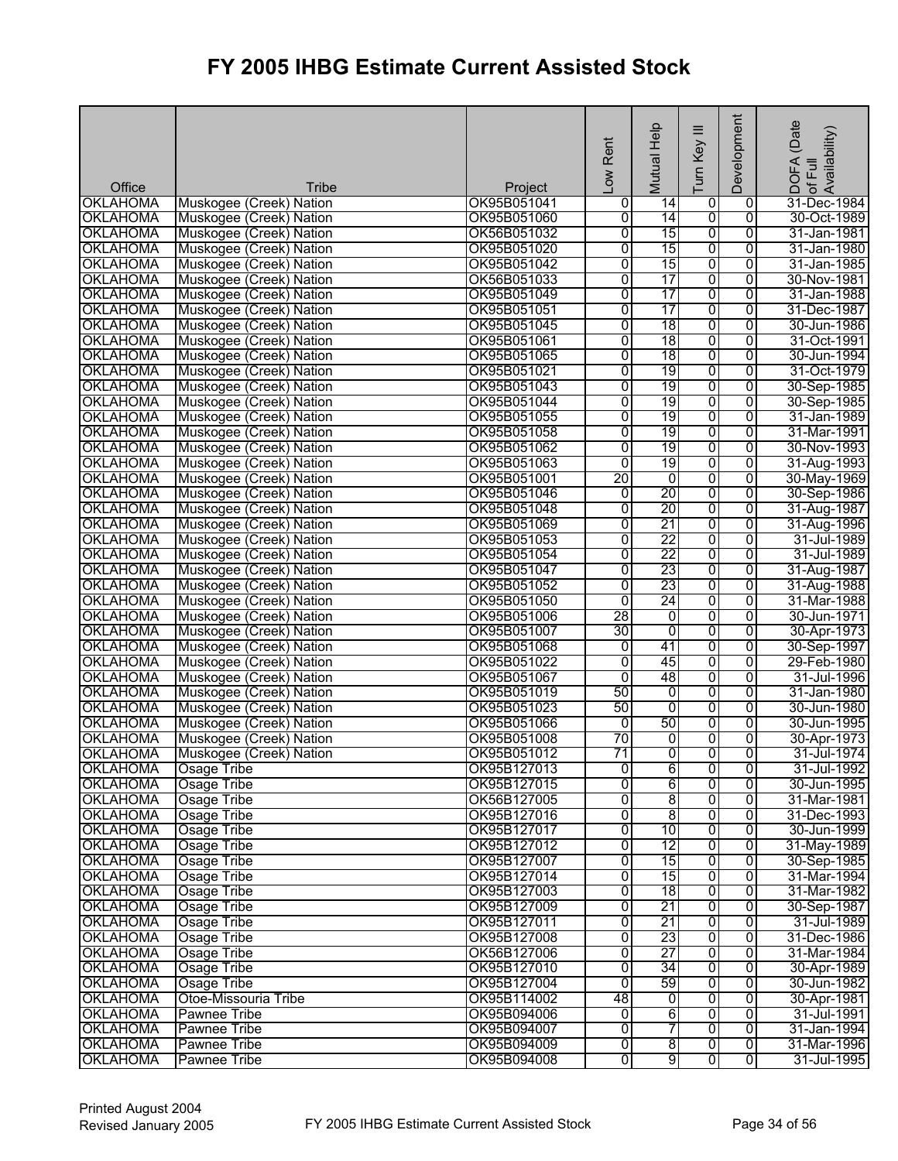|                           |                                                    |                        | Low Rent            | Mutual Help           | $\equiv$<br>Turn Key    | Development    | (Date<br>! DOFA (Date<br>Iof Full<br>Availability) |
|---------------------------|----------------------------------------------------|------------------------|---------------------|-----------------------|-------------------------|----------------|----------------------------------------------------|
| Office<br><b>OKLAHOMA</b> | Tribe                                              | Project<br>OK95B051041 |                     |                       |                         | $\overline{0}$ | 31-Dec-1984                                        |
| <b>OKLAHOMA</b>           | Muskogee (Creek) Nation<br>Muskogee (Creek) Nation | OK95B051060            | 0<br>$\overline{0}$ | $\overline{14}$<br>14 | 0<br>$\overline{0}$     | $\overline{0}$ | 30-Oct-1989                                        |
| <b>OKLAHOMA</b>           | Muskogee (Creek) Nation                            | OK56B051032            | 0                   | 15                    | 0                       | $\overline{0}$ | 31-Jan-1981                                        |
| <b>OKLAHOMA</b>           | Muskogee (Creek) Nation                            | OK95B051020            | 0                   | 15                    | $\overline{0}$          | $\overline{0}$ | 31-Jan-1980                                        |
| <b>OKLAHOMA</b>           | Muskogee (Creek) Nation                            | OK95B051042            | $\overline{0}$      | 15                    | 0                       | $\overline{0}$ | 31-Jan-1985                                        |
| <b>OKLAHOMA</b>           | Muskogee (Creek) Nation                            | OK56B051033            | 0                   | 17                    | ō                       | $\overline{0}$ | 30-Nov-1981                                        |
| <b>OKLAHOMA</b>           | Muskogee (Creek) Nation                            | OK95B051049            | $\overline{0}$      | $\overline{17}$       | 0                       | $\overline{0}$ | 31-Jan-1988                                        |
| <b>OKLAHOMA</b>           | Muskogee (Creek) Nation                            | OK95B051051            | 0                   | 17                    | 0                       | $\overline{0}$ | 31-Dec-1987                                        |
| <b>OKLAHOMA</b>           | Muskogee (Creek) Nation                            | OK95B051045            | 0                   | 18                    | $\overline{0}$          | $\overline{0}$ | 30-Jun-1986                                        |
| <b>OKLAHOMA</b>           | Muskogee (Creek) Nation                            | OK95B051061            | $\overline{0}$      | 18                    | 0                       | $\overline{0}$ | 31-Oct-1991                                        |
| <b>OKLAHOMA</b>           | Muskogee (Creek) Nation                            | OK95B051065            | $\overline{0}$      | 18                    | 0                       | $\overline{0}$ | 30-Jun-1994                                        |
| <b>OKLAHOMA</b>           | Muskogee (Creek) Nation                            | OK95B051021            | 0                   | 19                    | 0                       | $\overline{0}$ | 31-Oct-1979                                        |
| <b>OKLAHOMA</b>           | Muskogee (Creek) Nation                            | OK95B051043            | 0                   | 19                    | $\overline{0}$          | $\overline{0}$ | 30-Sep-1985                                        |
| <b>OKLAHOMA</b>           | Muskogee (Creek) Nation                            | OK95B051044            | 0                   | 19                    | $\overline{0}$          | $\overline{0}$ | 30-Sep-1985                                        |
| <b>OKLAHOMA</b>           | Muskogee (Creek) Nation                            | OK95B051055            | Ō                   | 19                    | 0                       | $\overline{0}$ | 31-Jan-1989                                        |
| <b>OKLAHOMA</b>           | Muskogee (Creek) Nation                            | OK95B051058            | 0                   | 19                    | 0                       | 0              | 31-Mar-1991                                        |
| <b>OKLAHOMA</b>           | Muskogee (Creek) Nation                            | OK95B051062            | 0                   | 19                    | 0                       | $\overline{0}$ | 30-Nov-1993                                        |
| <b>OKLAHOMA</b>           | Muskogee (Creek) Nation                            | OK95B051063            | $\overline{0}$      | 19                    | 0                       | $\overline{0}$ | 31-Aug-1993                                        |
| <b>OKLAHOMA</b>           | Muskogee (Creek) Nation                            | OK95B051001            | 20                  | ō                     | 0                       | $\overline{0}$ | 30-May-1969                                        |
| <b>OKLAHOMA</b>           | Muskogee (Creek) Nation                            | OK95B051046            | 0                   | 20                    | $\overline{0}$          | 0              | 30-Sep-1986                                        |
| <b>OKLAHOMA</b>           | Muskogee (Creek) Nation                            | OK95B051048            | 0                   | 20                    | 0                       | $\overline{0}$ | 31-Aug-1987                                        |
| <b>OKLAHOMA</b>           | Muskogee (Creek) Nation                            | OK95B051069            | $\overline{0}$      | 21                    | 0                       | $\overline{0}$ | 31-Aug-1996                                        |
| <b>OKLAHOMA</b>           | Muskogee (Creek) Nation                            | OK95B051053            | Ō                   | 22                    | $\overline{0}$          | $\overline{0}$ | 31-Jul-1989                                        |
| <b>OKLAHOMA</b>           | Muskogee (Creek) Nation                            | OK95B051054            | $\overline{0}$      | 22                    | 0                       | $\overline{0}$ | 31-Jul-1989                                        |
| <b>OKLAHOMA</b>           | Muskogee (Creek) Nation                            | OK95B051047            | 0                   | 23                    | 0                       | $\overline{0}$ | 31-Aug-1987                                        |
| <b>OKLAHOMA</b>           | Muskogee (Creek) Nation                            | OK95B051052            | $\overline{0}$      | 23                    | $\overline{0}$          | $\overline{0}$ | 31-Aug-1988                                        |
| <b>OKLAHOMA</b>           | Muskogee (Creek) Nation                            | OK95B051050            | 0                   | 24                    | 0                       | $\overline{0}$ | 31-Mar-1988                                        |
| <b>OKLAHOMA</b>           | Muskogee (Creek) Nation                            | OK95B051006            | 28                  | $\overline{0}$        | 0                       | $\overline{0}$ | 30-Jun-1971                                        |
| <b>OKLAHOMA</b>           | Muskogee (Creek) Nation                            | OK95B051007            | 30                  | $\overline{0}$        | $\overline{0}$          | $\overline{0}$ | 30-Apr-1973                                        |
| <b>OKLAHOMA</b>           | Muskogee (Creek) Nation                            | OK95B051068            | $\overline{0}$      | 41                    | 0                       | $\overline{0}$ | 30-Sep-1997                                        |
| <b>OKLAHOMA</b>           | Muskogee (Creek) Nation                            | OK95B051022            | 0                   | 45                    | $\overline{0}$          | $\overline{0}$ | 29-Feb-1980                                        |
| <b>OKLAHOMA</b>           | Muskogee (Creek) Nation                            | OK95B051067            | $\overline{0}$      | 48                    | $\overline{0}$          | 0              | 31-Jul-1996                                        |
| <b>OKLAHOMA</b>           | Muskogee (Creek) Nation                            | OK95B051019            | 50                  | 0                     | 0                       | $\overline{0}$ | 31-Jan-1980                                        |
| <b>OKLAHOMA</b>           | Muskogee (Creek) Nation                            | OK95B051023            | 50                  | $\overline{0}$        | ō                       | $\overline{0}$ | 30-Jun-1980                                        |
| <b>OKLAHOMA</b>           | Muskogee (Creek) Nation                            | OK95B051066            | ō                   | 50                    | $\overline{0}$          | $\overline{0}$ | 30-Jun-1995                                        |
| <b>OKLAHOMA</b>           | Muskogee (Creek) Nation                            | OK95B051008            | 70                  | $\overline{0}$        | $\overline{0}$          | $\overline{0}$ | 30-Apr-1973                                        |
| <b>OKLAHOMA</b>           | Muskogee (Creek) Nation                            | OK95B051012            | 71                  | ᅁ                     | $\overline{0}$          | 0              | 31-Jul-1974                                        |
| <b>OKLAHOMA</b>           | <b>Osage Tribe</b>                                 | OK95B127013            | ō                   | $6\overline{6}$       | o                       | $\overline{0}$ | 31-Jul-1992                                        |
| <b>OKLAHOMA</b>           | Osage Tribe                                        | OK95B127015            | 0                   | 6                     | 0                       | 0              | 30-Jun-1995                                        |
| <b>OKLAHOMA</b>           | Osage Tribe                                        | OK56B127005            | 0                   | 8                     | 0                       | 0              | 31-Mar-1981                                        |
| <b>OKLAHOMA</b>           | Osage Tribe                                        | OK95B127016            | 0                   | 8                     | $\overline{0}$          | 0              | 31-Dec-1993                                        |
| <b>OKLAHOMA</b>           | Osage Tribe                                        | OK95B127017            | 0                   | 10                    | 0                       | 0              | 30-Jun-1999                                        |
| <b>OKLAHOMA</b>           | Osage Tribe                                        | OK95B127012            | 0                   | 12                    | 0                       | 0              | 31-May-1989                                        |
| <b>OKLAHOMA</b>           | Osage Tribe                                        | OK95B127007            | 0                   | 15                    | 0                       | $\overline{0}$ | 30-Sep-1985                                        |
| <b>OKLAHOMA</b>           | Osage Tribe                                        | OK95B127014            | $\overline{0}$      | 15                    | $\overline{0}$          | 0              | 31-Mar-1994                                        |
| <b>OKLAHOMA</b>           | Osage Tribe                                        | OK95B127003            | 0                   | 18                    | 0                       | 0              | 31-Mar-1982                                        |
| <b>OKLAHOMA</b>           | Osage Tribe                                        | OK95B127009            | 0                   | 21                    | 0                       | 0              | 30-Sep-1987                                        |
| <b>OKLAHOMA</b>           | Osage Tribe                                        | OK95B127011            | 0                   | 21                    | $\overline{0}$          | $\overline{0}$ | 31-Jul-1989                                        |
| <b>OKLAHOMA</b>           | Osage Tribe                                        | OK95B127008            | $\overline{0}$      | 23                    | $\overline{0}$          | $\overline{0}$ | 31-Dec-1986                                        |
| <b>OKLAHOMA</b>           | Osage Tribe                                        | OK56B127006            | 0                   | 27                    | 0                       | 0              | 31-Mar-1984                                        |
| <b>OKLAHOMA</b>           | Osage Tribe                                        | OK95B127010            | 0                   | 34                    | 0                       | 0              | 30-Apr-1989                                        |
| <b>OKLAHOMA</b>           | <b>Osage Tribe</b>                                 | OK95B127004            | $\overline{0}$      | 59                    | $\overline{0}$          | $\overline{0}$ | 30-Jun-1982                                        |
| <b>OKLAHOMA</b>           | Otoe-Missouria Tribe                               | OK95B114002            | 48                  | $\overline{0}$        | $\overline{0}$          | $\overline{0}$ | 30-Apr-1981                                        |
| <b>OKLAHOMA</b>           | <b>Pawnee Tribe</b>                                | OK95B094006            | ō                   | 6                     | $\overline{0}$          | $\overline{0}$ | 31-Jul-1991                                        |
| <b>OKLAHOMA</b>           | Pawnee Tribe                                       | OK95B094007            | $\overline{0}$      | 7                     | $\overline{0}$          | $\overline{0}$ | 31-Jan-1994                                        |
| <b>OKLAHOMA</b>           | Pawnee Tribe                                       | OK95B094009            | 0                   | $\overline{8}$        | $\overline{0}$          | $\overline{0}$ | 31-Mar-1996                                        |
| <b>OKLAHOMA</b>           | Pawnee Tribe                                       | OK95B094008            | 0                   | $\overline{9}$        | $\overline{\mathbf{0}}$ | $\overline{0}$ | 31-Jul-1995                                        |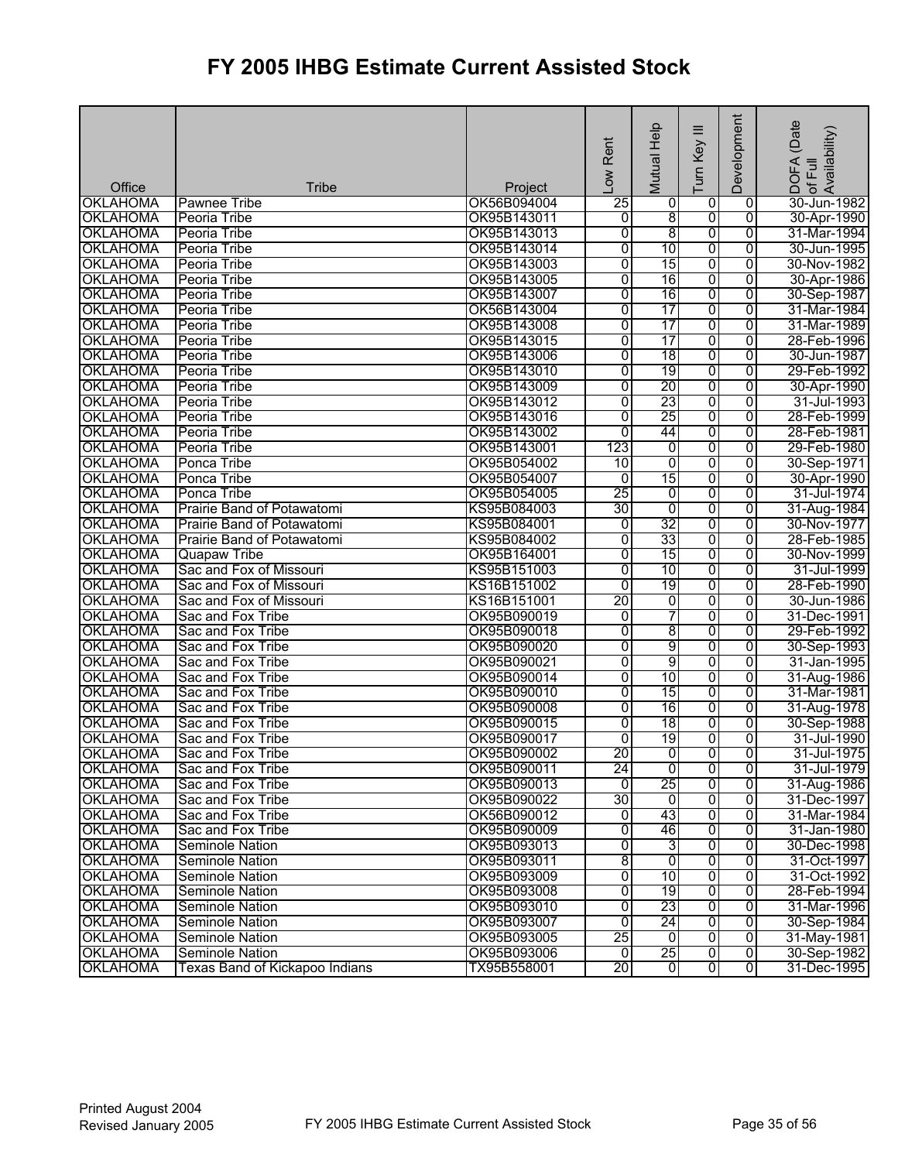|                                    |                                        |                            | Low Rent        | Mutual Help     | Ξ<br>Turn Key  | Development         | (Date<br>DOFA (Date<br>of Full<br>Availability) |
|------------------------------------|----------------------------------------|----------------------------|-----------------|-----------------|----------------|---------------------|-------------------------------------------------|
| Office                             |                                        |                            |                 |                 |                |                     |                                                 |
| <b>OKLAHOMA</b>                    | <b>Tribe</b><br>Pawnee Tribe           | Project<br>OK56B094004     | $\overline{25}$ | 0               | 0              | 0                   | 30-Jun-1982                                     |
| <b>OKLAHOMA</b>                    | Peoria Tribe                           | OK95B143011                | ō               | 8               | 0              | $\overline{0}$      | 30-Apr-1990                                     |
| <b>OKLAHOMA</b>                    | Peoria Tribe                           | OK95B143013                | $\overline{0}$  | $\overline{8}$  | 0              | $\overline{0}$      | 31-Mar-1994                                     |
| <b>OKLAHOMA</b>                    | Peoria Tribe                           | OK95B143014                | 0               | 10              | 0              | $\overline{0}$      | 30-Jun-1995                                     |
| <b>OKLAHOMA</b>                    | Peoria Tribe                           | OK95B143003                | 0               | 15              | 0              | 0                   | 30-Nov-1982                                     |
| <b>OKLAHOMA</b>                    | Peoria Tribe                           | OK95B143005                | $\overline{0}$  | 16              | 0              | 0                   | 30-Apr-1986                                     |
| <b>OKLAHOMA</b>                    | Peoria Tribe                           | OK95B143007                | 0               | 16              | $\overline{0}$ | 0                   | 30-Sep-1987                                     |
| <b>OKLAHOMA</b>                    | Peoria Tribe                           | OK56B143004                | 0               | $\overline{17}$ | 0              | 0                   | 31-Mar-1984                                     |
| <b>OKLAHOMA</b>                    | Peoria Tribe                           | OK95B143008                | $\overline{0}$  | 17              | 0              | 0                   | 31-Mar-1989                                     |
| <b>OKLAHOMA</b>                    | Peoria Tribe                           | OK95B143015                | $\overline{0}$  | 17              | 0              | 0                   | 28-Feb-1996                                     |
| <b>OKLAHOMA</b>                    | Peoria Tribe                           | OK95B143006                | 0               | $\overline{18}$ | $\overline{0}$ | $\overline{0}$      | 30-Jun-1987                                     |
| <b>OKLAHOMA</b>                    | Peoria Tribe                           | OK95B143010                | $\overline{0}$  | 19              | 0              | 0                   | 29-Feb-1992                                     |
| <b>OKLAHOMA</b>                    | Peoria Tribe                           | OK95B143009                | $\overline{0}$  | 20              | 0              | 0                   | 30-Apr-1990                                     |
| <b>OKLAHOMA</b>                    | Peoria Tribe                           | OK95B143012                | $\overline{0}$  | 23              | 0              | 0                   | 31-Jul-1993                                     |
| <b>OKLAHOMA</b>                    | Peoria Tribe                           | OK95B143016                | 0               | 25              | 0              | $\overline{0}$      | 28-Feb-1999                                     |
| <b>OKLAHOMA</b>                    | Peoria Tribe                           | OK95B143002                | $\overline{0}$  | 44              | 0              | 0                   | 28-Feb-1981                                     |
| <b>OKLAHOMA</b>                    | Peoria Tribe                           | OK95B143001                | 123             | 0               | 0              | 0                   | 29-Feb-1980                                     |
| <b>OKLAHOMA</b>                    | Ponca Tribe                            | OK95B054002                | 10              | $\overline{0}$  | 0              | $\overline{0}$      | 30-Sep-1971                                     |
| <b>OKLAHOMA</b>                    | Ponca Tribe                            | OK95B054007                | $\overline{0}$  | 15              | 0              | 0                   | 30-Apr-1990                                     |
| <b>OKLAHOMA</b>                    | Ponca Tribe                            | OK95B054005                | $\overline{25}$ | 0               | 0              | 0                   | 31-Jul-1974                                     |
| <b>OKLAHOMA</b>                    | Prairie Band of Potawatomi             | KS95B084003                | 30              | $\overline{0}$  | 0              | 0                   | 31-Aug-1984                                     |
| <b>OKLAHOMA</b>                    | Prairie Band of Potawatomi             | KS95B084001                | 0               | 32              | $\overline{0}$ | 0                   | 30-Nov-1977                                     |
| <b>OKLAHOMA</b>                    | Prairie Band of Potawatomi             | KS95B084002                | 0               | 33              | o              | $\overline{0}$      | 28-Feb-1985                                     |
| <b>OKLAHOMA</b>                    | <b>Quapaw Tribe</b>                    | OK95B164001                | 0               | 15              | 0              | 0                   | 30-Nov-1999                                     |
| <b>OKLAHOMA</b>                    | Sac and Fox of Missouri                | KS95B151003                | 0               | 10              | 0              | 0                   | 31-Jul-1999                                     |
| <b>OKLAHOMA</b>                    | Sac and Fox of Missouri                | KS16B151002                | 0               | 19              | 0              | 0                   | 28-Feb-1990                                     |
| <b>OKLAHOMA</b>                    | Sac and Fox of Missouri                | KS16B151001                | 20              | 0               | 0              | 0                   | 30-Jun-1986                                     |
| <b>OKLAHOMA</b>                    | Sac and Fox Tribe                      | OK95B090019                | 0               | 7               | 0              | 0                   | 31-Dec-1991                                     |
| <b>OKLAHOMA</b>                    | Sac and Fox Tribe                      | OK95B090018                | 0               | 8               | 0              | $\overline{0}$      | 29-Feb-1992                                     |
| <b>OKLAHOMA</b>                    | Sac and Fox Tribe                      | OK95B090020                | $\overline{0}$  | 9               | $\overline{0}$ | $\overline{0}$      | 30-Sep-1993                                     |
| <b>OKLAHOMA</b>                    | Sac and Fox Tribe                      | OK95B090021                | 0               | 9               | 0              | $\overline{0}$      | 31-Jan-1995                                     |
| <b>OKLAHOMA</b>                    | Sac and Fox Tribe                      | OK95B090014                | 0               | 10              | 0              | 0                   | 31-Aug-1986                                     |
| <b>OKLAHOMA</b>                    | Sac and Fox Tribe                      | OK95B090010                | $\overline{0}$  | 15              | 0              | 0                   | 31-Mar-1981                                     |
| <b>OKLAHOMA</b>                    | Sac and Fox Tribe                      | OK95B090008                | 0               | 16              | 0              | $\overline{0}$      | 31-Aug-1978                                     |
| <b>OKLAHOMA</b>                    | Sac and Fox Tribe                      | OK95B090015                | 0               | $\overline{18}$ | 0              | 0                   | 30-Sep-1988                                     |
| <b>OKLAHOMA</b>                    | Sac and Fox Tribe                      | OK95B090017                | 0               | 19              | 0              | 0                   | 31-Jul-1990                                     |
| <b>OKLAHOMA</b>                    | Sac and Fox Tribe                      | OK95B090002                | 20              | $\overline{0}$  | $\overline{0}$ | o                   | 31-Jul-1975                                     |
| <b>OKLAHOMA</b>                    | Sac and Fox Tribe<br>Sac and Fox Tribe | OK95B090011<br>OK95B090013 | 24              | ō               | o              | $\overline{0}$<br>0 | 31-Jul-1979<br>31-Aug-1986                      |
| <b>OKLAHOMA</b><br><b>OKLAHOMA</b> | Sac and Fox Tribe                      | OK95B090022                | 0<br>30         | 25<br>Ō         | 0<br>0         | 0                   | 31-Dec-1997                                     |
| <b>OKLAHOMA</b>                    | Sac and Fox Tribe                      | OK56B090012                | o               | 43              | 0              | 0                   | 31-Mar-1984                                     |
| <b>OKLAHOMA</b>                    | Sac and Fox Tribe                      | OK95B090009                | 0               | 46              | 0              | 0                   | 31-Jan-1980                                     |
| <b>OKLAHOMA</b>                    | Seminole Nation                        | OK95B093013                | 0               | 3               | o              | 0                   | 30-Dec-1998                                     |
| <b>OKLAHOMA</b>                    | <b>Seminole Nation</b>                 | OK95B093011                | 8               | ō               | o              | $\overline{0}$      | 31-Oct-1997                                     |
| <b>OKLAHOMA</b>                    | Seminole Nation                        | OK95B093009                | $\overline{0}$  | 10              | $\overline{0}$ | 0                   | 31-Oct-1992                                     |
| <b>OKLAHOMA</b>                    | <b>Seminole Nation</b>                 | OK95B093008                | 0               | 19              | o              | 0                   | 28-Feb-1994                                     |
| <b>OKLAHOMA</b>                    | Seminole Nation                        | OK95B093010                | 0               | 23              | o              | 0                   | 31-Mar-1996                                     |
| <b>OKLAHOMA</b>                    | Seminole Nation                        | OK95B093007                | 0               | 24              | 0              | $\overline{0}$      | 30-Sep-1984                                     |
| <b>OKLAHOMA</b>                    | <b>Seminole Nation</b>                 | OK95B093005                | 25              | $\overline{0}$  | 0              | $\overline{0}$      | 31-May-1981                                     |
| <b>OKLAHOMA</b>                    | <b>Seminole Nation</b>                 | OK95B093006                | 01              | 25              | $\overline{0}$ | 0                   | 30-Sep-1982                                     |
| <b>OKLAHOMA</b>                    | Texas Band of Kickapoo Indians         | TX95B558001                | 20              | $\overline{0}$  | $\overline{0}$ | 0                   | 31-Dec-1995                                     |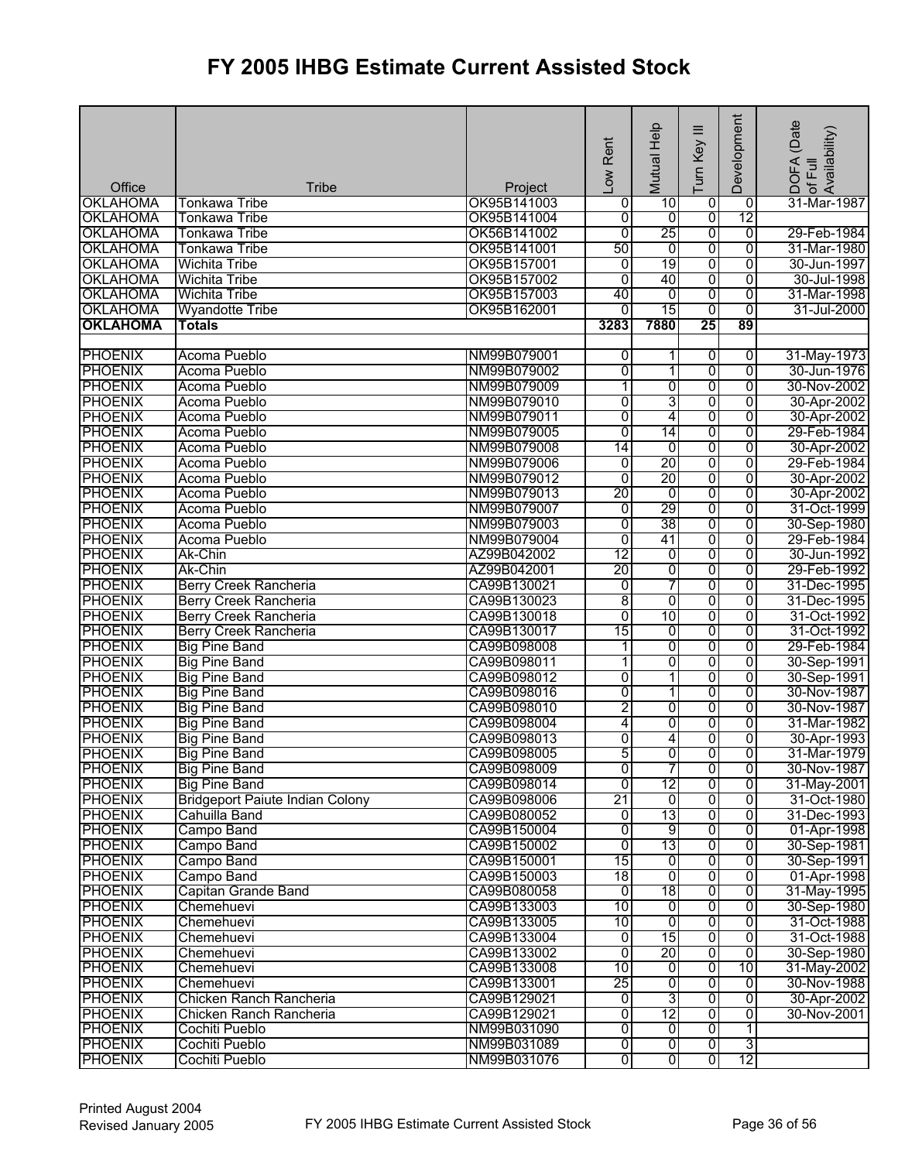| Office          | <b>Tribe</b>                           | Project     | Low Rent        | Mutual Help              | Ξ<br>Turn Key  | Development    | (Date<br>: of Full<br>Availability)<br>DOFA |
|-----------------|----------------------------------------|-------------|-----------------|--------------------------|----------------|----------------|---------------------------------------------|
| <b>OKLAHOMA</b> | Tonkawa Tribe                          | OK95B141003 | 0               | 10                       | $\overline{0}$ | $\overline{0}$ | 31-Mar-1987                                 |
| <b>OKLAHOMA</b> | <b>Tonkawa Tribe</b>                   | OK95B141004 | 0               | o                        | $\overline{0}$ | 12             |                                             |
| <b>OKLAHOMA</b> | <b>Tonkawa Tribe</b>                   | OK56B141002 | $\overline{0}$  | 25                       | 0              | $\overline{0}$ | 29-Feb-1984                                 |
| <b>OKLAHOMA</b> | <b>Tonkawa Tribe</b>                   | OK95B141001 | 50              | 0                        | 0              | 0              | 31-Mar-1980                                 |
| <b>OKLAHOMA</b> | Wichita Tribe                          | OK95B157001 | 0               | 19                       | 0              | 0              | 30-Jun-1997                                 |
| <b>OKLAHOMA</b> | <b>Wichita Tribe</b>                   | OK95B157002 | $\overline{0}$  | 40                       | 0              | 0              | 30-Jul-1998                                 |
| <b>OKLAHOMA</b> | <b>Wichita Tribe</b>                   | OK95B157003 | 40              | 0                        | $\overline{0}$ | 0              | 31-Mar-1998                                 |
| <b>OKLAHOMA</b> | <b>Wyandotte Tribe</b>                 | OK95B162001 | $\overline{0}$  | 15                       | 0              | $\overline{0}$ | 31-Jul-2000                                 |
| <b>OKLAHOMA</b> | <b>Totals</b>                          |             | 3283            | 7880                     | 25             | 89             |                                             |
|                 |                                        |             |                 |                          |                |                |                                             |
| <b>PHOENIX</b>  | Acoma Pueblo                           | NM99B079001 | 0               | 1                        | $\overline{0}$ | $\overline{0}$ | 31-May-1973                                 |
| <b>PHOENIX</b>  | Acoma Pueblo                           | NM99B079002 | 0               | 1                        | 0              | $\overline{0}$ | 30-Jun-1976                                 |
| <b>PHOENIX</b>  | Acoma Pueblo                           | NM99B079009 | 1               | 0                        | $\overline{0}$ | $\overline{0}$ | 30-Nov-2002                                 |
| <b>PHOENIX</b>  | Acoma Pueblo                           | NM99B079010 | 0               | 3                        | $\overline{0}$ | $\overline{0}$ | 30-Apr-2002                                 |
| <b>PHOENIX</b>  | Acoma Pueblo                           | NM99B079011 | 0               | 4                        | 0              | $\overline{0}$ | 30-Apr-2002                                 |
| <b>PHOENIX</b>  | Acoma Pueblo                           | NM99B079005 | 0               | 14                       | 0              | $\overline{0}$ | 29-Feb-1984                                 |
| <b>PHOENIX</b>  | Acoma Pueblo                           | NM99B079008 | 14              | $\overline{0}$           | 0              | $\overline{0}$ | 30-Apr-2002                                 |
| <b>PHOENIX</b>  | Acoma Pueblo                           | NM99B079006 | $\overline{0}$  | 20                       | $\overline{0}$ | $\overline{0}$ | 29-Feb-1984                                 |
| <b>PHOENIX</b>  | Acoma Pueblo                           | NM99B079012 | $\overline{0}$  | 20                       | 0              | $\overline{0}$ | 30-Apr-2002                                 |
| <b>PHOENIX</b>  | Acoma Pueblo                           | NM99B079013 | $\overline{20}$ | 0                        | 0              | 0              | 30-Apr-2002                                 |
| <b>PHOENIX</b>  | Acoma Pueblo                           | NM99B079007 | $\overline{0}$  | 29                       | 0              | 0              | 31-Oct-1999                                 |
| <b>PHOENIX</b>  | Acoma Pueblo                           | NM99B079003 | 0               | 38                       | 0              | $\overline{0}$ | 30-Sep-1980                                 |
| <b>PHOENIX</b>  | Acoma Pueblo                           | NM99B079004 | 0               | 41                       | 0              | $\overline{0}$ | 29-Feb-1984                                 |
| <b>PHOENIX</b>  | Ak-Chin                                | AZ99B042002 | 12              | 0                        | 0              | $\overline{0}$ | 30-Jun-1992                                 |
| <b>PHOENIX</b>  | Ak-Chin                                | AZ99B042001 | 20              | 0                        | 0              | 0              | 29-Feb-1992                                 |
| <b>PHOENIX</b>  | <b>Berry Creek Rancheria</b>           | CA99B130021 | 0               | 7                        | $\overline{0}$ | $\overline{0}$ | 31-Dec-1995                                 |
| <b>PHOENIX</b>  | <b>Berry Creek Rancheria</b>           | CA99B130023 | 8               | 0                        | 0              | $\overline{0}$ | 31-Dec-1995                                 |
| <b>PHOENIX</b>  | <b>Berry Creek Rancheria</b>           | CA99B130018 | 0               | 10                       | 0              | 0              | 31-Oct-1992                                 |
| <b>PHOENIX</b>  | <b>Berry Creek Rancheria</b>           | CA99B130017 | 15              | $\overline{0}$           | 0              | 0              | 31-Oct-1992                                 |
| <b>PHOENIX</b>  | <b>Big Pine Band</b>                   | CA99B098008 | 1               | 0                        | $\overline{0}$ | $\overline{0}$ | 29-Feb-1984                                 |
| <b>PHOENIX</b>  | <b>Big Pine Band</b>                   | CA99B098011 | 1               | 0                        | 0              | 0              | 30-Sep-1991                                 |
| <b>PHOENIX</b>  | <b>Big Pine Band</b>                   | CA99B098012 | 0               | 1                        | 0              | 0              | 30-Sep-1991                                 |
| <b>PHOENIX</b>  | <b>Big Pine Band</b>                   | CA99B098016 | 0               | $\overline{\phantom{a}}$ | 0              | $\overline{0}$ | 30-Nov-1987                                 |
| <b>PHOENIX</b>  | <b>Big Pine Band</b>                   | CA99B098010 | 2               | $\overline{0}$           | 0              | $\overline{0}$ | 30-Nov-1987                                 |
| <b>PHOENIX</b>  | <b>Big Pine Band</b>                   | CA99B098004 | 4               | 0                        | 0              | 0              | 31-Mar-1982                                 |
| <b>PHOENIX</b>  | <b>Big Pine Band</b>                   | CA99B098013 | 0               | 4                        | 0              | 0              | 30-Apr-1993                                 |
| <b>PHOENIX</b>  | <b>Big Pine Band</b>                   | CA99B098005 | 5               | $\overline{0}$           | $\overline{0}$ | 0              | 31-Mar-1979                                 |
| <b>PHOENIX</b>  | <b>Big Pine Band</b>                   | CA99B098009 | $\overline{0}$  | 7                        | $\overline{0}$ | 0              | 30-Nov-1987                                 |
| <b>PHOENIX</b>  | <b>Big Pine Band</b>                   | CA99B098014 | 0               | 12                       | $\overline{0}$ | 0              | 31-May-2001                                 |
| <b>PHOENIX</b>  | <b>Bridgeport Paiute Indian Colony</b> | CA99B098006 | 21              | o                        | $\overline{0}$ | $\overline{0}$ | 31-Oct-1980                                 |
| <b>PHOENIX</b>  | Cahuilla Band                          | CA99B080052 | o               | 13                       | $\overline{0}$ | $\overline{0}$ | 31-Dec-1993                                 |
| <b>PHOENIX</b>  | Campo Band                             | CA99B150004 | 0               | 9                        | 0              | $\overline{0}$ | 01-Apr-1998                                 |
| <b>PHOENIX</b>  | Campo Band                             | CA99B150002 | $\overline{0}$  | 13                       | $\overline{0}$ | $\overline{0}$ | 30-Sep-1981                                 |
| <b>PHOENIX</b>  | Campo Band                             | CA99B150001 | $\overline{15}$ | o                        | $\overline{0}$ | $\overline{0}$ | 30-Sep-1991                                 |
| <b>PHOENIX</b>  | Campo Band                             | CA99B150003 | 18              | $\overline{0}$           | $\overline{0}$ | 0              | 01-Apr-1998                                 |
| <b>PHOENIX</b>  | Capitan Grande Band                    | CA99B080058 | ō               | 18                       | 0              | $\overline{0}$ | 31-May-1995                                 |
| <b>PHOENIX</b>  | Chemehuevi                             | CA99B133003 | 10              | 0                        | $\overline{0}$ | 0              | 30-Sep-1980                                 |
| <b>PHOENIX</b>  | Chemehuevi                             | CA99B133005 | 10              | 0                        | 0              | 0              | 31-Oct-1988                                 |
| <b>PHOENIX</b>  | Chemehuevi                             | CA99B133004 | $\overline{0}$  | 15                       | 0              | $\overline{0}$ | 31-Oct-1988                                 |
| <b>PHOENIX</b>  | Chemehuevi                             | CA99B133002 | $\overline{0}$  | 20                       | 0              | $\overline{0}$ | 30-Sep-1980                                 |
| <b>PHOENIX</b>  | Chemehuevi                             | CA99B133008 | 10              | 0                        | 0              | 10             | 31-May-2002                                 |
| <b>PHOENIX</b>  | Chemehuevi                             | CA99B133001 | 25              | O                        | $\overline{0}$ | $\overline{0}$ | 30-Nov-1988                                 |
| <b>PHOENIX</b>  | Chicken Ranch Rancheria                | CA99B129021 | $\overline{0}$  | 3                        | $\overline{0}$ | $\overline{0}$ | 30-Apr-2002                                 |
| <b>PHOENIX</b>  | Chicken Ranch Rancheria                | CA99B129021 | 0               | 12                       | 0              | $\overline{0}$ | 30-Nov-2001                                 |
| <b>PHOENIX</b>  | Cochiti Pueblo                         | NM99B031090 | 0               | 0                        | 0              | 1              |                                             |
| <b>PHOENIX</b>  | Cochiti Pueblo                         | NM99B031089 | O               | $\overline{0}$           | 0              | 3              |                                             |
| <b>PHOENIX</b>  | Cochiti Pueblo                         | NM99B031076 | 0               | 0                        | $\overline{0}$ | 12             |                                             |
|                 |                                        |             |                 |                          |                |                |                                             |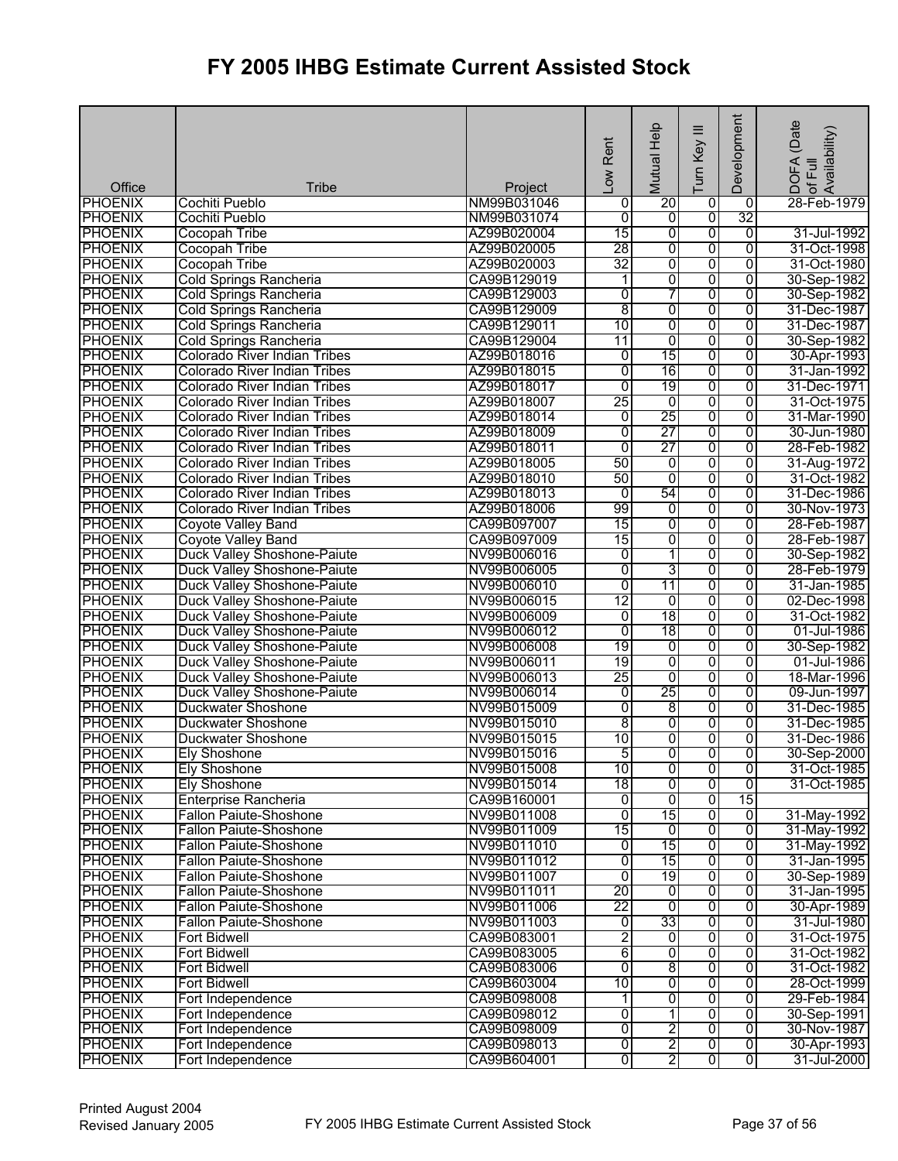| Office                           | <b>Tribe</b>                                                      | Project                    | Low Rent                         | Mutual Help         | Ξ<br>Turn Key       | Development                      | DOFA (Date<br>lof Full<br> Availability)<br> Availability) |
|----------------------------------|-------------------------------------------------------------------|----------------------------|----------------------------------|---------------------|---------------------|----------------------------------|------------------------------------------------------------|
| <b>PHOENIX</b>                   | Cochiti Pueblo                                                    | NM99B031046                | 0                                | 20                  | $\overline{0}$      | $\overline{0}$                   | 28-Feb-1979                                                |
| <b>PHOENIX</b>                   | Cochiti Pueblo                                                    | NM99B031074                | 0                                | ō                   | $\overline{0}$      | 32                               |                                                            |
| <b>PHOENIX</b>                   | <b>Cocopah Tribe</b>                                              | AZ99B020004                | 15                               | 0                   | $\overline{0}$      | $\overline{0}$                   | 31-Jul-1992                                                |
| <b>PHOENIX</b>                   | <b>Cocopah Tribe</b>                                              | AZ99B020005                | 28                               | 0                   | 0                   | $\overline{0}$                   | 31-Oct-1998                                                |
| <b>PHOENIX</b>                   | <b>Cocopah Tribe</b>                                              | AZ99B020003                | 32                               | 0                   | 0                   | $\overline{0}$                   | 31-Oct-1980                                                |
| <b>PHOENIX</b>                   | <b>Cold Springs Rancheria</b>                                     | CA99B129019                | 1                                | 0                   | 0                   | $\overline{0}$                   | 30-Sep-1982                                                |
| <b>PHOENIX</b>                   | <b>Cold Springs Rancheria</b>                                     | CA99B129003                | 0                                | 7                   | $\overline{0}$      | 0                                | 30-Sep-1982                                                |
| <b>PHOENIX</b>                   | Cold Springs Rancheria                                            | CA99B129009                | 8                                | 0                   | 0                   | $\overline{0}$                   | 31-Dec-1987                                                |
| <b>PHOENIX</b>                   | <b>Cold Springs Rancheria</b>                                     | CA99B129011                | 10                               | $\overline{0}$      | $\overline{0}$      | $\overline{0}$                   | 31-Dec-1987                                                |
| <b>PHOENIX</b>                   | <b>Cold Springs Rancheria</b>                                     | CA99B129004                | 11                               | $\overline{0}$      | 0                   | $\overline{0}$                   | 30-Sep-1982                                                |
| <b>PHOENIX</b>                   | <b>Colorado River Indian Tribes</b>                               | AZ99B018016                | 0                                | 15                  | $\overline{0}$      | $\overline{0}$                   | 30-Apr-1993                                                |
| <b>PHOENIX</b>                   | <b>Colorado River Indian Tribes</b>                               | AZ99B018015                | 0                                | 16                  | 0                   | 0                                | 31-Jan-1992                                                |
| <b>PHOENIX</b>                   | <b>Colorado River Indian Tribes</b>                               | AZ99B018017                | 0                                | 19                  | $\overline{0}$      | $\overline{0}$                   | 31-Dec-1971                                                |
| <b>PHOENIX</b>                   | Colorado River Indian Tribes                                      | AZ99B018007                | 25                               | $\overline{0}$      | $\overline{0}$      | 0                                | 31-Oct-1975                                                |
| <b>PHOENIX</b>                   | <b>Colorado River Indian Tribes</b>                               | AZ99B018014                | 0                                | 25                  | $\overline{0}$      | $\overline{0}$                   | 31-Mar-1990                                                |
| <b>PHOENIX</b>                   | <b>Colorado River Indian Tribes</b>                               | AZ99B018009                | 0                                | 27                  | 0                   | $\overline{0}$                   | 30-Jun-1980                                                |
| <b>PHOENIX</b>                   | <b>Colorado River Indian Tribes</b>                               | AZ99B018011                | 0                                | 27                  | 0                   | $\overline{0}$                   | 28-Feb-1982                                                |
| <b>PHOENIX</b>                   | <b>Colorado River Indian Tribes</b>                               | AZ99B018005                | 50                               | 0                   | $\overline{0}$      | $\overline{0}$                   | 31-Aug-1972                                                |
| <b>PHOENIX</b>                   | <b>Colorado River Indian Tribes</b>                               | AZ99B018010                | 50                               | 0                   | $\overline{0}$      | $\overline{0}$                   | 31-Oct-1982                                                |
| <b>PHOENIX</b>                   | <b>Colorado River Indian Tribes</b>                               | AZ99B018013                | 0                                | 54                  | 0                   | 0                                | 31-Dec-1986                                                |
| <b>PHOENIX</b>                   | <b>Colorado River Indian Tribes</b>                               | AZ99B018006                | 99                               | 0                   | $\overline{0}$      | 0                                | 30-Nov-1973                                                |
| <b>PHOENIX</b>                   |                                                                   | CA99B097007                | 15                               | 0                   | $\overline{0}$      | $\overline{0}$                   | 28-Feb-1987                                                |
| <b>PHOENIX</b>                   | <b>Coyote Valley Band</b><br>Coyote Valley Band                   | CA99B097009                | 15                               | 0                   | $\overline{0}$      | $\overline{0}$                   | 28-Feb-1987                                                |
|                                  |                                                                   | NV99B006016                |                                  |                     |                     | 0                                |                                                            |
| <b>PHOENIX</b>                   | <b>Duck Valley Shoshone-Paiute</b>                                |                            | 0                                | 1                   | 0                   |                                  | 30-Sep-1982                                                |
| <b>PHOENIX</b>                   | Duck Valley Shoshone-Paiute                                       | NV99B006005                | 0                                | 3<br>11             | $\overline{0}$      | $\overline{0}$                   | 28-Feb-1979                                                |
| <b>PHOENIX</b><br><b>PHOENIX</b> | Duck Valley Shoshone-Paiute<br>Duck Valley Shoshone-Paiute        | NV99B006010<br>NV99B006015 | 0<br>12                          | ō                   | $\overline{0}$      | $\overline{0}$<br>$\overline{0}$ | 31-Jan-1985<br>02-Dec-1998                                 |
| <b>PHOENIX</b>                   |                                                                   |                            |                                  | 18                  | 0                   | $\overline{0}$                   | 31-Oct-1982                                                |
|                                  | <b>Duck Valley Shoshone-Paiute</b>                                | NV99B006009                | 0<br>0                           | 18                  | 0<br>0              | $\overline{0}$                   |                                                            |
| <b>PHOENIX</b>                   | Duck Valley Shoshone-Paiute                                       | NV99B006012                | 19                               |                     | $\overline{0}$      | $\overline{0}$                   | 01-Jul-1986                                                |
| <b>PHOENIX</b><br><b>PHOENIX</b> | Duck Valley Shoshone-Paiute                                       | NV99B006008<br>NV99B006011 | 19                               | 0<br>0              | 0                   | 0                                | 30-Sep-1982<br>01-Jul-1986                                 |
|                                  | Duck Valley Shoshone-Paiute<br><b>Duck Valley Shoshone-Paiute</b> |                            | 25                               |                     |                     | 0                                |                                                            |
| <b>PHOENIX</b>                   |                                                                   | NV99B006013                |                                  | 0<br>25             | 0<br>0              | $\overline{0}$                   | 18-Mar-1996                                                |
| <b>PHOENIX</b><br><b>PHOENIX</b> | Duck Valley Shoshone-Paiute                                       | NV99B006014<br>NV99B015009 | $\overline{0}$<br>$\overline{0}$ | 8                   | $\overline{0}$      | $\overline{0}$                   | 09-Jun-1997<br>31-Dec-1985                                 |
| <b>PHOENIX</b>                   | Duckwater Shoshone<br>Duckwater Shoshone                          | NV99B015010                | $\overline{8}$                   | 0                   | 0                   | 0                                | 31-Dec-1985                                                |
|                                  |                                                                   |                            | 10                               |                     |                     |                                  |                                                            |
| <b>PHOENIX</b>                   | Duckwater Shoshone                                                | NV99B015015                | 5                                | 0<br>$\overline{0}$ | 0<br>$\overline{0}$ | 0<br>$\overline{0}$              | 31-Dec-1986<br>30-Sep-2000                                 |
| <b>PHOENIX</b>                   | <b>Ely Shoshone</b>                                               | NV99B015016                |                                  |                     |                     |                                  |                                                            |
| <b>PHOENIX</b>                   | <b>Ely Shoshone</b>                                               | NV99B015008<br>NV99B015014 | 10 <sub>l</sub>                  | 0                   | $\overline{0}$      | 0                                | 31-Oct-1985                                                |
| <b>PHOENIX</b>                   | <b>Ely Shoshone</b>                                               |                            | 18                               | 0                   | 0                   | 0                                | 31-Oct-1985                                                |
| <b>PHOENIX</b>                   | Enterprise Rancheria                                              | CA99B160001                | 0                                | 0                   | $\overline{0}$      | 15                               |                                                            |
| <b>PHOENIX</b>                   | <b>Fallon Paiute-Shoshone</b>                                     | NV99B011008                | 0                                | 15                  | $\overline{0}$      | $\overline{0}$                   | 31-May-1992                                                |
| <b>PHOENIX</b><br><b>PHOENIX</b> | <b>Fallon Paiute-Shoshone</b>                                     | NV99B011009                | $\overline{15}$                  | 0                   | $\overline{0}$      | $\overline{0}$                   | 31-May-1992                                                |
|                                  | <b>Fallon Paiute-Shoshone</b>                                     | NV99B011010                | $\overline{0}$                   | 15                  | $\overline{0}$      | $\overline{0}$                   | 31-May-1992                                                |
| <b>PHOENIX</b>                   | <b>Fallon Paiute-Shoshone</b>                                     | NV99B011012                | 0                                | 15                  | $\overline{0}$      | $\overline{0}$                   | 31-Jan-1995                                                |
| <b>PHOENIX</b>                   | Fallon Paiute-Shoshone                                            | NV99B011007                | $\overline{0}$                   | 19                  | $\overline{0}$      | $\overline{0}$                   | 30-Sep-1989                                                |
| <b>PHOENIX</b>                   | <b>Fallon Paiute-Shoshone</b>                                     | NV99B011011                | 20                               | 0                   | $\overline{0}$      | 0                                | 31-Jan-1995                                                |
| <b>PHOENIX</b>                   | <b>Fallon Paiute-Shoshone</b>                                     | NV99B011006                | 22                               | 0                   | $\overline{0}$      | 0                                | 30-Apr-1989                                                |
| <b>PHOENIX</b>                   | <b>Fallon Paiute-Shoshone</b>                                     | NV99B011003                | $\overline{0}$                   | 33                  | $\overline{0}$      | 0                                | 31-Jul-1980                                                |
| <b>PHOENIX</b>                   | <b>Fort Bidwell</b>                                               | CA99B083001                | 2                                | 0                   | 0                   | $\overline{0}$                   | 31-Oct-1975                                                |
| <b>PHOENIX</b>                   | <b>Fort Bidwell</b>                                               | CA99B083005                | 6                                | $\overline{0}$      | 0                   | $\overline{0}$                   | 31-Oct-1982                                                |
| <b>PHOENIX</b>                   | Fort Bidwell                                                      | CA99B083006                | 0                                | 8                   | $\overline{0}$      | 0                                | 31-Oct-1982                                                |
| <b>PHOENIX</b>                   | Fort Bidwell                                                      | CA99B603004                | 10                               | $\overline{0}$      | $\overline{0}$      | $\overline{0}$                   | 28-Oct-1999                                                |
| <b>PHOENIX</b>                   | Fort Independence                                                 | CA99B098008                | 1                                | 0                   | $\overline{0}$      | $\overline{0}$                   | 29-Feb-1984                                                |
| <b>PHOENIX</b>                   | Fort Independence                                                 | CA99B098012                | 0                                | 1                   | 0                   | 0                                | 30-Sep-1991                                                |
| <b>PHOENIX</b>                   | Fort Independence                                                 | CA99B098009                | 0                                | $\overline{2}$      | $\overline{0}$      | 0                                | 30-Nov-1987                                                |
| <b>PHOENIX</b>                   | Fort Independence                                                 | CA99B098013                | 0                                | $\overline{2}$      | 0                   | $\overline{0}$                   | 30-Apr-1993                                                |
| <b>PHOENIX</b>                   | Fort Independence                                                 | CA99B604001                | 0                                | $\overline{2}$      | $\overline{0}$      | $\overline{0}$                   | 31-Jul-2000                                                |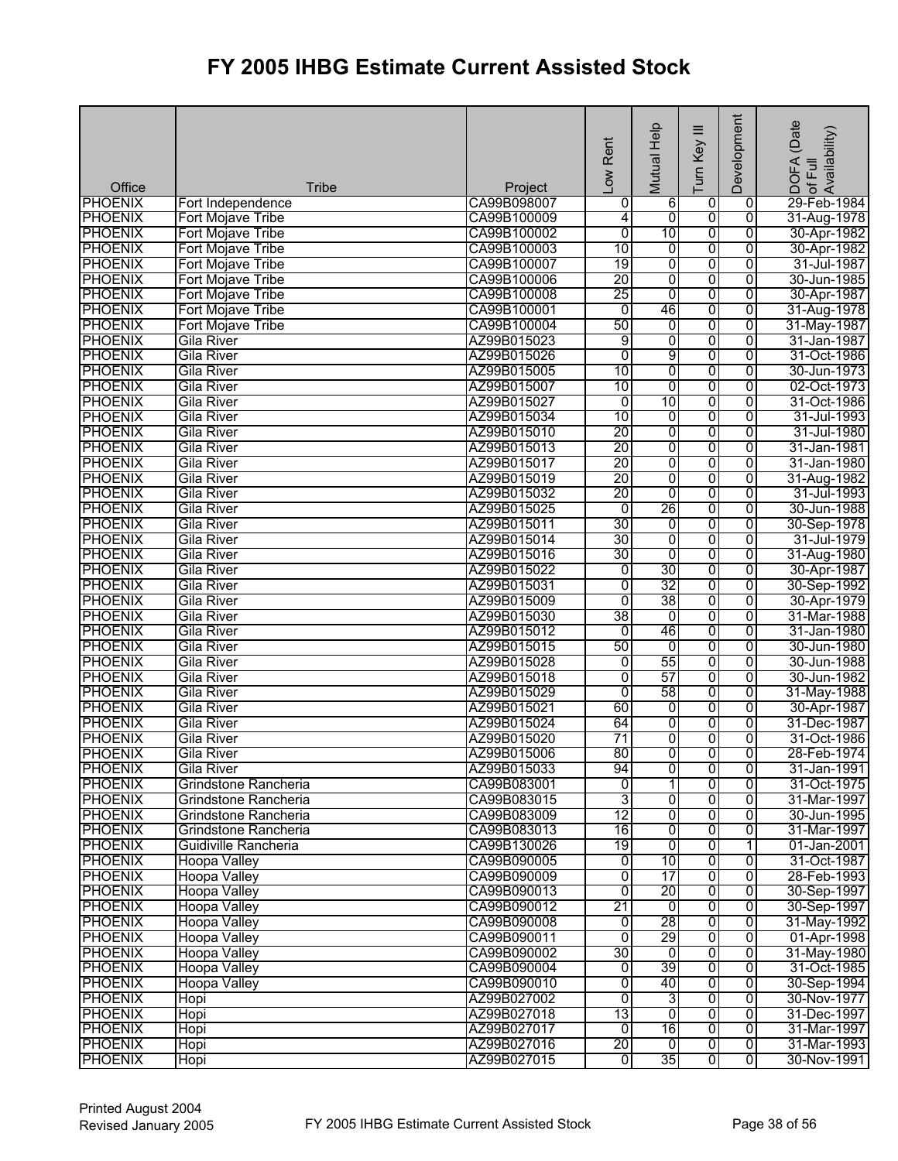| Office         | <b>Tribe</b>         | Project                    | Low Rent        | Mutual Help          | ≡<br>Turn Key           | Development    | (Date<br>Availability)<br>DOFA <sub>(</sub><br>of Full |
|----------------|----------------------|----------------------------|-----------------|----------------------|-------------------------|----------------|--------------------------------------------------------|
| <b>PHOENIX</b> | Fort Independence    | CA99B098007                | 0               | 6                    | 0                       | 0              | 29-Feb-1984                                            |
| <b>PHOENIX</b> | Fort Mojave Tribe    | CA99B100009                | 4               | $\overline{0}$       | 0                       | $\overline{0}$ | 31-Aug-1978                                            |
| <b>PHOENIX</b> | Fort Mojave Tribe    | CA99B100002                | $\overline{0}$  | 10                   | 0                       | $\overline{0}$ | 30-Apr-1982                                            |
| <b>PHOENIX</b> | Fort Mojave Tribe    | CA99B100003                | 10              | 0                    | $\overline{0}$          | 0              | 30-Apr-1982                                            |
| <b>PHOENIX</b> | Fort Mojave Tribe    | CA99B100007                | 19              | 0                    | 0                       | $\overline{0}$ | 31-Jul-1987                                            |
| <b>PHOENIX</b> | Fort Mojave Tribe    | CA99B100006                | 20              | 0                    | $\overline{0}$          | $\overline{0}$ | 30-Jun-1985                                            |
| <b>PHOENIX</b> | Fort Mojave Tribe    | CA99B100008                | $\overline{25}$ | $\overline{0}$       | $\overline{0}$          | 0              | 30-Apr-1987                                            |
| <b>PHOENIX</b> | Fort Mojave Tribe    | CA99B100001                | $\overline{0}$  | 46                   | 0                       | 0              | 31-Aug-1978                                            |
| <b>PHOENIX</b> | Fort Mojave Tribe    | CA99B100004                | 50              | 0                    | 0                       | $\overline{0}$ | 31-May-1987                                            |
| <b>PHOENIX</b> | Gila River           | AZ99B015023                | 9               | 0                    | $\overline{0}$          | $\overline{0}$ | 31-Jan-1987                                            |
| <b>PHOENIX</b> | <b>Gila River</b>    | AZ99B015026                | $\overline{0}$  | 9                    | 0                       | $\overline{0}$ | 31-Oct-1986                                            |
| <b>PHOENIX</b> | <b>Gila River</b>    | AZ99B015005                | 10              | $\overline{0}$       | 0                       | $\overline{0}$ | 30-Jun-1973                                            |
| <b>PHOENIX</b> | Gila River           | AZ99B015007                | 10              | 0                    | 0                       | $\overline{0}$ | 02-Oct-1973                                            |
| <b>PHOENIX</b> | <b>Gila River</b>    | AZ99B015027                | $\overline{0}$  | 10                   | $\overline{0}$          | $\overline{0}$ | 31-Oct-1986                                            |
| <b>PHOENIX</b> | Gila River           | AZ99B015034                | 10              | 0                    | 0                       | 0              | 31-Jul-1993                                            |
| <b>PHOENIX</b> | Gila River           | AZ99B015010                | 20              | 0                    | 0                       | 0              | 31-Jul-1980                                            |
| <b>PHOENIX</b> | <b>Gila River</b>    | AZ99B015013                | 20              | 0                    | 0                       | 0              | 31-Jan-1981                                            |
| <b>PHOENIX</b> | Gila River           | AZ99B015017                | 20              | 0                    | 0                       | $\overline{0}$ | 31-Jan-1980                                            |
| <b>PHOENIX</b> | <b>Gila River</b>    | AZ99B015019                | 20              | 0                    | 0                       | 0              | 31-Aug-1982                                            |
| <b>PHOENIX</b> | <b>Gila River</b>    | AZ99B015032                | $\overline{20}$ | 0                    | $\overline{0}$          | 0              | 31-Jul-1993                                            |
| <b>PHOENIX</b> | Gila River           | AZ99B015025                | $\overline{0}$  | 26                   | 0                       | 0              | 30-Jun-1988                                            |
| <b>PHOENIX</b> | <b>Gila River</b>    | AZ99B015011                | 30              | 0                    | 0                       | $\overline{0}$ | 30-Sep-1978                                            |
| <b>PHOENIX</b> | <b>Gila River</b>    | AZ99B015014                | 30              | 0                    | 0                       | 0              | 31-Jul-1979                                            |
| <b>PHOENIX</b> | Gila River           | AZ99B015016                | 30              | 0                    | 0                       | $\overline{0}$ | 31-Aug-1980                                            |
| <b>PHOENIX</b> | Gila River           | AZ99B015022                | 0               | 30                   | $\overline{0}$          | 0              | 30-Apr-1987                                            |
| <b>PHOENIX</b> | <b>Gila River</b>    | AZ99B015031                | 0               | 32                   | $\overline{0}$          | 0              | 30-Sep-1992                                            |
| <b>PHOENIX</b> | Gila River           | AZ99B015009                | $\overline{0}$  | 38                   | 0                       | 0              | 30-Apr-1979                                            |
| <b>PHOENIX</b> | Gila River           | AZ99B015030                | 38              | 0                    | 0                       | $\overline{0}$ | 31-Mar-1988                                            |
| <b>PHOENIX</b> | Gila River           | AZ99B015012                | $\overline{0}$  | 46                   | 0                       | $\overline{0}$ | 31-Jan-1980                                            |
| <b>PHOENIX</b> | <b>Gila River</b>    | AZ99B015015                | 50              | $\overline{0}$       | 0                       | $\overline{0}$ | 30-Jun-1980                                            |
| <b>PHOENIX</b> | Gila River           | AZ99B015028                | $\overline{0}$  | 55                   | 0                       | 0              | 30-Jun-1988                                            |
| <b>PHOENIX</b> | <b>Gila River</b>    | AZ99B015018                | 0               | 57                   | 0                       | 0              | 30-Jun-1982                                            |
| <b>PHOENIX</b> | Gila River           | AZ99B015029                | $\overline{0}$  | 58                   | 0                       | $\overline{0}$ | 31-May-1988                                            |
| <b>PHOENIX</b> | <b>Gila River</b>    | AZ99B015021                | 60              | 0                    | 0                       | $\overline{0}$ | 30-Apr-1987                                            |
| <b>PHOENIX</b> | <b>Gila River</b>    | AZ99B015024                | 64              | 0                    | 0                       | $\overline{0}$ | 31-Dec-1987                                            |
| <b>PHOENIX</b> | Gila River           | AZ99B015020                | 71              | 0                    | 0                       | 0              | 31-Oct-1986                                            |
| <b>PHOENIX</b> | Gila River           | AZ99B015006                | 80              | $\overline{0}$       | $\overline{0}$          | $\overline{0}$ | 28-Feb-1974                                            |
| <b>PHOENIX</b> | Gila River           | AZ99B015033                | 94              | $\overline{0}$       | o                       | 0              | 31-Jan-1991                                            |
| <b>PHOENIX</b> | Grindstone Rancheria | CA99B083001                | 0               | 1                    | 0                       | 0              | 31-Oct-1975                                            |
| <b>PHOENIX</b> | Grindstone Rancheria | CA99B083015                | 3               | 0                    | 0                       | 0              | 31-Mar-1997                                            |
| <b>PHOENIX</b> | Grindstone Rancheria | CA99B083009                | 12              | 0                    | 0                       | 0              | 30-Jun-1995                                            |
| <b>PHOENIX</b> | Grindstone Rancheria | CA99B083013                | 16              | 0                    | 0                       | 0              | 31-Mar-1997                                            |
| <b>PHOENIX</b> | Guidiville Rancheria | CA99B130026                | 19              | 0                    | 0                       | 1              | 01-Jan-2001                                            |
| <b>PHOENIX</b> | <b>Hoopa Valley</b>  | CA99B090005                | 0               | 10                   | 0                       | $\overline{0}$ | 31-Oct-1987                                            |
| <b>PHOENIX</b> | <b>Hoopa Valley</b>  | CA99B090009                | 0               | $\overline{17}$      | $\overline{0}$          | 0              | 28-Feb-1993                                            |
| <b>PHOENIX</b> | <b>Hoopa Valley</b>  | CA99B090013                | $\overline{0}$  | 20                   | 0                       | 0              | 30-Sep-1997                                            |
| <b>PHOENIX</b> | <b>Hoopa Valley</b>  | CA99B090012                | 21              | 0                    | 0                       | 0              | 30-Sep-1997                                            |
| <b>PHOENIX</b> | <b>Hoopa Valley</b>  | CA99B090008                | 0               | 28                   | 0                       | 0              | 31-May-1992                                            |
| <b>PHOENIX</b> | <b>Hoopa Valley</b>  | CA99B090011                | $\overline{0}$  | 29                   | $\overline{0}$          | $\overline{0}$ | 01-Apr-1998                                            |
| <b>PHOENIX</b> | <b>Hoopa Valley</b>  | CA99B090002                | 30              | Ō                    | 0                       | 0              | 31-May-1980                                            |
| <b>PHOENIX</b> | <b>Hoopa Valley</b>  | CA99B090004                | 0               | 39                   | 0                       | 0              | 31-Oct-1985                                            |
| <b>PHOENIX</b> | Hoopa Valley         | CA99B090010                | $\overline{0}$  | 40                   | $\overline{0}$          | 0              | 30-Sep-1994                                            |
| <b>PHOENIX</b> | Hopi                 | AZ99B027002                | $\overline{0}$  | 3                    | $\overline{0}$          | $\overline{0}$ | 30-Nov-1977                                            |
| <b>PHOENIX</b> | Hopi                 | AZ99B027018                | 13              | $\overline{0}$       | $\overline{0}$          | $\overline{0}$ | 31-Dec-1997                                            |
| <b>PHOENIX</b> |                      |                            | $\mathbf{0}$    | 16                   | $\overline{0}$          | $\overline{0}$ |                                                        |
|                | Hopi                 | AZ99B027017<br>AZ99B027016 | 20              |                      | $\overline{0}$          | $\overline{0}$ | 31-Mar-1997                                            |
| <b>PHOENIX</b> | Hopi                 |                            |                 | $\overline{0}$<br>35 |                         | $\overline{0}$ | 31-Mar-1993                                            |
| <b>PHOENIX</b> | Hopi                 | AZ99B027015                | 0               |                      | $\overline{\mathbf{0}}$ |                | 30-Nov-1991                                            |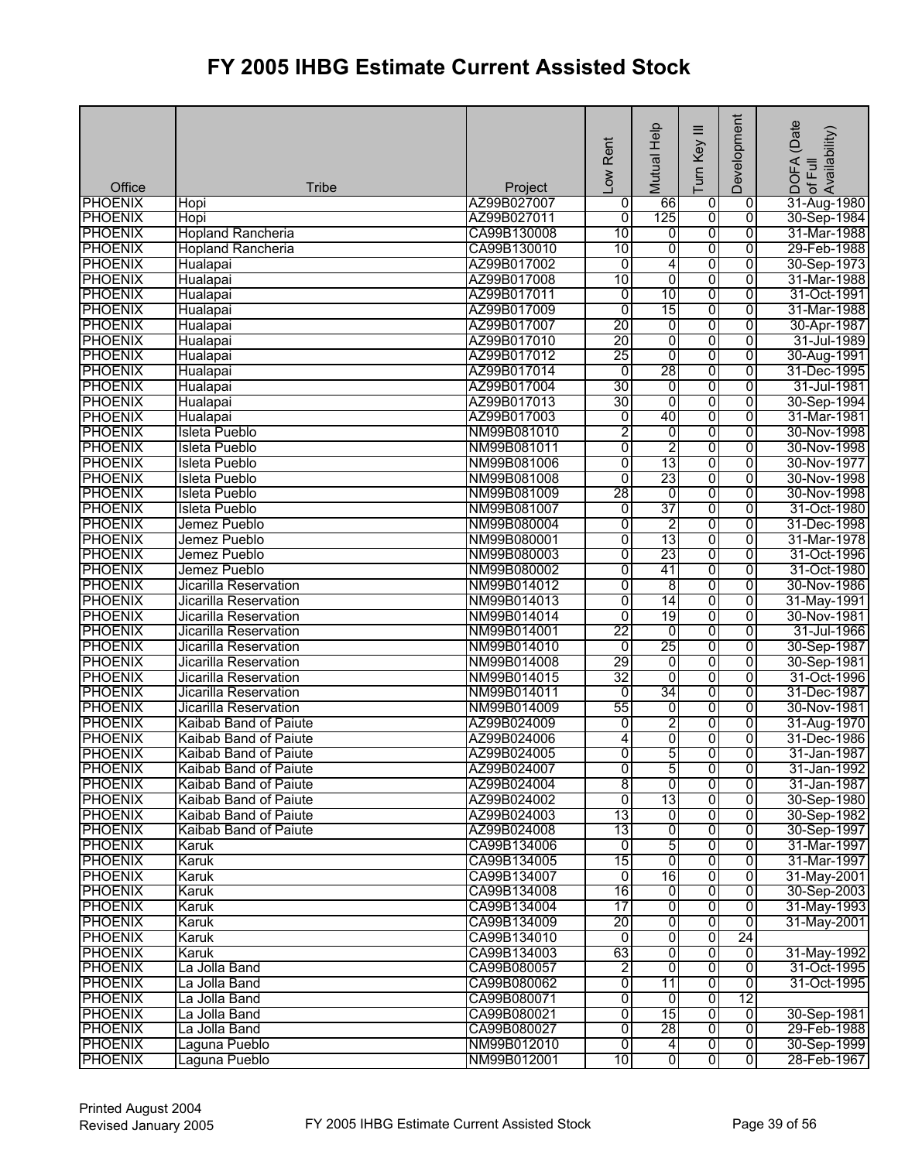| Office                           | <b>Tribe</b>                                   | Project                    | Low Rent        | Mutual Help          | ≡<br>Turn Key           | Development    | (Date<br>Availability)<br>DOFA<br>of Full |
|----------------------------------|------------------------------------------------|----------------------------|-----------------|----------------------|-------------------------|----------------|-------------------------------------------|
| <b>PHOENIX</b>                   | Hopi                                           | AZ99B027007                | 0               | 66                   | 0                       | 0              | 31-Aug-1980                               |
| <b>PHOENIX</b>                   | Hopi                                           | AZ99B027011                | $\overline{0}$  | 125                  | 0                       | $\overline{0}$ | 30-Sep-1984                               |
| <b>PHOENIX</b>                   | <b>Hopland Rancheria</b>                       | CA99B130008                | 10              | 0                    | 0                       | $\overline{0}$ | 31-Mar-1988                               |
| <b>PHOENIX</b>                   | <b>Hopland Rancheria</b>                       | CA99B130010                | 10              | 0                    | $\overline{0}$          | 0              | 29-Feb-1988                               |
| <b>PHOENIX</b>                   | Hualapai                                       | AZ99B017002                | 0               | 4                    | $\overline{0}$          | $\overline{0}$ | 30-Sep-1973                               |
| <b>PHOENIX</b>                   | Hualapai                                       | AZ99B017008                | 10              | $\overline{0}$       | 0                       | $\overline{0}$ | 31-Mar-1988                               |
| <b>PHOENIX</b>                   | Hualapai                                       | AZ99B017011                | 0               | 10                   | $\overline{0}$          | $\overline{0}$ | 31-Oct-1991                               |
| <b>PHOENIX</b>                   | Hualapai                                       | AZ99B017009                | $\overline{0}$  | 15                   | 0                       | $\overline{0}$ | 31-Mar-1988                               |
| <b>PHOENIX</b>                   | Hualapai                                       | AZ99B017007                | 20              | 0                    | 0                       | $\overline{0}$ | 30-Apr-1987                               |
| <b>PHOENIX</b>                   | Hualapai                                       | AZ99B017010                | 20              | 0                    | $\overline{0}$          | $\overline{0}$ | 31-Jul-1989                               |
| <b>PHOENIX</b>                   | Hualapai                                       | AZ99B017012                | 25              | $\overline{0}$       | 0                       | $\overline{0}$ | 30-Aug-1991                               |
| <b>PHOENIX</b>                   | Hualapai                                       | AZ99B017014                | $\overline{0}$  | 28                   | 0                       | $\overline{0}$ | 31-Dec-1995                               |
| <b>PHOENIX</b>                   | Hualapai                                       | AZ99B017004                | 30              | 0                    | 0                       | $\overline{0}$ | 31-Jul-1981                               |
| <b>PHOENIX</b>                   | Hualapai                                       | AZ99B017013                | 30              | $\overline{0}$       | $\overline{0}$          | $\overline{0}$ | 30-Sep-1994                               |
| <b>PHOENIX</b>                   | Hualapai                                       | AZ99B017003                | $\overline{0}$  | 40                   | 0                       | 0              | 31-Mar-1981                               |
| <b>PHOENIX</b>                   | Isleta Pueblo                                  | NM99B081010                | 2               | 0                    | 0                       | $\overline{0}$ | 30-Nov-1998                               |
| <b>PHOENIX</b>                   | Isleta Pueblo                                  | NM99B081011                | 0               | 2                    | 0                       | 0              | 30-Nov-1998                               |
| <b>PHOENIX</b>                   | <b>Isleta Pueblo</b>                           | NM99B081006                | 0               | 13                   | 0                       | $\overline{0}$ | 30-Nov-1977                               |
| <b>PHOENIX</b>                   | <b>Isleta Pueblo</b>                           | NM99B081008                | 0               | 23                   | 0                       | 0              | 30-Nov-1998                               |
| <b>PHOENIX</b>                   | Isleta Pueblo                                  | NM99B081009                | 28              | 0                    | $\overline{0}$          | 0              | 30-Nov-1998                               |
| <b>PHOENIX</b>                   | <b>Isleta Pueblo</b>                           | NM99B081007                | 0               | 37                   | $\overline{0}$          | 0              | 31-Oct-1980                               |
| <b>PHOENIX</b>                   | Jemez Pueblo                                   | NM99B080004                | 0               | $\overline{2}$       | $\overline{0}$          | $\overline{0}$ | 31-Dec-1998                               |
| <b>PHOENIX</b>                   | Jemez Pueblo                                   | NM99B080001                | 0               | 13                   | 0                       | $\overline{0}$ | 31-Mar-1978                               |
| <b>PHOENIX</b>                   | Jemez Pueblo                                   | NM99B080003                | 0               | 23                   | 0                       | $\overline{0}$ | 31-Oct-1996                               |
| <b>PHOENIX</b>                   | Jemez Pueblo                                   | NM99B080002                | 0               | 41                   | 0                       | 0              | 31-Oct-1980                               |
| <b>PHOENIX</b><br><b>PHOENIX</b> | Jicarilla Reservation<br>Jicarilla Reservation | NM99B014012<br>NM99B014013 | 0<br>0          | $\overline{8}$<br>14 | $\overline{0}$<br>0     | 0<br>0         | 30-Nov-1986<br>31-May-1991                |
| <b>PHOENIX</b>                   | Jicarilla Reservation                          | NM99B014014                | $\overline{0}$  | 19                   | 0                       | $\overline{0}$ | 30-Nov-1981                               |
| <b>PHOENIX</b>                   | <b>Jicarilla Reservation</b>                   | NM99B014001                | 22              | $\overline{0}$       | 0                       | $\overline{0}$ | 31-Jul-1966                               |
| <b>PHOENIX</b>                   | Jicarilla Reservation                          | NM99B014010                | 0               | 25                   | $\overline{0}$          | $\overline{0}$ | 30-Sep-1987                               |
| <b>PHOENIX</b>                   | Jicarilla Reservation                          | NM99B014008                | 29              | 0                    | 0                       | 0              | 30-Sep-1981                               |
| <b>PHOENIX</b>                   | Jicarilla Reservation                          | NM99B014015                | $\overline{32}$ | 0                    | 0                       | 0              | 31-Oct-1996                               |
| <b>PHOENIX</b>                   | <b>Jicarilla Reservation</b>                   | NM99B014011                | $\overline{0}$  | 34                   | 0                       | $\overline{0}$ | 31-Dec-1987                               |
| <b>PHOENIX</b>                   | <b>Jicarilla Reservation</b>                   | NM99B014009                | 55              | 0                    | $\overline{0}$          | $\overline{0}$ | 30-Nov-1981                               |
| <b>PHOENIX</b>                   | Kaibab Band of Paiute                          | AZ99B024009                | $\overline{0}$  | 2                    | 0                       | 0              | 31-Aug-1970                               |
| <b>PHOENIX</b>                   | Kaibab Band of Paiute                          | AZ99B024006                | 4               | 0                    | 0                       | $\overline{0}$ | 31-Dec-1986                               |
| <b>PHOENIX</b>                   | Kaibab Band of Paiute                          | AZ99B024005                | Ō               | 5                    | $\overline{0}$          | $\overline{0}$ | 31-Jan-1987                               |
| <b>PHOENIX</b>                   | Kaibab Band of Paiute                          | AZ99B024007                | $\overline{0}$  | 5                    | 0                       | 0              | 31-Jan-1992                               |
| <b>PHOENIX</b>                   | Kaibab Band of Paiute                          | AZ99B024004                | 8               | 0                    | 0                       | 0              | 31-Jan-1987                               |
| <b>PHOENIX</b>                   | Kaibab Band of Paiute                          | AZ99B024002                | $\overline{0}$  | 13                   | 0                       | 0              | 30-Sep-1980                               |
| <b>PHOENIX</b>                   | Kaibab Band of Paiute                          | AZ99B024003                | 13              | 0                    | 0                       | 0              | 30-Sep-1982                               |
| <b>PHOENIX</b>                   | Kaibab Band of Paiute                          | AZ99B024008                | 13              | 0                    | 0                       | 0              | 30-Sep-1997                               |
| <b>PHOENIX</b>                   | Karuk                                          | CA99B134006                | 0               | 5                    | 0                       | 0              | 31-Mar-1997                               |
| <b>PHOENIX</b>                   | Karuk                                          | CA99B134005                | 15              | $\overline{0}$       | $\overline{0}$          | $\overline{0}$ | 31-Mar-1997                               |
| <b>PHOENIX</b>                   | Karuk                                          | CA99B134007                | $\overline{0}$  | 16                   | $\overline{0}$          | 0              | 31-May-2001                               |
| <b>PHOENIX</b>                   | Karuk                                          | CA99B134008                | 16              | $\overline{0}$       | 0                       | 0              | 30-Sep-2003                               |
| <b>PHOENIX</b>                   | Karuk                                          | CA99B134004                | $\overline{17}$ | 0                    | 0                       | 0              | 31-May-1993                               |
| <b>PHOENIX</b>                   | Karuk                                          | CA99B134009                | 20              | $\overline{0}$       | 0                       | $\overline{0}$ | 31-May-2001                               |
| <b>PHOENIX</b>                   | Karuk                                          | CA99B134010                | $\overline{0}$  | 0                    | $\overline{0}$          | 24             |                                           |
| <b>PHOENIX</b>                   | Karuk                                          | CA99B134003                | 63              | $\overline{0}$       | 0                       | $\overline{0}$ | 31-May-1992                               |
| <b>PHOENIX</b>                   | La Jolla Band                                  | CA99B080057                | $\overline{2}$  | 0                    | $\overline{0}$          | 0              | 31-Oct-1995                               |
| <b>PHOENIX</b>                   | La Jolla Band                                  | CA99B080062                | $\overline{0}$  | 11                   | $\overline{0}$          | 0              | 31-Oct-1995                               |
| <b>PHOENIX</b>                   | La Jolla Band                                  | CA99B080071                | 0               | $\overline{0}$       | $\overline{0}$          | 12             |                                           |
| <b>PHOENIX</b>                   | La Jolla Band                                  | CA99B080021                | $\overline{0}$  | 15                   | $\overline{0}$          | $\overline{0}$ | 30-Sep-1981                               |
| <b>PHOENIX</b>                   | La Jolla Band                                  | CA99B080027                | $\overline{0}$  | 28                   | $\overline{0}$          | $\overline{0}$ | 29-Feb-1988                               |
| <b>PHOENIX</b>                   | Laguna Pueblo                                  | NM99B012010                | ō               | $\overline{4}$       | $\overline{0}$          | ō              | 30-Sep-1999                               |
| <b>PHOENIX</b>                   | Laguna Pueblo                                  | NM99B012001                | 10              | $\overline{0}$       | $\overline{\mathbf{0}}$ | $\overline{0}$ | 28-Feb-1967                               |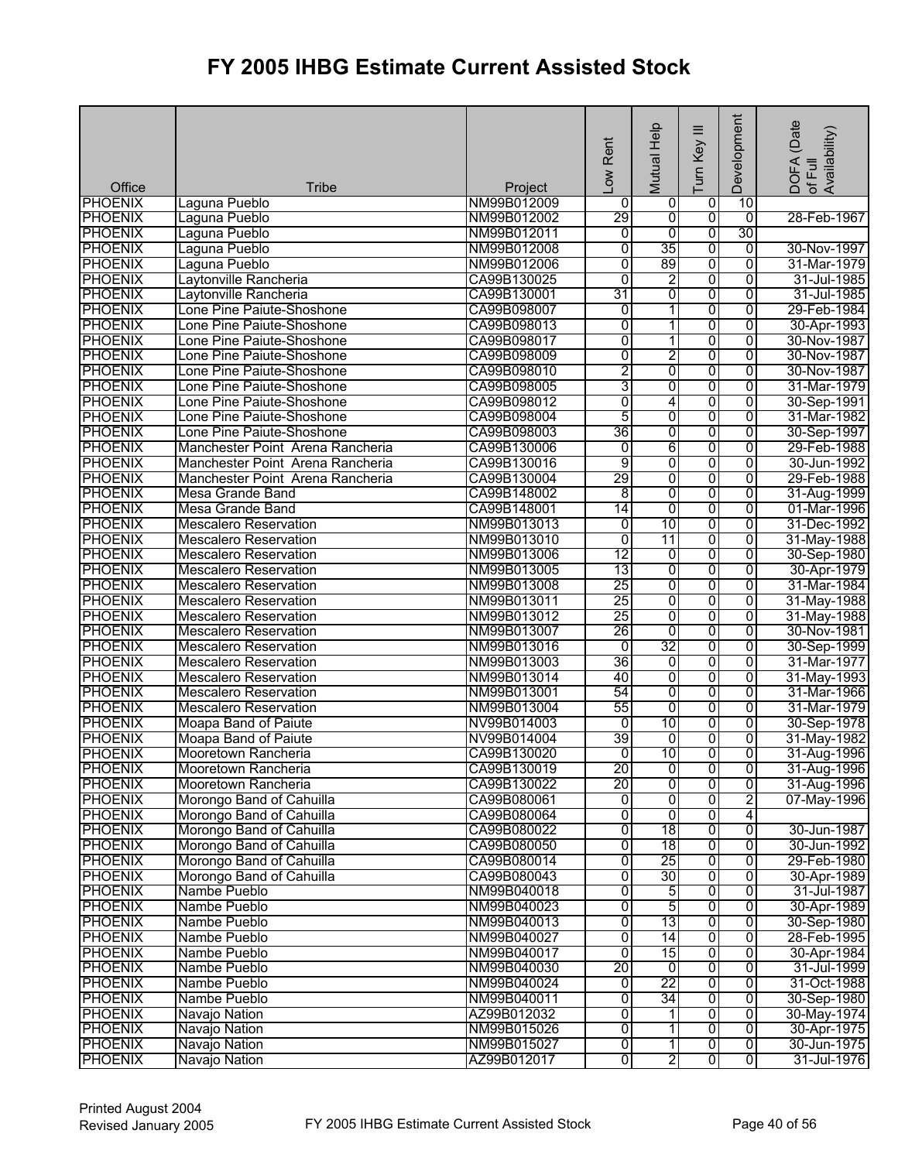| Office         | <b>Tribe</b>                                       | Project     | Low Rent       | Mutual Help    | Ξ<br>Turn Key  | Development             | DOFA (Date<br>of Full<br>Availability) |
|----------------|----------------------------------------------------|-------------|----------------|----------------|----------------|-------------------------|----------------------------------------|
| <b>PHOENIX</b> | Laguna Pueblo                                      | NM99B012009 | 0              | $\overline{0}$ | 0              | 10                      |                                        |
| <b>PHOENIX</b> | Laguna Pueblo                                      | NM99B012002 | 29             | $\overline{0}$ | $\overline{0}$ | $\overline{0}$          | 28-Feb-1967                            |
| <b>PHOENIX</b> | Laguna Pueblo                                      | NM99B012011 | 0              | 0              | $\overline{0}$ | 30                      |                                        |
| <b>PHOENIX</b> | Laguna Pueblo                                      | NM99B012008 | $\overline{0}$ | 35             | 0              | $\overline{0}$          | 30-Nov-1997                            |
| <b>PHOENIX</b> | Laguna Pueblo                                      | NM99B012006 | 0              | 89             | 0              | 0                       | 31-Mar-1979                            |
| <b>PHOENIX</b> | Laytonville Rancheria                              | CA99B130025 | $\overline{0}$ | 2              | 0              | 0                       | 31-Jul-1985                            |
| <b>PHOENIX</b> |                                                    | CA99B130001 | 31             | $\overline{0}$ | 0              | 0                       | 31-Jul-1985                            |
|                | Laytonville Rancheria<br>Lone Pine Paiute-Shoshone | CA99B098007 |                | 1              |                | 0                       | 29-Feb-1984                            |
| <b>PHOENIX</b> |                                                    |             | 0              |                | 0              |                         |                                        |
| <b>PHOENIX</b> | Lone Pine Paiute-Shoshone                          | CA99B098013 | 0              | 1              | 0              | 0                       | 30-Apr-1993                            |
| <b>PHOENIX</b> | Lone Pine Paiute-Shoshone                          | CA99B098017 | 0              | 1              | 0              | 0                       | 30-Nov-1987                            |
| <b>PHOENIX</b> | Lone Pine Paiute-Shoshone                          | CA99B098009 | 0              | $\overline{2}$ | $\overline{0}$ | $\overline{0}$          | 30-Nov-1987                            |
| <b>PHOENIX</b> | Lone Pine Paiute-Shoshone                          | CA99B098010 | $\overline{2}$ | $\overline{0}$ | 0              | 0                       | 30-Nov-1987                            |
| <b>PHOENIX</b> | Lone Pine Paiute-Shoshone                          | CA99B098005 | 3              | 0              | $\overline{0}$ | 0                       | 31-Mar-1979                            |
| <b>PHOENIX</b> | Lone Pine Paiute-Shoshone                          | CA99B098012 | $\overline{0}$ | 4              | $\overline{0}$ | 0                       | 30-Sep-1991                            |
| <b>PHOENIX</b> | Lone Pine Paiute-Shoshone                          | CA99B098004 | 5              | 0              | 0              | $\overline{0}$          | 31-Mar-1982                            |
| <b>PHOENIX</b> | Lone Pine Paiute-Shoshone                          | CA99B098003 | 36             | $\overline{0}$ | 0              | 0                       | 30-Sep-1997                            |
| <b>PHOENIX</b> | Manchester Point Arena Rancheria                   | CA99B130006 | $\overline{0}$ | 6              | 0              | 0                       | 29-Feb-1988                            |
| <b>PHOENIX</b> | Manchester Point Arena Rancheria                   | CA99B130016 | 9              | 0              | 0              | $\overline{0}$          | 30-Jun-1992                            |
| <b>PHOENIX</b> | Manchester Point Arena Rancheria                   | CA99B130004 | 29             | 0              | 0              | $\overline{0}$          | 29-Feb-1988                            |
| <b>PHOENIX</b> | Mesa Grande Band                                   | CA99B148002 | 8              | 0              | 0              | 0                       | 31-Aug-1999                            |
| <b>PHOENIX</b> | <b>Mesa Grande Band</b>                            | CA99B148001 | 14             | $\overline{0}$ | 0              | 0                       | 01-Mar-1996                            |
| <b>PHOENIX</b> | <b>Mescalero Reservation</b>                       | NM99B013013 | 0              | 10             | $\overline{0}$ | $\overline{0}$          | 31-Dec-1992                            |
| <b>PHOENIX</b> | <b>Mescalero Reservation</b>                       | NM99B013010 | 0              | 11             | o              | 0                       | 31-May-1988                            |
| <b>PHOENIX</b> | <b>Mescalero Reservation</b>                       | NM99B013006 | 12             | 0              | 0              | 0                       | 30-Sep-1980                            |
| <b>PHOENIX</b> | <b>Mescalero Reservation</b>                       | NM99B013005 | 13             | $\overline{0}$ | 0              | 0                       | 30-Apr-1979                            |
| <b>PHOENIX</b> | <b>Mescalero Reservation</b>                       | NM99B013008 | 25             | $\overline{0}$ | 0              | 0                       | 31-Mar-1984                            |
| <b>PHOENIX</b> | <b>Mescalero Reservation</b>                       | NM99B013011 | 25             | 0              | 0              | 0                       | 31-May-1988                            |
| <b>PHOENIX</b> | <b>Mescalero Reservation</b>                       | NM99B013012 | 25             | 0              | 0              | 0                       | 31-May-1988                            |
| <b>PHOENIX</b> | <b>Mescalero Reservation</b>                       | NM99B013007 | 26             | $\overline{0}$ | $\overline{0}$ | $\overline{0}$          | 30-Nov-1981                            |
| <b>PHOENIX</b> |                                                    | NM99B013016 |                | 32             | $\overline{0}$ | $\overline{0}$          |                                        |
|                | <b>Mescalero Reservation</b>                       |             | 0<br>36        |                |                |                         | 30-Sep-1999                            |
| <b>PHOENIX</b> | <b>Mescalero Reservation</b>                       | NM99B013003 |                | $\overline{0}$ | 0              | 0                       | 31-Mar-1977                            |
| <b>PHOENIX</b> | <b>Mescalero Reservation</b>                       | NM99B013014 | 40             | $\overline{0}$ | 0              | 0                       | 31-May-1993                            |
| PHOENIX        | <b>Mescalero Reservation</b>                       | NM99B013001 | 54             | 0              | 0              | 0                       | 31-Mar-1966                            |
| <b>PHOENIX</b> | <b>Mescalero Reservation</b>                       | NM99B013004 | 55             | $\overline{0}$ | 0              | $\overline{0}$          | 31-Mar-1979                            |
| <b>PHOENIX</b> | Moapa Band of Paiute                               | NV99B014003 | $\overline{0}$ | 10             | 0              | 0                       | 30-Sep-1978                            |
| <b>PHOENIX</b> | Moapa Band of Paiute                               | NV99B014004 | 39             | 0              | 0              | 0                       | 31-May-1982                            |
| <b>PHOENIX</b> | Mooretown Rancheria                                | CA99B130020 | ō              | 10             | $\overline{0}$ | 0                       | 31-Aug-1996                            |
| <b>PHOENIX</b> | Mooretown Rancheria                                | CA99B130019 | 20             | ō              | o              | $\overline{0}$          | 31-Aug-1996                            |
| <b>PHOENIX</b> | Mooretown Rancheria                                | CA99B130022 | 20             | 0              | 0              | 0                       | 31-Aug-1996                            |
| <b>PHOENIX</b> | Morongo Band of Cahuilla                           | CA99B080061 | ō              | $\overline{0}$ | 0              | 2                       | 07-May-1996                            |
| <b>PHOENIX</b> | Morongo Band of Cahuilla                           | CA99B080064 | $\overline{0}$ | 0              | 0              | $\overline{\mathbf{4}}$ |                                        |
| <b>PHOENIX</b> | Morongo Band of Cahuilla                           | CA99B080022 | 0              | 18             | 0              | 0                       | 30-Jun-1987                            |
| <b>PHOENIX</b> | Morongo Band of Cahuilla                           | CA99B080050 | $\overline{0}$ | 18             | 0              | 0                       | 30-Jun-1992                            |
| <b>PHOENIX</b> | Morongo Band of Cahuilla                           | CA99B080014 | 0              | 25             | 0              | $\overline{0}$          | 29-Feb-1980                            |
| <b>PHOENIX</b> | Morongo Band of Cahuilla                           | CA99B080043 | $\overline{0}$ | 30             | $\overline{0}$ | $\overline{0}$          | 30-Apr-1989                            |
| <b>PHOENIX</b> | Nambe Pueblo                                       | NM99B040018 | 0              | 5              | 0              | $\overline{0}$          | 31-Jul-1987                            |
| <b>PHOENIX</b> | Nambe Pueblo                                       | NM99B040023 | 0              | 5              | 0              | 0                       | 30-Apr-1989                            |
| <b>PHOENIX</b> | Nambe Pueblo                                       | NM99B040013 | $\overline{0}$ | 13             | 0              | 0                       | 30-Sep-1980                            |
| <b>PHOENIX</b> | Nambe Pueblo                                       | NM99B040027 | $\overline{0}$ | 14             | 0              | $\overline{0}$          | 28-Feb-1995                            |
| <b>PHOENIX</b> | Nambe Pueblo                                       | NM99B040017 | Ō              | 15             | 0              | 0                       | 30-Apr-1984                            |
| <b>PHOENIX</b> | Nambe Pueblo                                       | NM99B040030 | 20             | 0              | $\overline{0}$ | 0                       | 31-Jul-1999                            |
| <b>PHOENIX</b> | Nambe Pueblo                                       | NM99B040024 | ō              | 22             | $\overline{0}$ | 0                       | 31-Oct-1988                            |
| <b>PHOENIX</b> | Nambe Pueblo                                       | NM99B040011 | $\overline{0}$ | 34             | 0              | $\overline{0}$          | 30-Sep-1980                            |
| <b>PHOENIX</b> | Navajo Nation                                      | AZ99B012032 | 0              | 1              | 0              | 0                       | 30-May-1974                            |
| <b>PHOENIX</b> | Navajo Nation                                      | NM99B015026 | 0              | 1              | 0              | $\overline{0}$          | 30-Apr-1975                            |
| <b>PHOENIX</b> | Navajo Nation                                      | NM99B015027 | $\overline{0}$ | 1              | $\overline{0}$ | $\overline{0}$          | 30-Jun-1975                            |
| <b>PHOENIX</b> | Navajo Nation                                      | AZ99B012017 | 0              | $\overline{2}$ | $\overline{0}$ | $\overline{0}$          | 31-Jul-1976                            |
|                |                                                    |             |                |                |                |                         |                                        |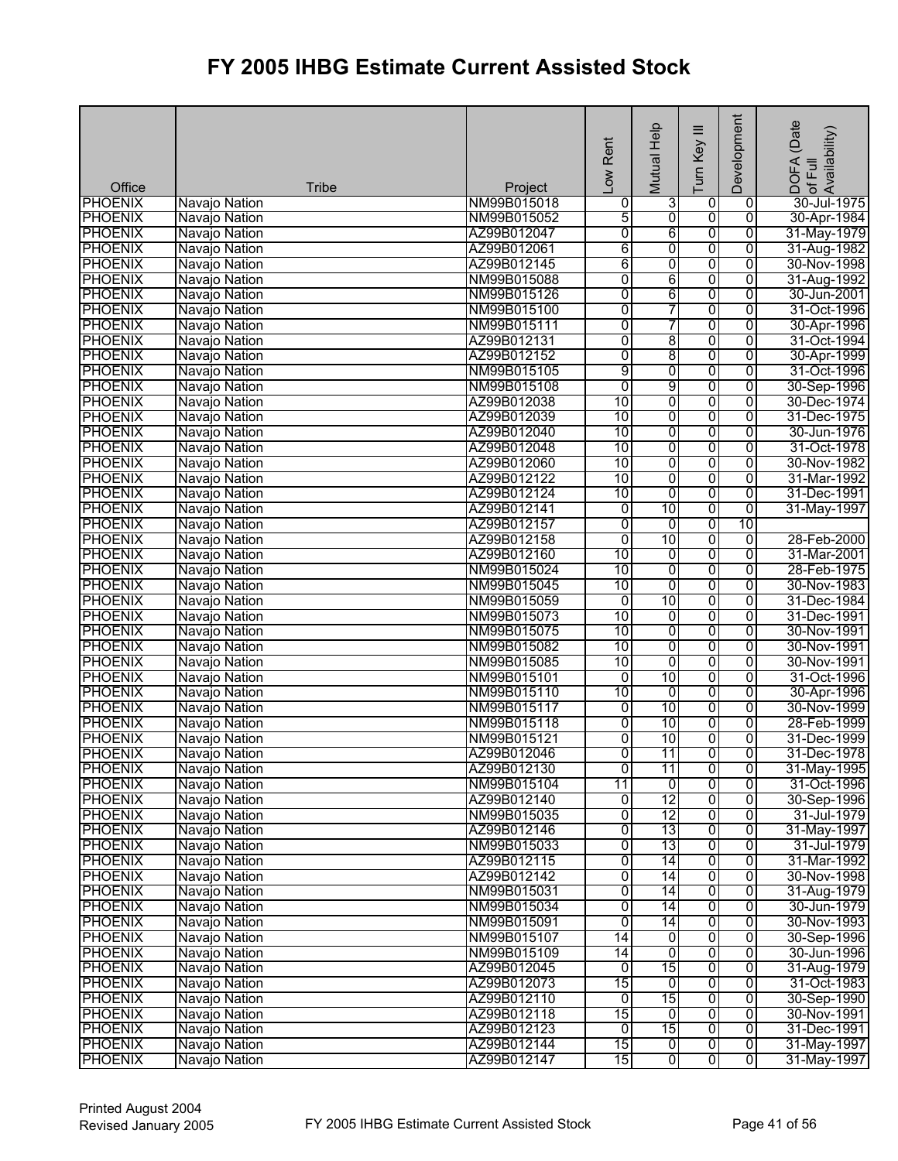| Office         | <b>Tribe</b>  | Project     | Low Rent        | Mutual Help    | Ξ<br>Turn Key  | Development    | DOFA (Date<br>of Full<br>Availability) |
|----------------|---------------|-------------|-----------------|----------------|----------------|----------------|----------------------------------------|
| <b>PHOENIX</b> | Navajo Nation | NM99B015018 | 0               | 3              | $\overline{0}$ | $\overline{0}$ | 30-Jul-1975                            |
| <b>PHOENIX</b> | Navajo Nation | NM99B015052 | 5               | $\overline{0}$ | $\overline{0}$ | $\overline{0}$ | 30-Apr-1984                            |
| <b>PHOENIX</b> | Navajo Nation | AZ99B012047 | 0               | 6              | 0              | $\overline{0}$ | 31-May-1979                            |
| <b>PHOENIX</b> | Navajo Nation | AZ99B012061 | 6               | $\overline{0}$ | 0              | 0              | 31-Aug-1982                            |
| <b>PHOENIX</b> | Navajo Nation | AZ99B012145 | 6               | 0              | 0              | 0              | 30-Nov-1998                            |
| <b>PHOENIX</b> | Navajo Nation | NM99B015088 | $\overline{0}$  | 6              | 0              | 0              | 31-Aug-1992                            |
| <b>PHOENIX</b> | Navajo Nation | NM99B015126 | 0               | 6              | $\overline{0}$ | $\overline{0}$ | 30-Jun-2001                            |
| <b>PHOENIX</b> | Navajo Nation | NM99B015100 | 0               | 7              | 0              | 0              | 31-Oct-1996                            |
| <b>PHOENIX</b> | Navajo Nation | NM99B015111 | 0               | 7              | $\overline{0}$ | $\overline{0}$ | 30-Apr-1996                            |
| <b>PHOENIX</b> | Navajo Nation | AZ99B012131 | $\overline{0}$  | 8              | 0              | $\overline{0}$ | 31-Oct-1994                            |
| <b>PHOENIX</b> | Navajo Nation | AZ99B012152 | 0               | 8              | $\overline{0}$ | $\overline{0}$ | 30-Apr-1999                            |
| <b>PHOENIX</b> | Navajo Nation | NM99B015105 | 9               | 0              | 0              | 0              | 31-Oct-1996                            |
| <b>PHOENIX</b> | Navajo Nation | NM99B015108 | $\overline{0}$  | 9              | $\overline{0}$ | $\overline{0}$ | 30-Sep-1996                            |
| <b>PHOENIX</b> | Navajo Nation | AZ99B012038 | 10              | $\overline{0}$ | $\overline{0}$ | $\overline{0}$ | 30-Dec-1974                            |
| <b>PHOENIX</b> | Navajo Nation | AZ99B012039 | 10              | o              | 0              | $\overline{0}$ | 31-Dec-1975                            |
| <b>PHOENIX</b> | Navajo Nation | AZ99B012040 | 10              | 0              | 0              | $\overline{0}$ | 30-Jun-1976                            |
| <b>PHOENIX</b> | Navajo Nation | AZ99B012048 | 10              | 0              | $\overline{0}$ | $\overline{0}$ | 31-Oct-1978                            |
| <b>PHOENIX</b> | Navajo Nation | AZ99B012060 | 10              | $\overline{0}$ | 0              | $\overline{0}$ | 30-Nov-1982                            |
| <b>PHOENIX</b> | Navajo Nation | AZ99B012122 | 10              | 0              | $\overline{0}$ | $\overline{0}$ | 31-Mar-1992                            |
| <b>PHOENIX</b> | Navajo Nation | AZ99B012124 | 10              | 0              | 0              | 0              | 31-Dec-1991                            |
| <b>PHOENIX</b> | Navajo Nation | AZ99B012141 | $\overline{0}$  | 10             | 0              | $\overline{0}$ | 31-May-1997                            |
| PHOENIX        | Navajo Nation | AZ99B012157 | 0               | $\overline{0}$ | 0              | 10             |                                        |
| <b>PHOENIX</b> | Navajo Nation | AZ99B012158 | 0               | 10             | 0              | $\overline{0}$ | 28-Feb-2000                            |
| <b>PHOENIX</b> | Navajo Nation | AZ99B012160 | 10              | 0              | 0              | $\overline{0}$ | 31-Mar-2001                            |
| <b>PHOENIX</b> | Navajo Nation | NM99B015024 | 10              | 0              | 0              | $\overline{0}$ | 28-Feb-1975                            |
| <b>PHOENIX</b> | Navajo Nation | NM99B015045 | $\overline{10}$ | O              | $\overline{0}$ | $\overline{0}$ | 30-Nov-1983                            |
| <b>PHOENIX</b> | Navajo Nation | NM99B015059 | 0               | 10             | 0              | 0              | 31-Dec-1984                            |
| <b>PHOENIX</b> | Navajo Nation | NM99B015073 | 10              | 0              | 0              | 0              | 31-Dec-1991                            |
| <b>PHOENIX</b> | Navajo Nation | NM99B015075 | 10              | $\overline{0}$ | 0              | $\overline{0}$ | 30-Nov-1991                            |
| <b>PHOENIX</b> | Navajo Nation | NM99B015082 | 10              | 0              | $\overline{0}$ | $\overline{0}$ | 30-Nov-1991                            |
| <b>PHOENIX</b> | Navajo Nation | NM99B015085 | 10              | $\overline{0}$ | 0              | 0              | 30-Nov-1991                            |
| <b>PHOENIX</b> | Navajo Nation | NM99B015101 | 0               | 10             | 0              | 0              | 31-Oct-1996                            |
| <b>PHOENIX</b> | Navajo Nation | NM99B015110 | 10              | 0              | 0              | $\overline{0}$ | 30-Apr-1996                            |
| <b>PHOENIX</b> | Navajo Nation | NM99B015117 | $\overline{0}$  | 10             | 0              | $\overline{0}$ | 30-Nov-1999                            |
| <b>PHOENIX</b> | Navajo Nation | NM99B015118 | 0               | 10             | 0              | 0              | 28-Feb-1999                            |
| <b>PHOENIX</b> | Navajo Nation | NM99B015121 | 0               | 10             | 0              | 0              | 31-Dec-1999                            |
| <b>PHOENIX</b> | Navajo Nation | AZ99B012046 | $\overline{0}$  | 11             | $\overline{0}$ | 0              | 31-Dec-1978                            |
| <b>PHOENIX</b> | Navajo Nation | AZ99B012130 | $\overline{0}$  | 11             | $\overline{0}$ | 0              | 31-May-1995                            |
| <b>PHOENIX</b> | Navajo Nation | NM99B015104 | 11              | 0              | $\overline{0}$ | 0              | 31-Oct-1996                            |
| <b>PHOENIX</b> | Navajo Nation | AZ99B012140 | 0               | 12             | 0              | $\overline{0}$ | 30-Sep-1996                            |
| <b>PHOENIX</b> | Navajo Nation | NM99B015035 | 0               | 12             | 0              | $\overline{0}$ | 31-Jul-1979                            |
| <b>PHOENIX</b> | Navajo Nation | AZ99B012146 | 0               | 13             | 0              | $\overline{0}$ | 31-May-1997                            |
| <b>PHOENIX</b> | Navajo Nation | NM99B015033 | $\overline{0}$  | 13             | 0              | $\overline{0}$ | 31-Jul-1979                            |
| <b>PHOENIX</b> | Navajo Nation | AZ99B012115 | $\overline{0}$  | 14             | $\overline{0}$ | $\overline{0}$ | 31-Mar-1992                            |
| <b>PHOENIX</b> | Navajo Nation | AZ99B012142 | 0               | 14             | $\overline{0}$ | 0              | 30-Nov-1998                            |
| <b>PHOENIX</b> | Navajo Nation | NM99B015031 | 0               | 14             | $\overline{0}$ | 0              | 31-Aug-1979                            |
| <b>PHOENIX</b> | Navajo Nation | NM99B015034 | 0               | 14             | 0              | 0              | 30-Jun-1979                            |
| <b>PHOENIX</b> | Navajo Nation | NM99B015091 | $\overline{0}$  | 14             | $\overline{0}$ | 0              | 30-Nov-1993                            |
| <b>PHOENIX</b> | Navajo Nation | NM99B015107 | 14              | 0              | 0              | $\overline{0}$ | 30-Sep-1996                            |
| <b>PHOENIX</b> | Navajo Nation | NM99B015109 | 14              | 0              | 0              | $\overline{0}$ | 30-Jun-1996                            |
| <b>PHOENIX</b> | Navajo Nation | AZ99B012045 | 0               | 15             | $\overline{0}$ | 0              | 31-Aug-1979                            |
| <b>PHOENIX</b> | Navajo Nation | AZ99B012073 | 15              | O              | $\overline{0}$ | $\overline{0}$ | 31-Oct-1983                            |
| <b>PHOENIX</b> | Navajo Nation | AZ99B012110 | $\overline{0}$  | 15             | $\overline{0}$ | $\overline{0}$ | 30-Sep-1990                            |
| <b>PHOENIX</b> | Navajo Nation | AZ99B012118 | 15              | ō              | 0              | $\overline{0}$ | 30-Nov-1991                            |
| <b>PHOENIX</b> | Navajo Nation | AZ99B012123 | $\overline{0}$  | 15             | 0              | 0              | 31-Dec-1991                            |
| <b>PHOENIX</b> | Navajo Nation | AZ99B012144 | 15              | $\overline{0}$ | $\overline{0}$ | $\overline{0}$ | 31-May-1997                            |
| <b>PHOENIX</b> | Navajo Nation | AZ99B012147 | 15              | $\overline{0}$ | $\overline{0}$ | $\overline{0}$ | 31-May-1997                            |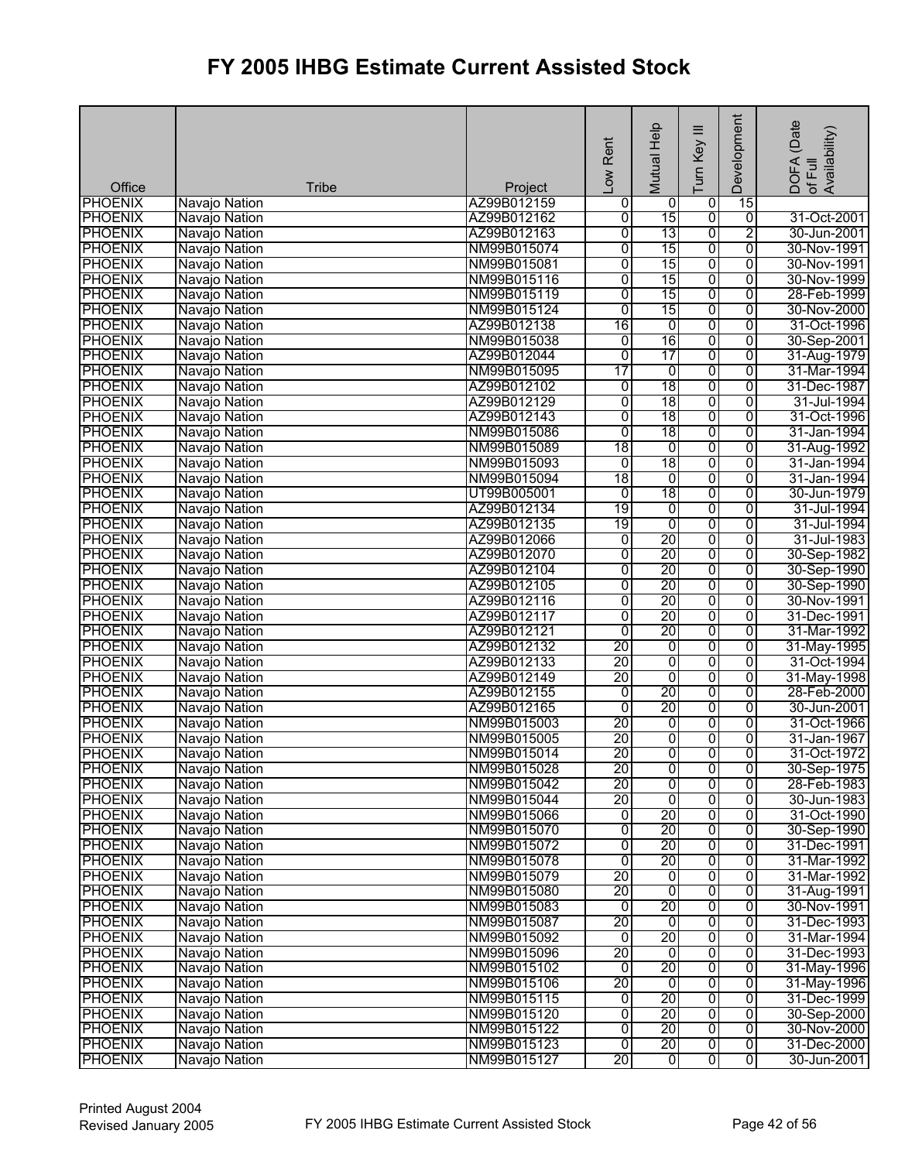| Office         | <b>Tribe</b>  | Project     | Low Rent        | Mutual Help    | $\equiv$<br>Turn Key | Development    | (Date<br>Availability)<br>DOFA<br>of Full |
|----------------|---------------|-------------|-----------------|----------------|----------------------|----------------|-------------------------------------------|
| <b>PHOENIX</b> | Navajo Nation | AZ99B012159 | 0               | 0              | 0                    | 15             |                                           |
| <b>PHOENIX</b> | Navajo Nation | AZ99B012162 | 0               | 15             | $\overline{0}$       | $\overline{0}$ | 31-Oct-2001                               |
| <b>PHOENIX</b> | Navajo Nation | AZ99B012163 | 0               | 13             | ō                    | $\overline{2}$ | 30-Jun-2001                               |
| <b>PHOENIX</b> | Navajo Nation | NM99B015074 | O               | 15             | ō                    | $\overline{0}$ | 30-Nov-1991                               |
| <b>PHOENIX</b> | Navajo Nation | NM99B015081 | 0               | 15             | $\overline{0}$       | $\overline{0}$ | 30-Nov-1991                               |
| <b>PHOENIX</b> | Navajo Nation | NM99B015116 | O               | 15             | $\overline{0}$       | $\overline{0}$ | 30-Nov-1999                               |
| <b>PHOENIX</b> | Navajo Nation | NM99B015119 | $\overline{0}$  | 15             | $\overline{0}$       | 0              | 28-Feb-1999                               |
| <b>PHOENIX</b> | Navajo Nation | NM99B015124 | Ō               | 15             | $\overline{0}$       | $\overline{0}$ | 30-Nov-2000                               |
| <b>PHOENIX</b> | Navajo Nation | AZ99B012138 | 16              | 0              | $\overline{0}$       | $\overline{0}$ | 31-Oct-1996                               |
| <b>PHOENIX</b> | Navajo Nation | NM99B015038 | ō               | 16             | $\overline{0}$       | $\overline{0}$ | 30-Sep-2001                               |
| <b>PHOENIX</b> | Navajo Nation | AZ99B012044 | 0               | 17             | ō                    | $\overline{0}$ | 31-Aug-1979                               |
| <b>PHOENIX</b> | Navajo Nation | NM99B015095 | 17              | 0              | $\overline{0}$       | $\overline{0}$ | 31-Mar-1994                               |
| <b>PHOENIX</b> | Navajo Nation | AZ99B012102 | o               | 18             | $\overline{0}$       | $\overline{0}$ | 31-Dec-1987                               |
| <b>PHOENIX</b> | Navajo Nation | AZ99B012129 | 0               | 18             | $\overline{0}$       | 0              | 31-Jul-1994                               |
| <b>PHOENIX</b> | Navajo Nation | AZ99B012143 | Ō               | 18             | $\overline{0}$       | $\overline{0}$ | 31-Oct-1996                               |
| <b>PHOENIX</b> | Navajo Nation | NM99B015086 | 0               | 18             | $\overline{0}$       | $\overline{0}$ | 31-Jan-1994                               |
| <b>PHOENIX</b> | Navajo Nation | NM99B015089 | 18              | 0              | 0                    | $\overline{0}$ | 31-Aug-1992                               |
| <b>PHOENIX</b> | Navajo Nation | NM99B015093 | 0               | 18             | $\overline{0}$       | $\overline{0}$ | 31-Jan-1994                               |
| <b>PHOENIX</b> | Navajo Nation | NM99B015094 | 18              | $\overline{0}$ | $\overline{0}$       | $\overline{0}$ | 31-Jan-1994                               |
| <b>PHOENIX</b> | Navajo Nation | UT99B005001 | $\mathbf 0$     | 18             | $\overline{0}$       | 0              | 30-Jun-1979                               |
| <b>PHOENIX</b> | Navajo Nation | AZ99B012134 | 19              | ō              | $\overline{0}$       | $\overline{0}$ | 31-Jul-1994                               |
| <b>PHOENIX</b> | Navajo Nation | AZ99B012135 | 19              | $\overline{0}$ | ō                    | $\overline{0}$ | 31-Jul-1994                               |
| <b>PHOENIX</b> | Navajo Nation | AZ99B012066 | O               | 20             | $\overline{0}$       | $\overline{0}$ | 31-Jul-1983                               |
| <b>PHOENIX</b> | Navajo Nation | AZ99B012070 | 0               | 20             | $\overline{0}$       | $\overline{0}$ | 30-Sep-1982                               |
| <b>PHOENIX</b> | Navajo Nation | AZ99B012104 | O               | 20             | $\overline{0}$       | $\overline{0}$ | 30-Sep-1990                               |
| <b>PHOENIX</b> | Navajo Nation | AZ99B012105 | 0               | 20             | $\overline{0}$       | $\overline{0}$ | 30-Sep-1990                               |
| <b>PHOENIX</b> | Navajo Nation | AZ99B012116 | O               | 20             | ō                    | $\overline{0}$ | 30-Nov-1991                               |
| <b>PHOENIX</b> | Navajo Nation | AZ99B012117 | 0               | 20             | $\overline{0}$       | $\overline{0}$ | 31-Dec-1991                               |
| <b>PHOENIX</b> | Navajo Nation | AZ99B012121 | ō               | 20             | ō                    | $\overline{0}$ | 31-Mar-1992                               |
| <b>PHOENIX</b> | Navajo Nation | AZ99B012132 | 20              | $\overline{0}$ | $\overline{0}$       | $\overline{0}$ | 31-May-1995                               |
| <b>PHOENIX</b> | Navajo Nation | AZ99B012133 | 20              | $\overline{0}$ | $\overline{0}$       | $\overline{0}$ | 31-Oct-1994                               |
| <b>PHOENIX</b> | Navajo Nation | AZ99B012149 | $\overline{20}$ | $\overline{0}$ | $\overline{0}$       | 0              | 31-May-1998                               |
| <b>PHOENIX</b> | Navajo Nation | AZ99B012155 | o               | 20             | ō                    | $\overline{0}$ | 28-Feb-2000                               |
| <b>PHOENIX</b> | Navajo Nation | AZ99B012165 | $\overline{0}$  | 20             | $\overline{0}$       | $\overline{0}$ | 30-Jun-2001                               |
| <b>PHOENIX</b> | Navajo Nation | NM99B015003 | 20              | ō              | $\overline{0}$       | $\overline{0}$ | 31-Oct-1966                               |
| <b>PHOENIX</b> | Navajo Nation | NM99B015005 | 20              | ō              | $\overline{0}$       | $\overline{0}$ | 31-Jan-1967                               |
| <b>PHOENIX</b> | Navajo Nation | NM99B015014 | 20              | $\overline{0}$ | ᅁ                    | $\overline{0}$ | 31-Oct-1972                               |
| <b>PHOENIX</b> | Navajo Nation | NM99B015028 | 20              | $\overline{0}$ | $\overline{0}$       | 0              | 30-Sep-1975                               |
| <b>PHOENIX</b> | Navajo Nation | NM99B015042 | 20              | 0              | $\overline{0}$       | 0              | 28-Feb-1983                               |
| <b>PHOENIX</b> | Navajo Nation | NM99B015044 | 20              | $\overline{0}$ | $\overline{0}$       | $\overline{0}$ | 30-Jun-1983                               |
| <b>PHOENIX</b> | Navajo Nation | NM99B015066 | ō               | 20             | $\overline{0}$       | $\overline{0}$ | 31-Oct-1990                               |
| <b>PHOENIX</b> | Navajo Nation | NM99B015070 | O               | 20             | ō                    | $\overline{0}$ | 30-Sep-1990                               |
| <b>PHOENIX</b> | Navajo Nation | NM99B015072 | O               | 20             | $\overline{0}$       | $\overline{0}$ | 31-Dec-1991                               |
| <b>PHOENIX</b> | Navajo Nation | NM99B015078 | $\overline{0}$  | 20             | $\overline{0}$       | $\overline{0}$ | 31-Mar-1992                               |
| <b>PHOENIX</b> | Navajo Nation | NM99B015079 | 20              | $\overline{0}$ | ō                    | 0              | 31-Mar-1992                               |
| <b>PHOENIX</b> | Navajo Nation | NM99B015080 | 20              | $\overline{0}$ | $\overline{0}$       | $\overline{0}$ | 31-Aug-1991                               |
| <b>PHOENIX</b> | Navajo Nation | NM99B015083 | o               | 20             | $\overline{0}$       | 0              | 30-Nov-1991                               |
| <b>PHOENIX</b> | Navajo Nation | NM99B015087 | 20              | ō              | $\overline{0}$       | 0              | 31-Dec-1993                               |
| <b>PHOENIX</b> | Navajo Nation | NM99B015092 | $\overline{0}$  | 20             | $\overline{0}$       | $\overline{0}$ | 31-Mar-1994                               |
| <b>PHOENIX</b> | Navajo Nation | NM99B015096 | 20              | $\overline{0}$ | $\overline{0}$       | $\overline{0}$ | 31-Dec-1993                               |
| <b>PHOENIX</b> | Navajo Nation | NM99B015102 | $\overline{0}$  | 20             | $\overline{0}$       | 0              | 31-May-1996                               |
| <b>PHOENIX</b> | Navajo Nation | NM99B015106 | 20              | o              | $\overline{0}$       | $\overline{0}$ | 31-May-1996                               |
| <b>PHOENIX</b> | Navajo Nation | NM99B015115 | o               | 20             | ō                    | $\overline{0}$ | 31-Dec-1999                               |
| <b>PHOENIX</b> | Navajo Nation | NM99B015120 | O               | 20             | $\overline{0}$       | 0              | 30-Sep-2000                               |
| <b>PHOENIX</b> | Navajo Nation | NM99B015122 | o               | 20             | $\overline{0}$       | 0              | 30-Nov-2000                               |
| <b>PHOENIX</b> | Navajo Nation | NM99B015123 | $\overline{0}$  | 20             | ᅁ                    | 0              | 31-Dec-2000                               |
| <b>PHOENIX</b> | Navajo Nation | NM99B015127 | 20              | ō              | $\overline{0}$       | $\overline{0}$ | 30-Jun-2001                               |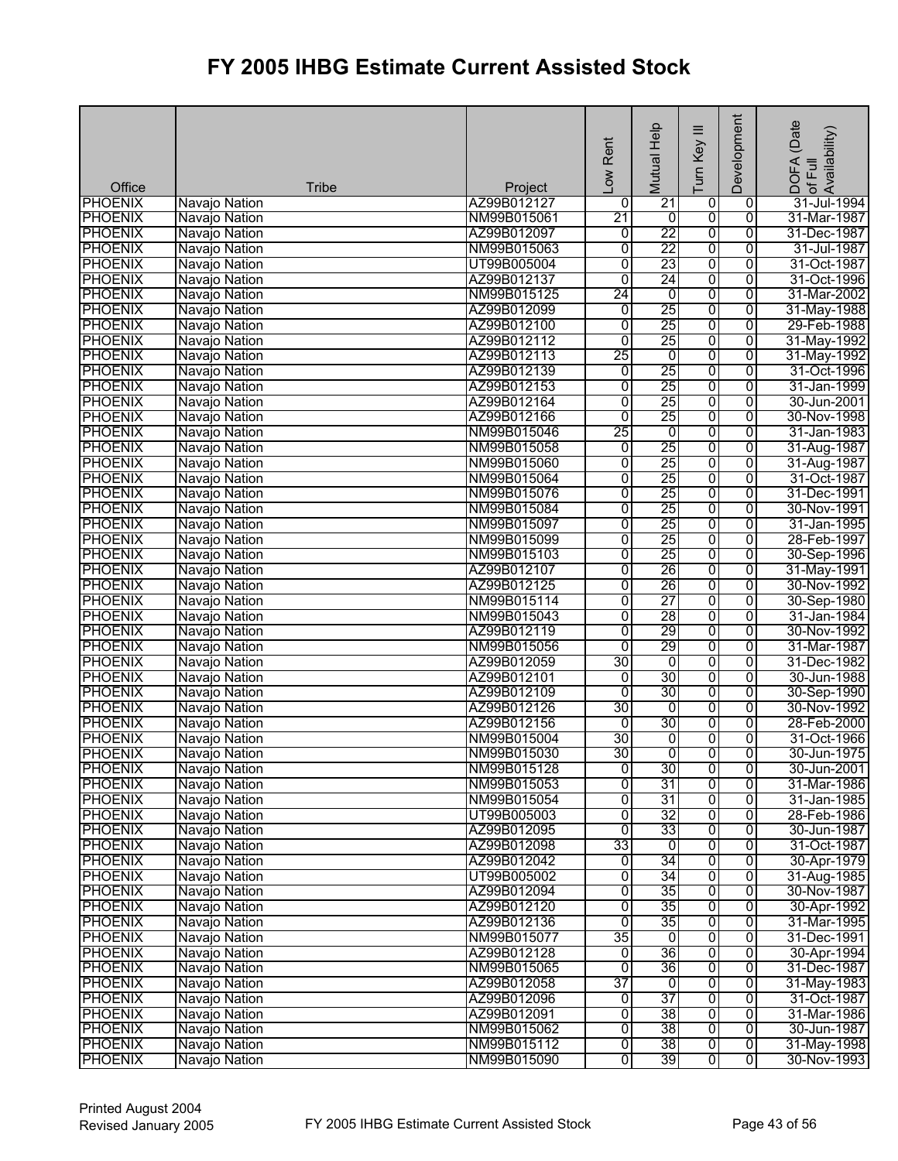| Office         | <b>Tribe</b>  | Project     | Low Rent        | Mutual Help     | $\equiv$<br>Turn Key    | Development    | (Date<br>DOFA (Date<br> of Full<br> Availability) |
|----------------|---------------|-------------|-----------------|-----------------|-------------------------|----------------|---------------------------------------------------|
| <b>PHOENIX</b> | Navajo Nation | AZ99B012127 | 0               | 21              | 0                       | 0              | 31-Jul-1994                                       |
| <b>PHOENIX</b> | Navajo Nation | NM99B015061 | 21              | $\overline{0}$  | $\overline{0}$          | $\overline{0}$ | 31-Mar-1987                                       |
| <b>PHOENIX</b> | Navajo Nation | AZ99B012097 | $\overline{0}$  | 22              | 0                       | $\overline{0}$ | 31-Dec-1987                                       |
| <b>PHOENIX</b> | Navajo Nation | NM99B015063 | $\overline{0}$  | 22              | 0                       | 0              | 31-Jul-1987                                       |
| <b>PHOENIX</b> | Navajo Nation | UT99B005004 | $\overline{0}$  | 23              | 0                       | $\overline{0}$ | 31-Oct-1987                                       |
| <b>PHOENIX</b> | Navajo Nation | AZ99B012137 | $\overline{0}$  | 24              | $\overline{0}$          | $\overline{0}$ | 31-Oct-1996                                       |
| <b>PHOENIX</b> | Navajo Nation | NM99B015125 | $\overline{24}$ | 0               | $\overline{0}$          | $\overline{0}$ | 31-Mar-2002                                       |
| <b>PHOENIX</b> | Navajo Nation | AZ99B012099 | $\overline{0}$  | 25              | 0                       | 0              | 31-May-1988                                       |
| <b>PHOENIX</b> | Navajo Nation | AZ99B012100 | $\overline{0}$  | 25              | 0                       | $\overline{0}$ | 29-Feb-1988                                       |
| <b>PHOENIX</b> | Navajo Nation | AZ99B012112 | $\overline{0}$  | 25              | 0                       | $\overline{0}$ | 31-May-1992                                       |
| <b>PHOENIX</b> | Navajo Nation | AZ99B012113 | 25              | $\overline{0}$  | 0                       | $\overline{0}$ | 31-May-1992                                       |
| <b>PHOENIX</b> | Navajo Nation | AZ99B012139 | $\overline{0}$  | 25              | 0                       | 0              | 31-Oct-1996                                       |
| <b>PHOENIX</b> | Navajo Nation | AZ99B012153 | $\overline{0}$  | 25              | 0                       | 0              | 31-Jan-1999                                       |
| <b>PHOENIX</b> | Navajo Nation | AZ99B012164 | $\overline{0}$  | 25              | $\overline{0}$          | $\overline{0}$ | 30-Jun-2001                                       |
| <b>PHOENIX</b> | Navajo Nation | AZ99B012166 | $\overline{0}$  | 25              | 0                       | 0              | 30-Nov-1998                                       |
| <b>PHOENIX</b> | Navajo Nation | NM99B015046 | 25              | 0               | 0                       | 0              | 31-Jan-1983                                       |
| <b>PHOENIX</b> | Navajo Nation | NM99B015058 | $\overline{0}$  | 25              | 0                       | 0              | 31-Aug-1987                                       |
| <b>PHOENIX</b> | Navajo Nation | NM99B015060 | $\overline{0}$  | 25              | 0                       | $\overline{0}$ | 31-Aug-1987                                       |
| <b>PHOENIX</b> | Navajo Nation | NM99B015064 | 0               | 25              | 0                       | 0              | 31-Oct-1987                                       |
| <b>PHOENIX</b> | Navajo Nation | NM99B015076 | $\overline{0}$  | 25              | $\overline{0}$          | 0              | 31-Dec-1991                                       |
| <b>PHOENIX</b> | Navajo Nation | NM99B015084 | 0               | 25              | 0                       | 0              | 30-Nov-1991                                       |
| <b>PHOENIX</b> | Navajo Nation | NM99B015097 | $\overline{0}$  | 25              | 0                       | $\overline{0}$ | 31-Jan-1995                                       |
| <b>PHOENIX</b> | Navajo Nation | NM99B015099 | 0               | 25              | 0                       | 0              | 28-Feb-1997                                       |
| <b>PHOENIX</b> | Navajo Nation | NM99B015103 | $\overline{0}$  | 25              | 0                       | $\overline{0}$ | 30-Sep-1996                                       |
| <b>PHOENIX</b> | Navajo Nation | AZ99B012107 | 0               | 26              | 0                       | $\overline{0}$ | 31-May-1991                                       |
| <b>PHOENIX</b> | Navajo Nation | AZ99B012125 | 0               | 26              | $\overline{0}$          | $\overline{0}$ | 30-Nov-1992                                       |
| <b>PHOENIX</b> | Navajo Nation | NM99B015114 | $\overline{0}$  | 27              | 0                       | 0              | 30-Sep-1980                                       |
| <b>PHOENIX</b> | Navajo Nation | NM99B015043 | $\overline{0}$  | 28              | 0                       | $\overline{0}$ | 31-Jan-1984                                       |
| <b>PHOENIX</b> | Navajo Nation | AZ99B012119 | $\overline{0}$  | 29              | 0                       | $\overline{0}$ | 30-Nov-1992                                       |
| <b>PHOENIX</b> | Navajo Nation | NM99B015056 | $\overline{0}$  | 29              | 0                       | $\overline{0}$ | 31-Mar-1987                                       |
| <b>PHOENIX</b> | Navajo Nation | AZ99B012059 | 30              | 0               | 0                       | 0              | 31-Dec-1982                                       |
| <b>PHOENIX</b> | Navajo Nation | AZ99B012101 | 0               | 30              | 0                       | 0              | 30-Jun-1988                                       |
| <b>PHOENIX</b> | Navajo Nation | AZ99B012109 | $\overline{0}$  | 30              | 0                       | $\overline{0}$ | 30-Sep-1990                                       |
| <b>PHOENIX</b> | Navajo Nation | AZ99B012126 | 30              | $\overline{0}$  | $\overline{0}$          | 0              | 30-Nov-1992                                       |
| <b>PHOENIX</b> | Navajo Nation | AZ99B012156 | $\overline{0}$  | 30              | 0                       | $\overline{0}$ | 28-Feb-2000                                       |
| <b>PHOENIX</b> | Navajo Nation | NM99B015004 | 30              | 0               | 0                       | 0              | 31-Oct-1966                                       |
| <b>PHOENIX</b> | Navajo Nation | NM99B015030 | 30              | $\overline{0}$  | $\overline{0}$          | 0              | 30-Jun-1975                                       |
| <b>PHOENIX</b> | Navajo Nation | NM99B015128 | $\overline{0}$  | 30              | o                       | 0              | 30-Jun-2001                                       |
| <b>PHOENIX</b> | Navajo Nation | NM99B015053 | 0               | 31              | 0                       | 0              | 31-Mar-1986                                       |
| <b>PHOENIX</b> | Navajo Nation | NM99B015054 | 0               | 31              | 0                       | 0              | 31-Jan-1985                                       |
| <b>PHOENIX</b> | Navajo Nation | UT99B005003 | 0               | 32              | 0                       | 0              | 28-Feb-1986                                       |
| <b>PHOENIX</b> | Navajo Nation | AZ99B012095 | $\overline{0}$  | 33              | 0                       | 0              | 30-Jun-1987                                       |
| <b>PHOENIX</b> | Navajo Nation | AZ99B012098 | 33              | 0               | 0                       | 0              | 31-Oct-1987                                       |
| <b>PHOENIX</b> | Navajo Nation | AZ99B012042 | $\overline{0}$  | 34              | 0                       | $\overline{0}$ | 30-Apr-1979                                       |
| <b>PHOENIX</b> | Navajo Nation | UT99B005002 | $\overline{0}$  | 34              | $\overline{0}$          | $\overline{0}$ | 31-Aug-1985                                       |
| <b>PHOENIX</b> | Navajo Nation | AZ99B012094 | 0               | 35              | 0                       | 0              | 30-Nov-1987                                       |
| <b>PHOENIX</b> | Navajo Nation | AZ99B012120 | $\overline{0}$  | 35              | 0                       | 0              | 30-Apr-1992                                       |
| <b>PHOENIX</b> | Navajo Nation | AZ99B012136 | $\overline{0}$  | 35              | 0                       | 0              | 31-Mar-1995                                       |
| <b>PHOENIX</b> | Navajo Nation | NM99B015077 | 35              | $\overline{0}$  | $\overline{0}$          | $\overline{0}$ | 31-Dec-1991                                       |
| <b>PHOENIX</b> | Navajo Nation | AZ99B012128 | 0               | 36              | 0                       | 0              | 30-Apr-1994                                       |
| <b>PHOENIX</b> | Navajo Nation | NM99B015065 | 0               | 36              | $\overline{0}$          | 0              | 31-Dec-1987                                       |
| <b>PHOENIX</b> | Navajo Nation | AZ99B012058 | 37              | o               | $\overline{0}$          | 0              | 31-May-1983                                       |
| <b>PHOENIX</b> | Navajo Nation | AZ99B012096 | 0               | $\overline{37}$ | $\overline{0}$          | $\overline{0}$ | 31-Oct-1987                                       |
| <b>PHOENIX</b> | Navajo Nation | AZ99B012091 | 0               | 38              | 0                       | $\overline{0}$ | 31-Mar-1986                                       |
| <b>PHOENIX</b> | Navajo Nation | NM99B015062 | 0               | 38              | $\overline{\mathbf{0}}$ | $\overline{0}$ | 30-Jun-1987                                       |
| <b>PHOENIX</b> | Navajo Nation | NM99B015112 | O               | 38              | $\overline{0}$          | $\overline{0}$ | 31-May-1998                                       |
| <b>PHOENIX</b> | Navajo Nation | NM99B015090 | 0               | 39              | $\overline{\mathbf{0}}$ | $\overline{0}$ | 30-Nov-1993                                       |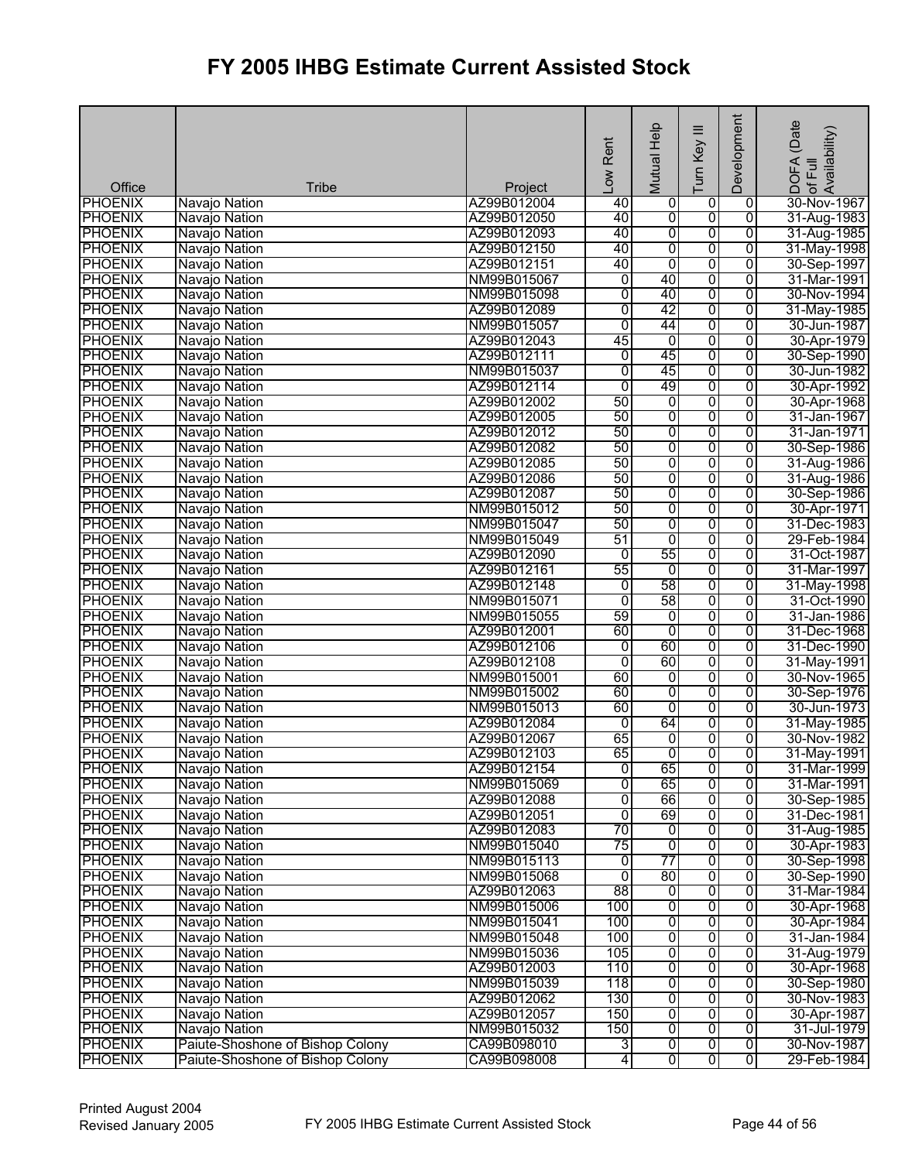| Office                           | <b>Tribe</b>                     | Project                    | Low Rent       | Mutual Help    | Ξ<br>Turn Key  | Development                      | (Date<br>¦DOFA (Date<br>∶of Full<br>Availability) |
|----------------------------------|----------------------------------|----------------------------|----------------|----------------|----------------|----------------------------------|---------------------------------------------------|
| <b>PHOENIX</b>                   | Navajo Nation                    | AZ99B012004                | 40             | 0              | 0              | 0                                | 30-Nov-1967                                       |
| <b>PHOENIX</b>                   | Navajo Nation                    | AZ99B012050                | 40             | $\overline{0}$ | 0              | $\overline{0}$                   | 31-Aug-1983                                       |
| <b>PHOENIX</b>                   | Navajo Nation                    | AZ99B012093                | 40             | $\overline{0}$ | $\overline{0}$ | $\overline{0}$                   | 31-Aug-1985                                       |
| <b>PHOENIX</b>                   | Navajo Nation                    | AZ99B012150                | 40             | 0              | $\overline{0}$ | $\overline{0}$                   | 31-May-1998                                       |
| <b>PHOENIX</b>                   | Navajo Nation                    | AZ99B012151                | 40             | $\overline{0}$ | 0              | $\overline{0}$                   | 30-Sep-1997                                       |
| <b>PHOENIX</b>                   | Navajo Nation                    | NM99B015067                | $\overline{0}$ | 40             | $\overline{0}$ | $\overline{0}$                   | 31-Mar-1991                                       |
| <b>PHOENIX</b>                   | Navajo Nation                    | NM99B015098                | 0              | 40             | $\overline{0}$ | $\overline{0}$                   | 30-Nov-1994                                       |
| <b>PHOENIX</b>                   | Navajo Nation                    | AZ99B012089                | 0              | 42             | 0              | $\overline{0}$                   | 31-May-1985                                       |
| <b>PHOENIX</b>                   | Navajo Nation                    | NM99B015057                | $\overline{0}$ | 44             | $\overline{0}$ | $\overline{0}$                   | 30-Jun-1987                                       |
| <b>PHOENIX</b>                   | Navajo Nation                    | AZ99B012043                | 45             | 0              | 0              | $\overline{0}$                   | 30-Apr-1979                                       |
| <b>PHOENIX</b>                   | Navajo Nation                    | AZ99B012111                | $\overline{0}$ | 45             | 0              | $\overline{0}$                   | 30-Sep-1990                                       |
| <b>PHOENIX</b>                   | Navajo Nation                    | NM99B015037                | 0              | 45             | $\overline{0}$ | $\overline{0}$                   | 30-Jun-1982                                       |
| <b>PHOENIX</b>                   | Navajo Nation                    | AZ99B012114                | $\overline{0}$ | 49             | 0              | $\overline{0}$                   | 30-Apr-1992                                       |
| <b>PHOENIX</b>                   | Navajo Nation                    | AZ99B012002                | 50             | O              | $\overline{0}$ | $\overline{0}$                   | 30-Apr-1968                                       |
| <b>PHOENIX</b>                   | Navajo Nation                    | AZ99B012005                | 50             | 0              | 0              | 0                                | 31-Jan-1967                                       |
| <b>PHOENIX</b>                   | Navajo Nation                    | AZ99B012012                | 50             | 0              | 0              | 0                                | 31-Jan-1971                                       |
| <b>PHOENIX</b>                   | Navajo Nation                    | AZ99B012082                | 50             | 0              | 0              | 0                                | 30-Sep-1986                                       |
| <b>PHOENIX</b>                   | Navajo Nation                    | AZ99B012085                | 50             | $\overline{0}$ | 0              | $\overline{0}$                   | 31-Aug-1986                                       |
| <b>PHOENIX</b>                   | Navajo Nation                    | AZ99B012086                | 50             | 0              | 0              | 0                                | 31-Aug-1986                                       |
| <b>PHOENIX</b>                   | Navajo Nation                    | AZ99B012087                | 50             | O              | $\overline{0}$ | 0                                | 30-Sep-1986                                       |
| <b>PHOENIX</b>                   | Navajo Nation                    | NM99B015012                | 50             | $\overline{0}$ | 0              | $\overline{0}$                   | 30-Apr-1971                                       |
| <b>PHOENIX</b>                   | Navajo Nation                    | NM99B015047                | 50             | 0              | 0              | $\overline{0}$                   | 31-Dec-1983                                       |
| <b>PHOENIX</b>                   | Navajo Nation                    | NM99B015049                | 51             | $\overline{0}$ | 0              | 0                                | 29-Feb-1984                                       |
| <b>PHOENIX</b>                   | Navajo Nation                    | AZ99B012090                | 0              | 55             | 0              | $\overline{0}$                   | 31-Oct-1987                                       |
| <b>PHOENIX</b>                   | Navajo Nation                    | AZ99B012161                | 55             | 0              | 0              | $\overline{0}$                   | 31-Mar-1997                                       |
| <b>PHOENIX</b>                   | Navajo Nation                    | AZ99B012148                | 0              | 58             | $\overline{0}$ | $\overline{0}$                   | 31-May-1998                                       |
| <b>PHOENIX</b>                   | Navajo Nation                    | NM99B015071                | Ō              | 58             | $\overline{0}$ | 0                                | 31-Oct-1990                                       |
| <b>PHOENIX</b>                   | Navajo Nation                    | NM99B015055                | 59             | 0              | $\overline{0}$ | $\overline{0}$                   | 31-Jan-1986                                       |
| <b>PHOENIX</b>                   | Navajo Nation                    | AZ99B012001                | 60             | 0              | 0              | $\overline{0}$                   | 31-Dec-1968                                       |
| <b>PHOENIX</b>                   | Navajo Nation                    | AZ99B012106                | 0              | 60             | 0              | $\overline{0}$                   | 31-Dec-1990                                       |
| <b>PHOENIX</b>                   | Navajo Nation                    | AZ99B012108                | $\overline{0}$ | 60             | 0              | $\overline{0}$                   | 31-May-1991                                       |
| <b>PHOENIX</b>                   | Navajo Nation                    | NM99B015001<br>NM99B015002 | 60<br>60       | $\overline{0}$ | 0<br>0         | $\overline{0}$                   | 30-Nov-1965                                       |
| <b>PHOENIX</b><br><b>PHOENIX</b> | Navajo Nation<br>Navajo Nation   | NM99B015013                | 60             | 0<br>0         | 0              | $\overline{0}$<br>$\overline{0}$ | 30-Sep-1976<br>30-Jun-1973                        |
| <b>PHOENIX</b>                   | Navajo Nation                    | AZ99B012084                | $\overline{0}$ | 64             | 0              | $\overline{0}$                   | 31-May-1985                                       |
| <b>PHOENIX</b>                   |                                  | AZ99B012067                | 65             | 0              | 0              | $\overline{0}$                   | 30-Nov-1982                                       |
| <b>PHOENIX</b>                   | Navajo Nation<br>Navajo Nation   | AZ99B012103                | 65             | $\overline{0}$ | $\overline{0}$ | $\overline{0}$                   | 31-May-1991                                       |
| <b>PHOENIX</b>                   | Navajo Nation                    | AZ99B012154                | $\overline{0}$ | 65             | $\overline{0}$ | 0                                | 31-Mar-1999                                       |
| <b>PHOENIX</b>                   | Navajo Nation                    | NM99B015069                | 0              | 65             | 0              | 0                                | 31-Mar-1991                                       |
| <b>PHOENIX</b>                   | Navajo Nation                    | AZ99B012088                | 0              | 66             | 0              | 0                                | 30-Sep-1985                                       |
| <b>PHOENIX</b>                   | Navajo Nation                    | AZ99B012051                | $\overline{0}$ | 69             | 0              | 0                                | 31-Dec-1981                                       |
| <b>PHOENIX</b>                   | Navajo Nation                    | AZ99B012083                | 70             | 0              | 0              | $\overline{0}$                   | 31-Aug-1985                                       |
| <b>PHOENIX</b>                   | Navajo Nation                    | NM99B015040                | 75             | 0              | $\overline{0}$ | 0                                | 30-Apr-1983                                       |
| <b>PHOENIX</b>                   | Navajo Nation                    | NM99B015113                | $\overline{0}$ | 77             | $\overline{0}$ | $\overline{0}$                   | 30-Sep-1998                                       |
| <b>PHOENIX</b>                   | Navajo Nation                    | NM99B015068                | 0              | 80             | $\overline{0}$ | $\overline{0}$                   | 30-Sep-1990                                       |
| <b>PHOENIX</b>                   | Navajo Nation                    | AZ99B012063                | 88             | $\overline{0}$ | 0              | 0                                | 31-Mar-1984                                       |
| <b>PHOENIX</b>                   | Navajo Nation                    | NM99B015006                | 100            | 0              | 0              | 0                                | 30-Apr-1968                                       |
| <b>PHOENIX</b>                   | Navajo Nation                    | NM99B015041                | 100            | $\overline{0}$ | 0              | $\overline{0}$                   | 30-Apr-1984                                       |
| <b>PHOENIX</b>                   | Navajo Nation                    | NM99B015048                | 100            | 0              | $\overline{0}$ | $\overline{0}$                   | 31-Jan-1984                                       |
| <b>PHOENIX</b>                   | Navajo Nation                    | NM99B015036                | 105            | $\overline{0}$ | 0              | 0                                | 31-Aug-1979                                       |
| <b>PHOENIX</b>                   | Navajo Nation                    | AZ99B012003                | 110            | O              | $\overline{0}$ | 0                                | 30-Apr-1968                                       |
| <b>PHOENIX</b>                   | Navajo Nation                    | NM99B015039                | 118            | $\overline{0}$ | 0              | 0                                | 30-Sep-1980                                       |
| <b>PHOENIX</b>                   | Navajo Nation                    | AZ99B012062                | 130            | $\overline{0}$ | $\overline{0}$ | $\overline{0}$                   | 30-Nov-1983                                       |
| <b>PHOENIX</b>                   | Navajo Nation                    | AZ99B012057                | 150            | $\overline{0}$ | 0              | $\overline{0}$                   | 30-Apr-1987                                       |
| <b>PHOENIX</b>                   | Navajo Nation                    | NM99B015032                | 150            | 0              | $\overline{0}$ | $\overline{0}$                   | 31-Jul-1979                                       |
| <b>PHOENIX</b>                   | Paiute-Shoshone of Bishop Colony | CA99B098010                | 3              | $\overline{0}$ | $\overline{0}$ | ō                                | 30-Nov-1987                                       |
| <b>PHOENIX</b>                   | Paiute-Shoshone of Bishop Colony | CA99B098008                | 4              | $\overline{0}$ | $\overline{0}$ | $\overline{0}$                   | 29-Feb-1984                                       |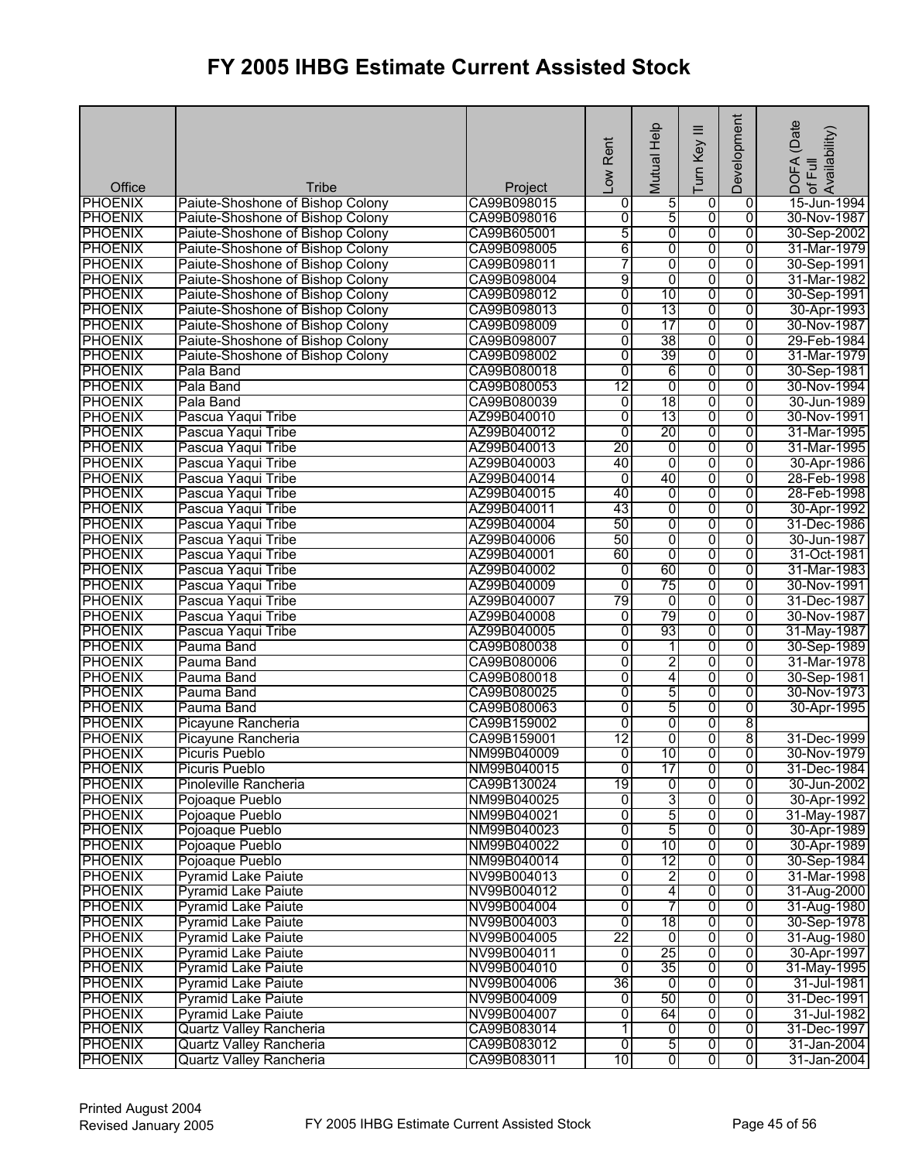|                          |                                                                      |                        | Low Rent       | Mutual Help     | Ξ<br>Turn Key           | Development         | (Date<br>DOFA (Date<br> of Full<br> Availability) |
|--------------------------|----------------------------------------------------------------------|------------------------|----------------|-----------------|-------------------------|---------------------|---------------------------------------------------|
| Office<br><b>PHOENIX</b> | Tribe                                                                | Project<br>CA99B098015 |                |                 |                         |                     |                                                   |
| <b>PHOENIX</b>           | Paiute-Shoshone of Bishop Colony<br>Paiute-Shoshone of Bishop Colony | CA99B098016            | 0<br>0         | $\frac{5}{5}$   | 0<br>0                  | 0<br>$\overline{0}$ | 15-Jun-1994<br>30-Nov-1987                        |
| <b>PHOENIX</b>           | Paiute-Shoshone of Bishop Colony                                     | CA99B605001            | 5              | $\overline{0}$  | 0                       | 0                   | 30-Sep-2002                                       |
| <b>PHOENIX</b>           | Paiute-Shoshone of Bishop Colony                                     | CA99B098005            | 6              | 0               | 0                       | 0                   | 31-Mar-1979                                       |
| <b>PHOENIX</b>           | Paiute-Shoshone of Bishop Colony                                     | CA99B098011            | 7              | 0               | 0                       | 0                   | 30-Sep-1991                                       |
| <b>PHOENIX</b>           | Paiute-Shoshone of Bishop Colony                                     | CA99B098004            | 9              | 0               | 0                       | 0                   | 31-Mar-1982                                       |
| <b>PHOENIX</b>           | Paiute-Shoshone of Bishop Colony                                     | CA99B098012            | 0              | $\overline{10}$ | 0                       | $\overline{0}$      | 30-Sep-1991                                       |
| <b>PHOENIX</b>           | Paiute-Shoshone of Bishop Colony                                     | CA99B098013            | 0              | 13              | 0                       | 0                   | 30-Apr-1993                                       |
| <b>PHOENIX</b>           | Paiute-Shoshone of Bishop Colony                                     | CA99B098009            | 0              | 17              | 0                       | $\overline{0}$      | 30-Nov-1987                                       |
| <b>PHOENIX</b>           | Paiute-Shoshone of Bishop Colony                                     | CA99B098007            | $\overline{0}$ | 38              | 0                       | $\overline{0}$      | 29-Feb-1984                                       |
| <b>PHOENIX</b>           | Paiute-Shoshone of Bishop Colony                                     | CA99B098002            | $\overline{0}$ | 39              | $\overline{0}$          | $\overline{0}$      | 31-Mar-1979                                       |
| <b>PHOENIX</b>           | Pala Band                                                            | CA99B080018            | 0              | 6               | 0                       | 0                   | 30-Sep-1981                                       |
| <b>PHOENIX</b>           | Pala Band                                                            | CA99B080053            | 12             | 0               | 0                       | $\overline{0}$      | 30-Nov-1994                                       |
| <b>PHOENIX</b>           | Pala Band                                                            | CA99B080039            | $\overline{0}$ | 18              | $\overline{0}$          | $\overline{0}$      | 30-Jun-1989                                       |
| <b>PHOENIX</b>           | Pascua Yaqui Tribe                                                   | AZ99B040010            | $\overline{0}$ | 13              | 0                       | $\overline{0}$      | 30-Nov-1991                                       |
| <b>PHOENIX</b>           | Pascua Yaqui Tribe                                                   | AZ99B040012            | $\overline{0}$ | 20              | 0                       | $\overline{0}$      | 31-Mar-1995                                       |
| <b>PHOENIX</b>           | Pascua Yaqui Tribe                                                   | AZ99B040013            | 20             | $\overline{0}$  | 0                       | 0                   | 31-Mar-1995                                       |
| <b>PHOENIX</b>           | Pascua Yaqui Tribe                                                   | AZ99B040003            | 40             | $\overline{0}$  | 0                       | $\overline{0}$      | 30-Apr-1986                                       |
| <b>PHOENIX</b>           | Pascua Yaqui Tribe                                                   | AZ99B040014            | $\overline{0}$ | 40              | $\overline{0}$          | $\overline{0}$      | 28-Feb-1998                                       |
| <b>PHOENIX</b>           | Pascua Yaqui Tribe                                                   | AZ99B040015            | 40             | 0               | 0                       | 0                   | 28-Feb-1998                                       |
| <b>PHOENIX</b>           | Pascua Yaqui Tribe                                                   | AZ99B040011            | 43             | $\overline{0}$  | 0                       | 0                   | 30-Apr-1992                                       |
| <b>PHOENIX</b>           | Pascua Yaqui Tribe                                                   | AZ99B040004            | 50             | $\overline{0}$  | $\overline{0}$          | $\overline{0}$      | 31-Dec-1986                                       |
| <b>PHOENIX</b>           | Pascua Yaqui Tribe                                                   | AZ99B040006            | 50             | 0               | 0                       | $\overline{0}$      | 30-Jun-1987                                       |
| <b>PHOENIX</b>           | Pascua Yaqui Tribe                                                   | AZ99B040001            | 60             | 0               | 0                       | 0                   | 31-Oct-1981                                       |
| <b>PHOENIX</b>           | Pascua Yaqui Tribe                                                   | AZ99B040002            | $\overline{0}$ | 60              | 0                       | 0                   | 31-Mar-1983                                       |
| <b>PHOENIX</b>           | Pascua Yaqui Tribe                                                   | AZ99B040009            | 0              | 75              | 0                       | 0                   | 30-Nov-1991                                       |
| <b>PHOENIX</b>           | Pascua Yaqui Tribe                                                   | AZ99B040007            | 79             | $\overline{0}$  | 0                       | 0                   | 31-Dec-1987                                       |
| <b>PHOENIX</b>           | Pascua Yaqui Tribe                                                   | AZ99B040008            | 0              | 79              | 0                       | 0                   | 30-Nov-1987                                       |
| <b>PHOENIX</b>           | Pascua Yaqui Tribe                                                   | AZ99B040005            | 0              | 93              | 0                       | 0                   | 31-May-1987                                       |
| <b>PHOENIX</b>           | Pauma Band                                                           | CA99B080038            | 0              | 1               | $\overline{0}$          | 0                   | 30-Sep-1989                                       |
| <b>PHOENIX</b>           | Pauma Band                                                           | CA99B080006            | 0              | 2               | 0                       | 0                   | 31-Mar-1978                                       |
| <b>PHOENIX</b>           | Pauma Band                                                           | CA99B080018            | 0              | 4               | 0                       | 0                   | 30-Sep-1981                                       |
| <b>PHOENIX</b>           | Pauma Band                                                           | CA99B080025            | $\overline{0}$ | 5               | $\overline{0}$          | $\overline{0}$      | 30-Nov-1973                                       |
| <b>PHOENIX</b>           | Pauma Band                                                           | CA99B080063            | $\overline{0}$ | 5               | $\overline{0}$          | $\overline{0}$      | 30-Apr-1995                                       |
| <b>PHOENIX</b>           | Picayune Rancheria                                                   | CA99B159002            | $\overline{0}$ | $\overline{0}$  | 0                       | 8                   |                                                   |
| <b>PHOENIX</b>           | Picayune Rancheria                                                   | CA99B159001            | 12             | 0               | 0                       | 8                   | 31-Dec-1999                                       |
| <b>PHOENIX</b>           | <b>Picuris Pueblo</b>                                                | NM99B040009            | $\overline{0}$ | 10              | $\overline{0}$          | $\overline{0}$      | 30-Nov-1979                                       |
| <b>PHOENIX</b>           | <b>Picuris Pueblo</b>                                                | NM99B040015            | $\overline{0}$ | 17              | o                       | 0                   | 31-Dec-1984                                       |
| <b>PHOENIX</b>           | Pinoleville Rancheria                                                | CA99B130024            | 19             | $\overline{0}$  | 0                       | 0                   | 30-Jun-2002                                       |
| <b>PHOENIX</b>           | Pojoaque Pueblo                                                      | NM99B040025            | 0              | 3               | 0                       | 0                   | 30-Apr-1992                                       |
| <b>PHOENIX</b>           | Pojoaque Pueblo                                                      | NM99B040021            | 0              | 5               | 0                       | $\overline{0}$      | 31-May-1987                                       |
| <b>PHOENIX</b>           | Pojoaque Pueblo                                                      | NM99B040023            | 0              | 5               | 0                       | $\overline{0}$      | 30-Apr-1989                                       |
| <b>PHOENIX</b>           | Pojoaque Pueblo                                                      | NM99B040022            | 0              | 10              | 0                       | 0                   | 30-Apr-1989                                       |
| <b>PHOENIX</b>           | Pojoaque Pueblo                                                      | NM99B040014            | 0              | 12              | 0                       | $\overline{0}$      | 30-Sep-1984                                       |
| <b>PHOENIX</b>           | <b>Pyramid Lake Paiute</b>                                           | NV99B004013            | 0              | $\overline{2}$  | $\overline{\mathbf{0}}$ | 0                   | 31-Mar-1998                                       |
| <b>PHOENIX</b>           | <b>Pyramid Lake Paiute</b>                                           | NV99B004012            | 0              | 4               | 0                       | 0                   | 31-Aug-2000                                       |
| <b>PHOENIX</b>           | <b>Pyramid Lake Paiute</b>                                           | NV99B004004            | 0              | 7               | 0                       | 0                   | 31-Aug-1980                                       |
| <b>PHOENIX</b>           | <b>Pyramid Lake Paiute</b>                                           | NV99B004003            | $\overline{0}$ | 18              | 0                       | 0                   | 30-Sep-1978                                       |
| <b>PHOENIX</b>           | <b>Pyramid Lake Paiute</b>                                           | NV99B004005            | 22             | $\overline{0}$  | 0                       | $\overline{0}$      | 31-Aug-1980                                       |
| <b>PHOENIX</b>           | <b>Pyramid Lake Paiute</b>                                           | NV99B004011            | 0              | 25              | 0                       | $\overline{0}$      | 30-Apr-1997                                       |
| <b>PHOENIX</b>           | <b>Pyramid Lake Paiute</b>                                           | NV99B004010            | 0              | 35              | $\overline{0}$          | 0                   | 31-May-1995                                       |
| <b>PHOENIX</b>           | <b>Pyramid Lake Paiute</b>                                           | NV99B004006            | 36             | $\overline{0}$  | 0                       | $\overline{0}$      | 31-Jul-1981                                       |
| <b>PHOENIX</b>           | <b>Pyramid Lake Paiute</b>                                           | NV99B004009            | $\overline{0}$ | 50              | 0                       | $\overline{0}$      | 31-Dec-1991                                       |
| <b>PHOENIX</b>           | <b>Pyramid Lake Paiute</b>                                           | NV99B004007            | 0              | 64              | 0                       | $\overline{0}$      | 31-Jul-1982                                       |
| <b>PHOENIX</b>           | <b>Quartz Valley Rancheria</b>                                       | CA99B083014            | 1              | 0               | 0                       | 0                   | 31-Dec-1997                                       |
| <b>PHOENIX</b>           | <b>Quartz Valley Rancheria</b>                                       | CA99B083012            | O              | 5               | $\overline{0}$          | $\overline{0}$      | 31-Jan-2004                                       |
| <b>PHOENIX</b>           | Quartz Valley Rancheria                                              | CA99B083011            | 10             | $\overline{0}$  | 0                       | $\overline{0}$      | 31-Jan-2004                                       |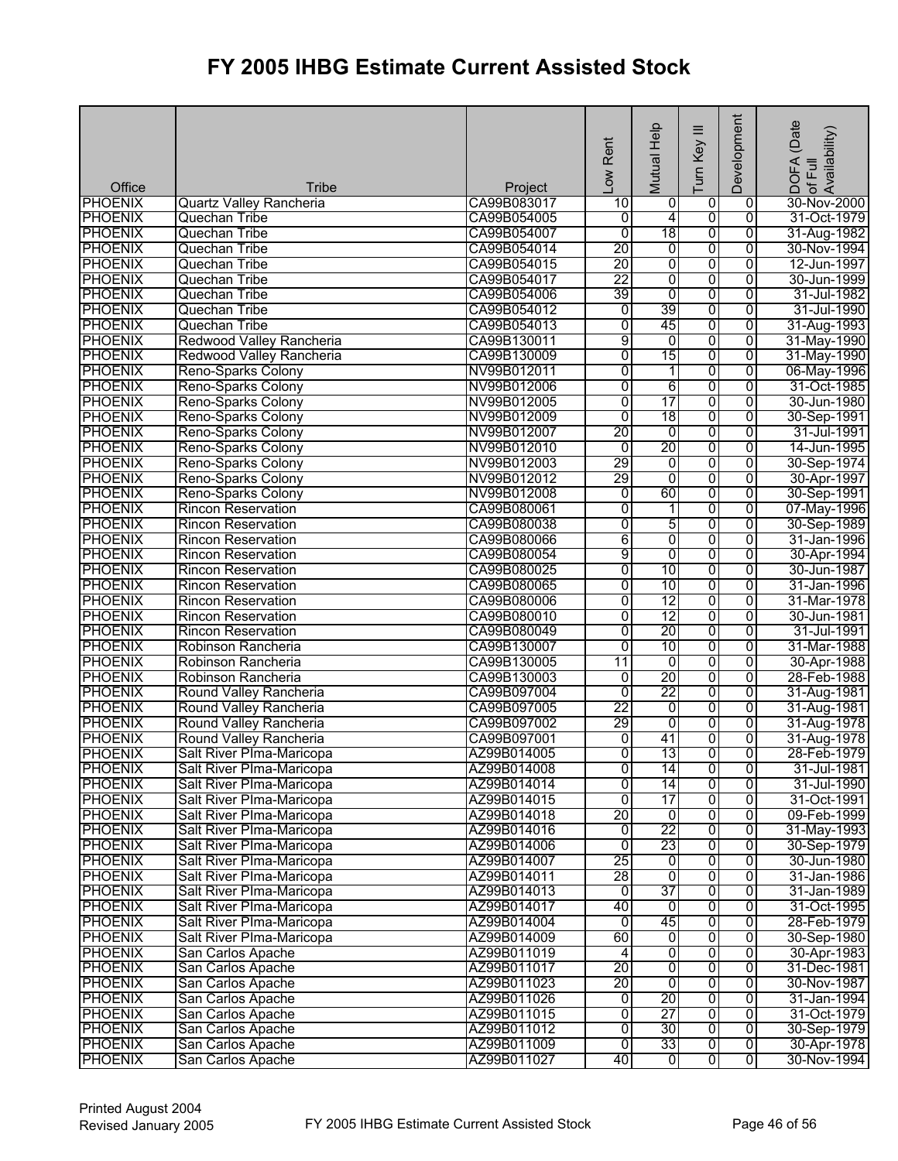| <b>PHOENIX</b><br>CA99B083017<br>10<br>0<br>0<br>30-Nov-2000<br>Quartz Valley Rancheria<br>0<br>0<br>$\overline{0}$<br>4<br>31-Oct-1979<br><b>PHOENIX</b><br>Quechan Tribe<br>CA99B054005<br>Ō<br>18<br><b>PHOENIX</b><br>$\overline{0}$<br>$\overline{0}$<br>$\overline{0}$<br>31-Aug-1982<br>Quechan Tribe<br>CA99B054007<br>20<br>$\overline{0}$<br>0<br>$\overline{0}$<br>30-Nov-1994<br>Quechan Tribe<br>CA99B054014<br>20<br>0<br>0<br>$\overline{0}$<br>12-Jun-1997<br><b>PHOENIX</b><br>Quechan Tribe<br>CA99B054015<br>22<br>$\overline{0}$<br>0<br>$\overline{0}$<br><b>PHOENIX</b><br>30-Jun-1999<br>Quechan Tribe<br>CA99B054017<br><b>PHOENIX</b><br>$\overline{0}$<br>$\overline{0}$<br>$\overline{0}$<br>Quechan Tribe<br>CA99B054006<br>39<br>31-Jul-1982<br>39<br>CA99B054012<br>0<br>$\overline{0}$<br>31-Jul-1990<br>Quechan Tribe<br>0<br>45<br>0<br><b>PHOENIX</b><br>Quechan Tribe<br>$\overline{0}$<br>$\overline{0}$<br>31-Aug-1993<br>CA99B054013<br>9<br>$\overline{0}$<br>0<br>$\overline{0}$<br><b>PHOENIX</b><br>Redwood Valley Rancheria<br>31-May-1990<br>CA99B130011<br>15<br>$\overline{0}$<br><b>PHOENIX</b><br>Redwood Valley Rancheria<br>CA99B130009<br>0<br>0<br>31-May-1990<br>0<br>NV99B012011<br>1<br>0<br>$\overline{0}$<br>06-May-1996<br>Reno-Sparks Colony<br>0<br>6<br>0<br><b>PHOENIX</b><br>$\overline{0}$<br>Reno-Sparks Colony<br>NV99B012006<br>31-Oct-1985<br>0<br>$\overline{17}$<br>$\overline{0}$<br>$\overline{0}$<br><b>PHOENIX</b><br>NV99B012005<br>30-Jun-1980<br>Reno-Sparks Colony<br>18<br><b>PHOENIX</b><br>NV99B012009<br>0<br>0<br>$\overline{0}$<br>Reno-Sparks Colony<br>30-Sep-1991<br>20<br><b>PHOENIX</b><br>NV99B012007<br>0<br>0<br>0<br>Reno-Sparks Colony<br>31-Jul-1991<br>20<br><b>PHOENIX</b><br>NV99B012010<br>$\overline{0}$<br>0<br>0<br>14-Jun-1995<br>Reno-Sparks Colony<br>29<br>0<br>$\overline{0}$<br>NV99B012003<br>0<br><b>PHOENIX</b><br>Reno-Sparks Colony<br>30-Sep-1974<br>0<br><b>PHOENIX</b><br>NV99B012012<br>29<br>0<br>0<br>30-Apr-1997<br>Reno-Sparks Colony<br>$\overline{0}$<br><b>PHOENIX</b><br>NV99B012008<br>0<br>60<br>0<br>Reno-Sparks Colony<br>30-Sep-1991<br>0<br>0<br>$\overline{0}$<br><b>PHOENIX</b><br><b>Rincon Reservation</b><br>CA99B080061<br>07-May-1996<br>1<br>5<br>$\overline{0}$<br>$\overline{0}$<br><b>PHOENIX</b><br>0<br><b>Rincon Reservation</b><br>CA99B080038<br>30-Sep-1989<br><b>PHOENIX</b><br>6<br>0<br>0<br>0<br>31-Jan-1996<br><b>Rincon Reservation</b><br>CA99B080066<br>9<br>0<br>$\overline{0}$<br><b>PHOENIX</b><br><b>Rincon Reservation</b><br>CA99B080054<br>0<br>30-Apr-1994<br>10<br>0<br><b>PHOENIX</b><br><b>Rincon Reservation</b><br>0<br>$\overline{0}$<br>CA99B080025<br>30-Jun-1987<br><b>PHOENIX</b><br>$\overline{10}$<br>$\overline{0}$<br>$\overline{0}$<br>CA99B080065<br>0<br>31-Jan-1996<br><b>Rincon Reservation</b><br>0<br>12<br>0<br><b>PHOENIX</b><br><b>Rincon Reservation</b><br>0<br>31-Mar-1978<br>CA99B080006<br>0<br>0<br>$\overline{12}$<br>$\overline{0}$<br>30-Jun-1981<br><b>PHOENIX</b><br><b>Rincon Reservation</b><br>CA99B080010<br>20<br>0<br><b>PHOENIX</b><br>0<br>$\overline{0}$<br><b>Rincon Reservation</b><br>CA99B080049<br>31-Jul-1991<br>10<br>0<br>$\overline{0}$<br><b>PHOENIX</b><br>CA99B130007<br>$\overline{0}$<br>31-Mar-1988<br>Robinson Rancheria<br>0<br><b>PHOENIX</b><br>Robinson Rancheria<br>CA99B130005<br>11<br>0<br>$\overline{0}$<br>30-Apr-1988<br>$\overline{0}$<br><b>PHOENIX</b><br>$\overline{20}$<br>0<br>Robinson Rancheria<br>CA99B130003<br>0<br>28-Feb-1988<br>22<br>$\overline{0}$<br>$\overline{0}$<br>$\overline{0}$<br><b>PHOENIX</b><br>Round Valley Rancheria<br>CA99B097004<br>31-Aug-1981<br>22<br><b>PHOENIX</b><br>Round Valley Rancheria<br>0<br>$\overline{0}$<br>$\overline{0}$<br>CA99B097005<br>31-Aug-1981<br>29<br><b>PHOENIX</b><br>Round Valley Rancheria<br>0<br>0<br>$\overline{0}$<br>31-Aug-1978<br>CA99B097002<br><b>PHOENIX</b><br>$\overline{0}$<br>41<br>0<br>$\overline{0}$<br>31-Aug-1978<br>Round Valley Rancheria<br>CA99B097001<br>13<br>Ō<br>$\overline{0}$<br>0<br><b>PHOENIX</b><br>Salt River Plma-Maricopa<br>AZ99B014005<br><b>PHOENIX</b><br>Salt River PIma-Maricopa<br>AZ99B014008<br>ō<br>14<br>$\overline{0}$<br>31-Jul-1981<br>0<br>0<br>0<br>0<br><b>PHOENIX</b><br>Salt River Plma-Maricopa<br>AZ99B014014<br>$\overline{14}$<br>31-Jul-1990<br>$\overline{0}$<br>17<br>$\overline{0}$<br><b>PHOENIX</b><br>Salt River Plma-Maricopa<br>0<br>AZ99B014015<br>31-Oct-1991<br>20<br>0<br>$\overline{0}$<br>0<br><b>PHOENIX</b><br>Salt River Plma-Maricopa<br>AZ99B014018<br>09-Feb-1999<br>$\overline{0}$<br>22<br>$\overline{0}$<br><b>PHOENIX</b><br>Salt River Plma-Maricopa<br>AZ99B014016<br>0<br>23<br>Salt River Plma-Maricopa<br>AZ99B014006<br>$\overline{0}$<br>0<br>0<br><b>PHOENIX</b><br>30-Sep-1979<br>25<br>0<br>$\overline{0}$<br><b>PHOENIX</b><br>Salt River Plma-Maricopa<br>AZ99B014007<br>0<br>30-Jun-1980<br>28<br>$\overline{0}$<br>$\overline{0}$<br><b>PHOENIX</b><br>AZ99B014011<br>$\overline{0}$<br>Salt River Plma-Maricopa<br>31-Jan-1986<br>37<br>0<br><b>PHOENIX</b><br>0<br>Salt River PIma-Maricopa<br>AZ99B014013<br>Ō<br>31-Jan-1989<br>0<br>40<br>0<br><b>PHOENIX</b><br>Salt River PIma-Maricopa<br>AZ99B014017<br>0<br>31-Oct-1995<br>45<br>$\overline{0}$<br>$\overline{0}$<br>0<br><b>PHOENIX</b><br>AZ99B014004<br>28-Feb-1979<br>Salt River PIma-Maricopa<br>0<br>$\overline{0}$<br><b>PHOENIX</b><br>60<br>0<br>Salt River Plma-Maricopa<br>AZ99B014009<br>30-Sep-1980<br>0<br><b>PHOENIX</b><br>AZ99B011019<br>$\overline{0}$<br>0<br>30-Apr-1983<br>San Carlos Apache<br>4<br>$\overline{0}$<br>20<br>0<br>0<br><b>PHOENIX</b><br>San Carlos Apache<br>AZ99B011017<br>31-Dec-1981<br>$\overline{0}$<br>20<br>$\overline{0}$<br>0<br><b>PHOENIX</b><br>San Carlos Apache<br>AZ99B011023<br>30-Nov-1987<br>20<br>0<br>$\overline{0}$<br><b>PHOENIX</b><br>San Carlos Apache<br>AZ99B011026<br>$\overline{0}$<br>31-Jan-1994<br>$\overline{0}$<br>27<br>$\overline{0}$<br>$\overline{0}$<br><b>PHOENIX</b><br>AZ99B011015<br>31-Oct-1979<br>San Carlos Apache<br>0<br>$\overline{0}$<br>$\overline{0}$<br>30<br><b>PHOENIX</b><br>San Carlos Apache<br>AZ99B011012<br>ō<br>33<br>$\overline{0}$<br>ō<br><b>PHOENIX</b><br>San Carlos Apache<br>AZ99B011009<br>40<br>$\overline{0}$<br>$\overline{\mathbf{0}}$<br>$\overline{0}$<br><b>PHOENIX</b><br>San Carlos Apache<br>AZ99B011027 | Office         | <b>Tribe</b> | Project | Rent<br>Low | Mutual Help | ≡<br>Turn Key | Development | (Date<br>¦DOFA (Date<br>∶of Full<br> Availability) |
|--------------------------------------------------------------------------------------------------------------------------------------------------------------------------------------------------------------------------------------------------------------------------------------------------------------------------------------------------------------------------------------------------------------------------------------------------------------------------------------------------------------------------------------------------------------------------------------------------------------------------------------------------------------------------------------------------------------------------------------------------------------------------------------------------------------------------------------------------------------------------------------------------------------------------------------------------------------------------------------------------------------------------------------------------------------------------------------------------------------------------------------------------------------------------------------------------------------------------------------------------------------------------------------------------------------------------------------------------------------------------------------------------------------------------------------------------------------------------------------------------------------------------------------------------------------------------------------------------------------------------------------------------------------------------------------------------------------------------------------------------------------------------------------------------------------------------------------------------------------------------------------------------------------------------------------------------------------------------------------------------------------------------------------------------------------------------------------------------------------------------------------------------------------------------------------------------------------------------------------------------------------------------------------------------------------------------------------------------------------------------------------------------------------------------------------------------------------------------------------------------------------------------------------------------------------------------------------------------------------------------------------------------------------------------------------------------------------------------------------------------------------------------------------------------------------------------------------------------------------------------------------------------------------------------------------------------------------------------------------------------------------------------------------------------------------------------------------------------------------------------------------------------------------------------------------------------------------------------------------------------------------------------------------------------------------------------------------------------------------------------------------------------------------------------------------------------------------------------------------------------------------------------------------------------------------------------------------------------------------------------------------------------------------------------------------------------------------------------------------------------------------------------------------------------------------------------------------------------------------------------------------------------------------------------------------------------------------------------------------------------------------------------------------------------------------------------------------------------------------------------------------------------------------------------------------------------------------------------------------------------------------------------------------------------------------------------------------------------------------------------------------------------------------------------------------------------------------------------------------------------------------------------------------------------------------------------------------------------------------------------------------------------------------------------------------------------------------------------------------------------------------------------------------------------------------------------------------------------------------------------------------------------------------------------------------------------------------------------------------------------------------------------------------------------------------------------------------------------------------------------------------------------------------------------------------------------------------------------------------------------------------------------------------------------------------------------------------------------------------------------------------------------------------------------------------------------------------------------------------------------------------------------------------------------------------------------------------------------------------------------------------------------------------------------------------------------------------------------------------------------------------------------------------------------------------------------------------------------------------------------------------------------------------------------------------------------------------------------------------------------------------------------------------------------------------------------------------------------------------------------------------------------------------------------------------------------------------------------------------------------------------------------------------------------------------------------------------------------------------------------------------------------------------------------------------------------------------------------------------------------------|----------------|--------------|---------|-------------|-------------|---------------|-------------|----------------------------------------------------|
| 28-Feb-1979<br>31-May-1993<br>30-Sep-1979<br>30-Apr-1978                                                                                                                                                                                                                                                                                                                                                                                                                                                                                                                                                                                                                                                                                                                                                                                                                                                                                                                                                                                                                                                                                                                                                                                                                                                                                                                                                                                                                                                                                                                                                                                                                                                                                                                                                                                                                                                                                                                                                                                                                                                                                                                                                                                                                                                                                                                                                                                                                                                                                                                                                                                                                                                                                                                                                                                                                                                                                                                                                                                                                                                                                                                                                                                                                                                                                                                                                                                                                                                                                                                                                                                                                                                                                                                                                                                                                                                                                                                                                                                                                                                                                                                                                                                                                                                                                                                                                                                                                                                                                                                                                                                                                                                                                                                                                                                                                                                                                                                                                                                                                                                                                                                                                                                                                                                                                                                                                                                                                                                                                                                                                                                                                                                                                                                                                                                                                                                                                                                                                                                                                                                                                                                                                                                                                                                                                                                                                                                                                                               |                |              |         |             |             |               |             |                                                    |
| 30-Nov-1994                                                                                                                                                                                                                                                                                                                                                                                                                                                                                                                                                                                                                                                                                                                                                                                                                                                                                                                                                                                                                                                                                                                                                                                                                                                                                                                                                                                                                                                                                                                                                                                                                                                                                                                                                                                                                                                                                                                                                                                                                                                                                                                                                                                                                                                                                                                                                                                                                                                                                                                                                                                                                                                                                                                                                                                                                                                                                                                                                                                                                                                                                                                                                                                                                                                                                                                                                                                                                                                                                                                                                                                                                                                                                                                                                                                                                                                                                                                                                                                                                                                                                                                                                                                                                                                                                                                                                                                                                                                                                                                                                                                                                                                                                                                                                                                                                                                                                                                                                                                                                                                                                                                                                                                                                                                                                                                                                                                                                                                                                                                                                                                                                                                                                                                                                                                                                                                                                                                                                                                                                                                                                                                                                                                                                                                                                                                                                                                                                                                                                            |                |              |         |             |             |               |             |                                                    |
|                                                                                                                                                                                                                                                                                                                                                                                                                                                                                                                                                                                                                                                                                                                                                                                                                                                                                                                                                                                                                                                                                                                                                                                                                                                                                                                                                                                                                                                                                                                                                                                                                                                                                                                                                                                                                                                                                                                                                                                                                                                                                                                                                                                                                                                                                                                                                                                                                                                                                                                                                                                                                                                                                                                                                                                                                                                                                                                                                                                                                                                                                                                                                                                                                                                                                                                                                                                                                                                                                                                                                                                                                                                                                                                                                                                                                                                                                                                                                                                                                                                                                                                                                                                                                                                                                                                                                                                                                                                                                                                                                                                                                                                                                                                                                                                                                                                                                                                                                                                                                                                                                                                                                                                                                                                                                                                                                                                                                                                                                                                                                                                                                                                                                                                                                                                                                                                                                                                                                                                                                                                                                                                                                                                                                                                                                                                                                                                                                                                                                                        |                |              |         |             |             |               |             |                                                    |
|                                                                                                                                                                                                                                                                                                                                                                                                                                                                                                                                                                                                                                                                                                                                                                                                                                                                                                                                                                                                                                                                                                                                                                                                                                                                                                                                                                                                                                                                                                                                                                                                                                                                                                                                                                                                                                                                                                                                                                                                                                                                                                                                                                                                                                                                                                                                                                                                                                                                                                                                                                                                                                                                                                                                                                                                                                                                                                                                                                                                                                                                                                                                                                                                                                                                                                                                                                                                                                                                                                                                                                                                                                                                                                                                                                                                                                                                                                                                                                                                                                                                                                                                                                                                                                                                                                                                                                                                                                                                                                                                                                                                                                                                                                                                                                                                                                                                                                                                                                                                                                                                                                                                                                                                                                                                                                                                                                                                                                                                                                                                                                                                                                                                                                                                                                                                                                                                                                                                                                                                                                                                                                                                                                                                                                                                                                                                                                                                                                                                                                        | <b>PHOENIX</b> |              |         |             |             |               |             |                                                    |
|                                                                                                                                                                                                                                                                                                                                                                                                                                                                                                                                                                                                                                                                                                                                                                                                                                                                                                                                                                                                                                                                                                                                                                                                                                                                                                                                                                                                                                                                                                                                                                                                                                                                                                                                                                                                                                                                                                                                                                                                                                                                                                                                                                                                                                                                                                                                                                                                                                                                                                                                                                                                                                                                                                                                                                                                                                                                                                                                                                                                                                                                                                                                                                                                                                                                                                                                                                                                                                                                                                                                                                                                                                                                                                                                                                                                                                                                                                                                                                                                                                                                                                                                                                                                                                                                                                                                                                                                                                                                                                                                                                                                                                                                                                                                                                                                                                                                                                                                                                                                                                                                                                                                                                                                                                                                                                                                                                                                                                                                                                                                                                                                                                                                                                                                                                                                                                                                                                                                                                                                                                                                                                                                                                                                                                                                                                                                                                                                                                                                                                        |                |              |         |             |             |               |             |                                                    |
|                                                                                                                                                                                                                                                                                                                                                                                                                                                                                                                                                                                                                                                                                                                                                                                                                                                                                                                                                                                                                                                                                                                                                                                                                                                                                                                                                                                                                                                                                                                                                                                                                                                                                                                                                                                                                                                                                                                                                                                                                                                                                                                                                                                                                                                                                                                                                                                                                                                                                                                                                                                                                                                                                                                                                                                                                                                                                                                                                                                                                                                                                                                                                                                                                                                                                                                                                                                                                                                                                                                                                                                                                                                                                                                                                                                                                                                                                                                                                                                                                                                                                                                                                                                                                                                                                                                                                                                                                                                                                                                                                                                                                                                                                                                                                                                                                                                                                                                                                                                                                                                                                                                                                                                                                                                                                                                                                                                                                                                                                                                                                                                                                                                                                                                                                                                                                                                                                                                                                                                                                                                                                                                                                                                                                                                                                                                                                                                                                                                                                                        |                |              |         |             |             |               |             |                                                    |
|                                                                                                                                                                                                                                                                                                                                                                                                                                                                                                                                                                                                                                                                                                                                                                                                                                                                                                                                                                                                                                                                                                                                                                                                                                                                                                                                                                                                                                                                                                                                                                                                                                                                                                                                                                                                                                                                                                                                                                                                                                                                                                                                                                                                                                                                                                                                                                                                                                                                                                                                                                                                                                                                                                                                                                                                                                                                                                                                                                                                                                                                                                                                                                                                                                                                                                                                                                                                                                                                                                                                                                                                                                                                                                                                                                                                                                                                                                                                                                                                                                                                                                                                                                                                                                                                                                                                                                                                                                                                                                                                                                                                                                                                                                                                                                                                                                                                                                                                                                                                                                                                                                                                                                                                                                                                                                                                                                                                                                                                                                                                                                                                                                                                                                                                                                                                                                                                                                                                                                                                                                                                                                                                                                                                                                                                                                                                                                                                                                                                                                        |                |              |         |             |             |               |             |                                                    |
|                                                                                                                                                                                                                                                                                                                                                                                                                                                                                                                                                                                                                                                                                                                                                                                                                                                                                                                                                                                                                                                                                                                                                                                                                                                                                                                                                                                                                                                                                                                                                                                                                                                                                                                                                                                                                                                                                                                                                                                                                                                                                                                                                                                                                                                                                                                                                                                                                                                                                                                                                                                                                                                                                                                                                                                                                                                                                                                                                                                                                                                                                                                                                                                                                                                                                                                                                                                                                                                                                                                                                                                                                                                                                                                                                                                                                                                                                                                                                                                                                                                                                                                                                                                                                                                                                                                                                                                                                                                                                                                                                                                                                                                                                                                                                                                                                                                                                                                                                                                                                                                                                                                                                                                                                                                                                                                                                                                                                                                                                                                                                                                                                                                                                                                                                                                                                                                                                                                                                                                                                                                                                                                                                                                                                                                                                                                                                                                                                                                                                                        | <b>PHOENIX</b> |              |         |             |             |               |             |                                                    |
|                                                                                                                                                                                                                                                                                                                                                                                                                                                                                                                                                                                                                                                                                                                                                                                                                                                                                                                                                                                                                                                                                                                                                                                                                                                                                                                                                                                                                                                                                                                                                                                                                                                                                                                                                                                                                                                                                                                                                                                                                                                                                                                                                                                                                                                                                                                                                                                                                                                                                                                                                                                                                                                                                                                                                                                                                                                                                                                                                                                                                                                                                                                                                                                                                                                                                                                                                                                                                                                                                                                                                                                                                                                                                                                                                                                                                                                                                                                                                                                                                                                                                                                                                                                                                                                                                                                                                                                                                                                                                                                                                                                                                                                                                                                                                                                                                                                                                                                                                                                                                                                                                                                                                                                                                                                                                                                                                                                                                                                                                                                                                                                                                                                                                                                                                                                                                                                                                                                                                                                                                                                                                                                                                                                                                                                                                                                                                                                                                                                                                                        |                |              |         |             |             |               |             |                                                    |
|                                                                                                                                                                                                                                                                                                                                                                                                                                                                                                                                                                                                                                                                                                                                                                                                                                                                                                                                                                                                                                                                                                                                                                                                                                                                                                                                                                                                                                                                                                                                                                                                                                                                                                                                                                                                                                                                                                                                                                                                                                                                                                                                                                                                                                                                                                                                                                                                                                                                                                                                                                                                                                                                                                                                                                                                                                                                                                                                                                                                                                                                                                                                                                                                                                                                                                                                                                                                                                                                                                                                                                                                                                                                                                                                                                                                                                                                                                                                                                                                                                                                                                                                                                                                                                                                                                                                                                                                                                                                                                                                                                                                                                                                                                                                                                                                                                                                                                                                                                                                                                                                                                                                                                                                                                                                                                                                                                                                                                                                                                                                                                                                                                                                                                                                                                                                                                                                                                                                                                                                                                                                                                                                                                                                                                                                                                                                                                                                                                                                                                        |                |              |         |             |             |               |             |                                                    |
|                                                                                                                                                                                                                                                                                                                                                                                                                                                                                                                                                                                                                                                                                                                                                                                                                                                                                                                                                                                                                                                                                                                                                                                                                                                                                                                                                                                                                                                                                                                                                                                                                                                                                                                                                                                                                                                                                                                                                                                                                                                                                                                                                                                                                                                                                                                                                                                                                                                                                                                                                                                                                                                                                                                                                                                                                                                                                                                                                                                                                                                                                                                                                                                                                                                                                                                                                                                                                                                                                                                                                                                                                                                                                                                                                                                                                                                                                                                                                                                                                                                                                                                                                                                                                                                                                                                                                                                                                                                                                                                                                                                                                                                                                                                                                                                                                                                                                                                                                                                                                                                                                                                                                                                                                                                                                                                                                                                                                                                                                                                                                                                                                                                                                                                                                                                                                                                                                                                                                                                                                                                                                                                                                                                                                                                                                                                                                                                                                                                                                                        |                |              |         |             |             |               |             |                                                    |
|                                                                                                                                                                                                                                                                                                                                                                                                                                                                                                                                                                                                                                                                                                                                                                                                                                                                                                                                                                                                                                                                                                                                                                                                                                                                                                                                                                                                                                                                                                                                                                                                                                                                                                                                                                                                                                                                                                                                                                                                                                                                                                                                                                                                                                                                                                                                                                                                                                                                                                                                                                                                                                                                                                                                                                                                                                                                                                                                                                                                                                                                                                                                                                                                                                                                                                                                                                                                                                                                                                                                                                                                                                                                                                                                                                                                                                                                                                                                                                                                                                                                                                                                                                                                                                                                                                                                                                                                                                                                                                                                                                                                                                                                                                                                                                                                                                                                                                                                                                                                                                                                                                                                                                                                                                                                                                                                                                                                                                                                                                                                                                                                                                                                                                                                                                                                                                                                                                                                                                                                                                                                                                                                                                                                                                                                                                                                                                                                                                                                                                        | <b>PHOENIX</b> |              |         |             |             |               |             |                                                    |
|                                                                                                                                                                                                                                                                                                                                                                                                                                                                                                                                                                                                                                                                                                                                                                                                                                                                                                                                                                                                                                                                                                                                                                                                                                                                                                                                                                                                                                                                                                                                                                                                                                                                                                                                                                                                                                                                                                                                                                                                                                                                                                                                                                                                                                                                                                                                                                                                                                                                                                                                                                                                                                                                                                                                                                                                                                                                                                                                                                                                                                                                                                                                                                                                                                                                                                                                                                                                                                                                                                                                                                                                                                                                                                                                                                                                                                                                                                                                                                                                                                                                                                                                                                                                                                                                                                                                                                                                                                                                                                                                                                                                                                                                                                                                                                                                                                                                                                                                                                                                                                                                                                                                                                                                                                                                                                                                                                                                                                                                                                                                                                                                                                                                                                                                                                                                                                                                                                                                                                                                                                                                                                                                                                                                                                                                                                                                                                                                                                                                                                        |                |              |         |             |             |               |             |                                                    |
|                                                                                                                                                                                                                                                                                                                                                                                                                                                                                                                                                                                                                                                                                                                                                                                                                                                                                                                                                                                                                                                                                                                                                                                                                                                                                                                                                                                                                                                                                                                                                                                                                                                                                                                                                                                                                                                                                                                                                                                                                                                                                                                                                                                                                                                                                                                                                                                                                                                                                                                                                                                                                                                                                                                                                                                                                                                                                                                                                                                                                                                                                                                                                                                                                                                                                                                                                                                                                                                                                                                                                                                                                                                                                                                                                                                                                                                                                                                                                                                                                                                                                                                                                                                                                                                                                                                                                                                                                                                                                                                                                                                                                                                                                                                                                                                                                                                                                                                                                                                                                                                                                                                                                                                                                                                                                                                                                                                                                                                                                                                                                                                                                                                                                                                                                                                                                                                                                                                                                                                                                                                                                                                                                                                                                                                                                                                                                                                                                                                                                                        |                |              |         |             |             |               |             |                                                    |
|                                                                                                                                                                                                                                                                                                                                                                                                                                                                                                                                                                                                                                                                                                                                                                                                                                                                                                                                                                                                                                                                                                                                                                                                                                                                                                                                                                                                                                                                                                                                                                                                                                                                                                                                                                                                                                                                                                                                                                                                                                                                                                                                                                                                                                                                                                                                                                                                                                                                                                                                                                                                                                                                                                                                                                                                                                                                                                                                                                                                                                                                                                                                                                                                                                                                                                                                                                                                                                                                                                                                                                                                                                                                                                                                                                                                                                                                                                                                                                                                                                                                                                                                                                                                                                                                                                                                                                                                                                                                                                                                                                                                                                                                                                                                                                                                                                                                                                                                                                                                                                                                                                                                                                                                                                                                                                                                                                                                                                                                                                                                                                                                                                                                                                                                                                                                                                                                                                                                                                                                                                                                                                                                                                                                                                                                                                                                                                                                                                                                                                        |                |              |         |             |             |               |             |                                                    |
|                                                                                                                                                                                                                                                                                                                                                                                                                                                                                                                                                                                                                                                                                                                                                                                                                                                                                                                                                                                                                                                                                                                                                                                                                                                                                                                                                                                                                                                                                                                                                                                                                                                                                                                                                                                                                                                                                                                                                                                                                                                                                                                                                                                                                                                                                                                                                                                                                                                                                                                                                                                                                                                                                                                                                                                                                                                                                                                                                                                                                                                                                                                                                                                                                                                                                                                                                                                                                                                                                                                                                                                                                                                                                                                                                                                                                                                                                                                                                                                                                                                                                                                                                                                                                                                                                                                                                                                                                                                                                                                                                                                                                                                                                                                                                                                                                                                                                                                                                                                                                                                                                                                                                                                                                                                                                                                                                                                                                                                                                                                                                                                                                                                                                                                                                                                                                                                                                                                                                                                                                                                                                                                                                                                                                                                                                                                                                                                                                                                                                                        |                |              |         |             |             |               |             |                                                    |
|                                                                                                                                                                                                                                                                                                                                                                                                                                                                                                                                                                                                                                                                                                                                                                                                                                                                                                                                                                                                                                                                                                                                                                                                                                                                                                                                                                                                                                                                                                                                                                                                                                                                                                                                                                                                                                                                                                                                                                                                                                                                                                                                                                                                                                                                                                                                                                                                                                                                                                                                                                                                                                                                                                                                                                                                                                                                                                                                                                                                                                                                                                                                                                                                                                                                                                                                                                                                                                                                                                                                                                                                                                                                                                                                                                                                                                                                                                                                                                                                                                                                                                                                                                                                                                                                                                                                                                                                                                                                                                                                                                                                                                                                                                                                                                                                                                                                                                                                                                                                                                                                                                                                                                                                                                                                                                                                                                                                                                                                                                                                                                                                                                                                                                                                                                                                                                                                                                                                                                                                                                                                                                                                                                                                                                                                                                                                                                                                                                                                                                        |                |              |         |             |             |               |             |                                                    |
|                                                                                                                                                                                                                                                                                                                                                                                                                                                                                                                                                                                                                                                                                                                                                                                                                                                                                                                                                                                                                                                                                                                                                                                                                                                                                                                                                                                                                                                                                                                                                                                                                                                                                                                                                                                                                                                                                                                                                                                                                                                                                                                                                                                                                                                                                                                                                                                                                                                                                                                                                                                                                                                                                                                                                                                                                                                                                                                                                                                                                                                                                                                                                                                                                                                                                                                                                                                                                                                                                                                                                                                                                                                                                                                                                                                                                                                                                                                                                                                                                                                                                                                                                                                                                                                                                                                                                                                                                                                                                                                                                                                                                                                                                                                                                                                                                                                                                                                                                                                                                                                                                                                                                                                                                                                                                                                                                                                                                                                                                                                                                                                                                                                                                                                                                                                                                                                                                                                                                                                                                                                                                                                                                                                                                                                                                                                                                                                                                                                                                                        |                |              |         |             |             |               |             |                                                    |
|                                                                                                                                                                                                                                                                                                                                                                                                                                                                                                                                                                                                                                                                                                                                                                                                                                                                                                                                                                                                                                                                                                                                                                                                                                                                                                                                                                                                                                                                                                                                                                                                                                                                                                                                                                                                                                                                                                                                                                                                                                                                                                                                                                                                                                                                                                                                                                                                                                                                                                                                                                                                                                                                                                                                                                                                                                                                                                                                                                                                                                                                                                                                                                                                                                                                                                                                                                                                                                                                                                                                                                                                                                                                                                                                                                                                                                                                                                                                                                                                                                                                                                                                                                                                                                                                                                                                                                                                                                                                                                                                                                                                                                                                                                                                                                                                                                                                                                                                                                                                                                                                                                                                                                                                                                                                                                                                                                                                                                                                                                                                                                                                                                                                                                                                                                                                                                                                                                                                                                                                                                                                                                                                                                                                                                                                                                                                                                                                                                                                                                        |                |              |         |             |             |               |             |                                                    |
|                                                                                                                                                                                                                                                                                                                                                                                                                                                                                                                                                                                                                                                                                                                                                                                                                                                                                                                                                                                                                                                                                                                                                                                                                                                                                                                                                                                                                                                                                                                                                                                                                                                                                                                                                                                                                                                                                                                                                                                                                                                                                                                                                                                                                                                                                                                                                                                                                                                                                                                                                                                                                                                                                                                                                                                                                                                                                                                                                                                                                                                                                                                                                                                                                                                                                                                                                                                                                                                                                                                                                                                                                                                                                                                                                                                                                                                                                                                                                                                                                                                                                                                                                                                                                                                                                                                                                                                                                                                                                                                                                                                                                                                                                                                                                                                                                                                                                                                                                                                                                                                                                                                                                                                                                                                                                                                                                                                                                                                                                                                                                                                                                                                                                                                                                                                                                                                                                                                                                                                                                                                                                                                                                                                                                                                                                                                                                                                                                                                                                                        |                |              |         |             |             |               |             |                                                    |
|                                                                                                                                                                                                                                                                                                                                                                                                                                                                                                                                                                                                                                                                                                                                                                                                                                                                                                                                                                                                                                                                                                                                                                                                                                                                                                                                                                                                                                                                                                                                                                                                                                                                                                                                                                                                                                                                                                                                                                                                                                                                                                                                                                                                                                                                                                                                                                                                                                                                                                                                                                                                                                                                                                                                                                                                                                                                                                                                                                                                                                                                                                                                                                                                                                                                                                                                                                                                                                                                                                                                                                                                                                                                                                                                                                                                                                                                                                                                                                                                                                                                                                                                                                                                                                                                                                                                                                                                                                                                                                                                                                                                                                                                                                                                                                                                                                                                                                                                                                                                                                                                                                                                                                                                                                                                                                                                                                                                                                                                                                                                                                                                                                                                                                                                                                                                                                                                                                                                                                                                                                                                                                                                                                                                                                                                                                                                                                                                                                                                                                        |                |              |         |             |             |               |             |                                                    |
|                                                                                                                                                                                                                                                                                                                                                                                                                                                                                                                                                                                                                                                                                                                                                                                                                                                                                                                                                                                                                                                                                                                                                                                                                                                                                                                                                                                                                                                                                                                                                                                                                                                                                                                                                                                                                                                                                                                                                                                                                                                                                                                                                                                                                                                                                                                                                                                                                                                                                                                                                                                                                                                                                                                                                                                                                                                                                                                                                                                                                                                                                                                                                                                                                                                                                                                                                                                                                                                                                                                                                                                                                                                                                                                                                                                                                                                                                                                                                                                                                                                                                                                                                                                                                                                                                                                                                                                                                                                                                                                                                                                                                                                                                                                                                                                                                                                                                                                                                                                                                                                                                                                                                                                                                                                                                                                                                                                                                                                                                                                                                                                                                                                                                                                                                                                                                                                                                                                                                                                                                                                                                                                                                                                                                                                                                                                                                                                                                                                                                                        |                |              |         |             |             |               |             |                                                    |
|                                                                                                                                                                                                                                                                                                                                                                                                                                                                                                                                                                                                                                                                                                                                                                                                                                                                                                                                                                                                                                                                                                                                                                                                                                                                                                                                                                                                                                                                                                                                                                                                                                                                                                                                                                                                                                                                                                                                                                                                                                                                                                                                                                                                                                                                                                                                                                                                                                                                                                                                                                                                                                                                                                                                                                                                                                                                                                                                                                                                                                                                                                                                                                                                                                                                                                                                                                                                                                                                                                                                                                                                                                                                                                                                                                                                                                                                                                                                                                                                                                                                                                                                                                                                                                                                                                                                                                                                                                                                                                                                                                                                                                                                                                                                                                                                                                                                                                                                                                                                                                                                                                                                                                                                                                                                                                                                                                                                                                                                                                                                                                                                                                                                                                                                                                                                                                                                                                                                                                                                                                                                                                                                                                                                                                                                                                                                                                                                                                                                                                        |                |              |         |             |             |               |             |                                                    |
|                                                                                                                                                                                                                                                                                                                                                                                                                                                                                                                                                                                                                                                                                                                                                                                                                                                                                                                                                                                                                                                                                                                                                                                                                                                                                                                                                                                                                                                                                                                                                                                                                                                                                                                                                                                                                                                                                                                                                                                                                                                                                                                                                                                                                                                                                                                                                                                                                                                                                                                                                                                                                                                                                                                                                                                                                                                                                                                                                                                                                                                                                                                                                                                                                                                                                                                                                                                                                                                                                                                                                                                                                                                                                                                                                                                                                                                                                                                                                                                                                                                                                                                                                                                                                                                                                                                                                                                                                                                                                                                                                                                                                                                                                                                                                                                                                                                                                                                                                                                                                                                                                                                                                                                                                                                                                                                                                                                                                                                                                                                                                                                                                                                                                                                                                                                                                                                                                                                                                                                                                                                                                                                                                                                                                                                                                                                                                                                                                                                                                                        |                |              |         |             |             |               |             |                                                    |
|                                                                                                                                                                                                                                                                                                                                                                                                                                                                                                                                                                                                                                                                                                                                                                                                                                                                                                                                                                                                                                                                                                                                                                                                                                                                                                                                                                                                                                                                                                                                                                                                                                                                                                                                                                                                                                                                                                                                                                                                                                                                                                                                                                                                                                                                                                                                                                                                                                                                                                                                                                                                                                                                                                                                                                                                                                                                                                                                                                                                                                                                                                                                                                                                                                                                                                                                                                                                                                                                                                                                                                                                                                                                                                                                                                                                                                                                                                                                                                                                                                                                                                                                                                                                                                                                                                                                                                                                                                                                                                                                                                                                                                                                                                                                                                                                                                                                                                                                                                                                                                                                                                                                                                                                                                                                                                                                                                                                                                                                                                                                                                                                                                                                                                                                                                                                                                                                                                                                                                                                                                                                                                                                                                                                                                                                                                                                                                                                                                                                                                        |                |              |         |             |             |               |             |                                                    |
|                                                                                                                                                                                                                                                                                                                                                                                                                                                                                                                                                                                                                                                                                                                                                                                                                                                                                                                                                                                                                                                                                                                                                                                                                                                                                                                                                                                                                                                                                                                                                                                                                                                                                                                                                                                                                                                                                                                                                                                                                                                                                                                                                                                                                                                                                                                                                                                                                                                                                                                                                                                                                                                                                                                                                                                                                                                                                                                                                                                                                                                                                                                                                                                                                                                                                                                                                                                                                                                                                                                                                                                                                                                                                                                                                                                                                                                                                                                                                                                                                                                                                                                                                                                                                                                                                                                                                                                                                                                                                                                                                                                                                                                                                                                                                                                                                                                                                                                                                                                                                                                                                                                                                                                                                                                                                                                                                                                                                                                                                                                                                                                                                                                                                                                                                                                                                                                                                                                                                                                                                                                                                                                                                                                                                                                                                                                                                                                                                                                                                                        |                |              |         |             |             |               |             |                                                    |
|                                                                                                                                                                                                                                                                                                                                                                                                                                                                                                                                                                                                                                                                                                                                                                                                                                                                                                                                                                                                                                                                                                                                                                                                                                                                                                                                                                                                                                                                                                                                                                                                                                                                                                                                                                                                                                                                                                                                                                                                                                                                                                                                                                                                                                                                                                                                                                                                                                                                                                                                                                                                                                                                                                                                                                                                                                                                                                                                                                                                                                                                                                                                                                                                                                                                                                                                                                                                                                                                                                                                                                                                                                                                                                                                                                                                                                                                                                                                                                                                                                                                                                                                                                                                                                                                                                                                                                                                                                                                                                                                                                                                                                                                                                                                                                                                                                                                                                                                                                                                                                                                                                                                                                                                                                                                                                                                                                                                                                                                                                                                                                                                                                                                                                                                                                                                                                                                                                                                                                                                                                                                                                                                                                                                                                                                                                                                                                                                                                                                                                        |                |              |         |             |             |               |             |                                                    |
|                                                                                                                                                                                                                                                                                                                                                                                                                                                                                                                                                                                                                                                                                                                                                                                                                                                                                                                                                                                                                                                                                                                                                                                                                                                                                                                                                                                                                                                                                                                                                                                                                                                                                                                                                                                                                                                                                                                                                                                                                                                                                                                                                                                                                                                                                                                                                                                                                                                                                                                                                                                                                                                                                                                                                                                                                                                                                                                                                                                                                                                                                                                                                                                                                                                                                                                                                                                                                                                                                                                                                                                                                                                                                                                                                                                                                                                                                                                                                                                                                                                                                                                                                                                                                                                                                                                                                                                                                                                                                                                                                                                                                                                                                                                                                                                                                                                                                                                                                                                                                                                                                                                                                                                                                                                                                                                                                                                                                                                                                                                                                                                                                                                                                                                                                                                                                                                                                                                                                                                                                                                                                                                                                                                                                                                                                                                                                                                                                                                                                                        |                |              |         |             |             |               |             |                                                    |
|                                                                                                                                                                                                                                                                                                                                                                                                                                                                                                                                                                                                                                                                                                                                                                                                                                                                                                                                                                                                                                                                                                                                                                                                                                                                                                                                                                                                                                                                                                                                                                                                                                                                                                                                                                                                                                                                                                                                                                                                                                                                                                                                                                                                                                                                                                                                                                                                                                                                                                                                                                                                                                                                                                                                                                                                                                                                                                                                                                                                                                                                                                                                                                                                                                                                                                                                                                                                                                                                                                                                                                                                                                                                                                                                                                                                                                                                                                                                                                                                                                                                                                                                                                                                                                                                                                                                                                                                                                                                                                                                                                                                                                                                                                                                                                                                                                                                                                                                                                                                                                                                                                                                                                                                                                                                                                                                                                                                                                                                                                                                                                                                                                                                                                                                                                                                                                                                                                                                                                                                                                                                                                                                                                                                                                                                                                                                                                                                                                                                                                        |                |              |         |             |             |               |             |                                                    |
|                                                                                                                                                                                                                                                                                                                                                                                                                                                                                                                                                                                                                                                                                                                                                                                                                                                                                                                                                                                                                                                                                                                                                                                                                                                                                                                                                                                                                                                                                                                                                                                                                                                                                                                                                                                                                                                                                                                                                                                                                                                                                                                                                                                                                                                                                                                                                                                                                                                                                                                                                                                                                                                                                                                                                                                                                                                                                                                                                                                                                                                                                                                                                                                                                                                                                                                                                                                                                                                                                                                                                                                                                                                                                                                                                                                                                                                                                                                                                                                                                                                                                                                                                                                                                                                                                                                                                                                                                                                                                                                                                                                                                                                                                                                                                                                                                                                                                                                                                                                                                                                                                                                                                                                                                                                                                                                                                                                                                                                                                                                                                                                                                                                                                                                                                                                                                                                                                                                                                                                                                                                                                                                                                                                                                                                                                                                                                                                                                                                                                                        |                |              |         |             |             |               |             |                                                    |
|                                                                                                                                                                                                                                                                                                                                                                                                                                                                                                                                                                                                                                                                                                                                                                                                                                                                                                                                                                                                                                                                                                                                                                                                                                                                                                                                                                                                                                                                                                                                                                                                                                                                                                                                                                                                                                                                                                                                                                                                                                                                                                                                                                                                                                                                                                                                                                                                                                                                                                                                                                                                                                                                                                                                                                                                                                                                                                                                                                                                                                                                                                                                                                                                                                                                                                                                                                                                                                                                                                                                                                                                                                                                                                                                                                                                                                                                                                                                                                                                                                                                                                                                                                                                                                                                                                                                                                                                                                                                                                                                                                                                                                                                                                                                                                                                                                                                                                                                                                                                                                                                                                                                                                                                                                                                                                                                                                                                                                                                                                                                                                                                                                                                                                                                                                                                                                                                                                                                                                                                                                                                                                                                                                                                                                                                                                                                                                                                                                                                                                        |                |              |         |             |             |               |             |                                                    |
|                                                                                                                                                                                                                                                                                                                                                                                                                                                                                                                                                                                                                                                                                                                                                                                                                                                                                                                                                                                                                                                                                                                                                                                                                                                                                                                                                                                                                                                                                                                                                                                                                                                                                                                                                                                                                                                                                                                                                                                                                                                                                                                                                                                                                                                                                                                                                                                                                                                                                                                                                                                                                                                                                                                                                                                                                                                                                                                                                                                                                                                                                                                                                                                                                                                                                                                                                                                                                                                                                                                                                                                                                                                                                                                                                                                                                                                                                                                                                                                                                                                                                                                                                                                                                                                                                                                                                                                                                                                                                                                                                                                                                                                                                                                                                                                                                                                                                                                                                                                                                                                                                                                                                                                                                                                                                                                                                                                                                                                                                                                                                                                                                                                                                                                                                                                                                                                                                                                                                                                                                                                                                                                                                                                                                                                                                                                                                                                                                                                                                                        |                |              |         |             |             |               |             |                                                    |
|                                                                                                                                                                                                                                                                                                                                                                                                                                                                                                                                                                                                                                                                                                                                                                                                                                                                                                                                                                                                                                                                                                                                                                                                                                                                                                                                                                                                                                                                                                                                                                                                                                                                                                                                                                                                                                                                                                                                                                                                                                                                                                                                                                                                                                                                                                                                                                                                                                                                                                                                                                                                                                                                                                                                                                                                                                                                                                                                                                                                                                                                                                                                                                                                                                                                                                                                                                                                                                                                                                                                                                                                                                                                                                                                                                                                                                                                                                                                                                                                                                                                                                                                                                                                                                                                                                                                                                                                                                                                                                                                                                                                                                                                                                                                                                                                                                                                                                                                                                                                                                                                                                                                                                                                                                                                                                                                                                                                                                                                                                                                                                                                                                                                                                                                                                                                                                                                                                                                                                                                                                                                                                                                                                                                                                                                                                                                                                                                                                                                                                        |                |              |         |             |             |               |             |                                                    |
|                                                                                                                                                                                                                                                                                                                                                                                                                                                                                                                                                                                                                                                                                                                                                                                                                                                                                                                                                                                                                                                                                                                                                                                                                                                                                                                                                                                                                                                                                                                                                                                                                                                                                                                                                                                                                                                                                                                                                                                                                                                                                                                                                                                                                                                                                                                                                                                                                                                                                                                                                                                                                                                                                                                                                                                                                                                                                                                                                                                                                                                                                                                                                                                                                                                                                                                                                                                                                                                                                                                                                                                                                                                                                                                                                                                                                                                                                                                                                                                                                                                                                                                                                                                                                                                                                                                                                                                                                                                                                                                                                                                                                                                                                                                                                                                                                                                                                                                                                                                                                                                                                                                                                                                                                                                                                                                                                                                                                                                                                                                                                                                                                                                                                                                                                                                                                                                                                                                                                                                                                                                                                                                                                                                                                                                                                                                                                                                                                                                                                                        |                |              |         |             |             |               |             |                                                    |
|                                                                                                                                                                                                                                                                                                                                                                                                                                                                                                                                                                                                                                                                                                                                                                                                                                                                                                                                                                                                                                                                                                                                                                                                                                                                                                                                                                                                                                                                                                                                                                                                                                                                                                                                                                                                                                                                                                                                                                                                                                                                                                                                                                                                                                                                                                                                                                                                                                                                                                                                                                                                                                                                                                                                                                                                                                                                                                                                                                                                                                                                                                                                                                                                                                                                                                                                                                                                                                                                                                                                                                                                                                                                                                                                                                                                                                                                                                                                                                                                                                                                                                                                                                                                                                                                                                                                                                                                                                                                                                                                                                                                                                                                                                                                                                                                                                                                                                                                                                                                                                                                                                                                                                                                                                                                                                                                                                                                                                                                                                                                                                                                                                                                                                                                                                                                                                                                                                                                                                                                                                                                                                                                                                                                                                                                                                                                                                                                                                                                                                        |                |              |         |             |             |               |             |                                                    |
|                                                                                                                                                                                                                                                                                                                                                                                                                                                                                                                                                                                                                                                                                                                                                                                                                                                                                                                                                                                                                                                                                                                                                                                                                                                                                                                                                                                                                                                                                                                                                                                                                                                                                                                                                                                                                                                                                                                                                                                                                                                                                                                                                                                                                                                                                                                                                                                                                                                                                                                                                                                                                                                                                                                                                                                                                                                                                                                                                                                                                                                                                                                                                                                                                                                                                                                                                                                                                                                                                                                                                                                                                                                                                                                                                                                                                                                                                                                                                                                                                                                                                                                                                                                                                                                                                                                                                                                                                                                                                                                                                                                                                                                                                                                                                                                                                                                                                                                                                                                                                                                                                                                                                                                                                                                                                                                                                                                                                                                                                                                                                                                                                                                                                                                                                                                                                                                                                                                                                                                                                                                                                                                                                                                                                                                                                                                                                                                                                                                                                                        |                |              |         |             |             |               |             |                                                    |
|                                                                                                                                                                                                                                                                                                                                                                                                                                                                                                                                                                                                                                                                                                                                                                                                                                                                                                                                                                                                                                                                                                                                                                                                                                                                                                                                                                                                                                                                                                                                                                                                                                                                                                                                                                                                                                                                                                                                                                                                                                                                                                                                                                                                                                                                                                                                                                                                                                                                                                                                                                                                                                                                                                                                                                                                                                                                                                                                                                                                                                                                                                                                                                                                                                                                                                                                                                                                                                                                                                                                                                                                                                                                                                                                                                                                                                                                                                                                                                                                                                                                                                                                                                                                                                                                                                                                                                                                                                                                                                                                                                                                                                                                                                                                                                                                                                                                                                                                                                                                                                                                                                                                                                                                                                                                                                                                                                                                                                                                                                                                                                                                                                                                                                                                                                                                                                                                                                                                                                                                                                                                                                                                                                                                                                                                                                                                                                                                                                                                                                        |                |              |         |             |             |               |             |                                                    |
|                                                                                                                                                                                                                                                                                                                                                                                                                                                                                                                                                                                                                                                                                                                                                                                                                                                                                                                                                                                                                                                                                                                                                                                                                                                                                                                                                                                                                                                                                                                                                                                                                                                                                                                                                                                                                                                                                                                                                                                                                                                                                                                                                                                                                                                                                                                                                                                                                                                                                                                                                                                                                                                                                                                                                                                                                                                                                                                                                                                                                                                                                                                                                                                                                                                                                                                                                                                                                                                                                                                                                                                                                                                                                                                                                                                                                                                                                                                                                                                                                                                                                                                                                                                                                                                                                                                                                                                                                                                                                                                                                                                                                                                                                                                                                                                                                                                                                                                                                                                                                                                                                                                                                                                                                                                                                                                                                                                                                                                                                                                                                                                                                                                                                                                                                                                                                                                                                                                                                                                                                                                                                                                                                                                                                                                                                                                                                                                                                                                                                                        |                |              |         |             |             |               |             |                                                    |
|                                                                                                                                                                                                                                                                                                                                                                                                                                                                                                                                                                                                                                                                                                                                                                                                                                                                                                                                                                                                                                                                                                                                                                                                                                                                                                                                                                                                                                                                                                                                                                                                                                                                                                                                                                                                                                                                                                                                                                                                                                                                                                                                                                                                                                                                                                                                                                                                                                                                                                                                                                                                                                                                                                                                                                                                                                                                                                                                                                                                                                                                                                                                                                                                                                                                                                                                                                                                                                                                                                                                                                                                                                                                                                                                                                                                                                                                                                                                                                                                                                                                                                                                                                                                                                                                                                                                                                                                                                                                                                                                                                                                                                                                                                                                                                                                                                                                                                                                                                                                                                                                                                                                                                                                                                                                                                                                                                                                                                                                                                                                                                                                                                                                                                                                                                                                                                                                                                                                                                                                                                                                                                                                                                                                                                                                                                                                                                                                                                                                                                        |                |              |         |             |             |               |             |                                                    |
|                                                                                                                                                                                                                                                                                                                                                                                                                                                                                                                                                                                                                                                                                                                                                                                                                                                                                                                                                                                                                                                                                                                                                                                                                                                                                                                                                                                                                                                                                                                                                                                                                                                                                                                                                                                                                                                                                                                                                                                                                                                                                                                                                                                                                                                                                                                                                                                                                                                                                                                                                                                                                                                                                                                                                                                                                                                                                                                                                                                                                                                                                                                                                                                                                                                                                                                                                                                                                                                                                                                                                                                                                                                                                                                                                                                                                                                                                                                                                                                                                                                                                                                                                                                                                                                                                                                                                                                                                                                                                                                                                                                                                                                                                                                                                                                                                                                                                                                                                                                                                                                                                                                                                                                                                                                                                                                                                                                                                                                                                                                                                                                                                                                                                                                                                                                                                                                                                                                                                                                                                                                                                                                                                                                                                                                                                                                                                                                                                                                                                                        |                |              |         |             |             |               |             |                                                    |
|                                                                                                                                                                                                                                                                                                                                                                                                                                                                                                                                                                                                                                                                                                                                                                                                                                                                                                                                                                                                                                                                                                                                                                                                                                                                                                                                                                                                                                                                                                                                                                                                                                                                                                                                                                                                                                                                                                                                                                                                                                                                                                                                                                                                                                                                                                                                                                                                                                                                                                                                                                                                                                                                                                                                                                                                                                                                                                                                                                                                                                                                                                                                                                                                                                                                                                                                                                                                                                                                                                                                                                                                                                                                                                                                                                                                                                                                                                                                                                                                                                                                                                                                                                                                                                                                                                                                                                                                                                                                                                                                                                                                                                                                                                                                                                                                                                                                                                                                                                                                                                                                                                                                                                                                                                                                                                                                                                                                                                                                                                                                                                                                                                                                                                                                                                                                                                                                                                                                                                                                                                                                                                                                                                                                                                                                                                                                                                                                                                                                                                        |                |              |         |             |             |               |             |                                                    |
|                                                                                                                                                                                                                                                                                                                                                                                                                                                                                                                                                                                                                                                                                                                                                                                                                                                                                                                                                                                                                                                                                                                                                                                                                                                                                                                                                                                                                                                                                                                                                                                                                                                                                                                                                                                                                                                                                                                                                                                                                                                                                                                                                                                                                                                                                                                                                                                                                                                                                                                                                                                                                                                                                                                                                                                                                                                                                                                                                                                                                                                                                                                                                                                                                                                                                                                                                                                                                                                                                                                                                                                                                                                                                                                                                                                                                                                                                                                                                                                                                                                                                                                                                                                                                                                                                                                                                                                                                                                                                                                                                                                                                                                                                                                                                                                                                                                                                                                                                                                                                                                                                                                                                                                                                                                                                                                                                                                                                                                                                                                                                                                                                                                                                                                                                                                                                                                                                                                                                                                                                                                                                                                                                                                                                                                                                                                                                                                                                                                                                                        |                |              |         |             |             |               |             |                                                    |
|                                                                                                                                                                                                                                                                                                                                                                                                                                                                                                                                                                                                                                                                                                                                                                                                                                                                                                                                                                                                                                                                                                                                                                                                                                                                                                                                                                                                                                                                                                                                                                                                                                                                                                                                                                                                                                                                                                                                                                                                                                                                                                                                                                                                                                                                                                                                                                                                                                                                                                                                                                                                                                                                                                                                                                                                                                                                                                                                                                                                                                                                                                                                                                                                                                                                                                                                                                                                                                                                                                                                                                                                                                                                                                                                                                                                                                                                                                                                                                                                                                                                                                                                                                                                                                                                                                                                                                                                                                                                                                                                                                                                                                                                                                                                                                                                                                                                                                                                                                                                                                                                                                                                                                                                                                                                                                                                                                                                                                                                                                                                                                                                                                                                                                                                                                                                                                                                                                                                                                                                                                                                                                                                                                                                                                                                                                                                                                                                                                                                                                        |                |              |         |             |             |               |             |                                                    |
|                                                                                                                                                                                                                                                                                                                                                                                                                                                                                                                                                                                                                                                                                                                                                                                                                                                                                                                                                                                                                                                                                                                                                                                                                                                                                                                                                                                                                                                                                                                                                                                                                                                                                                                                                                                                                                                                                                                                                                                                                                                                                                                                                                                                                                                                                                                                                                                                                                                                                                                                                                                                                                                                                                                                                                                                                                                                                                                                                                                                                                                                                                                                                                                                                                                                                                                                                                                                                                                                                                                                                                                                                                                                                                                                                                                                                                                                                                                                                                                                                                                                                                                                                                                                                                                                                                                                                                                                                                                                                                                                                                                                                                                                                                                                                                                                                                                                                                                                                                                                                                                                                                                                                                                                                                                                                                                                                                                                                                                                                                                                                                                                                                                                                                                                                                                                                                                                                                                                                                                                                                                                                                                                                                                                                                                                                                                                                                                                                                                                                                        |                |              |         |             |             |               |             |                                                    |
|                                                                                                                                                                                                                                                                                                                                                                                                                                                                                                                                                                                                                                                                                                                                                                                                                                                                                                                                                                                                                                                                                                                                                                                                                                                                                                                                                                                                                                                                                                                                                                                                                                                                                                                                                                                                                                                                                                                                                                                                                                                                                                                                                                                                                                                                                                                                                                                                                                                                                                                                                                                                                                                                                                                                                                                                                                                                                                                                                                                                                                                                                                                                                                                                                                                                                                                                                                                                                                                                                                                                                                                                                                                                                                                                                                                                                                                                                                                                                                                                                                                                                                                                                                                                                                                                                                                                                                                                                                                                                                                                                                                                                                                                                                                                                                                                                                                                                                                                                                                                                                                                                                                                                                                                                                                                                                                                                                                                                                                                                                                                                                                                                                                                                                                                                                                                                                                                                                                                                                                                                                                                                                                                                                                                                                                                                                                                                                                                                                                                                                        |                |              |         |             |             |               |             |                                                    |
|                                                                                                                                                                                                                                                                                                                                                                                                                                                                                                                                                                                                                                                                                                                                                                                                                                                                                                                                                                                                                                                                                                                                                                                                                                                                                                                                                                                                                                                                                                                                                                                                                                                                                                                                                                                                                                                                                                                                                                                                                                                                                                                                                                                                                                                                                                                                                                                                                                                                                                                                                                                                                                                                                                                                                                                                                                                                                                                                                                                                                                                                                                                                                                                                                                                                                                                                                                                                                                                                                                                                                                                                                                                                                                                                                                                                                                                                                                                                                                                                                                                                                                                                                                                                                                                                                                                                                                                                                                                                                                                                                                                                                                                                                                                                                                                                                                                                                                                                                                                                                                                                                                                                                                                                                                                                                                                                                                                                                                                                                                                                                                                                                                                                                                                                                                                                                                                                                                                                                                                                                                                                                                                                                                                                                                                                                                                                                                                                                                                                                                        |                |              |         |             |             |               |             |                                                    |
|                                                                                                                                                                                                                                                                                                                                                                                                                                                                                                                                                                                                                                                                                                                                                                                                                                                                                                                                                                                                                                                                                                                                                                                                                                                                                                                                                                                                                                                                                                                                                                                                                                                                                                                                                                                                                                                                                                                                                                                                                                                                                                                                                                                                                                                                                                                                                                                                                                                                                                                                                                                                                                                                                                                                                                                                                                                                                                                                                                                                                                                                                                                                                                                                                                                                                                                                                                                                                                                                                                                                                                                                                                                                                                                                                                                                                                                                                                                                                                                                                                                                                                                                                                                                                                                                                                                                                                                                                                                                                                                                                                                                                                                                                                                                                                                                                                                                                                                                                                                                                                                                                                                                                                                                                                                                                                                                                                                                                                                                                                                                                                                                                                                                                                                                                                                                                                                                                                                                                                                                                                                                                                                                                                                                                                                                                                                                                                                                                                                                                                        |                |              |         |             |             |               |             |                                                    |
|                                                                                                                                                                                                                                                                                                                                                                                                                                                                                                                                                                                                                                                                                                                                                                                                                                                                                                                                                                                                                                                                                                                                                                                                                                                                                                                                                                                                                                                                                                                                                                                                                                                                                                                                                                                                                                                                                                                                                                                                                                                                                                                                                                                                                                                                                                                                                                                                                                                                                                                                                                                                                                                                                                                                                                                                                                                                                                                                                                                                                                                                                                                                                                                                                                                                                                                                                                                                                                                                                                                                                                                                                                                                                                                                                                                                                                                                                                                                                                                                                                                                                                                                                                                                                                                                                                                                                                                                                                                                                                                                                                                                                                                                                                                                                                                                                                                                                                                                                                                                                                                                                                                                                                                                                                                                                                                                                                                                                                                                                                                                                                                                                                                                                                                                                                                                                                                                                                                                                                                                                                                                                                                                                                                                                                                                                                                                                                                                                                                                                                        |                |              |         |             |             |               |             |                                                    |
|                                                                                                                                                                                                                                                                                                                                                                                                                                                                                                                                                                                                                                                                                                                                                                                                                                                                                                                                                                                                                                                                                                                                                                                                                                                                                                                                                                                                                                                                                                                                                                                                                                                                                                                                                                                                                                                                                                                                                                                                                                                                                                                                                                                                                                                                                                                                                                                                                                                                                                                                                                                                                                                                                                                                                                                                                                                                                                                                                                                                                                                                                                                                                                                                                                                                                                                                                                                                                                                                                                                                                                                                                                                                                                                                                                                                                                                                                                                                                                                                                                                                                                                                                                                                                                                                                                                                                                                                                                                                                                                                                                                                                                                                                                                                                                                                                                                                                                                                                                                                                                                                                                                                                                                                                                                                                                                                                                                                                                                                                                                                                                                                                                                                                                                                                                                                                                                                                                                                                                                                                                                                                                                                                                                                                                                                                                                                                                                                                                                                                                        |                |              |         |             |             |               |             |                                                    |
|                                                                                                                                                                                                                                                                                                                                                                                                                                                                                                                                                                                                                                                                                                                                                                                                                                                                                                                                                                                                                                                                                                                                                                                                                                                                                                                                                                                                                                                                                                                                                                                                                                                                                                                                                                                                                                                                                                                                                                                                                                                                                                                                                                                                                                                                                                                                                                                                                                                                                                                                                                                                                                                                                                                                                                                                                                                                                                                                                                                                                                                                                                                                                                                                                                                                                                                                                                                                                                                                                                                                                                                                                                                                                                                                                                                                                                                                                                                                                                                                                                                                                                                                                                                                                                                                                                                                                                                                                                                                                                                                                                                                                                                                                                                                                                                                                                                                                                                                                                                                                                                                                                                                                                                                                                                                                                                                                                                                                                                                                                                                                                                                                                                                                                                                                                                                                                                                                                                                                                                                                                                                                                                                                                                                                                                                                                                                                                                                                                                                                                        |                |              |         |             |             |               |             |                                                    |
|                                                                                                                                                                                                                                                                                                                                                                                                                                                                                                                                                                                                                                                                                                                                                                                                                                                                                                                                                                                                                                                                                                                                                                                                                                                                                                                                                                                                                                                                                                                                                                                                                                                                                                                                                                                                                                                                                                                                                                                                                                                                                                                                                                                                                                                                                                                                                                                                                                                                                                                                                                                                                                                                                                                                                                                                                                                                                                                                                                                                                                                                                                                                                                                                                                                                                                                                                                                                                                                                                                                                                                                                                                                                                                                                                                                                                                                                                                                                                                                                                                                                                                                                                                                                                                                                                                                                                                                                                                                                                                                                                                                                                                                                                                                                                                                                                                                                                                                                                                                                                                                                                                                                                                                                                                                                                                                                                                                                                                                                                                                                                                                                                                                                                                                                                                                                                                                                                                                                                                                                                                                                                                                                                                                                                                                                                                                                                                                                                                                                                                        |                |              |         |             |             |               |             |                                                    |
|                                                                                                                                                                                                                                                                                                                                                                                                                                                                                                                                                                                                                                                                                                                                                                                                                                                                                                                                                                                                                                                                                                                                                                                                                                                                                                                                                                                                                                                                                                                                                                                                                                                                                                                                                                                                                                                                                                                                                                                                                                                                                                                                                                                                                                                                                                                                                                                                                                                                                                                                                                                                                                                                                                                                                                                                                                                                                                                                                                                                                                                                                                                                                                                                                                                                                                                                                                                                                                                                                                                                                                                                                                                                                                                                                                                                                                                                                                                                                                                                                                                                                                                                                                                                                                                                                                                                                                                                                                                                                                                                                                                                                                                                                                                                                                                                                                                                                                                                                                                                                                                                                                                                                                                                                                                                                                                                                                                                                                                                                                                                                                                                                                                                                                                                                                                                                                                                                                                                                                                                                                                                                                                                                                                                                                                                                                                                                                                                                                                                                                        |                |              |         |             |             |               |             |                                                    |
|                                                                                                                                                                                                                                                                                                                                                                                                                                                                                                                                                                                                                                                                                                                                                                                                                                                                                                                                                                                                                                                                                                                                                                                                                                                                                                                                                                                                                                                                                                                                                                                                                                                                                                                                                                                                                                                                                                                                                                                                                                                                                                                                                                                                                                                                                                                                                                                                                                                                                                                                                                                                                                                                                                                                                                                                                                                                                                                                                                                                                                                                                                                                                                                                                                                                                                                                                                                                                                                                                                                                                                                                                                                                                                                                                                                                                                                                                                                                                                                                                                                                                                                                                                                                                                                                                                                                                                                                                                                                                                                                                                                                                                                                                                                                                                                                                                                                                                                                                                                                                                                                                                                                                                                                                                                                                                                                                                                                                                                                                                                                                                                                                                                                                                                                                                                                                                                                                                                                                                                                                                                                                                                                                                                                                                                                                                                                                                                                                                                                                                        |                |              |         |             |             |               |             |                                                    |
|                                                                                                                                                                                                                                                                                                                                                                                                                                                                                                                                                                                                                                                                                                                                                                                                                                                                                                                                                                                                                                                                                                                                                                                                                                                                                                                                                                                                                                                                                                                                                                                                                                                                                                                                                                                                                                                                                                                                                                                                                                                                                                                                                                                                                                                                                                                                                                                                                                                                                                                                                                                                                                                                                                                                                                                                                                                                                                                                                                                                                                                                                                                                                                                                                                                                                                                                                                                                                                                                                                                                                                                                                                                                                                                                                                                                                                                                                                                                                                                                                                                                                                                                                                                                                                                                                                                                                                                                                                                                                                                                                                                                                                                                                                                                                                                                                                                                                                                                                                                                                                                                                                                                                                                                                                                                                                                                                                                                                                                                                                                                                                                                                                                                                                                                                                                                                                                                                                                                                                                                                                                                                                                                                                                                                                                                                                                                                                                                                                                                                                        |                |              |         |             |             |               |             |                                                    |
|                                                                                                                                                                                                                                                                                                                                                                                                                                                                                                                                                                                                                                                                                                                                                                                                                                                                                                                                                                                                                                                                                                                                                                                                                                                                                                                                                                                                                                                                                                                                                                                                                                                                                                                                                                                                                                                                                                                                                                                                                                                                                                                                                                                                                                                                                                                                                                                                                                                                                                                                                                                                                                                                                                                                                                                                                                                                                                                                                                                                                                                                                                                                                                                                                                                                                                                                                                                                                                                                                                                                                                                                                                                                                                                                                                                                                                                                                                                                                                                                                                                                                                                                                                                                                                                                                                                                                                                                                                                                                                                                                                                                                                                                                                                                                                                                                                                                                                                                                                                                                                                                                                                                                                                                                                                                                                                                                                                                                                                                                                                                                                                                                                                                                                                                                                                                                                                                                                                                                                                                                                                                                                                                                                                                                                                                                                                                                                                                                                                                                                        |                |              |         |             |             |               |             |                                                    |
|                                                                                                                                                                                                                                                                                                                                                                                                                                                                                                                                                                                                                                                                                                                                                                                                                                                                                                                                                                                                                                                                                                                                                                                                                                                                                                                                                                                                                                                                                                                                                                                                                                                                                                                                                                                                                                                                                                                                                                                                                                                                                                                                                                                                                                                                                                                                                                                                                                                                                                                                                                                                                                                                                                                                                                                                                                                                                                                                                                                                                                                                                                                                                                                                                                                                                                                                                                                                                                                                                                                                                                                                                                                                                                                                                                                                                                                                                                                                                                                                                                                                                                                                                                                                                                                                                                                                                                                                                                                                                                                                                                                                                                                                                                                                                                                                                                                                                                                                                                                                                                                                                                                                                                                                                                                                                                                                                                                                                                                                                                                                                                                                                                                                                                                                                                                                                                                                                                                                                                                                                                                                                                                                                                                                                                                                                                                                                                                                                                                                                                        |                |              |         |             |             |               |             |                                                    |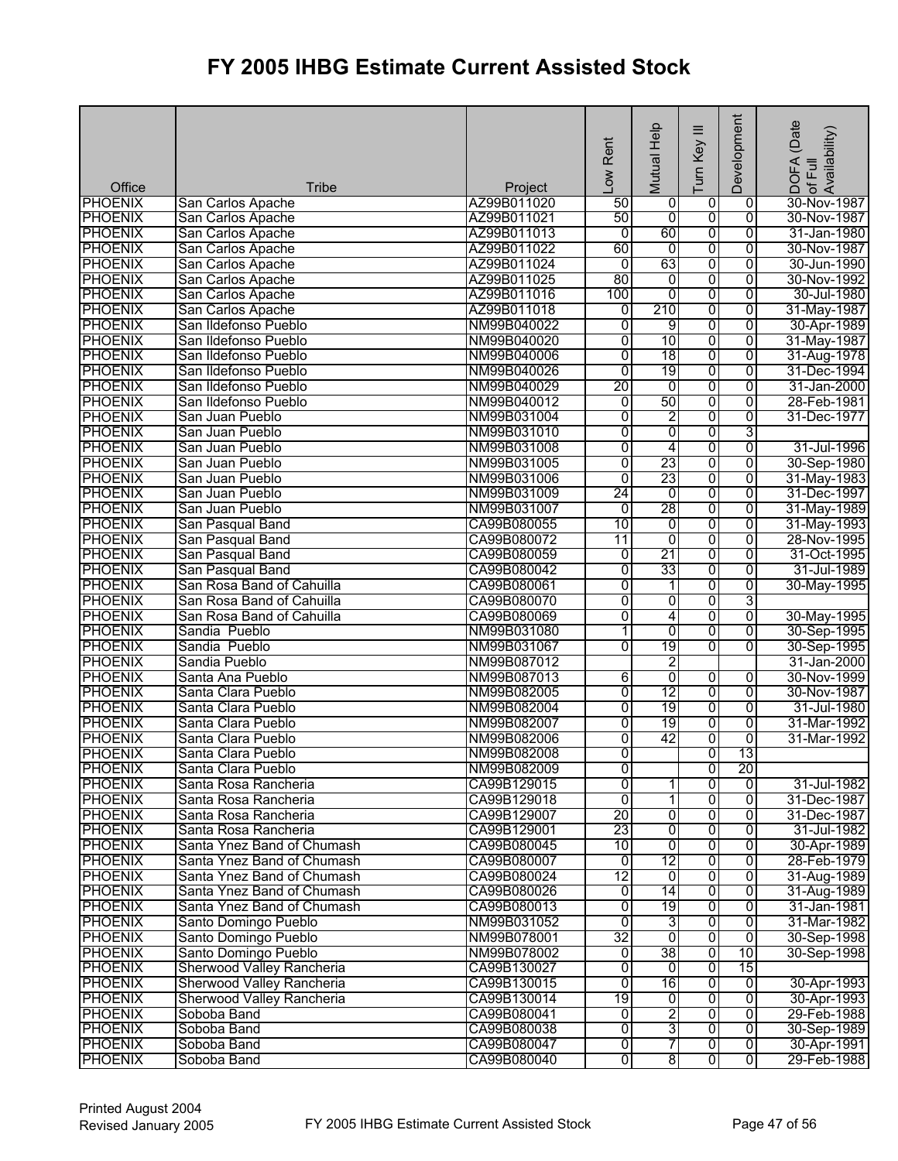| Office         | <b>Tribe</b>               | Project     | Low Rent        | Mutual Help    | ≡<br>Turn Key           | Development    | (Date<br>¦DOFA (Date<br>∶of Full<br>Availability) |
|----------------|----------------------------|-------------|-----------------|----------------|-------------------------|----------------|---------------------------------------------------|
| <b>PHOENIX</b> | San Carlos Apache          | AZ99B011020 | 50              | 0              | 0                       | 0              | 30-Nov-1987                                       |
| <b>PHOENIX</b> | San Carlos Apache          | AZ99B011021 | 50              | $\overline{0}$ | 0                       | $\overline{0}$ | 30-Nov-1987                                       |
| <b>PHOENIX</b> | San Carlos Apache          | AZ99B011013 | $\overline{0}$  | 60             | 0                       | $\overline{0}$ | 31-Jan-1980                                       |
| <b>PHOENIX</b> | San Carlos Apache          | AZ99B011022 | 60              | 0              | 0                       | 0              | 30-Nov-1987                                       |
| <b>PHOENIX</b> | San Carlos Apache          | AZ99B011024 | 0               | 63             | 0                       | $\overline{0}$ | 30-Jun-1990                                       |
| <b>PHOENIX</b> | San Carlos Apache          | AZ99B011025 | 80              | 0              | 0                       | $\overline{0}$ | 30-Nov-1992                                       |
| <b>PHOENIX</b> | San Carlos Apache          | AZ99B011016 | 100             | $\overline{0}$ | $\overline{0}$          | $\overline{0}$ | 30-Jul-1980                                       |
| <b>PHOENIX</b> | San Carlos Apache          | AZ99B011018 | 0               | 210            | 0                       | 0              | 31-May-1987                                       |
| <b>PHOENIX</b> | San Ildefonso Pueblo       | NM99B040022 | $\overline{0}$  | 9              | 0                       | $\overline{0}$ | 30-Apr-1989                                       |
| <b>PHOENIX</b> | San Ildefonso Pueblo       | NM99B040020 | $\overline{0}$  | 10             | 0                       | $\overline{0}$ | 31-May-1987                                       |
| <b>PHOENIX</b> | San Ildefonso Pueblo       | NM99B040006 | $\overline{0}$  | 18             | 0                       | $\overline{0}$ | 31-Aug-1978                                       |
| <b>PHOENIX</b> | San Ildefonso Pueblo       | NM99B040026 | $\overline{0}$  | 19             | $\overline{0}$          | 0              | 31-Dec-1994                                       |
| <b>PHOENIX</b> | San Ildefonso Pueblo       | NM99B040029 | 20              | 0              | 0                       | $\overline{0}$ | 31-Jan-2000                                       |
| <b>PHOENIX</b> | San Ildefonso Pueblo       | NM99B040012 | 0               | 50             | $\overline{0}$          | $\overline{0}$ | 28-Feb-1981                                       |
| <b>PHOENIX</b> | San Juan Pueblo            | NM99B031004 | 0               | 2              | 0                       | $\overline{0}$ | 31-Dec-1977                                       |
| <b>PHOENIX</b> | San Juan Pueblo            | NM99B031010 | $\overline{0}$  | $\overline{0}$ | 0                       | 3              |                                                   |
| <b>PHOENIX</b> | San Juan Pueblo            | NM99B031008 | 0               | 4              | 0                       | $\overline{0}$ | 31-Jul-1996                                       |
| <b>PHOENIX</b> | San Juan Pueblo            | NM99B031005 | $\overline{0}$  | 23             | 0                       | $\overline{0}$ | 30-Sep-1980                                       |
| <b>PHOENIX</b> | San Juan Pueblo            | NM99B031006 | $\overline{0}$  | 23             | 0                       | 0              | 31-May-1983                                       |
| <b>PHOENIX</b> | San Juan Pueblo            | NM99B031009 | $\overline{24}$ | $\overline{0}$ | 0                       | 0              | 31-Dec-1997                                       |
| <b>PHOENIX</b> | San Juan Pueblo            | NM99B031007 | $\overline{0}$  | 28             | 0                       | 0              | 31-May-1989                                       |
| <b>PHOENIX</b> | San Pasqual Band           | CA99B080055 | 10              | 0              | 0                       | $\overline{0}$ | 31-May-1993                                       |
| <b>PHOENIX</b> | San Pasqual Band           | CA99B080072 | 11              | 0              | 0                       | 0              | 28-Nov-1995                                       |
| <b>PHOENIX</b> | San Pasqual Band           | CA99B080059 | 0               | 21             | 0                       | $\overline{0}$ | 31-Oct-1995                                       |
| <b>PHOENIX</b> | San Pasqual Band           | CA99B080042 | $\overline{0}$  | 33             | 0                       | 0              | 31-Jul-1989                                       |
| <b>PHOENIX</b> | San Rosa Band of Cahuilla  | CA99B080061 | 0               | 1              | 0                       | $\overline{0}$ | 30-May-1995                                       |
| <b>PHOENIX</b> | San Rosa Band of Cahuilla  | CA99B080070 | $\overline{0}$  | $\overline{0}$ | 0                       | 3              |                                                   |
| <b>PHOENIX</b> | San Rosa Band of Cahuilla  | CA99B080069 | $\overline{0}$  | 4              | 0                       | $\overline{0}$ | 30-May-1995                                       |
| <b>PHOENIX</b> | Sandia Pueblo              | NM99B031080 | 1               | $\overline{0}$ | 0                       | $\overline{0}$ | 30-Sep-1995                                       |
| <b>PHOENIX</b> | Sandia Pueblo              | NM99B031067 | $\overline{0}$  | 19             | $\overline{0}$          | $\overline{0}$ | 30-Sep-1995                                       |
| <b>PHOENIX</b> | Sandia Pueblo              | NM99B087012 |                 | 2              |                         |                | 31-Jan-2000                                       |
| <b>PHOENIX</b> | Santa Ana Pueblo           | NM99B087013 | 6               | $\overline{0}$ | 0                       | 0              | 30-Nov-1999                                       |
| <b>PHOENIX</b> | Santa Clara Pueblo         | NM99B082005 | $\overline{0}$  | 12             | 0                       | $\overline{0}$ | 30-Nov-1987                                       |
| <b>PHOENIX</b> | Santa Clara Pueblo         | NM99B082004 | $\overline{0}$  | 19             | $\overline{0}$          | 0              | 31-Jul-1980                                       |
| <b>PHOENIX</b> | Santa Clara Pueblo         | NM99B082007 | $\overline{0}$  | 19             | 0                       | 0              | 31-Mar-1992                                       |
| <b>PHOENIX</b> | Santa Clara Pueblo         | NM99B082006 | $\overline{0}$  | 42             | 0                       | $\overline{0}$ | 31-Mar-1992                                       |
| <b>PHOENIX</b> | Santa Clara Pueblo         | NM99B082008 | $\overline{0}$  |                | $\overline{0}$          | 13             |                                                   |
| <b>PHOENIX</b> | Santa Clara Pueblo         | NM99B082009 | ō               |                | 0                       | 20             |                                                   |
| <b>PHOENIX</b> | Santa Rosa Rancheria       | CA99B129015 | 0               | 1              | 0                       | 0              | 31-Jul-1982                                       |
| <b>PHOENIX</b> | Santa Rosa Rancheria       | CA99B129018 | ō               | $\mathbf{1}$   | 0                       | $\overline{0}$ | 31-Dec-1987                                       |
| <b>PHOENIX</b> | Santa Rosa Rancheria       | CA99B129007 | 20              | 0              | 0                       | 0              | 31-Dec-1987                                       |
| <b>PHOENIX</b> | Santa Rosa Rancheria       | CA99B129001 | 23              | 0              | 0                       | 0              | 31-Jul-1982                                       |
| <b>PHOENIX</b> | Santa Ynez Band of Chumash | CA99B080045 | $\overline{10}$ | 0              | 0                       | 0              | 30-Apr-1989                                       |
| <b>PHOENIX</b> | Santa Ynez Band of Chumash | CA99B080007 | $\overline{0}$  | 12             | 0                       | $\overline{0}$ | 28-Feb-1979                                       |
| <b>PHOENIX</b> | Santa Ynez Band of Chumash | CA99B080024 | $\overline{12}$ | $\overline{0}$ | $\overline{0}$          | 0              | 31-Aug-1989                                       |
| <b>PHOENIX</b> | Santa Ynez Band of Chumash | CA99B080026 | 0               | 14             | 0                       | 0              | 31-Aug-1989                                       |
| <b>PHOENIX</b> | Santa Ynez Band of Chumash | CA99B080013 | $\overline{0}$  | 19             | 0                       | 0              | 31-Jan-1981                                       |
| <b>PHOENIX</b> | Santo Domingo Pueblo       | NM99B031052 | $\overline{0}$  | 3              | 0                       | $\overline{0}$ | 31-Mar-1982                                       |
| <b>PHOENIX</b> | Santo Domingo Pueblo       | NM99B078001 | 32              | $\overline{0}$ | $\overline{0}$          | 0              | 30-Sep-1998                                       |
| <b>PHOENIX</b> | Santo Domingo Pueblo       | NM99B078002 | 0               | 38             | 0                       | 10             | 30-Sep-1998                                       |
| <b>PHOENIX</b> | Sherwood Valley Rancheria  | CA99B130027 | 0               | 0              | 0                       | 15             |                                                   |
| <b>PHOENIX</b> | Sherwood Valley Rancheria  | CA99B130015 | $\overline{0}$  | 16             | $\overline{0}$          | $\overline{0}$ | 30-Apr-1993                                       |
| <b>PHOENIX</b> | Sherwood Valley Rancheria  | CA99B130014 | 19              | $\overline{0}$ | $\overline{0}$          | $\overline{0}$ | 30-Apr-1993                                       |
| <b>PHOENIX</b> | Soboba Band                | CA99B080041 | $\overline{0}$  | 2              | $\overline{0}$          | $\overline{0}$ | 29-Feb-1988                                       |
| <b>PHOENIX</b> | Soboba Band                | CA99B080038 | 0               | 3              | 0                       | 0              | 30-Sep-1989                                       |
| <b>PHOENIX</b> | Soboba Band                | CA99B080047 | O               | 7              | $\overline{0}$          | $\overline{0}$ | 30-Apr-1991                                       |
| <b>PHOENIX</b> | Soboba Band                | CA99B080040 | 0               | $\overline{8}$ | $\overline{\mathbf{0}}$ | $\overline{0}$ | 29-Feb-1988                                       |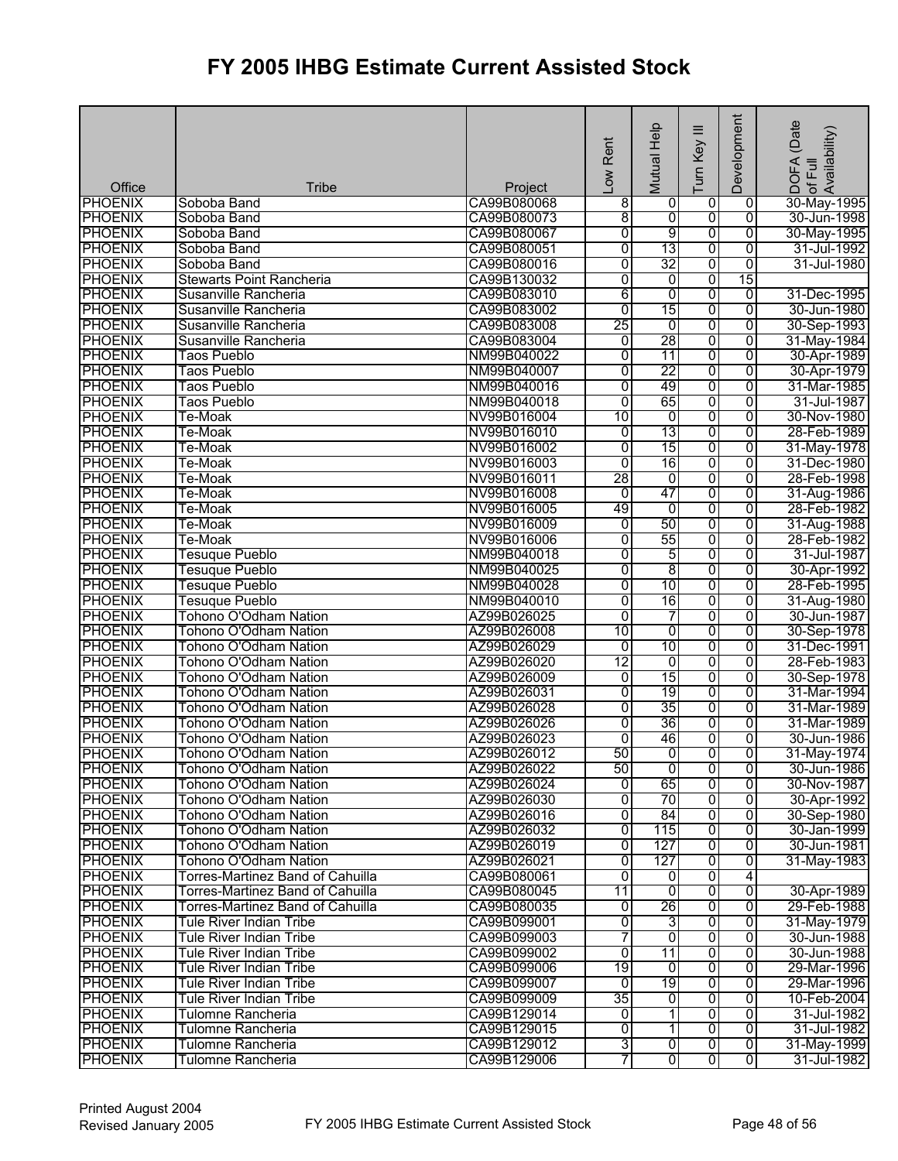| <b>PHOENIX</b><br>Soboba Band<br>CA99B080068<br>0<br>30-May-1995<br>8<br>0<br>0<br>8<br>$\overline{0}$<br>$\overline{0}$<br>$\overline{0}$<br><b>PHOENIX</b><br>CA99B080073<br>Soboba Band<br>30-Jun-1998<br>9<br>0<br><b>PHOENIX</b><br>$\overline{0}$<br>$\overline{0}$<br>30-May-1995<br>Soboba Band<br>CA99B080067<br>$\overline{0}$<br>13<br>0<br><b>PHOENIX</b><br>$\overline{0}$<br>31-Jul-1992<br>Soboba Band<br>CA99B080051<br>32<br>0<br><b>PHOENIX</b><br>$\overline{0}$<br>$\overline{0}$<br>31-Jul-1980<br>Soboba Band<br>CA99B080016<br>$\overline{0}$<br>$\overline{0}$<br>$\overline{0}$<br>15<br><b>PHOENIX</b><br><b>Stewarts Point Rancheria</b><br>CA99B130032<br>$\overline{0}$<br>6<br>$\overline{0}$<br><b>PHOENIX</b><br>Susanville Rancheria<br>CA99B083010<br>$\overline{0}$<br>31-Dec-1995<br><b>PHOENIX</b><br>15<br>0<br>CA99B083002<br>$\overline{0}$<br>30-Jun-1980<br>Susanville Rancheria<br>0<br>25<br><b>PHOENIX</b><br>ō<br>$\overline{0}$<br>0<br>30-Sep-1993<br>Susanville Rancheria<br>CA99B083008<br>28<br>$\overline{0}$<br>$\overline{0}$<br><b>PHOENIX</b><br>$\overline{0}$<br>Susanville Rancheria<br>CA99B083004<br>31-May-1984<br>0<br><b>PHOENIX</b><br>NM99B040022<br>0<br>11<br>$\overline{0}$<br>30-Apr-1989<br><b>Taos Pueblo</b><br><b>PHOENIX</b><br>22<br>0<br>Taos Pueblo<br>NM99B040007<br>0<br>$\overline{0}$<br>30-Apr-1979<br>49<br>0<br><b>PHOENIX</b><br>$\overline{0}$<br>$\overline{0}$<br>31-Mar-1985<br>Taos Pueblo<br>NM99B040016<br>$\overline{0}$<br>65<br>$\overline{0}$<br><b>PHOENIX</b><br>0<br><b>Taos Pueblo</b><br>NM99B040018<br>31-Jul-1987<br>0<br><b>PHOENIX</b><br>NV99B016004<br>10<br>o<br>$\overline{0}$<br>Te-Moak<br>30-Nov-1980<br>13<br>0<br><b>PHOENIX</b><br>NV99B016010<br>0<br>28-Feb-1989<br>Te-Moak<br>0<br>15<br>0<br><b>PHOENIX</b><br>NV99B016002<br>0<br>0<br>31-May-1978<br>Te-Moak<br>$\overline{0}$<br>16<br>0<br><b>PHOENIX</b><br>NV99B016003<br>0<br>Te-Moak<br>31-Dec-1980<br>28<br>0<br><b>PHOENIX</b><br>NV99B016011<br>0<br>0<br>28-Feb-1998<br>Te-Moak<br>47<br>0<br><b>PHOENIX</b><br>Te-Moak<br>NV99B016008<br>0<br>0<br>31-Aug-1986<br>49<br>0<br>0<br>0<br><b>PHOENIX</b><br>Te-Moak<br>NV99B016005<br>28-Feb-1982<br>50<br>$\overline{0}$<br><b>PHOENIX</b><br>$\overline{0}$<br>ō<br>31-Aug-1988<br>Te-Moak<br>NV99B016009<br>55<br>0<br><b>PHOENIX</b><br>NV99B016006<br>0<br>0<br>28-Feb-1982<br>Te-Moak<br>5<br>0<br><b>PHOENIX</b><br>Tesuque Pueblo<br>NM99B040018<br>0<br>0<br>31-Jul-1987<br>8<br>0<br><b>PHOENIX</b><br>0<br>0<br>30-Apr-1992<br>Tesuque Pueblo<br>NM99B040025<br><b>PHOENIX</b><br>10<br>$\overline{0}$<br>NM99B040028<br>0<br>0<br>28-Feb-1995<br><b>Tesuque Pueblo</b><br>0<br>16<br>0<br><b>PHOENIX</b><br>NM99B040010<br>$\overline{0}$<br>31-Aug-1980<br><b>Tesuque Pueblo</b><br>0<br><b>PHOENIX</b><br>$\overline{0}$<br>7<br>$\overline{0}$<br>Tohono O'Odham Nation<br>AZ99B026025<br>30-Jun-1987<br>10<br>0<br>$\overline{0}$<br><b>PHOENIX</b><br>AZ99B026008<br>0<br>30-Sep-1978<br>Tohono O'Odham Nation<br>10<br>$\overline{0}$<br><b>PHOENIX</b><br><b>Tohono O'Odham Nation</b><br>AZ99B026029<br>$\overline{0}$<br>$\overline{0}$<br>31-Dec-1991<br><b>PHOENIX</b><br>12<br>0<br>Tohono O'Odham Nation<br>AZ99B026020<br>ō<br>ō<br>28-Feb-1983<br>15<br>0<br><b>PHOENIX</b><br>0<br>Tohono O'Odham Nation<br>AZ99B026009<br>0<br>30-Sep-1978<br>19<br>0<br><b>PHOENIX</b><br>AZ99B026031<br>$\overline{0}$<br>$\overline{0}$<br>Tohono O'Odham Nation<br>31-Mar-1994<br>Tohono O'Odham Nation<br>35<br>0<br><b>PHOENIX</b><br>AZ99B026028<br>0<br>$\overline{0}$<br>31-Mar-1989<br><b>PHOENIX</b><br>Tohono O'Odham Nation<br>AZ99B026026<br>0<br>36<br>0<br>$\overline{0}$<br>31-Mar-1989<br><b>PHOENIX</b><br>Tohono O'Odham Nation<br>AZ99B026023<br>0<br>46<br>0<br>30-Jun-1986<br>0<br>50<br>ō<br>$\overline{0}$<br><b>PHOENIX</b><br><b>Tohono O'Odham Nation</b><br>AZ99B026012<br>$\overline{0}$<br><b>PHOENIX</b><br>Tohono O'Odham Nation<br>AZ99B026022<br>ō<br>o<br>50<br>01<br>30-Jun-1986<br>65<br>0<br><b>PHOENIX</b><br>Tohono O'Odham Nation<br>AZ99B026024<br>0<br>0<br>30-Nov-1987<br>70<br><b>PHOENIX</b><br>$\overline{0}$<br>$\overline{\mathbf{0}}$<br>Tohono O'Odham Nation<br>AZ99B026030<br>0<br>0<br>$\overline{0}$<br>84<br>ō<br><b>PHOENIX</b><br>Tohono O'Odham Nation<br>AZ99B026016<br>$\overline{0}$<br><b>PHOENIX</b><br>Tohono O'Odham Nation<br>AZ99B026032<br>0<br>115<br>$\overline{0}$<br>0<br>0<br><b>PHOENIX</b><br>Tohono O'Odham Nation<br>AZ99B026019<br>127<br>0<br>30-Jun-1981<br>127<br><b>PHOENIX</b><br>AZ99B026021<br>0<br>0<br>0<br>Tohono O'Odham Nation<br>0<br>$\overline{0}$<br>4<br><b>PHOENIX</b><br>Torres-Martinez Band of Cahuilla<br>CA99B080061<br>$\mathbf 0$<br>$\overline{0}$<br>$\overline{\mathbf{0}}$<br>o<br><b>PHOENIX</b><br><b>Torres-Martinez Band of Cahuilla</b><br>CA99B080045<br>11<br>30-Apr-1989<br>26<br>0<br><b>PHOENIX</b><br>Torres-Martinez Band of Cahuilla<br>CA99B080035<br>0<br>29-Feb-1988<br>0<br>$\overline{0}$<br>0<br>3<br>0<br><b>PHOENIX</b><br>CA99B099001<br>Tule River Indian Tribe<br>0<br>7<br>0<br>o<br><b>PHOENIX</b><br><b>Tule River Indian Tribe</b><br>CA99B099003<br>30-Jun-1988<br>0<br><b>PHOENIX</b><br>$\overline{0}$<br>11<br><b>Tule River Indian Tribe</b><br>CA99B099002<br>0<br>19<br>$\overline{0}$<br><b>PHOENIX</b><br>Tule River Indian Tribe<br>CA99B099006<br>0<br>29-Mar-1996<br>0<br>19<br>$\overline{0}$<br>$\overline{0}$<br>0<br><b>PHOENIX</b><br>CA99B099007<br>Tule River Indian Tribe<br>29-Mar-1996<br>35<br>0<br>$\overline{0}$<br>$\overline{0}$<br><b>PHOENIX</b><br><b>Tule River Indian Tribe</b><br>CA99B099009<br>10-Feb-2004<br>$\overline{0}$<br><b>PHOENIX</b><br>0<br>$\overline{\phantom{a}}$<br>ō<br>Tulomne Rancheria<br>CA99B129014<br>31-Jul-1982<br>$\overline{0}$<br><b>PHOENIX</b><br>CA99B129015<br>0<br>$\mathbf{1}$<br>Ō<br>Tulomne Rancheria<br>3<br>$\overline{0}$<br>$\overline{0}$<br>$\overline{0}$<br><b>PHOENIX</b><br>CA99B129012<br>Tulomne Rancheria<br>7<br>$\overline{0}$<br>$\overline{0}$<br><b>PHOENIX</b><br>$\overline{0}$<br>Tulomne Rancheria<br>CA99B129006 | Office | <b>Tribe</b> | Project | Low Rent | Mutual Help | ≡<br>Turn Key | Development | (Date<br>: of Full<br>Availability)<br><b>DOFA</b> |
|--------------------------------------------------------------------------------------------------------------------------------------------------------------------------------------------------------------------------------------------------------------------------------------------------------------------------------------------------------------------------------------------------------------------------------------------------------------------------------------------------------------------------------------------------------------------------------------------------------------------------------------------------------------------------------------------------------------------------------------------------------------------------------------------------------------------------------------------------------------------------------------------------------------------------------------------------------------------------------------------------------------------------------------------------------------------------------------------------------------------------------------------------------------------------------------------------------------------------------------------------------------------------------------------------------------------------------------------------------------------------------------------------------------------------------------------------------------------------------------------------------------------------------------------------------------------------------------------------------------------------------------------------------------------------------------------------------------------------------------------------------------------------------------------------------------------------------------------------------------------------------------------------------------------------------------------------------------------------------------------------------------------------------------------------------------------------------------------------------------------------------------------------------------------------------------------------------------------------------------------------------------------------------------------------------------------------------------------------------------------------------------------------------------------------------------------------------------------------------------------------------------------------------------------------------------------------------------------------------------------------------------------------------------------------------------------------------------------------------------------------------------------------------------------------------------------------------------------------------------------------------------------------------------------------------------------------------------------------------------------------------------------------------------------------------------------------------------------------------------------------------------------------------------------------------------------------------------------------------------------------------------------------------------------------------------------------------------------------------------------------------------------------------------------------------------------------------------------------------------------------------------------------------------------------------------------------------------------------------------------------------------------------------------------------------------------------------------------------------------------------------------------------------------------------------------------------------------------------------------------------------------------------------------------------------------------------------------------------------------------------------------------------------------------------------------------------------------------------------------------------------------------------------------------------------------------------------------------------------------------------------------------------------------------------------------------------------------------------------------------------------------------------------------------------------------------------------------------------------------------------------------------------------------------------------------------------------------------------------------------------------------------------------------------------------------------------------------------------------------------------------------------------------------------------------------------------------------------------------------------------------------------------------------------------------------------------------------------------------------------------------------------------------------------------------------------------------------------------------------------------------------------------------------------------------------------------------------------------------------------------------------------------------------------------------------------------------------------------------------------------------------------------------------------------------------------------------------------------------------------------------------------------------------------------------------------------------------------------------------------------------------------------------------------------------------------------------------------------------------------------------------------------------------------------------------------------------------------------------------------------------------------------------------------------------------------------------------------------------------------------------------------------------------------------------------------------------------------------------------------------------------------------------------------------------------------------------|--------|--------------|---------|----------|-------------|---------------|-------------|----------------------------------------------------|
|                                                                                                                                                                                                                                                                                                                                                                                                                                                                                                                                                                                                                                                                                                                                                                                                                                                                                                                                                                                                                                                                                                                                                                                                                                                                                                                                                                                                                                                                                                                                                                                                                                                                                                                                                                                                                                                                                                                                                                                                                                                                                                                                                                                                                                                                                                                                                                                                                                                                                                                                                                                                                                                                                                                                                                                                                                                                                                                                                                                                                                                                                                                                                                                                                                                                                                                                                                                                                                                                                                                                                                                                                                                                                                                                                                                                                                                                                                                                                                                                                                                                                                                                                                                                                                                                                                                                                                                                                                                                                                                                                                                                                                                                                                                                                                                                                                                                                                                                                                                                                                                                                                                                                                                                                                                                                                                                                                                                                                                                                                                                                                                                                                                                                                                                                                                                                                                                                                                                                                                                                                                                                                                                                                                                        |        |              |         |          |             |               |             |                                                    |
| 31-May-1974<br>30-Apr-1992<br>30-Sep-1980<br>30-Jan-1999<br>31-May-1983<br>31-May-1979<br>30-Jun-1988<br>31-Jul-1982<br>31-May-1999<br>31-Jul-1982                                                                                                                                                                                                                                                                                                                                                                                                                                                                                                                                                                                                                                                                                                                                                                                                                                                                                                                                                                                                                                                                                                                                                                                                                                                                                                                                                                                                                                                                                                                                                                                                                                                                                                                                                                                                                                                                                                                                                                                                                                                                                                                                                                                                                                                                                                                                                                                                                                                                                                                                                                                                                                                                                                                                                                                                                                                                                                                                                                                                                                                                                                                                                                                                                                                                                                                                                                                                                                                                                                                                                                                                                                                                                                                                                                                                                                                                                                                                                                                                                                                                                                                                                                                                                                                                                                                                                                                                                                                                                                                                                                                                                                                                                                                                                                                                                                                                                                                                                                                                                                                                                                                                                                                                                                                                                                                                                                                                                                                                                                                                                                                                                                                                                                                                                                                                                                                                                                                                                                                                                                                     |        |              |         |          |             |               |             |                                                    |
|                                                                                                                                                                                                                                                                                                                                                                                                                                                                                                                                                                                                                                                                                                                                                                                                                                                                                                                                                                                                                                                                                                                                                                                                                                                                                                                                                                                                                                                                                                                                                                                                                                                                                                                                                                                                                                                                                                                                                                                                                                                                                                                                                                                                                                                                                                                                                                                                                                                                                                                                                                                                                                                                                                                                                                                                                                                                                                                                                                                                                                                                                                                                                                                                                                                                                                                                                                                                                                                                                                                                                                                                                                                                                                                                                                                                                                                                                                                                                                                                                                                                                                                                                                                                                                                                                                                                                                                                                                                                                                                                                                                                                                                                                                                                                                                                                                                                                                                                                                                                                                                                                                                                                                                                                                                                                                                                                                                                                                                                                                                                                                                                                                                                                                                                                                                                                                                                                                                                                                                                                                                                                                                                                                                                        |        |              |         |          |             |               |             |                                                    |
|                                                                                                                                                                                                                                                                                                                                                                                                                                                                                                                                                                                                                                                                                                                                                                                                                                                                                                                                                                                                                                                                                                                                                                                                                                                                                                                                                                                                                                                                                                                                                                                                                                                                                                                                                                                                                                                                                                                                                                                                                                                                                                                                                                                                                                                                                                                                                                                                                                                                                                                                                                                                                                                                                                                                                                                                                                                                                                                                                                                                                                                                                                                                                                                                                                                                                                                                                                                                                                                                                                                                                                                                                                                                                                                                                                                                                                                                                                                                                                                                                                                                                                                                                                                                                                                                                                                                                                                                                                                                                                                                                                                                                                                                                                                                                                                                                                                                                                                                                                                                                                                                                                                                                                                                                                                                                                                                                                                                                                                                                                                                                                                                                                                                                                                                                                                                                                                                                                                                                                                                                                                                                                                                                                                                        |        |              |         |          |             |               |             |                                                    |
|                                                                                                                                                                                                                                                                                                                                                                                                                                                                                                                                                                                                                                                                                                                                                                                                                                                                                                                                                                                                                                                                                                                                                                                                                                                                                                                                                                                                                                                                                                                                                                                                                                                                                                                                                                                                                                                                                                                                                                                                                                                                                                                                                                                                                                                                                                                                                                                                                                                                                                                                                                                                                                                                                                                                                                                                                                                                                                                                                                                                                                                                                                                                                                                                                                                                                                                                                                                                                                                                                                                                                                                                                                                                                                                                                                                                                                                                                                                                                                                                                                                                                                                                                                                                                                                                                                                                                                                                                                                                                                                                                                                                                                                                                                                                                                                                                                                                                                                                                                                                                                                                                                                                                                                                                                                                                                                                                                                                                                                                                                                                                                                                                                                                                                                                                                                                                                                                                                                                                                                                                                                                                                                                                                                                        |        |              |         |          |             |               |             |                                                    |
|                                                                                                                                                                                                                                                                                                                                                                                                                                                                                                                                                                                                                                                                                                                                                                                                                                                                                                                                                                                                                                                                                                                                                                                                                                                                                                                                                                                                                                                                                                                                                                                                                                                                                                                                                                                                                                                                                                                                                                                                                                                                                                                                                                                                                                                                                                                                                                                                                                                                                                                                                                                                                                                                                                                                                                                                                                                                                                                                                                                                                                                                                                                                                                                                                                                                                                                                                                                                                                                                                                                                                                                                                                                                                                                                                                                                                                                                                                                                                                                                                                                                                                                                                                                                                                                                                                                                                                                                                                                                                                                                                                                                                                                                                                                                                                                                                                                                                                                                                                                                                                                                                                                                                                                                                                                                                                                                                                                                                                                                                                                                                                                                                                                                                                                                                                                                                                                                                                                                                                                                                                                                                                                                                                                                        |        |              |         |          |             |               |             |                                                    |
|                                                                                                                                                                                                                                                                                                                                                                                                                                                                                                                                                                                                                                                                                                                                                                                                                                                                                                                                                                                                                                                                                                                                                                                                                                                                                                                                                                                                                                                                                                                                                                                                                                                                                                                                                                                                                                                                                                                                                                                                                                                                                                                                                                                                                                                                                                                                                                                                                                                                                                                                                                                                                                                                                                                                                                                                                                                                                                                                                                                                                                                                                                                                                                                                                                                                                                                                                                                                                                                                                                                                                                                                                                                                                                                                                                                                                                                                                                                                                                                                                                                                                                                                                                                                                                                                                                                                                                                                                                                                                                                                                                                                                                                                                                                                                                                                                                                                                                                                                                                                                                                                                                                                                                                                                                                                                                                                                                                                                                                                                                                                                                                                                                                                                                                                                                                                                                                                                                                                                                                                                                                                                                                                                                                                        |        |              |         |          |             |               |             |                                                    |
|                                                                                                                                                                                                                                                                                                                                                                                                                                                                                                                                                                                                                                                                                                                                                                                                                                                                                                                                                                                                                                                                                                                                                                                                                                                                                                                                                                                                                                                                                                                                                                                                                                                                                                                                                                                                                                                                                                                                                                                                                                                                                                                                                                                                                                                                                                                                                                                                                                                                                                                                                                                                                                                                                                                                                                                                                                                                                                                                                                                                                                                                                                                                                                                                                                                                                                                                                                                                                                                                                                                                                                                                                                                                                                                                                                                                                                                                                                                                                                                                                                                                                                                                                                                                                                                                                                                                                                                                                                                                                                                                                                                                                                                                                                                                                                                                                                                                                                                                                                                                                                                                                                                                                                                                                                                                                                                                                                                                                                                                                                                                                                                                                                                                                                                                                                                                                                                                                                                                                                                                                                                                                                                                                                                                        |        |              |         |          |             |               |             |                                                    |
|                                                                                                                                                                                                                                                                                                                                                                                                                                                                                                                                                                                                                                                                                                                                                                                                                                                                                                                                                                                                                                                                                                                                                                                                                                                                                                                                                                                                                                                                                                                                                                                                                                                                                                                                                                                                                                                                                                                                                                                                                                                                                                                                                                                                                                                                                                                                                                                                                                                                                                                                                                                                                                                                                                                                                                                                                                                                                                                                                                                                                                                                                                                                                                                                                                                                                                                                                                                                                                                                                                                                                                                                                                                                                                                                                                                                                                                                                                                                                                                                                                                                                                                                                                                                                                                                                                                                                                                                                                                                                                                                                                                                                                                                                                                                                                                                                                                                                                                                                                                                                                                                                                                                                                                                                                                                                                                                                                                                                                                                                                                                                                                                                                                                                                                                                                                                                                                                                                                                                                                                                                                                                                                                                                                                        |        |              |         |          |             |               |             |                                                    |
|                                                                                                                                                                                                                                                                                                                                                                                                                                                                                                                                                                                                                                                                                                                                                                                                                                                                                                                                                                                                                                                                                                                                                                                                                                                                                                                                                                                                                                                                                                                                                                                                                                                                                                                                                                                                                                                                                                                                                                                                                                                                                                                                                                                                                                                                                                                                                                                                                                                                                                                                                                                                                                                                                                                                                                                                                                                                                                                                                                                                                                                                                                                                                                                                                                                                                                                                                                                                                                                                                                                                                                                                                                                                                                                                                                                                                                                                                                                                                                                                                                                                                                                                                                                                                                                                                                                                                                                                                                                                                                                                                                                                                                                                                                                                                                                                                                                                                                                                                                                                                                                                                                                                                                                                                                                                                                                                                                                                                                                                                                                                                                                                                                                                                                                                                                                                                                                                                                                                                                                                                                                                                                                                                                                                        |        |              |         |          |             |               |             |                                                    |
|                                                                                                                                                                                                                                                                                                                                                                                                                                                                                                                                                                                                                                                                                                                                                                                                                                                                                                                                                                                                                                                                                                                                                                                                                                                                                                                                                                                                                                                                                                                                                                                                                                                                                                                                                                                                                                                                                                                                                                                                                                                                                                                                                                                                                                                                                                                                                                                                                                                                                                                                                                                                                                                                                                                                                                                                                                                                                                                                                                                                                                                                                                                                                                                                                                                                                                                                                                                                                                                                                                                                                                                                                                                                                                                                                                                                                                                                                                                                                                                                                                                                                                                                                                                                                                                                                                                                                                                                                                                                                                                                                                                                                                                                                                                                                                                                                                                                                                                                                                                                                                                                                                                                                                                                                                                                                                                                                                                                                                                                                                                                                                                                                                                                                                                                                                                                                                                                                                                                                                                                                                                                                                                                                                                                        |        |              |         |          |             |               |             |                                                    |
|                                                                                                                                                                                                                                                                                                                                                                                                                                                                                                                                                                                                                                                                                                                                                                                                                                                                                                                                                                                                                                                                                                                                                                                                                                                                                                                                                                                                                                                                                                                                                                                                                                                                                                                                                                                                                                                                                                                                                                                                                                                                                                                                                                                                                                                                                                                                                                                                                                                                                                                                                                                                                                                                                                                                                                                                                                                                                                                                                                                                                                                                                                                                                                                                                                                                                                                                                                                                                                                                                                                                                                                                                                                                                                                                                                                                                                                                                                                                                                                                                                                                                                                                                                                                                                                                                                                                                                                                                                                                                                                                                                                                                                                                                                                                                                                                                                                                                                                                                                                                                                                                                                                                                                                                                                                                                                                                                                                                                                                                                                                                                                                                                                                                                                                                                                                                                                                                                                                                                                                                                                                                                                                                                                                                        |        |              |         |          |             |               |             |                                                    |
|                                                                                                                                                                                                                                                                                                                                                                                                                                                                                                                                                                                                                                                                                                                                                                                                                                                                                                                                                                                                                                                                                                                                                                                                                                                                                                                                                                                                                                                                                                                                                                                                                                                                                                                                                                                                                                                                                                                                                                                                                                                                                                                                                                                                                                                                                                                                                                                                                                                                                                                                                                                                                                                                                                                                                                                                                                                                                                                                                                                                                                                                                                                                                                                                                                                                                                                                                                                                                                                                                                                                                                                                                                                                                                                                                                                                                                                                                                                                                                                                                                                                                                                                                                                                                                                                                                                                                                                                                                                                                                                                                                                                                                                                                                                                                                                                                                                                                                                                                                                                                                                                                                                                                                                                                                                                                                                                                                                                                                                                                                                                                                                                                                                                                                                                                                                                                                                                                                                                                                                                                                                                                                                                                                                                        |        |              |         |          |             |               |             |                                                    |
|                                                                                                                                                                                                                                                                                                                                                                                                                                                                                                                                                                                                                                                                                                                                                                                                                                                                                                                                                                                                                                                                                                                                                                                                                                                                                                                                                                                                                                                                                                                                                                                                                                                                                                                                                                                                                                                                                                                                                                                                                                                                                                                                                                                                                                                                                                                                                                                                                                                                                                                                                                                                                                                                                                                                                                                                                                                                                                                                                                                                                                                                                                                                                                                                                                                                                                                                                                                                                                                                                                                                                                                                                                                                                                                                                                                                                                                                                                                                                                                                                                                                                                                                                                                                                                                                                                                                                                                                                                                                                                                                                                                                                                                                                                                                                                                                                                                                                                                                                                                                                                                                                                                                                                                                                                                                                                                                                                                                                                                                                                                                                                                                                                                                                                                                                                                                                                                                                                                                                                                                                                                                                                                                                                                                        |        |              |         |          |             |               |             |                                                    |
|                                                                                                                                                                                                                                                                                                                                                                                                                                                                                                                                                                                                                                                                                                                                                                                                                                                                                                                                                                                                                                                                                                                                                                                                                                                                                                                                                                                                                                                                                                                                                                                                                                                                                                                                                                                                                                                                                                                                                                                                                                                                                                                                                                                                                                                                                                                                                                                                                                                                                                                                                                                                                                                                                                                                                                                                                                                                                                                                                                                                                                                                                                                                                                                                                                                                                                                                                                                                                                                                                                                                                                                                                                                                                                                                                                                                                                                                                                                                                                                                                                                                                                                                                                                                                                                                                                                                                                                                                                                                                                                                                                                                                                                                                                                                                                                                                                                                                                                                                                                                                                                                                                                                                                                                                                                                                                                                                                                                                                                                                                                                                                                                                                                                                                                                                                                                                                                                                                                                                                                                                                                                                                                                                                                                        |        |              |         |          |             |               |             |                                                    |
|                                                                                                                                                                                                                                                                                                                                                                                                                                                                                                                                                                                                                                                                                                                                                                                                                                                                                                                                                                                                                                                                                                                                                                                                                                                                                                                                                                                                                                                                                                                                                                                                                                                                                                                                                                                                                                                                                                                                                                                                                                                                                                                                                                                                                                                                                                                                                                                                                                                                                                                                                                                                                                                                                                                                                                                                                                                                                                                                                                                                                                                                                                                                                                                                                                                                                                                                                                                                                                                                                                                                                                                                                                                                                                                                                                                                                                                                                                                                                                                                                                                                                                                                                                                                                                                                                                                                                                                                                                                                                                                                                                                                                                                                                                                                                                                                                                                                                                                                                                                                                                                                                                                                                                                                                                                                                                                                                                                                                                                                                                                                                                                                                                                                                                                                                                                                                                                                                                                                                                                                                                                                                                                                                                                                        |        |              |         |          |             |               |             |                                                    |
|                                                                                                                                                                                                                                                                                                                                                                                                                                                                                                                                                                                                                                                                                                                                                                                                                                                                                                                                                                                                                                                                                                                                                                                                                                                                                                                                                                                                                                                                                                                                                                                                                                                                                                                                                                                                                                                                                                                                                                                                                                                                                                                                                                                                                                                                                                                                                                                                                                                                                                                                                                                                                                                                                                                                                                                                                                                                                                                                                                                                                                                                                                                                                                                                                                                                                                                                                                                                                                                                                                                                                                                                                                                                                                                                                                                                                                                                                                                                                                                                                                                                                                                                                                                                                                                                                                                                                                                                                                                                                                                                                                                                                                                                                                                                                                                                                                                                                                                                                                                                                                                                                                                                                                                                                                                                                                                                                                                                                                                                                                                                                                                                                                                                                                                                                                                                                                                                                                                                                                                                                                                                                                                                                                                                        |        |              |         |          |             |               |             |                                                    |
|                                                                                                                                                                                                                                                                                                                                                                                                                                                                                                                                                                                                                                                                                                                                                                                                                                                                                                                                                                                                                                                                                                                                                                                                                                                                                                                                                                                                                                                                                                                                                                                                                                                                                                                                                                                                                                                                                                                                                                                                                                                                                                                                                                                                                                                                                                                                                                                                                                                                                                                                                                                                                                                                                                                                                                                                                                                                                                                                                                                                                                                                                                                                                                                                                                                                                                                                                                                                                                                                                                                                                                                                                                                                                                                                                                                                                                                                                                                                                                                                                                                                                                                                                                                                                                                                                                                                                                                                                                                                                                                                                                                                                                                                                                                                                                                                                                                                                                                                                                                                                                                                                                                                                                                                                                                                                                                                                                                                                                                                                                                                                                                                                                                                                                                                                                                                                                                                                                                                                                                                                                                                                                                                                                                                        |        |              |         |          |             |               |             |                                                    |
|                                                                                                                                                                                                                                                                                                                                                                                                                                                                                                                                                                                                                                                                                                                                                                                                                                                                                                                                                                                                                                                                                                                                                                                                                                                                                                                                                                                                                                                                                                                                                                                                                                                                                                                                                                                                                                                                                                                                                                                                                                                                                                                                                                                                                                                                                                                                                                                                                                                                                                                                                                                                                                                                                                                                                                                                                                                                                                                                                                                                                                                                                                                                                                                                                                                                                                                                                                                                                                                                                                                                                                                                                                                                                                                                                                                                                                                                                                                                                                                                                                                                                                                                                                                                                                                                                                                                                                                                                                                                                                                                                                                                                                                                                                                                                                                                                                                                                                                                                                                                                                                                                                                                                                                                                                                                                                                                                                                                                                                                                                                                                                                                                                                                                                                                                                                                                                                                                                                                                                                                                                                                                                                                                                                                        |        |              |         |          |             |               |             |                                                    |
|                                                                                                                                                                                                                                                                                                                                                                                                                                                                                                                                                                                                                                                                                                                                                                                                                                                                                                                                                                                                                                                                                                                                                                                                                                                                                                                                                                                                                                                                                                                                                                                                                                                                                                                                                                                                                                                                                                                                                                                                                                                                                                                                                                                                                                                                                                                                                                                                                                                                                                                                                                                                                                                                                                                                                                                                                                                                                                                                                                                                                                                                                                                                                                                                                                                                                                                                                                                                                                                                                                                                                                                                                                                                                                                                                                                                                                                                                                                                                                                                                                                                                                                                                                                                                                                                                                                                                                                                                                                                                                                                                                                                                                                                                                                                                                                                                                                                                                                                                                                                                                                                                                                                                                                                                                                                                                                                                                                                                                                                                                                                                                                                                                                                                                                                                                                                                                                                                                                                                                                                                                                                                                                                                                                                        |        |              |         |          |             |               |             |                                                    |
|                                                                                                                                                                                                                                                                                                                                                                                                                                                                                                                                                                                                                                                                                                                                                                                                                                                                                                                                                                                                                                                                                                                                                                                                                                                                                                                                                                                                                                                                                                                                                                                                                                                                                                                                                                                                                                                                                                                                                                                                                                                                                                                                                                                                                                                                                                                                                                                                                                                                                                                                                                                                                                                                                                                                                                                                                                                                                                                                                                                                                                                                                                                                                                                                                                                                                                                                                                                                                                                                                                                                                                                                                                                                                                                                                                                                                                                                                                                                                                                                                                                                                                                                                                                                                                                                                                                                                                                                                                                                                                                                                                                                                                                                                                                                                                                                                                                                                                                                                                                                                                                                                                                                                                                                                                                                                                                                                                                                                                                                                                                                                                                                                                                                                                                                                                                                                                                                                                                                                                                                                                                                                                                                                                                                        |        |              |         |          |             |               |             |                                                    |
|                                                                                                                                                                                                                                                                                                                                                                                                                                                                                                                                                                                                                                                                                                                                                                                                                                                                                                                                                                                                                                                                                                                                                                                                                                                                                                                                                                                                                                                                                                                                                                                                                                                                                                                                                                                                                                                                                                                                                                                                                                                                                                                                                                                                                                                                                                                                                                                                                                                                                                                                                                                                                                                                                                                                                                                                                                                                                                                                                                                                                                                                                                                                                                                                                                                                                                                                                                                                                                                                                                                                                                                                                                                                                                                                                                                                                                                                                                                                                                                                                                                                                                                                                                                                                                                                                                                                                                                                                                                                                                                                                                                                                                                                                                                                                                                                                                                                                                                                                                                                                                                                                                                                                                                                                                                                                                                                                                                                                                                                                                                                                                                                                                                                                                                                                                                                                                                                                                                                                                                                                                                                                                                                                                                                        |        |              |         |          |             |               |             |                                                    |
|                                                                                                                                                                                                                                                                                                                                                                                                                                                                                                                                                                                                                                                                                                                                                                                                                                                                                                                                                                                                                                                                                                                                                                                                                                                                                                                                                                                                                                                                                                                                                                                                                                                                                                                                                                                                                                                                                                                                                                                                                                                                                                                                                                                                                                                                                                                                                                                                                                                                                                                                                                                                                                                                                                                                                                                                                                                                                                                                                                                                                                                                                                                                                                                                                                                                                                                                                                                                                                                                                                                                                                                                                                                                                                                                                                                                                                                                                                                                                                                                                                                                                                                                                                                                                                                                                                                                                                                                                                                                                                                                                                                                                                                                                                                                                                                                                                                                                                                                                                                                                                                                                                                                                                                                                                                                                                                                                                                                                                                                                                                                                                                                                                                                                                                                                                                                                                                                                                                                                                                                                                                                                                                                                                                                        |        |              |         |          |             |               |             |                                                    |
|                                                                                                                                                                                                                                                                                                                                                                                                                                                                                                                                                                                                                                                                                                                                                                                                                                                                                                                                                                                                                                                                                                                                                                                                                                                                                                                                                                                                                                                                                                                                                                                                                                                                                                                                                                                                                                                                                                                                                                                                                                                                                                                                                                                                                                                                                                                                                                                                                                                                                                                                                                                                                                                                                                                                                                                                                                                                                                                                                                                                                                                                                                                                                                                                                                                                                                                                                                                                                                                                                                                                                                                                                                                                                                                                                                                                                                                                                                                                                                                                                                                                                                                                                                                                                                                                                                                                                                                                                                                                                                                                                                                                                                                                                                                                                                                                                                                                                                                                                                                                                                                                                                                                                                                                                                                                                                                                                                                                                                                                                                                                                                                                                                                                                                                                                                                                                                                                                                                                                                                                                                                                                                                                                                                                        |        |              |         |          |             |               |             |                                                    |
|                                                                                                                                                                                                                                                                                                                                                                                                                                                                                                                                                                                                                                                                                                                                                                                                                                                                                                                                                                                                                                                                                                                                                                                                                                                                                                                                                                                                                                                                                                                                                                                                                                                                                                                                                                                                                                                                                                                                                                                                                                                                                                                                                                                                                                                                                                                                                                                                                                                                                                                                                                                                                                                                                                                                                                                                                                                                                                                                                                                                                                                                                                                                                                                                                                                                                                                                                                                                                                                                                                                                                                                                                                                                                                                                                                                                                                                                                                                                                                                                                                                                                                                                                                                                                                                                                                                                                                                                                                                                                                                                                                                                                                                                                                                                                                                                                                                                                                                                                                                                                                                                                                                                                                                                                                                                                                                                                                                                                                                                                                                                                                                                                                                                                                                                                                                                                                                                                                                                                                                                                                                                                                                                                                                                        |        |              |         |          |             |               |             |                                                    |
|                                                                                                                                                                                                                                                                                                                                                                                                                                                                                                                                                                                                                                                                                                                                                                                                                                                                                                                                                                                                                                                                                                                                                                                                                                                                                                                                                                                                                                                                                                                                                                                                                                                                                                                                                                                                                                                                                                                                                                                                                                                                                                                                                                                                                                                                                                                                                                                                                                                                                                                                                                                                                                                                                                                                                                                                                                                                                                                                                                                                                                                                                                                                                                                                                                                                                                                                                                                                                                                                                                                                                                                                                                                                                                                                                                                                                                                                                                                                                                                                                                                                                                                                                                                                                                                                                                                                                                                                                                                                                                                                                                                                                                                                                                                                                                                                                                                                                                                                                                                                                                                                                                                                                                                                                                                                                                                                                                                                                                                                                                                                                                                                                                                                                                                                                                                                                                                                                                                                                                                                                                                                                                                                                                                                        |        |              |         |          |             |               |             |                                                    |
|                                                                                                                                                                                                                                                                                                                                                                                                                                                                                                                                                                                                                                                                                                                                                                                                                                                                                                                                                                                                                                                                                                                                                                                                                                                                                                                                                                                                                                                                                                                                                                                                                                                                                                                                                                                                                                                                                                                                                                                                                                                                                                                                                                                                                                                                                                                                                                                                                                                                                                                                                                                                                                                                                                                                                                                                                                                                                                                                                                                                                                                                                                                                                                                                                                                                                                                                                                                                                                                                                                                                                                                                                                                                                                                                                                                                                                                                                                                                                                                                                                                                                                                                                                                                                                                                                                                                                                                                                                                                                                                                                                                                                                                                                                                                                                                                                                                                                                                                                                                                                                                                                                                                                                                                                                                                                                                                                                                                                                                                                                                                                                                                                                                                                                                                                                                                                                                                                                                                                                                                                                                                                                                                                                                                        |        |              |         |          |             |               |             |                                                    |
|                                                                                                                                                                                                                                                                                                                                                                                                                                                                                                                                                                                                                                                                                                                                                                                                                                                                                                                                                                                                                                                                                                                                                                                                                                                                                                                                                                                                                                                                                                                                                                                                                                                                                                                                                                                                                                                                                                                                                                                                                                                                                                                                                                                                                                                                                                                                                                                                                                                                                                                                                                                                                                                                                                                                                                                                                                                                                                                                                                                                                                                                                                                                                                                                                                                                                                                                                                                                                                                                                                                                                                                                                                                                                                                                                                                                                                                                                                                                                                                                                                                                                                                                                                                                                                                                                                                                                                                                                                                                                                                                                                                                                                                                                                                                                                                                                                                                                                                                                                                                                                                                                                                                                                                                                                                                                                                                                                                                                                                                                                                                                                                                                                                                                                                                                                                                                                                                                                                                                                                                                                                                                                                                                                                                        |        |              |         |          |             |               |             |                                                    |
|                                                                                                                                                                                                                                                                                                                                                                                                                                                                                                                                                                                                                                                                                                                                                                                                                                                                                                                                                                                                                                                                                                                                                                                                                                                                                                                                                                                                                                                                                                                                                                                                                                                                                                                                                                                                                                                                                                                                                                                                                                                                                                                                                                                                                                                                                                                                                                                                                                                                                                                                                                                                                                                                                                                                                                                                                                                                                                                                                                                                                                                                                                                                                                                                                                                                                                                                                                                                                                                                                                                                                                                                                                                                                                                                                                                                                                                                                                                                                                                                                                                                                                                                                                                                                                                                                                                                                                                                                                                                                                                                                                                                                                                                                                                                                                                                                                                                                                                                                                                                                                                                                                                                                                                                                                                                                                                                                                                                                                                                                                                                                                                                                                                                                                                                                                                                                                                                                                                                                                                                                                                                                                                                                                                                        |        |              |         |          |             |               |             |                                                    |
|                                                                                                                                                                                                                                                                                                                                                                                                                                                                                                                                                                                                                                                                                                                                                                                                                                                                                                                                                                                                                                                                                                                                                                                                                                                                                                                                                                                                                                                                                                                                                                                                                                                                                                                                                                                                                                                                                                                                                                                                                                                                                                                                                                                                                                                                                                                                                                                                                                                                                                                                                                                                                                                                                                                                                                                                                                                                                                                                                                                                                                                                                                                                                                                                                                                                                                                                                                                                                                                                                                                                                                                                                                                                                                                                                                                                                                                                                                                                                                                                                                                                                                                                                                                                                                                                                                                                                                                                                                                                                                                                                                                                                                                                                                                                                                                                                                                                                                                                                                                                                                                                                                                                                                                                                                                                                                                                                                                                                                                                                                                                                                                                                                                                                                                                                                                                                                                                                                                                                                                                                                                                                                                                                                                                        |        |              |         |          |             |               |             |                                                    |
|                                                                                                                                                                                                                                                                                                                                                                                                                                                                                                                                                                                                                                                                                                                                                                                                                                                                                                                                                                                                                                                                                                                                                                                                                                                                                                                                                                                                                                                                                                                                                                                                                                                                                                                                                                                                                                                                                                                                                                                                                                                                                                                                                                                                                                                                                                                                                                                                                                                                                                                                                                                                                                                                                                                                                                                                                                                                                                                                                                                                                                                                                                                                                                                                                                                                                                                                                                                                                                                                                                                                                                                                                                                                                                                                                                                                                                                                                                                                                                                                                                                                                                                                                                                                                                                                                                                                                                                                                                                                                                                                                                                                                                                                                                                                                                                                                                                                                                                                                                                                                                                                                                                                                                                                                                                                                                                                                                                                                                                                                                                                                                                                                                                                                                                                                                                                                                                                                                                                                                                                                                                                                                                                                                                                        |        |              |         |          |             |               |             |                                                    |
|                                                                                                                                                                                                                                                                                                                                                                                                                                                                                                                                                                                                                                                                                                                                                                                                                                                                                                                                                                                                                                                                                                                                                                                                                                                                                                                                                                                                                                                                                                                                                                                                                                                                                                                                                                                                                                                                                                                                                                                                                                                                                                                                                                                                                                                                                                                                                                                                                                                                                                                                                                                                                                                                                                                                                                                                                                                                                                                                                                                                                                                                                                                                                                                                                                                                                                                                                                                                                                                                                                                                                                                                                                                                                                                                                                                                                                                                                                                                                                                                                                                                                                                                                                                                                                                                                                                                                                                                                                                                                                                                                                                                                                                                                                                                                                                                                                                                                                                                                                                                                                                                                                                                                                                                                                                                                                                                                                                                                                                                                                                                                                                                                                                                                                                                                                                                                                                                                                                                                                                                                                                                                                                                                                                                        |        |              |         |          |             |               |             |                                                    |
|                                                                                                                                                                                                                                                                                                                                                                                                                                                                                                                                                                                                                                                                                                                                                                                                                                                                                                                                                                                                                                                                                                                                                                                                                                                                                                                                                                                                                                                                                                                                                                                                                                                                                                                                                                                                                                                                                                                                                                                                                                                                                                                                                                                                                                                                                                                                                                                                                                                                                                                                                                                                                                                                                                                                                                                                                                                                                                                                                                                                                                                                                                                                                                                                                                                                                                                                                                                                                                                                                                                                                                                                                                                                                                                                                                                                                                                                                                                                                                                                                                                                                                                                                                                                                                                                                                                                                                                                                                                                                                                                                                                                                                                                                                                                                                                                                                                                                                                                                                                                                                                                                                                                                                                                                                                                                                                                                                                                                                                                                                                                                                                                                                                                                                                                                                                                                                                                                                                                                                                                                                                                                                                                                                                                        |        |              |         |          |             |               |             |                                                    |
|                                                                                                                                                                                                                                                                                                                                                                                                                                                                                                                                                                                                                                                                                                                                                                                                                                                                                                                                                                                                                                                                                                                                                                                                                                                                                                                                                                                                                                                                                                                                                                                                                                                                                                                                                                                                                                                                                                                                                                                                                                                                                                                                                                                                                                                                                                                                                                                                                                                                                                                                                                                                                                                                                                                                                                                                                                                                                                                                                                                                                                                                                                                                                                                                                                                                                                                                                                                                                                                                                                                                                                                                                                                                                                                                                                                                                                                                                                                                                                                                                                                                                                                                                                                                                                                                                                                                                                                                                                                                                                                                                                                                                                                                                                                                                                                                                                                                                                                                                                                                                                                                                                                                                                                                                                                                                                                                                                                                                                                                                                                                                                                                                                                                                                                                                                                                                                                                                                                                                                                                                                                                                                                                                                                                        |        |              |         |          |             |               |             |                                                    |
|                                                                                                                                                                                                                                                                                                                                                                                                                                                                                                                                                                                                                                                                                                                                                                                                                                                                                                                                                                                                                                                                                                                                                                                                                                                                                                                                                                                                                                                                                                                                                                                                                                                                                                                                                                                                                                                                                                                                                                                                                                                                                                                                                                                                                                                                                                                                                                                                                                                                                                                                                                                                                                                                                                                                                                                                                                                                                                                                                                                                                                                                                                                                                                                                                                                                                                                                                                                                                                                                                                                                                                                                                                                                                                                                                                                                                                                                                                                                                                                                                                                                                                                                                                                                                                                                                                                                                                                                                                                                                                                                                                                                                                                                                                                                                                                                                                                                                                                                                                                                                                                                                                                                                                                                                                                                                                                                                                                                                                                                                                                                                                                                                                                                                                                                                                                                                                                                                                                                                                                                                                                                                                                                                                                                        |        |              |         |          |             |               |             |                                                    |
|                                                                                                                                                                                                                                                                                                                                                                                                                                                                                                                                                                                                                                                                                                                                                                                                                                                                                                                                                                                                                                                                                                                                                                                                                                                                                                                                                                                                                                                                                                                                                                                                                                                                                                                                                                                                                                                                                                                                                                                                                                                                                                                                                                                                                                                                                                                                                                                                                                                                                                                                                                                                                                                                                                                                                                                                                                                                                                                                                                                                                                                                                                                                                                                                                                                                                                                                                                                                                                                                                                                                                                                                                                                                                                                                                                                                                                                                                                                                                                                                                                                                                                                                                                                                                                                                                                                                                                                                                                                                                                                                                                                                                                                                                                                                                                                                                                                                                                                                                                                                                                                                                                                                                                                                                                                                                                                                                                                                                                                                                                                                                                                                                                                                                                                                                                                                                                                                                                                                                                                                                                                                                                                                                                                                        |        |              |         |          |             |               |             |                                                    |
|                                                                                                                                                                                                                                                                                                                                                                                                                                                                                                                                                                                                                                                                                                                                                                                                                                                                                                                                                                                                                                                                                                                                                                                                                                                                                                                                                                                                                                                                                                                                                                                                                                                                                                                                                                                                                                                                                                                                                                                                                                                                                                                                                                                                                                                                                                                                                                                                                                                                                                                                                                                                                                                                                                                                                                                                                                                                                                                                                                                                                                                                                                                                                                                                                                                                                                                                                                                                                                                                                                                                                                                                                                                                                                                                                                                                                                                                                                                                                                                                                                                                                                                                                                                                                                                                                                                                                                                                                                                                                                                                                                                                                                                                                                                                                                                                                                                                                                                                                                                                                                                                                                                                                                                                                                                                                                                                                                                                                                                                                                                                                                                                                                                                                                                                                                                                                                                                                                                                                                                                                                                                                                                                                                                                        |        |              |         |          |             |               |             |                                                    |
|                                                                                                                                                                                                                                                                                                                                                                                                                                                                                                                                                                                                                                                                                                                                                                                                                                                                                                                                                                                                                                                                                                                                                                                                                                                                                                                                                                                                                                                                                                                                                                                                                                                                                                                                                                                                                                                                                                                                                                                                                                                                                                                                                                                                                                                                                                                                                                                                                                                                                                                                                                                                                                                                                                                                                                                                                                                                                                                                                                                                                                                                                                                                                                                                                                                                                                                                                                                                                                                                                                                                                                                                                                                                                                                                                                                                                                                                                                                                                                                                                                                                                                                                                                                                                                                                                                                                                                                                                                                                                                                                                                                                                                                                                                                                                                                                                                                                                                                                                                                                                                                                                                                                                                                                                                                                                                                                                                                                                                                                                                                                                                                                                                                                                                                                                                                                                                                                                                                                                                                                                                                                                                                                                                                                        |        |              |         |          |             |               |             |                                                    |
|                                                                                                                                                                                                                                                                                                                                                                                                                                                                                                                                                                                                                                                                                                                                                                                                                                                                                                                                                                                                                                                                                                                                                                                                                                                                                                                                                                                                                                                                                                                                                                                                                                                                                                                                                                                                                                                                                                                                                                                                                                                                                                                                                                                                                                                                                                                                                                                                                                                                                                                                                                                                                                                                                                                                                                                                                                                                                                                                                                                                                                                                                                                                                                                                                                                                                                                                                                                                                                                                                                                                                                                                                                                                                                                                                                                                                                                                                                                                                                                                                                                                                                                                                                                                                                                                                                                                                                                                                                                                                                                                                                                                                                                                                                                                                                                                                                                                                                                                                                                                                                                                                                                                                                                                                                                                                                                                                                                                                                                                                                                                                                                                                                                                                                                                                                                                                                                                                                                                                                                                                                                                                                                                                                                                        |        |              |         |          |             |               |             |                                                    |
|                                                                                                                                                                                                                                                                                                                                                                                                                                                                                                                                                                                                                                                                                                                                                                                                                                                                                                                                                                                                                                                                                                                                                                                                                                                                                                                                                                                                                                                                                                                                                                                                                                                                                                                                                                                                                                                                                                                                                                                                                                                                                                                                                                                                                                                                                                                                                                                                                                                                                                                                                                                                                                                                                                                                                                                                                                                                                                                                                                                                                                                                                                                                                                                                                                                                                                                                                                                                                                                                                                                                                                                                                                                                                                                                                                                                                                                                                                                                                                                                                                                                                                                                                                                                                                                                                                                                                                                                                                                                                                                                                                                                                                                                                                                                                                                                                                                                                                                                                                                                                                                                                                                                                                                                                                                                                                                                                                                                                                                                                                                                                                                                                                                                                                                                                                                                                                                                                                                                                                                                                                                                                                                                                                                                        |        |              |         |          |             |               |             |                                                    |
|                                                                                                                                                                                                                                                                                                                                                                                                                                                                                                                                                                                                                                                                                                                                                                                                                                                                                                                                                                                                                                                                                                                                                                                                                                                                                                                                                                                                                                                                                                                                                                                                                                                                                                                                                                                                                                                                                                                                                                                                                                                                                                                                                                                                                                                                                                                                                                                                                                                                                                                                                                                                                                                                                                                                                                                                                                                                                                                                                                                                                                                                                                                                                                                                                                                                                                                                                                                                                                                                                                                                                                                                                                                                                                                                                                                                                                                                                                                                                                                                                                                                                                                                                                                                                                                                                                                                                                                                                                                                                                                                                                                                                                                                                                                                                                                                                                                                                                                                                                                                                                                                                                                                                                                                                                                                                                                                                                                                                                                                                                                                                                                                                                                                                                                                                                                                                                                                                                                                                                                                                                                                                                                                                                                                        |        |              |         |          |             |               |             |                                                    |
|                                                                                                                                                                                                                                                                                                                                                                                                                                                                                                                                                                                                                                                                                                                                                                                                                                                                                                                                                                                                                                                                                                                                                                                                                                                                                                                                                                                                                                                                                                                                                                                                                                                                                                                                                                                                                                                                                                                                                                                                                                                                                                                                                                                                                                                                                                                                                                                                                                                                                                                                                                                                                                                                                                                                                                                                                                                                                                                                                                                                                                                                                                                                                                                                                                                                                                                                                                                                                                                                                                                                                                                                                                                                                                                                                                                                                                                                                                                                                                                                                                                                                                                                                                                                                                                                                                                                                                                                                                                                                                                                                                                                                                                                                                                                                                                                                                                                                                                                                                                                                                                                                                                                                                                                                                                                                                                                                                                                                                                                                                                                                                                                                                                                                                                                                                                                                                                                                                                                                                                                                                                                                                                                                                                                        |        |              |         |          |             |               |             |                                                    |
|                                                                                                                                                                                                                                                                                                                                                                                                                                                                                                                                                                                                                                                                                                                                                                                                                                                                                                                                                                                                                                                                                                                                                                                                                                                                                                                                                                                                                                                                                                                                                                                                                                                                                                                                                                                                                                                                                                                                                                                                                                                                                                                                                                                                                                                                                                                                                                                                                                                                                                                                                                                                                                                                                                                                                                                                                                                                                                                                                                                                                                                                                                                                                                                                                                                                                                                                                                                                                                                                                                                                                                                                                                                                                                                                                                                                                                                                                                                                                                                                                                                                                                                                                                                                                                                                                                                                                                                                                                                                                                                                                                                                                                                                                                                                                                                                                                                                                                                                                                                                                                                                                                                                                                                                                                                                                                                                                                                                                                                                                                                                                                                                                                                                                                                                                                                                                                                                                                                                                                                                                                                                                                                                                                                                        |        |              |         |          |             |               |             |                                                    |
|                                                                                                                                                                                                                                                                                                                                                                                                                                                                                                                                                                                                                                                                                                                                                                                                                                                                                                                                                                                                                                                                                                                                                                                                                                                                                                                                                                                                                                                                                                                                                                                                                                                                                                                                                                                                                                                                                                                                                                                                                                                                                                                                                                                                                                                                                                                                                                                                                                                                                                                                                                                                                                                                                                                                                                                                                                                                                                                                                                                                                                                                                                                                                                                                                                                                                                                                                                                                                                                                                                                                                                                                                                                                                                                                                                                                                                                                                                                                                                                                                                                                                                                                                                                                                                                                                                                                                                                                                                                                                                                                                                                                                                                                                                                                                                                                                                                                                                                                                                                                                                                                                                                                                                                                                                                                                                                                                                                                                                                                                                                                                                                                                                                                                                                                                                                                                                                                                                                                                                                                                                                                                                                                                                                                        |        |              |         |          |             |               |             |                                                    |
|                                                                                                                                                                                                                                                                                                                                                                                                                                                                                                                                                                                                                                                                                                                                                                                                                                                                                                                                                                                                                                                                                                                                                                                                                                                                                                                                                                                                                                                                                                                                                                                                                                                                                                                                                                                                                                                                                                                                                                                                                                                                                                                                                                                                                                                                                                                                                                                                                                                                                                                                                                                                                                                                                                                                                                                                                                                                                                                                                                                                                                                                                                                                                                                                                                                                                                                                                                                                                                                                                                                                                                                                                                                                                                                                                                                                                                                                                                                                                                                                                                                                                                                                                                                                                                                                                                                                                                                                                                                                                                                                                                                                                                                                                                                                                                                                                                                                                                                                                                                                                                                                                                                                                                                                                                                                                                                                                                                                                                                                                                                                                                                                                                                                                                                                                                                                                                                                                                                                                                                                                                                                                                                                                                                                        |        |              |         |          |             |               |             |                                                    |
|                                                                                                                                                                                                                                                                                                                                                                                                                                                                                                                                                                                                                                                                                                                                                                                                                                                                                                                                                                                                                                                                                                                                                                                                                                                                                                                                                                                                                                                                                                                                                                                                                                                                                                                                                                                                                                                                                                                                                                                                                                                                                                                                                                                                                                                                                                                                                                                                                                                                                                                                                                                                                                                                                                                                                                                                                                                                                                                                                                                                                                                                                                                                                                                                                                                                                                                                                                                                                                                                                                                                                                                                                                                                                                                                                                                                                                                                                                                                                                                                                                                                                                                                                                                                                                                                                                                                                                                                                                                                                                                                                                                                                                                                                                                                                                                                                                                                                                                                                                                                                                                                                                                                                                                                                                                                                                                                                                                                                                                                                                                                                                                                                                                                                                                                                                                                                                                                                                                                                                                                                                                                                                                                                                                                        |        |              |         |          |             |               |             |                                                    |
|                                                                                                                                                                                                                                                                                                                                                                                                                                                                                                                                                                                                                                                                                                                                                                                                                                                                                                                                                                                                                                                                                                                                                                                                                                                                                                                                                                                                                                                                                                                                                                                                                                                                                                                                                                                                                                                                                                                                                                                                                                                                                                                                                                                                                                                                                                                                                                                                                                                                                                                                                                                                                                                                                                                                                                                                                                                                                                                                                                                                                                                                                                                                                                                                                                                                                                                                                                                                                                                                                                                                                                                                                                                                                                                                                                                                                                                                                                                                                                                                                                                                                                                                                                                                                                                                                                                                                                                                                                                                                                                                                                                                                                                                                                                                                                                                                                                                                                                                                                                                                                                                                                                                                                                                                                                                                                                                                                                                                                                                                                                                                                                                                                                                                                                                                                                                                                                                                                                                                                                                                                                                                                                                                                                                        |        |              |         |          |             |               |             |                                                    |
|                                                                                                                                                                                                                                                                                                                                                                                                                                                                                                                                                                                                                                                                                                                                                                                                                                                                                                                                                                                                                                                                                                                                                                                                                                                                                                                                                                                                                                                                                                                                                                                                                                                                                                                                                                                                                                                                                                                                                                                                                                                                                                                                                                                                                                                                                                                                                                                                                                                                                                                                                                                                                                                                                                                                                                                                                                                                                                                                                                                                                                                                                                                                                                                                                                                                                                                                                                                                                                                                                                                                                                                                                                                                                                                                                                                                                                                                                                                                                                                                                                                                                                                                                                                                                                                                                                                                                                                                                                                                                                                                                                                                                                                                                                                                                                                                                                                                                                                                                                                                                                                                                                                                                                                                                                                                                                                                                                                                                                                                                                                                                                                                                                                                                                                                                                                                                                                                                                                                                                                                                                                                                                                                                                                                        |        |              |         |          |             |               |             |                                                    |
|                                                                                                                                                                                                                                                                                                                                                                                                                                                                                                                                                                                                                                                                                                                                                                                                                                                                                                                                                                                                                                                                                                                                                                                                                                                                                                                                                                                                                                                                                                                                                                                                                                                                                                                                                                                                                                                                                                                                                                                                                                                                                                                                                                                                                                                                                                                                                                                                                                                                                                                                                                                                                                                                                                                                                                                                                                                                                                                                                                                                                                                                                                                                                                                                                                                                                                                                                                                                                                                                                                                                                                                                                                                                                                                                                                                                                                                                                                                                                                                                                                                                                                                                                                                                                                                                                                                                                                                                                                                                                                                                                                                                                                                                                                                                                                                                                                                                                                                                                                                                                                                                                                                                                                                                                                                                                                                                                                                                                                                                                                                                                                                                                                                                                                                                                                                                                                                                                                                                                                                                                                                                                                                                                                                                        |        |              |         |          |             |               |             |                                                    |
|                                                                                                                                                                                                                                                                                                                                                                                                                                                                                                                                                                                                                                                                                                                                                                                                                                                                                                                                                                                                                                                                                                                                                                                                                                                                                                                                                                                                                                                                                                                                                                                                                                                                                                                                                                                                                                                                                                                                                                                                                                                                                                                                                                                                                                                                                                                                                                                                                                                                                                                                                                                                                                                                                                                                                                                                                                                                                                                                                                                                                                                                                                                                                                                                                                                                                                                                                                                                                                                                                                                                                                                                                                                                                                                                                                                                                                                                                                                                                                                                                                                                                                                                                                                                                                                                                                                                                                                                                                                                                                                                                                                                                                                                                                                                                                                                                                                                                                                                                                                                                                                                                                                                                                                                                                                                                                                                                                                                                                                                                                                                                                                                                                                                                                                                                                                                                                                                                                                                                                                                                                                                                                                                                                                                        |        |              |         |          |             |               |             |                                                    |
|                                                                                                                                                                                                                                                                                                                                                                                                                                                                                                                                                                                                                                                                                                                                                                                                                                                                                                                                                                                                                                                                                                                                                                                                                                                                                                                                                                                                                                                                                                                                                                                                                                                                                                                                                                                                                                                                                                                                                                                                                                                                                                                                                                                                                                                                                                                                                                                                                                                                                                                                                                                                                                                                                                                                                                                                                                                                                                                                                                                                                                                                                                                                                                                                                                                                                                                                                                                                                                                                                                                                                                                                                                                                                                                                                                                                                                                                                                                                                                                                                                                                                                                                                                                                                                                                                                                                                                                                                                                                                                                                                                                                                                                                                                                                                                                                                                                                                                                                                                                                                                                                                                                                                                                                                                                                                                                                                                                                                                                                                                                                                                                                                                                                                                                                                                                                                                                                                                                                                                                                                                                                                                                                                                                                        |        |              |         |          |             |               |             |                                                    |
|                                                                                                                                                                                                                                                                                                                                                                                                                                                                                                                                                                                                                                                                                                                                                                                                                                                                                                                                                                                                                                                                                                                                                                                                                                                                                                                                                                                                                                                                                                                                                                                                                                                                                                                                                                                                                                                                                                                                                                                                                                                                                                                                                                                                                                                                                                                                                                                                                                                                                                                                                                                                                                                                                                                                                                                                                                                                                                                                                                                                                                                                                                                                                                                                                                                                                                                                                                                                                                                                                                                                                                                                                                                                                                                                                                                                                                                                                                                                                                                                                                                                                                                                                                                                                                                                                                                                                                                                                                                                                                                                                                                                                                                                                                                                                                                                                                                                                                                                                                                                                                                                                                                                                                                                                                                                                                                                                                                                                                                                                                                                                                                                                                                                                                                                                                                                                                                                                                                                                                                                                                                                                                                                                                                                        |        |              |         |          |             |               |             |                                                    |
|                                                                                                                                                                                                                                                                                                                                                                                                                                                                                                                                                                                                                                                                                                                                                                                                                                                                                                                                                                                                                                                                                                                                                                                                                                                                                                                                                                                                                                                                                                                                                                                                                                                                                                                                                                                                                                                                                                                                                                                                                                                                                                                                                                                                                                                                                                                                                                                                                                                                                                                                                                                                                                                                                                                                                                                                                                                                                                                                                                                                                                                                                                                                                                                                                                                                                                                                                                                                                                                                                                                                                                                                                                                                                                                                                                                                                                                                                                                                                                                                                                                                                                                                                                                                                                                                                                                                                                                                                                                                                                                                                                                                                                                                                                                                                                                                                                                                                                                                                                                                                                                                                                                                                                                                                                                                                                                                                                                                                                                                                                                                                                                                                                                                                                                                                                                                                                                                                                                                                                                                                                                                                                                                                                                                        |        |              |         |          |             |               |             |                                                    |
|                                                                                                                                                                                                                                                                                                                                                                                                                                                                                                                                                                                                                                                                                                                                                                                                                                                                                                                                                                                                                                                                                                                                                                                                                                                                                                                                                                                                                                                                                                                                                                                                                                                                                                                                                                                                                                                                                                                                                                                                                                                                                                                                                                                                                                                                                                                                                                                                                                                                                                                                                                                                                                                                                                                                                                                                                                                                                                                                                                                                                                                                                                                                                                                                                                                                                                                                                                                                                                                                                                                                                                                                                                                                                                                                                                                                                                                                                                                                                                                                                                                                                                                                                                                                                                                                                                                                                                                                                                                                                                                                                                                                                                                                                                                                                                                                                                                                                                                                                                                                                                                                                                                                                                                                                                                                                                                                                                                                                                                                                                                                                                                                                                                                                                                                                                                                                                                                                                                                                                                                                                                                                                                                                                                                        |        |              |         |          |             |               |             |                                                    |
|                                                                                                                                                                                                                                                                                                                                                                                                                                                                                                                                                                                                                                                                                                                                                                                                                                                                                                                                                                                                                                                                                                                                                                                                                                                                                                                                                                                                                                                                                                                                                                                                                                                                                                                                                                                                                                                                                                                                                                                                                                                                                                                                                                                                                                                                                                                                                                                                                                                                                                                                                                                                                                                                                                                                                                                                                                                                                                                                                                                                                                                                                                                                                                                                                                                                                                                                                                                                                                                                                                                                                                                                                                                                                                                                                                                                                                                                                                                                                                                                                                                                                                                                                                                                                                                                                                                                                                                                                                                                                                                                                                                                                                                                                                                                                                                                                                                                                                                                                                                                                                                                                                                                                                                                                                                                                                                                                                                                                                                                                                                                                                                                                                                                                                                                                                                                                                                                                                                                                                                                                                                                                                                                                                                                        |        |              |         |          |             |               |             |                                                    |
|                                                                                                                                                                                                                                                                                                                                                                                                                                                                                                                                                                                                                                                                                                                                                                                                                                                                                                                                                                                                                                                                                                                                                                                                                                                                                                                                                                                                                                                                                                                                                                                                                                                                                                                                                                                                                                                                                                                                                                                                                                                                                                                                                                                                                                                                                                                                                                                                                                                                                                                                                                                                                                                                                                                                                                                                                                                                                                                                                                                                                                                                                                                                                                                                                                                                                                                                                                                                                                                                                                                                                                                                                                                                                                                                                                                                                                                                                                                                                                                                                                                                                                                                                                                                                                                                                                                                                                                                                                                                                                                                                                                                                                                                                                                                                                                                                                                                                                                                                                                                                                                                                                                                                                                                                                                                                                                                                                                                                                                                                                                                                                                                                                                                                                                                                                                                                                                                                                                                                                                                                                                                                                                                                                                                        |        |              |         |          |             |               |             |                                                    |
|                                                                                                                                                                                                                                                                                                                                                                                                                                                                                                                                                                                                                                                                                                                                                                                                                                                                                                                                                                                                                                                                                                                                                                                                                                                                                                                                                                                                                                                                                                                                                                                                                                                                                                                                                                                                                                                                                                                                                                                                                                                                                                                                                                                                                                                                                                                                                                                                                                                                                                                                                                                                                                                                                                                                                                                                                                                                                                                                                                                                                                                                                                                                                                                                                                                                                                                                                                                                                                                                                                                                                                                                                                                                                                                                                                                                                                                                                                                                                                                                                                                                                                                                                                                                                                                                                                                                                                                                                                                                                                                                                                                                                                                                                                                                                                                                                                                                                                                                                                                                                                                                                                                                                                                                                                                                                                                                                                                                                                                                                                                                                                                                                                                                                                                                                                                                                                                                                                                                                                                                                                                                                                                                                                                                        |        |              |         |          |             |               |             |                                                    |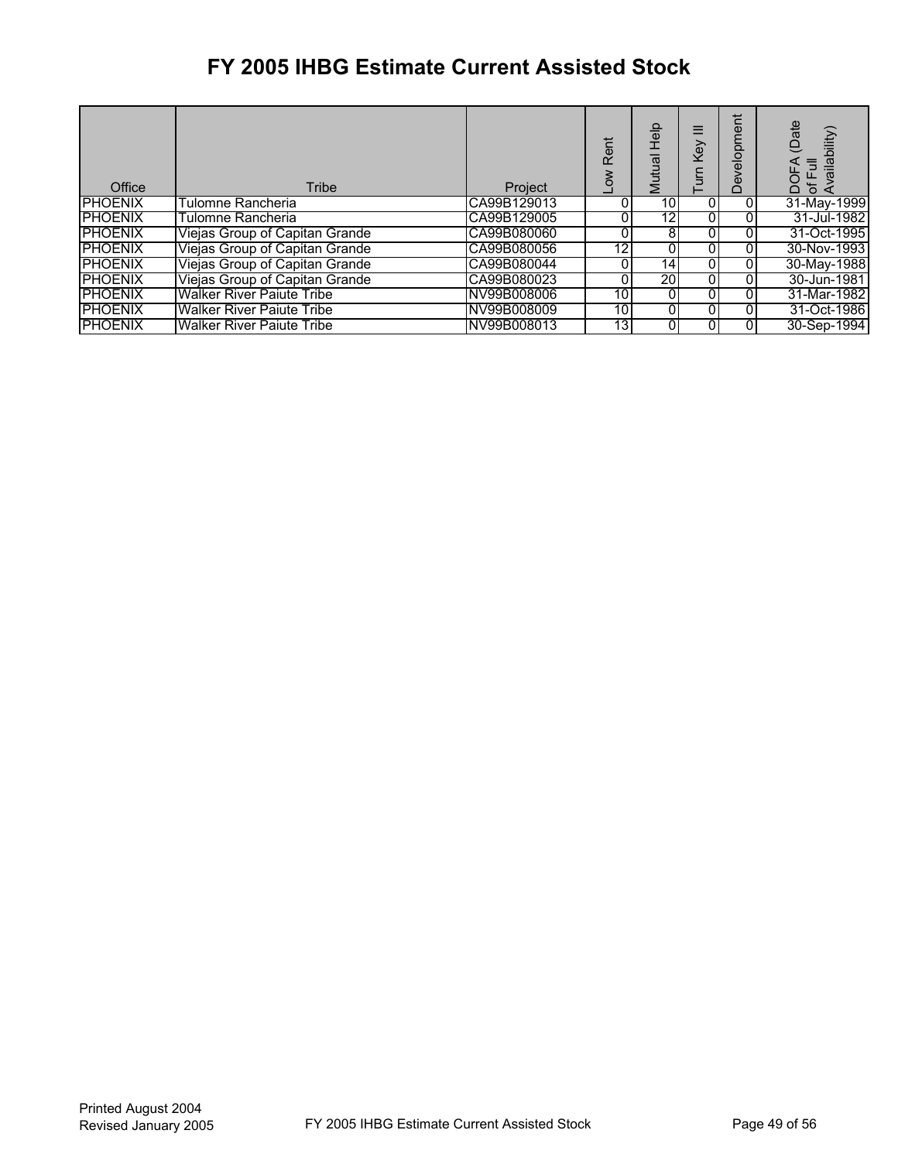| Office         | Tribe                            | Project     | Rent<br>š | Help<br>Mutual  | ≡<br>Key | elopment<br>Dev | (Date<br>ailability<br>of Full<br>Availat<br><b>DOFA</b> |
|----------------|----------------------------------|-------------|-----------|-----------------|----------|-----------------|----------------------------------------------------------|
| <b>PHOENIX</b> | Tulomne Rancheria                | CA99B129013 |           | 10 <sub>l</sub> |          | ΟI              | 31-May-1999                                              |
| <b>PHOENIX</b> | Tulomne Rancheria                | CA99B129005 |           | $1\overline{2}$ | 0        |                 | 31-Jul-1982                                              |
| <b>PHOENIX</b> | Viejas Group of Capitan Grande   | CA99B080060 |           | 8               | 0        | ΟI              | 31-Oct-1995                                              |
| <b>PHOENIX</b> | Viejas Group of Capitan Grande   | CA99B080056 | 12        |                 |          | 01              | 30-Nov-1993                                              |
| <b>PHOENIX</b> | Viejas Group of Capitan Grande   | CA99B080044 |           | 141             | 0        | ΟI              | 30-May-1988                                              |
| <b>PHOENIX</b> | Viejas Group of Capitan Grande   | CA99B080023 |           | 20              | 0        | 01              | 30-Jun-1981                                              |
| <b>PHOENIX</b> | <b>Walker River Paiute Tribe</b> | NV99B008006 | 10        | 0               | 0        | ΟI              | 31-Mar-1982                                              |
| <b>PHOENIX</b> | <b>Walker River Paiute Tribe</b> | NV99B008009 | 10        | 0               |          | 01              | 31-Oct-1986                                              |
| <b>PHOENIX</b> | <b>Walker River Paiute Tribe</b> | NV99B008013 | 13        |                 |          | 01              | 30-Sep-1994                                              |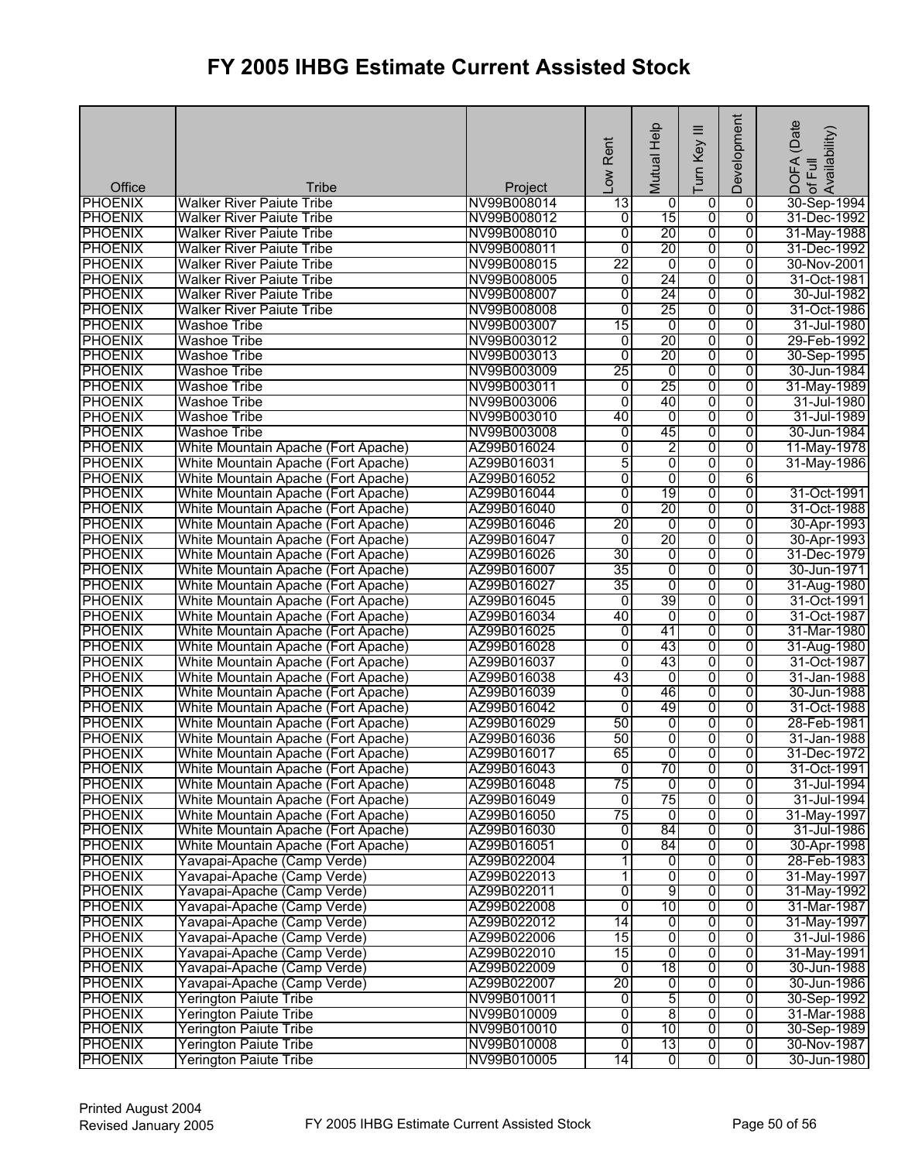|                          |                                           |                        | Rent<br>Low     | Mutual Help     | Ξ<br>Turn Key           | Development    | (Date<br>¦DOFA (Date<br>of Full<br>Availability) |
|--------------------------|-------------------------------------------|------------------------|-----------------|-----------------|-------------------------|----------------|--------------------------------------------------|
| Office<br><b>PHOENIX</b> | Tribe<br><b>Walker River Paiute Tribe</b> | Project<br>NV99B008014 | 13              | 0               | 0                       | 0              | 30-Sep-1994                                      |
| <b>PHOENIX</b>           | <b>Walker River Paiute Tribe</b>          | NV99B008012            | Ō               | 15              | $\overline{0}$          | $\overline{0}$ | 31-Dec-1992                                      |
| <b>PHOENIX</b>           | <b>Walker River Paiute Tribe</b>          | NV99B008010            | $\overline{0}$  | 20              | 0                       | $\overline{0}$ | 31-May-1988                                      |
| <b>PHOENIX</b>           | <b>Walker River Paiute Tribe</b>          | NV99B008011            | Ō               | 20              | 0                       | 0              | 31-Dec-1992                                      |
| <b>PHOENIX</b>           | <b>Walker River Paiute Tribe</b>          | NV99B008015            | 22              | 0               | $\overline{0}$          | $\overline{0}$ | 30-Nov-2001                                      |
| <b>PHOENIX</b>           | <b>Walker River Paiute Tribe</b>          | NV99B008005            | $\overline{0}$  | 24              | $\overline{0}$          | $\overline{0}$ | 31-Oct-1981                                      |
| <b>PHOENIX</b>           | <b>Walker River Paiute Tribe</b>          | NV99B008007            | $\overline{0}$  | $\overline{24}$ | 0                       | 0              | 30-Jul-1982                                      |
| <b>PHOENIX</b>           | <b>Walker River Paiute Tribe</b>          | NV99B008008            | $\overline{0}$  | 25              | 0                       | $\overline{0}$ | 31-Oct-1986                                      |
| <b>PHOENIX</b>           | <b>Washoe Tribe</b>                       | NV99B003007            | $\overline{15}$ | $\overline{0}$  | ō                       | $\overline{0}$ | 31-Jul-1980                                      |
| <b>PHOENIX</b>           | <b>Washoe Tribe</b>                       | NV99B003012            | $\overline{0}$  | 20              | $\overline{0}$          | $\overline{0}$ | 29-Feb-1992                                      |
| <b>PHOENIX</b>           | <b>Washoe Tribe</b>                       | NV99B003013            | $\overline{0}$  | 20              | 0                       | $\overline{0}$ | 30-Sep-1995                                      |
| <b>PHOENIX</b>           | <b>Washoe Tribe</b>                       | NV99B003009            | 25              | $\overline{0}$  | 0                       | 0              | 30-Jun-1984                                      |
| <b>PHOENIX</b>           | <b>Washoe Tribe</b>                       | NV99B003011            | $\overline{0}$  | 25              | 0                       | $\overline{0}$ | 31-May-1989                                      |
| <b>PHOENIX</b>           | <b>Washoe Tribe</b>                       | NV99B003006            | $\overline{0}$  | 40              | $\overline{0}$          | $\overline{0}$ | 31-Jul-1980                                      |
| <b>PHOENIX</b>           | <b>Washoe Tribe</b>                       | NV99B003010            | 40              | $\overline{0}$  | 0                       | $\overline{0}$ | 31-Jul-1989                                      |
| <b>PHOENIX</b>           | <b>Washoe Tribe</b>                       | NV99B003008            | $\overline{0}$  | 45              | 0                       | 0              | 30-Jun-1984                                      |
| <b>PHOENIX</b>           | White Mountain Apache (Fort Apache)       | AZ99B016024            | $\overline{0}$  | 2               | 0                       | 0              | 11-May-1978                                      |
| <b>PHOENIX</b>           | White Mountain Apache (Fort Apache)       | AZ99B016031            | 5               | 0               | 0                       | $\overline{0}$ | 31-May-1986                                      |
| <b>PHOENIX</b>           | White Mountain Apache (Fort Apache)       | AZ99B016052            | $\overline{0}$  | 0               | 0                       | 6              |                                                  |
| <b>PHOENIX</b>           | White Mountain Apache (Fort Apache)       | AZ99B016044            | $\overline{0}$  | 19              | 0                       | 0              | 31-Oct-1991                                      |
| <b>PHOENIX</b>           | White Mountain Apache (Fort Apache)       | AZ99B016040            | $\overline{0}$  | 20              | 0                       | 0              | 31-Oct-1988                                      |
| <b>PHOENIX</b>           | White Mountain Apache (Fort Apache)       | AZ99B016046            | 20              | 0               | 0                       | $\overline{0}$ | 30-Apr-1993                                      |
| <b>PHOENIX</b>           | White Mountain Apache (Fort Apache)       | AZ99B016047            | $\overline{0}$  | 20              | 0                       | 0              | 30-Apr-1993                                      |
| <b>PHOENIX</b>           | White Mountain Apache (Fort Apache)       | AZ99B016026            | 30              | 0               | 0                       | 0              | 31-Dec-1979                                      |
| <b>PHOENIX</b>           | White Mountain Apache (Fort Apache)       | AZ99B016007            | 35              | 0               | 0                       | $\overline{0}$ | 30-Jun-1971                                      |
| <b>PHOENIX</b>           | White Mountain Apache (Fort Apache)       | AZ99B016027            | $\overline{35}$ | 0               | $\overline{0}$          | 0              | 31-Aug-1980                                      |
| <b>PHOENIX</b>           | White Mountain Apache (Fort Apache)       | AZ99B016045            | $\overline{0}$  | 39              | 0                       | 0              | 31-Oct-1991                                      |
| <b>PHOENIX</b>           | White Mountain Apache (Fort Apache)       | AZ99B016034            | 40              | 0               | 0                       | 0              | 31-Oct-1987                                      |
| <b>PHOENIX</b>           | White Mountain Apache (Fort Apache)       | AZ99B016025            | $\overline{0}$  | 41              | 0                       | $\overline{0}$ | 31-Mar-1980                                      |
| <b>PHOENIX</b>           | White Mountain Apache (Fort Apache)       | AZ99B016028            | $\overline{0}$  | 43              | 0                       | $\overline{0}$ | 31-Aug-1980                                      |
| <b>PHOENIX</b>           | White Mountain Apache (Fort Apache)       | AZ99B016037            | $\overline{0}$  | 43              | 0                       | $\overline{0}$ | 31-Oct-1987                                      |
| <b>PHOENIX</b>           | White Mountain Apache (Fort Apache)       | AZ99B016038            | 43              | 0               | 0                       | 0              | 31-Jan-1988                                      |
| <b>PHOENIX</b>           | White Mountain Apache (Fort Apache)       | AZ99B016039            | $\overline{0}$  | 46              | 0                       | $\overline{0}$ | 30-Jun-1988                                      |
| <b>PHOENIX</b>           | White Mountain Apache (Fort Apache)       | AZ99B016042            | $\overline{0}$  | 49              | $\overline{0}$          | $\overline{0}$ | 31-Oct-1988                                      |
| <b>PHOENIX</b>           | White Mountain Apache (Fort Apache)       | AZ99B016029            | 50              | 0               | 0                       | $\overline{0}$ | 28-Feb-1981                                      |
| <b>PHOENIX</b>           | White Mountain Apache (Fort Apache)       | AZ99B016036            | 50              | 0               | ō                       | 0              | 31-Jan-1988                                      |
| <b>PHOENIX</b>           | White Mountain Apache (Fort Apache)       | AZ99B016017            | 65              | $\overline{0}$  | $\overline{0}$          | 0              | 31-Dec-1972                                      |
| <b>PHOENIX</b>           | White Mountain Apache (Fort Apache)       | AZ99B016043            | $\overline{0}$  | 70              | $\mathbf 0$             | 0              | 31-Oct-1991                                      |
| <b>PHOENIX</b>           | White Mountain Apache (Fort Apache)       | AZ99B016048            | $\overline{75}$ | 0               | 0                       | 0              | 31-Jul-1994                                      |
| <b>PHOENIX</b>           | White Mountain Apache (Fort Apache)       | AZ99B016049            | Ō               | 75              | 0                       | $\overline{0}$ | 31-Jul-1994                                      |
| <b>PHOENIX</b>           | White Mountain Apache (Fort Apache)       | AZ99B016050            | 75              | $\overline{0}$  | 0                       | $\overline{0}$ | 31-May-1997                                      |
| <b>PHOENIX</b>           | White Mountain Apache (Fort Apache)       | AZ99B016030            | 0               | 84              | 0                       | 0              | 31-Jul-1986                                      |
| <b>PHOENIX</b>           | White Mountain Apache (Fort Apache)       | AZ99B016051            | 0               | 84              | 0                       | 0              | 30-Apr-1998                                      |
| <b>PHOENIX</b>           | Yavapai-Apache (Camp Verde)               | AZ99B022004            | 1               | $\overline{0}$  | 0                       | $\overline{0}$ | 28-Feb-1983                                      |
| <b>PHOENIX</b>           | Yavapai-Apache (Camp Verde)               | AZ99B022013            | 1               | $\overline{0}$  | $\overline{0}$          | $\overline{0}$ | 31-May-1997                                      |
| <b>PHOENIX</b>           | Yavapai-Apache (Camp Verde)               | AZ99B022011            | 0               | 9               | 0                       | 0              | 31-May-1992                                      |
| <b>PHOENIX</b>           | Yavapai-Apache (Camp Verde)               | AZ99B022008            | $\overline{0}$  | $\overline{10}$ | 0                       | 0              | 31-Mar-1987                                      |
| <b>PHOENIX</b>           | Yavapai-Apache (Camp Verde)               | AZ99B022012            | 14              | $\overline{0}$  | $\overline{0}$          | 0              | 31-May-1997                                      |
| <b>PHOENIX</b>           | Yavapai-Apache (Camp Verde)               | AZ99B022006            | 15              | $\overline{0}$  | $\overline{0}$          | $\overline{0}$ | 31-Jul-1986                                      |
| <b>PHOENIX</b>           | Yavapai-Apache (Camp Verde)               | AZ99B022010            | 15              | O               | 0                       | $\overline{0}$ | 31-May-1991                                      |
| <b>PHOENIX</b>           | Yavapai-Apache (Camp Verde)               | AZ99B022009            | 0               | 18              | $\overline{0}$          | 0              | 30-Jun-1988                                      |
| <b>PHOENIX</b>           | Yavapai-Apache (Camp Verde)               | AZ99B022007            | 20              | $\overline{0}$  | $\overline{0}$          | 0              | 30-Jun-1986                                      |
| <b>PHOENIX</b>           | <b>Yerington Paiute Tribe</b>             | NV99B010011            | 0               | 5               | $\overline{0}$          | $\overline{0}$ | 30-Sep-1992                                      |
| <b>PHOENIX</b>           | <b>Yerington Paiute Tribe</b>             | NV99B010009            | 0               | 8               | $\overline{0}$          | $\overline{0}$ | 31-Mar-1988                                      |
| <b>PHOENIX</b>           | <b>Yerington Paiute Tribe</b>             | NV99B010010            | 0               | 10              | 0                       | $\overline{0}$ | 30-Sep-1989                                      |
| <b>PHOENIX</b>           | <b>Yerington Paiute Tribe</b>             | NV99B010008            | ō               | 13              | $\overline{0}$          | $\overline{0}$ | 30-Nov-1987                                      |
| <b>PHOENIX</b>           | <b>Yerington Paiute Tribe</b>             | NV99B010005            | 14              | $\overline{0}$  | $\overline{\mathbf{0}}$ | $\overline{0}$ | 30-Jun-1980                                      |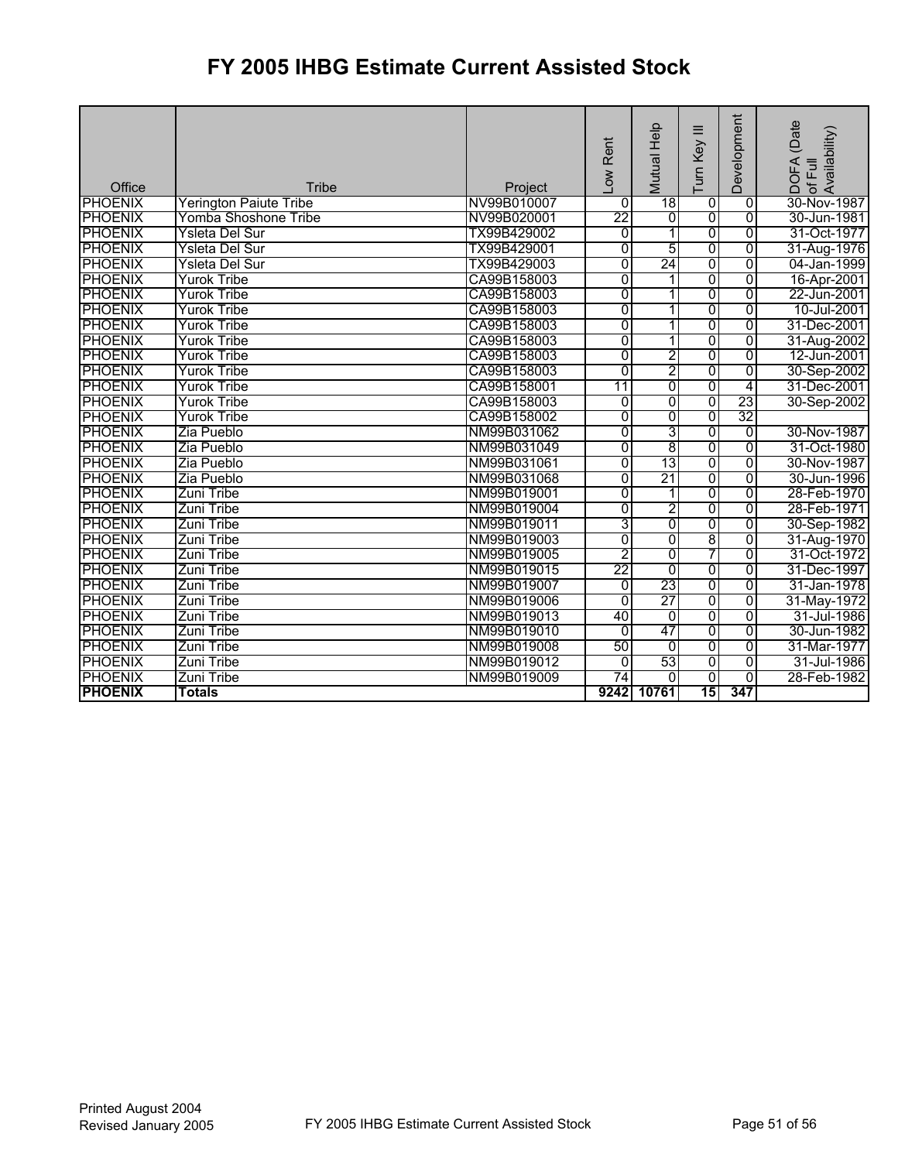| Office         | <b>Tribe</b>                  | Project     | -ow Rent       | Mutual Help    | ≡<br>Key<br>Turn | Development     | (Date<br>Availability)<br><b>DOFA</b><br>of Full |
|----------------|-------------------------------|-------------|----------------|----------------|------------------|-----------------|--------------------------------------------------|
| <b>PHOENIX</b> | <b>Yerington Paiute Tribe</b> | NV99B010007 | 0              | 18             | $\overline{0}$   | $\overline{0}$  | 30-Nov-1987                                      |
| <b>PHOENIX</b> | Yomba Shoshone Tribe          | NV99B020001 | 22             | 0              | $\overline{0}$   | $\overline{0}$  | 30-Jun-1981                                      |
| <b>PHOENIX</b> | Ysleta Del Sur                | TX99B429002 | 0              | 1              | $\overline{0}$   | $\overline{0}$  | 31-Oct-1977                                      |
| <b>PHOENIX</b> | Ysleta Del Sur                | TX99B429001 | $\overline{0}$ | 5              | 0                | $\overline{0}$  | 31-Aug-1976                                      |
| <b>PHOENIX</b> | Ysleta Del Sur                | TX99B429003 | 0              | 24             | 0                | $\overline{0}$  | 04-Jan-1999                                      |
| <b>PHOENIX</b> | <b>Yurok Tribe</b>            | CA99B158003 | 0              | 1              | $\overline{0}$   | $\overline{0}$  | 16-Apr-2001                                      |
| <b>PHOENIX</b> | <b>Yurok Tribe</b>            | CA99B158003 | 0              | 1              | $\overline{0}$   | $\overline{0}$  | 22-Jun-2001                                      |
| <b>PHOENIX</b> | Yurok Tribe                   | CA99B158003 | 0              | 1              | 0                | $\overline{0}$  | 10-Jul-2001                                      |
| <b>PHOENIX</b> | Yurok Tribe                   | CA99B158003 | 0              | 1              | $\overline{0}$   | $\overline{0}$  | 31-Dec-2001                                      |
| <b>PHOENIX</b> | <b>Yurok Tribe</b>            | CA99B158003 | $\overline{0}$ | 1              | $\overline{0}$   | $\overline{0}$  | 31-Aug-2002                                      |
| <b>PHOENIX</b> | <b>Yurok Tribe</b>            | CA99B158003 | 0              | 2              | $\overline{0}$   | $\overline{0}$  | 12-Jun-2001                                      |
| <b>PHOENIX</b> | Yurok Tribe                   | CA99B158003 | 0              | 2              | $\overline{0}$   | $\overline{0}$  | 30-Sep-2002                                      |
| <b>PHOENIX</b> | Yurok Tribe                   | CA99B158001 | 11             | $\overline{0}$ | $\overline{0}$   | 4               | 31-Dec-2001                                      |
| <b>PHOENIX</b> | <b>Yurok Tribe</b>            | CA99B158003 | 0              | 0              | 0                | 23              | 30-Sep-2002                                      |
| <b>PHOENIX</b> | <b>Yurok Tribe</b>            | CA99B158002 | $\overline{0}$ | 0              | $\overline{0}$   | $\overline{32}$ |                                                  |
| <b>PHOENIX</b> | Zia Pueblo                    | NM99B031062 | 0              | $\overline{3}$ | 0                | $\overline{0}$  | 30-Nov-1987                                      |
| <b>PHOENIX</b> | Zia Pueblo                    | NM99B031049 | 0              | 8              | $\overline{0}$   | $\overline{0}$  | 31-Oct-1980                                      |
| <b>PHOENIX</b> | Zia Pueblo                    | NM99B031061 | 0              | 13             | $\overline{0}$   | $\overline{0}$  | 30-Nov-1987                                      |
| <b>PHOENIX</b> | Zia Pueblo                    | NM99B031068 | Ō              | 21             | $\overline{0}$   | $\overline{0}$  | 30-Jun-1996                                      |
| <b>PHOENIX</b> | Zuni Tribe                    | NM99B019001 | 0              | 1              | $\overline{0}$   | $\overline{0}$  | 28-Feb-1970                                      |
| <b>PHOENIX</b> | <b>Zuni Tribe</b>             | NM99B019004 | $\overline{0}$ | 2              | 0                | $\overline{0}$  | 28-Feb-1971                                      |
| <b>PHOENIX</b> | Zuni Tribe                    | NM99B019011 | 3              | o              | $\overline{0}$   | $\overline{0}$  | 30-Sep-1982                                      |
| <b>PHOENIX</b> | Zuni Tribe                    | NM99B019003 | 0              | 0              | $\overline{8}$   | $\overline{0}$  | 31-Aug-1970                                      |
| <b>PHOENIX</b> | Zuni Tribe                    | NM99B019005 | 2              | $\overline{0}$ | 7                | $\overline{0}$  | 31-Oct-1972                                      |
| <b>PHOENIX</b> | <b>Zuni Tribe</b>             | NM99B019015 | 22             | $\overline{0}$ | 0                | $\overline{0}$  | 31-Dec-1997                                      |
| <b>PHOENIX</b> | <b>Zuni Tribe</b>             | NM99B019007 | $\overline{0}$ | 23             | $\overline{0}$   | $\overline{0}$  | 31-Jan-1978                                      |
| <b>PHOENIX</b> | Zuni Tribe                    | NM99B019006 | 0              | 27             | $\overline{0}$   | 0               | 31-May-1972                                      |
| <b>PHOENIX</b> | Zuni Tribe                    | NM99B019013 | 40             | 0              | $\overline{0}$   | $\overline{0}$  | 31-Jul-1986                                      |
| <b>PHOENIX</b> | <b>Zuni Tribe</b>             | NM99B019010 | 0              | 47             | $\overline{0}$   | $\overline{0}$  | 30-Jun-1982                                      |
| <b>PHOENIX</b> | <b>Zuni Tribe</b>             | NM99B019008 | 50             | $\overline{0}$ | $\overline{0}$   | $\overline{0}$  | 31-Mar-1977                                      |
| <b>PHOENIX</b> | Zuni Tribe                    | NM99B019012 | 0              | 53             | $\overline{0}$   | $\overline{0}$  | 31-Jul-1986                                      |
| <b>PHOENIX</b> | Zuni Tribe                    | NM99B019009 | 74             | $\Omega$       | $\Omega$         | $\Omega$        | 28-Feb-1982                                      |
| <b>PHOENIX</b> | <b>Totals</b>                 |             |                | 9242 10761     | 15               | 347             |                                                  |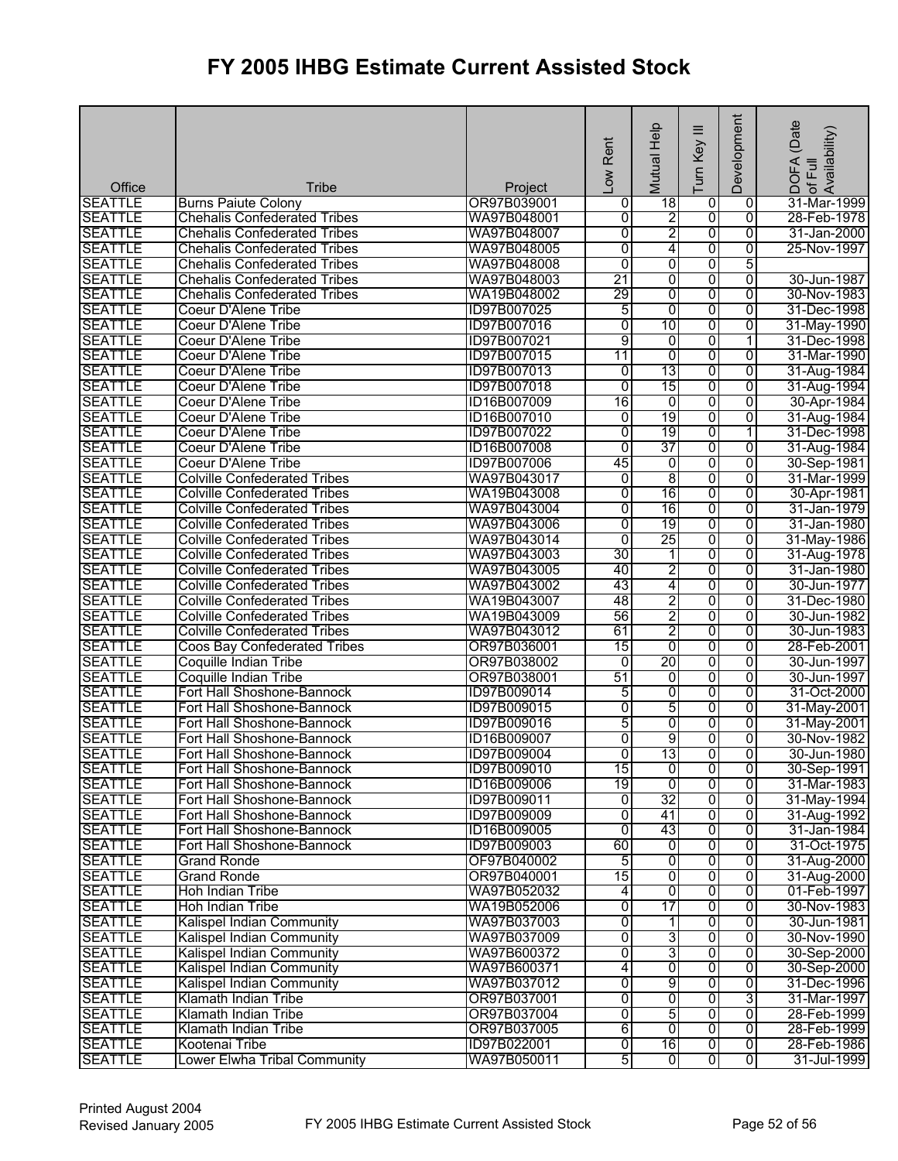|                                  |                                     |                            | Low Rent       | Mutual Help         | $\equiv$<br>Turn Key | Development    | ! DOFA (Date<br>:of Full<br>Availability) |
|----------------------------------|-------------------------------------|----------------------------|----------------|---------------------|----------------------|----------------|-------------------------------------------|
| Office                           | <b>Tribe</b>                        | Project                    |                |                     |                      |                |                                           |
| <b>SEATTLE</b>                   | <b>Burns Paiute Colony</b>          | OR97B039001                | 0              | 18                  | $\overline{0}$       | $\overline{0}$ | 31-Mar-1999                               |
| <b>SEATTLE</b>                   | <b>Chehalis Confederated Tribes</b> | WA97B048001                | 0              | $\overline{2}$      | 0                    | $\overline{0}$ | 28-Feb-1978                               |
| <b>SEATTLE</b>                   | <b>Chehalis Confederated Tribes</b> | WA97B048007                | 0              | $\overline{2}$      | 0                    | 0              | 31-Jan-2000                               |
| <b>SEATTLE</b>                   | <b>Chehalis Confederated Tribes</b> | WA97B048005                | 0              | 4                   | 0                    | 0              | 25-Nov-1997                               |
| <b>SEATTLE</b>                   | <b>Chehalis Confederated Tribes</b> | WA97B048008                | $\overline{0}$ | 0                   | 0                    | 5              |                                           |
| <b>SEATTLE</b>                   | <b>Chehalis Confederated Tribes</b> | WA97B048003                | 21             | $\overline{0}$      | 0                    | $\overline{0}$ | 30-Jun-1987                               |
| <b>SEATTLE</b>                   | <b>Chehalis Confederated Tribes</b> | WA19B048002                | 29             | 0                   | 0                    | 0              | 30-Nov-1983                               |
| <b>SEATTLE</b>                   | <b>Coeur D'Alene Tribe</b>          | ID97B007025                | 5              | $\overline{0}$      | 0                    | $\overline{0}$ | 31-Dec-1998                               |
| <b>SEATTLE</b>                   | Coeur D'Alene Tribe                 | ID97B007016                | 0              | 10                  | 0                    | $\overline{0}$ | 31-May-1990                               |
| <b>SEATTLE</b>                   | Coeur D'Alene Tribe                 | ID97B007021                | 9              | $\overline{0}$      | 0                    | 1              | 31-Dec-1998                               |
| <b>SEATTLE</b>                   | <b>Coeur D'Alene Tribe</b>          | ID97B007015                | 11             | $\overline{0}$      | 0                    | $\overline{0}$ | 31-Mar-1990                               |
| <b>SEATTLE</b>                   | Coeur D'Alene Tribe                 | ID97B007013                | o              | 13                  | 0                    | $\overline{0}$ | 31-Aug-1984                               |
| <b>SEATTLE</b>                   | Coeur D'Alene Tribe                 | ID97B007018                | 0              | 15                  | 0                    | $\overline{0}$ | 31-Aug-1994                               |
| <b>SEATTLE</b>                   | Coeur D'Alene Tribe                 | ID16B007009                | 16             | $\overline{0}$      | $\overline{0}$       | $\overline{0}$ | 30-Apr-1984                               |
| <b>SEATTLE</b>                   | Coeur D'Alene Tribe                 | ID16B007010                | 0              | 19                  | 0                    | $\overline{0}$ | 31-Aug-1984                               |
| <b>SEATTLE</b>                   | <b>Coeur D'Alene Tribe</b>          | ID97B007022                | $\overline{0}$ | 19                  | 0                    | 1              | 31-Dec-1998                               |
| <b>SEATTLE</b>                   | <b>Coeur D'Alene Tribe</b>          | ID16B007008                | $\overline{0}$ | 37                  | 0                    | 0              | 31-Aug-1984                               |
| <b>SEATTLE</b>                   | <b>Coeur D'Alene Tribe</b>          | ID97B007006                | 45             | $\overline{0}$      | 0                    | $\overline{0}$ | 30-Sep-1981                               |
| <b>SEATTLE</b>                   | <b>Colville Confederated Tribes</b> | WA97B043017                | 0              | $\overline{8}$      | $\overline{0}$       | $\overline{0}$ | 31-Mar-1999                               |
| <b>SEATTLE</b>                   | <b>Colville Confederated Tribes</b> | WA19B043008                | 0              | 16                  | 0                    | 0              | 30-Apr-1981                               |
| <b>SEATTLE</b>                   | <b>Colville Confederated Tribes</b> | WA97B043004                | 0              | 16                  | 0                    | 0              | 31-Jan-1979                               |
| <b>SEATTLE</b>                   | <b>Colville Confederated Tribes</b> | WA97B043006                | $\overline{0}$ | 19                  | 0                    | 0              | 31-Jan-1980                               |
| <b>SEATTLE</b>                   | <b>Colville Confederated Tribes</b> | WA97B043014                | $\overline{0}$ | 25                  | 0                    | $\overline{0}$ | 31-May-1986                               |
| <b>SEATTLE</b>                   | <b>Colville Confederated Tribes</b> | WA97B043003                | 30             | 1                   | 0                    | 0              | 31-Aug-1978                               |
|                                  |                                     |                            | 40             |                     |                      | 0              |                                           |
| <b>SEATTLE</b>                   | <b>Colville Confederated Tribes</b> | WA97B043005                | 43             | $\overline{2}$      | 0                    |                | 31-Jan-1980                               |
| <b>SEATTLE</b><br><b>SEATTLE</b> | <b>Colville Confederated Tribes</b> | WA97B043002<br>WA19B043007 | 48             | 4<br>$\overline{2}$ | 0                    | 0<br>0         | 30-Jun-1977                               |
| <b>SEATTLE</b>                   | <b>Colville Confederated Tribes</b> |                            | 56             |                     | 0                    |                | 31-Dec-1980                               |
|                                  | <b>Colville Confederated Tribes</b> | WA19B043009                |                | $\overline{2}$      | 0                    | 0              | 30-Jun-1982                               |
| <b>SEATTLE</b>                   | <b>Colville Confederated Tribes</b> | WA97B043012                | 61             | $\overline{2}$      | 0                    | 0              | 30-Jun-1983                               |
| <b>SEATTLE</b>                   | <b>Coos Bay Confederated Tribes</b> | OR97B036001                | 15             | $\overline{0}$      | $\overline{0}$       | 0              | 28-Feb-2001                               |
| <b>SEATTLE</b>                   | Coquille Indian Tribe               | OR97B038002                | 0              | 20                  | 0                    | 0              | 30-Jun-1997                               |
| <b>SEATTLE</b>                   | <b>Coquille Indian Tribe</b>        | OR97B038001                | 51             | 0                   | 0                    | 0              | 30-Jun-1997                               |
| <b>SEATTLE</b>                   | Fort Hall Shoshone-Bannock          | ID97B009014                | 5              | $\overline{0}$      | 0                    | 0              | 31-Oct-2000                               |
| <b>SEATTLE</b>                   | Fort Hall Shoshone-Bannock          | ID97B009015                | $\overline{0}$ | 5                   | 0                    | $\overline{0}$ | 31-May-2001                               |
| <b>SEATTLE</b>                   | Fort Hall Shoshone-Bannock          | ID97B009016                | 5              | $\overline{0}$      | 0                    | $\overline{0}$ | 31-May-2001                               |
| <b>SEATTLE</b>                   | Fort Hall Shoshone-Bannock          | ID16B009007                | 0              | 9                   | o                    | 0              | 30-Nov-1982                               |
| <b>SEATTLE</b>                   | Fort Hall Shoshone-Bannock          | ID97B009004                | $\overline{0}$ | 13                  | ō                    | $\overline{0}$ | 30-Jun-1980                               |
| <b>SEATTLE</b>                   | Fort Hall Shoshone-Bannock          | ID97B009010                | 15             | ō                   | o                    | 0              | 30-Sep-1991                               |
| <b>SEATTLE</b>                   | Fort Hall Shoshone-Bannock          | ID16B009006                | 19             | $\overline{0}$      | 0                    | 0              | 31-Mar-1983                               |
| <b>SEATTLE</b>                   | Fort Hall Shoshone-Bannock          | ID97B009011                | $\mathbf 0$    | 32                  | 0                    | 0              | 31-May-1994                               |
| <b>SEATTLE</b>                   | Fort Hall Shoshone-Bannock          | ID97B009009                | $\overline{0}$ | 41                  | ō                    | $\overline{0}$ | 31-Aug-1992                               |
| <b>SEATTLE</b>                   | Fort Hall Shoshone-Bannock          | ID16B009005                | 0              | 43                  | 0                    | $\overline{0}$ | 31-Jan-1984                               |
| <b>SEATTLE</b>                   | Fort Hall Shoshone-Bannock          | ID97B009003                | 60             | 0                   | ō                    | 0              | 31-Oct-1975                               |
| <b>SEATTLE</b>                   | <b>Grand Ronde</b>                  | OF97B040002                | 5              | 0                   | 0                    | $\overline{0}$ | 31-Aug-2000                               |
| <b>SEATTLE</b>                   | <b>Grand Ronde</b>                  | OR97B040001                | 15             | $\overline{0}$      | $\overline{0}$       | 0              | 31-Aug-2000                               |
| <b>SEATTLE</b>                   | Hoh Indian Tribe                    | WA97B052032                | 4              | $\overline{0}$      | 0                    | 0              | 01-Feb-1997                               |
| <b>SEATTLE</b>                   | Hoh Indian Tribe                    | WA19B052006                | 0              | $\overline{17}$     | 0                    | 0              | 30-Nov-1983                               |
| <b>SEATTLE</b>                   | Kalispel Indian Community           | WA97B037003                | 0              | 1                   | 0                    | 0              | 30-Jun-1981                               |
| <b>SEATTLE</b>                   | Kalispel Indian Community           | WA97B037009                | 0              | 3                   | 0                    | 0              | 30-Nov-1990                               |
| <b>SEATTLE</b>                   | <b>Kalispel Indian Community</b>    | WA97B600372                | 0              | $\overline{3}$      | 0                    | $\overline{0}$ | 30-Sep-2000                               |
| <b>SEATTLE</b>                   | <b>Kalispel Indian Community</b>    | WA97B600371                | 4              | $\overline{0}$      | $\overline{0}$       | 0              | 30-Sep-2000                               |
| <b>SEATTLE</b>                   | <b>Kalispel Indian Community</b>    | WA97B037012                | $\overline{0}$ | 9                   | 0                    | $\overline{0}$ | 31-Dec-1996                               |
| <b>SEATTLE</b>                   | Klamath Indian Tribe                | OR97B037001                | $\overline{0}$ | 0                   | 0                    | 3              | 31-Mar-1997                               |
| <b>SEATTLE</b>                   | Klamath Indian Tribe                | OR97B037004                | 0              | 5                   | 0                    | $\overline{0}$ | 28-Feb-1999                               |
| <b>SEATTLE</b>                   | Klamath Indian Tribe                | OR97B037005                | 6              | 0                   | o                    | 0              | 28-Feb-1999                               |
| <b>SEATTLE</b>                   | Kootenai Tribe                      | ID97B022001                | $\overline{0}$ | 16                  | $\overline{0}$       | $\overline{0}$ | 28-Feb-1986                               |
| <b>SEATTLE</b>                   | Lower Elwha Tribal Community        | WA97B050011                | 5              | $\overline{0}$      | 0                    | $\overline{0}$ | 31-Jul-1999                               |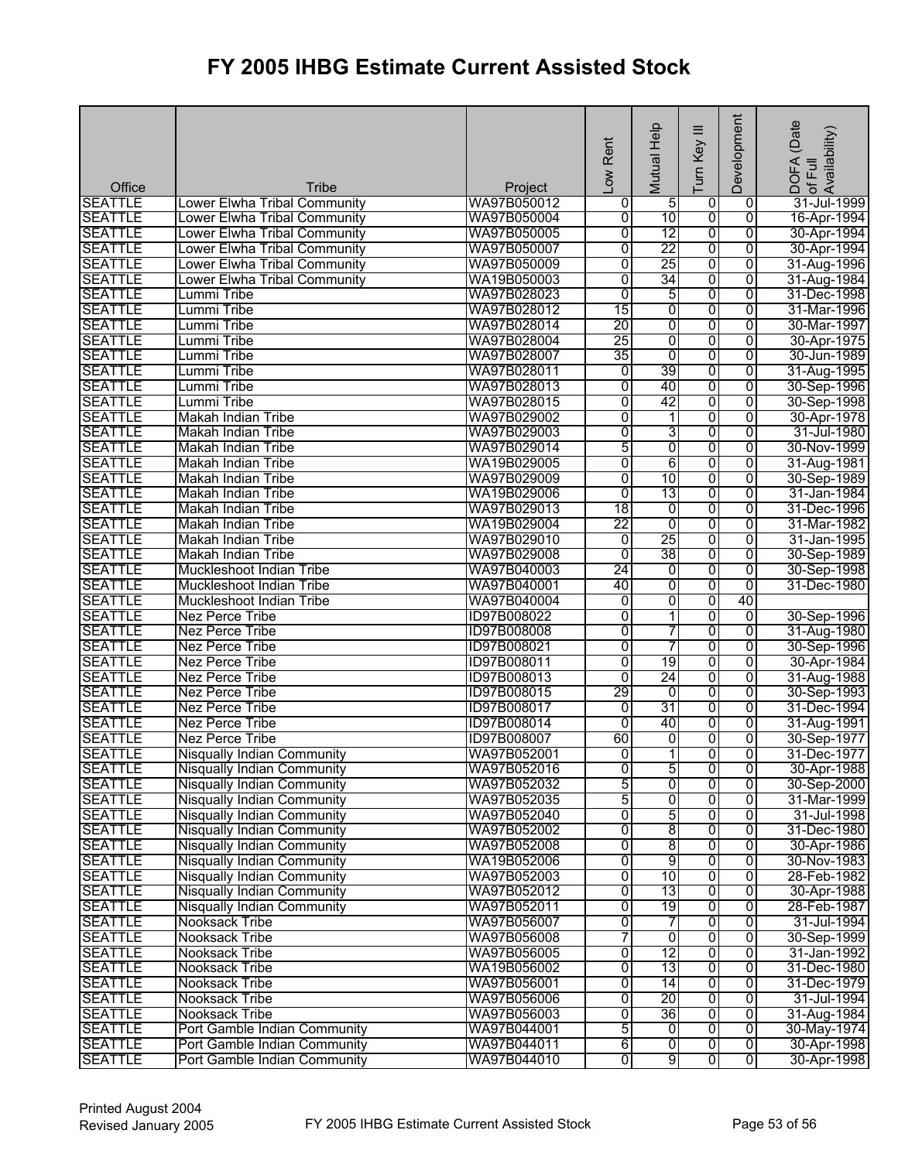| Office<br>Tribe<br>Project<br><b>SEATTLE</b><br>WA97B050012<br>$\overline{5}$<br>$\overline{0}$<br>31-Jul-1999<br>Lower Elwha Tribal Community<br>0<br>$\mathbf 0$<br>10<br>$\overline{\mathbf{0}}$<br>$\overline{0}$<br><b>SEATTLE</b><br>Lower Elwha Tribal Community<br>WA97B050004<br>0<br>16-Apr-1994<br>12<br><b>SEATTLE</b><br>WA97B050005<br>$\overline{0}$<br>0<br>$\overline{0}$<br>Lower Elwha Tribal Community<br>30-Apr-1994<br><b>SEATTLE</b><br>22<br>0<br>Lower Elwha Tribal Community<br>WA97B050007<br>0<br>0<br>30-Apr-1994<br><b>SEATTLE</b><br>$\overline{0}$<br>25<br>0<br>0<br>Lower Elwha Tribal Community<br>WA97B050009<br>31-Aug-1996<br>34<br>0<br><b>SEATTLE</b><br>WA19B050003<br>0<br>0<br>31-Aug-1984<br>Lower Elwha Tribal Community<br>$\overline{0}$<br>5<br>$\overline{0}$<br><b>SEATTLE</b><br>WA97B028023<br>0<br>31-Dec-1998<br>Lummi Tribe<br>0<br>0<br><b>SEATTLE</b><br>Lummi Tribe<br>WA97B028012<br>15<br>$\overline{0}$<br>31-Mar-1996<br>20<br>$\overline{0}$<br>$\overline{0}$<br>$\overline{0}$<br><b>SEATTLE</b><br>Lummi Tribe<br>WA97B028014<br>30-Mar-1997<br>25<br>0<br>$\overline{0}$<br>$\overline{0}$<br><b>SEATTLE</b><br>Lummi Tribe<br>WA97B028004<br>30-Apr-1975<br>35<br>0<br><b>SEATTLE</b><br>$\overline{0}$<br>$\overline{0}$<br>30-Jun-1989<br>Lummi Tribe<br>WA97B028007<br>39<br>0<br><b>SEATTLE</b><br>Lummi Tribe<br>WA97B028011<br>$\overline{0}$<br>$\overline{0}$<br>31-Aug-1995<br>0<br><b>SEATTLE</b><br>$\overline{0}$<br>40<br>$\overline{0}$<br>Lummi Tribe<br>WA97B028013<br>30-Sep-1996<br>42<br>0<br>$\overline{0}$<br>$\overline{0}$<br><b>SEATTLE</b><br>Lummi Tribe<br>WA97B028015<br>30-Sep-1998<br><b>SEATTLE</b><br>$\overline{0}$<br>1<br>0<br>$\overline{0}$<br><b>Makah Indian Tribe</b><br>WA97B029002<br>30-Apr-1978<br>3<br><b>SEATTLE</b><br>WA97B029003<br>$\overline{0}$<br>0<br>$\overline{0}$<br><b>Makah Indian Tribe</b><br>31-Jul-1980<br>5<br>0<br><b>SEATTLE</b><br>$\overline{0}$<br>$\overline{0}$<br>Makah Indian Tribe<br>WA97B029014<br>30-Nov-1999<br>0<br>6<br><b>SEATTLE</b><br>$\overline{0}$<br>$\overline{0}$<br>31-Aug-1981<br>Makah Indian Tribe<br>WA19B029005<br>$\overline{0}$<br>10<br><b>SEATTLE</b><br>WA97B029009<br>0<br>$\overline{0}$<br><b>Makah Indian Tribe</b><br>30-Sep-1989<br><b>SEATTLE</b><br>WA19B029006<br>0<br>13<br>0<br>0<br>31-Jan-1984<br>Makah Indian Tribe<br><b>SEATTLE</b><br>$\overline{18}$<br>0<br>0<br>0<br>Makah Indian Tribe<br>WA97B029013<br>31-Dec-1996<br>22<br>$\overline{0}$<br>0<br><b>SEATTLE</b><br>$\overline{0}$<br><b>Makah Indian Tribe</b><br>WA19B029004<br>31-Mar-1982<br>25<br><b>SEATTLE</b><br>WA97B029010<br>ō<br>0<br>$\overline{0}$<br>Makah Indian Tribe<br>31-Jan-1995<br>38<br><b>SEATTLE</b><br>WA97B029008<br>$\overline{0}$<br>0<br>0<br>Makah Indian Tribe<br>30-Sep-1989<br>24<br><b>SEATTLE</b><br>WA97B040003<br>0<br>0<br>$\overline{0}$<br>Muckleshoot Indian Tribe<br>$\overline{0}$<br>$\overline{0}$<br><b>SEATTLE</b><br>WA97B040001<br>40<br>$\overline{0}$<br>Muckleshoot Indian Tribe<br>31-Dec-1980<br><b>SEATTLE</b><br>0<br>0<br>WA97B040004<br>$\overline{0}$<br>40<br>Muckleshoot Indian Tribe<br><b>SEATTLE</b><br>$\overline{0}$<br>$\overline{\phantom{a}}$<br>0<br>Nez Perce Tribe<br>ID97B008022<br>0<br>30-Sep-1996<br>0<br><b>SEATTLE</b><br>0<br>7<br>$\overline{0}$<br>Nez Perce Tribe<br>ID97B008008<br>7<br>0<br><b>SEATTLE</b><br>$\overline{0}$<br>$\overline{0}$<br>Nez Perce Tribe<br>ID97B008021<br><b>SEATTLE</b><br>19<br>0<br>$\overline{0}$<br>0<br>Nez Perce Tribe<br>ID97B008011<br>30-Apr-1984<br><b>SEATTLE</b><br>24<br>0<br>Nez Perce Tribe<br>ID97B008013<br>0<br>0<br>29<br>$\overline{0}$<br><b>SEATTLE</b><br>0<br>0<br><b>Nez Perce Tribe</b><br>ID97B008015<br>30-Sep-1993<br>31<br>0<br>$\overline{0}$<br><b>SEATTLE</b><br><b>Nez Perce Tribe</b><br>ID97B008017<br>0<br>31-Dec-1994<br><b>SEATTLE</b><br>0<br>ID97B008014<br>$\overline{0}$<br>40<br>$\overline{0}$<br>31-Aug-1991<br>Nez Perce Tribe<br><b>SEATTLE</b><br><b>Nez Perce Tribe</b><br>60<br>0<br>ID97B008007<br>0<br>0<br>11<br>$\overline{0}$<br><b>SEATTLE</b><br>$\overline{0}$<br>Ō<br><b>Nisqually Indian Community</b><br>WA97B052001<br><b>Nisqually Indian Community</b><br>5<br><b>SEATTLE</b><br>WA97B052016<br>$\overline{0}$<br>$\overline{0}$<br>30-Apr-1988<br>0<br>5<br>0<br>0<br><b>SEATTLE</b><br>WA97B052032<br>0<br>Nisqually Indian Community<br><b>SEATTLE</b><br>5<br>0<br>0<br>$\overline{0}$<br><b>Nisqually Indian Community</b><br>WA97B052035<br>5<br><b>SEATTLE</b><br>0<br>$\overline{\mathbf{0}}$<br>$\overline{0}$<br><b>Nisqually Indian Community</b><br>WA97B052040<br>8<br><b>SEATTLE</b><br><b>Nisqually Indian Community</b><br>$\overline{0}$<br>0<br>$\overline{0}$<br>WA97B052002<br>31-Dec-1980<br>8<br><b>SEATTLE</b><br><b>Nisqually Indian Community</b><br>WA97B052008<br>0<br>0<br>$\overline{0}$<br>30-Apr-1986<br>9<br><b>SEATTLE</b><br>0<br>$\overline{0}$<br>$\overline{0}$<br><b>Nisqually Indian Community</b><br>WA19B052006<br>30-Nov-1983<br>0<br>10<br>$\overline{\mathbf{0}}$<br>0<br><b>SEATTLE</b><br><b>Nisqually Indian Community</b><br>WA97B052003<br>28-Feb-1982<br>0<br><b>SEATTLE</b><br>13<br>0<br>0<br><b>Nisqually Indian Community</b><br>WA97B052012<br>30-Apr-1988<br>0<br>19<br>0<br><b>SEATTLE</b><br><b>Nisqually Indian Community</b><br>WA97B052011<br>0<br>28-Feb-1987<br><b>SEATTLE</b><br>WA97B056007<br>0<br>0<br>0<br><b>Nooksack Tribe</b><br>7<br>31-Jul-1994<br>7<br>0<br>$\overline{0}$<br>$\overline{0}$<br><b>SEATTLE</b><br><b>Nooksack Tribe</b><br>WA97B056008<br>30-Sep-1999<br>12<br><b>SEATTLE</b><br>WA97B056005<br>0<br>0<br>0<br><b>Nooksack Tribe</b><br>31-Jan-1992<br><b>SEATTLE</b><br>0<br>13<br>$\overline{0}$<br>0<br>Nooksack Tribe<br>WA19B056002<br>31-Dec-1980<br>$\overline{0}$<br>0<br>14<br>$\overline{0}$<br><b>SEATTLE</b><br>WA97B056001<br>31-Dec-1979<br>Nooksack Tribe<br>0<br>20<br>$\overline{0}$<br>$\overline{0}$<br><b>SEATTLE</b><br><b>Nooksack Tribe</b><br>WA97B056006<br>31-Jul-1994<br>36<br>0<br><b>SEATTLE</b><br>0<br>0<br>31-Aug-1984<br><b>Nooksack Tribe</b><br>WA97B056003<br>5<br><b>SEATTLE</b><br>0<br>Port Gamble Indian Community<br>WA97B044001<br>0<br>0<br>6<br>$\overline{0}$<br><b>SEATTLE</b><br>$\overline{0}$<br>$\overline{0}$<br>Port Gamble Indian Community<br>WA97B044011<br>9<br>$\overline{0}$<br><b>SEATTLE</b><br>Port Gamble Indian Community<br>WA97B044010<br>0<br>$\overline{0}$ |  | Low Rent | Help<br>Mutual | $\equiv$<br>Turn Key | Development | (Date<br>DOFA (Date<br>of Full<br>Availability) |
|-----------------------------------------------------------------------------------------------------------------------------------------------------------------------------------------------------------------------------------------------------------------------------------------------------------------------------------------------------------------------------------------------------------------------------------------------------------------------------------------------------------------------------------------------------------------------------------------------------------------------------------------------------------------------------------------------------------------------------------------------------------------------------------------------------------------------------------------------------------------------------------------------------------------------------------------------------------------------------------------------------------------------------------------------------------------------------------------------------------------------------------------------------------------------------------------------------------------------------------------------------------------------------------------------------------------------------------------------------------------------------------------------------------------------------------------------------------------------------------------------------------------------------------------------------------------------------------------------------------------------------------------------------------------------------------------------------------------------------------------------------------------------------------------------------------------------------------------------------------------------------------------------------------------------------------------------------------------------------------------------------------------------------------------------------------------------------------------------------------------------------------------------------------------------------------------------------------------------------------------------------------------------------------------------------------------------------------------------------------------------------------------------------------------------------------------------------------------------------------------------------------------------------------------------------------------------------------------------------------------------------------------------------------------------------------------------------------------------------------------------------------------------------------------------------------------------------------------------------------------------------------------------------------------------------------------------------------------------------------------------------------------------------------------------------------------------------------------------------------------------------------------------------------------------------------------------------------------------------------------------------------------------------------------------------------------------------------------------------------------------------------------------------------------------------------------------------------------------------------------------------------------------------------------------------------------------------------------------------------------------------------------------------------------------------------------------------------------------------------------------------------------------------------------------------------------------------------------------------------------------------------------------------------------------------------------------------------------------------------------------------------------------------------------------------------------------------------------------------------------------------------------------------------------------------------------------------------------------------------------------------------------------------------------------------------------------------------------------------------------------------------------------------------------------------------------------------------------------------------------------------------------------------------------------------------------------------------------------------------------------------------------------------------------------------------------------------------------------------------------------------------------------------------------------------------------------------------------------------------------------------------------------------------------------------------------------------------------------------------------------------------------------------------------------------------------------------------------------------------------------------------------------------------------------------------------------------------------------------------------------------------------------------------------------------------------------------------------------------------------------------------------------------------------------------------------------------------------------------------------------------------------------------------------------------------------------------------------------------------------------------------------------------------------------------------------------------------------------------------------------------------------------------------------------------------------------------------------------------------------------------------------------------------------------------------------------------------------------------------------------------------------------------------------------------------------------------------------------------------------------------------------------------------------------------------------------------------------------------------------------------------------------------------------------------------------------------------------------------------------------------------------------------------------------------------------------------------------------------------------------------------------------------------------------------------|--|----------|----------------|----------------------|-------------|-------------------------------------------------|
| 30-Sep-1998<br>31-Aug-1980<br>30-Sep-1996<br>31-Aug-1988<br>30-Sep-1977<br>31-Mar-1999<br>31-Jul-1998<br>30-May-1974<br>30-Apr-1998<br>30-Apr-1998                                                                                                                                                                                                                                                                                                                                                                                                                                                                                                                                                                                                                                                                                                                                                                                                                                                                                                                                                                                                                                                                                                                                                                                                                                                                                                                                                                                                                                                                                                                                                                                                                                                                                                                                                                                                                                                                                                                                                                                                                                                                                                                                                                                                                                                                                                                                                                                                                                                                                                                                                                                                                                                                                                                                                                                                                                                                                                                                                                                                                                                                                                                                                                                                                                                                                                                                                                                                                                                                                                                                                                                                                                                                                                                                                                                                                                                                                                                                                                                                                                                                                                                                                                                                                                                                                                                                                                                                                                                                                                                                                                                                                                                                                                                                                                                                                                                                                                                                                                                                                                                                                                                                                                                                                                                                                                                                                                                                                                                                                                                                                                                                                                                                                                                                                                                                                                                                                                                                                                                                                                                                                                                                                                                                                                                                                                                                                                                                        |  |          |                |                      |             |                                                 |
| 31-Dec-1977<br>30-Sep-2000                                                                                                                                                                                                                                                                                                                                                                                                                                                                                                                                                                                                                                                                                                                                                                                                                                                                                                                                                                                                                                                                                                                                                                                                                                                                                                                                                                                                                                                                                                                                                                                                                                                                                                                                                                                                                                                                                                                                                                                                                                                                                                                                                                                                                                                                                                                                                                                                                                                                                                                                                                                                                                                                                                                                                                                                                                                                                                                                                                                                                                                                                                                                                                                                                                                                                                                                                                                                                                                                                                                                                                                                                                                                                                                                                                                                                                                                                                                                                                                                                                                                                                                                                                                                                                                                                                                                                                                                                                                                                                                                                                                                                                                                                                                                                                                                                                                                                                                                                                                                                                                                                                                                                                                                                                                                                                                                                                                                                                                                                                                                                                                                                                                                                                                                                                                                                                                                                                                                                                                                                                                                                                                                                                                                                                                                                                                                                                                                                                                                                                                                |  |          |                |                      |             |                                                 |
|                                                                                                                                                                                                                                                                                                                                                                                                                                                                                                                                                                                                                                                                                                                                                                                                                                                                                                                                                                                                                                                                                                                                                                                                                                                                                                                                                                                                                                                                                                                                                                                                                                                                                                                                                                                                                                                                                                                                                                                                                                                                                                                                                                                                                                                                                                                                                                                                                                                                                                                                                                                                                                                                                                                                                                                                                                                                                                                                                                                                                                                                                                                                                                                                                                                                                                                                                                                                                                                                                                                                                                                                                                                                                                                                                                                                                                                                                                                                                                                                                                                                                                                                                                                                                                                                                                                                                                                                                                                                                                                                                                                                                                                                                                                                                                                                                                                                                                                                                                                                                                                                                                                                                                                                                                                                                                                                                                                                                                                                                                                                                                                                                                                                                                                                                                                                                                                                                                                                                                                                                                                                                                                                                                                                                                                                                                                                                                                                                                                                                                                                                           |  |          |                |                      |             |                                                 |
|                                                                                                                                                                                                                                                                                                                                                                                                                                                                                                                                                                                                                                                                                                                                                                                                                                                                                                                                                                                                                                                                                                                                                                                                                                                                                                                                                                                                                                                                                                                                                                                                                                                                                                                                                                                                                                                                                                                                                                                                                                                                                                                                                                                                                                                                                                                                                                                                                                                                                                                                                                                                                                                                                                                                                                                                                                                                                                                                                                                                                                                                                                                                                                                                                                                                                                                                                                                                                                                                                                                                                                                                                                                                                                                                                                                                                                                                                                                                                                                                                                                                                                                                                                                                                                                                                                                                                                                                                                                                                                                                                                                                                                                                                                                                                                                                                                                                                                                                                                                                                                                                                                                                                                                                                                                                                                                                                                                                                                                                                                                                                                                                                                                                                                                                                                                                                                                                                                                                                                                                                                                                                                                                                                                                                                                                                                                                                                                                                                                                                                                                                           |  |          |                |                      |             |                                                 |
|                                                                                                                                                                                                                                                                                                                                                                                                                                                                                                                                                                                                                                                                                                                                                                                                                                                                                                                                                                                                                                                                                                                                                                                                                                                                                                                                                                                                                                                                                                                                                                                                                                                                                                                                                                                                                                                                                                                                                                                                                                                                                                                                                                                                                                                                                                                                                                                                                                                                                                                                                                                                                                                                                                                                                                                                                                                                                                                                                                                                                                                                                                                                                                                                                                                                                                                                                                                                                                                                                                                                                                                                                                                                                                                                                                                                                                                                                                                                                                                                                                                                                                                                                                                                                                                                                                                                                                                                                                                                                                                                                                                                                                                                                                                                                                                                                                                                                                                                                                                                                                                                                                                                                                                                                                                                                                                                                                                                                                                                                                                                                                                                                                                                                                                                                                                                                                                                                                                                                                                                                                                                                                                                                                                                                                                                                                                                                                                                                                                                                                                                                           |  |          |                |                      |             |                                                 |
|                                                                                                                                                                                                                                                                                                                                                                                                                                                                                                                                                                                                                                                                                                                                                                                                                                                                                                                                                                                                                                                                                                                                                                                                                                                                                                                                                                                                                                                                                                                                                                                                                                                                                                                                                                                                                                                                                                                                                                                                                                                                                                                                                                                                                                                                                                                                                                                                                                                                                                                                                                                                                                                                                                                                                                                                                                                                                                                                                                                                                                                                                                                                                                                                                                                                                                                                                                                                                                                                                                                                                                                                                                                                                                                                                                                                                                                                                                                                                                                                                                                                                                                                                                                                                                                                                                                                                                                                                                                                                                                                                                                                                                                                                                                                                                                                                                                                                                                                                                                                                                                                                                                                                                                                                                                                                                                                                                                                                                                                                                                                                                                                                                                                                                                                                                                                                                                                                                                                                                                                                                                                                                                                                                                                                                                                                                                                                                                                                                                                                                                                                           |  |          |                |                      |             |                                                 |
|                                                                                                                                                                                                                                                                                                                                                                                                                                                                                                                                                                                                                                                                                                                                                                                                                                                                                                                                                                                                                                                                                                                                                                                                                                                                                                                                                                                                                                                                                                                                                                                                                                                                                                                                                                                                                                                                                                                                                                                                                                                                                                                                                                                                                                                                                                                                                                                                                                                                                                                                                                                                                                                                                                                                                                                                                                                                                                                                                                                                                                                                                                                                                                                                                                                                                                                                                                                                                                                                                                                                                                                                                                                                                                                                                                                                                                                                                                                                                                                                                                                                                                                                                                                                                                                                                                                                                                                                                                                                                                                                                                                                                                                                                                                                                                                                                                                                                                                                                                                                                                                                                                                                                                                                                                                                                                                                                                                                                                                                                                                                                                                                                                                                                                                                                                                                                                                                                                                                                                                                                                                                                                                                                                                                                                                                                                                                                                                                                                                                                                                                                           |  |          |                |                      |             |                                                 |
|                                                                                                                                                                                                                                                                                                                                                                                                                                                                                                                                                                                                                                                                                                                                                                                                                                                                                                                                                                                                                                                                                                                                                                                                                                                                                                                                                                                                                                                                                                                                                                                                                                                                                                                                                                                                                                                                                                                                                                                                                                                                                                                                                                                                                                                                                                                                                                                                                                                                                                                                                                                                                                                                                                                                                                                                                                                                                                                                                                                                                                                                                                                                                                                                                                                                                                                                                                                                                                                                                                                                                                                                                                                                                                                                                                                                                                                                                                                                                                                                                                                                                                                                                                                                                                                                                                                                                                                                                                                                                                                                                                                                                                                                                                                                                                                                                                                                                                                                                                                                                                                                                                                                                                                                                                                                                                                                                                                                                                                                                                                                                                                                                                                                                                                                                                                                                                                                                                                                                                                                                                                                                                                                                                                                                                                                                                                                                                                                                                                                                                                                                           |  |          |                |                      |             |                                                 |
|                                                                                                                                                                                                                                                                                                                                                                                                                                                                                                                                                                                                                                                                                                                                                                                                                                                                                                                                                                                                                                                                                                                                                                                                                                                                                                                                                                                                                                                                                                                                                                                                                                                                                                                                                                                                                                                                                                                                                                                                                                                                                                                                                                                                                                                                                                                                                                                                                                                                                                                                                                                                                                                                                                                                                                                                                                                                                                                                                                                                                                                                                                                                                                                                                                                                                                                                                                                                                                                                                                                                                                                                                                                                                                                                                                                                                                                                                                                                                                                                                                                                                                                                                                                                                                                                                                                                                                                                                                                                                                                                                                                                                                                                                                                                                                                                                                                                                                                                                                                                                                                                                                                                                                                                                                                                                                                                                                                                                                                                                                                                                                                                                                                                                                                                                                                                                                                                                                                                                                                                                                                                                                                                                                                                                                                                                                                                                                                                                                                                                                                                                           |  |          |                |                      |             |                                                 |
|                                                                                                                                                                                                                                                                                                                                                                                                                                                                                                                                                                                                                                                                                                                                                                                                                                                                                                                                                                                                                                                                                                                                                                                                                                                                                                                                                                                                                                                                                                                                                                                                                                                                                                                                                                                                                                                                                                                                                                                                                                                                                                                                                                                                                                                                                                                                                                                                                                                                                                                                                                                                                                                                                                                                                                                                                                                                                                                                                                                                                                                                                                                                                                                                                                                                                                                                                                                                                                                                                                                                                                                                                                                                                                                                                                                                                                                                                                                                                                                                                                                                                                                                                                                                                                                                                                                                                                                                                                                                                                                                                                                                                                                                                                                                                                                                                                                                                                                                                                                                                                                                                                                                                                                                                                                                                                                                                                                                                                                                                                                                                                                                                                                                                                                                                                                                                                                                                                                                                                                                                                                                                                                                                                                                                                                                                                                                                                                                                                                                                                                                                           |  |          |                |                      |             |                                                 |
|                                                                                                                                                                                                                                                                                                                                                                                                                                                                                                                                                                                                                                                                                                                                                                                                                                                                                                                                                                                                                                                                                                                                                                                                                                                                                                                                                                                                                                                                                                                                                                                                                                                                                                                                                                                                                                                                                                                                                                                                                                                                                                                                                                                                                                                                                                                                                                                                                                                                                                                                                                                                                                                                                                                                                                                                                                                                                                                                                                                                                                                                                                                                                                                                                                                                                                                                                                                                                                                                                                                                                                                                                                                                                                                                                                                                                                                                                                                                                                                                                                                                                                                                                                                                                                                                                                                                                                                                                                                                                                                                                                                                                                                                                                                                                                                                                                                                                                                                                                                                                                                                                                                                                                                                                                                                                                                                                                                                                                                                                                                                                                                                                                                                                                                                                                                                                                                                                                                                                                                                                                                                                                                                                                                                                                                                                                                                                                                                                                                                                                                                                           |  |          |                |                      |             |                                                 |
|                                                                                                                                                                                                                                                                                                                                                                                                                                                                                                                                                                                                                                                                                                                                                                                                                                                                                                                                                                                                                                                                                                                                                                                                                                                                                                                                                                                                                                                                                                                                                                                                                                                                                                                                                                                                                                                                                                                                                                                                                                                                                                                                                                                                                                                                                                                                                                                                                                                                                                                                                                                                                                                                                                                                                                                                                                                                                                                                                                                                                                                                                                                                                                                                                                                                                                                                                                                                                                                                                                                                                                                                                                                                                                                                                                                                                                                                                                                                                                                                                                                                                                                                                                                                                                                                                                                                                                                                                                                                                                                                                                                                                                                                                                                                                                                                                                                                                                                                                                                                                                                                                                                                                                                                                                                                                                                                                                                                                                                                                                                                                                                                                                                                                                                                                                                                                                                                                                                                                                                                                                                                                                                                                                                                                                                                                                                                                                                                                                                                                                                                                           |  |          |                |                      |             |                                                 |
|                                                                                                                                                                                                                                                                                                                                                                                                                                                                                                                                                                                                                                                                                                                                                                                                                                                                                                                                                                                                                                                                                                                                                                                                                                                                                                                                                                                                                                                                                                                                                                                                                                                                                                                                                                                                                                                                                                                                                                                                                                                                                                                                                                                                                                                                                                                                                                                                                                                                                                                                                                                                                                                                                                                                                                                                                                                                                                                                                                                                                                                                                                                                                                                                                                                                                                                                                                                                                                                                                                                                                                                                                                                                                                                                                                                                                                                                                                                                                                                                                                                                                                                                                                                                                                                                                                                                                                                                                                                                                                                                                                                                                                                                                                                                                                                                                                                                                                                                                                                                                                                                                                                                                                                                                                                                                                                                                                                                                                                                                                                                                                                                                                                                                                                                                                                                                                                                                                                                                                                                                                                                                                                                                                                                                                                                                                                                                                                                                                                                                                                                                           |  |          |                |                      |             |                                                 |
|                                                                                                                                                                                                                                                                                                                                                                                                                                                                                                                                                                                                                                                                                                                                                                                                                                                                                                                                                                                                                                                                                                                                                                                                                                                                                                                                                                                                                                                                                                                                                                                                                                                                                                                                                                                                                                                                                                                                                                                                                                                                                                                                                                                                                                                                                                                                                                                                                                                                                                                                                                                                                                                                                                                                                                                                                                                                                                                                                                                                                                                                                                                                                                                                                                                                                                                                                                                                                                                                                                                                                                                                                                                                                                                                                                                                                                                                                                                                                                                                                                                                                                                                                                                                                                                                                                                                                                                                                                                                                                                                                                                                                                                                                                                                                                                                                                                                                                                                                                                                                                                                                                                                                                                                                                                                                                                                                                                                                                                                                                                                                                                                                                                                                                                                                                                                                                                                                                                                                                                                                                                                                                                                                                                                                                                                                                                                                                                                                                                                                                                                                           |  |          |                |                      |             |                                                 |
|                                                                                                                                                                                                                                                                                                                                                                                                                                                                                                                                                                                                                                                                                                                                                                                                                                                                                                                                                                                                                                                                                                                                                                                                                                                                                                                                                                                                                                                                                                                                                                                                                                                                                                                                                                                                                                                                                                                                                                                                                                                                                                                                                                                                                                                                                                                                                                                                                                                                                                                                                                                                                                                                                                                                                                                                                                                                                                                                                                                                                                                                                                                                                                                                                                                                                                                                                                                                                                                                                                                                                                                                                                                                                                                                                                                                                                                                                                                                                                                                                                                                                                                                                                                                                                                                                                                                                                                                                                                                                                                                                                                                                                                                                                                                                                                                                                                                                                                                                                                                                                                                                                                                                                                                                                                                                                                                                                                                                                                                                                                                                                                                                                                                                                                                                                                                                                                                                                                                                                                                                                                                                                                                                                                                                                                                                                                                                                                                                                                                                                                                                           |  |          |                |                      |             |                                                 |
|                                                                                                                                                                                                                                                                                                                                                                                                                                                                                                                                                                                                                                                                                                                                                                                                                                                                                                                                                                                                                                                                                                                                                                                                                                                                                                                                                                                                                                                                                                                                                                                                                                                                                                                                                                                                                                                                                                                                                                                                                                                                                                                                                                                                                                                                                                                                                                                                                                                                                                                                                                                                                                                                                                                                                                                                                                                                                                                                                                                                                                                                                                                                                                                                                                                                                                                                                                                                                                                                                                                                                                                                                                                                                                                                                                                                                                                                                                                                                                                                                                                                                                                                                                                                                                                                                                                                                                                                                                                                                                                                                                                                                                                                                                                                                                                                                                                                                                                                                                                                                                                                                                                                                                                                                                                                                                                                                                                                                                                                                                                                                                                                                                                                                                                                                                                                                                                                                                                                                                                                                                                                                                                                                                                                                                                                                                                                                                                                                                                                                                                                                           |  |          |                |                      |             |                                                 |
|                                                                                                                                                                                                                                                                                                                                                                                                                                                                                                                                                                                                                                                                                                                                                                                                                                                                                                                                                                                                                                                                                                                                                                                                                                                                                                                                                                                                                                                                                                                                                                                                                                                                                                                                                                                                                                                                                                                                                                                                                                                                                                                                                                                                                                                                                                                                                                                                                                                                                                                                                                                                                                                                                                                                                                                                                                                                                                                                                                                                                                                                                                                                                                                                                                                                                                                                                                                                                                                                                                                                                                                                                                                                                                                                                                                                                                                                                                                                                                                                                                                                                                                                                                                                                                                                                                                                                                                                                                                                                                                                                                                                                                                                                                                                                                                                                                                                                                                                                                                                                                                                                                                                                                                                                                                                                                                                                                                                                                                                                                                                                                                                                                                                                                                                                                                                                                                                                                                                                                                                                                                                                                                                                                                                                                                                                                                                                                                                                                                                                                                                                           |  |          |                |                      |             |                                                 |
|                                                                                                                                                                                                                                                                                                                                                                                                                                                                                                                                                                                                                                                                                                                                                                                                                                                                                                                                                                                                                                                                                                                                                                                                                                                                                                                                                                                                                                                                                                                                                                                                                                                                                                                                                                                                                                                                                                                                                                                                                                                                                                                                                                                                                                                                                                                                                                                                                                                                                                                                                                                                                                                                                                                                                                                                                                                                                                                                                                                                                                                                                                                                                                                                                                                                                                                                                                                                                                                                                                                                                                                                                                                                                                                                                                                                                                                                                                                                                                                                                                                                                                                                                                                                                                                                                                                                                                                                                                                                                                                                                                                                                                                                                                                                                                                                                                                                                                                                                                                                                                                                                                                                                                                                                                                                                                                                                                                                                                                                                                                                                                                                                                                                                                                                                                                                                                                                                                                                                                                                                                                                                                                                                                                                                                                                                                                                                                                                                                                                                                                                                           |  |          |                |                      |             |                                                 |
|                                                                                                                                                                                                                                                                                                                                                                                                                                                                                                                                                                                                                                                                                                                                                                                                                                                                                                                                                                                                                                                                                                                                                                                                                                                                                                                                                                                                                                                                                                                                                                                                                                                                                                                                                                                                                                                                                                                                                                                                                                                                                                                                                                                                                                                                                                                                                                                                                                                                                                                                                                                                                                                                                                                                                                                                                                                                                                                                                                                                                                                                                                                                                                                                                                                                                                                                                                                                                                                                                                                                                                                                                                                                                                                                                                                                                                                                                                                                                                                                                                                                                                                                                                                                                                                                                                                                                                                                                                                                                                                                                                                                                                                                                                                                                                                                                                                                                                                                                                                                                                                                                                                                                                                                                                                                                                                                                                                                                                                                                                                                                                                                                                                                                                                                                                                                                                                                                                                                                                                                                                                                                                                                                                                                                                                                                                                                                                                                                                                                                                                                                           |  |          |                |                      |             |                                                 |
|                                                                                                                                                                                                                                                                                                                                                                                                                                                                                                                                                                                                                                                                                                                                                                                                                                                                                                                                                                                                                                                                                                                                                                                                                                                                                                                                                                                                                                                                                                                                                                                                                                                                                                                                                                                                                                                                                                                                                                                                                                                                                                                                                                                                                                                                                                                                                                                                                                                                                                                                                                                                                                                                                                                                                                                                                                                                                                                                                                                                                                                                                                                                                                                                                                                                                                                                                                                                                                                                                                                                                                                                                                                                                                                                                                                                                                                                                                                                                                                                                                                                                                                                                                                                                                                                                                                                                                                                                                                                                                                                                                                                                                                                                                                                                                                                                                                                                                                                                                                                                                                                                                                                                                                                                                                                                                                                                                                                                                                                                                                                                                                                                                                                                                                                                                                                                                                                                                                                                                                                                                                                                                                                                                                                                                                                                                                                                                                                                                                                                                                                                           |  |          |                |                      |             |                                                 |
|                                                                                                                                                                                                                                                                                                                                                                                                                                                                                                                                                                                                                                                                                                                                                                                                                                                                                                                                                                                                                                                                                                                                                                                                                                                                                                                                                                                                                                                                                                                                                                                                                                                                                                                                                                                                                                                                                                                                                                                                                                                                                                                                                                                                                                                                                                                                                                                                                                                                                                                                                                                                                                                                                                                                                                                                                                                                                                                                                                                                                                                                                                                                                                                                                                                                                                                                                                                                                                                                                                                                                                                                                                                                                                                                                                                                                                                                                                                                                                                                                                                                                                                                                                                                                                                                                                                                                                                                                                                                                                                                                                                                                                                                                                                                                                                                                                                                                                                                                                                                                                                                                                                                                                                                                                                                                                                                                                                                                                                                                                                                                                                                                                                                                                                                                                                                                                                                                                                                                                                                                                                                                                                                                                                                                                                                                                                                                                                                                                                                                                                                                           |  |          |                |                      |             |                                                 |
|                                                                                                                                                                                                                                                                                                                                                                                                                                                                                                                                                                                                                                                                                                                                                                                                                                                                                                                                                                                                                                                                                                                                                                                                                                                                                                                                                                                                                                                                                                                                                                                                                                                                                                                                                                                                                                                                                                                                                                                                                                                                                                                                                                                                                                                                                                                                                                                                                                                                                                                                                                                                                                                                                                                                                                                                                                                                                                                                                                                                                                                                                                                                                                                                                                                                                                                                                                                                                                                                                                                                                                                                                                                                                                                                                                                                                                                                                                                                                                                                                                                                                                                                                                                                                                                                                                                                                                                                                                                                                                                                                                                                                                                                                                                                                                                                                                                                                                                                                                                                                                                                                                                                                                                                                                                                                                                                                                                                                                                                                                                                                                                                                                                                                                                                                                                                                                                                                                                                                                                                                                                                                                                                                                                                                                                                                                                                                                                                                                                                                                                                                           |  |          |                |                      |             |                                                 |
|                                                                                                                                                                                                                                                                                                                                                                                                                                                                                                                                                                                                                                                                                                                                                                                                                                                                                                                                                                                                                                                                                                                                                                                                                                                                                                                                                                                                                                                                                                                                                                                                                                                                                                                                                                                                                                                                                                                                                                                                                                                                                                                                                                                                                                                                                                                                                                                                                                                                                                                                                                                                                                                                                                                                                                                                                                                                                                                                                                                                                                                                                                                                                                                                                                                                                                                                                                                                                                                                                                                                                                                                                                                                                                                                                                                                                                                                                                                                                                                                                                                                                                                                                                                                                                                                                                                                                                                                                                                                                                                                                                                                                                                                                                                                                                                                                                                                                                                                                                                                                                                                                                                                                                                                                                                                                                                                                                                                                                                                                                                                                                                                                                                                                                                                                                                                                                                                                                                                                                                                                                                                                                                                                                                                                                                                                                                                                                                                                                                                                                                                                           |  |          |                |                      |             |                                                 |
|                                                                                                                                                                                                                                                                                                                                                                                                                                                                                                                                                                                                                                                                                                                                                                                                                                                                                                                                                                                                                                                                                                                                                                                                                                                                                                                                                                                                                                                                                                                                                                                                                                                                                                                                                                                                                                                                                                                                                                                                                                                                                                                                                                                                                                                                                                                                                                                                                                                                                                                                                                                                                                                                                                                                                                                                                                                                                                                                                                                                                                                                                                                                                                                                                                                                                                                                                                                                                                                                                                                                                                                                                                                                                                                                                                                                                                                                                                                                                                                                                                                                                                                                                                                                                                                                                                                                                                                                                                                                                                                                                                                                                                                                                                                                                                                                                                                                                                                                                                                                                                                                                                                                                                                                                                                                                                                                                                                                                                                                                                                                                                                                                                                                                                                                                                                                                                                                                                                                                                                                                                                                                                                                                                                                                                                                                                                                                                                                                                                                                                                                                           |  |          |                |                      |             |                                                 |
|                                                                                                                                                                                                                                                                                                                                                                                                                                                                                                                                                                                                                                                                                                                                                                                                                                                                                                                                                                                                                                                                                                                                                                                                                                                                                                                                                                                                                                                                                                                                                                                                                                                                                                                                                                                                                                                                                                                                                                                                                                                                                                                                                                                                                                                                                                                                                                                                                                                                                                                                                                                                                                                                                                                                                                                                                                                                                                                                                                                                                                                                                                                                                                                                                                                                                                                                                                                                                                                                                                                                                                                                                                                                                                                                                                                                                                                                                                                                                                                                                                                                                                                                                                                                                                                                                                                                                                                                                                                                                                                                                                                                                                                                                                                                                                                                                                                                                                                                                                                                                                                                                                                                                                                                                                                                                                                                                                                                                                                                                                                                                                                                                                                                                                                                                                                                                                                                                                                                                                                                                                                                                                                                                                                                                                                                                                                                                                                                                                                                                                                                                           |  |          |                |                      |             |                                                 |
|                                                                                                                                                                                                                                                                                                                                                                                                                                                                                                                                                                                                                                                                                                                                                                                                                                                                                                                                                                                                                                                                                                                                                                                                                                                                                                                                                                                                                                                                                                                                                                                                                                                                                                                                                                                                                                                                                                                                                                                                                                                                                                                                                                                                                                                                                                                                                                                                                                                                                                                                                                                                                                                                                                                                                                                                                                                                                                                                                                                                                                                                                                                                                                                                                                                                                                                                                                                                                                                                                                                                                                                                                                                                                                                                                                                                                                                                                                                                                                                                                                                                                                                                                                                                                                                                                                                                                                                                                                                                                                                                                                                                                                                                                                                                                                                                                                                                                                                                                                                                                                                                                                                                                                                                                                                                                                                                                                                                                                                                                                                                                                                                                                                                                                                                                                                                                                                                                                                                                                                                                                                                                                                                                                                                                                                                                                                                                                                                                                                                                                                                                           |  |          |                |                      |             |                                                 |
|                                                                                                                                                                                                                                                                                                                                                                                                                                                                                                                                                                                                                                                                                                                                                                                                                                                                                                                                                                                                                                                                                                                                                                                                                                                                                                                                                                                                                                                                                                                                                                                                                                                                                                                                                                                                                                                                                                                                                                                                                                                                                                                                                                                                                                                                                                                                                                                                                                                                                                                                                                                                                                                                                                                                                                                                                                                                                                                                                                                                                                                                                                                                                                                                                                                                                                                                                                                                                                                                                                                                                                                                                                                                                                                                                                                                                                                                                                                                                                                                                                                                                                                                                                                                                                                                                                                                                                                                                                                                                                                                                                                                                                                                                                                                                                                                                                                                                                                                                                                                                                                                                                                                                                                                                                                                                                                                                                                                                                                                                                                                                                                                                                                                                                                                                                                                                                                                                                                                                                                                                                                                                                                                                                                                                                                                                                                                                                                                                                                                                                                                                           |  |          |                |                      |             |                                                 |
|                                                                                                                                                                                                                                                                                                                                                                                                                                                                                                                                                                                                                                                                                                                                                                                                                                                                                                                                                                                                                                                                                                                                                                                                                                                                                                                                                                                                                                                                                                                                                                                                                                                                                                                                                                                                                                                                                                                                                                                                                                                                                                                                                                                                                                                                                                                                                                                                                                                                                                                                                                                                                                                                                                                                                                                                                                                                                                                                                                                                                                                                                                                                                                                                                                                                                                                                                                                                                                                                                                                                                                                                                                                                                                                                                                                                                                                                                                                                                                                                                                                                                                                                                                                                                                                                                                                                                                                                                                                                                                                                                                                                                                                                                                                                                                                                                                                                                                                                                                                                                                                                                                                                                                                                                                                                                                                                                                                                                                                                                                                                                                                                                                                                                                                                                                                                                                                                                                                                                                                                                                                                                                                                                                                                                                                                                                                                                                                                                                                                                                                                                           |  |          |                |                      |             |                                                 |
|                                                                                                                                                                                                                                                                                                                                                                                                                                                                                                                                                                                                                                                                                                                                                                                                                                                                                                                                                                                                                                                                                                                                                                                                                                                                                                                                                                                                                                                                                                                                                                                                                                                                                                                                                                                                                                                                                                                                                                                                                                                                                                                                                                                                                                                                                                                                                                                                                                                                                                                                                                                                                                                                                                                                                                                                                                                                                                                                                                                                                                                                                                                                                                                                                                                                                                                                                                                                                                                                                                                                                                                                                                                                                                                                                                                                                                                                                                                                                                                                                                                                                                                                                                                                                                                                                                                                                                                                                                                                                                                                                                                                                                                                                                                                                                                                                                                                                                                                                                                                                                                                                                                                                                                                                                                                                                                                                                                                                                                                                                                                                                                                                                                                                                                                                                                                                                                                                                                                                                                                                                                                                                                                                                                                                                                                                                                                                                                                                                                                                                                                                           |  |          |                |                      |             |                                                 |
|                                                                                                                                                                                                                                                                                                                                                                                                                                                                                                                                                                                                                                                                                                                                                                                                                                                                                                                                                                                                                                                                                                                                                                                                                                                                                                                                                                                                                                                                                                                                                                                                                                                                                                                                                                                                                                                                                                                                                                                                                                                                                                                                                                                                                                                                                                                                                                                                                                                                                                                                                                                                                                                                                                                                                                                                                                                                                                                                                                                                                                                                                                                                                                                                                                                                                                                                                                                                                                                                                                                                                                                                                                                                                                                                                                                                                                                                                                                                                                                                                                                                                                                                                                                                                                                                                                                                                                                                                                                                                                                                                                                                                                                                                                                                                                                                                                                                                                                                                                                                                                                                                                                                                                                                                                                                                                                                                                                                                                                                                                                                                                                                                                                                                                                                                                                                                                                                                                                                                                                                                                                                                                                                                                                                                                                                                                                                                                                                                                                                                                                                                           |  |          |                |                      |             |                                                 |
|                                                                                                                                                                                                                                                                                                                                                                                                                                                                                                                                                                                                                                                                                                                                                                                                                                                                                                                                                                                                                                                                                                                                                                                                                                                                                                                                                                                                                                                                                                                                                                                                                                                                                                                                                                                                                                                                                                                                                                                                                                                                                                                                                                                                                                                                                                                                                                                                                                                                                                                                                                                                                                                                                                                                                                                                                                                                                                                                                                                                                                                                                                                                                                                                                                                                                                                                                                                                                                                                                                                                                                                                                                                                                                                                                                                                                                                                                                                                                                                                                                                                                                                                                                                                                                                                                                                                                                                                                                                                                                                                                                                                                                                                                                                                                                                                                                                                                                                                                                                                                                                                                                                                                                                                                                                                                                                                                                                                                                                                                                                                                                                                                                                                                                                                                                                                                                                                                                                                                                                                                                                                                                                                                                                                                                                                                                                                                                                                                                                                                                                                                           |  |          |                |                      |             |                                                 |
|                                                                                                                                                                                                                                                                                                                                                                                                                                                                                                                                                                                                                                                                                                                                                                                                                                                                                                                                                                                                                                                                                                                                                                                                                                                                                                                                                                                                                                                                                                                                                                                                                                                                                                                                                                                                                                                                                                                                                                                                                                                                                                                                                                                                                                                                                                                                                                                                                                                                                                                                                                                                                                                                                                                                                                                                                                                                                                                                                                                                                                                                                                                                                                                                                                                                                                                                                                                                                                                                                                                                                                                                                                                                                                                                                                                                                                                                                                                                                                                                                                                                                                                                                                                                                                                                                                                                                                                                                                                                                                                                                                                                                                                                                                                                                                                                                                                                                                                                                                                                                                                                                                                                                                                                                                                                                                                                                                                                                                                                                                                                                                                                                                                                                                                                                                                                                                                                                                                                                                                                                                                                                                                                                                                                                                                                                                                                                                                                                                                                                                                                                           |  |          |                |                      |             |                                                 |
|                                                                                                                                                                                                                                                                                                                                                                                                                                                                                                                                                                                                                                                                                                                                                                                                                                                                                                                                                                                                                                                                                                                                                                                                                                                                                                                                                                                                                                                                                                                                                                                                                                                                                                                                                                                                                                                                                                                                                                                                                                                                                                                                                                                                                                                                                                                                                                                                                                                                                                                                                                                                                                                                                                                                                                                                                                                                                                                                                                                                                                                                                                                                                                                                                                                                                                                                                                                                                                                                                                                                                                                                                                                                                                                                                                                                                                                                                                                                                                                                                                                                                                                                                                                                                                                                                                                                                                                                                                                                                                                                                                                                                                                                                                                                                                                                                                                                                                                                                                                                                                                                                                                                                                                                                                                                                                                                                                                                                                                                                                                                                                                                                                                                                                                                                                                                                                                                                                                                                                                                                                                                                                                                                                                                                                                                                                                                                                                                                                                                                                                                                           |  |          |                |                      |             |                                                 |
|                                                                                                                                                                                                                                                                                                                                                                                                                                                                                                                                                                                                                                                                                                                                                                                                                                                                                                                                                                                                                                                                                                                                                                                                                                                                                                                                                                                                                                                                                                                                                                                                                                                                                                                                                                                                                                                                                                                                                                                                                                                                                                                                                                                                                                                                                                                                                                                                                                                                                                                                                                                                                                                                                                                                                                                                                                                                                                                                                                                                                                                                                                                                                                                                                                                                                                                                                                                                                                                                                                                                                                                                                                                                                                                                                                                                                                                                                                                                                                                                                                                                                                                                                                                                                                                                                                                                                                                                                                                                                                                                                                                                                                                                                                                                                                                                                                                                                                                                                                                                                                                                                                                                                                                                                                                                                                                                                                                                                                                                                                                                                                                                                                                                                                                                                                                                                                                                                                                                                                                                                                                                                                                                                                                                                                                                                                                                                                                                                                                                                                                                                           |  |          |                |                      |             |                                                 |
|                                                                                                                                                                                                                                                                                                                                                                                                                                                                                                                                                                                                                                                                                                                                                                                                                                                                                                                                                                                                                                                                                                                                                                                                                                                                                                                                                                                                                                                                                                                                                                                                                                                                                                                                                                                                                                                                                                                                                                                                                                                                                                                                                                                                                                                                                                                                                                                                                                                                                                                                                                                                                                                                                                                                                                                                                                                                                                                                                                                                                                                                                                                                                                                                                                                                                                                                                                                                                                                                                                                                                                                                                                                                                                                                                                                                                                                                                                                                                                                                                                                                                                                                                                                                                                                                                                                                                                                                                                                                                                                                                                                                                                                                                                                                                                                                                                                                                                                                                                                                                                                                                                                                                                                                                                                                                                                                                                                                                                                                                                                                                                                                                                                                                                                                                                                                                                                                                                                                                                                                                                                                                                                                                                                                                                                                                                                                                                                                                                                                                                                                                           |  |          |                |                      |             |                                                 |
|                                                                                                                                                                                                                                                                                                                                                                                                                                                                                                                                                                                                                                                                                                                                                                                                                                                                                                                                                                                                                                                                                                                                                                                                                                                                                                                                                                                                                                                                                                                                                                                                                                                                                                                                                                                                                                                                                                                                                                                                                                                                                                                                                                                                                                                                                                                                                                                                                                                                                                                                                                                                                                                                                                                                                                                                                                                                                                                                                                                                                                                                                                                                                                                                                                                                                                                                                                                                                                                                                                                                                                                                                                                                                                                                                                                                                                                                                                                                                                                                                                                                                                                                                                                                                                                                                                                                                                                                                                                                                                                                                                                                                                                                                                                                                                                                                                                                                                                                                                                                                                                                                                                                                                                                                                                                                                                                                                                                                                                                                                                                                                                                                                                                                                                                                                                                                                                                                                                                                                                                                                                                                                                                                                                                                                                                                                                                                                                                                                                                                                                                                           |  |          |                |                      |             |                                                 |
|                                                                                                                                                                                                                                                                                                                                                                                                                                                                                                                                                                                                                                                                                                                                                                                                                                                                                                                                                                                                                                                                                                                                                                                                                                                                                                                                                                                                                                                                                                                                                                                                                                                                                                                                                                                                                                                                                                                                                                                                                                                                                                                                                                                                                                                                                                                                                                                                                                                                                                                                                                                                                                                                                                                                                                                                                                                                                                                                                                                                                                                                                                                                                                                                                                                                                                                                                                                                                                                                                                                                                                                                                                                                                                                                                                                                                                                                                                                                                                                                                                                                                                                                                                                                                                                                                                                                                                                                                                                                                                                                                                                                                                                                                                                                                                                                                                                                                                                                                                                                                                                                                                                                                                                                                                                                                                                                                                                                                                                                                                                                                                                                                                                                                                                                                                                                                                                                                                                                                                                                                                                                                                                                                                                                                                                                                                                                                                                                                                                                                                                                                           |  |          |                |                      |             |                                                 |
|                                                                                                                                                                                                                                                                                                                                                                                                                                                                                                                                                                                                                                                                                                                                                                                                                                                                                                                                                                                                                                                                                                                                                                                                                                                                                                                                                                                                                                                                                                                                                                                                                                                                                                                                                                                                                                                                                                                                                                                                                                                                                                                                                                                                                                                                                                                                                                                                                                                                                                                                                                                                                                                                                                                                                                                                                                                                                                                                                                                                                                                                                                                                                                                                                                                                                                                                                                                                                                                                                                                                                                                                                                                                                                                                                                                                                                                                                                                                                                                                                                                                                                                                                                                                                                                                                                                                                                                                                                                                                                                                                                                                                                                                                                                                                                                                                                                                                                                                                                                                                                                                                                                                                                                                                                                                                                                                                                                                                                                                                                                                                                                                                                                                                                                                                                                                                                                                                                                                                                                                                                                                                                                                                                                                                                                                                                                                                                                                                                                                                                                                                           |  |          |                |                      |             |                                                 |
|                                                                                                                                                                                                                                                                                                                                                                                                                                                                                                                                                                                                                                                                                                                                                                                                                                                                                                                                                                                                                                                                                                                                                                                                                                                                                                                                                                                                                                                                                                                                                                                                                                                                                                                                                                                                                                                                                                                                                                                                                                                                                                                                                                                                                                                                                                                                                                                                                                                                                                                                                                                                                                                                                                                                                                                                                                                                                                                                                                                                                                                                                                                                                                                                                                                                                                                                                                                                                                                                                                                                                                                                                                                                                                                                                                                                                                                                                                                                                                                                                                                                                                                                                                                                                                                                                                                                                                                                                                                                                                                                                                                                                                                                                                                                                                                                                                                                                                                                                                                                                                                                                                                                                                                                                                                                                                                                                                                                                                                                                                                                                                                                                                                                                                                                                                                                                                                                                                                                                                                                                                                                                                                                                                                                                                                                                                                                                                                                                                                                                                                                                           |  |          |                |                      |             |                                                 |
|                                                                                                                                                                                                                                                                                                                                                                                                                                                                                                                                                                                                                                                                                                                                                                                                                                                                                                                                                                                                                                                                                                                                                                                                                                                                                                                                                                                                                                                                                                                                                                                                                                                                                                                                                                                                                                                                                                                                                                                                                                                                                                                                                                                                                                                                                                                                                                                                                                                                                                                                                                                                                                                                                                                                                                                                                                                                                                                                                                                                                                                                                                                                                                                                                                                                                                                                                                                                                                                                                                                                                                                                                                                                                                                                                                                                                                                                                                                                                                                                                                                                                                                                                                                                                                                                                                                                                                                                                                                                                                                                                                                                                                                                                                                                                                                                                                                                                                                                                                                                                                                                                                                                                                                                                                                                                                                                                                                                                                                                                                                                                                                                                                                                                                                                                                                                                                                                                                                                                                                                                                                                                                                                                                                                                                                                                                                                                                                                                                                                                                                                                           |  |          |                |                      |             |                                                 |
|                                                                                                                                                                                                                                                                                                                                                                                                                                                                                                                                                                                                                                                                                                                                                                                                                                                                                                                                                                                                                                                                                                                                                                                                                                                                                                                                                                                                                                                                                                                                                                                                                                                                                                                                                                                                                                                                                                                                                                                                                                                                                                                                                                                                                                                                                                                                                                                                                                                                                                                                                                                                                                                                                                                                                                                                                                                                                                                                                                                                                                                                                                                                                                                                                                                                                                                                                                                                                                                                                                                                                                                                                                                                                                                                                                                                                                                                                                                                                                                                                                                                                                                                                                                                                                                                                                                                                                                                                                                                                                                                                                                                                                                                                                                                                                                                                                                                                                                                                                                                                                                                                                                                                                                                                                                                                                                                                                                                                                                                                                                                                                                                                                                                                                                                                                                                                                                                                                                                                                                                                                                                                                                                                                                                                                                                                                                                                                                                                                                                                                                                                           |  |          |                |                      |             |                                                 |
|                                                                                                                                                                                                                                                                                                                                                                                                                                                                                                                                                                                                                                                                                                                                                                                                                                                                                                                                                                                                                                                                                                                                                                                                                                                                                                                                                                                                                                                                                                                                                                                                                                                                                                                                                                                                                                                                                                                                                                                                                                                                                                                                                                                                                                                                                                                                                                                                                                                                                                                                                                                                                                                                                                                                                                                                                                                                                                                                                                                                                                                                                                                                                                                                                                                                                                                                                                                                                                                                                                                                                                                                                                                                                                                                                                                                                                                                                                                                                                                                                                                                                                                                                                                                                                                                                                                                                                                                                                                                                                                                                                                                                                                                                                                                                                                                                                                                                                                                                                                                                                                                                                                                                                                                                                                                                                                                                                                                                                                                                                                                                                                                                                                                                                                                                                                                                                                                                                                                                                                                                                                                                                                                                                                                                                                                                                                                                                                                                                                                                                                                                           |  |          |                |                      |             |                                                 |
|                                                                                                                                                                                                                                                                                                                                                                                                                                                                                                                                                                                                                                                                                                                                                                                                                                                                                                                                                                                                                                                                                                                                                                                                                                                                                                                                                                                                                                                                                                                                                                                                                                                                                                                                                                                                                                                                                                                                                                                                                                                                                                                                                                                                                                                                                                                                                                                                                                                                                                                                                                                                                                                                                                                                                                                                                                                                                                                                                                                                                                                                                                                                                                                                                                                                                                                                                                                                                                                                                                                                                                                                                                                                                                                                                                                                                                                                                                                                                                                                                                                                                                                                                                                                                                                                                                                                                                                                                                                                                                                                                                                                                                                                                                                                                                                                                                                                                                                                                                                                                                                                                                                                                                                                                                                                                                                                                                                                                                                                                                                                                                                                                                                                                                                                                                                                                                                                                                                                                                                                                                                                                                                                                                                                                                                                                                                                                                                                                                                                                                                                                           |  |          |                |                      |             |                                                 |
|                                                                                                                                                                                                                                                                                                                                                                                                                                                                                                                                                                                                                                                                                                                                                                                                                                                                                                                                                                                                                                                                                                                                                                                                                                                                                                                                                                                                                                                                                                                                                                                                                                                                                                                                                                                                                                                                                                                                                                                                                                                                                                                                                                                                                                                                                                                                                                                                                                                                                                                                                                                                                                                                                                                                                                                                                                                                                                                                                                                                                                                                                                                                                                                                                                                                                                                                                                                                                                                                                                                                                                                                                                                                                                                                                                                                                                                                                                                                                                                                                                                                                                                                                                                                                                                                                                                                                                                                                                                                                                                                                                                                                                                                                                                                                                                                                                                                                                                                                                                                                                                                                                                                                                                                                                                                                                                                                                                                                                                                                                                                                                                                                                                                                                                                                                                                                                                                                                                                                                                                                                                                                                                                                                                                                                                                                                                                                                                                                                                                                                                                                           |  |          |                |                      |             |                                                 |
|                                                                                                                                                                                                                                                                                                                                                                                                                                                                                                                                                                                                                                                                                                                                                                                                                                                                                                                                                                                                                                                                                                                                                                                                                                                                                                                                                                                                                                                                                                                                                                                                                                                                                                                                                                                                                                                                                                                                                                                                                                                                                                                                                                                                                                                                                                                                                                                                                                                                                                                                                                                                                                                                                                                                                                                                                                                                                                                                                                                                                                                                                                                                                                                                                                                                                                                                                                                                                                                                                                                                                                                                                                                                                                                                                                                                                                                                                                                                                                                                                                                                                                                                                                                                                                                                                                                                                                                                                                                                                                                                                                                                                                                                                                                                                                                                                                                                                                                                                                                                                                                                                                                                                                                                                                                                                                                                                                                                                                                                                                                                                                                                                                                                                                                                                                                                                                                                                                                                                                                                                                                                                                                                                                                                                                                                                                                                                                                                                                                                                                                                                           |  |          |                |                      |             |                                                 |
|                                                                                                                                                                                                                                                                                                                                                                                                                                                                                                                                                                                                                                                                                                                                                                                                                                                                                                                                                                                                                                                                                                                                                                                                                                                                                                                                                                                                                                                                                                                                                                                                                                                                                                                                                                                                                                                                                                                                                                                                                                                                                                                                                                                                                                                                                                                                                                                                                                                                                                                                                                                                                                                                                                                                                                                                                                                                                                                                                                                                                                                                                                                                                                                                                                                                                                                                                                                                                                                                                                                                                                                                                                                                                                                                                                                                                                                                                                                                                                                                                                                                                                                                                                                                                                                                                                                                                                                                                                                                                                                                                                                                                                                                                                                                                                                                                                                                                                                                                                                                                                                                                                                                                                                                                                                                                                                                                                                                                                                                                                                                                                                                                                                                                                                                                                                                                                                                                                                                                                                                                                                                                                                                                                                                                                                                                                                                                                                                                                                                                                                                                           |  |          |                |                      |             |                                                 |
|                                                                                                                                                                                                                                                                                                                                                                                                                                                                                                                                                                                                                                                                                                                                                                                                                                                                                                                                                                                                                                                                                                                                                                                                                                                                                                                                                                                                                                                                                                                                                                                                                                                                                                                                                                                                                                                                                                                                                                                                                                                                                                                                                                                                                                                                                                                                                                                                                                                                                                                                                                                                                                                                                                                                                                                                                                                                                                                                                                                                                                                                                                                                                                                                                                                                                                                                                                                                                                                                                                                                                                                                                                                                                                                                                                                                                                                                                                                                                                                                                                                                                                                                                                                                                                                                                                                                                                                                                                                                                                                                                                                                                                                                                                                                                                                                                                                                                                                                                                                                                                                                                                                                                                                                                                                                                                                                                                                                                                                                                                                                                                                                                                                                                                                                                                                                                                                                                                                                                                                                                                                                                                                                                                                                                                                                                                                                                                                                                                                                                                                                                           |  |          |                |                      |             |                                                 |
|                                                                                                                                                                                                                                                                                                                                                                                                                                                                                                                                                                                                                                                                                                                                                                                                                                                                                                                                                                                                                                                                                                                                                                                                                                                                                                                                                                                                                                                                                                                                                                                                                                                                                                                                                                                                                                                                                                                                                                                                                                                                                                                                                                                                                                                                                                                                                                                                                                                                                                                                                                                                                                                                                                                                                                                                                                                                                                                                                                                                                                                                                                                                                                                                                                                                                                                                                                                                                                                                                                                                                                                                                                                                                                                                                                                                                                                                                                                                                                                                                                                                                                                                                                                                                                                                                                                                                                                                                                                                                                                                                                                                                                                                                                                                                                                                                                                                                                                                                                                                                                                                                                                                                                                                                                                                                                                                                                                                                                                                                                                                                                                                                                                                                                                                                                                                                                                                                                                                                                                                                                                                                                                                                                                                                                                                                                                                                                                                                                                                                                                                                           |  |          |                |                      |             |                                                 |
|                                                                                                                                                                                                                                                                                                                                                                                                                                                                                                                                                                                                                                                                                                                                                                                                                                                                                                                                                                                                                                                                                                                                                                                                                                                                                                                                                                                                                                                                                                                                                                                                                                                                                                                                                                                                                                                                                                                                                                                                                                                                                                                                                                                                                                                                                                                                                                                                                                                                                                                                                                                                                                                                                                                                                                                                                                                                                                                                                                                                                                                                                                                                                                                                                                                                                                                                                                                                                                                                                                                                                                                                                                                                                                                                                                                                                                                                                                                                                                                                                                                                                                                                                                                                                                                                                                                                                                                                                                                                                                                                                                                                                                                                                                                                                                                                                                                                                                                                                                                                                                                                                                                                                                                                                                                                                                                                                                                                                                                                                                                                                                                                                                                                                                                                                                                                                                                                                                                                                                                                                                                                                                                                                                                                                                                                                                                                                                                                                                                                                                                                                           |  |          |                |                      |             |                                                 |
|                                                                                                                                                                                                                                                                                                                                                                                                                                                                                                                                                                                                                                                                                                                                                                                                                                                                                                                                                                                                                                                                                                                                                                                                                                                                                                                                                                                                                                                                                                                                                                                                                                                                                                                                                                                                                                                                                                                                                                                                                                                                                                                                                                                                                                                                                                                                                                                                                                                                                                                                                                                                                                                                                                                                                                                                                                                                                                                                                                                                                                                                                                                                                                                                                                                                                                                                                                                                                                                                                                                                                                                                                                                                                                                                                                                                                                                                                                                                                                                                                                                                                                                                                                                                                                                                                                                                                                                                                                                                                                                                                                                                                                                                                                                                                                                                                                                                                                                                                                                                                                                                                                                                                                                                                                                                                                                                                                                                                                                                                                                                                                                                                                                                                                                                                                                                                                                                                                                                                                                                                                                                                                                                                                                                                                                                                                                                                                                                                                                                                                                                                           |  |          |                |                      |             |                                                 |
|                                                                                                                                                                                                                                                                                                                                                                                                                                                                                                                                                                                                                                                                                                                                                                                                                                                                                                                                                                                                                                                                                                                                                                                                                                                                                                                                                                                                                                                                                                                                                                                                                                                                                                                                                                                                                                                                                                                                                                                                                                                                                                                                                                                                                                                                                                                                                                                                                                                                                                                                                                                                                                                                                                                                                                                                                                                                                                                                                                                                                                                                                                                                                                                                                                                                                                                                                                                                                                                                                                                                                                                                                                                                                                                                                                                                                                                                                                                                                                                                                                                                                                                                                                                                                                                                                                                                                                                                                                                                                                                                                                                                                                                                                                                                                                                                                                                                                                                                                                                                                                                                                                                                                                                                                                                                                                                                                                                                                                                                                                                                                                                                                                                                                                                                                                                                                                                                                                                                                                                                                                                                                                                                                                                                                                                                                                                                                                                                                                                                                                                                                           |  |          |                |                      |             |                                                 |
|                                                                                                                                                                                                                                                                                                                                                                                                                                                                                                                                                                                                                                                                                                                                                                                                                                                                                                                                                                                                                                                                                                                                                                                                                                                                                                                                                                                                                                                                                                                                                                                                                                                                                                                                                                                                                                                                                                                                                                                                                                                                                                                                                                                                                                                                                                                                                                                                                                                                                                                                                                                                                                                                                                                                                                                                                                                                                                                                                                                                                                                                                                                                                                                                                                                                                                                                                                                                                                                                                                                                                                                                                                                                                                                                                                                                                                                                                                                                                                                                                                                                                                                                                                                                                                                                                                                                                                                                                                                                                                                                                                                                                                                                                                                                                                                                                                                                                                                                                                                                                                                                                                                                                                                                                                                                                                                                                                                                                                                                                                                                                                                                                                                                                                                                                                                                                                                                                                                                                                                                                                                                                                                                                                                                                                                                                                                                                                                                                                                                                                                                                           |  |          |                |                      |             |                                                 |
|                                                                                                                                                                                                                                                                                                                                                                                                                                                                                                                                                                                                                                                                                                                                                                                                                                                                                                                                                                                                                                                                                                                                                                                                                                                                                                                                                                                                                                                                                                                                                                                                                                                                                                                                                                                                                                                                                                                                                                                                                                                                                                                                                                                                                                                                                                                                                                                                                                                                                                                                                                                                                                                                                                                                                                                                                                                                                                                                                                                                                                                                                                                                                                                                                                                                                                                                                                                                                                                                                                                                                                                                                                                                                                                                                                                                                                                                                                                                                                                                                                                                                                                                                                                                                                                                                                                                                                                                                                                                                                                                                                                                                                                                                                                                                                                                                                                                                                                                                                                                                                                                                                                                                                                                                                                                                                                                                                                                                                                                                                                                                                                                                                                                                                                                                                                                                                                                                                                                                                                                                                                                                                                                                                                                                                                                                                                                                                                                                                                                                                                                                           |  |          |                |                      |             |                                                 |
|                                                                                                                                                                                                                                                                                                                                                                                                                                                                                                                                                                                                                                                                                                                                                                                                                                                                                                                                                                                                                                                                                                                                                                                                                                                                                                                                                                                                                                                                                                                                                                                                                                                                                                                                                                                                                                                                                                                                                                                                                                                                                                                                                                                                                                                                                                                                                                                                                                                                                                                                                                                                                                                                                                                                                                                                                                                                                                                                                                                                                                                                                                                                                                                                                                                                                                                                                                                                                                                                                                                                                                                                                                                                                                                                                                                                                                                                                                                                                                                                                                                                                                                                                                                                                                                                                                                                                                                                                                                                                                                                                                                                                                                                                                                                                                                                                                                                                                                                                                                                                                                                                                                                                                                                                                                                                                                                                                                                                                                                                                                                                                                                                                                                                                                                                                                                                                                                                                                                                                                                                                                                                                                                                                                                                                                                                                                                                                                                                                                                                                                                                           |  |          |                |                      |             |                                                 |
|                                                                                                                                                                                                                                                                                                                                                                                                                                                                                                                                                                                                                                                                                                                                                                                                                                                                                                                                                                                                                                                                                                                                                                                                                                                                                                                                                                                                                                                                                                                                                                                                                                                                                                                                                                                                                                                                                                                                                                                                                                                                                                                                                                                                                                                                                                                                                                                                                                                                                                                                                                                                                                                                                                                                                                                                                                                                                                                                                                                                                                                                                                                                                                                                                                                                                                                                                                                                                                                                                                                                                                                                                                                                                                                                                                                                                                                                                                                                                                                                                                                                                                                                                                                                                                                                                                                                                                                                                                                                                                                                                                                                                                                                                                                                                                                                                                                                                                                                                                                                                                                                                                                                                                                                                                                                                                                                                                                                                                                                                                                                                                                                                                                                                                                                                                                                                                                                                                                                                                                                                                                                                                                                                                                                                                                                                                                                                                                                                                                                                                                                                           |  |          |                |                      |             |                                                 |
|                                                                                                                                                                                                                                                                                                                                                                                                                                                                                                                                                                                                                                                                                                                                                                                                                                                                                                                                                                                                                                                                                                                                                                                                                                                                                                                                                                                                                                                                                                                                                                                                                                                                                                                                                                                                                                                                                                                                                                                                                                                                                                                                                                                                                                                                                                                                                                                                                                                                                                                                                                                                                                                                                                                                                                                                                                                                                                                                                                                                                                                                                                                                                                                                                                                                                                                                                                                                                                                                                                                                                                                                                                                                                                                                                                                                                                                                                                                                                                                                                                                                                                                                                                                                                                                                                                                                                                                                                                                                                                                                                                                                                                                                                                                                                                                                                                                                                                                                                                                                                                                                                                                                                                                                                                                                                                                                                                                                                                                                                                                                                                                                                                                                                                                                                                                                                                                                                                                                                                                                                                                                                                                                                                                                                                                                                                                                                                                                                                                                                                                                                           |  |          |                |                      |             |                                                 |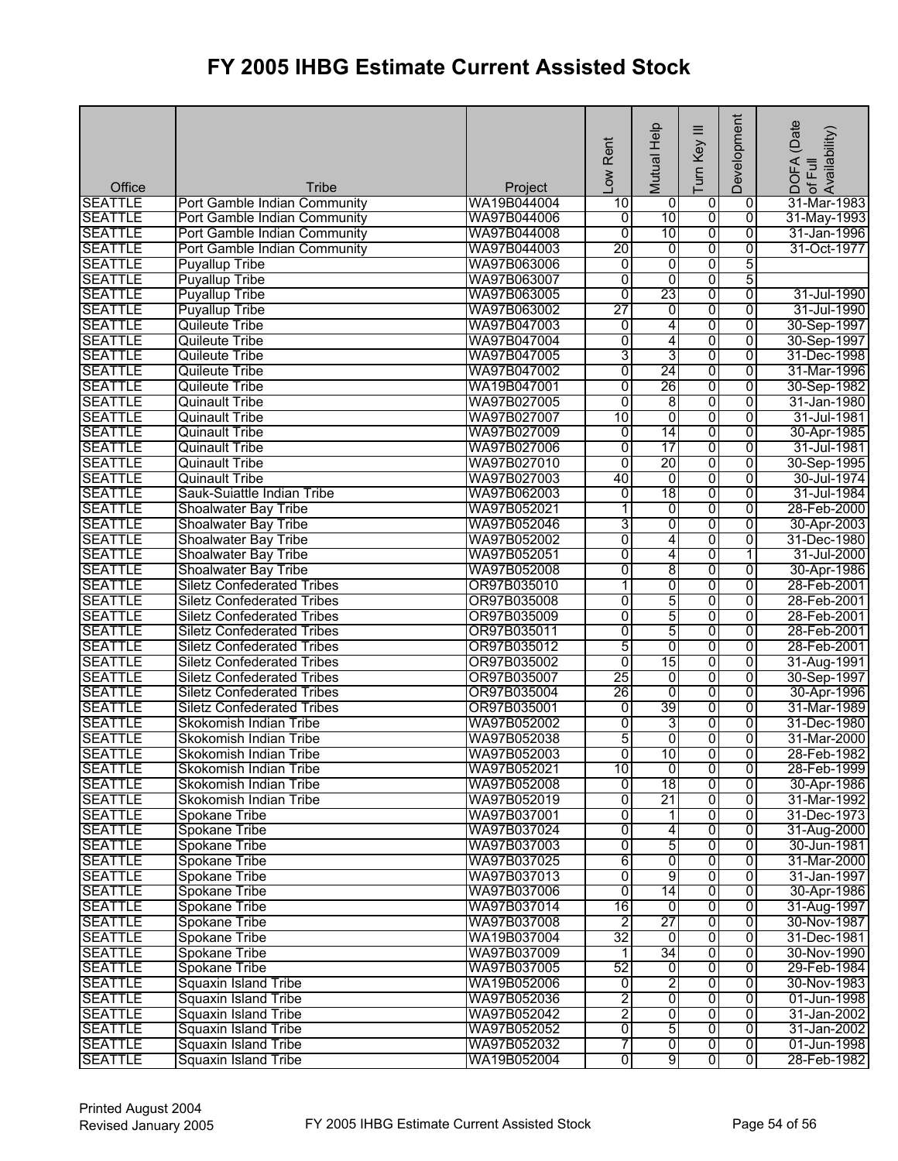| <b>SEATTLE</b><br>WA19B044004<br>10<br>0<br>0<br>31-Mar-1983<br>Port Gamble Indian Community<br>0<br>10<br>$\overline{0}$<br>$\overline{0}$<br>WA97B044006<br>31-May-1993<br><b>SEATTLE</b><br>Port Gamble Indian Community<br>0<br><b>SEATTLE</b><br>10<br>0<br>$\overline{0}$<br>WA97B044008<br>$\overline{0}$<br>Port Gamble Indian Community<br>31-Jan-1996<br><b>SEATTLE</b><br>20<br>0<br>0<br>WA97B044003<br>0<br>31-Oct-1977<br>Port Gamble Indian Community<br>0<br>5<br>WA97B063006<br>0<br><b>SEATTLE</b><br><b>Puyallup Tribe</b><br>0<br>5<br>0<br>$\overline{0}$<br>$\overline{0}$<br><b>SEATTLE</b><br><b>Puyallup Tribe</b><br>WA97B063007<br>23<br><b>SEATTLE</b><br><b>Puyallup Tribe</b><br>$\overline{0}$<br>$\overline{0}$<br>$\overline{0}$<br>WA97B063005<br>31-Jul-1990<br>27<br><b>SEATTLE</b><br>WA97B063002<br>0<br>0<br>0<br>31-Jul-1990<br><b>Puyallup Tribe</b><br>0<br>$\overline{0}$<br><b>SEATTLE</b><br>WA97B047003<br>$\overline{0}$<br>4<br>30-Sep-1997<br>Quileute Tribe<br>0<br>$\overline{0}$<br><b>SEATTLE</b><br>WA97B047004<br>$\overline{0}$<br>4<br><b>Quileute Tribe</b><br>30-Sep-1997<br>3<br>3<br>$\overline{0}$<br>WA97B047005<br>0<br><b>Quileute Tribe</b><br>31-Dec-1998<br>0<br>24<br>0<br><b>SEATTLE</b><br>WA97B047002<br>0<br>31-Mar-1996<br><b>Quileute Tribe</b><br>26<br>0<br>0<br><b>SEATTLE</b><br>WA19B047001<br>$\overline{0}$<br><b>Quileute Tribe</b><br>30-Sep-1982<br>0<br>$\overline{8}$<br>$\overline{0}$<br>$\overline{0}$<br><b>SEATTLE</b><br>31-Jan-1980<br><b>Quinault Tribe</b><br>WA97B027005<br>0<br>0<br><b>SEATTLE</b><br><b>Quinault Tribe</b><br>WA97B027007<br>10<br>$\overline{0}$<br>31-Jul-1981<br><b>SEATTLE</b><br>WA97B027009<br>$\overline{0}$<br>14<br>0<br>0<br><b>Quinault Tribe</b><br>30-Apr-1985<br>0<br>17<br><b>SEATTLE</b><br>WA97B027006<br>0<br>0<br><b>Quinault Tribe</b><br>31-Jul-1981<br>20<br>$\overline{0}$<br>0<br>$\overline{0}$<br><b>SEATTLE</b><br>WA97B027010<br>30-Sep-1995<br><b>Quinault Tribe</b><br>$\overline{0}$<br>0<br><b>SEATTLE</b><br><b>Quinault Tribe</b><br>WA97B027003<br>40<br>0<br>30-Jul-1974<br>18<br>$\overline{0}$<br><b>SEATTLE</b><br>Sauk-Suiattle Indian Tribe<br>WA97B062003<br>0<br>0<br>31-Jul-1984<br>0<br><b>SEATTLE</b><br>0<br>0<br>28-Feb-2000<br><b>Shoalwater Bay Tribe</b><br>WA97B052021<br>1<br>3<br>0<br><b>SEATTLE</b><br>0<br>$\overline{0}$<br>30-Apr-2003<br>Shoalwater Bay Tribe<br>WA97B052046<br><b>SEATTLE</b><br>0<br>4<br>0<br>Shoalwater Bay Tribe<br>WA97B052002<br>0<br>31-Dec-1980<br><b>SEATTLE</b><br>Shoalwater Bay Tribe<br>$\overline{0}$<br>4<br>0<br>WA97B052051<br>1<br>31-Jul-2000<br>8<br>0<br><b>SEATTLE</b><br>Shoalwater Bay Tribe<br>WA97B052008<br>0<br>0<br>30-Apr-1986<br>$\overline{0}$<br>$\overline{0}$<br>$\overline{0}$<br><b>SEATTLE</b><br>OR97B035010<br>1<br>28-Feb-2001<br><b>Siletz Confederated Tribes</b><br>5<br><b>SEATTLE</b><br>0<br>OR97B035008<br>$\overline{0}$<br>0<br>28-Feb-2001<br><b>Siletz Confederated Tribes</b><br>5<br>0<br><b>SEATTLE</b><br>$\overline{0}$<br>$\overline{0}$<br><b>Siletz Confederated Tribes</b><br>OR97B035009<br>28-Feb-2001<br>5<br>0<br>$\overline{0}$<br>$\overline{0}$<br>28-Feb-2001<br><b>SEATTLE</b><br><b>Siletz Confederated Tribes</b><br>OR97B035011<br>5<br>0<br>0<br>$\overline{0}$<br><b>SEATTLE</b><br>OR97B035012<br>28-Feb-2001<br><b>Siletz Confederated Tribes</b><br>15<br>$\overline{0}$<br>0<br><b>SEATTLE</b><br>OR97B035002<br>0<br>31-Aug-1991<br><b>Siletz Confederated Tribes</b><br>25<br>$\overline{0}$<br><b>SEATTLE</b><br>0<br>0<br><b>Siletz Confederated Tribes</b><br>OR97B035007<br>30-Sep-1997<br>26<br>$\overline{0}$<br>$\overline{0}$<br>$\overline{0}$<br><b>SEATTLE</b><br>OR97B035004<br><b>Siletz Confederated Tribes</b><br>30-Apr-1996<br>39<br><b>SEATTLE</b><br>OR97B035001<br>$\overline{0}$<br>$\overline{0}$<br>$\overline{0}$<br><b>Siletz Confederated Tribes</b><br>31-Mar-1989<br>0<br><b>SEATTLE</b><br>WA97B052002<br>3<br>0<br>$\overline{0}$<br>31-Dec-1980<br>Skokomish Indian Tribe<br>5<br><b>SEATTLE</b><br>0<br>ō<br>0<br>31-Mar-2000<br>Skokomish Indian Tribe<br>WA97B052038<br>Ō<br>10<br>$\overline{0}$<br><b>SEATTLE</b><br>WA97B052003<br>$\overline{0}$<br>Skokomish Indian Tribe<br><b>SEATTLE</b><br>WA97B052021<br>$\overline{0}$<br>Ō<br>28-Feb-1999<br>Skokomish Indian Tribe<br>10<br>0<br>WA97B052008<br>18<br>0<br><b>SEATTLE</b><br>$\overline{0}$<br>0<br>Skokomish Indian Tribe<br>0<br>21<br><b>SEATTLE</b><br>WA97B052019<br>0<br>0<br>Skokomish Indian Tribe<br>$\overline{0}$<br>0<br>0<br><b>SEATTLE</b><br><b>Spokane Tribe</b><br>WA97B037001<br>1<br>31-Dec-1973<br>0<br><b>SEATTLE</b><br>WA97B037024<br>4<br>0<br>0<br><b>Spokane Tribe</b><br>5<br>$\overline{0}$<br>0<br>0<br><b>SEATTLE</b><br><b>Spokane Tribe</b><br>WA97B037003<br>30-Jun-1981<br>$\overline{0}$<br><b>SEATTLE</b><br>WA97B037025<br>6<br>$\overline{\mathbf{0}}$<br>$\overline{0}$<br><b>Spokane Tribe</b><br>31-Mar-2000<br>0<br>9<br>WA97B037013<br>$\overline{0}$<br>0<br><b>SEATTLE</b><br>Spokane Tribe<br>31-Jan-1997<br><b>SEATTLE</b><br>0<br>14<br>0<br><b>Spokane Tribe</b><br>WA97B037006<br>0<br>30-Apr-1986<br>$\overline{16}$<br>0<br><b>SEATTLE</b><br><b>Spokane Tribe</b><br>WA97B037014<br>0<br>31-Aug-1997<br>0<br>$\overline{2}$<br>27<br>$\overline{0}$<br><b>SEATTLE</b><br>Spokane Tribe<br>$\overline{0}$<br>WA97B037008<br>30-Nov-1987<br>32<br>$\overline{0}$<br>$\overline{0}$<br><b>SEATTLE</b><br><b>Spokane Tribe</b><br>WA19B037004<br>$\overline{0}$<br>31-Dec-1981<br>34<br><b>SEATTLE</b><br>WA97B037009<br>0<br><b>Spokane Tribe</b><br>0<br>30-Nov-1990<br>1<br>52<br>0<br><b>SEATTLE</b><br>Spokane Tribe<br>WA97B037005<br>0<br>29-Feb-1984<br>0<br>2<br>$\overline{0}$<br>$\overline{0}$<br><b>SEATTLE</b><br><b>Squaxin Island Tribe</b><br>WA19B052006<br>o<br>30-Nov-1983<br>$\overline{2}$<br>$\overline{0}$<br>$\overline{0}$<br>$\overline{0}$<br><b>SEATTLE</b><br><b>Squaxin Island Tribe</b><br>WA97B052036<br>01-Jun-1998<br>$\overline{2}$<br>0<br>$\overline{0}$<br><b>SEATTLE</b><br><b>Squaxin Island Tribe</b><br>WA97B052042<br>$\overline{0}$<br>31-Jan-2002<br>5<br>0<br>$\overline{\mathbf{0}}$<br>$\overline{0}$<br><b>SEATTLE</b><br>Squaxin Island Tribe<br>WA97B052052<br>7<br>$\overline{0}$<br>$\overline{0}$<br>$\overline{0}$<br><b>SEATTLE</b><br>WA97B052032<br>Squaxin Island Tribe<br>$\overline{9}$ | Office         | <b>Tribe</b>         | Project     | Low Rent | Mutual Help | ≡<br>Turn Key           | Development    | (Date<br>! DOFA (Date<br>:of Full<br> Availability) |
|-----------------------------------------------------------------------------------------------------------------------------------------------------------------------------------------------------------------------------------------------------------------------------------------------------------------------------------------------------------------------------------------------------------------------------------------------------------------------------------------------------------------------------------------------------------------------------------------------------------------------------------------------------------------------------------------------------------------------------------------------------------------------------------------------------------------------------------------------------------------------------------------------------------------------------------------------------------------------------------------------------------------------------------------------------------------------------------------------------------------------------------------------------------------------------------------------------------------------------------------------------------------------------------------------------------------------------------------------------------------------------------------------------------------------------------------------------------------------------------------------------------------------------------------------------------------------------------------------------------------------------------------------------------------------------------------------------------------------------------------------------------------------------------------------------------------------------------------------------------------------------------------------------------------------------------------------------------------------------------------------------------------------------------------------------------------------------------------------------------------------------------------------------------------------------------------------------------------------------------------------------------------------------------------------------------------------------------------------------------------------------------------------------------------------------------------------------------------------------------------------------------------------------------------------------------------------------------------------------------------------------------------------------------------------------------------------------------------------------------------------------------------------------------------------------------------------------------------------------------------------------------------------------------------------------------------------------------------------------------------------------------------------------------------------------------------------------------------------------------------------------------------------------------------------------------------------------------------------------------------------------------------------------------------------------------------------------------------------------------------------------------------------------------------------------------------------------------------------------------------------------------------------------------------------------------------------------------------------------------------------------------------------------------------------------------------------------------------------------------------------------------------------------------------------------------------------------------------------------------------------------------------------------------------------------------------------------------------------------------------------------------------------------------------------------------------------------------------------------------------------------------------------------------------------------------------------------------------------------------------------------------------------------------------------------------------------------------------------------------------------------------------------------------------------------------------------------------------------------------------------------------------------------------------------------------------------------------------------------------------------------------------------------------------------------------------------------------------------------------------------------------------------------------------------------------------------------------------------------------------------------------------------------------------------------------------------------------------------------------------------------------------------------------------------------------------------------------------------------------------------------------------------------------------------------------------------------------------------------------------------------------------------------------------------------------------------------------------------------------------------------------------------------------------------------------------------------------------------------------------------------------------------------------------------------------------------------------------------------------------------------------------------------------------------------------------------------------------------------------------------------------------------------------------------------------------------------------------------------------------------------------------------------------------------------------------------------------------------------------------------------------------------------------------------------------------------------------------------------------------------------------------------------------------------------------------------------------------------------------------------------------------------------------------------------------------------------------------------------------------------------------------------------------------------------------------------------------------------------------------|----------------|----------------------|-------------|----------|-------------|-------------------------|----------------|-----------------------------------------------------|
|                                                                                                                                                                                                                                                                                                                                                                                                                                                                                                                                                                                                                                                                                                                                                                                                                                                                                                                                                                                                                                                                                                                                                                                                                                                                                                                                                                                                                                                                                                                                                                                                                                                                                                                                                                                                                                                                                                                                                                                                                                                                                                                                                                                                                                                                                                                                                                                                                                                                                                                                                                                                                                                                                                                                                                                                                                                                                                                                                                                                                                                                                                                                                                                                                                                                                                                                                                                                                                                                                                                                                                                                                                                                                                                                                                                                                                                                                                                                                                                                                                                                                                                                                                                                                                                                                                                                                                                                                                                                                                                                                                                                                                                                                                                                                                                                                                                                                                                                                                                                                                                                                                                                                                                                                                                                                                                                                                                                                                                                                                                                                                                                                                                                                                                                                                                                                                                                                                                                                                                                                                                                                                                                                                                                                                                                                                                                                                                                                                                                                         |                |                      |             |          |             |                         |                |                                                     |
| 28-Feb-1982<br>30-Apr-1986<br>31-Mar-1992<br>31-Aug-2000<br>31-Jan-2002<br>01-Jun-1998                                                                                                                                                                                                                                                                                                                                                                                                                                                                                                                                                                                                                                                                                                                                                                                                                                                                                                                                                                                                                                                                                                                                                                                                                                                                                                                                                                                                                                                                                                                                                                                                                                                                                                                                                                                                                                                                                                                                                                                                                                                                                                                                                                                                                                                                                                                                                                                                                                                                                                                                                                                                                                                                                                                                                                                                                                                                                                                                                                                                                                                                                                                                                                                                                                                                                                                                                                                                                                                                                                                                                                                                                                                                                                                                                                                                                                                                                                                                                                                                                                                                                                                                                                                                                                                                                                                                                                                                                                                                                                                                                                                                                                                                                                                                                                                                                                                                                                                                                                                                                                                                                                                                                                                                                                                                                                                                                                                                                                                                                                                                                                                                                                                                                                                                                                                                                                                                                                                                                                                                                                                                                                                                                                                                                                                                                                                                                                                                  |                |                      |             |          |             |                         |                |                                                     |
|                                                                                                                                                                                                                                                                                                                                                                                                                                                                                                                                                                                                                                                                                                                                                                                                                                                                                                                                                                                                                                                                                                                                                                                                                                                                                                                                                                                                                                                                                                                                                                                                                                                                                                                                                                                                                                                                                                                                                                                                                                                                                                                                                                                                                                                                                                                                                                                                                                                                                                                                                                                                                                                                                                                                                                                                                                                                                                                                                                                                                                                                                                                                                                                                                                                                                                                                                                                                                                                                                                                                                                                                                                                                                                                                                                                                                                                                                                                                                                                                                                                                                                                                                                                                                                                                                                                                                                                                                                                                                                                                                                                                                                                                                                                                                                                                                                                                                                                                                                                                                                                                                                                                                                                                                                                                                                                                                                                                                                                                                                                                                                                                                                                                                                                                                                                                                                                                                                                                                                                                                                                                                                                                                                                                                                                                                                                                                                                                                                                                                         |                |                      |             |          |             |                         |                |                                                     |
|                                                                                                                                                                                                                                                                                                                                                                                                                                                                                                                                                                                                                                                                                                                                                                                                                                                                                                                                                                                                                                                                                                                                                                                                                                                                                                                                                                                                                                                                                                                                                                                                                                                                                                                                                                                                                                                                                                                                                                                                                                                                                                                                                                                                                                                                                                                                                                                                                                                                                                                                                                                                                                                                                                                                                                                                                                                                                                                                                                                                                                                                                                                                                                                                                                                                                                                                                                                                                                                                                                                                                                                                                                                                                                                                                                                                                                                                                                                                                                                                                                                                                                                                                                                                                                                                                                                                                                                                                                                                                                                                                                                                                                                                                                                                                                                                                                                                                                                                                                                                                                                                                                                                                                                                                                                                                                                                                                                                                                                                                                                                                                                                                                                                                                                                                                                                                                                                                                                                                                                                                                                                                                                                                                                                                                                                                                                                                                                                                                                                                         |                |                      |             |          |             |                         |                |                                                     |
|                                                                                                                                                                                                                                                                                                                                                                                                                                                                                                                                                                                                                                                                                                                                                                                                                                                                                                                                                                                                                                                                                                                                                                                                                                                                                                                                                                                                                                                                                                                                                                                                                                                                                                                                                                                                                                                                                                                                                                                                                                                                                                                                                                                                                                                                                                                                                                                                                                                                                                                                                                                                                                                                                                                                                                                                                                                                                                                                                                                                                                                                                                                                                                                                                                                                                                                                                                                                                                                                                                                                                                                                                                                                                                                                                                                                                                                                                                                                                                                                                                                                                                                                                                                                                                                                                                                                                                                                                                                                                                                                                                                                                                                                                                                                                                                                                                                                                                                                                                                                                                                                                                                                                                                                                                                                                                                                                                                                                                                                                                                                                                                                                                                                                                                                                                                                                                                                                                                                                                                                                                                                                                                                                                                                                                                                                                                                                                                                                                                                                         |                |                      |             |          |             |                         |                |                                                     |
|                                                                                                                                                                                                                                                                                                                                                                                                                                                                                                                                                                                                                                                                                                                                                                                                                                                                                                                                                                                                                                                                                                                                                                                                                                                                                                                                                                                                                                                                                                                                                                                                                                                                                                                                                                                                                                                                                                                                                                                                                                                                                                                                                                                                                                                                                                                                                                                                                                                                                                                                                                                                                                                                                                                                                                                                                                                                                                                                                                                                                                                                                                                                                                                                                                                                                                                                                                                                                                                                                                                                                                                                                                                                                                                                                                                                                                                                                                                                                                                                                                                                                                                                                                                                                                                                                                                                                                                                                                                                                                                                                                                                                                                                                                                                                                                                                                                                                                                                                                                                                                                                                                                                                                                                                                                                                                                                                                                                                                                                                                                                                                                                                                                                                                                                                                                                                                                                                                                                                                                                                                                                                                                                                                                                                                                                                                                                                                                                                                                                                         |                |                      |             |          |             |                         |                |                                                     |
|                                                                                                                                                                                                                                                                                                                                                                                                                                                                                                                                                                                                                                                                                                                                                                                                                                                                                                                                                                                                                                                                                                                                                                                                                                                                                                                                                                                                                                                                                                                                                                                                                                                                                                                                                                                                                                                                                                                                                                                                                                                                                                                                                                                                                                                                                                                                                                                                                                                                                                                                                                                                                                                                                                                                                                                                                                                                                                                                                                                                                                                                                                                                                                                                                                                                                                                                                                                                                                                                                                                                                                                                                                                                                                                                                                                                                                                                                                                                                                                                                                                                                                                                                                                                                                                                                                                                                                                                                                                                                                                                                                                                                                                                                                                                                                                                                                                                                                                                                                                                                                                                                                                                                                                                                                                                                                                                                                                                                                                                                                                                                                                                                                                                                                                                                                                                                                                                                                                                                                                                                                                                                                                                                                                                                                                                                                                                                                                                                                                                                         |                |                      |             |          |             |                         |                |                                                     |
|                                                                                                                                                                                                                                                                                                                                                                                                                                                                                                                                                                                                                                                                                                                                                                                                                                                                                                                                                                                                                                                                                                                                                                                                                                                                                                                                                                                                                                                                                                                                                                                                                                                                                                                                                                                                                                                                                                                                                                                                                                                                                                                                                                                                                                                                                                                                                                                                                                                                                                                                                                                                                                                                                                                                                                                                                                                                                                                                                                                                                                                                                                                                                                                                                                                                                                                                                                                                                                                                                                                                                                                                                                                                                                                                                                                                                                                                                                                                                                                                                                                                                                                                                                                                                                                                                                                                                                                                                                                                                                                                                                                                                                                                                                                                                                                                                                                                                                                                                                                                                                                                                                                                                                                                                                                                                                                                                                                                                                                                                                                                                                                                                                                                                                                                                                                                                                                                                                                                                                                                                                                                                                                                                                                                                                                                                                                                                                                                                                                                                         |                |                      |             |          |             |                         |                |                                                     |
|                                                                                                                                                                                                                                                                                                                                                                                                                                                                                                                                                                                                                                                                                                                                                                                                                                                                                                                                                                                                                                                                                                                                                                                                                                                                                                                                                                                                                                                                                                                                                                                                                                                                                                                                                                                                                                                                                                                                                                                                                                                                                                                                                                                                                                                                                                                                                                                                                                                                                                                                                                                                                                                                                                                                                                                                                                                                                                                                                                                                                                                                                                                                                                                                                                                                                                                                                                                                                                                                                                                                                                                                                                                                                                                                                                                                                                                                                                                                                                                                                                                                                                                                                                                                                                                                                                                                                                                                                                                                                                                                                                                                                                                                                                                                                                                                                                                                                                                                                                                                                                                                                                                                                                                                                                                                                                                                                                                                                                                                                                                                                                                                                                                                                                                                                                                                                                                                                                                                                                                                                                                                                                                                                                                                                                                                                                                                                                                                                                                                                         |                |                      |             |          |             |                         |                |                                                     |
|                                                                                                                                                                                                                                                                                                                                                                                                                                                                                                                                                                                                                                                                                                                                                                                                                                                                                                                                                                                                                                                                                                                                                                                                                                                                                                                                                                                                                                                                                                                                                                                                                                                                                                                                                                                                                                                                                                                                                                                                                                                                                                                                                                                                                                                                                                                                                                                                                                                                                                                                                                                                                                                                                                                                                                                                                                                                                                                                                                                                                                                                                                                                                                                                                                                                                                                                                                                                                                                                                                                                                                                                                                                                                                                                                                                                                                                                                                                                                                                                                                                                                                                                                                                                                                                                                                                                                                                                                                                                                                                                                                                                                                                                                                                                                                                                                                                                                                                                                                                                                                                                                                                                                                                                                                                                                                                                                                                                                                                                                                                                                                                                                                                                                                                                                                                                                                                                                                                                                                                                                                                                                                                                                                                                                                                                                                                                                                                                                                                                                         |                |                      |             |          |             |                         |                |                                                     |
|                                                                                                                                                                                                                                                                                                                                                                                                                                                                                                                                                                                                                                                                                                                                                                                                                                                                                                                                                                                                                                                                                                                                                                                                                                                                                                                                                                                                                                                                                                                                                                                                                                                                                                                                                                                                                                                                                                                                                                                                                                                                                                                                                                                                                                                                                                                                                                                                                                                                                                                                                                                                                                                                                                                                                                                                                                                                                                                                                                                                                                                                                                                                                                                                                                                                                                                                                                                                                                                                                                                                                                                                                                                                                                                                                                                                                                                                                                                                                                                                                                                                                                                                                                                                                                                                                                                                                                                                                                                                                                                                                                                                                                                                                                                                                                                                                                                                                                                                                                                                                                                                                                                                                                                                                                                                                                                                                                                                                                                                                                                                                                                                                                                                                                                                                                                                                                                                                                                                                                                                                                                                                                                                                                                                                                                                                                                                                                                                                                                                                         | <b>SEATTLE</b> |                      |             |          |             |                         |                |                                                     |
|                                                                                                                                                                                                                                                                                                                                                                                                                                                                                                                                                                                                                                                                                                                                                                                                                                                                                                                                                                                                                                                                                                                                                                                                                                                                                                                                                                                                                                                                                                                                                                                                                                                                                                                                                                                                                                                                                                                                                                                                                                                                                                                                                                                                                                                                                                                                                                                                                                                                                                                                                                                                                                                                                                                                                                                                                                                                                                                                                                                                                                                                                                                                                                                                                                                                                                                                                                                                                                                                                                                                                                                                                                                                                                                                                                                                                                                                                                                                                                                                                                                                                                                                                                                                                                                                                                                                                                                                                                                                                                                                                                                                                                                                                                                                                                                                                                                                                                                                                                                                                                                                                                                                                                                                                                                                                                                                                                                                                                                                                                                                                                                                                                                                                                                                                                                                                                                                                                                                                                                                                                                                                                                                                                                                                                                                                                                                                                                                                                                                                         |                |                      |             |          |             |                         |                |                                                     |
|                                                                                                                                                                                                                                                                                                                                                                                                                                                                                                                                                                                                                                                                                                                                                                                                                                                                                                                                                                                                                                                                                                                                                                                                                                                                                                                                                                                                                                                                                                                                                                                                                                                                                                                                                                                                                                                                                                                                                                                                                                                                                                                                                                                                                                                                                                                                                                                                                                                                                                                                                                                                                                                                                                                                                                                                                                                                                                                                                                                                                                                                                                                                                                                                                                                                                                                                                                                                                                                                                                                                                                                                                                                                                                                                                                                                                                                                                                                                                                                                                                                                                                                                                                                                                                                                                                                                                                                                                                                                                                                                                                                                                                                                                                                                                                                                                                                                                                                                                                                                                                                                                                                                                                                                                                                                                                                                                                                                                                                                                                                                                                                                                                                                                                                                                                                                                                                                                                                                                                                                                                                                                                                                                                                                                                                                                                                                                                                                                                                                                         |                |                      |             |          |             |                         |                |                                                     |
|                                                                                                                                                                                                                                                                                                                                                                                                                                                                                                                                                                                                                                                                                                                                                                                                                                                                                                                                                                                                                                                                                                                                                                                                                                                                                                                                                                                                                                                                                                                                                                                                                                                                                                                                                                                                                                                                                                                                                                                                                                                                                                                                                                                                                                                                                                                                                                                                                                                                                                                                                                                                                                                                                                                                                                                                                                                                                                                                                                                                                                                                                                                                                                                                                                                                                                                                                                                                                                                                                                                                                                                                                                                                                                                                                                                                                                                                                                                                                                                                                                                                                                                                                                                                                                                                                                                                                                                                                                                                                                                                                                                                                                                                                                                                                                                                                                                                                                                                                                                                                                                                                                                                                                                                                                                                                                                                                                                                                                                                                                                                                                                                                                                                                                                                                                                                                                                                                                                                                                                                                                                                                                                                                                                                                                                                                                                                                                                                                                                                                         |                |                      |             |          |             |                         |                |                                                     |
|                                                                                                                                                                                                                                                                                                                                                                                                                                                                                                                                                                                                                                                                                                                                                                                                                                                                                                                                                                                                                                                                                                                                                                                                                                                                                                                                                                                                                                                                                                                                                                                                                                                                                                                                                                                                                                                                                                                                                                                                                                                                                                                                                                                                                                                                                                                                                                                                                                                                                                                                                                                                                                                                                                                                                                                                                                                                                                                                                                                                                                                                                                                                                                                                                                                                                                                                                                                                                                                                                                                                                                                                                                                                                                                                                                                                                                                                                                                                                                                                                                                                                                                                                                                                                                                                                                                                                                                                                                                                                                                                                                                                                                                                                                                                                                                                                                                                                                                                                                                                                                                                                                                                                                                                                                                                                                                                                                                                                                                                                                                                                                                                                                                                                                                                                                                                                                                                                                                                                                                                                                                                                                                                                                                                                                                                                                                                                                                                                                                                                         |                |                      |             |          |             |                         |                |                                                     |
|                                                                                                                                                                                                                                                                                                                                                                                                                                                                                                                                                                                                                                                                                                                                                                                                                                                                                                                                                                                                                                                                                                                                                                                                                                                                                                                                                                                                                                                                                                                                                                                                                                                                                                                                                                                                                                                                                                                                                                                                                                                                                                                                                                                                                                                                                                                                                                                                                                                                                                                                                                                                                                                                                                                                                                                                                                                                                                                                                                                                                                                                                                                                                                                                                                                                                                                                                                                                                                                                                                                                                                                                                                                                                                                                                                                                                                                                                                                                                                                                                                                                                                                                                                                                                                                                                                                                                                                                                                                                                                                                                                                                                                                                                                                                                                                                                                                                                                                                                                                                                                                                                                                                                                                                                                                                                                                                                                                                                                                                                                                                                                                                                                                                                                                                                                                                                                                                                                                                                                                                                                                                                                                                                                                                                                                                                                                                                                                                                                                                                         |                |                      |             |          |             |                         |                |                                                     |
|                                                                                                                                                                                                                                                                                                                                                                                                                                                                                                                                                                                                                                                                                                                                                                                                                                                                                                                                                                                                                                                                                                                                                                                                                                                                                                                                                                                                                                                                                                                                                                                                                                                                                                                                                                                                                                                                                                                                                                                                                                                                                                                                                                                                                                                                                                                                                                                                                                                                                                                                                                                                                                                                                                                                                                                                                                                                                                                                                                                                                                                                                                                                                                                                                                                                                                                                                                                                                                                                                                                                                                                                                                                                                                                                                                                                                                                                                                                                                                                                                                                                                                                                                                                                                                                                                                                                                                                                                                                                                                                                                                                                                                                                                                                                                                                                                                                                                                                                                                                                                                                                                                                                                                                                                                                                                                                                                                                                                                                                                                                                                                                                                                                                                                                                                                                                                                                                                                                                                                                                                                                                                                                                                                                                                                                                                                                                                                                                                                                                                         |                |                      |             |          |             |                         |                |                                                     |
|                                                                                                                                                                                                                                                                                                                                                                                                                                                                                                                                                                                                                                                                                                                                                                                                                                                                                                                                                                                                                                                                                                                                                                                                                                                                                                                                                                                                                                                                                                                                                                                                                                                                                                                                                                                                                                                                                                                                                                                                                                                                                                                                                                                                                                                                                                                                                                                                                                                                                                                                                                                                                                                                                                                                                                                                                                                                                                                                                                                                                                                                                                                                                                                                                                                                                                                                                                                                                                                                                                                                                                                                                                                                                                                                                                                                                                                                                                                                                                                                                                                                                                                                                                                                                                                                                                                                                                                                                                                                                                                                                                                                                                                                                                                                                                                                                                                                                                                                                                                                                                                                                                                                                                                                                                                                                                                                                                                                                                                                                                                                                                                                                                                                                                                                                                                                                                                                                                                                                                                                                                                                                                                                                                                                                                                                                                                                                                                                                                                                                         |                |                      |             |          |             |                         |                |                                                     |
|                                                                                                                                                                                                                                                                                                                                                                                                                                                                                                                                                                                                                                                                                                                                                                                                                                                                                                                                                                                                                                                                                                                                                                                                                                                                                                                                                                                                                                                                                                                                                                                                                                                                                                                                                                                                                                                                                                                                                                                                                                                                                                                                                                                                                                                                                                                                                                                                                                                                                                                                                                                                                                                                                                                                                                                                                                                                                                                                                                                                                                                                                                                                                                                                                                                                                                                                                                                                                                                                                                                                                                                                                                                                                                                                                                                                                                                                                                                                                                                                                                                                                                                                                                                                                                                                                                                                                                                                                                                                                                                                                                                                                                                                                                                                                                                                                                                                                                                                                                                                                                                                                                                                                                                                                                                                                                                                                                                                                                                                                                                                                                                                                                                                                                                                                                                                                                                                                                                                                                                                                                                                                                                                                                                                                                                                                                                                                                                                                                                                                         |                |                      |             |          |             |                         |                |                                                     |
|                                                                                                                                                                                                                                                                                                                                                                                                                                                                                                                                                                                                                                                                                                                                                                                                                                                                                                                                                                                                                                                                                                                                                                                                                                                                                                                                                                                                                                                                                                                                                                                                                                                                                                                                                                                                                                                                                                                                                                                                                                                                                                                                                                                                                                                                                                                                                                                                                                                                                                                                                                                                                                                                                                                                                                                                                                                                                                                                                                                                                                                                                                                                                                                                                                                                                                                                                                                                                                                                                                                                                                                                                                                                                                                                                                                                                                                                                                                                                                                                                                                                                                                                                                                                                                                                                                                                                                                                                                                                                                                                                                                                                                                                                                                                                                                                                                                                                                                                                                                                                                                                                                                                                                                                                                                                                                                                                                                                                                                                                                                                                                                                                                                                                                                                                                                                                                                                                                                                                                                                                                                                                                                                                                                                                                                                                                                                                                                                                                                                                         |                |                      |             |          |             |                         |                |                                                     |
|                                                                                                                                                                                                                                                                                                                                                                                                                                                                                                                                                                                                                                                                                                                                                                                                                                                                                                                                                                                                                                                                                                                                                                                                                                                                                                                                                                                                                                                                                                                                                                                                                                                                                                                                                                                                                                                                                                                                                                                                                                                                                                                                                                                                                                                                                                                                                                                                                                                                                                                                                                                                                                                                                                                                                                                                                                                                                                                                                                                                                                                                                                                                                                                                                                                                                                                                                                                                                                                                                                                                                                                                                                                                                                                                                                                                                                                                                                                                                                                                                                                                                                                                                                                                                                                                                                                                                                                                                                                                                                                                                                                                                                                                                                                                                                                                                                                                                                                                                                                                                                                                                                                                                                                                                                                                                                                                                                                                                                                                                                                                                                                                                                                                                                                                                                                                                                                                                                                                                                                                                                                                                                                                                                                                                                                                                                                                                                                                                                                                                         |                |                      |             |          |             |                         |                |                                                     |
|                                                                                                                                                                                                                                                                                                                                                                                                                                                                                                                                                                                                                                                                                                                                                                                                                                                                                                                                                                                                                                                                                                                                                                                                                                                                                                                                                                                                                                                                                                                                                                                                                                                                                                                                                                                                                                                                                                                                                                                                                                                                                                                                                                                                                                                                                                                                                                                                                                                                                                                                                                                                                                                                                                                                                                                                                                                                                                                                                                                                                                                                                                                                                                                                                                                                                                                                                                                                                                                                                                                                                                                                                                                                                                                                                                                                                                                                                                                                                                                                                                                                                                                                                                                                                                                                                                                                                                                                                                                                                                                                                                                                                                                                                                                                                                                                                                                                                                                                                                                                                                                                                                                                                                                                                                                                                                                                                                                                                                                                                                                                                                                                                                                                                                                                                                                                                                                                                                                                                                                                                                                                                                                                                                                                                                                                                                                                                                                                                                                                                         |                |                      |             |          |             |                         |                |                                                     |
|                                                                                                                                                                                                                                                                                                                                                                                                                                                                                                                                                                                                                                                                                                                                                                                                                                                                                                                                                                                                                                                                                                                                                                                                                                                                                                                                                                                                                                                                                                                                                                                                                                                                                                                                                                                                                                                                                                                                                                                                                                                                                                                                                                                                                                                                                                                                                                                                                                                                                                                                                                                                                                                                                                                                                                                                                                                                                                                                                                                                                                                                                                                                                                                                                                                                                                                                                                                                                                                                                                                                                                                                                                                                                                                                                                                                                                                                                                                                                                                                                                                                                                                                                                                                                                                                                                                                                                                                                                                                                                                                                                                                                                                                                                                                                                                                                                                                                                                                                                                                                                                                                                                                                                                                                                                                                                                                                                                                                                                                                                                                                                                                                                                                                                                                                                                                                                                                                                                                                                                                                                                                                                                                                                                                                                                                                                                                                                                                                                                                                         |                |                      |             |          |             |                         |                |                                                     |
|                                                                                                                                                                                                                                                                                                                                                                                                                                                                                                                                                                                                                                                                                                                                                                                                                                                                                                                                                                                                                                                                                                                                                                                                                                                                                                                                                                                                                                                                                                                                                                                                                                                                                                                                                                                                                                                                                                                                                                                                                                                                                                                                                                                                                                                                                                                                                                                                                                                                                                                                                                                                                                                                                                                                                                                                                                                                                                                                                                                                                                                                                                                                                                                                                                                                                                                                                                                                                                                                                                                                                                                                                                                                                                                                                                                                                                                                                                                                                                                                                                                                                                                                                                                                                                                                                                                                                                                                                                                                                                                                                                                                                                                                                                                                                                                                                                                                                                                                                                                                                                                                                                                                                                                                                                                                                                                                                                                                                                                                                                                                                                                                                                                                                                                                                                                                                                                                                                                                                                                                                                                                                                                                                                                                                                                                                                                                                                                                                                                                                         |                |                      |             |          |             |                         |                |                                                     |
|                                                                                                                                                                                                                                                                                                                                                                                                                                                                                                                                                                                                                                                                                                                                                                                                                                                                                                                                                                                                                                                                                                                                                                                                                                                                                                                                                                                                                                                                                                                                                                                                                                                                                                                                                                                                                                                                                                                                                                                                                                                                                                                                                                                                                                                                                                                                                                                                                                                                                                                                                                                                                                                                                                                                                                                                                                                                                                                                                                                                                                                                                                                                                                                                                                                                                                                                                                                                                                                                                                                                                                                                                                                                                                                                                                                                                                                                                                                                                                                                                                                                                                                                                                                                                                                                                                                                                                                                                                                                                                                                                                                                                                                                                                                                                                                                                                                                                                                                                                                                                                                                                                                                                                                                                                                                                                                                                                                                                                                                                                                                                                                                                                                                                                                                                                                                                                                                                                                                                                                                                                                                                                                                                                                                                                                                                                                                                                                                                                                                                         |                |                      |             |          |             |                         |                |                                                     |
|                                                                                                                                                                                                                                                                                                                                                                                                                                                                                                                                                                                                                                                                                                                                                                                                                                                                                                                                                                                                                                                                                                                                                                                                                                                                                                                                                                                                                                                                                                                                                                                                                                                                                                                                                                                                                                                                                                                                                                                                                                                                                                                                                                                                                                                                                                                                                                                                                                                                                                                                                                                                                                                                                                                                                                                                                                                                                                                                                                                                                                                                                                                                                                                                                                                                                                                                                                                                                                                                                                                                                                                                                                                                                                                                                                                                                                                                                                                                                                                                                                                                                                                                                                                                                                                                                                                                                                                                                                                                                                                                                                                                                                                                                                                                                                                                                                                                                                                                                                                                                                                                                                                                                                                                                                                                                                                                                                                                                                                                                                                                                                                                                                                                                                                                                                                                                                                                                                                                                                                                                                                                                                                                                                                                                                                                                                                                                                                                                                                                                         |                |                      |             |          |             |                         |                |                                                     |
|                                                                                                                                                                                                                                                                                                                                                                                                                                                                                                                                                                                                                                                                                                                                                                                                                                                                                                                                                                                                                                                                                                                                                                                                                                                                                                                                                                                                                                                                                                                                                                                                                                                                                                                                                                                                                                                                                                                                                                                                                                                                                                                                                                                                                                                                                                                                                                                                                                                                                                                                                                                                                                                                                                                                                                                                                                                                                                                                                                                                                                                                                                                                                                                                                                                                                                                                                                                                                                                                                                                                                                                                                                                                                                                                                                                                                                                                                                                                                                                                                                                                                                                                                                                                                                                                                                                                                                                                                                                                                                                                                                                                                                                                                                                                                                                                                                                                                                                                                                                                                                                                                                                                                                                                                                                                                                                                                                                                                                                                                                                                                                                                                                                                                                                                                                                                                                                                                                                                                                                                                                                                                                                                                                                                                                                                                                                                                                                                                                                                                         |                |                      |             |          |             |                         |                |                                                     |
|                                                                                                                                                                                                                                                                                                                                                                                                                                                                                                                                                                                                                                                                                                                                                                                                                                                                                                                                                                                                                                                                                                                                                                                                                                                                                                                                                                                                                                                                                                                                                                                                                                                                                                                                                                                                                                                                                                                                                                                                                                                                                                                                                                                                                                                                                                                                                                                                                                                                                                                                                                                                                                                                                                                                                                                                                                                                                                                                                                                                                                                                                                                                                                                                                                                                                                                                                                                                                                                                                                                                                                                                                                                                                                                                                                                                                                                                                                                                                                                                                                                                                                                                                                                                                                                                                                                                                                                                                                                                                                                                                                                                                                                                                                                                                                                                                                                                                                                                                                                                                                                                                                                                                                                                                                                                                                                                                                                                                                                                                                                                                                                                                                                                                                                                                                                                                                                                                                                                                                                                                                                                                                                                                                                                                                                                                                                                                                                                                                                                                         |                |                      |             |          |             |                         |                |                                                     |
|                                                                                                                                                                                                                                                                                                                                                                                                                                                                                                                                                                                                                                                                                                                                                                                                                                                                                                                                                                                                                                                                                                                                                                                                                                                                                                                                                                                                                                                                                                                                                                                                                                                                                                                                                                                                                                                                                                                                                                                                                                                                                                                                                                                                                                                                                                                                                                                                                                                                                                                                                                                                                                                                                                                                                                                                                                                                                                                                                                                                                                                                                                                                                                                                                                                                                                                                                                                                                                                                                                                                                                                                                                                                                                                                                                                                                                                                                                                                                                                                                                                                                                                                                                                                                                                                                                                                                                                                                                                                                                                                                                                                                                                                                                                                                                                                                                                                                                                                                                                                                                                                                                                                                                                                                                                                                                                                                                                                                                                                                                                                                                                                                                                                                                                                                                                                                                                                                                                                                                                                                                                                                                                                                                                                                                                                                                                                                                                                                                                                                         |                |                      |             |          |             |                         |                |                                                     |
|                                                                                                                                                                                                                                                                                                                                                                                                                                                                                                                                                                                                                                                                                                                                                                                                                                                                                                                                                                                                                                                                                                                                                                                                                                                                                                                                                                                                                                                                                                                                                                                                                                                                                                                                                                                                                                                                                                                                                                                                                                                                                                                                                                                                                                                                                                                                                                                                                                                                                                                                                                                                                                                                                                                                                                                                                                                                                                                                                                                                                                                                                                                                                                                                                                                                                                                                                                                                                                                                                                                                                                                                                                                                                                                                                                                                                                                                                                                                                                                                                                                                                                                                                                                                                                                                                                                                                                                                                                                                                                                                                                                                                                                                                                                                                                                                                                                                                                                                                                                                                                                                                                                                                                                                                                                                                                                                                                                                                                                                                                                                                                                                                                                                                                                                                                                                                                                                                                                                                                                                                                                                                                                                                                                                                                                                                                                                                                                                                                                                                         |                |                      |             |          |             |                         |                |                                                     |
|                                                                                                                                                                                                                                                                                                                                                                                                                                                                                                                                                                                                                                                                                                                                                                                                                                                                                                                                                                                                                                                                                                                                                                                                                                                                                                                                                                                                                                                                                                                                                                                                                                                                                                                                                                                                                                                                                                                                                                                                                                                                                                                                                                                                                                                                                                                                                                                                                                                                                                                                                                                                                                                                                                                                                                                                                                                                                                                                                                                                                                                                                                                                                                                                                                                                                                                                                                                                                                                                                                                                                                                                                                                                                                                                                                                                                                                                                                                                                                                                                                                                                                                                                                                                                                                                                                                                                                                                                                                                                                                                                                                                                                                                                                                                                                                                                                                                                                                                                                                                                                                                                                                                                                                                                                                                                                                                                                                                                                                                                                                                                                                                                                                                                                                                                                                                                                                                                                                                                                                                                                                                                                                                                                                                                                                                                                                                                                                                                                                                                         |                |                      |             |          |             |                         |                |                                                     |
|                                                                                                                                                                                                                                                                                                                                                                                                                                                                                                                                                                                                                                                                                                                                                                                                                                                                                                                                                                                                                                                                                                                                                                                                                                                                                                                                                                                                                                                                                                                                                                                                                                                                                                                                                                                                                                                                                                                                                                                                                                                                                                                                                                                                                                                                                                                                                                                                                                                                                                                                                                                                                                                                                                                                                                                                                                                                                                                                                                                                                                                                                                                                                                                                                                                                                                                                                                                                                                                                                                                                                                                                                                                                                                                                                                                                                                                                                                                                                                                                                                                                                                                                                                                                                                                                                                                                                                                                                                                                                                                                                                                                                                                                                                                                                                                                                                                                                                                                                                                                                                                                                                                                                                                                                                                                                                                                                                                                                                                                                                                                                                                                                                                                                                                                                                                                                                                                                                                                                                                                                                                                                                                                                                                                                                                                                                                                                                                                                                                                                         |                |                      |             |          |             |                         |                |                                                     |
|                                                                                                                                                                                                                                                                                                                                                                                                                                                                                                                                                                                                                                                                                                                                                                                                                                                                                                                                                                                                                                                                                                                                                                                                                                                                                                                                                                                                                                                                                                                                                                                                                                                                                                                                                                                                                                                                                                                                                                                                                                                                                                                                                                                                                                                                                                                                                                                                                                                                                                                                                                                                                                                                                                                                                                                                                                                                                                                                                                                                                                                                                                                                                                                                                                                                                                                                                                                                                                                                                                                                                                                                                                                                                                                                                                                                                                                                                                                                                                                                                                                                                                                                                                                                                                                                                                                                                                                                                                                                                                                                                                                                                                                                                                                                                                                                                                                                                                                                                                                                                                                                                                                                                                                                                                                                                                                                                                                                                                                                                                                                                                                                                                                                                                                                                                                                                                                                                                                                                                                                                                                                                                                                                                                                                                                                                                                                                                                                                                                                                         |                |                      |             |          |             |                         |                |                                                     |
|                                                                                                                                                                                                                                                                                                                                                                                                                                                                                                                                                                                                                                                                                                                                                                                                                                                                                                                                                                                                                                                                                                                                                                                                                                                                                                                                                                                                                                                                                                                                                                                                                                                                                                                                                                                                                                                                                                                                                                                                                                                                                                                                                                                                                                                                                                                                                                                                                                                                                                                                                                                                                                                                                                                                                                                                                                                                                                                                                                                                                                                                                                                                                                                                                                                                                                                                                                                                                                                                                                                                                                                                                                                                                                                                                                                                                                                                                                                                                                                                                                                                                                                                                                                                                                                                                                                                                                                                                                                                                                                                                                                                                                                                                                                                                                                                                                                                                                                                                                                                                                                                                                                                                                                                                                                                                                                                                                                                                                                                                                                                                                                                                                                                                                                                                                                                                                                                                                                                                                                                                                                                                                                                                                                                                                                                                                                                                                                                                                                                                         |                |                      |             |          |             |                         |                |                                                     |
|                                                                                                                                                                                                                                                                                                                                                                                                                                                                                                                                                                                                                                                                                                                                                                                                                                                                                                                                                                                                                                                                                                                                                                                                                                                                                                                                                                                                                                                                                                                                                                                                                                                                                                                                                                                                                                                                                                                                                                                                                                                                                                                                                                                                                                                                                                                                                                                                                                                                                                                                                                                                                                                                                                                                                                                                                                                                                                                                                                                                                                                                                                                                                                                                                                                                                                                                                                                                                                                                                                                                                                                                                                                                                                                                                                                                                                                                                                                                                                                                                                                                                                                                                                                                                                                                                                                                                                                                                                                                                                                                                                                                                                                                                                                                                                                                                                                                                                                                                                                                                                                                                                                                                                                                                                                                                                                                                                                                                                                                                                                                                                                                                                                                                                                                                                                                                                                                                                                                                                                                                                                                                                                                                                                                                                                                                                                                                                                                                                                                                         |                |                      |             |          |             |                         |                |                                                     |
|                                                                                                                                                                                                                                                                                                                                                                                                                                                                                                                                                                                                                                                                                                                                                                                                                                                                                                                                                                                                                                                                                                                                                                                                                                                                                                                                                                                                                                                                                                                                                                                                                                                                                                                                                                                                                                                                                                                                                                                                                                                                                                                                                                                                                                                                                                                                                                                                                                                                                                                                                                                                                                                                                                                                                                                                                                                                                                                                                                                                                                                                                                                                                                                                                                                                                                                                                                                                                                                                                                                                                                                                                                                                                                                                                                                                                                                                                                                                                                                                                                                                                                                                                                                                                                                                                                                                                                                                                                                                                                                                                                                                                                                                                                                                                                                                                                                                                                                                                                                                                                                                                                                                                                                                                                                                                                                                                                                                                                                                                                                                                                                                                                                                                                                                                                                                                                                                                                                                                                                                                                                                                                                                                                                                                                                                                                                                                                                                                                                                                         |                |                      |             |          |             |                         |                |                                                     |
|                                                                                                                                                                                                                                                                                                                                                                                                                                                                                                                                                                                                                                                                                                                                                                                                                                                                                                                                                                                                                                                                                                                                                                                                                                                                                                                                                                                                                                                                                                                                                                                                                                                                                                                                                                                                                                                                                                                                                                                                                                                                                                                                                                                                                                                                                                                                                                                                                                                                                                                                                                                                                                                                                                                                                                                                                                                                                                                                                                                                                                                                                                                                                                                                                                                                                                                                                                                                                                                                                                                                                                                                                                                                                                                                                                                                                                                                                                                                                                                                                                                                                                                                                                                                                                                                                                                                                                                                                                                                                                                                                                                                                                                                                                                                                                                                                                                                                                                                                                                                                                                                                                                                                                                                                                                                                                                                                                                                                                                                                                                                                                                                                                                                                                                                                                                                                                                                                                                                                                                                                                                                                                                                                                                                                                                                                                                                                                                                                                                                                         |                |                      |             |          |             |                         |                |                                                     |
|                                                                                                                                                                                                                                                                                                                                                                                                                                                                                                                                                                                                                                                                                                                                                                                                                                                                                                                                                                                                                                                                                                                                                                                                                                                                                                                                                                                                                                                                                                                                                                                                                                                                                                                                                                                                                                                                                                                                                                                                                                                                                                                                                                                                                                                                                                                                                                                                                                                                                                                                                                                                                                                                                                                                                                                                                                                                                                                                                                                                                                                                                                                                                                                                                                                                                                                                                                                                                                                                                                                                                                                                                                                                                                                                                                                                                                                                                                                                                                                                                                                                                                                                                                                                                                                                                                                                                                                                                                                                                                                                                                                                                                                                                                                                                                                                                                                                                                                                                                                                                                                                                                                                                                                                                                                                                                                                                                                                                                                                                                                                                                                                                                                                                                                                                                                                                                                                                                                                                                                                                                                                                                                                                                                                                                                                                                                                                                                                                                                                                         |                |                      |             |          |             |                         |                |                                                     |
|                                                                                                                                                                                                                                                                                                                                                                                                                                                                                                                                                                                                                                                                                                                                                                                                                                                                                                                                                                                                                                                                                                                                                                                                                                                                                                                                                                                                                                                                                                                                                                                                                                                                                                                                                                                                                                                                                                                                                                                                                                                                                                                                                                                                                                                                                                                                                                                                                                                                                                                                                                                                                                                                                                                                                                                                                                                                                                                                                                                                                                                                                                                                                                                                                                                                                                                                                                                                                                                                                                                                                                                                                                                                                                                                                                                                                                                                                                                                                                                                                                                                                                                                                                                                                                                                                                                                                                                                                                                                                                                                                                                                                                                                                                                                                                                                                                                                                                                                                                                                                                                                                                                                                                                                                                                                                                                                                                                                                                                                                                                                                                                                                                                                                                                                                                                                                                                                                                                                                                                                                                                                                                                                                                                                                                                                                                                                                                                                                                                                                         |                |                      |             |          |             |                         |                |                                                     |
|                                                                                                                                                                                                                                                                                                                                                                                                                                                                                                                                                                                                                                                                                                                                                                                                                                                                                                                                                                                                                                                                                                                                                                                                                                                                                                                                                                                                                                                                                                                                                                                                                                                                                                                                                                                                                                                                                                                                                                                                                                                                                                                                                                                                                                                                                                                                                                                                                                                                                                                                                                                                                                                                                                                                                                                                                                                                                                                                                                                                                                                                                                                                                                                                                                                                                                                                                                                                                                                                                                                                                                                                                                                                                                                                                                                                                                                                                                                                                                                                                                                                                                                                                                                                                                                                                                                                                                                                                                                                                                                                                                                                                                                                                                                                                                                                                                                                                                                                                                                                                                                                                                                                                                                                                                                                                                                                                                                                                                                                                                                                                                                                                                                                                                                                                                                                                                                                                                                                                                                                                                                                                                                                                                                                                                                                                                                                                                                                                                                                                         |                |                      |             |          |             |                         |                |                                                     |
|                                                                                                                                                                                                                                                                                                                                                                                                                                                                                                                                                                                                                                                                                                                                                                                                                                                                                                                                                                                                                                                                                                                                                                                                                                                                                                                                                                                                                                                                                                                                                                                                                                                                                                                                                                                                                                                                                                                                                                                                                                                                                                                                                                                                                                                                                                                                                                                                                                                                                                                                                                                                                                                                                                                                                                                                                                                                                                                                                                                                                                                                                                                                                                                                                                                                                                                                                                                                                                                                                                                                                                                                                                                                                                                                                                                                                                                                                                                                                                                                                                                                                                                                                                                                                                                                                                                                                                                                                                                                                                                                                                                                                                                                                                                                                                                                                                                                                                                                                                                                                                                                                                                                                                                                                                                                                                                                                                                                                                                                                                                                                                                                                                                                                                                                                                                                                                                                                                                                                                                                                                                                                                                                                                                                                                                                                                                                                                                                                                                                                         |                |                      |             |          |             |                         |                |                                                     |
|                                                                                                                                                                                                                                                                                                                                                                                                                                                                                                                                                                                                                                                                                                                                                                                                                                                                                                                                                                                                                                                                                                                                                                                                                                                                                                                                                                                                                                                                                                                                                                                                                                                                                                                                                                                                                                                                                                                                                                                                                                                                                                                                                                                                                                                                                                                                                                                                                                                                                                                                                                                                                                                                                                                                                                                                                                                                                                                                                                                                                                                                                                                                                                                                                                                                                                                                                                                                                                                                                                                                                                                                                                                                                                                                                                                                                                                                                                                                                                                                                                                                                                                                                                                                                                                                                                                                                                                                                                                                                                                                                                                                                                                                                                                                                                                                                                                                                                                                                                                                                                                                                                                                                                                                                                                                                                                                                                                                                                                                                                                                                                                                                                                                                                                                                                                                                                                                                                                                                                                                                                                                                                                                                                                                                                                                                                                                                                                                                                                                                         |                |                      |             |          |             |                         |                |                                                     |
|                                                                                                                                                                                                                                                                                                                                                                                                                                                                                                                                                                                                                                                                                                                                                                                                                                                                                                                                                                                                                                                                                                                                                                                                                                                                                                                                                                                                                                                                                                                                                                                                                                                                                                                                                                                                                                                                                                                                                                                                                                                                                                                                                                                                                                                                                                                                                                                                                                                                                                                                                                                                                                                                                                                                                                                                                                                                                                                                                                                                                                                                                                                                                                                                                                                                                                                                                                                                                                                                                                                                                                                                                                                                                                                                                                                                                                                                                                                                                                                                                                                                                                                                                                                                                                                                                                                                                                                                                                                                                                                                                                                                                                                                                                                                                                                                                                                                                                                                                                                                                                                                                                                                                                                                                                                                                                                                                                                                                                                                                                                                                                                                                                                                                                                                                                                                                                                                                                                                                                                                                                                                                                                                                                                                                                                                                                                                                                                                                                                                                         |                |                      |             |          |             |                         |                |                                                     |
|                                                                                                                                                                                                                                                                                                                                                                                                                                                                                                                                                                                                                                                                                                                                                                                                                                                                                                                                                                                                                                                                                                                                                                                                                                                                                                                                                                                                                                                                                                                                                                                                                                                                                                                                                                                                                                                                                                                                                                                                                                                                                                                                                                                                                                                                                                                                                                                                                                                                                                                                                                                                                                                                                                                                                                                                                                                                                                                                                                                                                                                                                                                                                                                                                                                                                                                                                                                                                                                                                                                                                                                                                                                                                                                                                                                                                                                                                                                                                                                                                                                                                                                                                                                                                                                                                                                                                                                                                                                                                                                                                                                                                                                                                                                                                                                                                                                                                                                                                                                                                                                                                                                                                                                                                                                                                                                                                                                                                                                                                                                                                                                                                                                                                                                                                                                                                                                                                                                                                                                                                                                                                                                                                                                                                                                                                                                                                                                                                                                                                         |                |                      |             |          |             |                         |                |                                                     |
|                                                                                                                                                                                                                                                                                                                                                                                                                                                                                                                                                                                                                                                                                                                                                                                                                                                                                                                                                                                                                                                                                                                                                                                                                                                                                                                                                                                                                                                                                                                                                                                                                                                                                                                                                                                                                                                                                                                                                                                                                                                                                                                                                                                                                                                                                                                                                                                                                                                                                                                                                                                                                                                                                                                                                                                                                                                                                                                                                                                                                                                                                                                                                                                                                                                                                                                                                                                                                                                                                                                                                                                                                                                                                                                                                                                                                                                                                                                                                                                                                                                                                                                                                                                                                                                                                                                                                                                                                                                                                                                                                                                                                                                                                                                                                                                                                                                                                                                                                                                                                                                                                                                                                                                                                                                                                                                                                                                                                                                                                                                                                                                                                                                                                                                                                                                                                                                                                                                                                                                                                                                                                                                                                                                                                                                                                                                                                                                                                                                                                         |                |                      |             |          |             |                         |                |                                                     |
|                                                                                                                                                                                                                                                                                                                                                                                                                                                                                                                                                                                                                                                                                                                                                                                                                                                                                                                                                                                                                                                                                                                                                                                                                                                                                                                                                                                                                                                                                                                                                                                                                                                                                                                                                                                                                                                                                                                                                                                                                                                                                                                                                                                                                                                                                                                                                                                                                                                                                                                                                                                                                                                                                                                                                                                                                                                                                                                                                                                                                                                                                                                                                                                                                                                                                                                                                                                                                                                                                                                                                                                                                                                                                                                                                                                                                                                                                                                                                                                                                                                                                                                                                                                                                                                                                                                                                                                                                                                                                                                                                                                                                                                                                                                                                                                                                                                                                                                                                                                                                                                                                                                                                                                                                                                                                                                                                                                                                                                                                                                                                                                                                                                                                                                                                                                                                                                                                                                                                                                                                                                                                                                                                                                                                                                                                                                                                                                                                                                                                         |                |                      |             |          |             |                         |                |                                                     |
|                                                                                                                                                                                                                                                                                                                                                                                                                                                                                                                                                                                                                                                                                                                                                                                                                                                                                                                                                                                                                                                                                                                                                                                                                                                                                                                                                                                                                                                                                                                                                                                                                                                                                                                                                                                                                                                                                                                                                                                                                                                                                                                                                                                                                                                                                                                                                                                                                                                                                                                                                                                                                                                                                                                                                                                                                                                                                                                                                                                                                                                                                                                                                                                                                                                                                                                                                                                                                                                                                                                                                                                                                                                                                                                                                                                                                                                                                                                                                                                                                                                                                                                                                                                                                                                                                                                                                                                                                                                                                                                                                                                                                                                                                                                                                                                                                                                                                                                                                                                                                                                                                                                                                                                                                                                                                                                                                                                                                                                                                                                                                                                                                                                                                                                                                                                                                                                                                                                                                                                                                                                                                                                                                                                                                                                                                                                                                                                                                                                                                         |                |                      |             |          |             |                         |                |                                                     |
|                                                                                                                                                                                                                                                                                                                                                                                                                                                                                                                                                                                                                                                                                                                                                                                                                                                                                                                                                                                                                                                                                                                                                                                                                                                                                                                                                                                                                                                                                                                                                                                                                                                                                                                                                                                                                                                                                                                                                                                                                                                                                                                                                                                                                                                                                                                                                                                                                                                                                                                                                                                                                                                                                                                                                                                                                                                                                                                                                                                                                                                                                                                                                                                                                                                                                                                                                                                                                                                                                                                                                                                                                                                                                                                                                                                                                                                                                                                                                                                                                                                                                                                                                                                                                                                                                                                                                                                                                                                                                                                                                                                                                                                                                                                                                                                                                                                                                                                                                                                                                                                                                                                                                                                                                                                                                                                                                                                                                                                                                                                                                                                                                                                                                                                                                                                                                                                                                                                                                                                                                                                                                                                                                                                                                                                                                                                                                                                                                                                                                         |                |                      |             |          |             |                         |                |                                                     |
|                                                                                                                                                                                                                                                                                                                                                                                                                                                                                                                                                                                                                                                                                                                                                                                                                                                                                                                                                                                                                                                                                                                                                                                                                                                                                                                                                                                                                                                                                                                                                                                                                                                                                                                                                                                                                                                                                                                                                                                                                                                                                                                                                                                                                                                                                                                                                                                                                                                                                                                                                                                                                                                                                                                                                                                                                                                                                                                                                                                                                                                                                                                                                                                                                                                                                                                                                                                                                                                                                                                                                                                                                                                                                                                                                                                                                                                                                                                                                                                                                                                                                                                                                                                                                                                                                                                                                                                                                                                                                                                                                                                                                                                                                                                                                                                                                                                                                                                                                                                                                                                                                                                                                                                                                                                                                                                                                                                                                                                                                                                                                                                                                                                                                                                                                                                                                                                                                                                                                                                                                                                                                                                                                                                                                                                                                                                                                                                                                                                                                         |                |                      |             |          |             |                         |                |                                                     |
|                                                                                                                                                                                                                                                                                                                                                                                                                                                                                                                                                                                                                                                                                                                                                                                                                                                                                                                                                                                                                                                                                                                                                                                                                                                                                                                                                                                                                                                                                                                                                                                                                                                                                                                                                                                                                                                                                                                                                                                                                                                                                                                                                                                                                                                                                                                                                                                                                                                                                                                                                                                                                                                                                                                                                                                                                                                                                                                                                                                                                                                                                                                                                                                                                                                                                                                                                                                                                                                                                                                                                                                                                                                                                                                                                                                                                                                                                                                                                                                                                                                                                                                                                                                                                                                                                                                                                                                                                                                                                                                                                                                                                                                                                                                                                                                                                                                                                                                                                                                                                                                                                                                                                                                                                                                                                                                                                                                                                                                                                                                                                                                                                                                                                                                                                                                                                                                                                                                                                                                                                                                                                                                                                                                                                                                                                                                                                                                                                                                                                         |                |                      |             |          |             |                         |                |                                                     |
|                                                                                                                                                                                                                                                                                                                                                                                                                                                                                                                                                                                                                                                                                                                                                                                                                                                                                                                                                                                                                                                                                                                                                                                                                                                                                                                                                                                                                                                                                                                                                                                                                                                                                                                                                                                                                                                                                                                                                                                                                                                                                                                                                                                                                                                                                                                                                                                                                                                                                                                                                                                                                                                                                                                                                                                                                                                                                                                                                                                                                                                                                                                                                                                                                                                                                                                                                                                                                                                                                                                                                                                                                                                                                                                                                                                                                                                                                                                                                                                                                                                                                                                                                                                                                                                                                                                                                                                                                                                                                                                                                                                                                                                                                                                                                                                                                                                                                                                                                                                                                                                                                                                                                                                                                                                                                                                                                                                                                                                                                                                                                                                                                                                                                                                                                                                                                                                                                                                                                                                                                                                                                                                                                                                                                                                                                                                                                                                                                                                                                         |                |                      |             |          |             |                         |                |                                                     |
|                                                                                                                                                                                                                                                                                                                                                                                                                                                                                                                                                                                                                                                                                                                                                                                                                                                                                                                                                                                                                                                                                                                                                                                                                                                                                                                                                                                                                                                                                                                                                                                                                                                                                                                                                                                                                                                                                                                                                                                                                                                                                                                                                                                                                                                                                                                                                                                                                                                                                                                                                                                                                                                                                                                                                                                                                                                                                                                                                                                                                                                                                                                                                                                                                                                                                                                                                                                                                                                                                                                                                                                                                                                                                                                                                                                                                                                                                                                                                                                                                                                                                                                                                                                                                                                                                                                                                                                                                                                                                                                                                                                                                                                                                                                                                                                                                                                                                                                                                                                                                                                                                                                                                                                                                                                                                                                                                                                                                                                                                                                                                                                                                                                                                                                                                                                                                                                                                                                                                                                                                                                                                                                                                                                                                                                                                                                                                                                                                                                                                         |                |                      |             |          |             |                         |                |                                                     |
|                                                                                                                                                                                                                                                                                                                                                                                                                                                                                                                                                                                                                                                                                                                                                                                                                                                                                                                                                                                                                                                                                                                                                                                                                                                                                                                                                                                                                                                                                                                                                                                                                                                                                                                                                                                                                                                                                                                                                                                                                                                                                                                                                                                                                                                                                                                                                                                                                                                                                                                                                                                                                                                                                                                                                                                                                                                                                                                                                                                                                                                                                                                                                                                                                                                                                                                                                                                                                                                                                                                                                                                                                                                                                                                                                                                                                                                                                                                                                                                                                                                                                                                                                                                                                                                                                                                                                                                                                                                                                                                                                                                                                                                                                                                                                                                                                                                                                                                                                                                                                                                                                                                                                                                                                                                                                                                                                                                                                                                                                                                                                                                                                                                                                                                                                                                                                                                                                                                                                                                                                                                                                                                                                                                                                                                                                                                                                                                                                                                                                         |                |                      |             |          |             |                         |                |                                                     |
|                                                                                                                                                                                                                                                                                                                                                                                                                                                                                                                                                                                                                                                                                                                                                                                                                                                                                                                                                                                                                                                                                                                                                                                                                                                                                                                                                                                                                                                                                                                                                                                                                                                                                                                                                                                                                                                                                                                                                                                                                                                                                                                                                                                                                                                                                                                                                                                                                                                                                                                                                                                                                                                                                                                                                                                                                                                                                                                                                                                                                                                                                                                                                                                                                                                                                                                                                                                                                                                                                                                                                                                                                                                                                                                                                                                                                                                                                                                                                                                                                                                                                                                                                                                                                                                                                                                                                                                                                                                                                                                                                                                                                                                                                                                                                                                                                                                                                                                                                                                                                                                                                                                                                                                                                                                                                                                                                                                                                                                                                                                                                                                                                                                                                                                                                                                                                                                                                                                                                                                                                                                                                                                                                                                                                                                                                                                                                                                                                                                                                         |                |                      |             |          |             |                         |                |                                                     |
|                                                                                                                                                                                                                                                                                                                                                                                                                                                                                                                                                                                                                                                                                                                                                                                                                                                                                                                                                                                                                                                                                                                                                                                                                                                                                                                                                                                                                                                                                                                                                                                                                                                                                                                                                                                                                                                                                                                                                                                                                                                                                                                                                                                                                                                                                                                                                                                                                                                                                                                                                                                                                                                                                                                                                                                                                                                                                                                                                                                                                                                                                                                                                                                                                                                                                                                                                                                                                                                                                                                                                                                                                                                                                                                                                                                                                                                                                                                                                                                                                                                                                                                                                                                                                                                                                                                                                                                                                                                                                                                                                                                                                                                                                                                                                                                                                                                                                                                                                                                                                                                                                                                                                                                                                                                                                                                                                                                                                                                                                                                                                                                                                                                                                                                                                                                                                                                                                                                                                                                                                                                                                                                                                                                                                                                                                                                                                                                                                                                                                         |                |                      |             |          |             |                         |                |                                                     |
|                                                                                                                                                                                                                                                                                                                                                                                                                                                                                                                                                                                                                                                                                                                                                                                                                                                                                                                                                                                                                                                                                                                                                                                                                                                                                                                                                                                                                                                                                                                                                                                                                                                                                                                                                                                                                                                                                                                                                                                                                                                                                                                                                                                                                                                                                                                                                                                                                                                                                                                                                                                                                                                                                                                                                                                                                                                                                                                                                                                                                                                                                                                                                                                                                                                                                                                                                                                                                                                                                                                                                                                                                                                                                                                                                                                                                                                                                                                                                                                                                                                                                                                                                                                                                                                                                                                                                                                                                                                                                                                                                                                                                                                                                                                                                                                                                                                                                                                                                                                                                                                                                                                                                                                                                                                                                                                                                                                                                                                                                                                                                                                                                                                                                                                                                                                                                                                                                                                                                                                                                                                                                                                                                                                                                                                                                                                                                                                                                                                                                         | <b>SEATTLE</b> | Squaxin Island Tribe | WA19B052004 | 0        |             | $\overline{\mathbf{0}}$ | $\overline{0}$ | 28-Feb-1982                                         |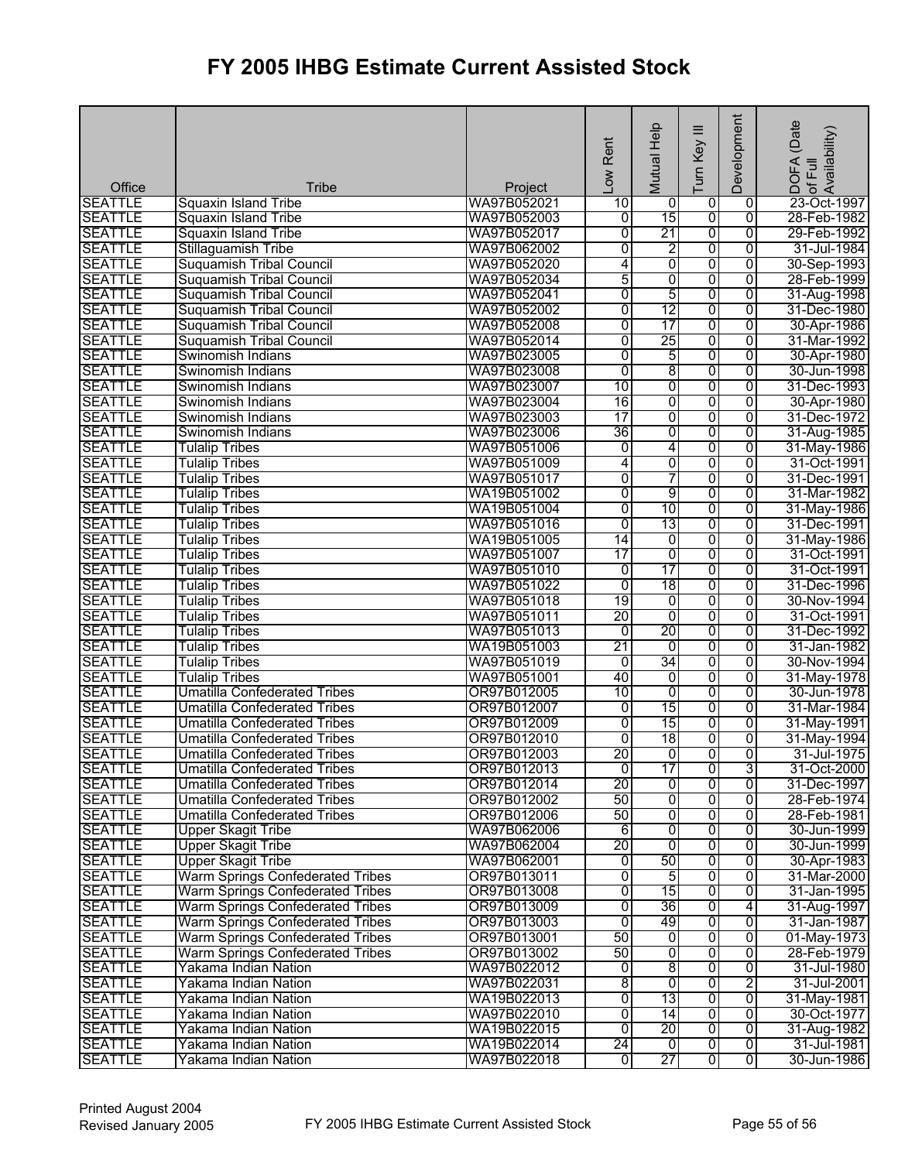|                                  |                                                        |                            | Low Rent        | Mutual Help         | Ξ<br>Turn Key           | Development                      | SDOFA (Date<br>of Full<br>Availability) |
|----------------------------------|--------------------------------------------------------|----------------------------|-----------------|---------------------|-------------------------|----------------------------------|-----------------------------------------|
| Office                           | <b>Tribe</b>                                           | Project                    |                 |                     |                         |                                  |                                         |
| <b>SEATTLE</b>                   | Squaxin Island Tribe                                   | WA97B052021                | 10              | 0                   | $\overline{0}$          | $\overline{0}$                   | 23-Oct-1997                             |
| <b>SEATTLE</b><br><b>SEATTLE</b> | <b>Squaxin Island Tribe</b>                            | WA97B052003                | o               | 15<br>21            | 0<br>0                  | $\overline{0}$                   | 28-Feb-1982                             |
| <b>SEATTLE</b>                   | <b>Squaxin Island Tribe</b>                            | WA97B052017<br>WA97B062002 | $\overline{0}$  |                     | 0                       | $\overline{0}$<br>$\overline{0}$ | 29-Feb-1992<br>31-Jul-1984              |
| <b>SEATTLE</b>                   | Stillaguamish Tribe<br><b>Suquamish Tribal Council</b> | WA97B052020                | 0<br>4          | $\overline{2}$<br>0 | 0                       | $\overline{0}$                   | 30-Sep-1993                             |
| <b>SEATTLE</b>                   | <b>Suquamish Tribal Council</b>                        | WA97B052034                | 5               | 0                   | $\overline{0}$          | $\overline{0}$                   | 28-Feb-1999                             |
| <b>SEATTLE</b>                   | <b>Suquamish Tribal Council</b>                        | WA97B052041                | 0               | 5                   | $\overline{0}$          | $\overline{0}$                   | 31-Aug-1998                             |
| <b>SEATTLE</b>                   | <b>Suquamish Tribal Council</b>                        | WA97B052002                | 0               | 12                  | 0                       | $\overline{0}$                   | 31-Dec-1980                             |
| <b>SEATTLE</b>                   | <b>Suquamish Tribal Council</b>                        | WA97B052008                | 0               | 17                  | 0                       | $\overline{0}$                   | 30-Apr-1986                             |
| <b>SEATTLE</b>                   | <b>Suquamish Tribal Council</b>                        | WA97B052014                | 0               | 25                  | 0                       | $\overline{0}$                   | 31-Mar-1992                             |
| <b>SEATTLE</b>                   | Swinomish Indians                                      | WA97B023005                | 0               | 5                   | 0                       | $\overline{0}$                   | 30-Apr-1980                             |
| <b>SEATTLE</b>                   | Swinomish Indians                                      | WA97B023008                | $\overline{0}$  | 8                   | 0                       | $\overline{0}$                   | 30-Jun-1998                             |
| <b>SEATTLE</b>                   | Swinomish Indians                                      | WA97B023007                | 10              | 0                   | 0                       | $\overline{0}$                   | 31-Dec-1993                             |
| <b>SEATTLE</b>                   | Swinomish Indians                                      | WA97B023004                | 16              | $\overline{0}$      | $\overline{0}$          | $\overline{0}$                   | 30-Apr-1980                             |
| <b>SEATTLE</b>                   | Swinomish Indians                                      | WA97B023003                | $\overline{17}$ | 0                   | 0                       | $\overline{0}$                   | 31-Dec-1972                             |
| <b>SEATTLE</b>                   | Swinomish Indians                                      | WA97B023006                | 36              | 0                   | 0                       | 0                                | 31-Aug-1985                             |
| <b>SEATTLE</b>                   | <b>Tulalip Tribes</b>                                  | WA97B051006                | ō               | 4                   | 0                       | 0                                | 31-May-1986                             |
| <b>SEATTLE</b>                   | <b>Tulalip Tribes</b>                                  | WA97B051009                | 4               | $\overline{0}$      | 0                       | $\overline{0}$                   | 31-Oct-1991                             |
| <b>SEATTLE</b>                   | <b>Tulalip Tribes</b>                                  | WA97B051017                | 0               | 7                   | 0                       | $\overline{0}$                   | 31-Dec-1991                             |
| <b>SEATTLE</b>                   | <b>Tulalip Tribes</b>                                  | WA19B051002                | 0               | 9                   | $\overline{0}$          | 0                                | 31-Mar-1982                             |
| <b>SEATTLE</b>                   | <b>Tulalip Tribes</b>                                  | WA19B051004                | 0               | 10                  | $\overline{0}$          | $\overline{0}$                   | 31-May-1986                             |
| <b>SEATTLE</b>                   | <b>Tulalip Tribes</b>                                  | WA97B051016                | 0               | 13                  | 0                       | $\overline{0}$                   | 31-Dec-1991                             |
| <b>SEATTLE</b>                   | <b>Tulalip Tribes</b>                                  | WA19B051005                | 14              | 0                   | 0                       | $\overline{0}$                   | 31-May-1986                             |
| <b>SEATTLE</b>                   | <b>Tulalip Tribes</b>                                  | WA97B051007                | $\overline{17}$ | 0                   | 0                       | $\overline{0}$                   | 31-Oct-1991                             |
| <b>SEATTLE</b>                   | <b>Tulalip Tribes</b>                                  | WA97B051010                | $\overline{0}$  | 17                  | 0                       | $\overline{0}$                   | 31-Oct-1991                             |
| <b>SEATTLE</b>                   | <b>Tulalip Tribes</b>                                  | WA97B051022                | $\overline{0}$  | 18                  | $\overline{0}$          | 0                                | 31-Dec-1996                             |
| <b>SEATTLE</b>                   | <b>Tulalip Tribes</b>                                  | WA97B051018                | 19              | $\overline{0}$      | 0                       | 0                                | 30-Nov-1994                             |
| <b>SEATTLE</b>                   | <b>Tulalip Tribes</b>                                  | WA97B051011                | 20              | $\overline{0}$      | 0                       | $\overline{0}$                   | 31-Oct-1991                             |
| <b>SEATTLE</b>                   | <b>Tulalip Tribes</b>                                  | WA97B051013                | $\overline{0}$  | 20                  | 0                       | $\overline{0}$                   | 31-Dec-1992                             |
| <b>SEATTLE</b>                   | <b>Tulalip Tribes</b>                                  | WA19B051003                | 21              | $\overline{0}$      | 0                       | $\overline{0}$                   | 31-Jan-1982                             |
| <b>SEATTLE</b>                   | <b>Tulalip Tribes</b>                                  | WA97B051019                | ō               | 34                  | 0                       | $\overline{0}$                   | 30-Nov-1994                             |
| <b>SEATTLE</b>                   | <b>Tulalip Tribes</b>                                  | WA97B051001                | 40              | 0                   | 0                       | 0                                | 31-May-1978                             |
| <b>SEATTLE</b>                   | <b>Umatilla Confederated Tribes</b>                    | OR97B012005                | 10              | $\overline{0}$      | $\overline{0}$          | $\overline{0}$                   | 30-Jun-1978                             |
| <b>SEATTLE</b>                   | <b>Umatilla Confederated Tribes</b>                    | OR97B012007                | 0               | 15                  | $\overline{0}$          | $\overline{0}$                   | 31-Mar-1984                             |
| <b>SEATTLE</b>                   | <b>Umatilla Confederated Tribes</b>                    | OR97B012009                | $\overline{0}$  | 15                  | 0                       | $\overline{0}$                   | 31-May-1991                             |
| <b>SEATTLE</b>                   | <b>Umatilla Confederated Tribes</b>                    | OR97B012010                | ō               | 18                  | 0                       | $\overline{0}$                   | 31-May-1994                             |
| <b>SEATTLE</b>                   | <b>Umatilla Confederated Tribes</b>                    | OR97B012003                | 20              | $\overline{0}$      | $\overline{0}$          | $\overline{0}$                   | 31-Jul-1975                             |
| <b>SEATTLE</b>                   | Umatilla Confederated Tribes                           | OR97B012013                | ō               | 17                  | o                       | 3                                | 31-Oct-2000                             |
| <b>SEATTLE</b>                   | Umatilla Confederated Tribes                           | OR97B012014                | 20              | 0                   | 0                       | 0                                | 31-Dec-1997                             |
| <b>SEATTLE</b>                   | Umatilla Confederated Tribes                           | OR97B012002                | 50              | 0                   | $\overline{0}$          | 0                                | 28-Feb-1974                             |
| <b>SEATTLE</b>                   | <b>Umatilla Confederated Tribes</b>                    | OR97B012006                | 50              | $\overline{0}$      | 0                       | 0                                | 28-Feb-1981                             |
| <b>SEATTLE</b>                   | <b>Upper Skagit Tribe</b>                              | WA97B062006                | 6               | 0                   | 0                       | $\overline{0}$                   | 30-Jun-1999                             |
| <b>SEATTLE</b>                   | <b>Upper Skagit Tribe</b>                              | WA97B062004                | 20              | o                   | $\overline{0}$          | 0                                | 30-Jun-1999                             |
| <b>SEATTLE</b>                   | <b>Upper Skagit Tribe</b>                              | WA97B062001                | ō               | 50                  | $\overline{0}$          | $\overline{0}$                   | 30-Apr-1983                             |
| <b>SEATTLE</b>                   | Warm Springs Confederated Tribes                       | OR97B013011                | 0               | 5                   | $\overline{0}$          | $\overline{0}$                   | 31-Mar-2000                             |
| <b>SEATTLE</b>                   | Warm Springs Confederated Tribes                       | OR97B013008                | O               | 15                  | 0                       | 0                                | 31-Jan-1995                             |
| <b>SEATTLE</b>                   | <b>Warm Springs Confederated Tribes</b>                | OR97B013009                | 0               | 36                  | 0                       | 4                                | 31-Aug-1997                             |
| <b>SEATTLE</b>                   | Warm Springs Confederated Tribes                       | OR97B013003                | $\overline{0}$  | 49                  | $\overline{0}$          | $\overline{0}$                   | 31-Jan-1987                             |
| <b>SEATTLE</b>                   | Warm Springs Confederated Tribes                       | OR97B013001                | 50              | 0                   | $\overline{0}$          | $\overline{0}$                   | 01-May-1973                             |
| <b>SEATTLE</b>                   | Warm Springs Confederated Tribes                       | OR97B013002                | 50              | $\overline{0}$      | 0                       | 0                                | 28-Feb-1979                             |
| <b>SEATTLE</b>                   | Yakama Indian Nation                                   | WA97B022012                | 0               | 8                   | $\overline{0}$          | 0                                | 31-Jul-1980                             |
| <b>SEATTLE</b>                   | Yakama Indian Nation                                   | WA97B022031                | $\overline{8}$  | $\overline{0}$      | $\overline{0}$          | $\overline{2}$                   | 31-Jul-2001                             |
| <b>SEATTLE</b>                   | Yakama Indian Nation                                   | WA19B022013                | $\overline{0}$  | 13                  | 0                       | $\overline{0}$                   | 31-May-1981                             |
| <b>SEATTLE</b>                   | Yakama Indian Nation                                   | WA97B022010                | $\overline{0}$  | 14                  | $\overline{0}$          | $\overline{0}$                   | 30-Oct-1977                             |
| <b>SEATTLE</b>                   | Yakama Indian Nation                                   | WA19B022015                | $\overline{0}$  | 20                  | $\overline{0}$          | $\overline{0}$                   | 31-Aug-1982                             |
| <b>SEATTLE</b>                   | Yakama Indian Nation                                   | WA19B022014                | 24              | $\overline{0}$      | $\overline{0}$          | ō                                | 31-Jul-1981                             |
| <b>SEATTLE</b>                   | Yakama Indian Nation                                   | WA97B022018                | ō               | 27                  | $\overline{\mathbf{0}}$ | $\overline{0}$                   | 30-Jun-1986                             |